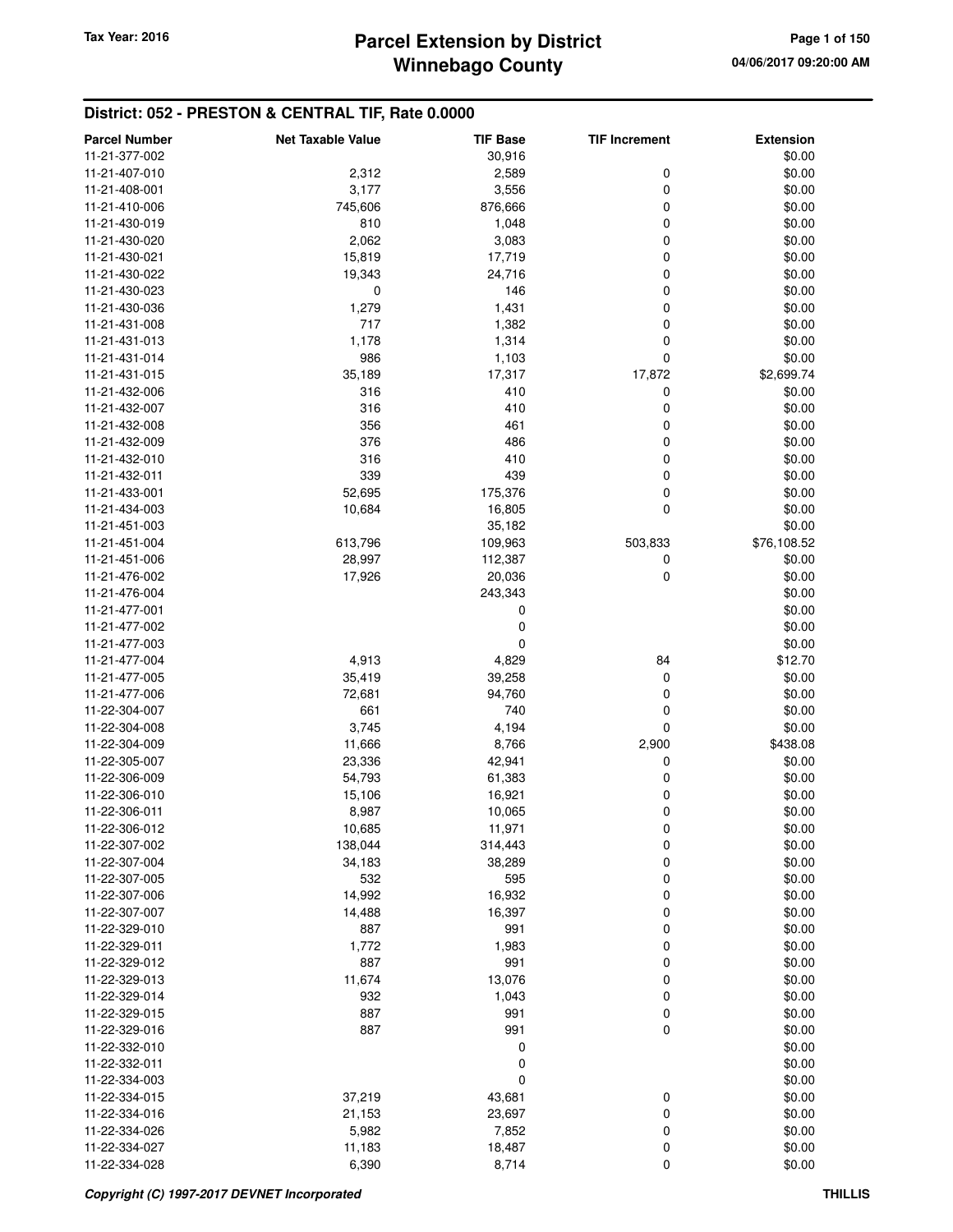#### **District: 052 - PRESTON & CENTRAL TIF, Rate 0.0000**

| <b>Parcel Number</b> | <b>Net Taxable Value</b> | <b>TIF Base</b> | <b>TIF Increment</b> | <b>Extension</b> |
|----------------------|--------------------------|-----------------|----------------------|------------------|
| 11-21-377-002        |                          | 30,916          |                      | \$0.00           |
| 11-21-407-010        | 2,312                    | 2,589           | 0                    | \$0.00           |
| 11-21-408-001        | 3,177                    | 3,556           | $\mathbf 0$          | \$0.00           |
| 11-21-410-006        | 745,606                  | 876,666         | 0                    | \$0.00           |
| 11-21-430-019        | 810                      | 1,048           | 0                    | \$0.00           |
|                      |                          |                 |                      |                  |
| 11-21-430-020        | 2,062                    | 3,083           | 0                    | \$0.00           |
| 11-21-430-021        | 15,819                   | 17,719          | 0                    | \$0.00           |
| 11-21-430-022        | 19,343                   | 24,716          | 0                    | \$0.00           |
| 11-21-430-023        | 0                        | 146             | 0                    | \$0.00           |
| 11-21-430-036        | 1,279                    | 1,431           | 0                    | \$0.00           |
| 11-21-431-008        | 717                      | 1,382           | 0                    | \$0.00           |
| 11-21-431-013        | 1,178                    | 1,314           | 0                    | \$0.00           |
| 11-21-431-014        | 986                      | 1,103           | $\mathbf 0$          | \$0.00           |
| 11-21-431-015        | 35,189                   | 17,317          | 17,872               | \$2,699.74       |
| 11-21-432-006        | 316                      | 410             | 0                    | \$0.00           |
| 11-21-432-007        | 316                      | 410             | 0                    | \$0.00           |
| 11-21-432-008        | 356                      | 461             | 0                    | \$0.00           |
| 11-21-432-009        | 376                      | 486             | 0                    | \$0.00           |
| 11-21-432-010        | 316                      | 410             | 0                    | \$0.00           |
| 11-21-432-011        | 339                      | 439             | 0                    | \$0.00           |
| 11-21-433-001        | 52,695                   | 175,376         | 0                    | \$0.00           |
| 11-21-434-003        | 10,684                   | 16,805          | $\mathbf 0$          | \$0.00           |
| 11-21-451-003        |                          | 35,182          |                      | \$0.00           |
| 11-21-451-004        |                          |                 |                      | \$76,108.52      |
|                      | 613,796                  | 109,963         | 503,833              |                  |
| 11-21-451-006        | 28,997                   | 112,387         | 0                    | \$0.00           |
| 11-21-476-002        | 17,926                   | 20,036          | 0                    | \$0.00           |
| 11-21-476-004        |                          | 243,343         |                      | \$0.00           |
| 11-21-477-001        |                          | 0               |                      | \$0.00           |
| 11-21-477-002        |                          | 0               |                      | \$0.00           |
| 11-21-477-003        |                          | 0               |                      | \$0.00           |
| 11-21-477-004        | 4,913                    | 4,829           | 84                   | \$12.70          |
| 11-21-477-005        | 35,419                   | 39,258          | 0                    | \$0.00           |
| 11-21-477-006        | 72,681                   | 94,760          | 0                    | \$0.00           |
| 11-22-304-007        | 661                      | 740             | 0                    | \$0.00           |
| 11-22-304-008        | 3,745                    | 4,194           | 0                    | \$0.00           |
| 11-22-304-009        | 11,666                   | 8,766           | 2,900                | \$438.08         |
| 11-22-305-007        | 23,336                   | 42,941          | 0                    | \$0.00           |
| 11-22-306-009        | 54,793                   | 61,383          | 0                    | \$0.00           |
| 11-22-306-010        | 15,106                   | 16,921          | 0                    | \$0.00           |
| 11-22-306-011        | 8,987                    | 10,065          | 0                    | \$0.00           |
| 11-22-306-012        | 10,685                   | 11,971          | 0                    | \$0.00           |
| 11-22-307-002        | 138,044                  | 314,443         | 0                    | \$0.00           |
| 11-22-307-004        | 34,183                   | 38,289          | 0                    | \$0.00           |
| 11-22-307-005        | 532                      | 595             | 0                    | \$0.00           |
|                      |                          |                 |                      |                  |
| 11-22-307-006        | 14,992                   | 16,932          | 0                    | \$0.00           |
| 11-22-307-007        | 14,488                   | 16,397          | 0                    | \$0.00           |
| 11-22-329-010        | 887                      | 991             | 0                    | \$0.00           |
| 11-22-329-011        | 1,772                    | 1,983           | 0                    | \$0.00           |
| 11-22-329-012        | 887                      | 991             | 0                    | \$0.00           |
| 11-22-329-013        | 11,674                   | 13,076          | 0                    | \$0.00           |
| 11-22-329-014        | 932                      | 1,043           | 0                    | \$0.00           |
| 11-22-329-015        | 887                      | 991             | 0                    | \$0.00           |
| 11-22-329-016        | 887                      | 991             | $\mathbf 0$          | \$0.00           |
| 11-22-332-010        |                          | 0               |                      | \$0.00           |
| 11-22-332-011        |                          | 0               |                      | \$0.00           |
| 11-22-334-003        |                          | 0               |                      | \$0.00           |
| 11-22-334-015        | 37,219                   | 43,681          | 0                    | \$0.00           |
| 11-22-334-016        | 21,153                   | 23,697          | 0                    | \$0.00           |
| 11-22-334-026        | 5,982                    | 7,852           | 0                    | \$0.00           |
| 11-22-334-027        | 11,183                   | 18,487          | 0                    | \$0.00           |
| 11-22-334-028        | 6,390                    | 8,714           | 0                    | \$0.00           |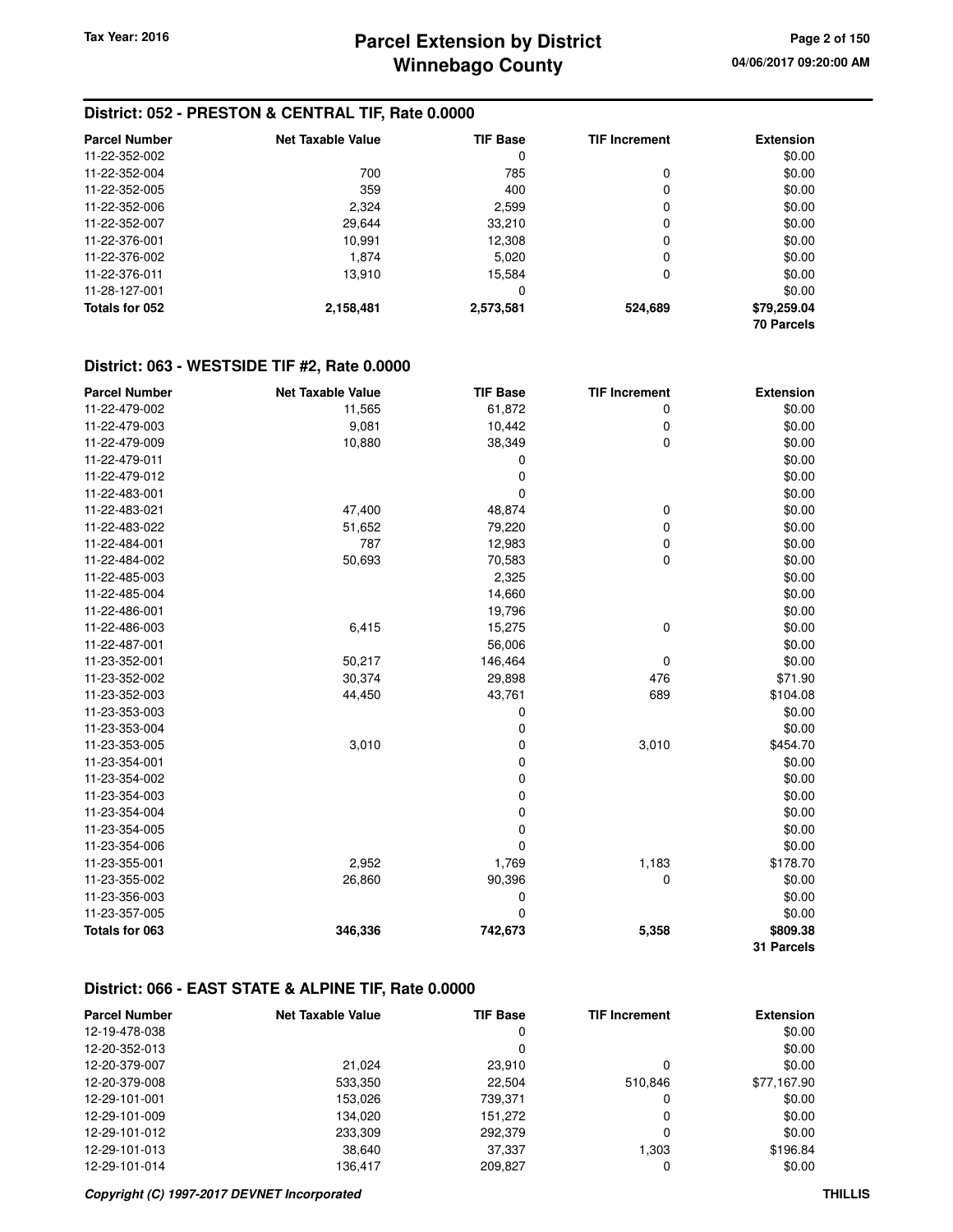#### **District: 052 - PRESTON & CENTRAL TIF, Rate 0.0000**

| <b>Parcel Number</b> | Net Taxable Value | <b>TIF Base</b> | <b>TIF Increment</b> | <b>Extension</b>  |
|----------------------|-------------------|-----------------|----------------------|-------------------|
| 11-22-352-002        |                   | 0               |                      | \$0.00            |
| 11-22-352-004        | 700               | 785             | 0                    | \$0.00            |
| 11-22-352-005        | 359               | 400             | 0                    | \$0.00            |
| 11-22-352-006        | 2,324             | 2,599           | 0                    | \$0.00            |
| 11-22-352-007        | 29.644            | 33,210          | 0                    | \$0.00            |
| 11-22-376-001        | 10,991            | 12,308          | 0                    | \$0.00            |
| 11-22-376-002        | 1.874             | 5.020           | 0                    | \$0.00            |
| 11-22-376-011        | 13,910            | 15.584          | 0                    | \$0.00            |
| 11-28-127-001        |                   | 0               |                      | \$0.00            |
| Totals for 052       | 2,158,481         | 2,573,581       | 524,689              | \$79,259.04       |
|                      |                   |                 |                      | <b>70 Parcels</b> |

#### **District: 063 - WESTSIDE TIF #2, Rate 0.0000**

| <b>Parcel Number</b> | <b>Net Taxable Value</b> | <b>TIF Base</b> | <b>TIF Increment</b> | <b>Extension</b> |
|----------------------|--------------------------|-----------------|----------------------|------------------|
| 11-22-479-002        | 11,565                   | 61,872          | 0                    | \$0.00           |
| 11-22-479-003        | 9,081                    | 10,442          | 0                    | \$0.00           |
| 11-22-479-009        | 10,880                   | 38,349          | 0                    | \$0.00           |
| 11-22-479-011        |                          | 0               |                      | \$0.00           |
| 11-22-479-012        |                          | 0               |                      | \$0.00           |
| 11-22-483-001        |                          | $\mathbf 0$     |                      | \$0.00           |
| 11-22-483-021        | 47,400                   | 48,874          | 0                    | \$0.00           |
| 11-22-483-022        | 51,652                   | 79,220          | 0                    | \$0.00           |
| 11-22-484-001        | 787                      | 12,983          | 0                    | \$0.00           |
| 11-22-484-002        | 50,693                   | 70,583          | $\mathbf 0$          | \$0.00           |
| 11-22-485-003        |                          | 2,325           |                      | \$0.00           |
| 11-22-485-004        |                          | 14,660          |                      | \$0.00           |
| 11-22-486-001        |                          | 19,796          |                      | \$0.00           |
| 11-22-486-003        | 6,415                    | 15,275          | 0                    | \$0.00           |
| 11-22-487-001        |                          | 56,006          |                      | \$0.00           |
| 11-23-352-001        | 50,217                   | 146,464         | $\mathbf 0$          | \$0.00           |
| 11-23-352-002        | 30,374                   | 29,898          | 476                  | \$71.90          |
| 11-23-352-003        | 44,450                   | 43,761          | 689                  | \$104.08         |
| 11-23-353-003        |                          | 0               |                      | \$0.00           |
| 11-23-353-004        |                          | 0               |                      | \$0.00           |
| 11-23-353-005        | 3,010                    | 0               | 3,010                | \$454.70         |
| 11-23-354-001        |                          | 0               |                      | \$0.00           |
| 11-23-354-002        |                          | $\mathbf 0$     |                      | \$0.00           |
| 11-23-354-003        |                          | 0               |                      | \$0.00           |
| 11-23-354-004        |                          | 0               |                      | \$0.00           |
| 11-23-354-005        |                          | 0               |                      | \$0.00           |
| 11-23-354-006        |                          | 0               |                      | \$0.00           |
| 11-23-355-001        | 2,952                    | 1,769           | 1,183                | \$178.70         |
| 11-23-355-002        | 26,860                   | 90,396          | 0                    | \$0.00           |
| 11-23-356-003        |                          | 0               |                      | \$0.00           |
| 11-23-357-005        |                          | $\mathbf 0$     |                      | \$0.00           |
| Totals for 063       | 346,336                  | 742,673         | 5,358                | \$809.38         |
|                      |                          |                 |                      | 31 Parcels       |

#### **District: 066 - EAST STATE & ALPINE TIF, Rate 0.0000**

| <b>Parcel Number</b> | <b>Net Taxable Value</b> | <b>TIF Base</b> | <b>TIF Increment</b> | <b>Extension</b> |
|----------------------|--------------------------|-----------------|----------------------|------------------|
| 12-19-478-038        |                          | 0               |                      | \$0.00           |
| 12-20-352-013        |                          | 0               |                      | \$0.00           |
| 12-20-379-007        | 21.024                   | 23,910          |                      | \$0.00           |
| 12-20-379-008        | 533,350                  | 22.504          | 510.846              | \$77,167.90      |
| 12-29-101-001        | 153.026                  | 739,371         |                      | \$0.00           |
| 12-29-101-009        | 134.020                  | 151,272         | 0                    | \$0.00           |
| 12-29-101-012        | 233,309                  | 292,379         | 0                    | \$0.00           |
| 12-29-101-013        | 38,640                   | 37,337          | 1.303                | \$196.84         |
| 12-29-101-014        | 136.417                  | 209.827         |                      | \$0.00           |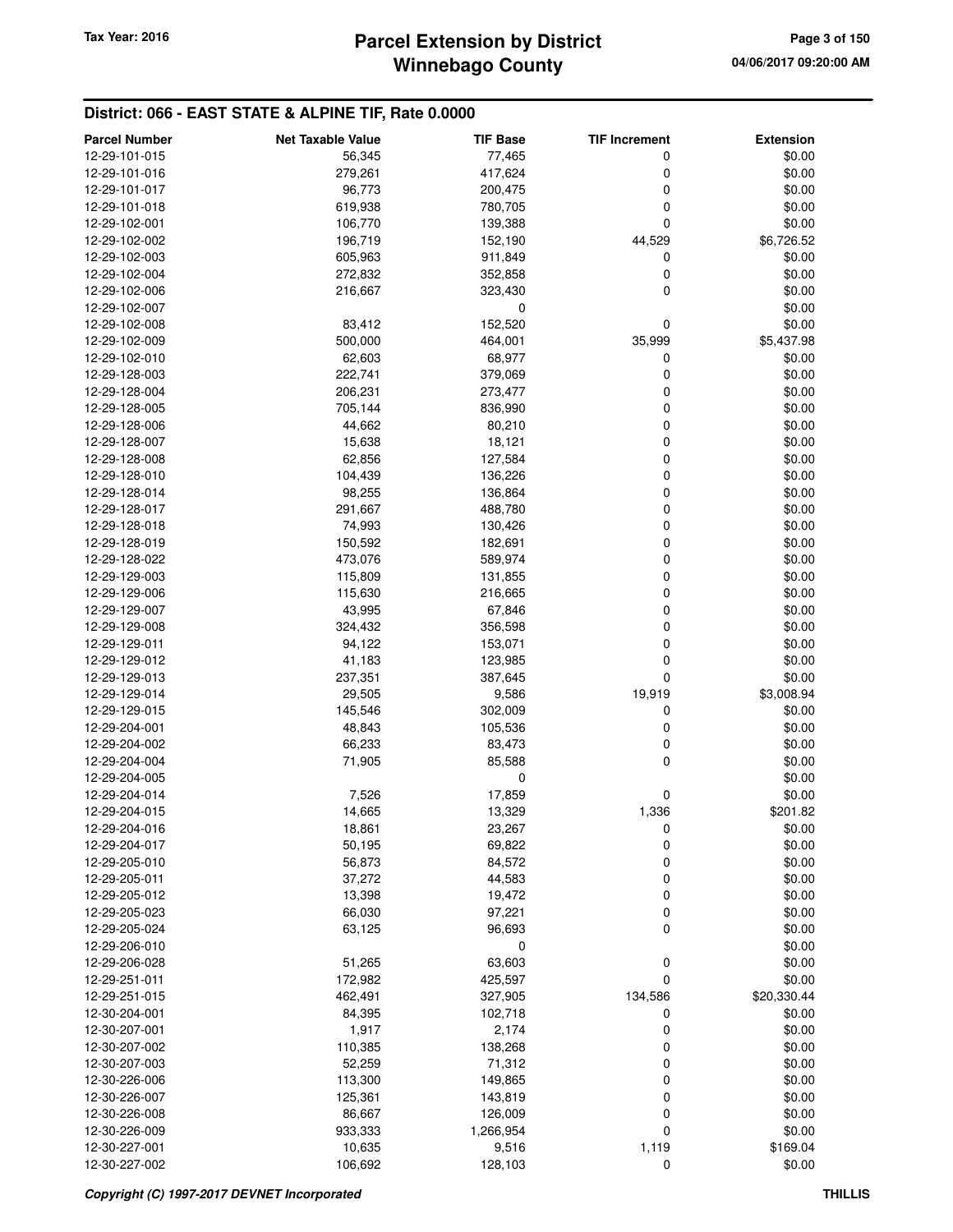#### **District: 066 - EAST STATE & ALPINE TIF, Rate 0.0000**

| <b>Parcel Number</b>           | <b>Net Taxable Value</b> | <b>TIF Base</b>  | <b>TIF Increment</b> | <b>Extension</b> |
|--------------------------------|--------------------------|------------------|----------------------|------------------|
| 12-29-101-015                  | 56,345                   | 77,465           | 0                    | \$0.00           |
| 12-29-101-016                  | 279,261                  | 417,624          | 0                    | \$0.00           |
| 12-29-101-017                  | 96,773                   | 200,475          | 0                    | \$0.00           |
| 12-29-101-018                  | 619,938                  | 780,705          | 0                    | \$0.00           |
| 12-29-102-001                  | 106,770                  | 139,388          | 0                    | \$0.00           |
| 12-29-102-002                  | 196,719                  | 152,190          | 44,529               | \$6,726.52       |
| 12-29-102-003                  | 605,963                  | 911,849          | 0                    | \$0.00           |
| 12-29-102-004                  | 272,832                  | 352,858          | 0                    | \$0.00           |
| 12-29-102-006                  | 216,667                  | 323,430          | 0                    | \$0.00           |
| 12-29-102-007                  |                          | 0                |                      | \$0.00           |
| 12-29-102-008                  | 83,412                   | 152,520          | 0                    | \$0.00           |
| 12-29-102-009                  | 500,000                  | 464,001          | 35,999               | \$5,437.98       |
| 12-29-102-010                  | 62,603                   | 68,977           | 0                    | \$0.00           |
| 12-29-128-003                  | 222,741                  | 379,069          | 0                    | \$0.00           |
| 12-29-128-004                  | 206,231                  | 273,477          | 0                    | \$0.00           |
| 12-29-128-005                  | 705,144                  | 836,990          | 0                    | \$0.00           |
| 12-29-128-006                  | 44,662                   | 80,210           | 0                    | \$0.00           |
| 12-29-128-007                  | 15,638                   | 18,121           | 0                    | \$0.00           |
| 12-29-128-008                  | 62,856                   | 127,584          | 0                    | \$0.00           |
| 12-29-128-010                  | 104,439                  | 136,226          | 0                    | \$0.00           |
| 12-29-128-014                  | 98,255                   | 136,864          | 0                    | \$0.00           |
| 12-29-128-017                  | 291,667                  | 488,780          | 0                    | \$0.00           |
| 12-29-128-018                  | 74,993                   | 130,426          | 0                    | \$0.00           |
| 12-29-128-019                  | 150,592                  | 182,691          | 0                    | \$0.00           |
| 12-29-128-022                  | 473,076                  | 589,974          | 0                    | \$0.00           |
| 12-29-129-003                  | 115,809                  | 131,855          | 0                    | \$0.00           |
| 12-29-129-006                  | 115,630                  | 216,665          | 0                    | \$0.00           |
| 12-29-129-007                  | 43,995                   | 67,846           | 0                    | \$0.00           |
| 12-29-129-008                  | 324,432                  | 356,598          | 0                    | \$0.00           |
| 12-29-129-011                  | 94,122                   | 153,071          | 0                    | \$0.00           |
| 12-29-129-012                  | 41,183                   | 123,985          | 0                    | \$0.00           |
| 12-29-129-013                  | 237,351                  | 387,645          | 0                    | \$0.00           |
| 12-29-129-014                  | 29,505                   | 9,586            | 19,919               | \$3,008.94       |
| 12-29-129-015                  | 145,546                  | 302,009          | 0                    | \$0.00           |
| 12-29-204-001                  | 48,843                   | 105,536          | 0                    | \$0.00           |
| 12-29-204-002                  | 66,233                   | 83,473           | 0                    | \$0.00           |
| 12-29-204-004                  | 71,905                   | 85,588           | 0                    | \$0.00           |
| 12-29-204-005                  |                          | 0                |                      | \$0.00           |
| 12-29-204-014                  | 7,526                    | 17,859           | 0                    | \$0.00           |
| 12-29-204-015                  | 14,665                   | 13,329           | 1,336                | \$201.82         |
| 12-29-204-016                  | 18,861                   | 23,267           | 0                    | \$0.00           |
| 12-29-204-017<br>12-29-205-010 | 50,195                   | 69,822           | 0                    | \$0.00<br>\$0.00 |
| 12-29-205-011                  | 56,873                   | 84,572           | 0<br>0               |                  |
| 12-29-205-012                  | 37,272<br>13,398         | 44,583<br>19,472 | 0                    | \$0.00<br>\$0.00 |
| 12-29-205-023                  | 66,030                   | 97,221           | 0                    | \$0.00           |
| 12-29-205-024                  | 63,125                   | 96,693           | 0                    | \$0.00           |
| 12-29-206-010                  |                          | 0                |                      | \$0.00           |
| 12-29-206-028                  | 51,265                   | 63,603           | 0                    | \$0.00           |
| 12-29-251-011                  | 172,982                  | 425,597          | 0                    | \$0.00           |
| 12-29-251-015                  | 462,491                  | 327,905          | 134,586              | \$20,330.44      |
| 12-30-204-001                  | 84,395                   | 102,718          | 0                    | \$0.00           |
| 12-30-207-001                  | 1,917                    | 2,174            | 0                    | \$0.00           |
| 12-30-207-002                  | 110,385                  | 138,268          | 0                    | \$0.00           |
| 12-30-207-003                  | 52,259                   | 71,312           | 0                    | \$0.00           |
| 12-30-226-006                  | 113,300                  | 149,865          | 0                    | \$0.00           |
| 12-30-226-007                  | 125,361                  | 143,819          | 0                    | \$0.00           |
| 12-30-226-008                  | 86,667                   | 126,009          | 0                    | \$0.00           |
| 12-30-226-009                  | 933,333                  | 1,266,954        | 0                    | \$0.00           |
| 12-30-227-001                  | 10,635                   | 9,516            | 1,119                | \$169.04         |
| 12-30-227-002                  | 106,692                  | 128,103          | 0                    | \$0.00           |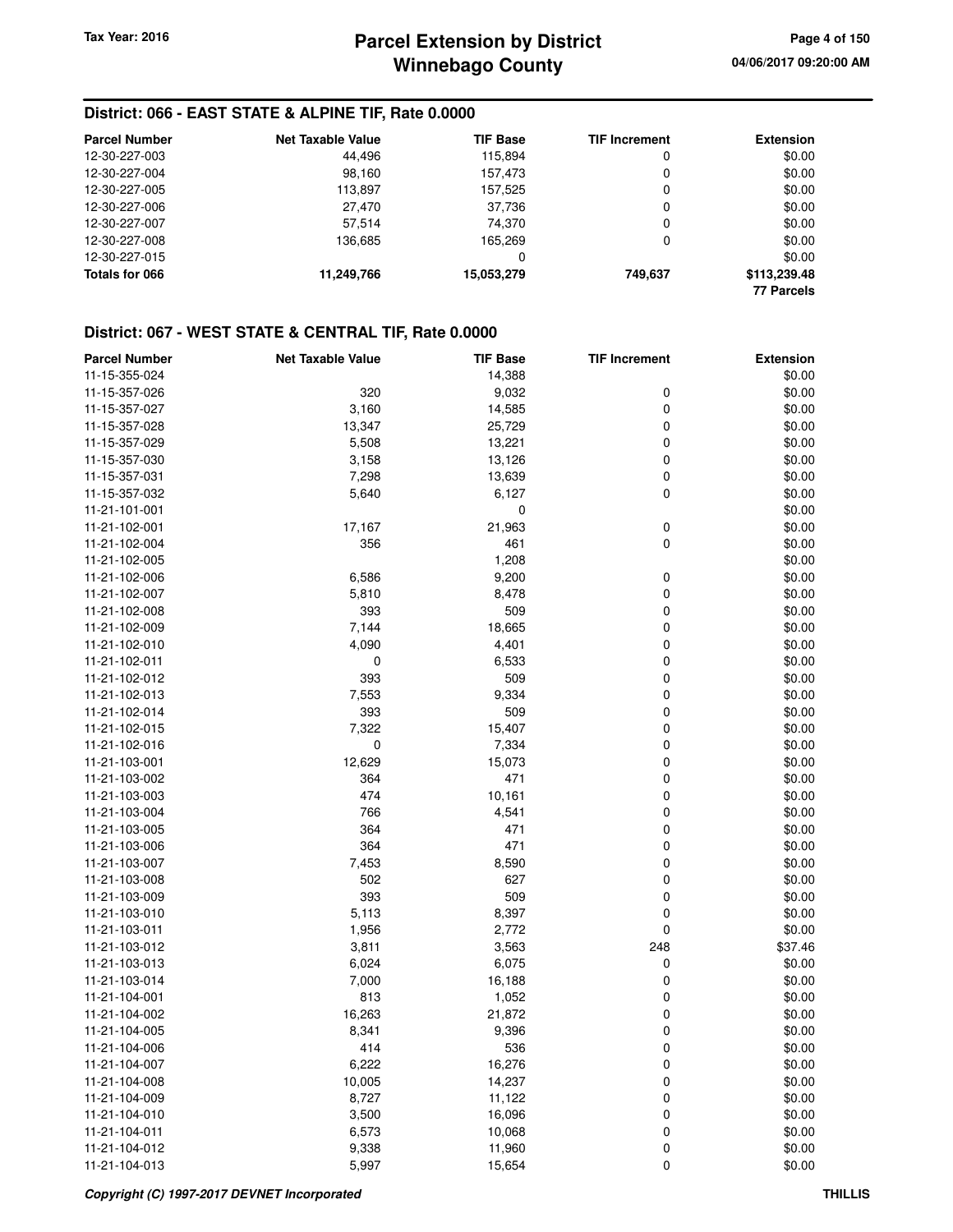#### **District: 066 - EAST STATE & ALPINE TIF, Rate 0.0000**

| <b>Parcel Number</b> | <b>Net Taxable Value</b> | <b>TIF Base</b> | <b>TIF Increment</b> | <b>Extension</b>  |
|----------------------|--------------------------|-----------------|----------------------|-------------------|
| 12-30-227-003        | 44.496                   | 115.894         | 0                    | \$0.00            |
| 12-30-227-004        | 98.160                   | 157.473         | 0                    | \$0.00            |
| 12-30-227-005        | 113,897                  | 157.525         | 0                    | \$0.00            |
| 12-30-227-006        | 27,470                   | 37.736          | 0                    | \$0.00            |
| 12-30-227-007        | 57,514                   | 74.370          | 0                    | \$0.00            |
| 12-30-227-008        | 136.685                  | 165.269         | 0                    | \$0.00            |
| 12-30-227-015        |                          | 0               |                      | \$0.00            |
| Totals for 066       | 11,249,766               | 15,053,279      | 749.637              | \$113,239.48      |
|                      |                          |                 |                      | <b>77 Parcels</b> |

| <b>Parcel Number</b> | <b>Net Taxable Value</b> | <b>TIF Base</b> | <b>TIF Increment</b> | <b>Extension</b> |
|----------------------|--------------------------|-----------------|----------------------|------------------|
| 11-15-355-024        |                          | 14,388          |                      | \$0.00           |
| 11-15-357-026        | 320                      | 9,032           | 0                    | \$0.00           |
| 11-15-357-027        | 3,160                    | 14,585          | 0                    | \$0.00           |
| 11-15-357-028        | 13,347                   | 25,729          | 0                    | \$0.00           |
| 11-15-357-029        | 5,508                    | 13,221          | 0                    | \$0.00           |
| 11-15-357-030        | 3,158                    | 13,126          | 0                    | \$0.00           |
| 11-15-357-031        | 7,298                    | 13,639          | 0                    | \$0.00           |
| 11-15-357-032        | 5,640                    | 6,127           | 0                    | \$0.00           |
| 11-21-101-001        |                          | 0               |                      | \$0.00           |
| 11-21-102-001        | 17,167                   | 21,963          | 0                    | \$0.00           |
| 11-21-102-004        | 356                      | 461             | 0                    | \$0.00           |
| 11-21-102-005        |                          | 1,208           |                      | \$0.00           |
| 11-21-102-006        | 6,586                    | 9,200           | 0                    | \$0.00           |
| 11-21-102-007        | 5,810                    | 8,478           | 0                    | \$0.00           |
| 11-21-102-008        | 393                      | 509             | 0                    | \$0.00           |
| 11-21-102-009        | 7,144                    | 18,665          | 0                    | \$0.00           |
| 11-21-102-010        | 4,090                    | 4,401           | 0                    | \$0.00           |
| 11-21-102-011        | 0                        | 6,533           | 0                    | \$0.00           |
| 11-21-102-012        | 393                      | 509             | 0                    | \$0.00           |
| 11-21-102-013        | 7,553                    | 9,334           | 0                    | \$0.00           |
| 11-21-102-014        | 393                      | 509             | 0                    | \$0.00           |
| 11-21-102-015        | 7,322                    | 15,407          | 0                    | \$0.00           |
| 11-21-102-016        | 0                        | 7,334           | 0                    | \$0.00           |
| 11-21-103-001        | 12,629                   | 15,073          | 0                    | \$0.00           |
| 11-21-103-002        | 364                      | 471             | 0                    | \$0.00           |
| 11-21-103-003        | 474                      | 10,161          | 0                    | \$0.00           |
| 11-21-103-004        | 766                      | 4,541           | 0                    | \$0.00           |
| 11-21-103-005        | 364                      | 471             | 0                    | \$0.00           |
| 11-21-103-006        | 364                      | 471             | 0                    | \$0.00           |
| 11-21-103-007        | 7,453                    | 8,590           | 0                    | \$0.00           |
| 11-21-103-008        | 502                      | 627             | 0                    | \$0.00           |
| 11-21-103-009        | 393                      | 509             | 0                    | \$0.00           |
| 11-21-103-010        | 5,113                    | 8,397           | 0                    | \$0.00           |
| 11-21-103-011        | 1,956                    | 2,772           | 0                    | \$0.00           |
| 11-21-103-012        | 3,811                    | 3,563           | 248                  | \$37.46          |
| 11-21-103-013        | 6,024                    | 6,075           | 0                    | \$0.00           |
| 11-21-103-014        | 7,000                    | 16,188          | 0                    | \$0.00           |
| 11-21-104-001        | 813                      | 1,052           | 0                    | \$0.00           |
| 11-21-104-002        | 16,263                   | 21,872          | 0                    | \$0.00           |
| 11-21-104-005        | 8,341                    | 9,396           | 0                    | \$0.00           |
| 11-21-104-006        | 414                      | 536             | 0                    | \$0.00           |
| 11-21-104-007        | 6,222                    | 16,276          | 0                    | \$0.00           |
| 11-21-104-008        | 10,005                   | 14,237          | 0                    | \$0.00           |
| 11-21-104-009        | 8,727                    | 11,122          | 0                    | \$0.00           |
| 11-21-104-010        | 3,500                    | 16,096          | 0                    | \$0.00           |
| 11-21-104-011        | 6,573                    | 10,068          | 0                    | \$0.00           |
| 11-21-104-012        | 9,338                    | 11,960          | 0                    | \$0.00           |
| 11-21-104-013        | 5,997                    | 15,654          | 0                    | \$0.00           |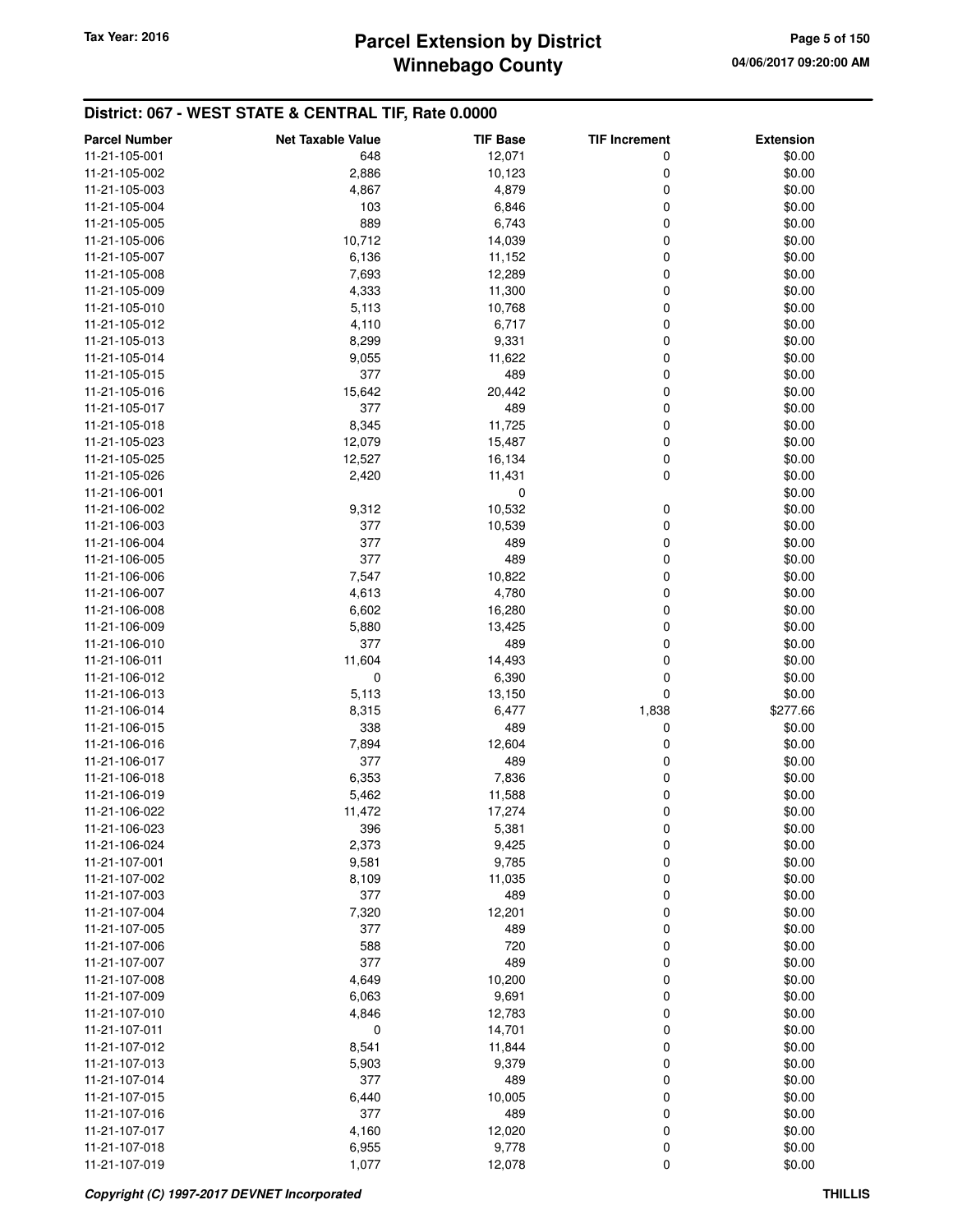# **Winnebago County Parcel Extension by District Tax Year: 2016 Page 5 of 150**

| <b>Parcel Number</b> | <b>Net Taxable Value</b> | <b>TIF Base</b> | <b>TIF Increment</b> | <b>Extension</b> |
|----------------------|--------------------------|-----------------|----------------------|------------------|
| 11-21-105-001        | 648                      | 12,071          | 0                    | \$0.00           |
| 11-21-105-002        | 2,886                    | 10,123          | 0                    | \$0.00           |
| 11-21-105-003        | 4,867                    | 4,879           | 0                    | \$0.00           |
| 11-21-105-004        | 103                      | 6,846           | 0                    | \$0.00           |
| 11-21-105-005        | 889                      | 6,743           | 0                    | \$0.00           |
| 11-21-105-006        | 10,712                   | 14,039          | 0                    | \$0.00           |
| 11-21-105-007        | 6,136                    | 11,152          | 0                    | \$0.00           |
| 11-21-105-008        | 7,693                    | 12,289          | 0                    | \$0.00           |
| 11-21-105-009        | 4,333                    | 11,300          | 0                    | \$0.00           |
| 11-21-105-010        | 5,113                    | 10,768          | 0                    | \$0.00           |
| 11-21-105-012        | 4,110                    | 6,717           | 0                    | \$0.00           |
| 11-21-105-013        | 8,299                    | 9,331           | 0                    | \$0.00           |
| 11-21-105-014        | 9,055                    | 11,622          | 0                    | \$0.00           |
| 11-21-105-015        | 377                      | 489             | 0                    | \$0.00           |
| 11-21-105-016        | 15,642                   | 20,442          | 0                    | \$0.00           |
| 11-21-105-017        | 377                      | 489             | 0                    | \$0.00           |
| 11-21-105-018        | 8,345                    | 11,725          | 0                    | \$0.00           |
| 11-21-105-023        | 12,079                   | 15,487          | 0                    | \$0.00           |
| 11-21-105-025        | 12,527                   | 16,134          | 0                    | \$0.00           |
| 11-21-105-026        | 2,420                    | 11,431          | 0                    | \$0.00           |
| 11-21-106-001        |                          | 0               |                      | \$0.00           |
| 11-21-106-002        | 9,312                    | 10,532          | 0                    | \$0.00           |
| 11-21-106-003        | 377                      | 10,539          | 0                    | \$0.00           |
| 11-21-106-004        | 377                      | 489             | 0                    | \$0.00           |
| 11-21-106-005        | 377                      | 489             | 0                    | \$0.00           |
| 11-21-106-006        | 7,547                    | 10,822          | 0                    | \$0.00           |
| 11-21-106-007        | 4,613                    | 4,780           | 0                    | \$0.00           |
| 11-21-106-008        | 6,602                    | 16,280          | 0                    | \$0.00           |
| 11-21-106-009        | 5,880                    | 13,425          | 0                    | \$0.00           |
| 11-21-106-010        | 377                      | 489             | 0                    | \$0.00           |
| 11-21-106-011        | 11,604                   | 14,493          | 0                    | \$0.00           |
| 11-21-106-012        | 0                        | 6,390           | 0                    | \$0.00           |
| 11-21-106-013        | 5,113                    | 13,150          | 0                    | \$0.00           |
| 11-21-106-014        | 8,315                    | 6,477           | 1,838                | \$277.66         |
| 11-21-106-015        | 338                      | 489             | 0                    | \$0.00           |
| 11-21-106-016        | 7,894                    | 12,604          | 0                    | \$0.00           |
| 11-21-106-017        | 377                      | 489             | 0                    | \$0.00           |
| 11-21-106-018        | 6,353                    | 7,836           | 0                    | \$0.00           |
| 11-21-106-019        | 5,462                    | 11,588          | 0                    | \$0.00           |
| 11-21-106-022        | 11,472                   | 17,274          | 0                    | \$0.00           |
| 11-21-106-023        | 396                      | 5,381           | 0                    | \$0.00           |
| 11-21-106-024        | 2,373                    | 9,425           | 0                    | \$0.00           |
| 11-21-107-001        | 9,581                    | 9,785           | 0                    | \$0.00           |
| 11-21-107-002        | 8,109                    | 11,035          | 0                    | \$0.00           |
| 11-21-107-003        | 377                      | 489             | 0                    | \$0.00           |
| 11-21-107-004        | 7,320                    | 12,201          | 0                    | \$0.00           |
| 11-21-107-005        | 377                      | 489             | 0                    | \$0.00           |
| 11-21-107-006        | 588                      | 720             | 0                    | \$0.00           |
| 11-21-107-007        | 377                      | 489             | 0                    | \$0.00           |
| 11-21-107-008        | 4,649                    | 10,200          | 0                    | \$0.00           |
| 11-21-107-009        | 6,063                    | 9,691           | 0                    | \$0.00           |
| 11-21-107-010        | 4,846                    | 12,783          | 0                    | \$0.00           |
| 11-21-107-011        | 0                        | 14,701          | 0                    | \$0.00           |
| 11-21-107-012        | 8,541                    | 11,844          | 0                    | \$0.00           |
| 11-21-107-013        | 5,903                    | 9,379           | 0                    | \$0.00           |
| 11-21-107-014        | 377                      | 489             | 0                    | \$0.00           |
| 11-21-107-015        | 6,440                    | 10,005          | 0                    | \$0.00           |
| 11-21-107-016        | 377                      | 489             | 0                    | \$0.00           |
| 11-21-107-017        | 4,160                    | 12,020          | 0                    | \$0.00           |
| 11-21-107-018        | 6,955                    | 9,778           | 0                    | \$0.00           |
| 11-21-107-019        | 1,077                    | 12,078          | 0                    | \$0.00           |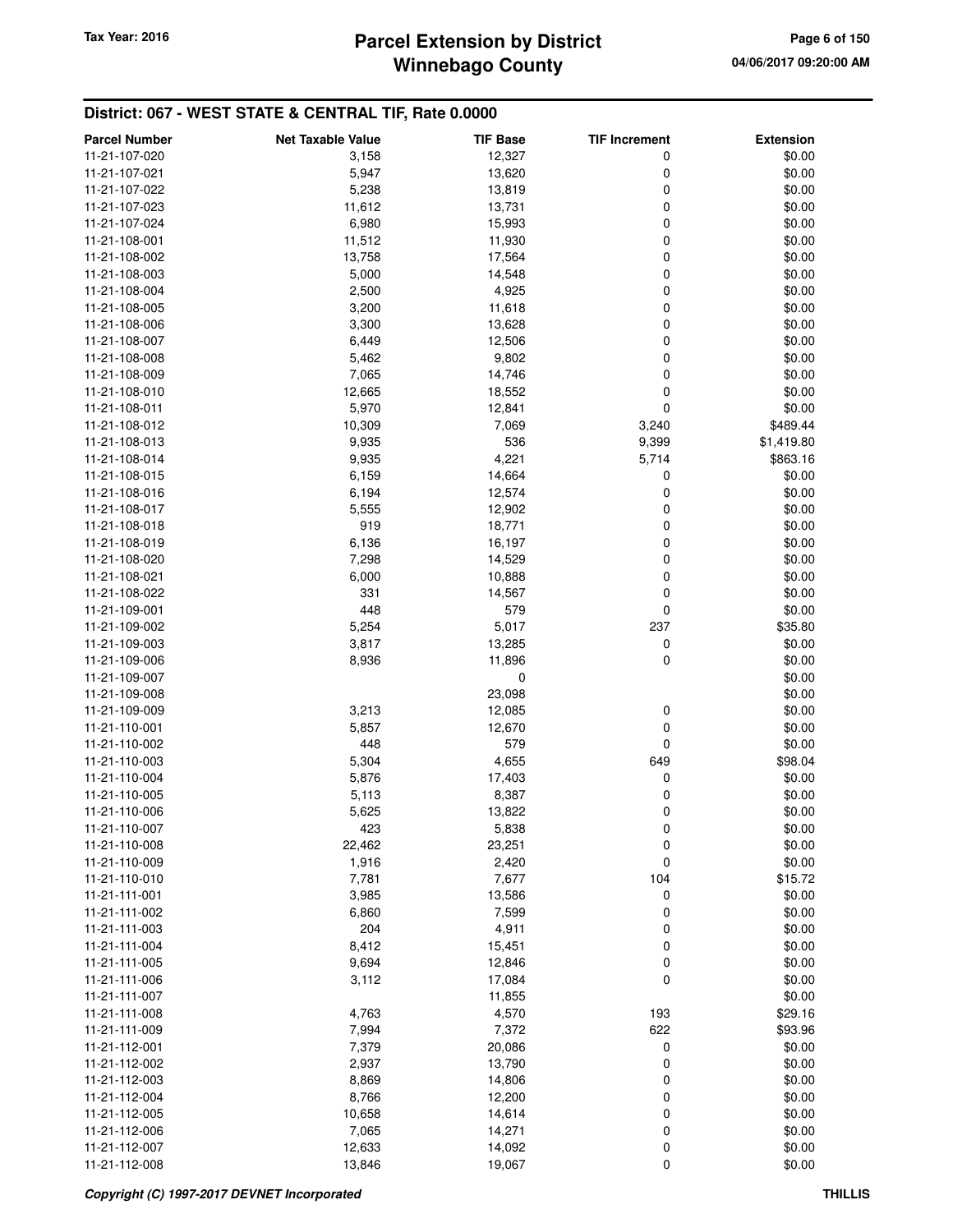# **Winnebago County** Tax Year: 2016 **Parcel Extension by District Tax Year: 2016 Page 6 of 150**

| <b>Parcel Number</b> | <b>Net Taxable Value</b> | <b>TIF Base</b> | <b>TIF Increment</b> | <b>Extension</b> |
|----------------------|--------------------------|-----------------|----------------------|------------------|
| 11-21-107-020        | 3,158                    | 12,327          | 0                    | \$0.00           |
| 11-21-107-021        | 5,947                    | 13,620          | 0                    | \$0.00           |
| 11-21-107-022        | 5,238                    | 13,819          | 0                    | \$0.00           |
| 11-21-107-023        | 11,612                   | 13,731          | 0                    | \$0.00           |
| 11-21-107-024        | 6,980                    | 15,993          | 0                    | \$0.00           |
| 11-21-108-001        | 11,512                   | 11,930          | 0                    | \$0.00           |
| 11-21-108-002        | 13,758                   | 17,564          | 0                    | \$0.00           |
| 11-21-108-003        | 5,000                    | 14,548          | 0                    | \$0.00           |
| 11-21-108-004        | 2,500                    | 4,925           | 0                    | \$0.00           |
| 11-21-108-005        | 3,200                    | 11,618          | 0                    | \$0.00           |
| 11-21-108-006        | 3,300                    | 13,628          | 0                    | \$0.00           |
| 11-21-108-007        | 6,449                    | 12,506          | 0                    | \$0.00           |
| 11-21-108-008        | 5,462                    | 9,802           | 0                    | \$0.00           |
| 11-21-108-009        | 7,065                    | 14,746          | 0                    | \$0.00           |
| 11-21-108-010        | 12,665                   | 18,552          | 0                    | \$0.00           |
| 11-21-108-011        | 5,970                    | 12,841          | 0                    | \$0.00           |
| 11-21-108-012        | 10,309                   | 7,069           | 3,240                | \$489.44         |
| 11-21-108-013        | 9,935                    | 536             | 9,399                | \$1,419.80       |
| 11-21-108-014        | 9,935                    | 4,221           | 5,714                | \$863.16         |
| 11-21-108-015        | 6,159                    | 14,664          | 0                    | \$0.00           |
| 11-21-108-016        | 6,194                    | 12,574          | 0                    | \$0.00           |
| 11-21-108-017        | 5,555                    | 12,902          | 0                    | \$0.00           |
| 11-21-108-018        | 919                      | 18,771          | 0                    | \$0.00           |
| 11-21-108-019        | 6,136                    | 16,197          | 0                    | \$0.00           |
| 11-21-108-020        | 7,298                    | 14,529          | 0                    | \$0.00           |
| 11-21-108-021        | 6,000                    | 10,888          | 0                    | \$0.00           |
| 11-21-108-022        | 331                      | 14,567          | 0                    | \$0.00           |
| 11-21-109-001        | 448                      | 579             | 0                    | \$0.00           |
| 11-21-109-002        | 5,254                    | 5,017           | 237                  | \$35.80          |
| 11-21-109-003        | 3,817                    | 13,285          | 0                    | \$0.00           |
| 11-21-109-006        | 8,936                    | 11,896          | 0                    | \$0.00           |
| 11-21-109-007        |                          | $\mathbf 0$     |                      | \$0.00           |
| 11-21-109-008        |                          | 23,098          |                      | \$0.00           |
| 11-21-109-009        | 3,213                    | 12,085          | 0                    | \$0.00           |
| 11-21-110-001        | 5,857                    | 12,670          | 0                    | \$0.00           |
| 11-21-110-002        | 448                      | 579             | 0                    | \$0.00           |
| 11-21-110-003        | 5,304                    | 4,655           | 649                  | \$98.04          |
| 11-21-110-004        | 5,876                    | 17,403          | 0                    | \$0.00           |
| 11-21-110-005        | 5,113                    | 8,387           | 0                    | \$0.00           |
| 11-21-110-006        | 5,625                    | 13,822          | 0                    | \$0.00           |
| 11-21-110-007        | 423                      | 5,838           | 0                    | \$0.00           |
| 11-21-110-008        | 22,462                   | 23,251          | 0                    | \$0.00           |
| 11-21-110-009        | 1,916                    | 2,420           | $\mathbf 0$          | \$0.00           |
| 11-21-110-010        | 7,781                    | 7,677           | 104                  | \$15.72          |
| 11-21-111-001        | 3,985                    | 13,586          | 0                    | \$0.00           |
| 11-21-111-002        | 6,860                    | 7,599           | 0                    | \$0.00           |
| 11-21-111-003        | 204                      | 4,911           | 0                    | \$0.00           |
| 11-21-111-004        | 8,412                    | 15,451          | 0                    | \$0.00           |
| 11-21-111-005        | 9,694                    | 12,846          | 0                    | \$0.00           |
| 11-21-111-006        | 3,112                    | 17,084          | 0                    | \$0.00           |
| 11-21-111-007        |                          | 11,855          |                      | \$0.00           |
| 11-21-111-008        | 4,763                    | 4,570           | 193                  | \$29.16          |
| 11-21-111-009        | 7,994                    | 7,372           | 622                  | \$93.96          |
| 11-21-112-001        | 7,379                    | 20,086          | 0                    | \$0.00           |
| 11-21-112-002        | 2,937                    | 13,790          | 0                    | \$0.00           |
| 11-21-112-003        | 8,869                    | 14,806          | 0                    | \$0.00           |
| 11-21-112-004        | 8,766                    | 12,200          | 0                    | \$0.00           |
| 11-21-112-005        | 10,658                   | 14,614          | 0                    | \$0.00           |
| 11-21-112-006        | 7,065                    | 14,271          | 0                    | \$0.00           |
| 11-21-112-007        | 12,633                   | 14,092          | 0                    | \$0.00           |
| 11-21-112-008        | 13,846                   | 19,067          | 0                    | \$0.00           |
|                      |                          |                 |                      |                  |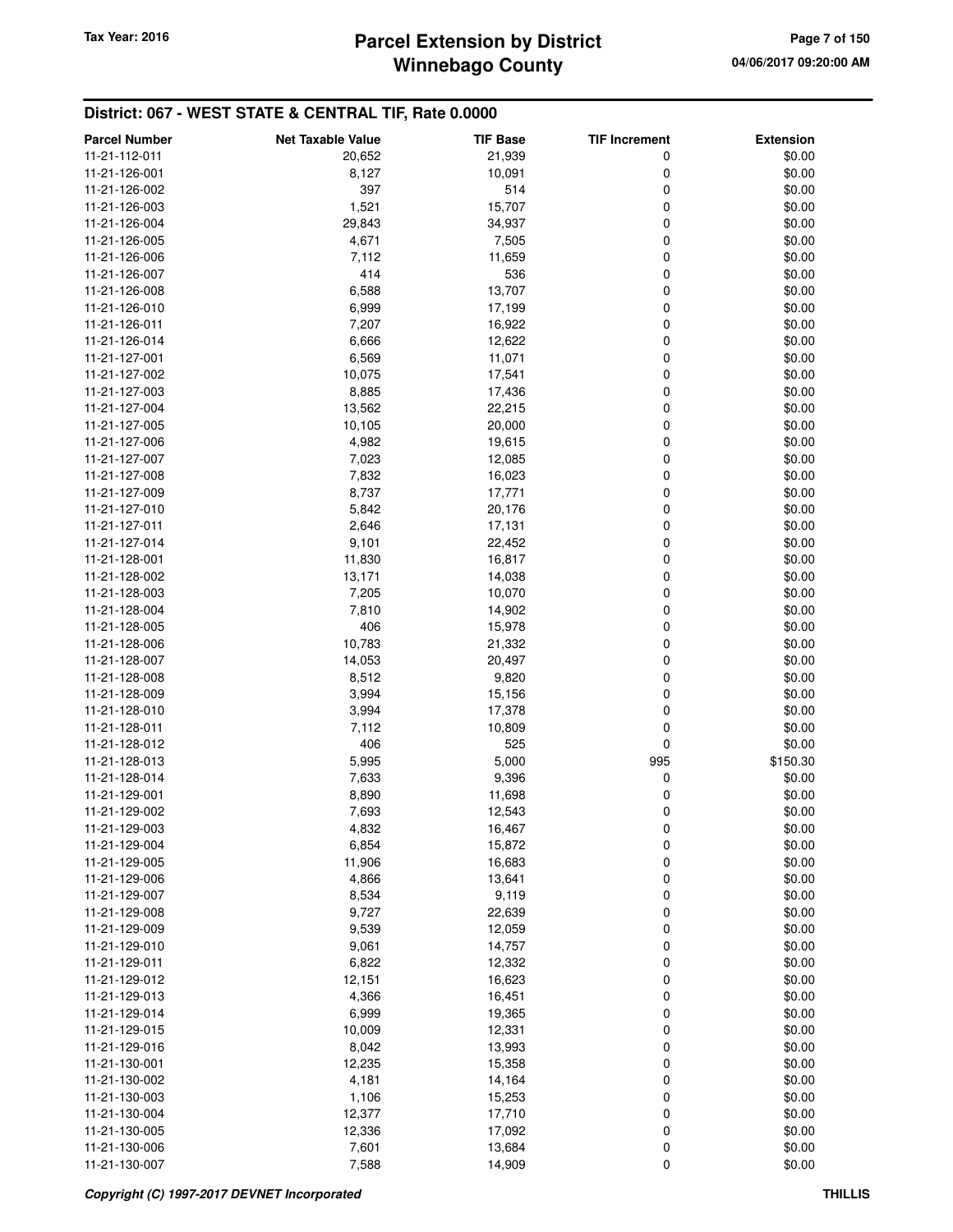| <b>Parcel Number</b> | <b>Net Taxable Value</b> | <b>TIF Base</b>  | <b>TIF Increment</b> | <b>Extension</b> |
|----------------------|--------------------------|------------------|----------------------|------------------|
| 11-21-112-011        | 20,652                   | 21,939           | 0                    | \$0.00           |
| 11-21-126-001        | 8,127                    | 10,091           | 0                    | \$0.00           |
| 11-21-126-002        | 397                      | 514              | 0                    | \$0.00           |
| 11-21-126-003        | 1,521                    | 15,707           | 0                    | \$0.00           |
| 11-21-126-004        | 29,843                   | 34,937           | 0                    | \$0.00           |
| 11-21-126-005        | 4,671                    | 7,505            | 0                    | \$0.00           |
| 11-21-126-006        | 7,112                    | 11,659           | 0                    | \$0.00           |
| 11-21-126-007        | 414                      | 536              | 0                    | \$0.00           |
| 11-21-126-008        | 6,588                    | 13,707           | 0                    | \$0.00           |
| 11-21-126-010        | 6,999                    | 17,199           | 0                    | \$0.00           |
| 11-21-126-011        | 7,207                    | 16,922           | 0                    | \$0.00           |
| 11-21-126-014        | 6,666                    | 12,622           | 0                    | \$0.00           |
| 11-21-127-001        | 6,569                    | 11,071           | 0                    | \$0.00           |
| 11-21-127-002        | 10,075                   | 17,541           | 0                    | \$0.00           |
| 11-21-127-003        | 8,885                    | 17,436           | 0                    | \$0.00           |
| 11-21-127-004        | 13,562                   | 22,215           | 0                    | \$0.00           |
| 11-21-127-005        | 10,105                   | 20,000           | 0                    | \$0.00           |
| 11-21-127-006        | 4,982                    | 19,615           | 0                    | \$0.00           |
| 11-21-127-007        | 7,023                    | 12,085           | 0                    | \$0.00           |
| 11-21-127-008        | 7,832                    | 16,023           | 0                    | \$0.00           |
| 11-21-127-009        | 8,737                    | 17,771           | 0                    | \$0.00           |
| 11-21-127-010        |                          |                  | 0                    |                  |
|                      | 5,842                    | 20,176           | 0                    | \$0.00           |
| 11-21-127-011        | 2,646                    | 17,131<br>22,452 | 0                    | \$0.00           |
| 11-21-127-014        | 9,101                    |                  |                      | \$0.00           |
| 11-21-128-001        | 11,830                   | 16,817           | 0                    | \$0.00           |
| 11-21-128-002        | 13,171                   | 14,038           | 0                    | \$0.00           |
| 11-21-128-003        | 7,205                    | 10,070           | 0                    | \$0.00           |
| 11-21-128-004        | 7,810                    | 14,902           | 0                    | \$0.00           |
| 11-21-128-005        | 406                      | 15,978           | 0                    | \$0.00           |
| 11-21-128-006        | 10,783                   | 21,332           | 0                    | \$0.00           |
| 11-21-128-007        | 14,053                   | 20,497           | 0                    | \$0.00           |
| 11-21-128-008        | 8,512                    | 9,820            | 0                    | \$0.00           |
| 11-21-128-009        | 3,994                    | 15,156           | 0                    | \$0.00           |
| 11-21-128-010        | 3,994                    | 17,378           | 0                    | \$0.00           |
| 11-21-128-011        | 7,112                    | 10,809           | 0                    | \$0.00           |
| 11-21-128-012        | 406                      | 525              | 0                    | \$0.00           |
| 11-21-128-013        | 5,995                    | 5,000            | 995                  | \$150.30         |
| 11-21-128-014        | 7,633                    | 9,396            | 0                    | \$0.00           |
| 11-21-129-001        | 8,890                    | 11,698           | 0                    | \$0.00           |
| 11-21-129-002        | 7,693                    | 12,543           | 0                    | \$0.00           |
| 11-21-129-003        | 4,832                    | 16,467           | 0                    | \$0.00           |
| 11-21-129-004        | 6,854                    | 15,872           | 0                    | \$0.00           |
| 11-21-129-005        | 11,906                   | 16,683           | 0                    | \$0.00           |
| 11-21-129-006        | 4,866                    | 13,641           | 0                    | \$0.00           |
| 11-21-129-007        | 8,534                    | 9,119            | 0                    | \$0.00           |
| 11-21-129-008        | 9,727                    | 22,639           | 0                    | \$0.00           |
| 11-21-129-009        | 9,539                    | 12,059           | 0                    | \$0.00           |
| 11-21-129-010        | 9,061                    | 14,757           | 0                    | \$0.00           |
| 11-21-129-011        | 6,822                    | 12,332           | 0                    | \$0.00           |
| 11-21-129-012        | 12,151                   | 16,623           | 0                    | \$0.00           |
| 11-21-129-013        | 4,366                    | 16,451           | 0                    | \$0.00           |
| 11-21-129-014        | 6,999                    | 19,365           | 0                    | \$0.00           |
| 11-21-129-015        | 10,009                   | 12,331           | 0                    | \$0.00           |
| 11-21-129-016        | 8,042                    | 13,993           | 0                    | \$0.00           |
| 11-21-130-001        | 12,235                   | 15,358           | 0                    | \$0.00           |
| 11-21-130-002        | 4,181                    | 14,164           | 0                    | \$0.00           |
| 11-21-130-003        | 1,106                    | 15,253           | 0                    | \$0.00           |
| 11-21-130-004        | 12,377                   | 17,710           | 0                    | \$0.00           |
| 11-21-130-005        | 12,336                   | 17,092           | 0                    | \$0.00           |
| 11-21-130-006        | 7,601                    | 13,684           | 0                    | \$0.00           |
| 11-21-130-007        | 7,588                    | 14,909           | $\mathbf 0$          | \$0.00           |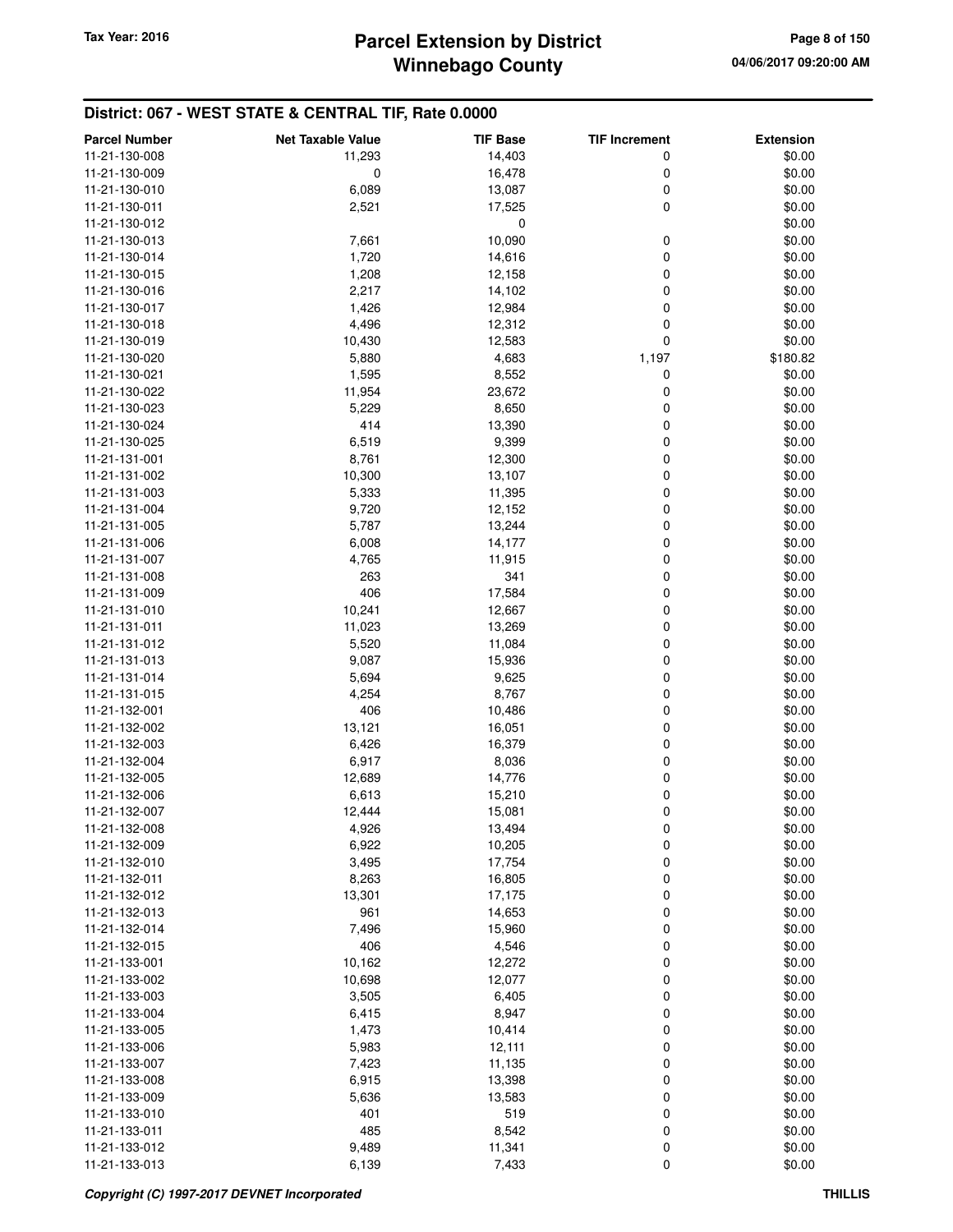| <b>Parcel Number</b>           | <b>Net Taxable Value</b> | <b>TIF Base</b>  | <b>TIF Increment</b> | <b>Extension</b> |
|--------------------------------|--------------------------|------------------|----------------------|------------------|
| 11-21-130-008                  | 11,293                   | 14,403           | 0                    | \$0.00           |
| 11-21-130-009                  | 0                        | 16,478           | 0                    | \$0.00           |
| 11-21-130-010                  | 6,089                    | 13,087           | 0                    | \$0.00           |
| 11-21-130-011                  | 2,521                    | 17,525           | 0                    | \$0.00           |
| 11-21-130-012                  |                          | 0                |                      | \$0.00           |
| 11-21-130-013                  | 7,661                    | 10,090           | 0                    | \$0.00           |
| 11-21-130-014                  | 1,720                    | 14,616           | 0                    | \$0.00           |
| 11-21-130-015                  | 1,208                    | 12,158           | 0                    | \$0.00           |
| 11-21-130-016                  | 2,217                    | 14,102           | 0                    | \$0.00           |
| 11-21-130-017                  | 1,426                    | 12,984           | 0                    | \$0.00           |
| 11-21-130-018                  | 4,496                    | 12,312           | 0                    | \$0.00           |
| 11-21-130-019                  | 10,430                   | 12,583           | 0                    | \$0.00           |
| 11-21-130-020                  | 5,880                    | 4,683            | 1,197                | \$180.82         |
| 11-21-130-021                  | 1,595                    | 8,552            | 0                    | \$0.00           |
| 11-21-130-022                  | 11,954                   | 23,672           | 0                    | \$0.00           |
| 11-21-130-023                  | 5,229                    | 8,650            | 0                    | \$0.00           |
| 11-21-130-024                  | 414                      | 13,390           | 0                    | \$0.00           |
| 11-21-130-025                  | 6,519                    | 9,399            | 0                    | \$0.00           |
| 11-21-131-001                  | 8,761                    | 12,300           | 0                    | \$0.00           |
| 11-21-131-002                  | 10,300                   | 13,107           | 0                    | \$0.00           |
| 11-21-131-003                  | 5,333                    | 11,395           | 0                    | \$0.00           |
| 11-21-131-004                  | 9,720                    | 12,152           | 0                    | \$0.00           |
| 11-21-131-005                  | 5,787                    | 13,244           | 0                    | \$0.00           |
| 11-21-131-006                  | 6,008                    | 14,177           | 0                    | \$0.00           |
| 11-21-131-007<br>11-21-131-008 | 4,765<br>263             | 11,915<br>341    | 0<br>0               | \$0.00<br>\$0.00 |
| 11-21-131-009                  | 406                      | 17,584           | 0                    | \$0.00           |
| 11-21-131-010                  | 10,241                   | 12,667           | 0                    | \$0.00           |
| 11-21-131-011                  | 11,023                   | 13,269           | 0                    | \$0.00           |
| 11-21-131-012                  | 5,520                    | 11,084           | 0                    | \$0.00           |
| 11-21-131-013                  | 9,087                    | 15,936           | 0                    | \$0.00           |
| 11-21-131-014                  | 5,694                    | 9,625            | 0                    | \$0.00           |
| 11-21-131-015                  | 4,254                    | 8,767            | 0                    | \$0.00           |
| 11-21-132-001                  | 406                      | 10,486           | 0                    | \$0.00           |
| 11-21-132-002                  | 13,121                   | 16,051           | 0                    | \$0.00           |
| 11-21-132-003                  | 6,426                    | 16,379           | 0                    | \$0.00           |
| 11-21-132-004                  | 6,917                    | 8,036            | 0                    | \$0.00           |
| 11-21-132-005                  | 12,689                   | 14,776           | 0                    | \$0.00           |
| 11-21-132-006                  | 6,613                    | 15,210           | 0                    | \$0.00           |
| 11-21-132-007                  | 12,444                   | 15,081           | 0                    | \$0.00           |
| 11-21-132-008                  | 4,926                    | 13,494           | 0                    | \$0.00           |
| 11-21-132-009                  | 6,922                    | 10,205           | 0                    | \$0.00           |
| 11-21-132-010                  | 3,495                    | 17,754           | 0                    | \$0.00           |
| 11-21-132-011                  | 8,263                    | 16,805           | 0                    | \$0.00           |
| 11-21-132-012<br>11-21-132-013 | 13,301<br>961            | 17,175<br>14,653 | 0<br>0               | \$0.00<br>\$0.00 |
| 11-21-132-014                  | 7,496                    | 15,960           | 0                    | \$0.00           |
| 11-21-132-015                  | 406                      | 4,546            | 0                    | \$0.00           |
| 11-21-133-001                  | 10,162                   | 12,272           | 0                    | \$0.00           |
| 11-21-133-002                  | 10,698                   | 12,077           | 0                    | \$0.00           |
| 11-21-133-003                  | 3,505                    | 6,405            | 0                    | \$0.00           |
| 11-21-133-004                  | 6,415                    | 8,947            | 0                    | \$0.00           |
| 11-21-133-005                  | 1,473                    | 10,414           | 0                    | \$0.00           |
| 11-21-133-006                  | 5,983                    | 12,111           | 0                    | \$0.00           |
| 11-21-133-007                  | 7,423                    | 11,135           | 0                    | \$0.00           |
| 11-21-133-008                  | 6,915                    | 13,398           | 0                    | \$0.00           |
| 11-21-133-009                  | 5,636                    | 13,583           | 0                    | \$0.00           |
| 11-21-133-010                  | 401                      | 519              | 0                    | \$0.00           |
| 11-21-133-011                  | 485                      | 8,542            | 0                    | \$0.00           |
| 11-21-133-012                  | 9,489                    | 11,341           | 0                    | \$0.00           |
| 11-21-133-013                  | 6,139                    | 7,433            | 0                    | \$0.00           |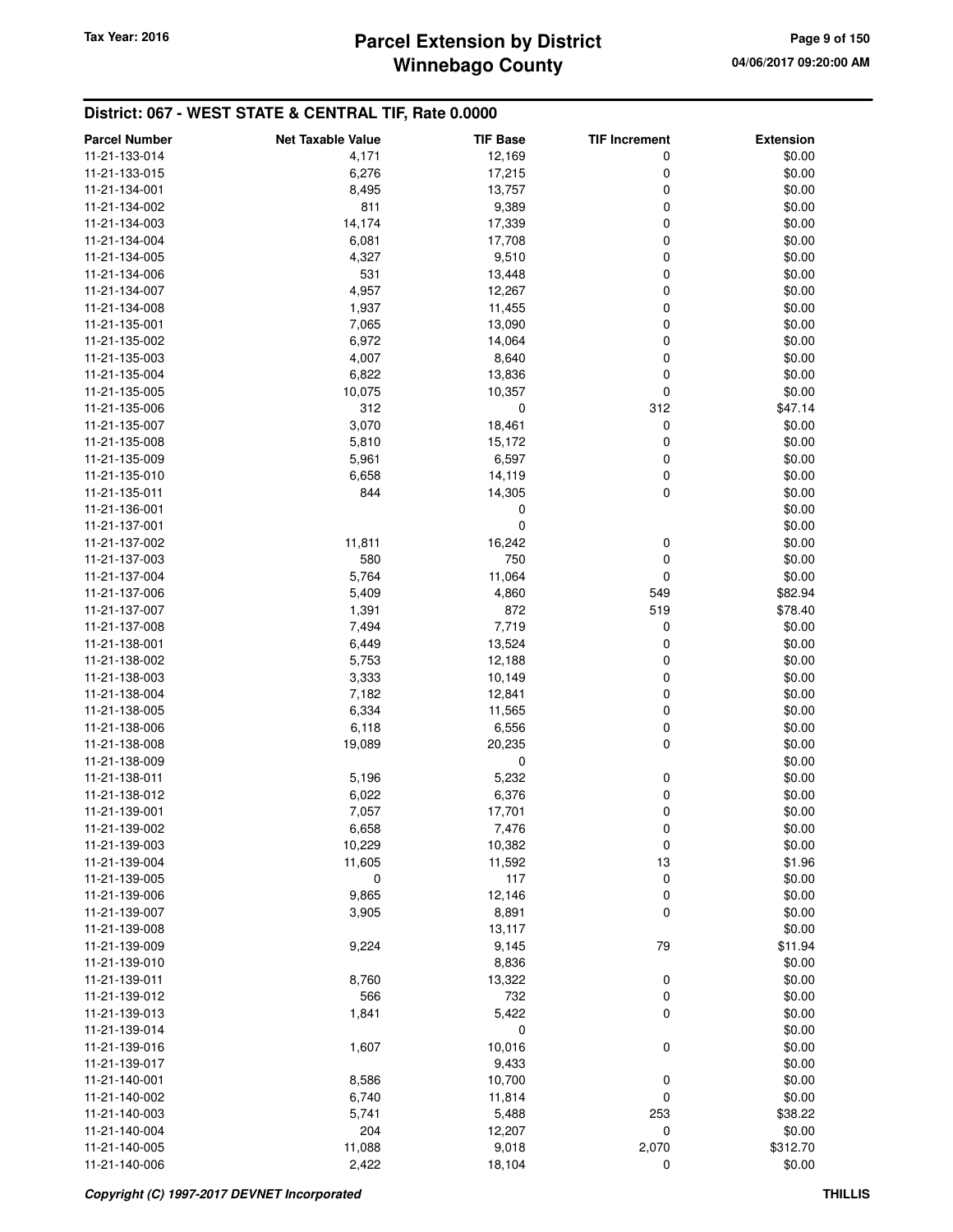# **Winnebago County Parcel Extension by District Tax Year: 2016 Page 9 of 150**

| <b>Parcel Number</b> | <b>Net Taxable Value</b> | <b>TIF Base</b> | <b>TIF Increment</b> | <b>Extension</b> |
|----------------------|--------------------------|-----------------|----------------------|------------------|
| 11-21-133-014        | 4,171                    | 12,169          | 0                    | \$0.00           |
| 11-21-133-015        | 6,276                    | 17,215          | 0                    | \$0.00           |
| 11-21-134-001        | 8,495                    | 13,757          | 0                    | \$0.00           |
| 11-21-134-002        | 811                      | 9,389           | 0                    | \$0.00           |
| 11-21-134-003        | 14,174                   | 17,339          | 0                    | \$0.00           |
| 11-21-134-004        | 6,081                    | 17,708          | 0                    | \$0.00           |
| 11-21-134-005        | 4,327                    | 9,510           | 0                    | \$0.00           |
| 11-21-134-006        | 531                      | 13,448          | 0                    | \$0.00           |
| 11-21-134-007        | 4,957                    | 12,267          | 0                    | \$0.00           |
| 11-21-134-008        | 1,937                    | 11,455          | 0                    | \$0.00           |
| 11-21-135-001        | 7,065                    | 13,090          | 0                    | \$0.00           |
| 11-21-135-002        | 6,972                    | 14,064          | 0                    | \$0.00           |
| 11-21-135-003        | 4,007                    | 8,640           | 0                    | \$0.00           |
| 11-21-135-004        | 6,822                    | 13,836          | 0                    | \$0.00           |
| 11-21-135-005        | 10,075                   | 10,357          | 0                    | \$0.00           |
| 11-21-135-006        | 312                      | 0               | 312                  | \$47.14          |
| 11-21-135-007        | 3,070                    | 18,461          | 0                    | \$0.00           |
| 11-21-135-008        | 5,810                    | 15,172          | 0                    | \$0.00           |
| 11-21-135-009        | 5,961                    | 6,597           | 0                    | \$0.00           |
| 11-21-135-010        | 6,658                    | 14,119          | 0                    | \$0.00           |
| 11-21-135-011        | 844                      | 14,305          | 0                    | \$0.00           |
| 11-21-136-001        |                          | 0               |                      | \$0.00           |
| 11-21-137-001        |                          | 0               |                      | \$0.00           |
| 11-21-137-002        | 11,811                   | 16,242          | 0                    | \$0.00           |
| 11-21-137-003        | 580                      | 750             | 0                    | \$0.00           |
| 11-21-137-004        | 5,764                    | 11,064          | 0                    | \$0.00           |
| 11-21-137-006        | 5,409                    | 4,860           | 549                  | \$82.94          |
| 11-21-137-007        | 1,391                    | 872             | 519                  | \$78.40          |
| 11-21-137-008        | 7,494                    | 7,719           | 0                    | \$0.00           |
| 11-21-138-001        | 6,449                    | 13,524          | 0                    | \$0.00           |
| 11-21-138-002        | 5,753                    | 12,188          | 0                    | \$0.00           |
| 11-21-138-003        | 3,333                    | 10,149          | 0                    | \$0.00           |
| 11-21-138-004        | 7,182                    | 12,841          | 0                    | \$0.00           |
| 11-21-138-005        | 6,334                    | 11,565          | 0                    | \$0.00           |
| 11-21-138-006        | 6,118                    | 6,556           | 0                    | \$0.00           |
| 11-21-138-008        | 19,089                   | 20,235          | 0                    | \$0.00           |
| 11-21-138-009        |                          | 0               |                      | \$0.00           |
| 11-21-138-011        | 5,196                    | 5,232           | 0                    | \$0.00           |
| 11-21-138-012        | 6,022                    | 6,376           | 0                    | \$0.00           |
| 11-21-139-001        | 7,057                    | 17,701          | 0                    | \$0.00           |
| 11-21-139-002        | 6,658                    | 7,476           | 0                    | \$0.00           |
| 11-21-139-003        | 10,229                   | 10,382          | 0                    | \$0.00           |
| 11-21-139-004        | 11,605                   | 11,592          | 13                   | \$1.96           |
| 11-21-139-005        | 0                        | 117             | 0                    | \$0.00           |
| 11-21-139-006        | 9,865                    | 12,146          | 0                    | \$0.00           |
| 11-21-139-007        | 3,905                    | 8,891           | 0                    | \$0.00           |
| 11-21-139-008        |                          | 13,117          |                      | \$0.00           |
| 11-21-139-009        | 9,224                    | 9,145           | 79                   | \$11.94          |
| 11-21-139-010        |                          | 8,836           |                      | \$0.00           |
| 11-21-139-011        | 8,760                    | 13,322          | 0                    | \$0.00           |
| 11-21-139-012        | 566                      | 732             | 0                    | \$0.00           |
| 11-21-139-013        | 1,841                    | 5,422           | 0                    | \$0.00           |
| 11-21-139-014        |                          | 0               |                      | \$0.00           |
| 11-21-139-016        | 1,607                    | 10,016          | 0                    | \$0.00           |
| 11-21-139-017        |                          | 9,433           |                      | \$0.00           |
| 11-21-140-001        | 8,586                    | 10,700          | 0                    | \$0.00           |
| 11-21-140-002        | 6,740                    | 11,814          | 0                    | \$0.00           |
| 11-21-140-003        | 5,741                    | 5,488           | 253                  | \$38.22          |
| 11-21-140-004        | 204                      | 12,207          | 0                    | \$0.00           |
| 11-21-140-005        | 11,088                   | 9,018           | 2,070                | \$312.70         |
| 11-21-140-006        | 2,422                    | 18,104          | $\mathbf 0$          | \$0.00           |
|                      |                          |                 |                      |                  |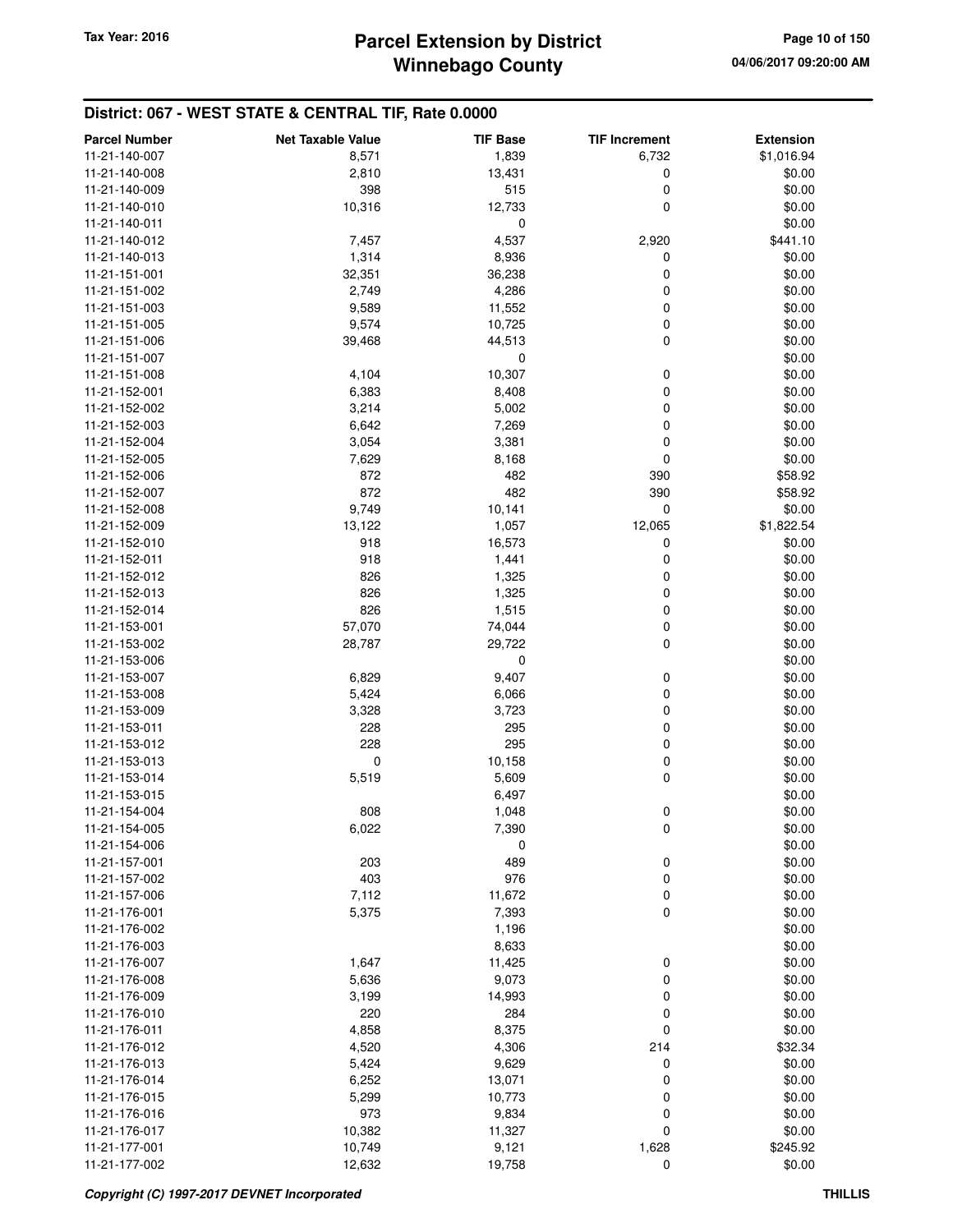| 11-21-140-007<br>8,571<br>1,839<br>6,732<br>\$1,016.94<br>0<br>11-21-140-008<br>2,810<br>13,431<br>\$0.00<br>398<br>0<br>515<br>\$0.00<br>11-21-140-009<br>10,316<br>0<br>\$0.00<br>12,733<br>11-21-140-010<br>0<br>\$0.00<br>11-21-140-011<br>7,457<br>4,537<br>2,920<br>\$441.10<br>11-21-140-012<br>1,314<br>8,936<br>0<br>\$0.00<br>11-21-140-013<br>0<br>32,351<br>36,238<br>\$0.00<br>11-21-151-001<br>0<br>\$0.00<br>2,749<br>4,286<br>11-21-151-002<br>\$0.00<br>11,552<br>0<br>11-21-151-003<br>9,589<br>0<br>\$0.00<br>10,725<br>11-21-151-005<br>9,574<br>0<br>\$0.00<br>11-21-151-006<br>39,468<br>44,513<br>0<br>\$0.00<br>11-21-151-007<br>10,307<br>\$0.00<br>0<br>11-21-151-008<br>4,104<br>\$0.00<br>6,383<br>8,408<br>0<br>11-21-152-001<br>\$0.00<br>3,214<br>0<br>11-21-152-002<br>5,002<br>0<br>\$0.00<br>11-21-152-003<br>6,642<br>7,269<br>0<br>3,054<br>3,381<br>\$0.00<br>11-21-152-004<br>0<br>\$0.00<br>8,168<br>11-21-152-005<br>7,629<br>872<br>482<br>390<br>\$58.92<br>11-21-152-006<br>872<br>482<br>390<br>\$58.92<br>11-21-152-007<br>$\mathbf 0$<br>\$0.00<br>11-21-152-008<br>9,749<br>10,141<br>1,057<br>11-21-152-009<br>13,122<br>12,065<br>\$1,822.54<br>\$0.00<br>918<br>16,573<br>0<br>11-21-152-010<br>918<br>0<br>\$0.00<br>11-21-152-011<br>1,441<br>826<br>0<br>\$0.00<br>11-21-152-012<br>1,325<br>0<br>\$0.00<br>11-21-152-013<br>826<br>1,325<br>826<br>0<br>1,515<br>\$0.00<br>11-21-152-014<br>0<br>\$0.00<br>57,070<br>74,044<br>11-21-153-001<br>0<br>\$0.00<br>28,787<br>29,722<br>11-21-153-002<br>\$0.00<br>11-21-153-006<br>0<br>\$0.00<br>11-21-153-007<br>6,829<br>9,407<br>0<br>0<br>11-21-153-008<br>5,424<br>6,066<br>\$0.00<br>0<br>\$0.00<br>3,723<br>11-21-153-009<br>3,328<br>\$0.00<br>228<br>295<br>0<br>11-21-153-011<br>228<br>295<br>0<br>\$0.00<br>11-21-153-012<br>0<br>0<br>11-21-153-013<br>10,158<br>\$0.00<br>0<br>5,519<br>5,609<br>\$0.00<br>11-21-153-014<br>\$0.00<br>6,497<br>11-21-153-015<br>808<br>0<br>\$0.00<br>11-21-154-004<br>1,048<br>11-21-154-005<br>6,022<br>7,390<br>0<br>\$0.00<br>\$0.00<br>11-21-154-006<br>0<br>11-21-157-001<br>203<br>489<br>0<br>\$0.00<br>403<br>976<br>0<br>\$0.00<br>11-21-157-002<br>\$0.00<br>7,112<br>11,672<br>0<br>11-21-157-006<br>0<br>\$0.00<br>11-21-176-001<br>5,375<br>7,393<br>\$0.00<br>11-21-176-002<br>1,196<br>8,633<br>11-21-176-003<br>\$0.00<br>\$0.00<br>11-21-176-007<br>1,647<br>11,425<br>0<br>\$0.00<br>5,636<br>9,073<br>0<br>11-21-176-008<br>\$0.00<br>11-21-176-009<br>14,993<br>0<br>3,199<br>\$0.00<br>11-21-176-010<br>220<br>284<br>0<br>4,858<br>8,375<br>0<br>\$0.00<br>11-21-176-011<br>4,520<br>4,306<br>214<br>\$32.34<br>11-21-176-012<br>\$0.00<br>5,424<br>9,629<br>0<br>11-21-176-013<br>\$0.00<br>11-21-176-014<br>13,071<br>0<br>6,252<br>\$0.00<br>11-21-176-015<br>5,299<br>10,773<br>0<br>973<br>11-21-176-016<br>9,834<br>0<br>\$0.00<br>10,382<br>0<br>\$0.00<br>11,327<br>11-21-176-017<br>1,628<br>\$245.92<br>11-21-177-001<br>10,749<br>9,121<br>11-21-177-002<br>12,632<br>19,758<br>0<br>\$0.00 | <b>Parcel Number</b> | <b>Net Taxable Value</b> | <b>TIF Base</b> | <b>TIF Increment</b> | <b>Extension</b> |
|--------------------------------------------------------------------------------------------------------------------------------------------------------------------------------------------------------------------------------------------------------------------------------------------------------------------------------------------------------------------------------------------------------------------------------------------------------------------------------------------------------------------------------------------------------------------------------------------------------------------------------------------------------------------------------------------------------------------------------------------------------------------------------------------------------------------------------------------------------------------------------------------------------------------------------------------------------------------------------------------------------------------------------------------------------------------------------------------------------------------------------------------------------------------------------------------------------------------------------------------------------------------------------------------------------------------------------------------------------------------------------------------------------------------------------------------------------------------------------------------------------------------------------------------------------------------------------------------------------------------------------------------------------------------------------------------------------------------------------------------------------------------------------------------------------------------------------------------------------------------------------------------------------------------------------------------------------------------------------------------------------------------------------------------------------------------------------------------------------------------------------------------------------------------------------------------------------------------------------------------------------------------------------------------------------------------------------------------------------------------------------------------------------------------------------------------------------------------------------------------------------------------------------------------------------------------------------------------------------------------------------------------------------------------------------------------------------------------------------------------------------------------------------------------------------------------------------------------------------------------------------------------------------------------------------------------------------------------------------------------------------------------------------------------------------------------------------|----------------------|--------------------------|-----------------|----------------------|------------------|
|                                                                                                                                                                                                                                                                                                                                                                                                                                                                                                                                                                                                                                                                                                                                                                                                                                                                                                                                                                                                                                                                                                                                                                                                                                                                                                                                                                                                                                                                                                                                                                                                                                                                                                                                                                                                                                                                                                                                                                                                                                                                                                                                                                                                                                                                                                                                                                                                                                                                                                                                                                                                                                                                                                                                                                                                                                                                                                                                                                                                                                                                                |                      |                          |                 |                      |                  |
|                                                                                                                                                                                                                                                                                                                                                                                                                                                                                                                                                                                                                                                                                                                                                                                                                                                                                                                                                                                                                                                                                                                                                                                                                                                                                                                                                                                                                                                                                                                                                                                                                                                                                                                                                                                                                                                                                                                                                                                                                                                                                                                                                                                                                                                                                                                                                                                                                                                                                                                                                                                                                                                                                                                                                                                                                                                                                                                                                                                                                                                                                |                      |                          |                 |                      |                  |
|                                                                                                                                                                                                                                                                                                                                                                                                                                                                                                                                                                                                                                                                                                                                                                                                                                                                                                                                                                                                                                                                                                                                                                                                                                                                                                                                                                                                                                                                                                                                                                                                                                                                                                                                                                                                                                                                                                                                                                                                                                                                                                                                                                                                                                                                                                                                                                                                                                                                                                                                                                                                                                                                                                                                                                                                                                                                                                                                                                                                                                                                                |                      |                          |                 |                      |                  |
|                                                                                                                                                                                                                                                                                                                                                                                                                                                                                                                                                                                                                                                                                                                                                                                                                                                                                                                                                                                                                                                                                                                                                                                                                                                                                                                                                                                                                                                                                                                                                                                                                                                                                                                                                                                                                                                                                                                                                                                                                                                                                                                                                                                                                                                                                                                                                                                                                                                                                                                                                                                                                                                                                                                                                                                                                                                                                                                                                                                                                                                                                |                      |                          |                 |                      |                  |
|                                                                                                                                                                                                                                                                                                                                                                                                                                                                                                                                                                                                                                                                                                                                                                                                                                                                                                                                                                                                                                                                                                                                                                                                                                                                                                                                                                                                                                                                                                                                                                                                                                                                                                                                                                                                                                                                                                                                                                                                                                                                                                                                                                                                                                                                                                                                                                                                                                                                                                                                                                                                                                                                                                                                                                                                                                                                                                                                                                                                                                                                                |                      |                          |                 |                      |                  |
|                                                                                                                                                                                                                                                                                                                                                                                                                                                                                                                                                                                                                                                                                                                                                                                                                                                                                                                                                                                                                                                                                                                                                                                                                                                                                                                                                                                                                                                                                                                                                                                                                                                                                                                                                                                                                                                                                                                                                                                                                                                                                                                                                                                                                                                                                                                                                                                                                                                                                                                                                                                                                                                                                                                                                                                                                                                                                                                                                                                                                                                                                |                      |                          |                 |                      |                  |
|                                                                                                                                                                                                                                                                                                                                                                                                                                                                                                                                                                                                                                                                                                                                                                                                                                                                                                                                                                                                                                                                                                                                                                                                                                                                                                                                                                                                                                                                                                                                                                                                                                                                                                                                                                                                                                                                                                                                                                                                                                                                                                                                                                                                                                                                                                                                                                                                                                                                                                                                                                                                                                                                                                                                                                                                                                                                                                                                                                                                                                                                                |                      |                          |                 |                      |                  |
|                                                                                                                                                                                                                                                                                                                                                                                                                                                                                                                                                                                                                                                                                                                                                                                                                                                                                                                                                                                                                                                                                                                                                                                                                                                                                                                                                                                                                                                                                                                                                                                                                                                                                                                                                                                                                                                                                                                                                                                                                                                                                                                                                                                                                                                                                                                                                                                                                                                                                                                                                                                                                                                                                                                                                                                                                                                                                                                                                                                                                                                                                |                      |                          |                 |                      |                  |
|                                                                                                                                                                                                                                                                                                                                                                                                                                                                                                                                                                                                                                                                                                                                                                                                                                                                                                                                                                                                                                                                                                                                                                                                                                                                                                                                                                                                                                                                                                                                                                                                                                                                                                                                                                                                                                                                                                                                                                                                                                                                                                                                                                                                                                                                                                                                                                                                                                                                                                                                                                                                                                                                                                                                                                                                                                                                                                                                                                                                                                                                                |                      |                          |                 |                      |                  |
|                                                                                                                                                                                                                                                                                                                                                                                                                                                                                                                                                                                                                                                                                                                                                                                                                                                                                                                                                                                                                                                                                                                                                                                                                                                                                                                                                                                                                                                                                                                                                                                                                                                                                                                                                                                                                                                                                                                                                                                                                                                                                                                                                                                                                                                                                                                                                                                                                                                                                                                                                                                                                                                                                                                                                                                                                                                                                                                                                                                                                                                                                |                      |                          |                 |                      |                  |
|                                                                                                                                                                                                                                                                                                                                                                                                                                                                                                                                                                                                                                                                                                                                                                                                                                                                                                                                                                                                                                                                                                                                                                                                                                                                                                                                                                                                                                                                                                                                                                                                                                                                                                                                                                                                                                                                                                                                                                                                                                                                                                                                                                                                                                                                                                                                                                                                                                                                                                                                                                                                                                                                                                                                                                                                                                                                                                                                                                                                                                                                                |                      |                          |                 |                      |                  |
|                                                                                                                                                                                                                                                                                                                                                                                                                                                                                                                                                                                                                                                                                                                                                                                                                                                                                                                                                                                                                                                                                                                                                                                                                                                                                                                                                                                                                                                                                                                                                                                                                                                                                                                                                                                                                                                                                                                                                                                                                                                                                                                                                                                                                                                                                                                                                                                                                                                                                                                                                                                                                                                                                                                                                                                                                                                                                                                                                                                                                                                                                |                      |                          |                 |                      |                  |
|                                                                                                                                                                                                                                                                                                                                                                                                                                                                                                                                                                                                                                                                                                                                                                                                                                                                                                                                                                                                                                                                                                                                                                                                                                                                                                                                                                                                                                                                                                                                                                                                                                                                                                                                                                                                                                                                                                                                                                                                                                                                                                                                                                                                                                                                                                                                                                                                                                                                                                                                                                                                                                                                                                                                                                                                                                                                                                                                                                                                                                                                                |                      |                          |                 |                      |                  |
|                                                                                                                                                                                                                                                                                                                                                                                                                                                                                                                                                                                                                                                                                                                                                                                                                                                                                                                                                                                                                                                                                                                                                                                                                                                                                                                                                                                                                                                                                                                                                                                                                                                                                                                                                                                                                                                                                                                                                                                                                                                                                                                                                                                                                                                                                                                                                                                                                                                                                                                                                                                                                                                                                                                                                                                                                                                                                                                                                                                                                                                                                |                      |                          |                 |                      |                  |
|                                                                                                                                                                                                                                                                                                                                                                                                                                                                                                                                                                                                                                                                                                                                                                                                                                                                                                                                                                                                                                                                                                                                                                                                                                                                                                                                                                                                                                                                                                                                                                                                                                                                                                                                                                                                                                                                                                                                                                                                                                                                                                                                                                                                                                                                                                                                                                                                                                                                                                                                                                                                                                                                                                                                                                                                                                                                                                                                                                                                                                                                                |                      |                          |                 |                      |                  |
|                                                                                                                                                                                                                                                                                                                                                                                                                                                                                                                                                                                                                                                                                                                                                                                                                                                                                                                                                                                                                                                                                                                                                                                                                                                                                                                                                                                                                                                                                                                                                                                                                                                                                                                                                                                                                                                                                                                                                                                                                                                                                                                                                                                                                                                                                                                                                                                                                                                                                                                                                                                                                                                                                                                                                                                                                                                                                                                                                                                                                                                                                |                      |                          |                 |                      |                  |
|                                                                                                                                                                                                                                                                                                                                                                                                                                                                                                                                                                                                                                                                                                                                                                                                                                                                                                                                                                                                                                                                                                                                                                                                                                                                                                                                                                                                                                                                                                                                                                                                                                                                                                                                                                                                                                                                                                                                                                                                                                                                                                                                                                                                                                                                                                                                                                                                                                                                                                                                                                                                                                                                                                                                                                                                                                                                                                                                                                                                                                                                                |                      |                          |                 |                      |                  |
|                                                                                                                                                                                                                                                                                                                                                                                                                                                                                                                                                                                                                                                                                                                                                                                                                                                                                                                                                                                                                                                                                                                                                                                                                                                                                                                                                                                                                                                                                                                                                                                                                                                                                                                                                                                                                                                                                                                                                                                                                                                                                                                                                                                                                                                                                                                                                                                                                                                                                                                                                                                                                                                                                                                                                                                                                                                                                                                                                                                                                                                                                |                      |                          |                 |                      |                  |
|                                                                                                                                                                                                                                                                                                                                                                                                                                                                                                                                                                                                                                                                                                                                                                                                                                                                                                                                                                                                                                                                                                                                                                                                                                                                                                                                                                                                                                                                                                                                                                                                                                                                                                                                                                                                                                                                                                                                                                                                                                                                                                                                                                                                                                                                                                                                                                                                                                                                                                                                                                                                                                                                                                                                                                                                                                                                                                                                                                                                                                                                                |                      |                          |                 |                      |                  |
|                                                                                                                                                                                                                                                                                                                                                                                                                                                                                                                                                                                                                                                                                                                                                                                                                                                                                                                                                                                                                                                                                                                                                                                                                                                                                                                                                                                                                                                                                                                                                                                                                                                                                                                                                                                                                                                                                                                                                                                                                                                                                                                                                                                                                                                                                                                                                                                                                                                                                                                                                                                                                                                                                                                                                                                                                                                                                                                                                                                                                                                                                |                      |                          |                 |                      |                  |
|                                                                                                                                                                                                                                                                                                                                                                                                                                                                                                                                                                                                                                                                                                                                                                                                                                                                                                                                                                                                                                                                                                                                                                                                                                                                                                                                                                                                                                                                                                                                                                                                                                                                                                                                                                                                                                                                                                                                                                                                                                                                                                                                                                                                                                                                                                                                                                                                                                                                                                                                                                                                                                                                                                                                                                                                                                                                                                                                                                                                                                                                                |                      |                          |                 |                      |                  |
|                                                                                                                                                                                                                                                                                                                                                                                                                                                                                                                                                                                                                                                                                                                                                                                                                                                                                                                                                                                                                                                                                                                                                                                                                                                                                                                                                                                                                                                                                                                                                                                                                                                                                                                                                                                                                                                                                                                                                                                                                                                                                                                                                                                                                                                                                                                                                                                                                                                                                                                                                                                                                                                                                                                                                                                                                                                                                                                                                                                                                                                                                |                      |                          |                 |                      |                  |
|                                                                                                                                                                                                                                                                                                                                                                                                                                                                                                                                                                                                                                                                                                                                                                                                                                                                                                                                                                                                                                                                                                                                                                                                                                                                                                                                                                                                                                                                                                                                                                                                                                                                                                                                                                                                                                                                                                                                                                                                                                                                                                                                                                                                                                                                                                                                                                                                                                                                                                                                                                                                                                                                                                                                                                                                                                                                                                                                                                                                                                                                                |                      |                          |                 |                      |                  |
|                                                                                                                                                                                                                                                                                                                                                                                                                                                                                                                                                                                                                                                                                                                                                                                                                                                                                                                                                                                                                                                                                                                                                                                                                                                                                                                                                                                                                                                                                                                                                                                                                                                                                                                                                                                                                                                                                                                                                                                                                                                                                                                                                                                                                                                                                                                                                                                                                                                                                                                                                                                                                                                                                                                                                                                                                                                                                                                                                                                                                                                                                |                      |                          |                 |                      |                  |
|                                                                                                                                                                                                                                                                                                                                                                                                                                                                                                                                                                                                                                                                                                                                                                                                                                                                                                                                                                                                                                                                                                                                                                                                                                                                                                                                                                                                                                                                                                                                                                                                                                                                                                                                                                                                                                                                                                                                                                                                                                                                                                                                                                                                                                                                                                                                                                                                                                                                                                                                                                                                                                                                                                                                                                                                                                                                                                                                                                                                                                                                                |                      |                          |                 |                      |                  |
|                                                                                                                                                                                                                                                                                                                                                                                                                                                                                                                                                                                                                                                                                                                                                                                                                                                                                                                                                                                                                                                                                                                                                                                                                                                                                                                                                                                                                                                                                                                                                                                                                                                                                                                                                                                                                                                                                                                                                                                                                                                                                                                                                                                                                                                                                                                                                                                                                                                                                                                                                                                                                                                                                                                                                                                                                                                                                                                                                                                                                                                                                |                      |                          |                 |                      |                  |
|                                                                                                                                                                                                                                                                                                                                                                                                                                                                                                                                                                                                                                                                                                                                                                                                                                                                                                                                                                                                                                                                                                                                                                                                                                                                                                                                                                                                                                                                                                                                                                                                                                                                                                                                                                                                                                                                                                                                                                                                                                                                                                                                                                                                                                                                                                                                                                                                                                                                                                                                                                                                                                                                                                                                                                                                                                                                                                                                                                                                                                                                                |                      |                          |                 |                      |                  |
|                                                                                                                                                                                                                                                                                                                                                                                                                                                                                                                                                                                                                                                                                                                                                                                                                                                                                                                                                                                                                                                                                                                                                                                                                                                                                                                                                                                                                                                                                                                                                                                                                                                                                                                                                                                                                                                                                                                                                                                                                                                                                                                                                                                                                                                                                                                                                                                                                                                                                                                                                                                                                                                                                                                                                                                                                                                                                                                                                                                                                                                                                |                      |                          |                 |                      |                  |
|                                                                                                                                                                                                                                                                                                                                                                                                                                                                                                                                                                                                                                                                                                                                                                                                                                                                                                                                                                                                                                                                                                                                                                                                                                                                                                                                                                                                                                                                                                                                                                                                                                                                                                                                                                                                                                                                                                                                                                                                                                                                                                                                                                                                                                                                                                                                                                                                                                                                                                                                                                                                                                                                                                                                                                                                                                                                                                                                                                                                                                                                                |                      |                          |                 |                      |                  |
|                                                                                                                                                                                                                                                                                                                                                                                                                                                                                                                                                                                                                                                                                                                                                                                                                                                                                                                                                                                                                                                                                                                                                                                                                                                                                                                                                                                                                                                                                                                                                                                                                                                                                                                                                                                                                                                                                                                                                                                                                                                                                                                                                                                                                                                                                                                                                                                                                                                                                                                                                                                                                                                                                                                                                                                                                                                                                                                                                                                                                                                                                |                      |                          |                 |                      |                  |
|                                                                                                                                                                                                                                                                                                                                                                                                                                                                                                                                                                                                                                                                                                                                                                                                                                                                                                                                                                                                                                                                                                                                                                                                                                                                                                                                                                                                                                                                                                                                                                                                                                                                                                                                                                                                                                                                                                                                                                                                                                                                                                                                                                                                                                                                                                                                                                                                                                                                                                                                                                                                                                                                                                                                                                                                                                                                                                                                                                                                                                                                                |                      |                          |                 |                      |                  |
|                                                                                                                                                                                                                                                                                                                                                                                                                                                                                                                                                                                                                                                                                                                                                                                                                                                                                                                                                                                                                                                                                                                                                                                                                                                                                                                                                                                                                                                                                                                                                                                                                                                                                                                                                                                                                                                                                                                                                                                                                                                                                                                                                                                                                                                                                                                                                                                                                                                                                                                                                                                                                                                                                                                                                                                                                                                                                                                                                                                                                                                                                |                      |                          |                 |                      |                  |
|                                                                                                                                                                                                                                                                                                                                                                                                                                                                                                                                                                                                                                                                                                                                                                                                                                                                                                                                                                                                                                                                                                                                                                                                                                                                                                                                                                                                                                                                                                                                                                                                                                                                                                                                                                                                                                                                                                                                                                                                                                                                                                                                                                                                                                                                                                                                                                                                                                                                                                                                                                                                                                                                                                                                                                                                                                                                                                                                                                                                                                                                                |                      |                          |                 |                      |                  |
|                                                                                                                                                                                                                                                                                                                                                                                                                                                                                                                                                                                                                                                                                                                                                                                                                                                                                                                                                                                                                                                                                                                                                                                                                                                                                                                                                                                                                                                                                                                                                                                                                                                                                                                                                                                                                                                                                                                                                                                                                                                                                                                                                                                                                                                                                                                                                                                                                                                                                                                                                                                                                                                                                                                                                                                                                                                                                                                                                                                                                                                                                |                      |                          |                 |                      |                  |
|                                                                                                                                                                                                                                                                                                                                                                                                                                                                                                                                                                                                                                                                                                                                                                                                                                                                                                                                                                                                                                                                                                                                                                                                                                                                                                                                                                                                                                                                                                                                                                                                                                                                                                                                                                                                                                                                                                                                                                                                                                                                                                                                                                                                                                                                                                                                                                                                                                                                                                                                                                                                                                                                                                                                                                                                                                                                                                                                                                                                                                                                                |                      |                          |                 |                      |                  |
|                                                                                                                                                                                                                                                                                                                                                                                                                                                                                                                                                                                                                                                                                                                                                                                                                                                                                                                                                                                                                                                                                                                                                                                                                                                                                                                                                                                                                                                                                                                                                                                                                                                                                                                                                                                                                                                                                                                                                                                                                                                                                                                                                                                                                                                                                                                                                                                                                                                                                                                                                                                                                                                                                                                                                                                                                                                                                                                                                                                                                                                                                |                      |                          |                 |                      |                  |
|                                                                                                                                                                                                                                                                                                                                                                                                                                                                                                                                                                                                                                                                                                                                                                                                                                                                                                                                                                                                                                                                                                                                                                                                                                                                                                                                                                                                                                                                                                                                                                                                                                                                                                                                                                                                                                                                                                                                                                                                                                                                                                                                                                                                                                                                                                                                                                                                                                                                                                                                                                                                                                                                                                                                                                                                                                                                                                                                                                                                                                                                                |                      |                          |                 |                      |                  |
|                                                                                                                                                                                                                                                                                                                                                                                                                                                                                                                                                                                                                                                                                                                                                                                                                                                                                                                                                                                                                                                                                                                                                                                                                                                                                                                                                                                                                                                                                                                                                                                                                                                                                                                                                                                                                                                                                                                                                                                                                                                                                                                                                                                                                                                                                                                                                                                                                                                                                                                                                                                                                                                                                                                                                                                                                                                                                                                                                                                                                                                                                |                      |                          |                 |                      |                  |
|                                                                                                                                                                                                                                                                                                                                                                                                                                                                                                                                                                                                                                                                                                                                                                                                                                                                                                                                                                                                                                                                                                                                                                                                                                                                                                                                                                                                                                                                                                                                                                                                                                                                                                                                                                                                                                                                                                                                                                                                                                                                                                                                                                                                                                                                                                                                                                                                                                                                                                                                                                                                                                                                                                                                                                                                                                                                                                                                                                                                                                                                                |                      |                          |                 |                      |                  |
|                                                                                                                                                                                                                                                                                                                                                                                                                                                                                                                                                                                                                                                                                                                                                                                                                                                                                                                                                                                                                                                                                                                                                                                                                                                                                                                                                                                                                                                                                                                                                                                                                                                                                                                                                                                                                                                                                                                                                                                                                                                                                                                                                                                                                                                                                                                                                                                                                                                                                                                                                                                                                                                                                                                                                                                                                                                                                                                                                                                                                                                                                |                      |                          |                 |                      |                  |
|                                                                                                                                                                                                                                                                                                                                                                                                                                                                                                                                                                                                                                                                                                                                                                                                                                                                                                                                                                                                                                                                                                                                                                                                                                                                                                                                                                                                                                                                                                                                                                                                                                                                                                                                                                                                                                                                                                                                                                                                                                                                                                                                                                                                                                                                                                                                                                                                                                                                                                                                                                                                                                                                                                                                                                                                                                                                                                                                                                                                                                                                                |                      |                          |                 |                      |                  |
|                                                                                                                                                                                                                                                                                                                                                                                                                                                                                                                                                                                                                                                                                                                                                                                                                                                                                                                                                                                                                                                                                                                                                                                                                                                                                                                                                                                                                                                                                                                                                                                                                                                                                                                                                                                                                                                                                                                                                                                                                                                                                                                                                                                                                                                                                                                                                                                                                                                                                                                                                                                                                                                                                                                                                                                                                                                                                                                                                                                                                                                                                |                      |                          |                 |                      |                  |
|                                                                                                                                                                                                                                                                                                                                                                                                                                                                                                                                                                                                                                                                                                                                                                                                                                                                                                                                                                                                                                                                                                                                                                                                                                                                                                                                                                                                                                                                                                                                                                                                                                                                                                                                                                                                                                                                                                                                                                                                                                                                                                                                                                                                                                                                                                                                                                                                                                                                                                                                                                                                                                                                                                                                                                                                                                                                                                                                                                                                                                                                                |                      |                          |                 |                      |                  |
|                                                                                                                                                                                                                                                                                                                                                                                                                                                                                                                                                                                                                                                                                                                                                                                                                                                                                                                                                                                                                                                                                                                                                                                                                                                                                                                                                                                                                                                                                                                                                                                                                                                                                                                                                                                                                                                                                                                                                                                                                                                                                                                                                                                                                                                                                                                                                                                                                                                                                                                                                                                                                                                                                                                                                                                                                                                                                                                                                                                                                                                                                |                      |                          |                 |                      |                  |
|                                                                                                                                                                                                                                                                                                                                                                                                                                                                                                                                                                                                                                                                                                                                                                                                                                                                                                                                                                                                                                                                                                                                                                                                                                                                                                                                                                                                                                                                                                                                                                                                                                                                                                                                                                                                                                                                                                                                                                                                                                                                                                                                                                                                                                                                                                                                                                                                                                                                                                                                                                                                                                                                                                                                                                                                                                                                                                                                                                                                                                                                                |                      |                          |                 |                      |                  |
|                                                                                                                                                                                                                                                                                                                                                                                                                                                                                                                                                                                                                                                                                                                                                                                                                                                                                                                                                                                                                                                                                                                                                                                                                                                                                                                                                                                                                                                                                                                                                                                                                                                                                                                                                                                                                                                                                                                                                                                                                                                                                                                                                                                                                                                                                                                                                                                                                                                                                                                                                                                                                                                                                                                                                                                                                                                                                                                                                                                                                                                                                |                      |                          |                 |                      |                  |
|                                                                                                                                                                                                                                                                                                                                                                                                                                                                                                                                                                                                                                                                                                                                                                                                                                                                                                                                                                                                                                                                                                                                                                                                                                                                                                                                                                                                                                                                                                                                                                                                                                                                                                                                                                                                                                                                                                                                                                                                                                                                                                                                                                                                                                                                                                                                                                                                                                                                                                                                                                                                                                                                                                                                                                                                                                                                                                                                                                                                                                                                                |                      |                          |                 |                      |                  |
|                                                                                                                                                                                                                                                                                                                                                                                                                                                                                                                                                                                                                                                                                                                                                                                                                                                                                                                                                                                                                                                                                                                                                                                                                                                                                                                                                                                                                                                                                                                                                                                                                                                                                                                                                                                                                                                                                                                                                                                                                                                                                                                                                                                                                                                                                                                                                                                                                                                                                                                                                                                                                                                                                                                                                                                                                                                                                                                                                                                                                                                                                |                      |                          |                 |                      |                  |
|                                                                                                                                                                                                                                                                                                                                                                                                                                                                                                                                                                                                                                                                                                                                                                                                                                                                                                                                                                                                                                                                                                                                                                                                                                                                                                                                                                                                                                                                                                                                                                                                                                                                                                                                                                                                                                                                                                                                                                                                                                                                                                                                                                                                                                                                                                                                                                                                                                                                                                                                                                                                                                                                                                                                                                                                                                                                                                                                                                                                                                                                                |                      |                          |                 |                      |                  |
|                                                                                                                                                                                                                                                                                                                                                                                                                                                                                                                                                                                                                                                                                                                                                                                                                                                                                                                                                                                                                                                                                                                                                                                                                                                                                                                                                                                                                                                                                                                                                                                                                                                                                                                                                                                                                                                                                                                                                                                                                                                                                                                                                                                                                                                                                                                                                                                                                                                                                                                                                                                                                                                                                                                                                                                                                                                                                                                                                                                                                                                                                |                      |                          |                 |                      |                  |
|                                                                                                                                                                                                                                                                                                                                                                                                                                                                                                                                                                                                                                                                                                                                                                                                                                                                                                                                                                                                                                                                                                                                                                                                                                                                                                                                                                                                                                                                                                                                                                                                                                                                                                                                                                                                                                                                                                                                                                                                                                                                                                                                                                                                                                                                                                                                                                                                                                                                                                                                                                                                                                                                                                                                                                                                                                                                                                                                                                                                                                                                                |                      |                          |                 |                      |                  |
|                                                                                                                                                                                                                                                                                                                                                                                                                                                                                                                                                                                                                                                                                                                                                                                                                                                                                                                                                                                                                                                                                                                                                                                                                                                                                                                                                                                                                                                                                                                                                                                                                                                                                                                                                                                                                                                                                                                                                                                                                                                                                                                                                                                                                                                                                                                                                                                                                                                                                                                                                                                                                                                                                                                                                                                                                                                                                                                                                                                                                                                                                |                      |                          |                 |                      |                  |
|                                                                                                                                                                                                                                                                                                                                                                                                                                                                                                                                                                                                                                                                                                                                                                                                                                                                                                                                                                                                                                                                                                                                                                                                                                                                                                                                                                                                                                                                                                                                                                                                                                                                                                                                                                                                                                                                                                                                                                                                                                                                                                                                                                                                                                                                                                                                                                                                                                                                                                                                                                                                                                                                                                                                                                                                                                                                                                                                                                                                                                                                                |                      |                          |                 |                      |                  |
|                                                                                                                                                                                                                                                                                                                                                                                                                                                                                                                                                                                                                                                                                                                                                                                                                                                                                                                                                                                                                                                                                                                                                                                                                                                                                                                                                                                                                                                                                                                                                                                                                                                                                                                                                                                                                                                                                                                                                                                                                                                                                                                                                                                                                                                                                                                                                                                                                                                                                                                                                                                                                                                                                                                                                                                                                                                                                                                                                                                                                                                                                |                      |                          |                 |                      |                  |
|                                                                                                                                                                                                                                                                                                                                                                                                                                                                                                                                                                                                                                                                                                                                                                                                                                                                                                                                                                                                                                                                                                                                                                                                                                                                                                                                                                                                                                                                                                                                                                                                                                                                                                                                                                                                                                                                                                                                                                                                                                                                                                                                                                                                                                                                                                                                                                                                                                                                                                                                                                                                                                                                                                                                                                                                                                                                                                                                                                                                                                                                                |                      |                          |                 |                      |                  |
|                                                                                                                                                                                                                                                                                                                                                                                                                                                                                                                                                                                                                                                                                                                                                                                                                                                                                                                                                                                                                                                                                                                                                                                                                                                                                                                                                                                                                                                                                                                                                                                                                                                                                                                                                                                                                                                                                                                                                                                                                                                                                                                                                                                                                                                                                                                                                                                                                                                                                                                                                                                                                                                                                                                                                                                                                                                                                                                                                                                                                                                                                |                      |                          |                 |                      |                  |
|                                                                                                                                                                                                                                                                                                                                                                                                                                                                                                                                                                                                                                                                                                                                                                                                                                                                                                                                                                                                                                                                                                                                                                                                                                                                                                                                                                                                                                                                                                                                                                                                                                                                                                                                                                                                                                                                                                                                                                                                                                                                                                                                                                                                                                                                                                                                                                                                                                                                                                                                                                                                                                                                                                                                                                                                                                                                                                                                                                                                                                                                                |                      |                          |                 |                      |                  |
|                                                                                                                                                                                                                                                                                                                                                                                                                                                                                                                                                                                                                                                                                                                                                                                                                                                                                                                                                                                                                                                                                                                                                                                                                                                                                                                                                                                                                                                                                                                                                                                                                                                                                                                                                                                                                                                                                                                                                                                                                                                                                                                                                                                                                                                                                                                                                                                                                                                                                                                                                                                                                                                                                                                                                                                                                                                                                                                                                                                                                                                                                |                      |                          |                 |                      |                  |
|                                                                                                                                                                                                                                                                                                                                                                                                                                                                                                                                                                                                                                                                                                                                                                                                                                                                                                                                                                                                                                                                                                                                                                                                                                                                                                                                                                                                                                                                                                                                                                                                                                                                                                                                                                                                                                                                                                                                                                                                                                                                                                                                                                                                                                                                                                                                                                                                                                                                                                                                                                                                                                                                                                                                                                                                                                                                                                                                                                                                                                                                                |                      |                          |                 |                      |                  |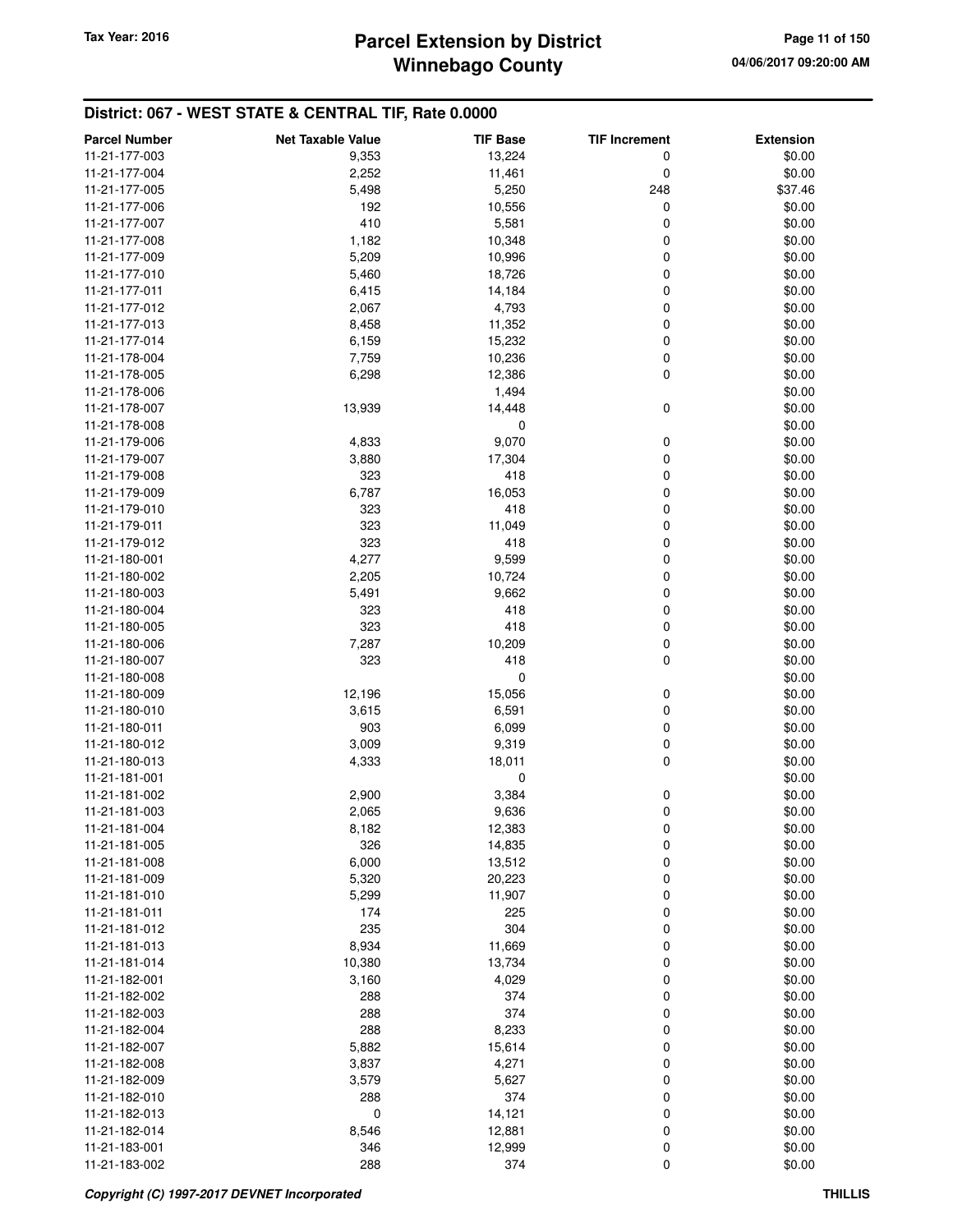# **Winnebago County** Tax Year: 2016 **Parcel Extension by District Page 11 of 150**

| <b>Parcel Number</b> | <b>Net Taxable Value</b> | <b>TIF Base</b> | <b>TIF Increment</b> | <b>Extension</b> |
|----------------------|--------------------------|-----------------|----------------------|------------------|
| 11-21-177-003        | 9,353                    | 13,224          | 0                    | \$0.00           |
| 11-21-177-004        | 2,252                    | 11,461          | 0                    | \$0.00           |
| 11-21-177-005        | 5,498                    | 5,250           | 248                  | \$37.46          |
| 11-21-177-006        | 192                      | 10,556          | 0                    | \$0.00           |
| 11-21-177-007        | 410                      | 5,581           | 0                    | \$0.00           |
| 11-21-177-008        | 1,182                    | 10,348          | 0                    | \$0.00           |
| 11-21-177-009        | 5,209                    | 10,996          | 0                    | \$0.00           |
| 11-21-177-010        | 5,460                    | 18,726          | 0                    | \$0.00           |
| 11-21-177-011        | 6,415                    | 14,184          | 0                    | \$0.00           |
| 11-21-177-012        | 2,067                    | 4,793           | 0                    | \$0.00           |
| 11-21-177-013        | 8,458                    | 11,352          | 0                    | \$0.00           |
| 11-21-177-014        | 6,159                    | 15,232          | 0                    | \$0.00           |
| 11-21-178-004        | 7,759                    | 10,236          | $\mathbf 0$          | \$0.00           |
| 11-21-178-005        | 6,298                    | 12,386          | $\mathbf 0$          | \$0.00           |
| 11-21-178-006        |                          | 1,494           |                      | \$0.00           |
| 11-21-178-007        | 13,939                   | 14,448          | 0                    | \$0.00           |
| 11-21-178-008        |                          | 0               |                      | \$0.00           |
| 11-21-179-006        | 4,833                    | 9,070           | 0                    | \$0.00           |
| 11-21-179-007        | 3,880                    | 17,304          | 0                    | \$0.00           |
| 11-21-179-008        | 323                      | 418             | 0                    | \$0.00           |
| 11-21-179-009        | 6,787                    | 16,053          | 0                    | \$0.00           |
| 11-21-179-010        | 323                      | 418             | 0                    | \$0.00           |
| 11-21-179-011        | 323                      | 11,049          | 0                    | \$0.00           |
| 11-21-179-012        | 323                      | 418             | 0                    | \$0.00           |
| 11-21-180-001        | 4,277                    | 9,599           | 0                    | \$0.00           |
| 11-21-180-002        | 2,205                    | 10,724          | 0                    | \$0.00           |
| 11-21-180-003        | 5,491                    | 9,662           | 0                    | \$0.00           |
| 11-21-180-004        | 323                      | 418             | $\mathbf 0$          | \$0.00           |
| 11-21-180-005        | 323                      | 418             | 0                    | \$0.00           |
| 11-21-180-006        | 7,287                    | 10,209          | 0                    | \$0.00           |
| 11-21-180-007        | 323                      | 418             | $\mathbf 0$          | \$0.00           |
| 11-21-180-008        |                          | 0               |                      | \$0.00           |
| 11-21-180-009        | 12,196                   | 15,056          | 0                    | \$0.00           |
| 11-21-180-010        | 3,615                    | 6,591           | 0                    | \$0.00           |
| 11-21-180-011        | 903                      | 6,099           | 0                    | \$0.00           |
| 11-21-180-012        | 3,009                    | 9,319           | 0                    | \$0.00           |
| 11-21-180-013        | 4,333                    | 18,011          | $\mathbf 0$          | \$0.00           |
| 11-21-181-001        |                          | 0               |                      | \$0.00           |
| 11-21-181-002        | 2,900                    | 3,384           | 0                    | \$0.00           |
| 11-21-181-003        | 2,065                    | 9,636           | 0                    | \$0.00           |
| 11-21-181-004        | 8,182                    | 12,383          | 0                    | \$0.00           |
| 11-21-181-005        | 326                      | 14,835          | 0                    | \$0.00           |
| 11-21-181-008        | 6,000                    | 13,512          | 0                    | \$0.00           |
| 11-21-181-009        | 5,320                    | 20,223          | 0                    | \$0.00           |
| 11-21-181-010        | 5,299                    | 11,907          | 0                    | \$0.00           |
| 11-21-181-011        | 174                      | 225             | 0                    | \$0.00           |
| 11-21-181-012        | 235                      | 304             | 0                    | \$0.00           |
| 11-21-181-013        | 8,934                    | 11,669          | 0                    | \$0.00           |
| 11-21-181-014        | 10,380                   | 13,734          | 0                    | \$0.00           |
| 11-21-182-001        | 3,160                    | 4,029           | 0                    | \$0.00           |
| 11-21-182-002        | 288                      | 374             | 0                    | \$0.00           |
| 11-21-182-003        | 288                      | 374             | 0                    | \$0.00           |
| 11-21-182-004        | 288                      | 8,233           | 0                    | \$0.00           |
| 11-21-182-007        | 5,882                    | 15,614          | 0                    | \$0.00           |
| 11-21-182-008        | 3,837                    | 4,271           | 0                    | \$0.00           |
| 11-21-182-009        | 3,579                    | 5,627           | 0                    | \$0.00           |
| 11-21-182-010        | 288                      | 374             | 0                    | \$0.00           |
| 11-21-182-013        | 0                        | 14,121          | 0                    | \$0.00           |
| 11-21-182-014        | 8,546                    | 12,881          | 0                    | \$0.00           |
| 11-21-183-001        | 346                      | 12,999          | 0                    | \$0.00           |
| 11-21-183-002        | 288                      | 374             | 0                    | \$0.00           |
|                      |                          |                 |                      |                  |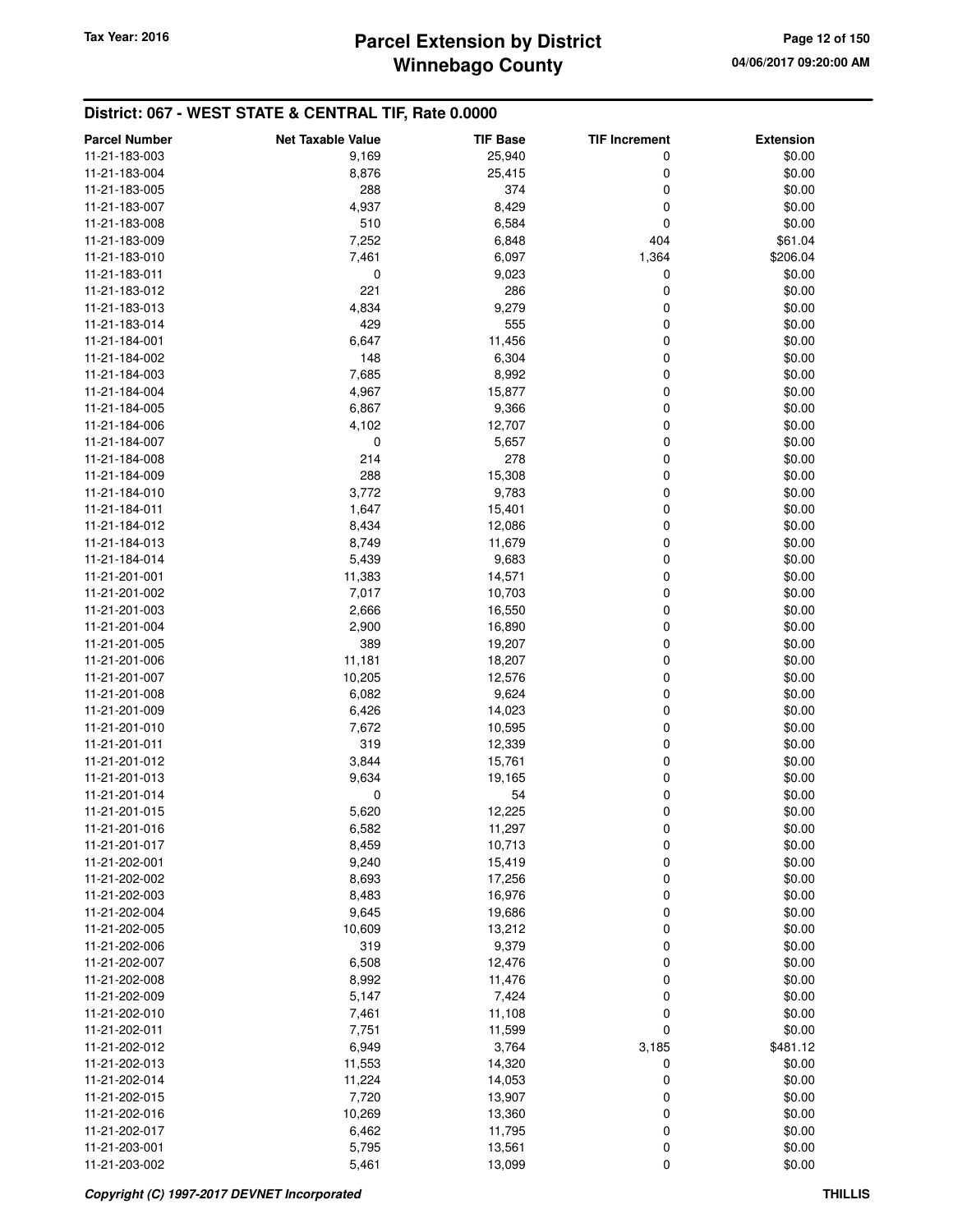# **Winnebago County Parcel Extension by District Tax Year: 2016 Page 12 of 150**

| 11-21-183-003<br>9,169<br>25,940<br>0<br>\$0.00<br>11-21-183-004<br>8,876<br>25,415<br>0<br>\$0.00<br>288<br>374<br>0<br>\$0.00<br>11-21-183-005<br>4,937<br>8,429<br>0<br>\$0.00<br>11-21-183-007<br>6,584<br>0<br>\$0.00<br>11-21-183-008<br>510<br>7,252<br>404<br>\$61.04<br>11-21-183-009<br>6,848<br>7,461<br>6,097<br>1,364<br>\$206.04<br>11-21-183-010<br>0<br>9,023<br>0<br>\$0.00<br>11-21-183-011<br>221<br>286<br>0<br>\$0.00<br>11-21-183-012<br>9,279<br>0<br>\$0.00<br>11-21-183-013<br>4,834<br>429<br>555<br>0<br>\$0.00<br>11-21-183-014<br>6,647<br>11,456<br>0<br>\$0.00<br>11-21-184-001<br>148<br>6,304<br>0<br>\$0.00<br>11-21-184-002<br>7,685<br>8,992<br>0<br>\$0.00<br>11-21-184-003<br>15,877<br>0<br>\$0.00<br>11-21-184-004<br>4,967<br>0<br>\$0.00<br>11-21-184-005<br>6,867<br>9,366<br>4,102<br>12,707<br>0<br>\$0.00<br>11-21-184-006<br>0<br>5,657<br>0<br>\$0.00<br>11-21-184-007<br>214<br>278<br>0<br>\$0.00<br>11-21-184-008<br>288<br>15,308<br>0<br>\$0.00<br>11-21-184-009<br>11-21-184-010<br>3,772<br>9,783<br>0<br>\$0.00<br>11-21-184-011<br>1,647<br>15,401<br>0<br>\$0.00<br>8,434<br>12,086<br>0<br>\$0.00<br>11-21-184-012<br>8,749<br>11,679<br>0<br>\$0.00<br>11-21-184-013<br>0<br>\$0.00<br>11-21-184-014<br>5,439<br>9,683<br>14,571<br>0<br>\$0.00<br>11-21-201-001<br>11,383<br>11-21-201-002<br>7,017<br>10,703<br>0<br>\$0.00<br>0<br>\$0.00<br>11-21-201-003<br>2,666<br>16,550<br>2,900<br>0<br>\$0.00<br>11-21-201-004<br>16,890<br>389<br>0<br>\$0.00<br>11-21-201-005<br>19,207<br>11,181<br>18,207<br>0<br>\$0.00<br>11-21-201-006<br>11-21-201-007<br>10,205<br>12,576<br>0<br>\$0.00<br>6,082<br>9,624<br>0<br>\$0.00<br>11-21-201-008<br>6,426<br>0<br>\$0.00<br>11-21-201-009<br>14,023<br>0<br>\$0.00<br>11-21-201-010<br>7,672<br>10,595<br>319<br>12,339<br>0<br>\$0.00<br>11-21-201-011<br>3,844<br>15,761<br>0<br>\$0.00<br>11-21-201-012<br>9,634<br>0<br>\$0.00<br>11-21-201-013<br>19,165<br>54<br>0<br>\$0.00<br>11-21-201-014<br>0<br>0<br>\$0.00<br>11-21-201-015<br>5,620<br>12,225<br>\$0.00<br>6,582<br>11,297<br>11-21-201-016<br>0<br>0<br>11-21-201-017<br>8,459<br>10,713<br>\$0.00<br>0<br>11-21-202-001<br>9,240<br>15,419<br>\$0.00<br>0<br>\$0.00<br>11-21-202-002<br>8,693<br>17,256<br>0<br>\$0.00<br>11-21-202-003<br>8,483<br>16,976<br>11-21-202-004<br>9,645<br>19,686<br>0<br>\$0.00<br>11-21-202-005<br>10,609<br>13,212<br>0<br>\$0.00<br>319<br>9,379<br>0<br>\$0.00<br>11-21-202-006<br>6,508<br>12,476<br>0<br>\$0.00<br>11-21-202-007<br>0<br>\$0.00<br>11-21-202-008<br>8,992<br>11,476<br>7,424<br>0<br>\$0.00<br>11-21-202-009<br>5,147<br>11,108<br>11-21-202-010<br>7,461<br>0<br>\$0.00<br>0<br>11,599<br>\$0.00<br>11-21-202-011<br>7,751<br>6,949<br>3,764<br>3,185<br>\$481.12<br>11-21-202-012<br>\$0.00<br>11-21-202-013<br>11,553<br>14,320<br>0<br>11-21-202-014<br>14,053<br>0<br>\$0.00<br>11,224<br>7,720<br>11-21-202-015<br>13,907<br>0<br>\$0.00<br>10,269<br>0<br>\$0.00<br>11-21-202-016<br>13,360<br>11,795<br>0<br>\$0.00<br>11-21-202-017<br>6,462 | <b>Parcel Number</b> | <b>Net Taxable Value</b> | <b>TIF Base</b> | <b>TIF Increment</b> | <b>Extension</b> |
|-------------------------------------------------------------------------------------------------------------------------------------------------------------------------------------------------------------------------------------------------------------------------------------------------------------------------------------------------------------------------------------------------------------------------------------------------------------------------------------------------------------------------------------------------------------------------------------------------------------------------------------------------------------------------------------------------------------------------------------------------------------------------------------------------------------------------------------------------------------------------------------------------------------------------------------------------------------------------------------------------------------------------------------------------------------------------------------------------------------------------------------------------------------------------------------------------------------------------------------------------------------------------------------------------------------------------------------------------------------------------------------------------------------------------------------------------------------------------------------------------------------------------------------------------------------------------------------------------------------------------------------------------------------------------------------------------------------------------------------------------------------------------------------------------------------------------------------------------------------------------------------------------------------------------------------------------------------------------------------------------------------------------------------------------------------------------------------------------------------------------------------------------------------------------------------------------------------------------------------------------------------------------------------------------------------------------------------------------------------------------------------------------------------------------------------------------------------------------------------------------------------------------------------------------------------------------------------------------------------------------------------------------------------------------------------------------------------------------------------------------------------------------------------------------------------------------------------------------------------------------------------------------------------------------------------------------------------------------------------------------------------------------------------------------------------------------------------|----------------------|--------------------------|-----------------|----------------------|------------------|
|                                                                                                                                                                                                                                                                                                                                                                                                                                                                                                                                                                                                                                                                                                                                                                                                                                                                                                                                                                                                                                                                                                                                                                                                                                                                                                                                                                                                                                                                                                                                                                                                                                                                                                                                                                                                                                                                                                                                                                                                                                                                                                                                                                                                                                                                                                                                                                                                                                                                                                                                                                                                                                                                                                                                                                                                                                                                                                                                                                                                                                                                                     |                      |                          |                 |                      |                  |
|                                                                                                                                                                                                                                                                                                                                                                                                                                                                                                                                                                                                                                                                                                                                                                                                                                                                                                                                                                                                                                                                                                                                                                                                                                                                                                                                                                                                                                                                                                                                                                                                                                                                                                                                                                                                                                                                                                                                                                                                                                                                                                                                                                                                                                                                                                                                                                                                                                                                                                                                                                                                                                                                                                                                                                                                                                                                                                                                                                                                                                                                                     |                      |                          |                 |                      |                  |
|                                                                                                                                                                                                                                                                                                                                                                                                                                                                                                                                                                                                                                                                                                                                                                                                                                                                                                                                                                                                                                                                                                                                                                                                                                                                                                                                                                                                                                                                                                                                                                                                                                                                                                                                                                                                                                                                                                                                                                                                                                                                                                                                                                                                                                                                                                                                                                                                                                                                                                                                                                                                                                                                                                                                                                                                                                                                                                                                                                                                                                                                                     |                      |                          |                 |                      |                  |
|                                                                                                                                                                                                                                                                                                                                                                                                                                                                                                                                                                                                                                                                                                                                                                                                                                                                                                                                                                                                                                                                                                                                                                                                                                                                                                                                                                                                                                                                                                                                                                                                                                                                                                                                                                                                                                                                                                                                                                                                                                                                                                                                                                                                                                                                                                                                                                                                                                                                                                                                                                                                                                                                                                                                                                                                                                                                                                                                                                                                                                                                                     |                      |                          |                 |                      |                  |
|                                                                                                                                                                                                                                                                                                                                                                                                                                                                                                                                                                                                                                                                                                                                                                                                                                                                                                                                                                                                                                                                                                                                                                                                                                                                                                                                                                                                                                                                                                                                                                                                                                                                                                                                                                                                                                                                                                                                                                                                                                                                                                                                                                                                                                                                                                                                                                                                                                                                                                                                                                                                                                                                                                                                                                                                                                                                                                                                                                                                                                                                                     |                      |                          |                 |                      |                  |
|                                                                                                                                                                                                                                                                                                                                                                                                                                                                                                                                                                                                                                                                                                                                                                                                                                                                                                                                                                                                                                                                                                                                                                                                                                                                                                                                                                                                                                                                                                                                                                                                                                                                                                                                                                                                                                                                                                                                                                                                                                                                                                                                                                                                                                                                                                                                                                                                                                                                                                                                                                                                                                                                                                                                                                                                                                                                                                                                                                                                                                                                                     |                      |                          |                 |                      |                  |
|                                                                                                                                                                                                                                                                                                                                                                                                                                                                                                                                                                                                                                                                                                                                                                                                                                                                                                                                                                                                                                                                                                                                                                                                                                                                                                                                                                                                                                                                                                                                                                                                                                                                                                                                                                                                                                                                                                                                                                                                                                                                                                                                                                                                                                                                                                                                                                                                                                                                                                                                                                                                                                                                                                                                                                                                                                                                                                                                                                                                                                                                                     |                      |                          |                 |                      |                  |
|                                                                                                                                                                                                                                                                                                                                                                                                                                                                                                                                                                                                                                                                                                                                                                                                                                                                                                                                                                                                                                                                                                                                                                                                                                                                                                                                                                                                                                                                                                                                                                                                                                                                                                                                                                                                                                                                                                                                                                                                                                                                                                                                                                                                                                                                                                                                                                                                                                                                                                                                                                                                                                                                                                                                                                                                                                                                                                                                                                                                                                                                                     |                      |                          |                 |                      |                  |
|                                                                                                                                                                                                                                                                                                                                                                                                                                                                                                                                                                                                                                                                                                                                                                                                                                                                                                                                                                                                                                                                                                                                                                                                                                                                                                                                                                                                                                                                                                                                                                                                                                                                                                                                                                                                                                                                                                                                                                                                                                                                                                                                                                                                                                                                                                                                                                                                                                                                                                                                                                                                                                                                                                                                                                                                                                                                                                                                                                                                                                                                                     |                      |                          |                 |                      |                  |
|                                                                                                                                                                                                                                                                                                                                                                                                                                                                                                                                                                                                                                                                                                                                                                                                                                                                                                                                                                                                                                                                                                                                                                                                                                                                                                                                                                                                                                                                                                                                                                                                                                                                                                                                                                                                                                                                                                                                                                                                                                                                                                                                                                                                                                                                                                                                                                                                                                                                                                                                                                                                                                                                                                                                                                                                                                                                                                                                                                                                                                                                                     |                      |                          |                 |                      |                  |
|                                                                                                                                                                                                                                                                                                                                                                                                                                                                                                                                                                                                                                                                                                                                                                                                                                                                                                                                                                                                                                                                                                                                                                                                                                                                                                                                                                                                                                                                                                                                                                                                                                                                                                                                                                                                                                                                                                                                                                                                                                                                                                                                                                                                                                                                                                                                                                                                                                                                                                                                                                                                                                                                                                                                                                                                                                                                                                                                                                                                                                                                                     |                      |                          |                 |                      |                  |
|                                                                                                                                                                                                                                                                                                                                                                                                                                                                                                                                                                                                                                                                                                                                                                                                                                                                                                                                                                                                                                                                                                                                                                                                                                                                                                                                                                                                                                                                                                                                                                                                                                                                                                                                                                                                                                                                                                                                                                                                                                                                                                                                                                                                                                                                                                                                                                                                                                                                                                                                                                                                                                                                                                                                                                                                                                                                                                                                                                                                                                                                                     |                      |                          |                 |                      |                  |
|                                                                                                                                                                                                                                                                                                                                                                                                                                                                                                                                                                                                                                                                                                                                                                                                                                                                                                                                                                                                                                                                                                                                                                                                                                                                                                                                                                                                                                                                                                                                                                                                                                                                                                                                                                                                                                                                                                                                                                                                                                                                                                                                                                                                                                                                                                                                                                                                                                                                                                                                                                                                                                                                                                                                                                                                                                                                                                                                                                                                                                                                                     |                      |                          |                 |                      |                  |
|                                                                                                                                                                                                                                                                                                                                                                                                                                                                                                                                                                                                                                                                                                                                                                                                                                                                                                                                                                                                                                                                                                                                                                                                                                                                                                                                                                                                                                                                                                                                                                                                                                                                                                                                                                                                                                                                                                                                                                                                                                                                                                                                                                                                                                                                                                                                                                                                                                                                                                                                                                                                                                                                                                                                                                                                                                                                                                                                                                                                                                                                                     |                      |                          |                 |                      |                  |
|                                                                                                                                                                                                                                                                                                                                                                                                                                                                                                                                                                                                                                                                                                                                                                                                                                                                                                                                                                                                                                                                                                                                                                                                                                                                                                                                                                                                                                                                                                                                                                                                                                                                                                                                                                                                                                                                                                                                                                                                                                                                                                                                                                                                                                                                                                                                                                                                                                                                                                                                                                                                                                                                                                                                                                                                                                                                                                                                                                                                                                                                                     |                      |                          |                 |                      |                  |
|                                                                                                                                                                                                                                                                                                                                                                                                                                                                                                                                                                                                                                                                                                                                                                                                                                                                                                                                                                                                                                                                                                                                                                                                                                                                                                                                                                                                                                                                                                                                                                                                                                                                                                                                                                                                                                                                                                                                                                                                                                                                                                                                                                                                                                                                                                                                                                                                                                                                                                                                                                                                                                                                                                                                                                                                                                                                                                                                                                                                                                                                                     |                      |                          |                 |                      |                  |
|                                                                                                                                                                                                                                                                                                                                                                                                                                                                                                                                                                                                                                                                                                                                                                                                                                                                                                                                                                                                                                                                                                                                                                                                                                                                                                                                                                                                                                                                                                                                                                                                                                                                                                                                                                                                                                                                                                                                                                                                                                                                                                                                                                                                                                                                                                                                                                                                                                                                                                                                                                                                                                                                                                                                                                                                                                                                                                                                                                                                                                                                                     |                      |                          |                 |                      |                  |
|                                                                                                                                                                                                                                                                                                                                                                                                                                                                                                                                                                                                                                                                                                                                                                                                                                                                                                                                                                                                                                                                                                                                                                                                                                                                                                                                                                                                                                                                                                                                                                                                                                                                                                                                                                                                                                                                                                                                                                                                                                                                                                                                                                                                                                                                                                                                                                                                                                                                                                                                                                                                                                                                                                                                                                                                                                                                                                                                                                                                                                                                                     |                      |                          |                 |                      |                  |
|                                                                                                                                                                                                                                                                                                                                                                                                                                                                                                                                                                                                                                                                                                                                                                                                                                                                                                                                                                                                                                                                                                                                                                                                                                                                                                                                                                                                                                                                                                                                                                                                                                                                                                                                                                                                                                                                                                                                                                                                                                                                                                                                                                                                                                                                                                                                                                                                                                                                                                                                                                                                                                                                                                                                                                                                                                                                                                                                                                                                                                                                                     |                      |                          |                 |                      |                  |
|                                                                                                                                                                                                                                                                                                                                                                                                                                                                                                                                                                                                                                                                                                                                                                                                                                                                                                                                                                                                                                                                                                                                                                                                                                                                                                                                                                                                                                                                                                                                                                                                                                                                                                                                                                                                                                                                                                                                                                                                                                                                                                                                                                                                                                                                                                                                                                                                                                                                                                                                                                                                                                                                                                                                                                                                                                                                                                                                                                                                                                                                                     |                      |                          |                 |                      |                  |
|                                                                                                                                                                                                                                                                                                                                                                                                                                                                                                                                                                                                                                                                                                                                                                                                                                                                                                                                                                                                                                                                                                                                                                                                                                                                                                                                                                                                                                                                                                                                                                                                                                                                                                                                                                                                                                                                                                                                                                                                                                                                                                                                                                                                                                                                                                                                                                                                                                                                                                                                                                                                                                                                                                                                                                                                                                                                                                                                                                                                                                                                                     |                      |                          |                 |                      |                  |
|                                                                                                                                                                                                                                                                                                                                                                                                                                                                                                                                                                                                                                                                                                                                                                                                                                                                                                                                                                                                                                                                                                                                                                                                                                                                                                                                                                                                                                                                                                                                                                                                                                                                                                                                                                                                                                                                                                                                                                                                                                                                                                                                                                                                                                                                                                                                                                                                                                                                                                                                                                                                                                                                                                                                                                                                                                                                                                                                                                                                                                                                                     |                      |                          |                 |                      |                  |
|                                                                                                                                                                                                                                                                                                                                                                                                                                                                                                                                                                                                                                                                                                                                                                                                                                                                                                                                                                                                                                                                                                                                                                                                                                                                                                                                                                                                                                                                                                                                                                                                                                                                                                                                                                                                                                                                                                                                                                                                                                                                                                                                                                                                                                                                                                                                                                                                                                                                                                                                                                                                                                                                                                                                                                                                                                                                                                                                                                                                                                                                                     |                      |                          |                 |                      |                  |
|                                                                                                                                                                                                                                                                                                                                                                                                                                                                                                                                                                                                                                                                                                                                                                                                                                                                                                                                                                                                                                                                                                                                                                                                                                                                                                                                                                                                                                                                                                                                                                                                                                                                                                                                                                                                                                                                                                                                                                                                                                                                                                                                                                                                                                                                                                                                                                                                                                                                                                                                                                                                                                                                                                                                                                                                                                                                                                                                                                                                                                                                                     |                      |                          |                 |                      |                  |
|                                                                                                                                                                                                                                                                                                                                                                                                                                                                                                                                                                                                                                                                                                                                                                                                                                                                                                                                                                                                                                                                                                                                                                                                                                                                                                                                                                                                                                                                                                                                                                                                                                                                                                                                                                                                                                                                                                                                                                                                                                                                                                                                                                                                                                                                                                                                                                                                                                                                                                                                                                                                                                                                                                                                                                                                                                                                                                                                                                                                                                                                                     |                      |                          |                 |                      |                  |
|                                                                                                                                                                                                                                                                                                                                                                                                                                                                                                                                                                                                                                                                                                                                                                                                                                                                                                                                                                                                                                                                                                                                                                                                                                                                                                                                                                                                                                                                                                                                                                                                                                                                                                                                                                                                                                                                                                                                                                                                                                                                                                                                                                                                                                                                                                                                                                                                                                                                                                                                                                                                                                                                                                                                                                                                                                                                                                                                                                                                                                                                                     |                      |                          |                 |                      |                  |
|                                                                                                                                                                                                                                                                                                                                                                                                                                                                                                                                                                                                                                                                                                                                                                                                                                                                                                                                                                                                                                                                                                                                                                                                                                                                                                                                                                                                                                                                                                                                                                                                                                                                                                                                                                                                                                                                                                                                                                                                                                                                                                                                                                                                                                                                                                                                                                                                                                                                                                                                                                                                                                                                                                                                                                                                                                                                                                                                                                                                                                                                                     |                      |                          |                 |                      |                  |
|                                                                                                                                                                                                                                                                                                                                                                                                                                                                                                                                                                                                                                                                                                                                                                                                                                                                                                                                                                                                                                                                                                                                                                                                                                                                                                                                                                                                                                                                                                                                                                                                                                                                                                                                                                                                                                                                                                                                                                                                                                                                                                                                                                                                                                                                                                                                                                                                                                                                                                                                                                                                                                                                                                                                                                                                                                                                                                                                                                                                                                                                                     |                      |                          |                 |                      |                  |
|                                                                                                                                                                                                                                                                                                                                                                                                                                                                                                                                                                                                                                                                                                                                                                                                                                                                                                                                                                                                                                                                                                                                                                                                                                                                                                                                                                                                                                                                                                                                                                                                                                                                                                                                                                                                                                                                                                                                                                                                                                                                                                                                                                                                                                                                                                                                                                                                                                                                                                                                                                                                                                                                                                                                                                                                                                                                                                                                                                                                                                                                                     |                      |                          |                 |                      |                  |
|                                                                                                                                                                                                                                                                                                                                                                                                                                                                                                                                                                                                                                                                                                                                                                                                                                                                                                                                                                                                                                                                                                                                                                                                                                                                                                                                                                                                                                                                                                                                                                                                                                                                                                                                                                                                                                                                                                                                                                                                                                                                                                                                                                                                                                                                                                                                                                                                                                                                                                                                                                                                                                                                                                                                                                                                                                                                                                                                                                                                                                                                                     |                      |                          |                 |                      |                  |
|                                                                                                                                                                                                                                                                                                                                                                                                                                                                                                                                                                                                                                                                                                                                                                                                                                                                                                                                                                                                                                                                                                                                                                                                                                                                                                                                                                                                                                                                                                                                                                                                                                                                                                                                                                                                                                                                                                                                                                                                                                                                                                                                                                                                                                                                                                                                                                                                                                                                                                                                                                                                                                                                                                                                                                                                                                                                                                                                                                                                                                                                                     |                      |                          |                 |                      |                  |
|                                                                                                                                                                                                                                                                                                                                                                                                                                                                                                                                                                                                                                                                                                                                                                                                                                                                                                                                                                                                                                                                                                                                                                                                                                                                                                                                                                                                                                                                                                                                                                                                                                                                                                                                                                                                                                                                                                                                                                                                                                                                                                                                                                                                                                                                                                                                                                                                                                                                                                                                                                                                                                                                                                                                                                                                                                                                                                                                                                                                                                                                                     |                      |                          |                 |                      |                  |
|                                                                                                                                                                                                                                                                                                                                                                                                                                                                                                                                                                                                                                                                                                                                                                                                                                                                                                                                                                                                                                                                                                                                                                                                                                                                                                                                                                                                                                                                                                                                                                                                                                                                                                                                                                                                                                                                                                                                                                                                                                                                                                                                                                                                                                                                                                                                                                                                                                                                                                                                                                                                                                                                                                                                                                                                                                                                                                                                                                                                                                                                                     |                      |                          |                 |                      |                  |
|                                                                                                                                                                                                                                                                                                                                                                                                                                                                                                                                                                                                                                                                                                                                                                                                                                                                                                                                                                                                                                                                                                                                                                                                                                                                                                                                                                                                                                                                                                                                                                                                                                                                                                                                                                                                                                                                                                                                                                                                                                                                                                                                                                                                                                                                                                                                                                                                                                                                                                                                                                                                                                                                                                                                                                                                                                                                                                                                                                                                                                                                                     |                      |                          |                 |                      |                  |
|                                                                                                                                                                                                                                                                                                                                                                                                                                                                                                                                                                                                                                                                                                                                                                                                                                                                                                                                                                                                                                                                                                                                                                                                                                                                                                                                                                                                                                                                                                                                                                                                                                                                                                                                                                                                                                                                                                                                                                                                                                                                                                                                                                                                                                                                                                                                                                                                                                                                                                                                                                                                                                                                                                                                                                                                                                                                                                                                                                                                                                                                                     |                      |                          |                 |                      |                  |
|                                                                                                                                                                                                                                                                                                                                                                                                                                                                                                                                                                                                                                                                                                                                                                                                                                                                                                                                                                                                                                                                                                                                                                                                                                                                                                                                                                                                                                                                                                                                                                                                                                                                                                                                                                                                                                                                                                                                                                                                                                                                                                                                                                                                                                                                                                                                                                                                                                                                                                                                                                                                                                                                                                                                                                                                                                                                                                                                                                                                                                                                                     |                      |                          |                 |                      |                  |
|                                                                                                                                                                                                                                                                                                                                                                                                                                                                                                                                                                                                                                                                                                                                                                                                                                                                                                                                                                                                                                                                                                                                                                                                                                                                                                                                                                                                                                                                                                                                                                                                                                                                                                                                                                                                                                                                                                                                                                                                                                                                                                                                                                                                                                                                                                                                                                                                                                                                                                                                                                                                                                                                                                                                                                                                                                                                                                                                                                                                                                                                                     |                      |                          |                 |                      |                  |
|                                                                                                                                                                                                                                                                                                                                                                                                                                                                                                                                                                                                                                                                                                                                                                                                                                                                                                                                                                                                                                                                                                                                                                                                                                                                                                                                                                                                                                                                                                                                                                                                                                                                                                                                                                                                                                                                                                                                                                                                                                                                                                                                                                                                                                                                                                                                                                                                                                                                                                                                                                                                                                                                                                                                                                                                                                                                                                                                                                                                                                                                                     |                      |                          |                 |                      |                  |
|                                                                                                                                                                                                                                                                                                                                                                                                                                                                                                                                                                                                                                                                                                                                                                                                                                                                                                                                                                                                                                                                                                                                                                                                                                                                                                                                                                                                                                                                                                                                                                                                                                                                                                                                                                                                                                                                                                                                                                                                                                                                                                                                                                                                                                                                                                                                                                                                                                                                                                                                                                                                                                                                                                                                                                                                                                                                                                                                                                                                                                                                                     |                      |                          |                 |                      |                  |
|                                                                                                                                                                                                                                                                                                                                                                                                                                                                                                                                                                                                                                                                                                                                                                                                                                                                                                                                                                                                                                                                                                                                                                                                                                                                                                                                                                                                                                                                                                                                                                                                                                                                                                                                                                                                                                                                                                                                                                                                                                                                                                                                                                                                                                                                                                                                                                                                                                                                                                                                                                                                                                                                                                                                                                                                                                                                                                                                                                                                                                                                                     |                      |                          |                 |                      |                  |
|                                                                                                                                                                                                                                                                                                                                                                                                                                                                                                                                                                                                                                                                                                                                                                                                                                                                                                                                                                                                                                                                                                                                                                                                                                                                                                                                                                                                                                                                                                                                                                                                                                                                                                                                                                                                                                                                                                                                                                                                                                                                                                                                                                                                                                                                                                                                                                                                                                                                                                                                                                                                                                                                                                                                                                                                                                                                                                                                                                                                                                                                                     |                      |                          |                 |                      |                  |
|                                                                                                                                                                                                                                                                                                                                                                                                                                                                                                                                                                                                                                                                                                                                                                                                                                                                                                                                                                                                                                                                                                                                                                                                                                                                                                                                                                                                                                                                                                                                                                                                                                                                                                                                                                                                                                                                                                                                                                                                                                                                                                                                                                                                                                                                                                                                                                                                                                                                                                                                                                                                                                                                                                                                                                                                                                                                                                                                                                                                                                                                                     |                      |                          |                 |                      |                  |
|                                                                                                                                                                                                                                                                                                                                                                                                                                                                                                                                                                                                                                                                                                                                                                                                                                                                                                                                                                                                                                                                                                                                                                                                                                                                                                                                                                                                                                                                                                                                                                                                                                                                                                                                                                                                                                                                                                                                                                                                                                                                                                                                                                                                                                                                                                                                                                                                                                                                                                                                                                                                                                                                                                                                                                                                                                                                                                                                                                                                                                                                                     |                      |                          |                 |                      |                  |
|                                                                                                                                                                                                                                                                                                                                                                                                                                                                                                                                                                                                                                                                                                                                                                                                                                                                                                                                                                                                                                                                                                                                                                                                                                                                                                                                                                                                                                                                                                                                                                                                                                                                                                                                                                                                                                                                                                                                                                                                                                                                                                                                                                                                                                                                                                                                                                                                                                                                                                                                                                                                                                                                                                                                                                                                                                                                                                                                                                                                                                                                                     |                      |                          |                 |                      |                  |
|                                                                                                                                                                                                                                                                                                                                                                                                                                                                                                                                                                                                                                                                                                                                                                                                                                                                                                                                                                                                                                                                                                                                                                                                                                                                                                                                                                                                                                                                                                                                                                                                                                                                                                                                                                                                                                                                                                                                                                                                                                                                                                                                                                                                                                                                                                                                                                                                                                                                                                                                                                                                                                                                                                                                                                                                                                                                                                                                                                                                                                                                                     |                      |                          |                 |                      |                  |
|                                                                                                                                                                                                                                                                                                                                                                                                                                                                                                                                                                                                                                                                                                                                                                                                                                                                                                                                                                                                                                                                                                                                                                                                                                                                                                                                                                                                                                                                                                                                                                                                                                                                                                                                                                                                                                                                                                                                                                                                                                                                                                                                                                                                                                                                                                                                                                                                                                                                                                                                                                                                                                                                                                                                                                                                                                                                                                                                                                                                                                                                                     |                      |                          |                 |                      |                  |
|                                                                                                                                                                                                                                                                                                                                                                                                                                                                                                                                                                                                                                                                                                                                                                                                                                                                                                                                                                                                                                                                                                                                                                                                                                                                                                                                                                                                                                                                                                                                                                                                                                                                                                                                                                                                                                                                                                                                                                                                                                                                                                                                                                                                                                                                                                                                                                                                                                                                                                                                                                                                                                                                                                                                                                                                                                                                                                                                                                                                                                                                                     |                      |                          |                 |                      |                  |
|                                                                                                                                                                                                                                                                                                                                                                                                                                                                                                                                                                                                                                                                                                                                                                                                                                                                                                                                                                                                                                                                                                                                                                                                                                                                                                                                                                                                                                                                                                                                                                                                                                                                                                                                                                                                                                                                                                                                                                                                                                                                                                                                                                                                                                                                                                                                                                                                                                                                                                                                                                                                                                                                                                                                                                                                                                                                                                                                                                                                                                                                                     |                      |                          |                 |                      |                  |
|                                                                                                                                                                                                                                                                                                                                                                                                                                                                                                                                                                                                                                                                                                                                                                                                                                                                                                                                                                                                                                                                                                                                                                                                                                                                                                                                                                                                                                                                                                                                                                                                                                                                                                                                                                                                                                                                                                                                                                                                                                                                                                                                                                                                                                                                                                                                                                                                                                                                                                                                                                                                                                                                                                                                                                                                                                                                                                                                                                                                                                                                                     |                      |                          |                 |                      |                  |
|                                                                                                                                                                                                                                                                                                                                                                                                                                                                                                                                                                                                                                                                                                                                                                                                                                                                                                                                                                                                                                                                                                                                                                                                                                                                                                                                                                                                                                                                                                                                                                                                                                                                                                                                                                                                                                                                                                                                                                                                                                                                                                                                                                                                                                                                                                                                                                                                                                                                                                                                                                                                                                                                                                                                                                                                                                                                                                                                                                                                                                                                                     |                      |                          |                 |                      |                  |
|                                                                                                                                                                                                                                                                                                                                                                                                                                                                                                                                                                                                                                                                                                                                                                                                                                                                                                                                                                                                                                                                                                                                                                                                                                                                                                                                                                                                                                                                                                                                                                                                                                                                                                                                                                                                                                                                                                                                                                                                                                                                                                                                                                                                                                                                                                                                                                                                                                                                                                                                                                                                                                                                                                                                                                                                                                                                                                                                                                                                                                                                                     |                      |                          |                 |                      |                  |
|                                                                                                                                                                                                                                                                                                                                                                                                                                                                                                                                                                                                                                                                                                                                                                                                                                                                                                                                                                                                                                                                                                                                                                                                                                                                                                                                                                                                                                                                                                                                                                                                                                                                                                                                                                                                                                                                                                                                                                                                                                                                                                                                                                                                                                                                                                                                                                                                                                                                                                                                                                                                                                                                                                                                                                                                                                                                                                                                                                                                                                                                                     |                      |                          |                 |                      |                  |
|                                                                                                                                                                                                                                                                                                                                                                                                                                                                                                                                                                                                                                                                                                                                                                                                                                                                                                                                                                                                                                                                                                                                                                                                                                                                                                                                                                                                                                                                                                                                                                                                                                                                                                                                                                                                                                                                                                                                                                                                                                                                                                                                                                                                                                                                                                                                                                                                                                                                                                                                                                                                                                                                                                                                                                                                                                                                                                                                                                                                                                                                                     |                      |                          |                 |                      |                  |
|                                                                                                                                                                                                                                                                                                                                                                                                                                                                                                                                                                                                                                                                                                                                                                                                                                                                                                                                                                                                                                                                                                                                                                                                                                                                                                                                                                                                                                                                                                                                                                                                                                                                                                                                                                                                                                                                                                                                                                                                                                                                                                                                                                                                                                                                                                                                                                                                                                                                                                                                                                                                                                                                                                                                                                                                                                                                                                                                                                                                                                                                                     |                      |                          |                 |                      |                  |
|                                                                                                                                                                                                                                                                                                                                                                                                                                                                                                                                                                                                                                                                                                                                                                                                                                                                                                                                                                                                                                                                                                                                                                                                                                                                                                                                                                                                                                                                                                                                                                                                                                                                                                                                                                                                                                                                                                                                                                                                                                                                                                                                                                                                                                                                                                                                                                                                                                                                                                                                                                                                                                                                                                                                                                                                                                                                                                                                                                                                                                                                                     |                      |                          |                 |                      |                  |
|                                                                                                                                                                                                                                                                                                                                                                                                                                                                                                                                                                                                                                                                                                                                                                                                                                                                                                                                                                                                                                                                                                                                                                                                                                                                                                                                                                                                                                                                                                                                                                                                                                                                                                                                                                                                                                                                                                                                                                                                                                                                                                                                                                                                                                                                                                                                                                                                                                                                                                                                                                                                                                                                                                                                                                                                                                                                                                                                                                                                                                                                                     |                      |                          |                 |                      |                  |
|                                                                                                                                                                                                                                                                                                                                                                                                                                                                                                                                                                                                                                                                                                                                                                                                                                                                                                                                                                                                                                                                                                                                                                                                                                                                                                                                                                                                                                                                                                                                                                                                                                                                                                                                                                                                                                                                                                                                                                                                                                                                                                                                                                                                                                                                                                                                                                                                                                                                                                                                                                                                                                                                                                                                                                                                                                                                                                                                                                                                                                                                                     |                      |                          |                 |                      |                  |
|                                                                                                                                                                                                                                                                                                                                                                                                                                                                                                                                                                                                                                                                                                                                                                                                                                                                                                                                                                                                                                                                                                                                                                                                                                                                                                                                                                                                                                                                                                                                                                                                                                                                                                                                                                                                                                                                                                                                                                                                                                                                                                                                                                                                                                                                                                                                                                                                                                                                                                                                                                                                                                                                                                                                                                                                                                                                                                                                                                                                                                                                                     |                      |                          |                 |                      |                  |
|                                                                                                                                                                                                                                                                                                                                                                                                                                                                                                                                                                                                                                                                                                                                                                                                                                                                                                                                                                                                                                                                                                                                                                                                                                                                                                                                                                                                                                                                                                                                                                                                                                                                                                                                                                                                                                                                                                                                                                                                                                                                                                                                                                                                                                                                                                                                                                                                                                                                                                                                                                                                                                                                                                                                                                                                                                                                                                                                                                                                                                                                                     |                      |                          |                 |                      |                  |
|                                                                                                                                                                                                                                                                                                                                                                                                                                                                                                                                                                                                                                                                                                                                                                                                                                                                                                                                                                                                                                                                                                                                                                                                                                                                                                                                                                                                                                                                                                                                                                                                                                                                                                                                                                                                                                                                                                                                                                                                                                                                                                                                                                                                                                                                                                                                                                                                                                                                                                                                                                                                                                                                                                                                                                                                                                                                                                                                                                                                                                                                                     | 11-21-203-001        | 5,795                    | 13,561          | 0                    | \$0.00           |
| 0<br>\$0.00<br>11-21-203-002<br>5,461<br>13,099                                                                                                                                                                                                                                                                                                                                                                                                                                                                                                                                                                                                                                                                                                                                                                                                                                                                                                                                                                                                                                                                                                                                                                                                                                                                                                                                                                                                                                                                                                                                                                                                                                                                                                                                                                                                                                                                                                                                                                                                                                                                                                                                                                                                                                                                                                                                                                                                                                                                                                                                                                                                                                                                                                                                                                                                                                                                                                                                                                                                                                     |                      |                          |                 |                      |                  |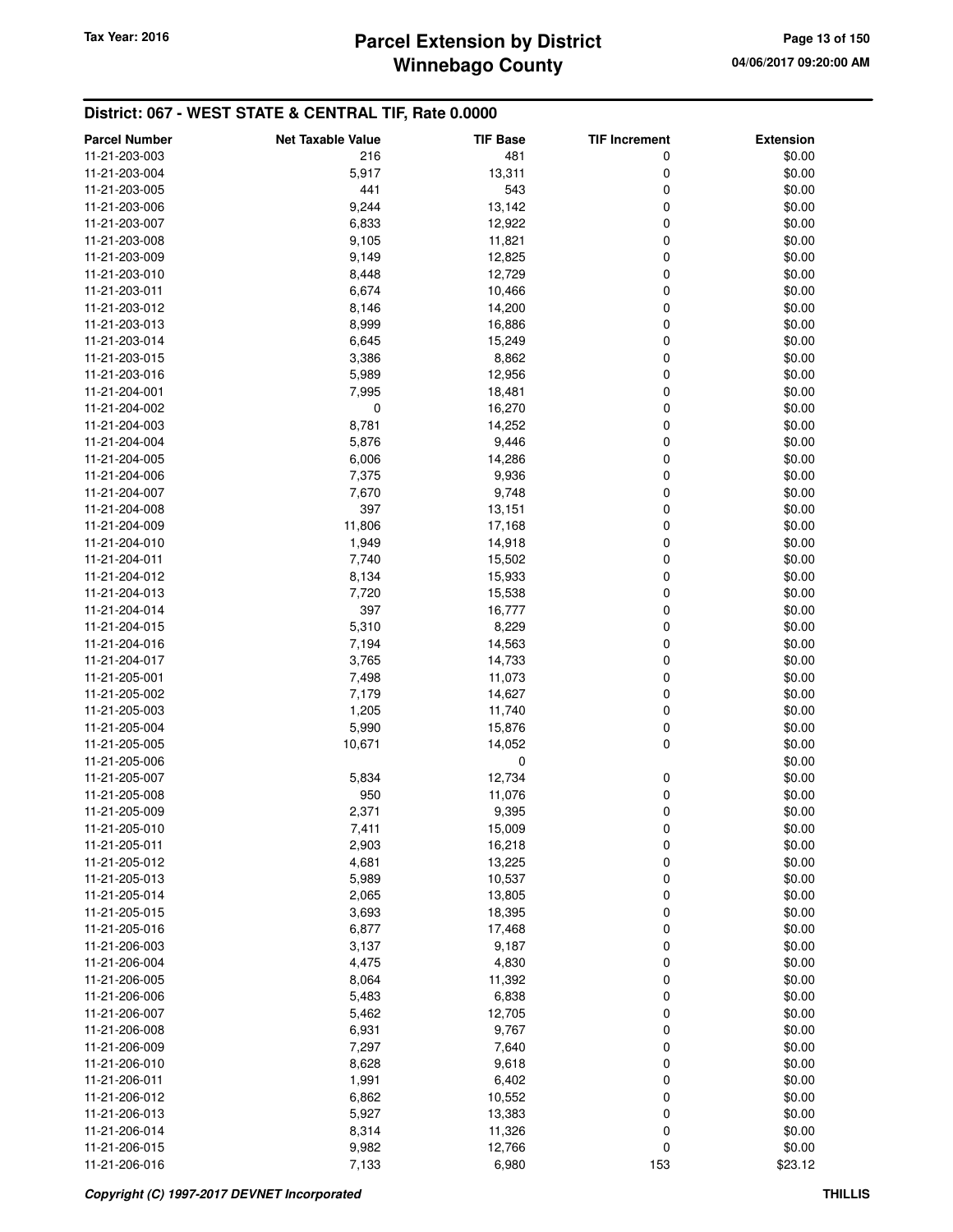| <b>Parcel Number</b> | <b>Net Taxable Value</b> | <b>TIF Base</b> | <b>TIF Increment</b> | <b>Extension</b> |
|----------------------|--------------------------|-----------------|----------------------|------------------|
| 11-21-203-003        | 216                      | 481             | 0                    | \$0.00           |
| 11-21-203-004        | 5,917                    | 13,311          | 0                    | \$0.00           |
| 11-21-203-005        | 441                      | 543             | 0                    | \$0.00           |
| 11-21-203-006        | 9,244                    | 13,142          | 0                    | \$0.00           |
| 11-21-203-007        | 6,833                    | 12,922          | 0                    | \$0.00           |
| 11-21-203-008        | 9,105                    | 11,821          | 0                    | \$0.00           |
| 11-21-203-009        | 9,149                    | 12,825          | 0                    | \$0.00           |
| 11-21-203-010        | 8,448                    | 12,729          | 0                    | \$0.00           |
| 11-21-203-011        |                          |                 | 0                    |                  |
|                      | 6,674                    | 10,466          |                      | \$0.00           |
| 11-21-203-012        | 8,146                    | 14,200          | 0                    | \$0.00           |
| 11-21-203-013        | 8,999                    | 16,886          | 0                    | \$0.00           |
| 11-21-203-014        | 6,645                    | 15,249          | 0                    | \$0.00           |
| 11-21-203-015        | 3,386                    | 8,862           | 0                    | \$0.00           |
| 11-21-203-016        | 5,989                    | 12,956          | 0                    | \$0.00           |
| 11-21-204-001        | 7,995                    | 18,481          | 0                    | \$0.00           |
| 11-21-204-002        | 0                        | 16,270          | 0                    | \$0.00           |
| 11-21-204-003        | 8,781                    | 14,252          | 0                    | \$0.00           |
| 11-21-204-004        | 5,876                    | 9,446           | 0                    | \$0.00           |
| 11-21-204-005        | 6,006                    | 14,286          | 0                    | \$0.00           |
| 11-21-204-006        | 7,375                    | 9,936           | 0                    | \$0.00           |
| 11-21-204-007        | 7,670                    | 9,748           | 0                    | \$0.00           |
| 11-21-204-008        | 397                      | 13,151          | 0                    | \$0.00           |
| 11-21-204-009        | 11,806                   | 17,168          | 0                    | \$0.00           |
| 11-21-204-010        | 1,949                    | 14,918          | 0                    | \$0.00           |
| 11-21-204-011        | 7,740                    | 15,502          | 0                    | \$0.00           |
| 11-21-204-012        | 8,134                    | 15,933          | 0                    | \$0.00           |
| 11-21-204-013        | 7,720                    | 15,538          | 0                    | \$0.00           |
| 11-21-204-014        | 397                      | 16,777          | 0                    | \$0.00           |
| 11-21-204-015        | 5,310                    | 8,229           | 0                    | \$0.00           |
| 11-21-204-016        | 7,194                    | 14,563          | 0                    | \$0.00           |
| 11-21-204-017        | 3,765                    | 14,733          | 0                    | \$0.00           |
| 11-21-205-001        | 7,498                    | 11,073          | 0                    | \$0.00           |
| 11-21-205-002        | 7,179                    | 14,627          | 0                    | \$0.00           |
| 11-21-205-003        | 1,205                    | 11,740          | 0                    | \$0.00           |
| 11-21-205-004        | 5,990                    | 15,876          | 0                    | \$0.00           |
| 11-21-205-005        | 10,671                   | 14,052          | 0                    | \$0.00           |
| 11-21-205-006        |                          | $\mathbf 0$     |                      | \$0.00           |
| 11-21-205-007        | 5,834                    | 12,734          | 0                    | \$0.00           |
| 11-21-205-008        | 950                      | 11,076          | 0                    | \$0.00           |
| 11-21-205-009        | 2,371                    | 9,395           | 0                    | \$0.00           |
| 11-21-205-010        | 7,411                    | 15,009          | $\pmb{0}$            | \$0.00           |
|                      |                          |                 |                      |                  |
| 11-21-205-011        | 2,903                    | 16,218          | 0                    | \$0.00           |
| 11-21-205-012        | 4,681                    | 13,225          | 0                    | \$0.00           |
| 11-21-205-013        | 5,989                    | 10,537          | 0                    | \$0.00           |
| 11-21-205-014        | 2,065                    | 13,805          | 0                    | \$0.00           |
| 11-21-205-015        | 3,693                    | 18,395          | 0                    | \$0.00           |
| 11-21-205-016        | 6,877                    | 17,468          | 0                    | \$0.00           |
| 11-21-206-003        | 3,137                    | 9,187           | 0                    | \$0.00           |
| 11-21-206-004        | 4,475                    | 4,830           | 0                    | \$0.00           |
| 11-21-206-005        | 8,064                    | 11,392          | 0                    | \$0.00           |
| 11-21-206-006        | 5,483                    | 6,838           | 0                    | \$0.00           |
| 11-21-206-007        | 5,462                    | 12,705          | 0                    | \$0.00           |
| 11-21-206-008        | 6,931                    | 9,767           | 0                    | \$0.00           |
| 11-21-206-009        | 7,297                    | 7,640           | 0                    | \$0.00           |
| 11-21-206-010        | 8,628                    | 9,618           | 0                    | \$0.00           |
| 11-21-206-011        | 1,991                    | 6,402           | 0                    | \$0.00           |
| 11-21-206-012        | 6,862                    | 10,552          | 0                    | \$0.00           |
| 11-21-206-013        | 5,927                    | 13,383          | 0                    | \$0.00           |
| 11-21-206-014        | 8,314                    | 11,326          | 0                    | \$0.00           |
| 11-21-206-015        | 9,982                    | 12,766          | 0                    | \$0.00           |
| 11-21-206-016        | 7,133                    | 6,980           | 153                  | \$23.12          |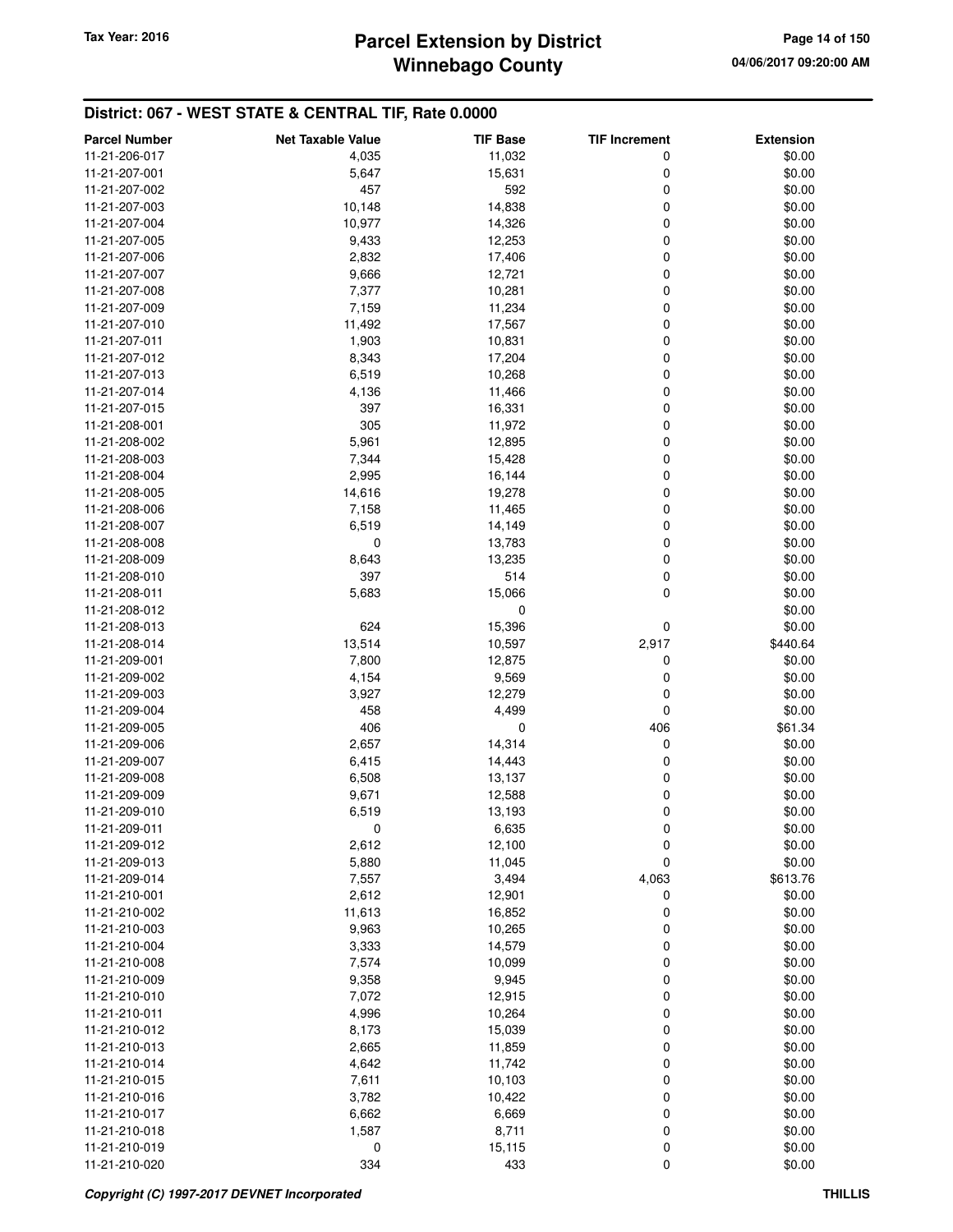# **Winnebago County** Tax Year: 2016 **Parcel Extension by District Page 14 of 150**

| <b>Parcel Number</b>           | <b>Net Taxable Value</b> | <b>TIF Base</b>  | <b>TIF Increment</b> | <b>Extension</b> |
|--------------------------------|--------------------------|------------------|----------------------|------------------|
| 11-21-206-017                  | 4,035                    | 11,032           | 0                    | \$0.00           |
| 11-21-207-001                  | 5,647                    | 15,631           | 0                    | \$0.00           |
| 11-21-207-002                  | 457                      | 592              | 0                    | \$0.00           |
| 11-21-207-003                  | 10,148                   | 14,838           | 0                    | \$0.00           |
| 11-21-207-004                  | 10,977                   | 14,326           | 0                    | \$0.00           |
| 11-21-207-005                  | 9,433                    | 12,253           | 0                    | \$0.00           |
| 11-21-207-006                  | 2,832                    | 17,406           | 0                    | \$0.00           |
| 11-21-207-007                  | 9,666                    | 12,721           | 0                    | \$0.00           |
| 11-21-207-008                  | 7,377                    | 10,281           | 0                    | \$0.00           |
| 11-21-207-009                  | 7,159                    | 11,234           | 0                    | \$0.00           |
| 11-21-207-010                  | 11,492                   | 17,567           | 0                    | \$0.00           |
| 11-21-207-011                  | 1,903                    | 10,831           | 0                    | \$0.00           |
| 11-21-207-012                  | 8,343                    | 17,204           | 0                    | \$0.00           |
| 11-21-207-013                  | 6,519                    | 10,268           | 0                    | \$0.00           |
| 11-21-207-014                  | 4,136                    | 11,466           | 0                    | \$0.00           |
| 11-21-207-015                  | 397                      | 16,331           | 0                    | \$0.00           |
| 11-21-208-001                  | 305                      | 11,972           | 0                    | \$0.00           |
| 11-21-208-002                  | 5,961                    | 12,895           | 0                    | \$0.00           |
| 11-21-208-003                  | 7,344                    | 15,428           | 0                    | \$0.00           |
| 11-21-208-004                  | 2,995                    | 16,144           | 0                    | \$0.00           |
| 11-21-208-005                  | 14,616                   | 19,278           | 0                    | \$0.00           |
| 11-21-208-006                  | 7,158                    | 11,465           | 0                    | \$0.00           |
| 11-21-208-007                  | 6,519                    | 14,149           | 0                    | \$0.00           |
| 11-21-208-008                  | 0                        | 13,783           | 0                    | \$0.00           |
| 11-21-208-009                  | 8,643                    | 13,235           | 0                    | \$0.00           |
| 11-21-208-010                  | 397                      | 514              | 0                    | \$0.00           |
| 11-21-208-011                  | 5,683                    | 15,066           | $\mathbf 0$          | \$0.00           |
| 11-21-208-012                  |                          | 0                |                      | \$0.00           |
| 11-21-208-013                  | 624                      | 15,396           | 0                    | \$0.00           |
| 11-21-208-014                  | 13,514                   | 10,597           | 2,917                | \$440.64         |
| 11-21-209-001                  | 7,800                    | 12,875           | 0                    | \$0.00           |
| 11-21-209-002                  | 4,154                    | 9,569            | 0                    | \$0.00           |
| 11-21-209-003                  | 3,927                    | 12,279           | 0                    | \$0.00           |
| 11-21-209-004                  | 458                      | 4,499            | 0                    | \$0.00           |
| 11-21-209-005                  | 406                      | 0                | 406                  | \$61.34          |
| 11-21-209-006                  | 2,657                    | 14,314           | 0                    | \$0.00           |
| 11-21-209-007                  | 6,415                    | 14,443           | 0                    | \$0.00           |
| 11-21-209-008                  | 6,508                    | 13,137           | 0                    | \$0.00           |
| 11-21-209-009                  | 9,671                    |                  | 0                    | \$0.00           |
| 11-21-209-010                  | 6,519                    | 12,588<br>13,193 | 0                    | \$0.00           |
| 11-21-209-011                  | 0                        | 6,635            | $\boldsymbol{0}$     | \$0.00           |
| 11-21-209-012                  | 2,612                    | 12,100           | 0                    | \$0.00           |
| 11-21-209-013                  | 5,880                    | 11,045           | $\mathbf 0$          | \$0.00           |
| 11-21-209-014                  | 7,557                    | 3,494            | 4,063                | \$613.76         |
|                                |                          |                  |                      |                  |
| 11-21-210-001<br>11-21-210-002 | 2,612                    | 12,901           | 0                    | \$0.00           |
| 11-21-210-003                  | 11,613                   | 16,852           | 0                    | \$0.00           |
| 11-21-210-004                  | 9,963<br>3,333           | 10,265<br>14,579 | 0<br>0               | \$0.00<br>\$0.00 |
|                                |                          |                  | 0                    |                  |
| 11-21-210-008                  | 7,574                    | 10,099           | 0                    | \$0.00           |
| 11-21-210-009<br>11-21-210-010 | 9,358                    | 9,945            |                      | \$0.00           |
|                                | 7,072                    | 12,915           | 0                    | \$0.00           |
| 11-21-210-011                  | 4,996                    | 10,264           | 0                    | \$0.00           |
| 11-21-210-012                  | 8,173                    | 15,039           | 0                    | \$0.00           |
| 11-21-210-013                  | 2,665                    | 11,859           | 0                    | \$0.00           |
| 11-21-210-014                  | 4,642                    | 11,742           | 0                    | \$0.00           |
| 11-21-210-015                  | 7,611                    | 10,103           | 0                    | \$0.00           |
| 11-21-210-016                  | 3,782                    | 10,422           | 0                    | \$0.00           |
| 11-21-210-017                  | 6,662                    | 6,669            | 0                    | \$0.00           |
| 11-21-210-018                  | 1,587                    | 8,711            | 0                    | \$0.00           |
| 11-21-210-019                  | 0                        | 15,115           | 0                    | \$0.00           |
| 11-21-210-020                  | 334                      | 433              | 0                    | \$0.00           |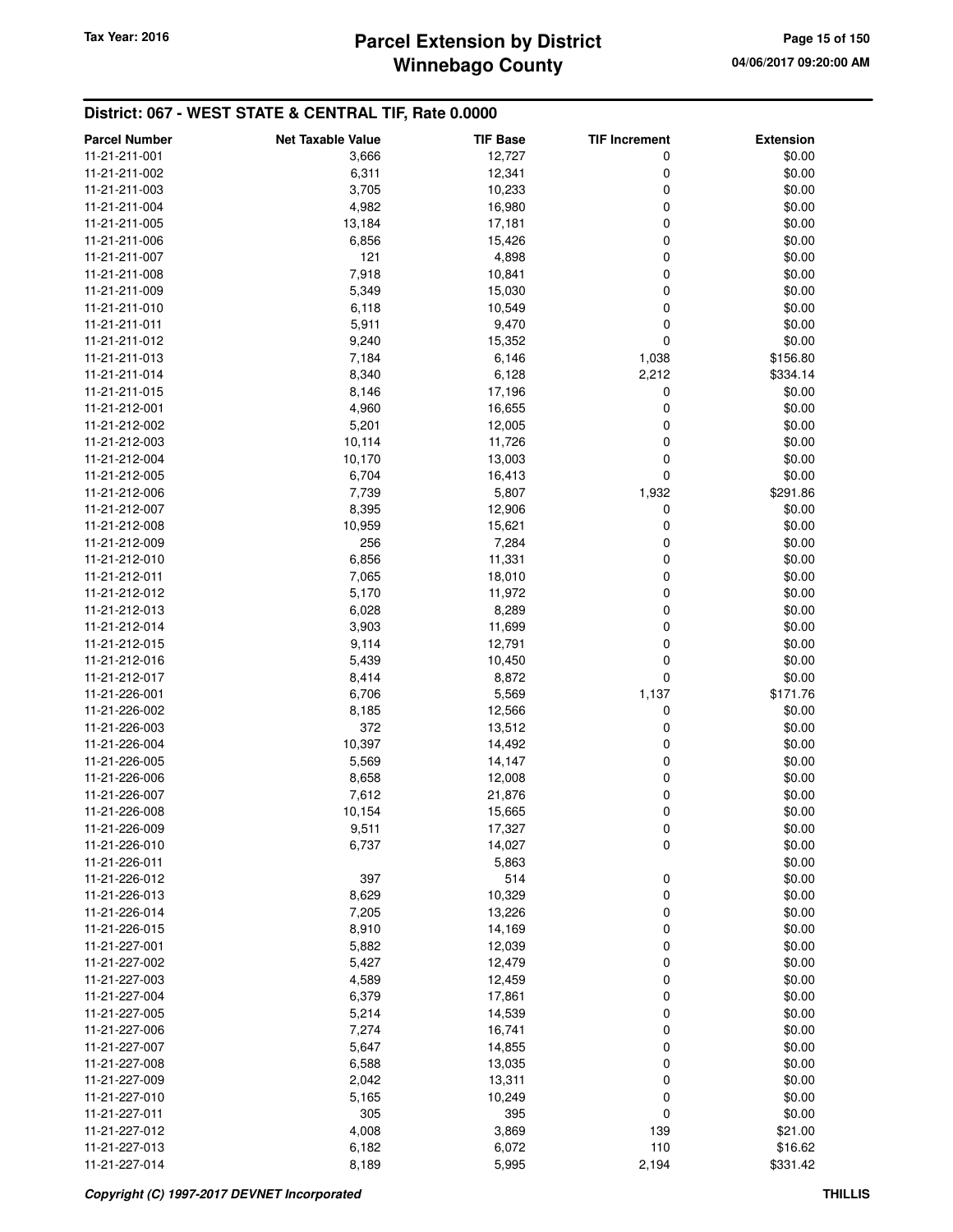# **Winnebago County Parcel Extension by District Tax Year: 2016 Page 15 of 150**

| <b>Parcel Number</b> | <b>Net Taxable Value</b> | <b>TIF Base</b> | <b>TIF Increment</b> | <b>Extension</b> |
|----------------------|--------------------------|-----------------|----------------------|------------------|
| 11-21-211-001        | 3,666                    | 12,727          | 0                    | \$0.00           |
| 11-21-211-002        | 6,311                    | 12,341          | 0                    | \$0.00           |
| 11-21-211-003        | 3,705                    | 10,233          | 0                    | \$0.00           |
| 11-21-211-004        | 4,982                    | 16,980          | 0                    | \$0.00           |
| 11-21-211-005        | 13,184                   | 17,181          | 0                    | \$0.00           |
| 11-21-211-006        | 6,856                    | 15,426          | 0                    | \$0.00           |
| 11-21-211-007        | 121                      | 4,898           | 0                    | \$0.00           |
| 11-21-211-008        | 7,918                    | 10,841          | 0                    | \$0.00           |
| 11-21-211-009        | 5,349                    | 15,030          | 0                    | \$0.00           |
| 11-21-211-010        | 6,118                    | 10,549          | 0                    | \$0.00           |
| 11-21-211-011        | 5,911                    | 9,470           | 0                    | \$0.00           |
| 11-21-211-012        | 9,240                    | 15,352          | $\mathbf 0$          | \$0.00           |
| 11-21-211-013        | 7,184                    | 6,146           | 1,038                | \$156.80         |
| 11-21-211-014        | 8,340                    | 6,128           | 2,212                | \$334.14         |
| 11-21-211-015        | 8,146                    | 17,196          | 0                    | \$0.00           |
| 11-21-212-001        | 4,960                    | 16,655          | 0                    | \$0.00           |
| 11-21-212-002        | 5,201                    | 12,005          | 0                    | \$0.00           |
| 11-21-212-003        | 10,114                   | 11,726          | 0                    | \$0.00           |
| 11-21-212-004        | 10,170                   | 13,003          | 0                    | \$0.00           |
| 11-21-212-005        | 6,704                    | 16,413          | 0                    | \$0.00           |
| 11-21-212-006        | 7,739                    | 5,807           | 1,932                | \$291.86         |
| 11-21-212-007        | 8,395                    | 12,906          | 0                    | \$0.00           |
| 11-21-212-008        | 10,959                   | 15,621          | 0                    | \$0.00           |
| 11-21-212-009        | 256                      | 7,284           | 0                    | \$0.00           |
| 11-21-212-010        | 6,856                    | 11,331          | 0                    | \$0.00           |
| 11-21-212-011        | 7,065                    | 18,010          | 0                    | \$0.00           |
| 11-21-212-012        | 5,170                    | 11,972          | 0                    | \$0.00           |
| 11-21-212-013        | 6,028                    | 8,289           | 0                    | \$0.00           |
| 11-21-212-014        | 3,903                    | 11,699          | 0                    | \$0.00           |
| 11-21-212-015        | 9,114                    | 12,791          | 0                    | \$0.00           |
| 11-21-212-016        | 5,439                    | 10,450          | $\mathbf 0$          | \$0.00           |
| 11-21-212-017        | 8,414                    | 8,872           | $\mathbf 0$          | \$0.00           |
| 11-21-226-001        | 6,706                    | 5,569           | 1,137                | \$171.76         |
| 11-21-226-002        | 8,185                    | 12,566          | 0                    | \$0.00           |
| 11-21-226-003        | 372                      | 13,512          | 0                    | \$0.00           |
| 11-21-226-004        | 10,397                   | 14,492          | 0                    | \$0.00           |
| 11-21-226-005        | 5,569                    | 14,147          | 0                    | \$0.00           |
| 11-21-226-006        | 8,658                    | 12,008          | 0                    | \$0.00           |
| 11-21-226-007        | 7,612                    | 21,876          | 0                    | \$0.00           |
| 11-21-226-008        | 10,154                   | 15,665          | 0                    | \$0.00           |
| 11-21-226-009        | 9,511                    | 17,327          | 0                    | \$0.00           |
| 11-21-226-010        | 6,737                    | 14,027          | $\mathbf 0$          | \$0.00           |
| 11-21-226-011        |                          | 5,863           |                      | \$0.00           |
| 11-21-226-012        | 397                      | 514             | 0                    | \$0.00           |
| 11-21-226-013        | 8,629                    | 10,329          | 0                    | \$0.00           |
| 11-21-226-014        | 7,205                    | 13,226          | $\mathbf 0$          | \$0.00           |
| 11-21-226-015        | 8,910                    | 14,169          | 0                    | \$0.00           |
| 11-21-227-001        | 5,882                    | 12,039          | 0                    | \$0.00           |
| 11-21-227-002        | 5,427                    | 12,479          | 0                    | \$0.00           |
| 11-21-227-003        | 4,589                    | 12,459          | 0                    | \$0.00           |
| 11-21-227-004        | 6,379                    | 17,861          | 0                    | \$0.00           |
| 11-21-227-005        | 5,214                    | 14,539          | 0                    | \$0.00           |
| 11-21-227-006        | 7,274                    | 16,741          | 0                    | \$0.00           |
| 11-21-227-007        | 5,647                    | 14,855          | 0                    | \$0.00           |
| 11-21-227-008        | 6,588                    | 13,035          | 0                    | \$0.00           |
| 11-21-227-009        | 2,042                    | 13,311          | 0                    | \$0.00           |
| 11-21-227-010        | 5,165                    | 10,249          | 0                    | \$0.00           |
| 11-21-227-011        | 305                      | 395             | $\mathbf 0$          | \$0.00           |
| 11-21-227-012        | 4,008                    | 3,869           | 139                  | \$21.00          |
| 11-21-227-013        | 6,182                    | 6,072           | 110                  | \$16.62          |
| 11-21-227-014        | 8,189                    | 5,995           | 2,194                | \$331.42         |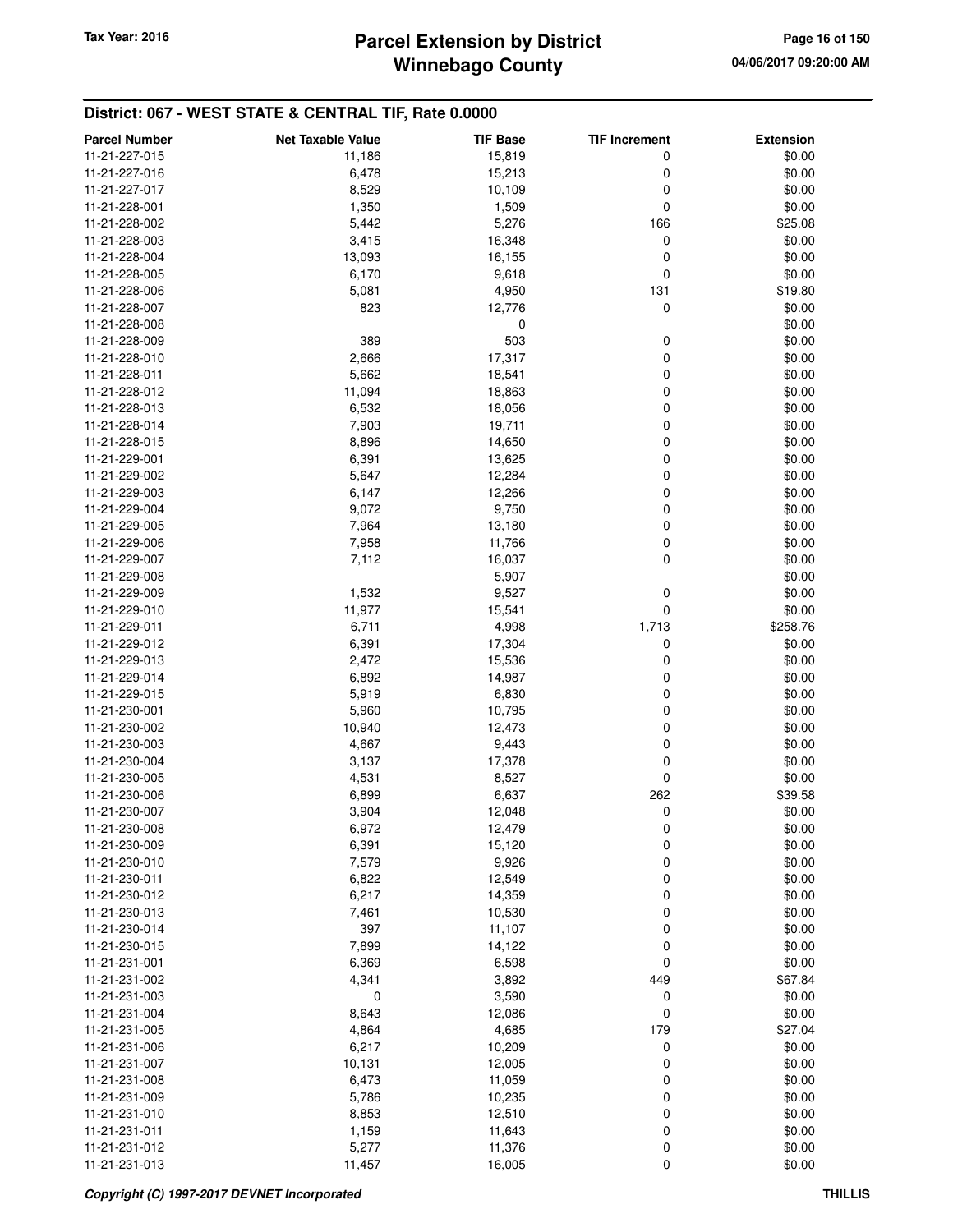# **Winnebago County Parcel Extension by District Tax Year: 2016 Page 16 of 150**

| <b>Parcel Number</b>           | <b>Net Taxable Value</b> | <b>TIF Base</b>  | <b>TIF Increment</b> | <b>Extension</b>  |
|--------------------------------|--------------------------|------------------|----------------------|-------------------|
| 11-21-227-015                  | 11,186                   | 15,819           | 0                    | \$0.00            |
| 11-21-227-016                  | 6,478                    | 15,213           | 0                    | \$0.00            |
| 11-21-227-017                  | 8,529                    | 10,109           | 0                    | \$0.00            |
| 11-21-228-001                  | 1,350                    | 1,509            | $\mathbf 0$          | \$0.00            |
| 11-21-228-002                  | 5,442                    | 5,276            | 166                  | \$25.08           |
| 11-21-228-003                  | 3,415                    | 16,348           | $\mathbf 0$          | \$0.00            |
| 11-21-228-004                  | 13,093                   | 16,155           | 0                    | \$0.00            |
| 11-21-228-005                  | 6,170                    | 9,618            | 0                    | \$0.00            |
| 11-21-228-006                  | 5,081                    | 4,950            | 131                  | \$19.80           |
| 11-21-228-007                  | 823                      | 12,776           | $\mathbf 0$          | \$0.00            |
| 11-21-228-008                  |                          | 0                |                      | \$0.00            |
| 11-21-228-009                  | 389                      | 503              | 0                    | \$0.00            |
| 11-21-228-010                  | 2,666                    | 17,317           | 0                    | \$0.00            |
| 11-21-228-011                  | 5,662                    | 18,541           | 0                    | \$0.00            |
| 11-21-228-012                  | 11,094                   | 18,863           | 0                    | \$0.00            |
| 11-21-228-013                  | 6,532                    | 18,056           | 0                    | \$0.00            |
| 11-21-228-014                  | 7,903                    | 19,711           | 0                    | \$0.00            |
| 11-21-228-015                  | 8,896                    | 14,650           | 0                    | \$0.00            |
| 11-21-229-001                  | 6,391                    | 13,625           | 0                    | \$0.00            |
| 11-21-229-002                  | 5,647                    | 12,284           | 0                    | \$0.00            |
| 11-21-229-003                  | 6,147                    | 12,266           | 0                    | \$0.00            |
| 11-21-229-004                  | 9,072                    | 9,750            | 0                    | \$0.00            |
| 11-21-229-005                  | 7,964                    | 13,180           | 0                    | \$0.00            |
| 11-21-229-006                  | 7,958                    | 11,766           | 0                    | \$0.00            |
| 11-21-229-007                  | 7,112                    | 16,037           | 0                    | \$0.00            |
| 11-21-229-008                  |                          | 5,907            |                      | \$0.00            |
| 11-21-229-009                  | 1,532                    | 9,527            | 0                    | \$0.00            |
| 11-21-229-010                  | 11,977                   | 15,541           | $\mathbf 0$          | \$0.00            |
| 11-21-229-011                  | 6,711                    | 4,998            | 1,713                | \$258.76          |
| 11-21-229-012                  | 6,391                    | 17,304           | 0                    | \$0.00            |
| 11-21-229-013                  | 2,472                    | 15,536           | 0                    | \$0.00            |
| 11-21-229-014                  | 6,892                    | 14,987           | 0                    | \$0.00            |
| 11-21-229-015                  | 5,919                    | 6,830            | 0                    | \$0.00            |
| 11-21-230-001                  | 5,960                    | 10,795           | 0                    | \$0.00            |
| 11-21-230-002                  | 10,940                   | 12,473           | 0                    | \$0.00            |
| 11-21-230-003                  | 4,667                    | 9,443            | 0                    | \$0.00            |
| 11-21-230-004                  | 3,137                    | 17,378           | 0                    | \$0.00            |
| 11-21-230-005                  | 4,531                    | 8,527            | 0                    | \$0.00            |
| 11-21-230-006                  | 6,899                    | 6,637            | 262                  | \$39.58           |
| 11-21-230-007                  | 3,904                    | 12,048           | 0                    | \$0.00            |
| 11-21-230-008                  | 6,972                    | 12,479           | 0                    | \$0.00            |
| 11-21-230-009                  | 6,391                    | 15,120           | 0                    | \$0.00            |
| 11-21-230-010                  | 7,579                    | 9,926            | 0                    | \$0.00            |
| 11-21-230-011                  | 6,822                    | 12,549           | 0                    | \$0.00            |
| 11-21-230-012                  | 6,217                    | 14,359           | 0                    | \$0.00            |
| 11-21-230-013                  | 7,461                    | 10,530           | 0                    | \$0.00            |
| 11-21-230-014                  | 397                      | 11,107           | 0                    | \$0.00            |
| 11-21-230-015                  | 7,899                    | 14,122           | 0                    | \$0.00            |
| 11-21-231-001                  | 6,369                    | 6,598            | $\mathbf 0$          | \$0.00            |
| 11-21-231-002                  | 4,341                    | 3,892            | 449                  | \$67.84           |
| 11-21-231-003                  | 0                        | 3,590            | 0                    | \$0.00            |
| 11-21-231-004<br>11-21-231-005 | 8,643<br>4,864           | 12,086<br>4,685  | 0<br>179             | \$0.00<br>\$27.04 |
| 11-21-231-006                  | 6,217                    | 10,209           | 0                    | \$0.00            |
|                                |                          |                  | 0                    | \$0.00            |
| 11-21-231-007<br>11-21-231-008 | 10,131<br>6,473          | 12,005<br>11,059 | 0                    | \$0.00            |
| 11-21-231-009                  | 5,786                    | 10,235           | 0                    | \$0.00            |
| 11-21-231-010                  | 8,853                    | 12,510           | 0                    | \$0.00            |
| 11-21-231-011                  | 1,159                    | 11,643           | 0                    | \$0.00            |
| 11-21-231-012                  | 5,277                    | 11,376           | 0                    | \$0.00            |
| 11-21-231-013                  | 11,457                   | 16,005           | 0                    | \$0.00            |
|                                |                          |                  |                      |                   |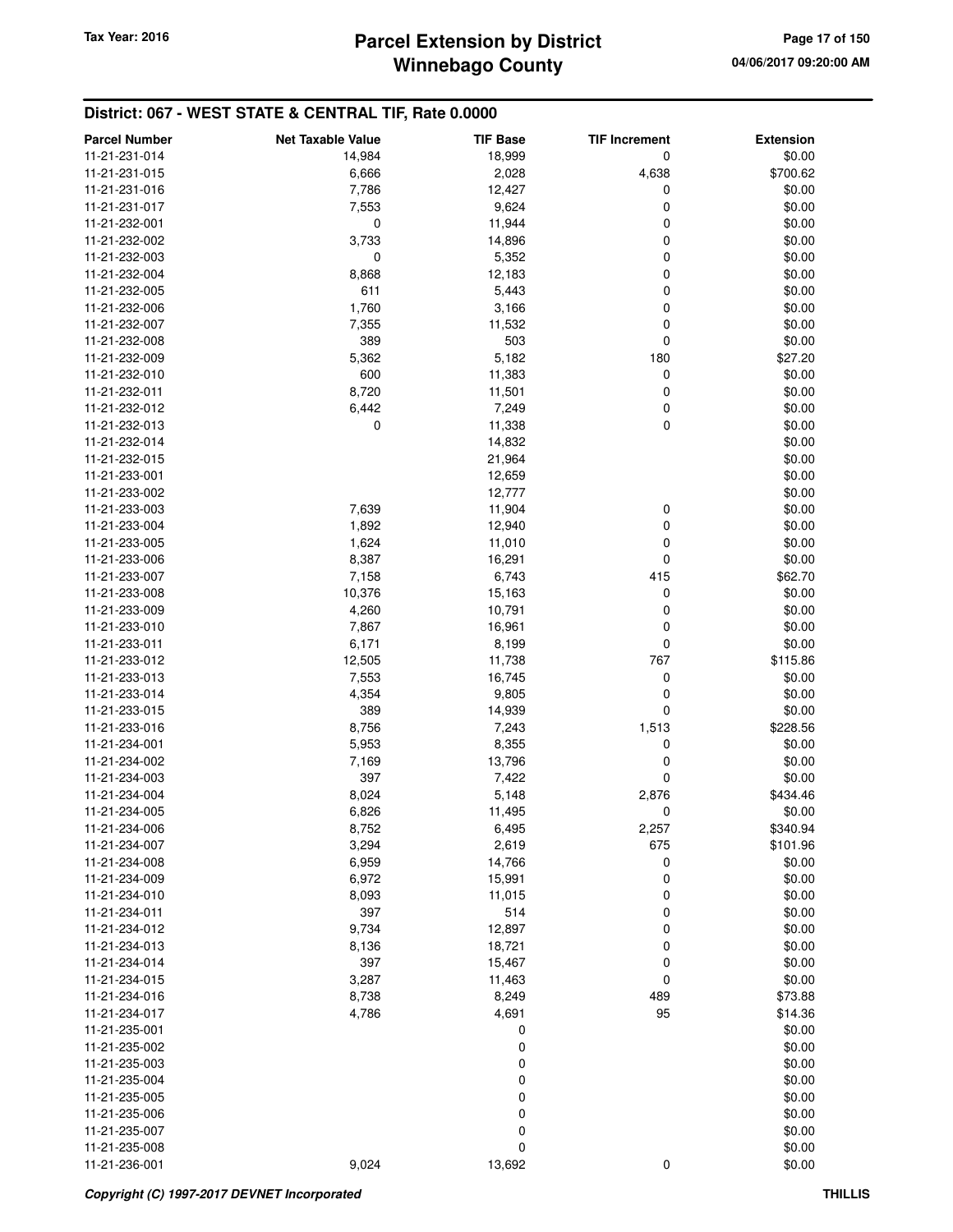# **Winnebago County** Tax Year: 2016 **Parcel Extension by District Page 17 of 150**

| <b>Parcel Number</b> | <b>Net Taxable Value</b> | <b>TIF Base</b> | <b>TIF Increment</b> | <b>Extension</b> |
|----------------------|--------------------------|-----------------|----------------------|------------------|
| 11-21-231-014        | 14,984                   | 18,999          | 0                    | \$0.00           |
| 11-21-231-015        | 6,666                    | 2,028           | 4,638                | \$700.62         |
| 11-21-231-016        | 7,786                    | 12,427          | 0                    | \$0.00           |
| 11-21-231-017        | 7,553                    | 9,624           | 0                    | \$0.00           |
| 11-21-232-001        | 0                        | 11,944          | 0                    | \$0.00           |
| 11-21-232-002        | 3,733                    | 14,896          | 0                    | \$0.00           |
| 11-21-232-003        | 0                        | 5,352           | 0                    | \$0.00           |
| 11-21-232-004        | 8,868                    | 12,183          | 0                    | \$0.00           |
| 11-21-232-005        | 611                      | 5,443           | 0                    | \$0.00           |
| 11-21-232-006        | 1,760                    | 3,166           | 0                    | \$0.00           |
| 11-21-232-007        | 7,355                    | 11,532          | 0                    | \$0.00           |
| 11-21-232-008        | 389                      | 503             | $\mathbf 0$          | \$0.00           |
| 11-21-232-009        | 5,362                    | 5,182           | 180                  | \$27.20          |
| 11-21-232-010        | 600                      | 11,383          | 0                    | \$0.00           |
| 11-21-232-011        | 8,720                    | 11,501          | 0                    | \$0.00           |
| 11-21-232-012        | 6,442                    | 7,249           | 0                    | \$0.00           |
| 11-21-232-013        | $\mathbf 0$              | 11,338          | 0                    | \$0.00           |
| 11-21-232-014        |                          | 14,832          |                      | \$0.00           |
| 11-21-232-015        |                          | 21,964          |                      | \$0.00           |
| 11-21-233-001        |                          | 12,659          |                      | \$0.00           |
| 11-21-233-002        |                          | 12,777          |                      | \$0.00           |
| 11-21-233-003        | 7,639                    | 11,904          |                      | \$0.00           |
| 11-21-233-004        | 1,892                    | 12,940          | 0<br>0               | \$0.00           |
|                      |                          |                 | $\mathbf 0$          | \$0.00           |
| 11-21-233-005        | 1,624                    | 11,010          | 0                    |                  |
| 11-21-233-006        | 8,387                    | 16,291          |                      | \$0.00           |
| 11-21-233-007        | 7,158                    | 6,743           | 415                  | \$62.70          |
| 11-21-233-008        | 10,376                   | 15,163          | 0                    | \$0.00           |
| 11-21-233-009        | 4,260                    | 10,791          | 0                    | \$0.00           |
| 11-21-233-010        | 7,867                    | 16,961          | 0                    | \$0.00           |
| 11-21-233-011        | 6,171                    | 8,199           | 0                    | \$0.00           |
| 11-21-233-012        | 12,505                   | 11,738          | 767                  | \$115.86         |
| 11-21-233-013        | 7,553                    | 16,745          | 0                    | \$0.00           |
| 11-21-233-014        | 4,354                    | 9,805           | 0                    | \$0.00           |
| 11-21-233-015        | 389                      | 14,939          | 0                    | \$0.00           |
| 11-21-233-016        | 8,756                    | 7,243           | 1,513                | \$228.56         |
| 11-21-234-001        | 5,953                    | 8,355           | 0                    | \$0.00           |
| 11-21-234-002        | 7,169                    | 13,796          | 0                    | \$0.00           |
| 11-21-234-003        | 397                      | 7,422           | 0                    | \$0.00           |
| 11-21-234-004        | 8,024                    | 5,148           | 2,876                | \$434.46         |
| 11-21-234-005        | 6,826                    | 11,495          | 0                    | \$0.00           |
| 11-21-234-006        | 8,752                    | 6,495           | 2,257                | \$340.94         |
| 11-21-234-007        | 3,294                    | 2,619           | 675                  | \$101.96         |
| 11-21-234-008        | 6,959                    | 14,766          | 0                    | \$0.00           |
| 11-21-234-009        | 6,972                    | 15,991          | 0                    | \$0.00           |
| 11-21-234-010        | 8,093                    | 11,015          | 0                    | \$0.00           |
| 11-21-234-011        | 397                      | 514             | 0                    | \$0.00           |
| 11-21-234-012        | 9,734                    | 12,897          | 0                    | \$0.00           |
| 11-21-234-013        | 8,136                    | 18,721          | 0                    | \$0.00           |
| 11-21-234-014        | 397                      | 15,467          | 0                    | \$0.00           |
| 11-21-234-015        | 3,287                    | 11,463          | $\mathbf 0$          | \$0.00           |
| 11-21-234-016        | 8,738                    | 8,249           | 489                  | \$73.88          |
| 11-21-234-017        | 4,786                    | 4,691           | 95                   | \$14.36          |
| 11-21-235-001        |                          | 0               |                      | \$0.00           |
| 11-21-235-002        |                          | 0               |                      | \$0.00           |
| 11-21-235-003        |                          | 0               |                      | \$0.00           |
| 11-21-235-004        |                          | 0               |                      | \$0.00           |
| 11-21-235-005        |                          | 0               |                      | \$0.00           |
| 11-21-235-006        |                          | 0               |                      | \$0.00           |
| 11-21-235-007        |                          | 0               |                      | \$0.00           |
| 11-21-235-008        |                          | 0               |                      | \$0.00           |
| 11-21-236-001        | 9,024                    | 13,692          | $\mathbf 0$          | \$0.00           |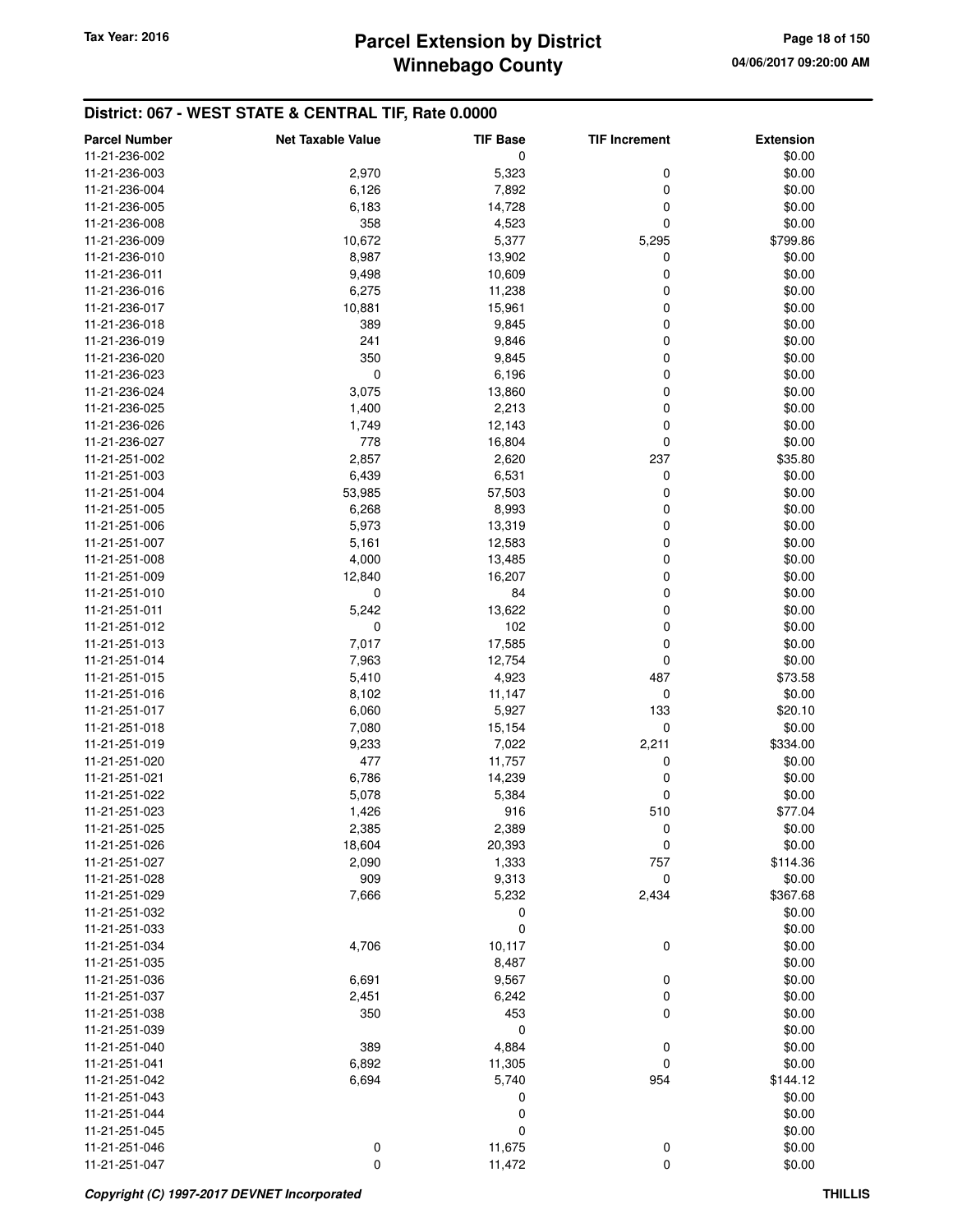| <b>Parcel Number</b> | <b>Net Taxable Value</b> | <b>TIF Base</b> | <b>TIF Increment</b> | <b>Extension</b> |
|----------------------|--------------------------|-----------------|----------------------|------------------|
| 11-21-236-002        |                          | 0               |                      | \$0.00           |
| 11-21-236-003        | 2,970                    | 5,323           | 0                    | \$0.00           |
| 11-21-236-004        | 6,126                    | 7,892           | 0                    | \$0.00           |
| 11-21-236-005        | 6,183                    | 14,728          | 0                    | \$0.00           |
| 11-21-236-008        | 358                      | 4,523           | 0                    | \$0.00           |
| 11-21-236-009        | 10,672                   | 5,377           | 5,295                | \$799.86         |
| 11-21-236-010        | 8,987                    | 13,902          | 0                    | \$0.00           |
| 11-21-236-011        | 9,498                    | 10,609          | 0                    | \$0.00           |
| 11-21-236-016        | 6,275                    | 11,238          | 0                    | \$0.00           |
|                      |                          |                 |                      |                  |
| 11-21-236-017        | 10,881                   | 15,961          | 0                    | \$0.00           |
| 11-21-236-018        | 389                      | 9,845           | 0                    | \$0.00           |
| 11-21-236-019        | 241                      | 9,846           | 0                    | \$0.00           |
| 11-21-236-020        | 350                      | 9,845           | 0                    | \$0.00           |
| 11-21-236-023        | 0                        | 6,196           | 0                    | \$0.00           |
| 11-21-236-024        | 3,075                    | 13,860          | 0                    | \$0.00           |
| 11-21-236-025        | 1,400                    | 2,213           | 0                    | \$0.00           |
| 11-21-236-026        | 1,749                    | 12,143          | 0                    | \$0.00           |
| 11-21-236-027        | 778                      | 16,804          | $\mathbf 0$          | \$0.00           |
| 11-21-251-002        | 2,857                    | 2,620           | 237                  | \$35.80          |
| 11-21-251-003        | 6,439                    | 6,531           | 0                    | \$0.00           |
| 11-21-251-004        | 53,985                   | 57,503          | 0                    | \$0.00           |
| 11-21-251-005        | 6,268                    | 8,993           | 0                    | \$0.00           |
| 11-21-251-006        | 5,973                    | 13,319          | 0                    | \$0.00           |
| 11-21-251-007        | 5,161                    | 12,583          | 0                    | \$0.00           |
| 11-21-251-008        | 4,000                    | 13,485          | 0                    | \$0.00           |
| 11-21-251-009        | 12,840                   | 16,207          | 0                    | \$0.00           |
| 11-21-251-010        | 0                        | 84              | 0                    | \$0.00           |
| 11-21-251-011        | 5,242                    | 13,622          | 0                    | \$0.00           |
| 11-21-251-012        | 0                        | 102             | 0                    | \$0.00           |
| 11-21-251-013        | 7,017                    | 17,585          | 0                    | \$0.00           |
| 11-21-251-014        | 7,963                    | 12,754          | 0                    | \$0.00           |
| 11-21-251-015        | 5,410                    | 4,923           | 487                  | \$73.58          |
| 11-21-251-016        | 8,102                    | 11,147          | 0                    | \$0.00           |
| 11-21-251-017        | 6,060                    | 5,927           | 133                  | \$20.10          |
| 11-21-251-018        | 7,080                    | 15,154          | $\mathbf 0$          | \$0.00           |
| 11-21-251-019        | 9,233                    | 7,022           | 2,211                | \$334.00         |
| 11-21-251-020        | 477                      | 11,757          | 0                    | \$0.00           |
| 11-21-251-021        | 6,786                    | 14,239          | 0                    | \$0.00           |
| 11-21-251-022        | 5,078                    | 5,384           | 0                    | \$0.00           |
| 11-21-251-023        | 1,426                    | 916             | 510                  | \$77.04          |
| 11-21-251-025        | 2,385                    | 2,389           | 0                    | \$0.00           |
| 11-21-251-026        | 18,604                   | 20,393          | 0                    | \$0.00           |
| 11-21-251-027        | 2,090                    | 1,333           | 757                  | \$114.36         |
| 11-21-251-028        | 909                      | 9,313           | 0                    | \$0.00           |
|                      |                          |                 | 2,434                |                  |
| 11-21-251-029        | 7,666                    | 5,232           |                      | \$367.68         |
| 11-21-251-032        |                          | 0               |                      | \$0.00           |
| 11-21-251-033        |                          | $\mathbf 0$     |                      | \$0.00           |
| 11-21-251-034        | 4,706                    | 10,117          | 0                    | \$0.00           |
| 11-21-251-035        |                          | 8,487           |                      | \$0.00           |
| 11-21-251-036        | 6,691                    | 9,567           | $\boldsymbol{0}$     | \$0.00           |
| 11-21-251-037        | 2,451                    | 6,242           | 0                    | \$0.00           |
| 11-21-251-038        | 350                      | 453             | 0                    | \$0.00           |
| 11-21-251-039        |                          | 0               |                      | \$0.00           |
| 11-21-251-040        | 389                      | 4,884           | 0                    | \$0.00           |
| 11-21-251-041        | 6,892                    | 11,305          | 0                    | \$0.00           |
| 11-21-251-042        | 6,694                    | 5,740           | 954                  | \$144.12         |
| 11-21-251-043        |                          | 0               |                      | \$0.00           |
| 11-21-251-044        |                          | 0               |                      | \$0.00           |
| 11-21-251-045        |                          | 0               |                      | \$0.00           |
| 11-21-251-046        | 0                        | 11,675          | $\boldsymbol{0}$     | \$0.00           |
| 11-21-251-047        | $\mathbf 0$              | 11,472          | 0                    | \$0.00           |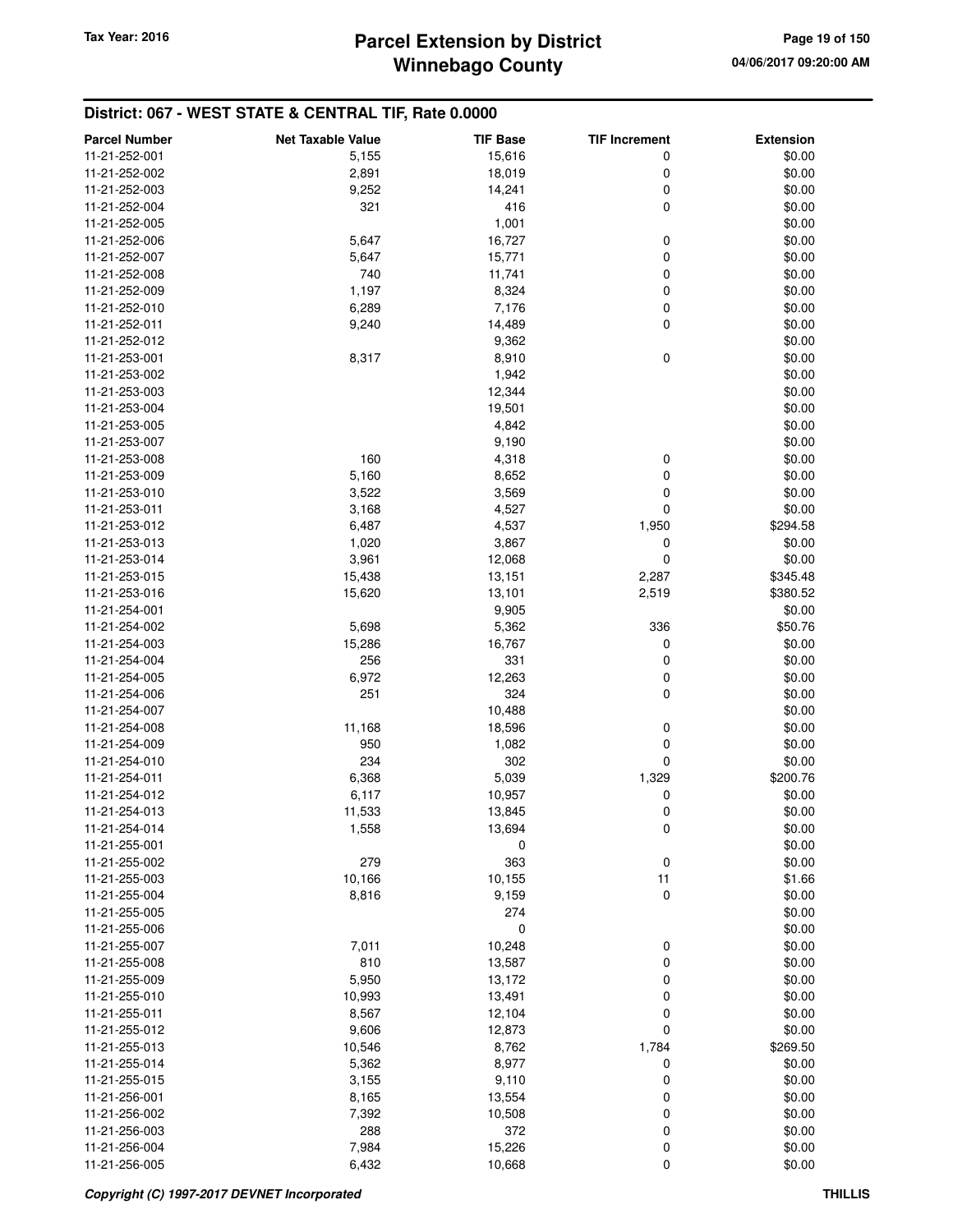| <b>Parcel Number</b>           | <b>Net Taxable Value</b> | <b>TIF Base</b>  | <b>TIF Increment</b> | <b>Extension</b>   |
|--------------------------------|--------------------------|------------------|----------------------|--------------------|
| 11-21-252-001                  | 5,155                    | 15,616           | 0                    | \$0.00             |
| 11-21-252-002                  | 2,891                    | 18,019           | 0                    | \$0.00             |
| 11-21-252-003                  | 9,252                    | 14,241           | 0                    | \$0.00             |
| 11-21-252-004                  | 321                      | 416              | 0                    | \$0.00             |
| 11-21-252-005                  |                          | 1,001            |                      | \$0.00             |
| 11-21-252-006                  | 5,647                    | 16,727           | 0                    | \$0.00             |
| 11-21-252-007                  | 5,647                    | 15,771           | 0                    | \$0.00             |
| 11-21-252-008                  | 740                      | 11,741           | 0                    | \$0.00             |
| 11-21-252-009                  | 1,197                    | 8,324            | 0                    | \$0.00             |
| 11-21-252-010                  | 6,289                    | 7,176            | 0                    | \$0.00             |
| 11-21-252-011                  | 9,240                    | 14,489           | 0                    | \$0.00             |
| 11-21-252-012                  |                          | 9,362            |                      | \$0.00             |
| 11-21-253-001                  | 8,317                    | 8,910            | 0                    | \$0.00             |
| 11-21-253-002                  |                          | 1,942            |                      | \$0.00             |
| 11-21-253-003                  |                          | 12,344           |                      | \$0.00             |
| 11-21-253-004                  |                          | 19,501           |                      | \$0.00             |
| 11-21-253-005                  |                          | 4,842            |                      | \$0.00             |
| 11-21-253-007                  |                          | 9,190            |                      | \$0.00             |
| 11-21-253-008                  | 160                      | 4,318            | 0                    | \$0.00             |
| 11-21-253-009                  | 5,160                    | 8,652            | 0                    | \$0.00             |
| 11-21-253-010                  | 3,522                    | 3,569            | 0                    | \$0.00             |
| 11-21-253-011                  | 3,168                    | 4,527            | 0                    | \$0.00             |
| 11-21-253-012                  | 6,487                    | 4,537            | 1,950                | \$294.58           |
| 11-21-253-013                  | 1,020                    | 3,867            | 0                    | \$0.00             |
| 11-21-253-014                  | 3,961                    | 12,068           | 0                    | \$0.00             |
| 11-21-253-015                  | 15,438                   | 13,151           | 2,287                | \$345.48           |
| 11-21-253-016                  | 15,620                   | 13,101           | 2,519                | \$380.52           |
| 11-21-254-001                  |                          | 9,905            |                      | \$0.00             |
| 11-21-254-002                  | 5,698                    | 5,362            | 336                  | \$50.76            |
| 11-21-254-003                  | 15,286                   | 16,767           | 0                    | \$0.00             |
| 11-21-254-004                  | 256                      | 331              | 0                    | \$0.00             |
| 11-21-254-005                  | 6,972                    | 12,263           | 0                    | \$0.00             |
| 11-21-254-006                  | 251                      | 324              | 0                    | \$0.00             |
| 11-21-254-007                  |                          | 10,488           |                      | \$0.00             |
| 11-21-254-008                  | 11,168                   | 18,596           | 0                    | \$0.00             |
| 11-21-254-009                  | 950                      | 1,082            | 0                    | \$0.00             |
| 11-21-254-010                  | 234                      | 302              | 0                    |                    |
| 11-21-254-011                  | 6,368                    | 5,039            | 1,329                | \$0.00<br>\$200.76 |
| 11-21-254-012                  | 6,117                    | 10,957           | 0                    | \$0.00             |
| 11-21-254-013                  | 11,533                   | 13,845           | 0                    | \$0.00             |
| 11-21-254-014                  |                          |                  |                      | \$0.00             |
| 11-21-255-001                  | 1,558                    | 13,694<br>0      | O                    | \$0.00             |
| 11-21-255-002                  | 279                      | 363              | $\pmb{0}$            | \$0.00             |
| 11-21-255-003                  | 10,166                   | 10,155           | 11                   | \$1.66             |
| 11-21-255-004                  | 8,816                    | 9,159            | 0                    | \$0.00             |
| 11-21-255-005                  |                          | 274              |                      | \$0.00             |
| 11-21-255-006                  |                          | 0                |                      | \$0.00             |
| 11-21-255-007                  | 7,011                    | 10,248           | 0                    | \$0.00             |
| 11-21-255-008                  | 810                      | 13,587           | 0                    | \$0.00             |
| 11-21-255-009                  | 5,950                    | 13,172           | 0                    | \$0.00             |
| 11-21-255-010                  |                          |                  | 0                    | \$0.00             |
| 11-21-255-011                  | 10,993<br>8,567          | 13,491<br>12,104 | 0                    | \$0.00             |
| 11-21-255-012                  | 9,606                    | 12,873           | 0                    | \$0.00             |
| 11-21-255-013                  | 10,546                   | 8,762            | 1,784                | \$269.50           |
| 11-21-255-014                  |                          |                  |                      |                    |
| 11-21-255-015                  | 5,362                    | 8,977            | 0                    | \$0.00             |
| 11-21-256-001                  | 3,155                    | 9,110<br>13,554  | 0                    | \$0.00<br>\$0.00   |
| 11-21-256-002                  | 8,165<br>7,392           | 10,508           | 0<br>0               | \$0.00             |
|                                | 288                      |                  |                      | \$0.00             |
| 11-21-256-003<br>11-21-256-004 |                          | 372              | 0                    | \$0.00             |
| 11-21-256-005                  | 7,984<br>6,432           | 15,226           | 0<br>0               | \$0.00             |
|                                |                          | 10,668           |                      |                    |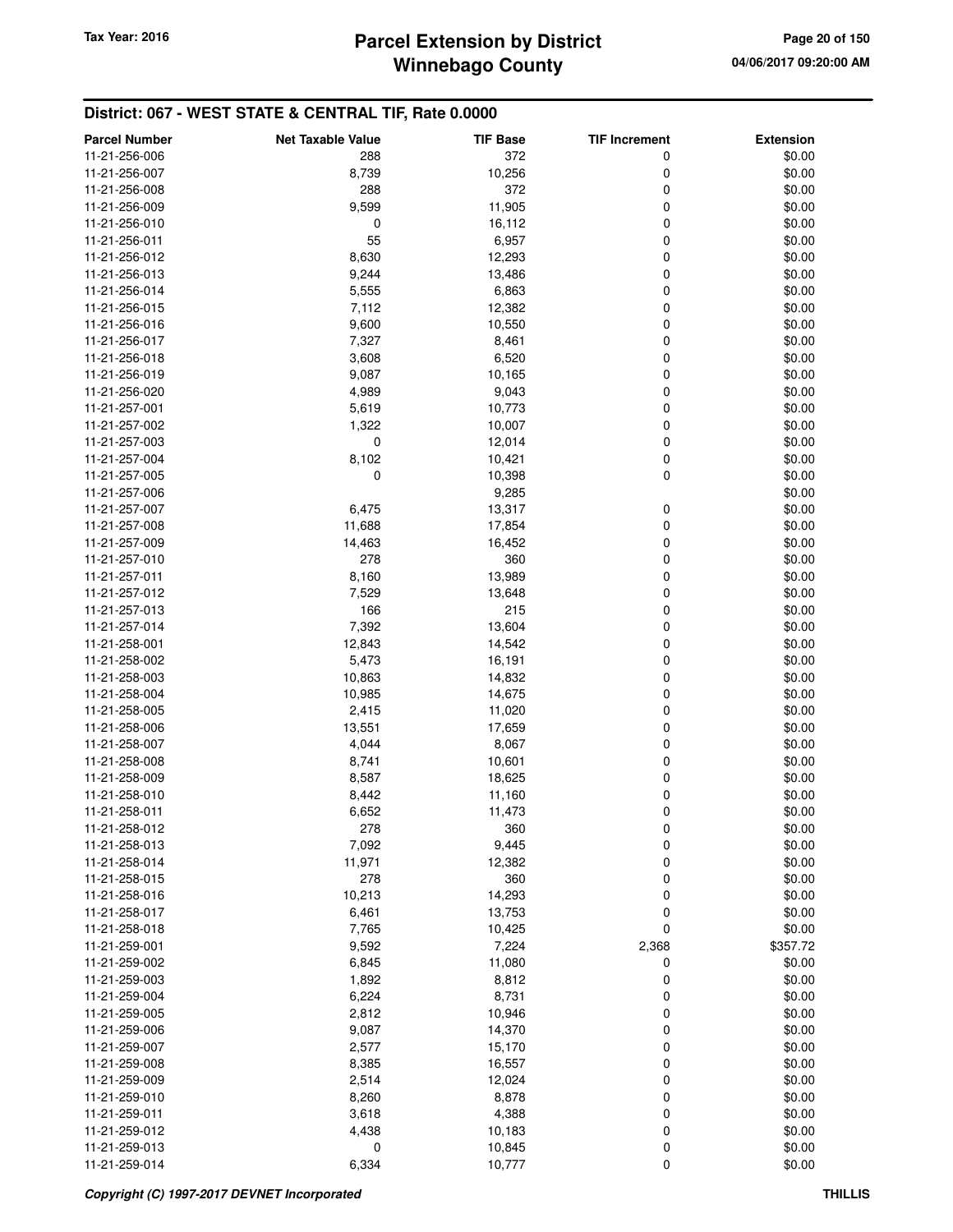| <b>Parcel Number</b> | <b>Net Taxable Value</b> | <b>TIF Base</b> | <b>TIF Increment</b> | <b>Extension</b> |
|----------------------|--------------------------|-----------------|----------------------|------------------|
| 11-21-256-006        | 288                      | 372             | 0                    | \$0.00           |
| 11-21-256-007        | 8,739                    | 10,256          | 0                    | \$0.00           |
| 11-21-256-008        | 288                      | 372             | 0                    | \$0.00           |
| 11-21-256-009        | 9,599                    | 11,905          | 0                    | \$0.00           |
| 11-21-256-010        | 0                        | 16,112          | 0                    | \$0.00           |
| 11-21-256-011        | 55                       | 6,957           | 0                    | \$0.00           |
| 11-21-256-012        | 8,630                    | 12,293          | 0                    | \$0.00           |
| 11-21-256-013        | 9,244                    | 13,486          | 0                    | \$0.00           |
| 11-21-256-014        | 5,555                    | 6,863           | 0                    | \$0.00           |
|                      |                          |                 |                      |                  |
| 11-21-256-015        | 7,112                    | 12,382          | 0                    | \$0.00           |
| 11-21-256-016        | 9,600                    | 10,550          | 0                    | \$0.00           |
| 11-21-256-017        | 7,327                    | 8,461           | 0                    | \$0.00           |
| 11-21-256-018        | 3,608                    | 6,520           | 0                    | \$0.00           |
| 11-21-256-019        | 9,087                    | 10,165          | 0                    | \$0.00           |
| 11-21-256-020        | 4,989                    | 9,043           | 0                    | \$0.00           |
| 11-21-257-001        | 5,619                    | 10,773          | 0                    | \$0.00           |
| 11-21-257-002        | 1,322                    | 10,007          | 0                    | \$0.00           |
| 11-21-257-003        | 0                        | 12,014          | 0                    | \$0.00           |
| 11-21-257-004        | 8,102                    | 10,421          | 0                    | \$0.00           |
| 11-21-257-005        | 0                        | 10,398          | 0                    | \$0.00           |
| 11-21-257-006        |                          | 9,285           |                      | \$0.00           |
| 11-21-257-007        | 6,475                    | 13,317          | 0                    | \$0.00           |
| 11-21-257-008        | 11,688                   | 17,854          | 0                    | \$0.00           |
| 11-21-257-009        | 14,463                   | 16,452          | 0                    | \$0.00           |
| 11-21-257-010        | 278                      | 360             | 0                    | \$0.00           |
| 11-21-257-011        | 8,160                    | 13,989          | 0                    | \$0.00           |
| 11-21-257-012        | 7,529                    | 13,648          | 0                    | \$0.00           |
| 11-21-257-013        | 166                      | 215             | 0                    | \$0.00           |
| 11-21-257-014        | 7,392                    | 13,604          | 0                    | \$0.00           |
| 11-21-258-001        | 12,843                   | 14,542          | 0                    | \$0.00           |
| 11-21-258-002        | 5,473                    | 16,191          | 0                    | \$0.00           |
| 11-21-258-003        | 10,863                   | 14,832          | 0                    | \$0.00           |
| 11-21-258-004        | 10,985                   | 14,675          | 0                    | \$0.00           |
| 11-21-258-005        | 2,415                    | 11,020          | 0                    | \$0.00           |
| 11-21-258-006        | 13,551                   | 17,659          | 0                    | \$0.00           |
| 11-21-258-007        | 4,044                    | 8,067           | 0                    | \$0.00           |
| 11-21-258-008        | 8,741                    | 10,601          | 0                    | \$0.00           |
| 11-21-258-009        | 8,587                    | 18,625          | 0                    | \$0.00           |
| 11-21-258-010        | 8,442                    | 11,160          | 0                    | \$0.00           |
| 11-21-258-011        | 6,652                    | 11,473          | 0                    | \$0.00           |
| 11-21-258-012        | 278                      | 360             | $\pmb{0}$            | \$0.00           |
| 11-21-258-013        | 7,092                    | 9,445           | 0                    | \$0.00           |
| 11-21-258-014        | 11,971                   | 12,382          | 0                    | \$0.00           |
| 11-21-258-015        | 278                      | 360             | 0                    | \$0.00           |
| 11-21-258-016        | 10,213                   | 14,293          | 0                    | \$0.00           |
|                      |                          |                 |                      |                  |
| 11-21-258-017        | 6,461                    | 13,753          | 0                    | \$0.00           |
| 11-21-258-018        | 7,765                    | 10,425          | $\mathbf 0$          | \$0.00           |
| 11-21-259-001        | 9,592                    | 7,224           | 2,368                | \$357.72         |
| 11-21-259-002        | 6,845                    | 11,080          | 0                    | \$0.00           |
| 11-21-259-003        | 1,892                    | 8,812           | 0                    | \$0.00           |
| 11-21-259-004        | 6,224                    | 8,731           | 0                    | \$0.00           |
| 11-21-259-005        | 2,812                    | 10,946          | 0                    | \$0.00           |
| 11-21-259-006        | 9,087                    | 14,370          | 0                    | \$0.00           |
| 11-21-259-007        | 2,577                    | 15,170          | 0                    | \$0.00           |
| 11-21-259-008        | 8,385                    | 16,557          | 0                    | \$0.00           |
| 11-21-259-009        | 2,514                    | 12,024          | 0                    | \$0.00           |
| 11-21-259-010        | 8,260                    | 8,878           | 0                    | \$0.00           |
| 11-21-259-011        | 3,618                    | 4,388           | 0                    | \$0.00           |
| 11-21-259-012        | 4,438                    | 10,183          | 0                    | \$0.00           |
| 11-21-259-013        | 0                        | 10,845          | 0                    | \$0.00           |
| 11-21-259-014        | 6,334                    | 10,777          | 0                    | \$0.00           |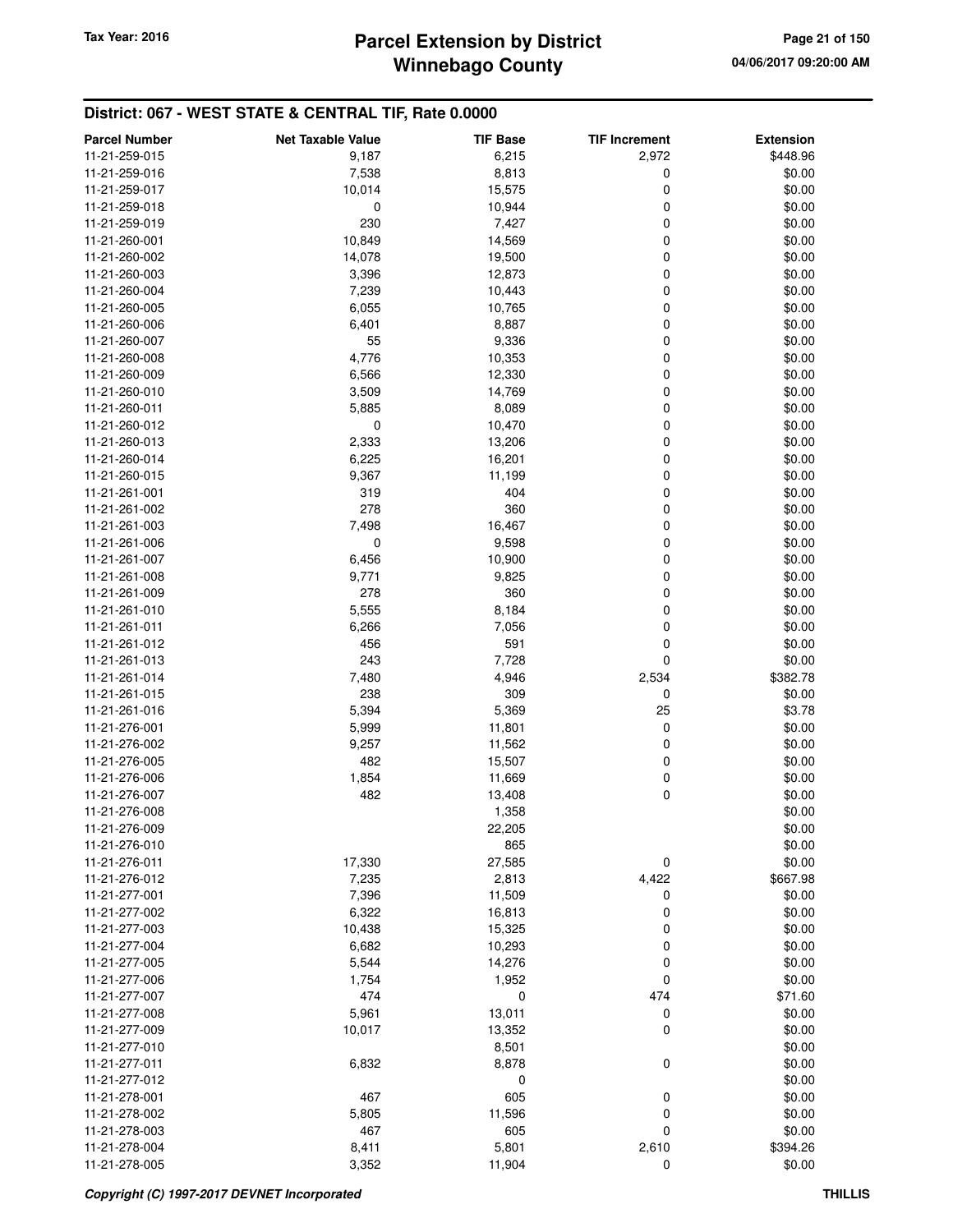# **Winnebago County Parcel Extension by District Tax Year: 2016 Page 21 of 150**

| <b>Parcel Number</b> | <b>Net Taxable Value</b> | <b>TIF Base</b> | <b>TIF Increment</b> | <b>Extension</b> |
|----------------------|--------------------------|-----------------|----------------------|------------------|
| 11-21-259-015        | 9,187                    | 6,215           | 2,972                | \$448.96         |
| 11-21-259-016        | 7,538                    | 8,813           | 0                    | \$0.00           |
| 11-21-259-017        | 10,014                   | 15,575          | $\mathbf 0$          | \$0.00           |
| 11-21-259-018        | 0                        | 10,944          | 0                    | \$0.00           |
| 11-21-259-019        | 230                      | 7,427           | 0                    | \$0.00           |
| 11-21-260-001        | 10,849                   | 14,569          | 0                    | \$0.00           |
| 11-21-260-002        | 14,078                   | 19,500          | 0                    | \$0.00           |
| 11-21-260-003        | 3,396                    | 12,873          | 0                    | \$0.00           |
| 11-21-260-004        | 7,239                    | 10,443          | 0                    | \$0.00           |
| 11-21-260-005        | 6,055                    | 10,765          | 0                    | \$0.00           |
| 11-21-260-006        | 6,401                    | 8,887           | 0                    | \$0.00           |
| 11-21-260-007        | 55                       | 9,336           | 0                    | \$0.00           |
| 11-21-260-008        | 4,776                    | 10,353          | 0                    | \$0.00           |
| 11-21-260-009        | 6,566                    | 12,330          | 0                    | \$0.00           |
| 11-21-260-010        | 3,509                    | 14,769          | 0                    | \$0.00           |
| 11-21-260-011        | 5,885                    | 8,089           | 0                    | \$0.00           |
| 11-21-260-012        | 0                        | 10,470          | 0                    | \$0.00           |
| 11-21-260-013        | 2,333                    | 13,206          | 0                    | \$0.00           |
| 11-21-260-014        | 6,225                    | 16,201          | 0                    | \$0.00           |
| 11-21-260-015        | 9,367                    | 11,199          | 0                    | \$0.00           |
| 11-21-261-001        | 319                      | 404             | 0                    | \$0.00           |
| 11-21-261-002        | 278                      | 360             | 0                    | \$0.00           |
| 11-21-261-003        | 7,498                    | 16,467          | 0                    | \$0.00           |
| 11-21-261-006        | 0                        | 9,598           | 0                    | \$0.00           |
| 11-21-261-007        | 6,456                    | 10,900          | 0                    | \$0.00           |
| 11-21-261-008        | 9,771                    | 9,825           | 0                    | \$0.00           |
| 11-21-261-009        | 278                      | 360             | 0                    | \$0.00           |
| 11-21-261-010        | 5,555                    | 8,184           | 0                    | \$0.00           |
| 11-21-261-011        | 6,266                    | 7,056           | 0                    | \$0.00           |
| 11-21-261-012        | 456                      | 591             | 0                    | \$0.00           |
| 11-21-261-013        | 243                      | 7,728           | $\mathbf 0$          | \$0.00           |
| 11-21-261-014        | 7,480                    | 4,946           | 2,534                | \$382.78         |
| 11-21-261-015        | 238                      | 309             | 0                    | \$0.00           |
| 11-21-261-016        | 5,394                    | 5,369           | 25                   | \$3.78           |
| 11-21-276-001        | 5,999                    | 11,801          | 0                    | \$0.00           |
| 11-21-276-002        | 9,257                    | 11,562          | 0                    | \$0.00           |
| 11-21-276-005        | 482                      | 15,507          | 0                    | \$0.00           |
| 11-21-276-006        | 1,854                    | 11,669          | 0                    | \$0.00           |
| 11-21-276-007        | 482                      | 13,408          | 0                    | \$0.00           |
| 11-21-276-008        |                          | 1,358           |                      | \$0.00           |
| 11-21-276-009        |                          | 22,205          |                      | \$0.00           |
| 11-21-276-010        |                          | 865             |                      | \$0.00           |
| 11-21-276-011        | 17,330                   | 27,585          | 0                    | \$0.00           |
| 11-21-276-012        | 7,235                    | 2,813           | 4,422                | \$667.98         |
| 11-21-277-001        | 7,396                    | 11,509          | 0                    | \$0.00           |
| 11-21-277-002        | 6,322                    | 16,813          | 0                    | \$0.00           |
| 11-21-277-003        | 10,438                   | 15,325          | 0                    | \$0.00           |
| 11-21-277-004        | 6,682                    | 10,293          | 0                    | \$0.00           |
| 11-21-277-005        | 5,544                    | 14,276          | 0                    | \$0.00           |
| 11-21-277-006        | 1,754                    | 1,952           | 0                    | \$0.00           |
| 11-21-277-007        | 474                      | 0               | 474                  | \$71.60          |
| 11-21-277-008        | 5,961                    | 13,011          | 0                    | \$0.00           |
| 11-21-277-009        | 10,017                   | 13,352          | 0                    | \$0.00           |
| 11-21-277-010        |                          | 8,501           |                      | \$0.00           |
| 11-21-277-011        | 6,832                    | 8,878           | $\mathbf 0$          | \$0.00           |
| 11-21-277-012        |                          | 0               |                      | \$0.00           |
| 11-21-278-001        | 467                      | 605             | 0                    | \$0.00           |
| 11-21-278-002        | 5,805                    | 11,596          | 0                    | \$0.00           |
| 11-21-278-003        | 467                      | 605             | 0                    | \$0.00           |
| 11-21-278-004        | 8,411                    | 5,801           | 2,610                | \$394.26         |
| 11-21-278-005        | 3,352                    | 11,904          | $\mathbf 0$          | \$0.00           |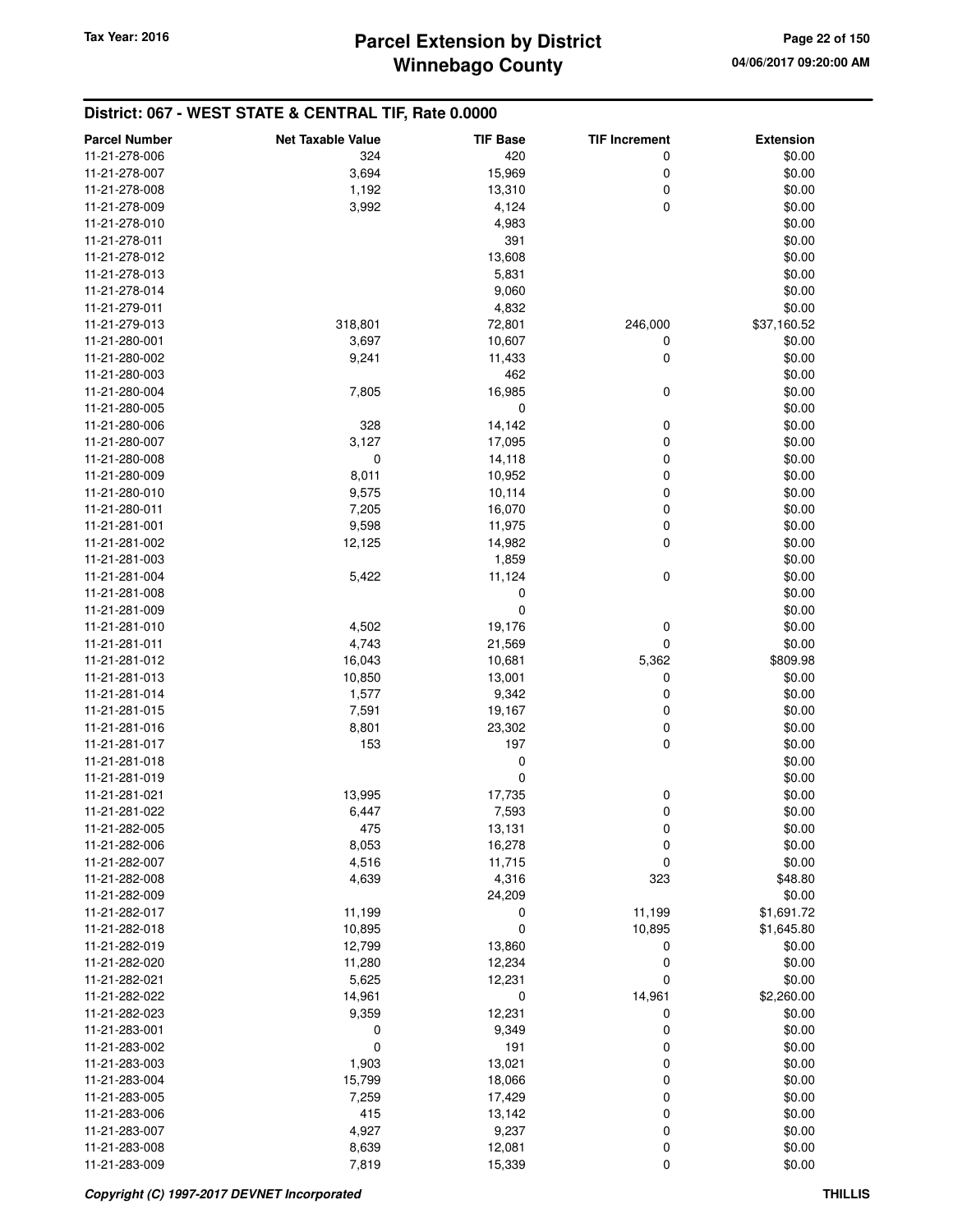| <b>Parcel Number</b> | <b>Net Taxable Value</b> | <b>TIF Base</b> | <b>TIF Increment</b> | <b>Extension</b> |
|----------------------|--------------------------|-----------------|----------------------|------------------|
| 11-21-278-006        | 324                      | 420             | 0                    | \$0.00           |
| 11-21-278-007        | 3,694                    | 15,969          | 0                    | \$0.00           |
| 11-21-278-008        | 1,192                    | 13,310          | 0                    | \$0.00           |
| 11-21-278-009        | 3,992                    | 4,124           | 0                    | \$0.00           |
| 11-21-278-010        |                          | 4,983           |                      | \$0.00           |
| 11-21-278-011        |                          | 391             |                      | \$0.00           |
| 11-21-278-012        |                          |                 |                      |                  |
|                      |                          | 13,608          |                      | \$0.00<br>\$0.00 |
| 11-21-278-013        |                          | 5,831           |                      |                  |
| 11-21-278-014        |                          | 9,060           |                      | \$0.00           |
| 11-21-279-011        |                          | 4,832           |                      | \$0.00           |
| 11-21-279-013        | 318,801                  | 72,801          | 246,000              | \$37,160.52      |
| 11-21-280-001        | 3,697                    | 10,607          | 0                    | \$0.00           |
| 11-21-280-002        | 9,241                    | 11,433          | 0                    | \$0.00           |
| 11-21-280-003        |                          | 462             |                      | \$0.00           |
| 11-21-280-004        | 7,805                    | 16,985          | 0                    | \$0.00           |
| 11-21-280-005        |                          | 0               |                      | \$0.00           |
| 11-21-280-006        | 328                      | 14,142          | 0                    | \$0.00           |
| 11-21-280-007        | 3,127                    | 17,095          | 0                    | \$0.00           |
| 11-21-280-008        | 0                        | 14,118          | 0                    | \$0.00           |
| 11-21-280-009        | 8,011                    | 10,952          | 0                    | \$0.00           |
| 11-21-280-010        | 9,575                    | 10,114          | 0                    | \$0.00           |
| 11-21-280-011        | 7,205                    | 16,070          | 0                    | \$0.00           |
| 11-21-281-001        | 9,598                    | 11,975          | 0                    | \$0.00           |
| 11-21-281-002        | 12,125                   | 14,982          | 0                    | \$0.00           |
| 11-21-281-003        |                          | 1,859           |                      | \$0.00           |
| 11-21-281-004        | 5,422                    | 11,124          | 0                    | \$0.00           |
| 11-21-281-008        |                          | 0               |                      | \$0.00           |
| 11-21-281-009        |                          | 0               |                      | \$0.00           |
| 11-21-281-010        | 4,502                    | 19,176          | 0                    | \$0.00           |
| 11-21-281-011        | 4,743                    | 21,569          | 0                    | \$0.00           |
| 11-21-281-012        | 16,043                   | 10,681          | 5,362                | \$809.98         |
| 11-21-281-013        | 10,850                   | 13,001          | 0                    | \$0.00           |
| 11-21-281-014        | 1,577                    | 9,342           | 0                    | \$0.00           |
| 11-21-281-015        | 7,591                    | 19,167          | 0                    | \$0.00           |
| 11-21-281-016        | 8,801                    | 23,302          | 0                    | \$0.00           |
| 11-21-281-017        | 153                      | 197             | 0                    | \$0.00           |
| 11-21-281-018        |                          | 0               |                      | \$0.00           |
| 11-21-281-019        |                          | 0               |                      | \$0.00           |
| 11-21-281-021        | 13,995                   | 17,735          | 0                    | \$0.00           |
| 11-21-281-022        | 6,447                    | 7,593           | 0                    | \$0.00           |
|                      |                          |                 |                      |                  |
| 11-21-282-005        | 4/5                      | 13,131          | 0                    | \$0.00           |
| 11-21-282-006        | 8,053                    | 16,278          | 0                    | \$0.00           |
| 11-21-282-007        | 4,516                    | 11,715          | 0                    | \$0.00           |
| 11-21-282-008        | 4,639                    | 4,316           | 323                  | \$48.80          |
| 11-21-282-009        |                          | 24,209          |                      | \$0.00           |
| 11-21-282-017        | 11,199                   | 0               | 11,199               | \$1,691.72       |
| 11-21-282-018        | 10,895                   | 0               | 10,895               | \$1,645.80       |
| 11-21-282-019        | 12,799                   | 13,860          | 0                    | \$0.00           |
| 11-21-282-020        | 11,280                   | 12,234          | 0                    | \$0.00           |
| 11-21-282-021        | 5,625                    | 12,231          | 0                    | \$0.00           |
| 11-21-282-022        | 14,961                   | 0               | 14,961               | \$2,260.00       |
| 11-21-282-023        | 9,359                    | 12,231          | 0                    | \$0.00           |
| 11-21-283-001        | 0                        | 9,349           | 0                    | \$0.00           |
| 11-21-283-002        | 0                        | 191             | 0                    | \$0.00           |
| 11-21-283-003        | 1,903                    | 13,021          | 0                    | \$0.00           |
| 11-21-283-004        | 15,799                   | 18,066          | 0                    | \$0.00           |
| 11-21-283-005        | 7,259                    | 17,429          | 0                    | \$0.00           |
| 11-21-283-006        | 415                      | 13,142          | 0                    | \$0.00           |
| 11-21-283-007        | 4,927                    | 9,237           | 0                    | \$0.00           |
| 11-21-283-008        | 8,639                    | 12,081          | 0                    | \$0.00           |
| 11-21-283-009        | 7,819                    | 15,339          | 0                    | \$0.00           |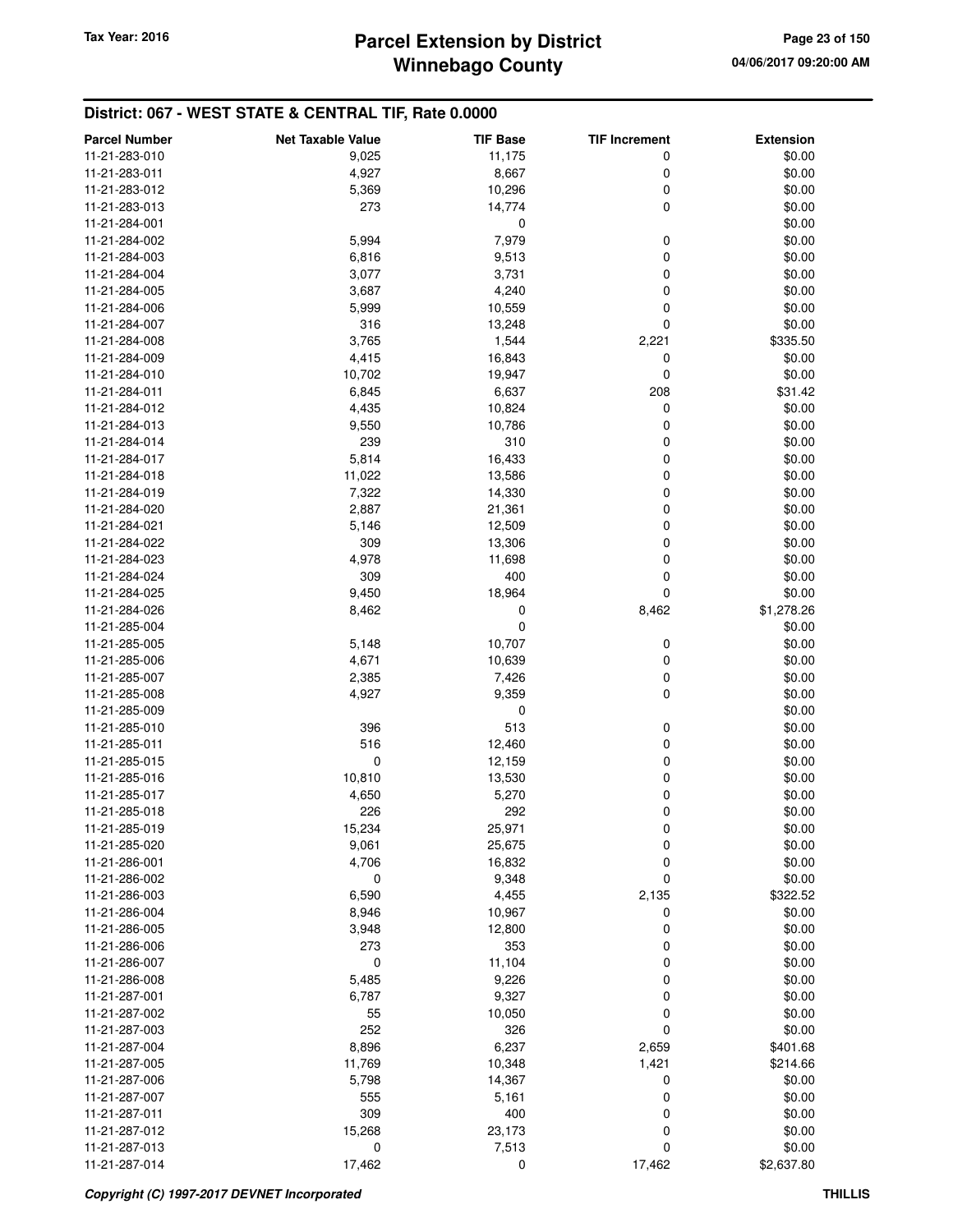| <b>Parcel Number</b>           | <b>Net Taxable Value</b> | <b>TIF Base</b>  | <b>TIF Increment</b> | <b>Extension</b> |
|--------------------------------|--------------------------|------------------|----------------------|------------------|
| 11-21-283-010                  | 9,025                    | 11,175           | 0                    | \$0.00           |
| 11-21-283-011                  | 4,927                    | 8,667            | 0                    | \$0.00           |
| 11-21-283-012                  | 5,369                    | 10,296           | $\boldsymbol{0}$     | \$0.00           |
| 11-21-283-013                  | 273                      | 14,774           | 0                    | \$0.00           |
| 11-21-284-001                  |                          | 0                |                      | \$0.00           |
| 11-21-284-002                  | 5,994                    | 7,979            | 0                    | \$0.00           |
| 11-21-284-003                  | 6,816                    | 9,513            | 0                    | \$0.00           |
| 11-21-284-004                  | 3,077                    | 3,731            | 0                    | \$0.00           |
| 11-21-284-005                  | 3,687                    | 4,240            | 0                    | \$0.00           |
| 11-21-284-006                  | 5,999                    | 10,559           | 0                    | \$0.00           |
| 11-21-284-007                  | 316                      | 13,248           | 0                    | \$0.00           |
| 11-21-284-008                  | 3,765                    | 1,544            | 2,221                | \$335.50         |
| 11-21-284-009                  | 4,415                    | 16,843           | 0                    | \$0.00           |
| 11-21-284-010                  | 10,702                   | 19,947           | 0                    | \$0.00           |
| 11-21-284-011                  | 6,845                    | 6,637            | 208                  | \$31.42          |
| 11-21-284-012                  | 4,435                    | 10,824           | 0                    | \$0.00           |
| 11-21-284-013                  | 9,550                    | 10,786           | 0                    | \$0.00           |
| 11-21-284-014                  | 239                      | 310              | 0                    | \$0.00           |
| 11-21-284-017                  | 5,814                    | 16,433           | 0                    | \$0.00           |
| 11-21-284-018                  | 11,022                   | 13,586           | 0                    | \$0.00           |
| 11-21-284-019                  | 7,322                    | 14,330           | 0                    | \$0.00           |
| 11-21-284-020                  | 2,887                    | 21,361           | 0                    | \$0.00           |
| 11-21-284-021                  | 5,146                    | 12,509           | 0                    | \$0.00           |
| 11-21-284-022                  | 309                      | 13,306           | 0                    | \$0.00           |
| 11-21-284-023                  | 4,978                    | 11,698           | 0                    | \$0.00           |
| 11-21-284-024                  | 309                      | 400              | 0                    | \$0.00           |
| 11-21-284-025                  | 9,450                    | 18,964           | 0                    | \$0.00           |
| 11-21-284-026                  | 8,462                    | 0                | 8,462                | \$1,278.26       |
| 11-21-285-004                  |                          | 0                |                      | \$0.00           |
| 11-21-285-005                  | 5,148                    | 10,707           | 0                    | \$0.00           |
| 11-21-285-006                  |                          |                  | 0                    | \$0.00           |
| 11-21-285-007                  | 4,671                    | 10,639           |                      |                  |
| 11-21-285-008                  | 2,385<br>4,927           | 7,426<br>9,359   | 0<br>0               | \$0.00<br>\$0.00 |
| 11-21-285-009                  |                          | 0                |                      | \$0.00           |
| 11-21-285-010                  | 396                      | 513              | 0                    |                  |
| 11-21-285-011                  | 516                      |                  | 0                    | \$0.00           |
| 11-21-285-015                  | $\mathbf 0$              | 12,460           | 0                    | \$0.00           |
| 11-21-285-016                  | 10,810                   | 12,159           | 0                    | \$0.00<br>\$0.00 |
| 11-21-285-017                  | 4,650                    | 13,530<br>5,270  | $\boldsymbol{0}$     | \$0.00           |
| 11-21-285-018                  | 226                      | 292              | 0                    | \$0.00           |
|                                |                          |                  |                      | \$0.00           |
| 11-21-285-019<br>11-21-285-020 | 15,234                   | 25,971           | $\mathbf 0$          |                  |
| 11-21-286-001                  | 9,061<br>4,706           | 25,675<br>16,832 | 0<br>$\mathbf 0$     | \$0.00<br>\$0.00 |
| 11-21-286-002                  | 0                        | 9,348            | $\mathbf 0$          | \$0.00           |
| 11-21-286-003                  |                          |                  |                      |                  |
| 11-21-286-004                  | 6,590                    | 4,455            | 2,135                | \$322.52         |
| 11-21-286-005                  | 8,946                    | 10,967           | 0                    | \$0.00           |
| 11-21-286-006                  | 3,948<br>273             | 12,800<br>353    | 0<br>0               | \$0.00<br>\$0.00 |
| 11-21-286-007                  | $\mathbf 0$              |                  | 0                    | \$0.00           |
|                                |                          | 11,104           | 0                    |                  |
| 11-21-286-008<br>11-21-287-001 | 5,485                    | 9,226            | 0                    | \$0.00           |
|                                | 6,787                    | 9,327            |                      | \$0.00           |
| 11-21-287-002                  | 55                       | 10,050           | 0                    | \$0.00           |
| 11-21-287-003                  | 252                      | 326              | 0                    | \$0.00           |
| 11-21-287-004                  | 8,896                    | 6,237            | 2,659                | \$401.68         |
| 11-21-287-005                  | 11,769                   | 10,348           | 1,421                | \$214.66         |
| 11-21-287-006                  | 5,798                    | 14,367           | 0                    | \$0.00           |
| 11-21-287-007                  | 555                      | 5,161            | 0                    | \$0.00           |
| 11-21-287-011                  | 309                      | 400              | 0                    | \$0.00           |
| 11-21-287-012                  | 15,268                   | 23,173           | 0                    | \$0.00           |
| 11-21-287-013                  | 0                        | 7,513            | 0                    | \$0.00           |
| 11-21-287-014                  | 17,462                   | 0                | 17,462               | \$2,637.80       |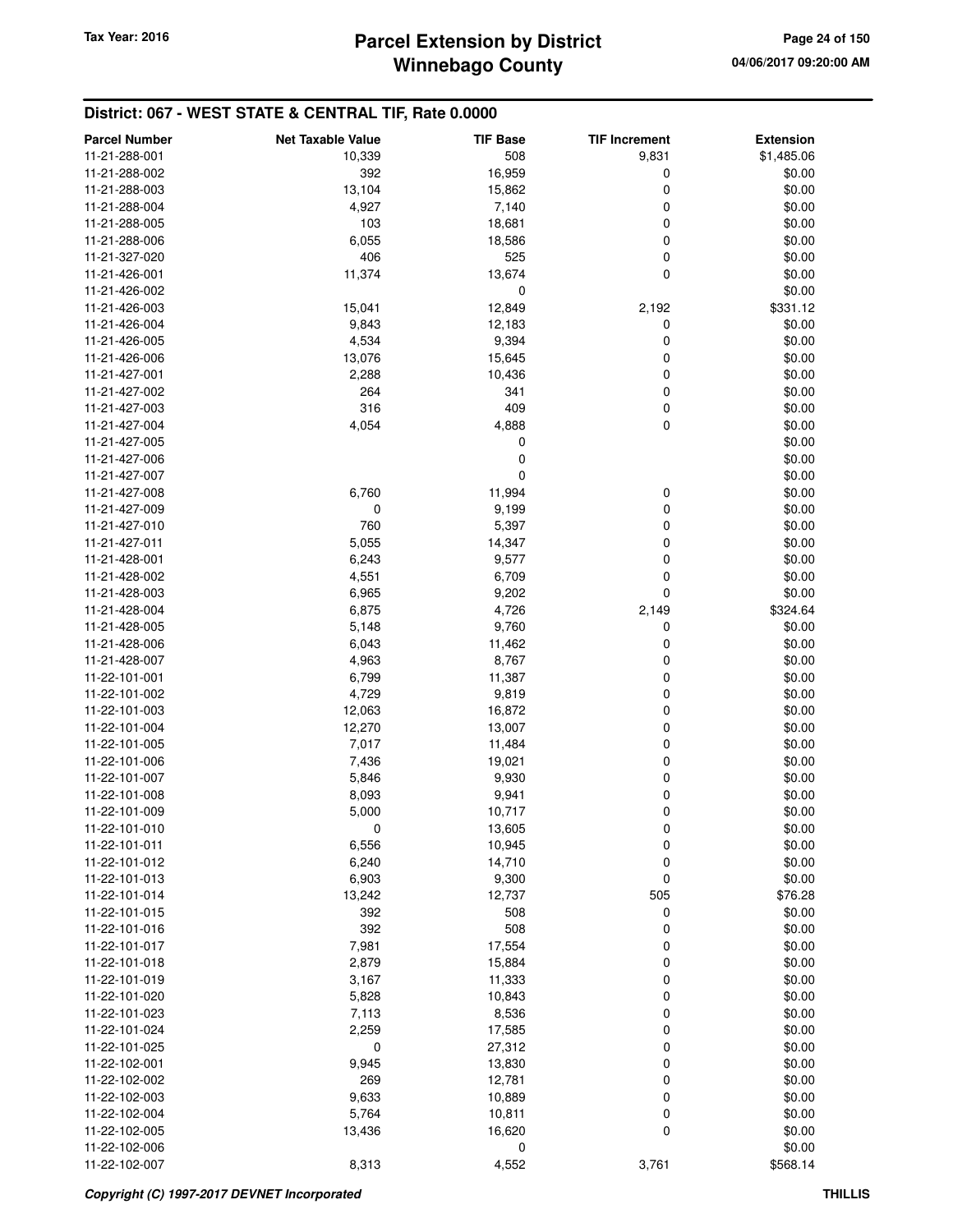| <b>Parcel Number</b>           | <b>Net Taxable Value</b> | <b>TIF Base</b> | <b>TIF Increment</b> | <b>Extension</b> |
|--------------------------------|--------------------------|-----------------|----------------------|------------------|
| 11-21-288-001                  | 10,339                   | 508             | 9,831                | \$1,485.06       |
| 11-21-288-002                  | 392                      | 16,959          | $\boldsymbol{0}$     | \$0.00           |
| 11-21-288-003                  | 13,104                   | 15,862          | 0                    | \$0.00           |
| 11-21-288-004                  | 4,927                    | 7,140           | 0                    | \$0.00           |
| 11-21-288-005                  | 103                      | 18,681          | 0                    | \$0.00           |
| 11-21-288-006                  | 6,055                    | 18,586          | 0                    | \$0.00           |
| 11-21-327-020                  | 406                      | 525             | 0                    | \$0.00           |
| 11-21-426-001                  | 11,374                   | 13,674          | 0                    | \$0.00           |
| 11-21-426-002                  |                          | 0               |                      | \$0.00           |
| 11-21-426-003                  | 15,041                   | 12,849          | 2,192                | \$331.12         |
| 11-21-426-004                  | 9,843                    | 12,183          | 0                    | \$0.00           |
| 11-21-426-005                  | 4,534                    | 9,394           | 0                    | \$0.00           |
| 11-21-426-006                  | 13,076                   | 15,645          | 0                    | \$0.00           |
| 11-21-427-001                  | 2,288                    | 10,436          | 0                    | \$0.00           |
| 11-21-427-002                  | 264                      | 341             | 0                    | \$0.00           |
| 11-21-427-003                  | 316                      | 409             | $\boldsymbol{0}$     | \$0.00           |
| 11-21-427-004                  | 4,054                    | 4,888           | 0                    | \$0.00           |
| 11-21-427-005                  |                          | 0               |                      | \$0.00           |
| 11-21-427-006                  |                          | 0               |                      | \$0.00           |
| 11-21-427-007                  |                          | 0               |                      | \$0.00           |
| 11-21-427-008                  | 6,760                    | 11,994          | 0                    | \$0.00           |
| 11-21-427-009                  | $\mathbf 0$              | 9,199           | 0                    | \$0.00           |
| 11-21-427-010                  | 760                      | 5,397           | 0                    | \$0.00           |
| 11-21-427-011                  | 5,055                    | 14,347          | 0                    | \$0.00           |
| 11-21-428-001                  | 6,243                    | 9,577           | 0                    | \$0.00           |
| 11-21-428-002                  | 4,551                    | 6,709           | 0                    | \$0.00           |
| 11-21-428-003                  | 6,965                    | 9,202           | 0                    | \$0.00           |
| 11-21-428-004                  | 6,875                    | 4,726           | 2,149                | \$324.64         |
| 11-21-428-005<br>11-21-428-006 | 5,148                    | 9,760           | 0                    | \$0.00           |
|                                | 6,043                    | 11,462          | 0<br>0               | \$0.00           |
| 11-21-428-007<br>11-22-101-001 | 4,963<br>6,799           | 8,767<br>11,387 | 0                    | \$0.00<br>\$0.00 |
| 11-22-101-002                  | 4,729                    | 9,819           | 0                    | \$0.00           |
| 11-22-101-003                  | 12,063                   | 16,872          | 0                    | \$0.00           |
| 11-22-101-004                  | 12,270                   | 13,007          | 0                    | \$0.00           |
| 11-22-101-005                  | 7,017                    | 11,484          | 0                    | \$0.00           |
| 11-22-101-006                  | 7,436                    | 19,021          | 0                    | \$0.00           |
| 11-22-101-007                  | 5,846                    | 9,930           | 0                    | \$0.00           |
| 11-22-101-008                  | 8,093                    | 9,941           | 0                    | \$0.00           |
| 11-22-101-009                  | 5,000                    | 10,717          | 0                    | \$0.00           |
| 11-22-101-010                  | 0                        | 13,605          | 0                    | \$0.00           |
| 11-22-101-011                  | 6,556                    | 10,945          | 0                    | \$0.00           |
| 11-22-101-012                  | 6,240                    | 14,710          | $\boldsymbol{0}$     | \$0.00           |
| 11-22-101-013                  | 6,903                    | 9,300           | $\boldsymbol{0}$     | \$0.00           |
| 11-22-101-014                  | 13,242                   | 12,737          | 505                  | \$76.28          |
| 11-22-101-015                  | 392                      | 508             | 0                    | \$0.00           |
| 11-22-101-016                  | 392                      | 508             | 0                    | \$0.00           |
| 11-22-101-017                  | 7,981                    | 17,554          | 0                    | \$0.00           |
| 11-22-101-018                  | 2,879                    | 15,884          | 0                    | \$0.00           |
| 11-22-101-019                  | 3,167                    | 11,333          | 0                    | \$0.00           |
| 11-22-101-020                  | 5,828                    | 10,843          | 0                    | \$0.00           |
| 11-22-101-023                  | 7,113                    | 8,536           | 0                    | \$0.00           |
| 11-22-101-024                  | 2,259                    | 17,585          | 0                    | \$0.00           |
| 11-22-101-025                  | 0                        | 27,312          | 0                    | \$0.00           |
| 11-22-102-001                  | 9,945                    | 13,830          | 0                    | \$0.00           |
| 11-22-102-002                  | 269                      | 12,781          | 0                    | \$0.00           |
| 11-22-102-003                  | 9,633                    | 10,889          | 0                    | \$0.00           |
| 11-22-102-004                  | 5,764                    | 10,811          | $\boldsymbol{0}$     | \$0.00           |
| 11-22-102-005                  | 13,436                   | 16,620          | $\mathbf 0$          | \$0.00           |
| 11-22-102-006                  |                          | 0               |                      | \$0.00           |
| 11-22-102-007                  | 8,313                    | 4,552           | 3,761                | \$568.14         |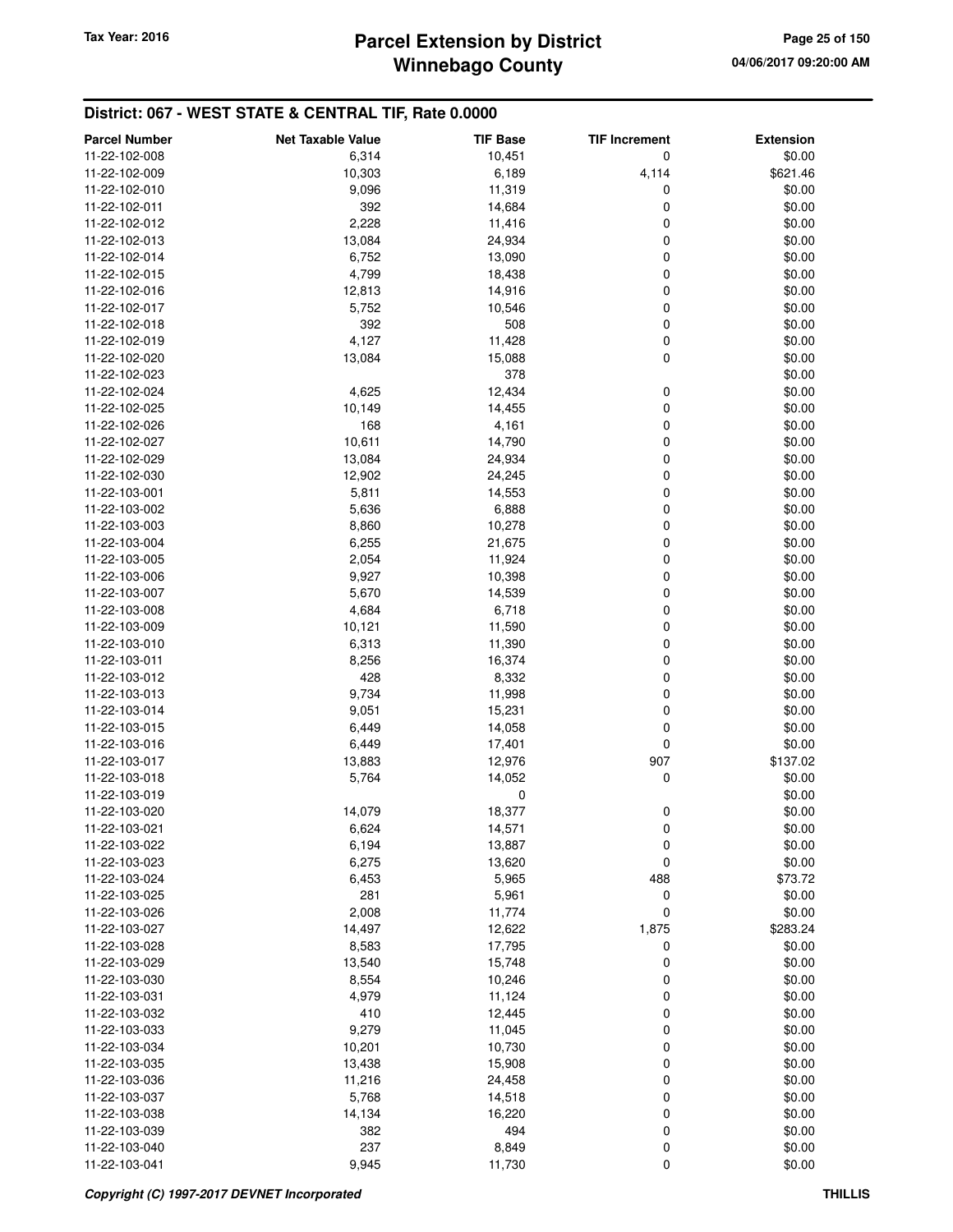| <b>Parcel Number</b> | <b>Net Taxable Value</b> | <b>TIF Base</b> | <b>TIF Increment</b> | <b>Extension</b> |
|----------------------|--------------------------|-----------------|----------------------|------------------|
| 11-22-102-008        | 6,314                    | 10,451          | 0                    | \$0.00           |
| 11-22-102-009        | 10,303                   | 6,189           | 4,114                | \$621.46         |
| 11-22-102-010        | 9,096                    | 11,319          | 0                    | \$0.00           |
| 11-22-102-011        | 392                      | 14,684          | 0                    | \$0.00           |
| 11-22-102-012        | 2,228                    | 11,416          | 0                    | \$0.00           |
| 11-22-102-013        | 13,084                   | 24,934          | 0                    | \$0.00           |
| 11-22-102-014        | 6,752                    | 13,090          | 0                    | \$0.00           |
| 11-22-102-015        | 4,799                    | 18,438          | 0                    | \$0.00           |
| 11-22-102-016        | 12,813                   | 14,916          | 0                    | \$0.00           |
| 11-22-102-017        | 5,752                    | 10,546          | 0                    | \$0.00           |
| 11-22-102-018        | 392                      | 508             | 0                    | \$0.00           |
| 11-22-102-019        | 4,127                    | 11,428          | 0                    | \$0.00           |
| 11-22-102-020        | 13,084                   | 15,088          | 0                    | \$0.00           |
| 11-22-102-023        |                          | 378             |                      | \$0.00           |
| 11-22-102-024        | 4,625                    | 12,434          | 0                    | \$0.00           |
| 11-22-102-025        | 10,149                   | 14,455          | 0                    | \$0.00           |
| 11-22-102-026        | 168                      | 4,161           | 0                    | \$0.00           |
| 11-22-102-027        | 10,611                   | 14,790          | 0                    | \$0.00           |
| 11-22-102-029        | 13,084                   | 24,934          | 0                    | \$0.00           |
| 11-22-102-030        | 12,902                   | 24,245          | 0                    | \$0.00           |
| 11-22-103-001        | 5,811                    | 14,553          | 0                    | \$0.00           |
| 11-22-103-002        | 5,636                    | 6,888           | 0                    | \$0.00           |
| 11-22-103-003        | 8,860                    | 10,278          | 0                    | \$0.00           |
| 11-22-103-004        | 6,255                    | 21,675          | 0                    | \$0.00           |
| 11-22-103-005        | 2,054                    | 11,924          | 0                    | \$0.00           |
| 11-22-103-006        | 9,927                    | 10,398          | 0                    | \$0.00           |
| 11-22-103-007        | 5,670                    | 14,539          | 0                    | \$0.00           |
| 11-22-103-008        | 4,684                    | 6,718           | 0                    | \$0.00           |
| 11-22-103-009        | 10,121                   | 11,590          | 0                    | \$0.00           |
| 11-22-103-010        | 6,313                    | 11,390          | 0                    | \$0.00           |
| 11-22-103-011        | 8,256                    | 16,374          | 0                    | \$0.00           |
| 11-22-103-012        | 428                      | 8,332           | 0                    | \$0.00           |
| 11-22-103-013        | 9,734                    | 11,998          | 0                    | \$0.00           |
| 11-22-103-014        | 9,051                    | 15,231          | 0                    | \$0.00           |
| 11-22-103-015        | 6,449                    | 14,058          | 0                    | \$0.00           |
| 11-22-103-016        | 6,449                    | 17,401          | 0                    | \$0.00           |
| 11-22-103-017        | 13,883                   | 12,976          | 907                  | \$137.02         |
| 11-22-103-018        | 5,764                    | 14,052          | 0                    | \$0.00           |
| 11-22-103-019        |                          | 0               |                      | \$0.00           |
| 11-22-103-020        | 14,079                   | 18,377          | 0                    | \$0.00           |
| 11-22-103-021        | 6,624                    | 14,571          | $\mathbf 0$          | \$0.00           |
| 11-22-103-022        | 6,194                    | 13,887          | 0                    | \$0.00           |
| 11-22-103-023        | 6,275                    | 13,620          | 0                    | \$0.00           |
| 11-22-103-024        | 6,453                    | 5,965           | 488                  | \$73.72          |
| 11-22-103-025        | 281                      | 5,961           | 0                    | \$0.00           |
| 11-22-103-026        | 2,008                    | 11,774          | 0                    | \$0.00           |
| 11-22-103-027        | 14,497                   | 12,622          | 1,875                | \$283.24         |
| 11-22-103-028        | 8,583                    | 17,795          | 0                    | \$0.00           |
| 11-22-103-029        | 13,540                   | 15,748          | 0                    | \$0.00           |
| 11-22-103-030        | 8,554                    | 10,246          | 0                    | \$0.00           |
| 11-22-103-031        | 4,979                    | 11,124          | 0                    | \$0.00           |
| 11-22-103-032        | 410                      | 12,445          | 0                    | \$0.00           |
| 11-22-103-033        | 9,279                    | 11,045          | 0                    | \$0.00           |
| 11-22-103-034        | 10,201                   | 10,730          | 0                    | \$0.00           |
| 11-22-103-035        | 13,438                   | 15,908          | 0                    | \$0.00           |
| 11-22-103-036        | 11,216                   | 24,458          | 0                    | \$0.00           |
| 11-22-103-037        | 5,768                    | 14,518          | 0                    | \$0.00           |
| 11-22-103-038        | 14,134                   | 16,220          | 0                    | \$0.00           |
| 11-22-103-039        | 382                      | 494             | $\mathbf 0$          | \$0.00           |
| 11-22-103-040        | 237                      | 8,849           | 0                    | \$0.00           |
| 11-22-103-041        | 9,945                    | 11,730          | 0                    | \$0.00           |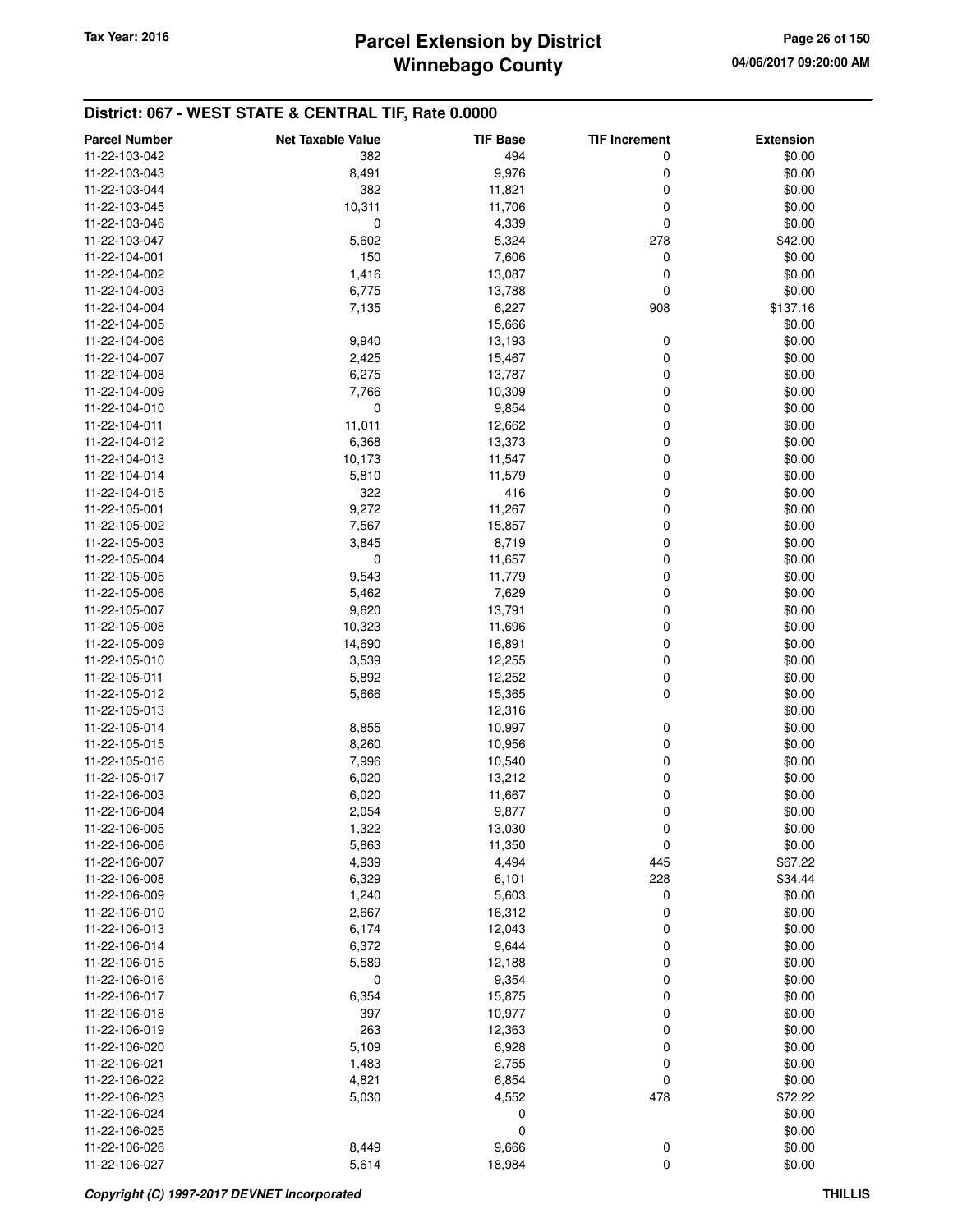| <b>Parcel Number</b> | <b>Net Taxable Value</b> | <b>TIF Base</b>  | <b>TIF Increment</b> | <b>Extension</b> |
|----------------------|--------------------------|------------------|----------------------|------------------|
| 11-22-103-042        | 382                      | 494              | 0                    | \$0.00           |
| 11-22-103-043        | 8,491                    | 9,976            | 0                    | \$0.00           |
| 11-22-103-044        | 382                      | 11,821           | 0                    | \$0.00           |
| 11-22-103-045        | 10,311                   | 11,706           | 0                    | \$0.00           |
| 11-22-103-046        | 0                        | 4,339            | 0                    | \$0.00           |
| 11-22-103-047        | 5,602                    | 5,324            | 278                  | \$42.00          |
| 11-22-104-001        | 150                      | 7,606            | 0                    | \$0.00           |
| 11-22-104-002        | 1,416                    | 13,087           | 0                    | \$0.00           |
| 11-22-104-003        | 6,775                    | 13,788           | 0                    | \$0.00           |
| 11-22-104-004        | 7,135                    | 6,227            | 908                  | \$137.16         |
| 11-22-104-005        |                          | 15,666           |                      | \$0.00           |
| 11-22-104-006        | 9,940                    | 13,193           | 0                    | \$0.00           |
| 11-22-104-007        | 2,425                    | 15,467           | 0                    | \$0.00           |
| 11-22-104-008        | 6,275                    | 13,787           | 0                    | \$0.00           |
| 11-22-104-009        | 7,766                    | 10,309           | 0                    | \$0.00           |
| 11-22-104-010        | 0                        | 9,854            | 0                    | \$0.00           |
| 11-22-104-011        | 11,011                   | 12,662           | 0                    | \$0.00           |
| 11-22-104-012        | 6,368                    | 13,373           | 0                    | \$0.00           |
| 11-22-104-013        | 10,173                   | 11,547           | 0                    | \$0.00           |
| 11-22-104-014        | 5,810                    | 11,579           | 0                    | \$0.00           |
| 11-22-104-015        | 322                      | 416              | 0                    | \$0.00           |
| 11-22-105-001        | 9,272                    | 11,267           | 0                    | \$0.00           |
| 11-22-105-002        | 7,567                    | 15,857           | 0                    | \$0.00           |
| 11-22-105-003        | 3,845                    | 8,719            | 0                    | \$0.00           |
| 11-22-105-004        | 0                        | 11,657           | 0                    | \$0.00           |
| 11-22-105-005        | 9,543                    | 11,779           | 0                    | \$0.00           |
| 11-22-105-006        | 5,462                    | 7,629            | 0                    | \$0.00           |
| 11-22-105-007        | 9,620                    | 13,791           | 0                    | \$0.00           |
| 11-22-105-008        | 10,323                   | 11,696           | 0                    | \$0.00           |
| 11-22-105-009        | 14,690                   | 16,891           | 0                    | \$0.00           |
| 11-22-105-010        | 3,539                    | 12,255           | 0                    | \$0.00           |
| 11-22-105-011        | 5,892                    | 12,252           | 0                    | \$0.00           |
| 11-22-105-012        | 5,666                    | 15,365           | $\mathbf 0$          | \$0.00           |
| 11-22-105-013        |                          | 12,316           |                      | \$0.00           |
| 11-22-105-014        | 8,855                    |                  | 0                    | \$0.00           |
| 11-22-105-015        | 8,260                    | 10,997<br>10,956 | 0                    | \$0.00           |
| 11-22-105-016        | 7,996                    | 10,540           | 0                    | \$0.00           |
| 11-22-105-017        | 6,020                    | 13,212           | 0                    | \$0.00           |
| 11-22-106-003        | 6,020                    | 11,667           | 0                    | \$0.00           |
| 11-22-106-004        | 2,054                    | 9,877            | 0                    | \$0.00           |
| 11-22-106-005        | 1,322                    | 13,030           | 0                    | \$0.00           |
| 11-22-106-006        | 5,863                    | 11,350           | $\mathbf 0$          | \$0.00           |
| 11-22-106-007        | 4,939                    | 4,494            | 445                  | \$67.22          |
| 11-22-106-008        | 6,329                    | 6,101            | 228                  | \$34.44          |
| 11-22-106-009        | 1,240                    | 5,603            | 0                    | \$0.00           |
| 11-22-106-010        | 2,667                    | 16,312           | 0                    | \$0.00           |
| 11-22-106-013        | 6,174                    | 12,043           | 0                    | \$0.00           |
| 11-22-106-014        | 6,372                    | 9,644            | 0                    | \$0.00           |
| 11-22-106-015        | 5,589                    | 12,188           | 0                    | \$0.00           |
| 11-22-106-016        | 0                        | 9,354            | 0                    | \$0.00           |
| 11-22-106-017        | 6,354                    | 15,875           | 0                    | \$0.00           |
| 11-22-106-018        | 397                      |                  | 0                    |                  |
| 11-22-106-019        | 263                      | 10,977<br>12,363 | 0                    | \$0.00<br>\$0.00 |
| 11-22-106-020        | 5,109                    | 6,928            | 0                    | \$0.00           |
|                      |                          |                  |                      |                  |
| 11-22-106-021        | 1,483                    | 2,755            | 0                    | \$0.00           |
| 11-22-106-022        | 4,821                    | 6,854            | 0                    | \$0.00           |
| 11-22-106-023        | 5,030                    | 4,552            | 478                  | \$72.22          |
| 11-22-106-024        |                          | 0<br>0           |                      | \$0.00           |
| 11-22-106-025        |                          |                  |                      | \$0.00           |
| 11-22-106-026        | 8,449                    | 9,666<br>18,984  | $\boldsymbol{0}$     | \$0.00<br>\$0.00 |
| 11-22-106-027        | 5,614                    |                  | $\pmb{0}$            |                  |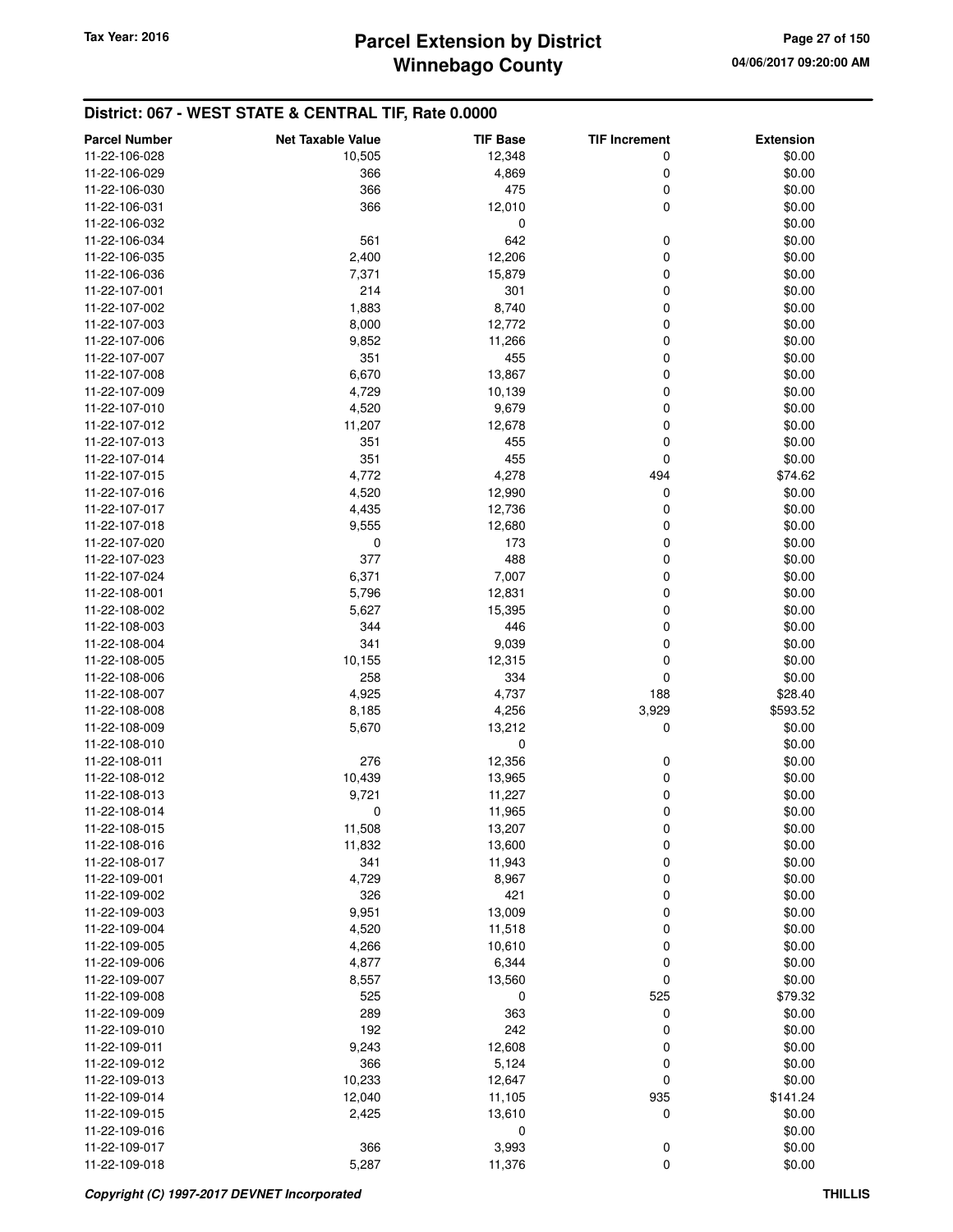| <b>Parcel Number</b> | <b>Net Taxable Value</b> | <b>TIF Base</b>  | <b>TIF Increment</b> | <b>Extension</b> |
|----------------------|--------------------------|------------------|----------------------|------------------|
| 11-22-106-028        | 10,505                   | 12,348           | 0                    | \$0.00           |
| 11-22-106-029        | 366                      | 4,869            | 0                    | \$0.00           |
| 11-22-106-030        | 366                      | 475              | 0                    | \$0.00           |
| 11-22-106-031        | 366                      | 12,010           | $\mathbf 0$          | \$0.00           |
| 11-22-106-032        |                          | 0                |                      | \$0.00           |
| 11-22-106-034        | 561                      | 642              | 0                    | \$0.00           |
| 11-22-106-035        | 2,400                    | 12,206           | 0                    | \$0.00           |
| 11-22-106-036        | 7,371                    | 15,879           | 0                    | \$0.00           |
| 11-22-107-001        | 214                      | 301              | 0                    | \$0.00           |
| 11-22-107-002        | 1,883                    | 8,740            | 0                    | \$0.00           |
| 11-22-107-003        | 8,000                    | 12,772           | 0                    | \$0.00           |
| 11-22-107-006        | 9,852                    | 11,266           | 0                    | \$0.00           |
| 11-22-107-007        | 351                      | 455              | 0                    | \$0.00           |
| 11-22-107-008        | 6,670                    | 13,867           | 0                    | \$0.00           |
| 11-22-107-009        | 4,729                    | 10,139           | 0                    | \$0.00           |
| 11-22-107-010        | 4,520                    | 9,679            | 0                    | \$0.00           |
| 11-22-107-012        | 11,207                   | 12,678           | 0                    | \$0.00           |
| 11-22-107-013        | 351                      | 455              | 0                    | \$0.00           |
| 11-22-107-014        | 351                      | 455              | 0                    | \$0.00           |
| 11-22-107-015        | 4,772                    | 4,278            | 494                  | \$74.62          |
| 11-22-107-016        | 4,520                    | 12,990           | $\mathbf 0$          | \$0.00           |
| 11-22-107-017        |                          |                  | 0                    |                  |
| 11-22-107-018        | 4,435<br>9,555           | 12,736<br>12,680 | 0                    | \$0.00<br>\$0.00 |
| 11-22-107-020        | 0                        | 173              | 0                    | \$0.00           |
| 11-22-107-023        | 377                      |                  | 0                    |                  |
| 11-22-107-024        |                          | 488              |                      | \$0.00           |
| 11-22-108-001        | 6,371                    | 7,007            | 0                    | \$0.00           |
|                      | 5,796                    | 12,831           | 0<br>0               | \$0.00           |
| 11-22-108-002        | 5,627<br>344             | 15,395<br>446    | 0                    | \$0.00           |
| 11-22-108-003        | 341                      |                  | 0                    | \$0.00           |
| 11-22-108-004        |                          | 9,039            |                      | \$0.00           |
| 11-22-108-005        | 10,155                   | 12,315           | 0                    | \$0.00           |
| 11-22-108-006        | 258                      | 334              | 0                    | \$0.00           |
| 11-22-108-007        | 4,925                    | 4,737            | 188                  | \$28.40          |
| 11-22-108-008        | 8,185                    | 4,256            | 3,929                | \$593.52         |
| 11-22-108-009        | 5,670                    | 13,212           | 0                    | \$0.00           |
| 11-22-108-010        |                          | $\mathbf 0$      |                      | \$0.00           |
| 11-22-108-011        | 276                      | 12,356           | 0                    | \$0.00           |
| 11-22-108-012        | 10,439<br>9,721          | 13,965           | 0                    | \$0.00           |
| 11-22-108-013        |                          | 11,227           | 0                    | \$0.00           |
| 11-22-108-014        | 0                        | 11,965           | 0                    | \$0.00           |
| 11-22-108-015        | 11,508                   | 13,207           | 0                    | \$0.00           |
| 11-22-108-016        | 11,832                   | 13,600           | 0                    | \$0.00           |
| 11-22-108-017        | 341                      | 11,943           | 0                    | \$0.00           |
| 11-22-109-001        | 4,729                    | 8,967            | 0                    | \$0.00           |
| 11-22-109-002        | 326                      | 421              | 0                    | \$0.00           |
| 11-22-109-003        | 9,951                    | 13,009           | 0                    | \$0.00           |
| 11-22-109-004        | 4,520                    | 11,518           | 0                    | \$0.00           |
| 11-22-109-005        | 4,266                    | 10,610           | 0                    | \$0.00           |
| 11-22-109-006        | 4,877                    | 6,344            | 0                    | \$0.00           |
| 11-22-109-007        | 8,557                    | 13,560           | 0                    | \$0.00           |
| 11-22-109-008        | 525                      | 0                | 525                  | \$79.32          |
| 11-22-109-009        | 289                      | 363              | 0                    | \$0.00           |
| 11-22-109-010        | 192                      | 242              | 0                    | \$0.00           |
| 11-22-109-011        | 9,243                    | 12,608           | 0                    | \$0.00           |
| 11-22-109-012        | 366                      | 5,124            | 0                    | \$0.00           |
| 11-22-109-013        | 10,233                   | 12,647           | 0                    | \$0.00           |
| 11-22-109-014        | 12,040                   | 11,105           | 935                  | \$141.24         |
| 11-22-109-015        | 2,425                    | 13,610           | 0                    | \$0.00           |
| 11-22-109-016        |                          | 0                |                      | \$0.00           |
| 11-22-109-017        | 366                      | 3,993            | $\boldsymbol{0}$     | \$0.00           |
| 11-22-109-018        | 5,287                    | 11,376           | $\mathbf 0$          | \$0.00           |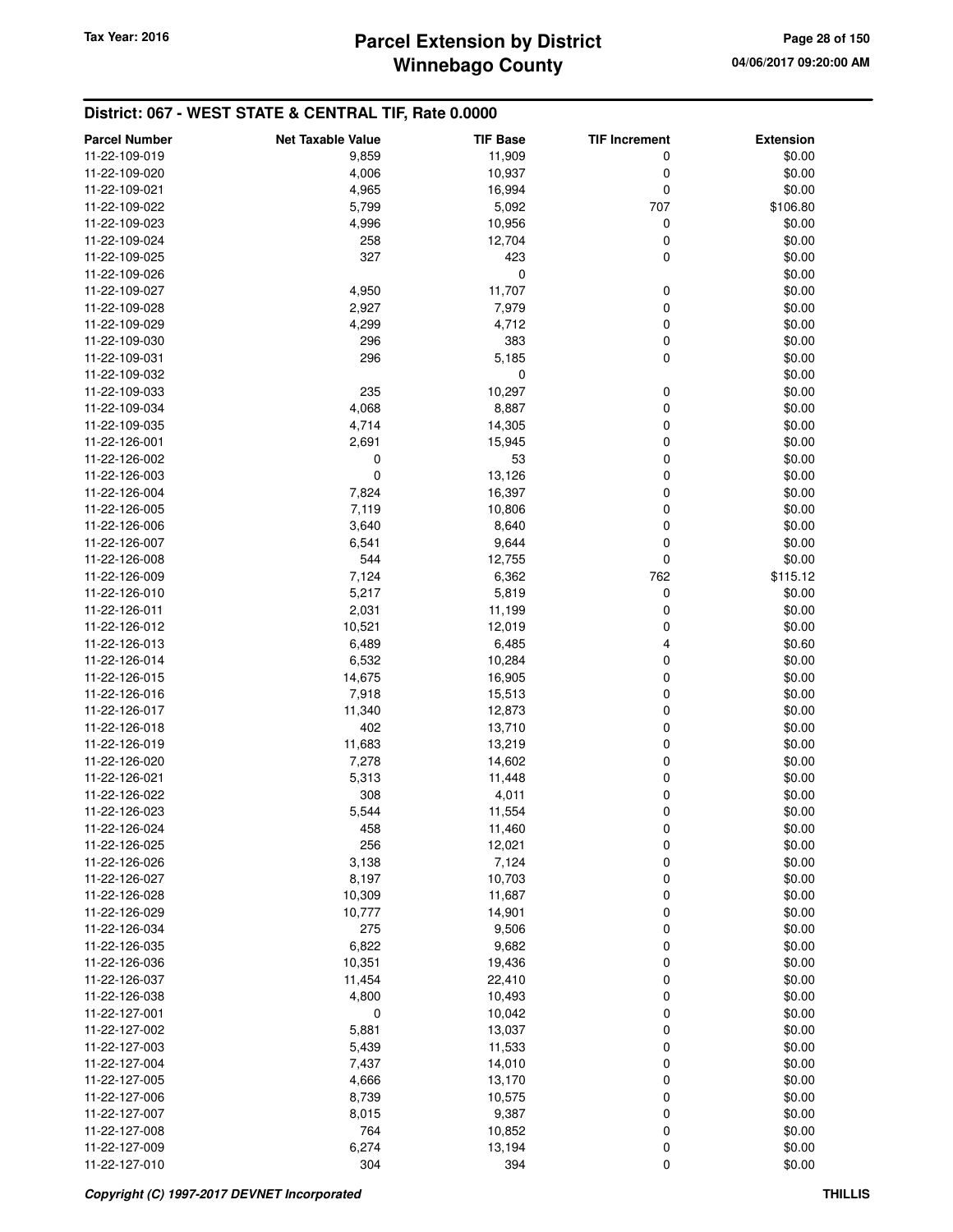| <b>Parcel Number</b>           | <b>Net Taxable Value</b> | <b>TIF Base</b> | <b>TIF Increment</b> | <b>Extension</b>   |
|--------------------------------|--------------------------|-----------------|----------------------|--------------------|
| 11-22-109-019                  | 9,859                    | 11,909          | 0                    | \$0.00             |
| 11-22-109-020                  | 4,006                    | 10,937          | 0                    | \$0.00             |
| 11-22-109-021                  | 4,965                    | 16,994          | 0                    | \$0.00             |
| 11-22-109-022                  | 5,799                    | 5,092           | 707                  | \$106.80           |
| 11-22-109-023                  | 4,996                    | 10,956          | 0                    | \$0.00             |
| 11-22-109-024                  | 258                      | 12,704          | 0                    | \$0.00             |
| 11-22-109-025                  | 327                      | 423             | 0                    | \$0.00             |
| 11-22-109-026                  |                          | 0               |                      | \$0.00             |
| 11-22-109-027                  | 4,950                    | 11,707          | 0                    | \$0.00             |
| 11-22-109-028                  | 2,927                    | 7,979           | 0                    | \$0.00             |
| 11-22-109-029                  | 4,299                    | 4,712           | 0                    | \$0.00             |
| 11-22-109-030                  | 296                      | 383             | 0                    | \$0.00             |
| 11-22-109-031                  | 296                      | 5,185           | 0                    | \$0.00             |
| 11-22-109-032                  |                          | 0               |                      | \$0.00             |
| 11-22-109-033                  | 235                      | 10,297          | 0                    | \$0.00             |
| 11-22-109-034                  | 4,068                    | 8,887           | 0                    | \$0.00             |
| 11-22-109-035                  | 4,714                    | 14,305          | 0                    | \$0.00             |
| 11-22-126-001                  | 2,691                    | 15,945          | 0                    | \$0.00             |
| 11-22-126-002                  | 0                        | 53              | 0                    | \$0.00             |
| 11-22-126-003                  | 0                        | 13,126          | 0                    | \$0.00             |
| 11-22-126-004                  | 7,824                    | 16,397          | 0                    | \$0.00             |
| 11-22-126-005                  | 7,119                    | 10,806          | 0                    | \$0.00             |
| 11-22-126-006                  | 3,640                    | 8,640           | 0                    | \$0.00             |
| 11-22-126-007                  | 6,541<br>544             | 9,644           | 0                    | \$0.00             |
| 11-22-126-008<br>11-22-126-009 | 7,124                    | 12,755<br>6,362 | 0<br>762             | \$0.00<br>\$115.12 |
| 11-22-126-010                  | 5,217                    | 5,819           | 0                    | \$0.00             |
| 11-22-126-011                  | 2,031                    | 11,199          | 0                    | \$0.00             |
| 11-22-126-012                  | 10,521                   | 12,019          | 0                    | \$0.00             |
| 11-22-126-013                  | 6,489                    | 6,485           | 4                    | \$0.60             |
| 11-22-126-014                  | 6,532                    | 10,284          | 0                    | \$0.00             |
| 11-22-126-015                  | 14,675                   | 16,905          | 0                    | \$0.00             |
| 11-22-126-016                  | 7,918                    | 15,513          | 0                    | \$0.00             |
| 11-22-126-017                  | 11,340                   | 12,873          | 0                    | \$0.00             |
| 11-22-126-018                  | 402                      | 13,710          | 0                    | \$0.00             |
| 11-22-126-019                  | 11,683                   | 13,219          | 0                    | \$0.00             |
| 11-22-126-020                  | 7,278                    | 14,602          | 0                    | \$0.00             |
| 11-22-126-021                  | 5,313                    | 11,448          | 0                    | \$0.00             |
| 11-22-126-022                  | 308                      | 4,011           | 0                    | \$0.00             |
| 11-22-126-023                  | 5,544                    | 11,554          | 0                    | \$0.00             |
| 11-22-126-024                  | 458                      | 11,460          | 0                    | \$0.00             |
| 11-22-126-025                  | 256                      | 12,021          | 0                    | \$0.00             |
| 11-22-126-026                  | 3,138                    | 7,124           | 0                    | \$0.00             |
| 11-22-126-027                  | 8,197                    | 10,703          | 0                    | \$0.00             |
| 11-22-126-028<br>11-22-126-029 | 10,309                   | 11,687          | 0                    | \$0.00<br>\$0.00   |
| 11-22-126-034                  | 10,777<br>275            | 14,901<br>9,506 | 0<br>0               | \$0.00             |
| 11-22-126-035                  | 6,822                    | 9,682           | 0                    | \$0.00             |
| 11-22-126-036                  | 10,351                   | 19,436          | 0                    | \$0.00             |
| 11-22-126-037                  | 11,454                   | 22,410          | 0                    | \$0.00             |
| 11-22-126-038                  | 4,800                    | 10,493          | 0                    | \$0.00             |
| 11-22-127-001                  | 0                        | 10,042          | 0                    | \$0.00             |
| 11-22-127-002                  | 5,881                    | 13,037          | 0                    | \$0.00             |
| 11-22-127-003                  | 5,439                    | 11,533          | 0                    | \$0.00             |
| 11-22-127-004                  | 7,437                    | 14,010          | 0                    | \$0.00             |
| 11-22-127-005                  | 4,666                    | 13,170          | 0                    | \$0.00             |
| 11-22-127-006                  | 8,739                    | 10,575          | 0                    | \$0.00             |
| 11-22-127-007                  | 8,015                    | 9,387           | 0                    | \$0.00             |
| 11-22-127-008                  | 764                      | 10,852          | $\mathbf 0$          | \$0.00             |
| 11-22-127-009                  | 6,274                    | 13,194          | 0                    | \$0.00             |
| 11-22-127-010                  | 304                      | 394             | 0                    | \$0.00             |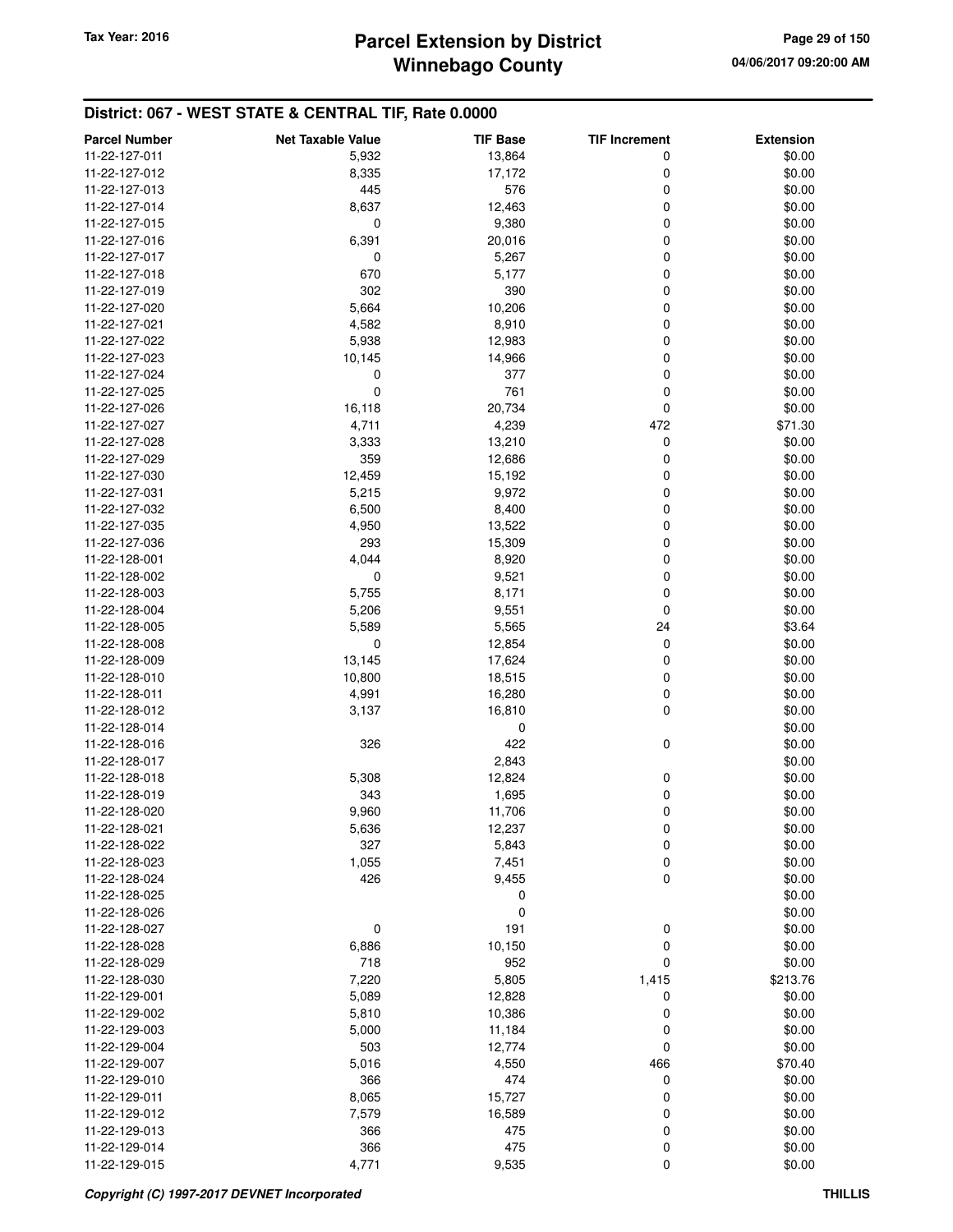# **Winnebago County Parcel Extension by District Tax Year: 2016 Page 29 of 150**

| <b>Parcel Number</b> | <b>Net Taxable Value</b> | <b>TIF Base</b> | <b>TIF Increment</b> | <b>Extension</b> |
|----------------------|--------------------------|-----------------|----------------------|------------------|
| 11-22-127-011        | 5,932                    | 13,864          | 0                    | \$0.00           |
| 11-22-127-012        | 8,335                    | 17,172          | 0                    | \$0.00           |
| 11-22-127-013        | 445                      | 576             | 0                    | \$0.00           |
| 11-22-127-014        | 8,637                    | 12,463          | 0                    | \$0.00           |
| 11-22-127-015        | 0                        | 9,380           | 0                    | \$0.00           |
| 11-22-127-016        | 6,391                    | 20,016          | 0                    | \$0.00           |
| 11-22-127-017        | 0                        | 5,267           | 0                    | \$0.00           |
| 11-22-127-018        | 670                      | 5,177           | 0                    | \$0.00           |
| 11-22-127-019        | 302                      | 390             | 0                    | \$0.00           |
| 11-22-127-020        | 5,664                    | 10,206          | 0                    | \$0.00           |
| 11-22-127-021        | 4,582                    | 8,910           | 0                    | \$0.00           |
| 11-22-127-022        | 5,938                    | 12,983          | 0                    | \$0.00           |
| 11-22-127-023        | 10,145                   | 14,966          | 0                    | \$0.00           |
| 11-22-127-024        | 0                        | 377             | 0                    | \$0.00           |
| 11-22-127-025        | $\mathbf 0$              | 761             | 0                    | \$0.00           |
| 11-22-127-026        | 16,118                   | 20,734          | 0                    | \$0.00           |
| 11-22-127-027        | 4,711                    | 4,239           | 472                  | \$71.30          |
| 11-22-127-028        | 3,333                    | 13,210          | 0                    | \$0.00           |
| 11-22-127-029        | 359                      | 12,686          | 0                    | \$0.00           |
| 11-22-127-030        | 12,459                   | 15,192          | 0                    | \$0.00           |
| 11-22-127-031        | 5,215                    | 9,972           | 0                    | \$0.00           |
| 11-22-127-032        | 6,500                    | 8,400           | 0                    | \$0.00           |
| 11-22-127-035        | 4,950                    | 13,522          | 0                    | \$0.00           |
| 11-22-127-036        | 293                      | 15,309          | 0                    | \$0.00           |
| 11-22-128-001        | 4,044                    | 8,920           | 0                    | \$0.00           |
| 11-22-128-002        | 0                        | 9,521           | 0                    | \$0.00           |
| 11-22-128-003        | 5,755                    | 8,171           | 0                    | \$0.00           |
| 11-22-128-004        | 5,206                    | 9,551           | 0                    | \$0.00           |
| 11-22-128-005        | 5,589                    | 5,565           | 24                   | \$3.64           |
| 11-22-128-008        | 0                        | 12,854          | 0                    | \$0.00           |
| 11-22-128-009        | 13,145                   | 17,624          | 0                    | \$0.00           |
| 11-22-128-010        | 10,800                   | 18,515          | 0                    | \$0.00           |
| 11-22-128-011        | 4,991                    | 16,280          | 0                    | \$0.00           |
| 11-22-128-012        | 3,137                    | 16,810          | 0                    | \$0.00           |
| 11-22-128-014        |                          | 0               |                      | \$0.00           |
| 11-22-128-016        | 326                      | 422             | 0                    | \$0.00           |
| 11-22-128-017        |                          | 2,843           |                      | \$0.00           |
| 11-22-128-018        | 5,308                    | 12,824          | 0                    | \$0.00           |
| 11-22-128-019        | 343                      | 1,695           | 0                    | \$0.00           |
| 11-22-128-020        | 9,960                    | 11,706          | 0                    | \$0.00           |
| 11-22-128-021        | 5,636                    | 12,237          | 0                    | \$0.00           |
| 11-22-128-022        | 327                      | 5,843           | 0                    | \$0.00           |
| 11-22-128-023        | 1,055                    | 7,451           | 0                    | \$0.00           |
| 11-22-128-024        | 426                      | 9,455           | $\mathbf 0$          | \$0.00           |
| 11-22-128-025        |                          | 0               |                      | \$0.00           |
| 11-22-128-026        |                          | $\mathbf 0$     |                      | \$0.00           |
| 11-22-128-027        | 0                        | 191             | 0                    | \$0.00           |
| 11-22-128-028        | 6,886                    | 10,150          | $\mathbf 0$          | \$0.00           |
| 11-22-128-029        | 718                      | 952             | 0                    | \$0.00           |
| 11-22-128-030        | 7,220                    | 5,805           | 1,415                | \$213.76         |
| 11-22-129-001        | 5,089                    | 12,828          | 0                    | \$0.00           |
| 11-22-129-002        | 5,810                    | 10,386          | 0                    | \$0.00           |
| 11-22-129-003        | 5,000                    | 11,184          | 0                    | \$0.00           |
| 11-22-129-004        | 503                      | 12,774          | 0                    | \$0.00           |
| 11-22-129-007        | 5,016                    | 4,550           | 466                  | \$70.40          |
| 11-22-129-010        | 366                      | 474             | 0                    | \$0.00           |
| 11-22-129-011        | 8,065                    | 15,727          | 0                    | \$0.00           |
| 11-22-129-012        | 7,579                    | 16,589          | 0                    | \$0.00           |
| 11-22-129-013        | 366                      | 475             | 0                    | \$0.00           |
| 11-22-129-014        | 366                      | 475             | 0                    | \$0.00           |
| 11-22-129-015        | 4,771                    | 9,535           | 0                    | \$0.00           |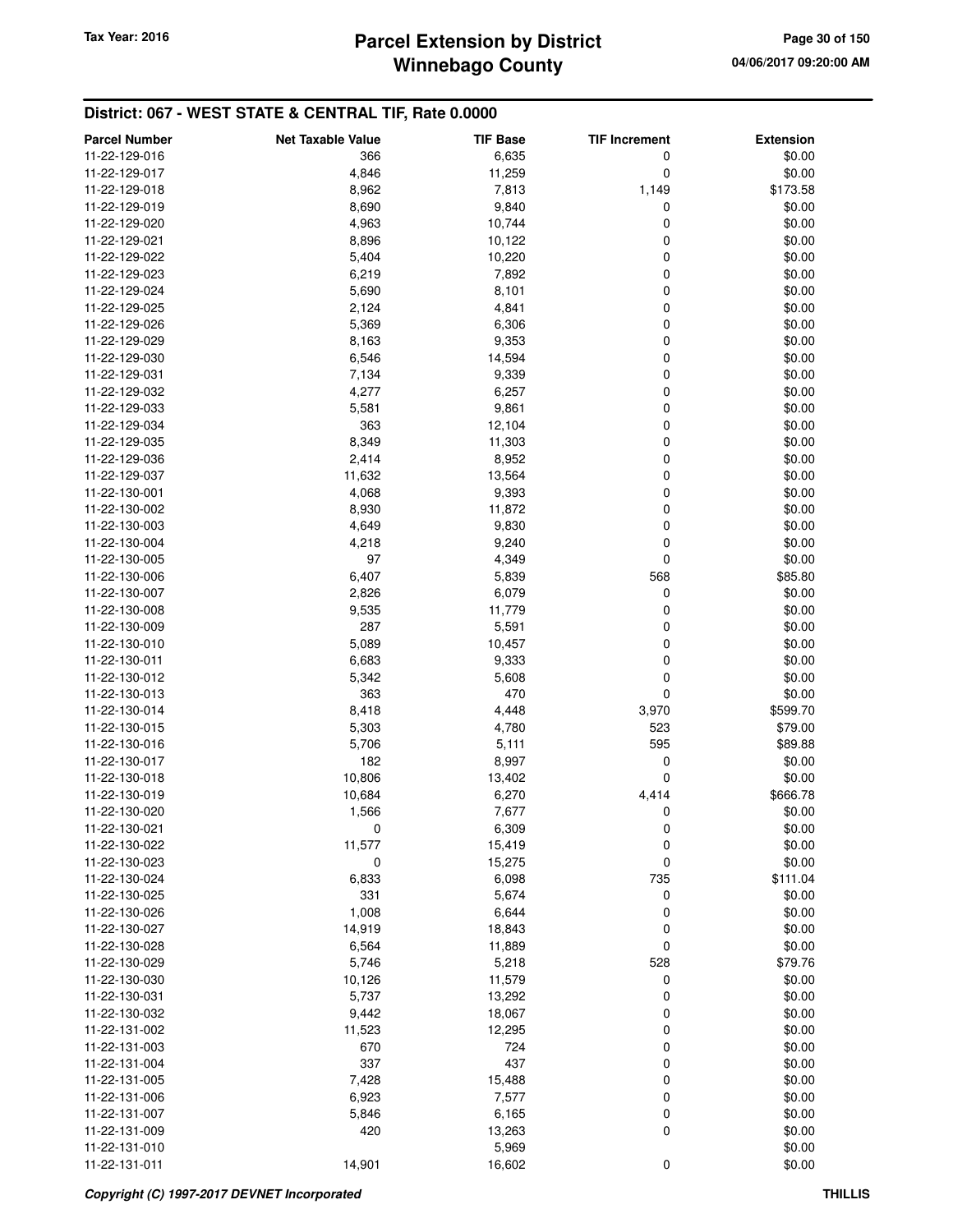| <b>Parcel Number</b> | <b>Net Taxable Value</b> | <b>TIF Base</b> | <b>TIF Increment</b> | <b>Extension</b> |
|----------------------|--------------------------|-----------------|----------------------|------------------|
| 11-22-129-016        | 366                      | 6,635           | 0                    | \$0.00           |
| 11-22-129-017        | 4,846                    | 11,259          | 0                    | \$0.00           |
| 11-22-129-018        | 8,962                    | 7,813           | 1,149                | \$173.58         |
| 11-22-129-019        | 8,690                    | 9,840           | 0                    | \$0.00           |
| 11-22-129-020        | 4,963                    | 10,744          | 0                    | \$0.00           |
| 11-22-129-021        | 8,896                    | 10,122          | 0                    | \$0.00           |
| 11-22-129-022        | 5,404                    | 10,220          | 0                    | \$0.00           |
| 11-22-129-023        | 6,219                    | 7,892           | 0                    | \$0.00           |
| 11-22-129-024        | 5,690                    | 8,101           | 0                    | \$0.00           |
| 11-22-129-025        | 2,124                    | 4,841           | 0                    | \$0.00           |
| 11-22-129-026        | 5,369                    | 6,306           | 0                    | \$0.00           |
| 11-22-129-029        | 8,163                    | 9,353           | 0                    | \$0.00           |
| 11-22-129-030        | 6,546                    | 14,594          | 0                    | \$0.00           |
| 11-22-129-031        | 7,134                    | 9,339           | 0                    | \$0.00           |
| 11-22-129-032        | 4,277                    | 6,257           | 0                    | \$0.00           |
| 11-22-129-033        | 5,581                    | 9,861           | 0                    | \$0.00           |
| 11-22-129-034        | 363                      | 12,104          | 0                    | \$0.00           |
| 11-22-129-035        | 8,349                    | 11,303          | 0                    | \$0.00           |
| 11-22-129-036        | 2,414                    | 8,952           | 0                    | \$0.00           |
| 11-22-129-037        | 11,632                   | 13,564          | 0                    | \$0.00           |
| 11-22-130-001        | 4,068                    | 9,393           | 0                    | \$0.00           |
| 11-22-130-002        | 8,930                    | 11,872          | 0                    | \$0.00           |
| 11-22-130-003        | 4,649                    | 9,830           | 0                    | \$0.00           |
| 11-22-130-004        | 4,218                    | 9,240           | 0                    | \$0.00           |
| 11-22-130-005        | 97                       | 4,349           | 0                    | \$0.00           |
| 11-22-130-006        | 6,407                    | 5,839           | 568                  | \$85.80          |
| 11-22-130-007        | 2,826                    | 6,079           | 0                    | \$0.00           |
| 11-22-130-008        | 9,535                    | 11,779          | 0                    | \$0.00           |
| 11-22-130-009        | 287                      | 5,591           | 0                    | \$0.00           |
| 11-22-130-010        | 5,089                    | 10,457          | 0                    | \$0.00           |
| 11-22-130-011        | 6,683                    | 9,333           | 0                    | \$0.00           |
| 11-22-130-012        | 5,342                    | 5,608           | 0                    | \$0.00           |
| 11-22-130-013        | 363                      | 470             | 0                    | \$0.00           |
| 11-22-130-014        | 8,418                    | 4,448           | 3,970                | \$599.70         |
| 11-22-130-015        | 5,303                    | 4,780           | 523                  | \$79.00          |
| 11-22-130-016        | 5,706                    | 5,111           | 595                  | \$89.88          |
| 11-22-130-017        | 182                      | 8,997           | 0                    | \$0.00           |
| 11-22-130-018        | 10,806                   | 13,402          | 0                    | \$0.00           |
| 11-22-130-019        | 10,684                   | 6,270           | 4,414                | \$666.78         |
| 11-22-130-020        | 1,566                    | 7,677           | 0                    | \$0.00           |
| 11-22-130-021        | 0                        | 6,309           | 0                    | \$0.00           |
| 11-22-130-022        | 11,577                   | 15,419          | 0                    | \$0.00           |
| 11-22-130-023        | 0                        | 15,275          | 0                    | \$0.00           |
| 11-22-130-024        | 6,833                    | 6,098           | 735                  | \$111.04         |
| 11-22-130-025        | 331                      | 5,674           | 0                    | \$0.00           |
| 11-22-130-026        | 1,008                    | 6,644           | 0                    | \$0.00           |
| 11-22-130-027        | 14,919                   | 18,843          | 0                    | \$0.00           |
| 11-22-130-028        | 6,564                    | 11,889          | 0                    | \$0.00           |
| 11-22-130-029        | 5,746                    | 5,218           | 528                  | \$79.76          |
| 11-22-130-030        | 10,126                   | 11,579          | 0                    | \$0.00           |
| 11-22-130-031        | 5,737                    | 13,292          | 0                    | \$0.00           |
| 11-22-130-032        | 9,442                    | 18,067          | 0                    | \$0.00           |
| 11-22-131-002        | 11,523                   | 12,295          | 0                    | \$0.00           |
| 11-22-131-003        | 670                      | 724             | 0                    | \$0.00           |
| 11-22-131-004        | 337                      | 437             | 0                    | \$0.00           |
| 11-22-131-005        | 7,428                    | 15,488          | 0                    | \$0.00           |
| 11-22-131-006        | 6,923                    | 7,577           | 0                    | \$0.00           |
| 11-22-131-007        | 5,846                    | 6,165           | 0                    | \$0.00           |
| 11-22-131-009        | 420                      | 13,263          | 0                    | \$0.00           |
| 11-22-131-010        |                          | 5,969           |                      | \$0.00           |
| 11-22-131-011        | 14,901                   | 16,602          | 0                    | \$0.00           |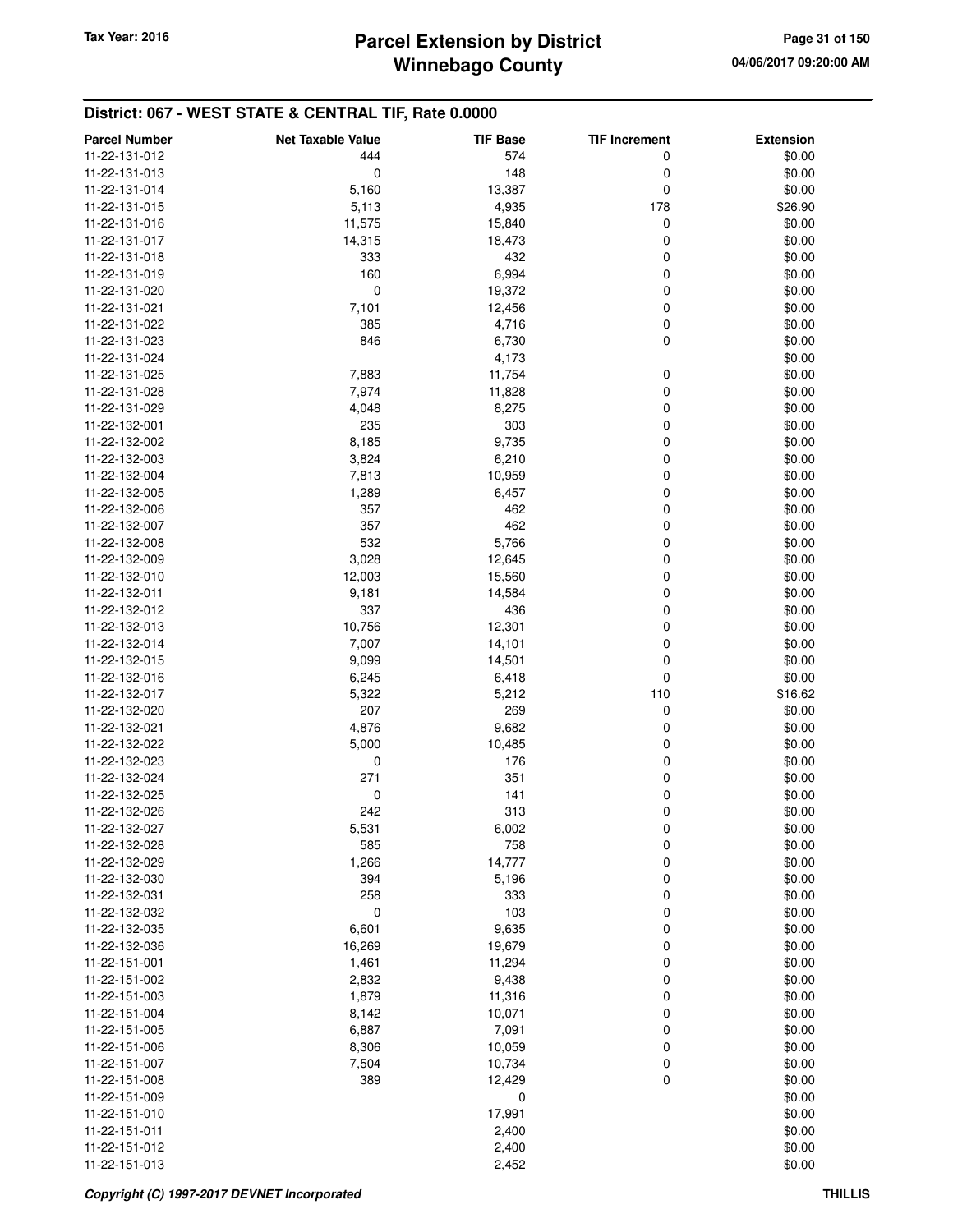| <b>Parcel Number</b> | <b>Net Taxable Value</b> | <b>TIF Base</b> | <b>TIF Increment</b> | <b>Extension</b> |
|----------------------|--------------------------|-----------------|----------------------|------------------|
| 11-22-131-012        | 444                      | 574             | 0                    | \$0.00           |
| 11-22-131-013        | 0                        | 148             | 0                    | \$0.00           |
| 11-22-131-014        | 5,160                    | 13,387          | 0                    | \$0.00           |
| 11-22-131-015        | 5,113                    | 4,935           | 178                  | \$26.90          |
| 11-22-131-016        | 11,575                   | 15,840          | 0                    | \$0.00           |
| 11-22-131-017        | 14,315                   | 18,473          | 0                    | \$0.00           |
| 11-22-131-018        | 333                      | 432             | 0                    | \$0.00           |
| 11-22-131-019        | 160                      | 6,994           | 0                    | \$0.00           |
| 11-22-131-020        | 0                        | 19,372          | 0                    | \$0.00           |
| 11-22-131-021        | 7,101                    | 12,456          | 0                    | \$0.00           |
| 11-22-131-022        | 385                      | 4,716           | 0                    | \$0.00           |
| 11-22-131-023        | 846                      | 6,730           | 0                    | \$0.00           |
| 11-22-131-024        |                          | 4,173           |                      | \$0.00           |
| 11-22-131-025        | 7,883                    | 11,754          | 0                    | \$0.00           |
| 11-22-131-028        | 7,974                    | 11,828          | 0                    | \$0.00           |
| 11-22-131-029        | 4,048                    | 8,275           | 0                    | \$0.00           |
| 11-22-132-001        | 235                      | 303             | 0                    | \$0.00           |
| 11-22-132-002        | 8,185                    | 9,735           | 0                    | \$0.00           |
| 11-22-132-003        | 3,824                    | 6,210           | 0                    | \$0.00           |
| 11-22-132-004        | 7,813                    | 10,959          | 0                    | \$0.00           |
| 11-22-132-005        | 1,289                    | 6,457           | 0                    | \$0.00           |
| 11-22-132-006        | 357                      | 462             | 0                    | \$0.00           |
| 11-22-132-007        | 357                      | 462             | 0                    | \$0.00           |
| 11-22-132-008        | 532                      | 5,766           | 0                    | \$0.00           |
| 11-22-132-009        | 3,028                    | 12,645          | 0                    | \$0.00           |
| 11-22-132-010        | 12,003                   | 15,560          | 0                    | \$0.00           |
| 11-22-132-011        | 9,181                    | 14,584          | 0                    | \$0.00           |
| 11-22-132-012        | 337                      | 436             | 0                    | \$0.00           |
| 11-22-132-013        | 10,756                   | 12,301          | 0                    | \$0.00           |
| 11-22-132-014        | 7,007                    | 14,101          | 0                    | \$0.00           |
| 11-22-132-015        | 9,099                    | 14,501          | 0                    | \$0.00           |
| 11-22-132-016        | 6,245                    | 6,418           | 0                    | \$0.00           |
| 11-22-132-017        | 5,322                    | 5,212           | 110                  | \$16.62          |
| 11-22-132-020        | 207                      | 269             | 0                    | \$0.00           |
| 11-22-132-021        | 4,876                    | 9,682           | 0                    | \$0.00           |
| 11-22-132-022        | 5,000                    | 10,485          | 0                    | \$0.00           |
| 11-22-132-023        | 0                        | 176             | 0                    | \$0.00           |
| 11-22-132-024        | 271                      | 351             | 0                    | \$0.00           |
| 11-22-132-025        | 0                        | 141             | 0                    | \$0.00           |
| 11-22-132-026        | 242                      | 313             | 0                    | \$0.00           |
| 11-22-132-027        | 5,531                    | 6,002           | 0                    | \$0.00           |
| 11-22-132-028        | 585                      | 758             | 0                    | \$0.00           |
| 11-22-132-029        | 1,266                    | 14,777          | 0                    | \$0.00           |
| 11-22-132-030        | 394                      | 5,196           | 0                    | \$0.00           |
| 11-22-132-031        | 258                      | 333             | 0                    | \$0.00           |
| 11-22-132-032        | $\mathbf 0$              | 103             | 0                    | \$0.00           |
| 11-22-132-035        | 6,601                    | 9,635           | 0                    | \$0.00           |
| 11-22-132-036        | 16,269                   | 19,679          | 0                    | \$0.00           |
| 11-22-151-001        | 1,461                    | 11,294          | 0                    | \$0.00           |
| 11-22-151-002        | 2,832                    | 9,438           | 0                    | \$0.00           |
| 11-22-151-003        | 1,879                    | 11,316          | 0                    | \$0.00           |
| 11-22-151-004        | 8,142                    | 10,071          | 0                    | \$0.00           |
| 11-22-151-005        | 6,887                    | 7,091           | 0                    | \$0.00           |
| 11-22-151-006        | 8,306                    | 10,059          | 0                    | \$0.00           |
| 11-22-151-007        | 7,504                    | 10,734          | 0                    | \$0.00           |
| 11-22-151-008        | 389                      | 12,429          | 0                    | \$0.00           |
| 11-22-151-009        |                          | 0               |                      | \$0.00           |
| 11-22-151-010        |                          | 17,991          |                      | \$0.00           |
| 11-22-151-011        |                          | 2,400           |                      | \$0.00           |
| 11-22-151-012        |                          | 2,400           |                      | \$0.00           |
| 11-22-151-013        |                          | 2,452           |                      | \$0.00           |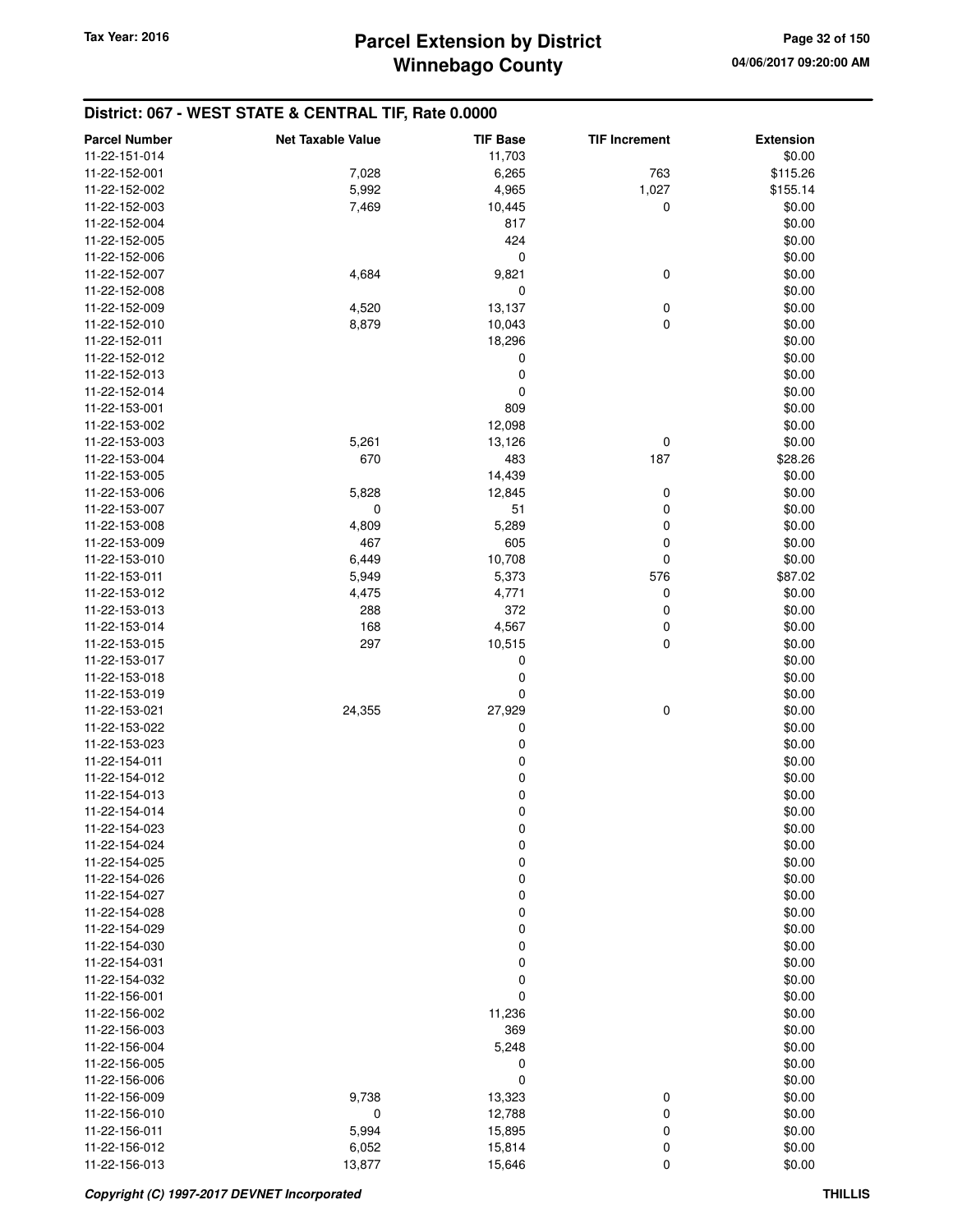| <b>Parcel Number</b>           | <b>Net Taxable Value</b> | <b>TIF Base</b> | <b>TIF Increment</b> | <b>Extension</b> |
|--------------------------------|--------------------------|-----------------|----------------------|------------------|
| 11-22-151-014                  |                          | 11,703          |                      | \$0.00           |
| 11-22-152-001                  | 7,028                    | 6,265           | 763                  | \$115.26         |
| 11-22-152-002                  | 5,992                    | 4,965           | 1,027                | \$155.14         |
| 11-22-152-003                  | 7,469                    | 10,445          | $\mathbf 0$          | \$0.00           |
| 11-22-152-004                  |                          | 817             |                      | \$0.00           |
| 11-22-152-005                  |                          | 424             |                      | \$0.00           |
| 11-22-152-006                  |                          | 0               |                      | \$0.00           |
| 11-22-152-007                  | 4,684                    | 9,821           | 0                    | \$0.00           |
| 11-22-152-008                  |                          | 0               |                      | \$0.00           |
| 11-22-152-009                  | 4,520                    | 13,137          | $\pmb{0}$            | \$0.00           |
| 11-22-152-010                  | 8,879                    | 10,043          | 0                    | \$0.00           |
| 11-22-152-011                  |                          | 18,296          |                      | \$0.00           |
| 11-22-152-012                  |                          | $\pmb{0}$       |                      | \$0.00           |
| 11-22-152-013                  |                          | 0               |                      | \$0.00           |
| 11-22-152-014                  |                          | 0               |                      | \$0.00           |
| 11-22-153-001                  |                          | 809             |                      | \$0.00           |
| 11-22-153-002                  |                          | 12,098          |                      | \$0.00           |
| 11-22-153-003                  | 5,261                    | 13,126          | 0                    | \$0.00           |
| 11-22-153-004                  | 670                      | 483             | 187                  | \$28.26          |
| 11-22-153-005                  |                          | 14,439          |                      | \$0.00           |
| 11-22-153-006                  | 5,828                    | 12,845          | 0                    | \$0.00           |
| 11-22-153-007                  | 0                        | 51              | 0                    | \$0.00           |
| 11-22-153-008                  | 4,809                    | 5,289           | 0                    | \$0.00           |
| 11-22-153-009                  | 467                      | 605             | 0                    | \$0.00           |
| 11-22-153-010                  | 6,449                    | 10,708          | 0                    | \$0.00           |
| 11-22-153-011                  | 5,949                    | 5,373           | 576                  | \$87.02          |
| 11-22-153-012                  | 4,475                    | 4,771           | 0                    | \$0.00           |
| 11-22-153-013                  | 288                      | 372             | 0                    | \$0.00           |
| 11-22-153-014                  | 168                      | 4,567           | 0                    | \$0.00           |
| 11-22-153-015                  | 297                      | 10,515          | 0                    | \$0.00           |
| 11-22-153-017                  |                          | 0               |                      | \$0.00           |
| 11-22-153-018                  |                          | 0<br>0          |                      | \$0.00           |
| 11-22-153-019<br>11-22-153-021 | 24,355                   | 27,929          | 0                    | \$0.00<br>\$0.00 |
| 11-22-153-022                  |                          | 0               |                      | \$0.00           |
| 11-22-153-023                  |                          | 0               |                      | \$0.00           |
| 11-22-154-011                  |                          | 0               |                      | \$0.00           |
| 11-22-154-012                  |                          | $\pmb{0}$       |                      | \$0.00           |
| 11-22-154-013                  |                          | 0               |                      | \$0.00           |
| 11-22-154-014                  |                          | 0               |                      | \$0.00           |
| 11-22-154-023                  |                          | 0               |                      | \$0.00           |
| 11-22-154-024                  |                          | 0               |                      | \$0.00           |
| 11-22-154-025                  |                          | $\mathbf 0$     |                      | \$0.00           |
| 11-22-154-026                  |                          | 0               |                      | \$0.00           |
| 11-22-154-027                  |                          | 0               |                      | \$0.00           |
| 11-22-154-028                  |                          | 0               |                      | \$0.00           |
| 11-22-154-029                  |                          | 0               |                      | \$0.00           |
| 11-22-154-030                  |                          | $\mathbf 0$     |                      | \$0.00           |
| 11-22-154-031                  |                          | 0               |                      | \$0.00           |
| 11-22-154-032                  |                          | 0               |                      | \$0.00           |
| 11-22-156-001                  |                          | 0               |                      | \$0.00           |
| 11-22-156-002                  |                          | 11,236          |                      | \$0.00           |
| 11-22-156-003                  |                          | 369             |                      | \$0.00           |
| 11-22-156-004                  |                          | 5,248           |                      | \$0.00           |
| 11-22-156-005                  |                          | 0               |                      | \$0.00           |
| 11-22-156-006                  |                          | 0               |                      | \$0.00           |
| 11-22-156-009                  | 9,738                    | 13,323          | 0                    | \$0.00           |
| 11-22-156-010                  | 0                        | 12,788          | 0                    | \$0.00           |
| 11-22-156-011                  | 5,994                    | 15,895          | 0                    | \$0.00           |
| 11-22-156-012                  | 6,052                    | 15,814          | 0                    | \$0.00           |
| 11-22-156-013                  | 13,877                   | 15,646          | $\mathbf 0$          | \$0.00           |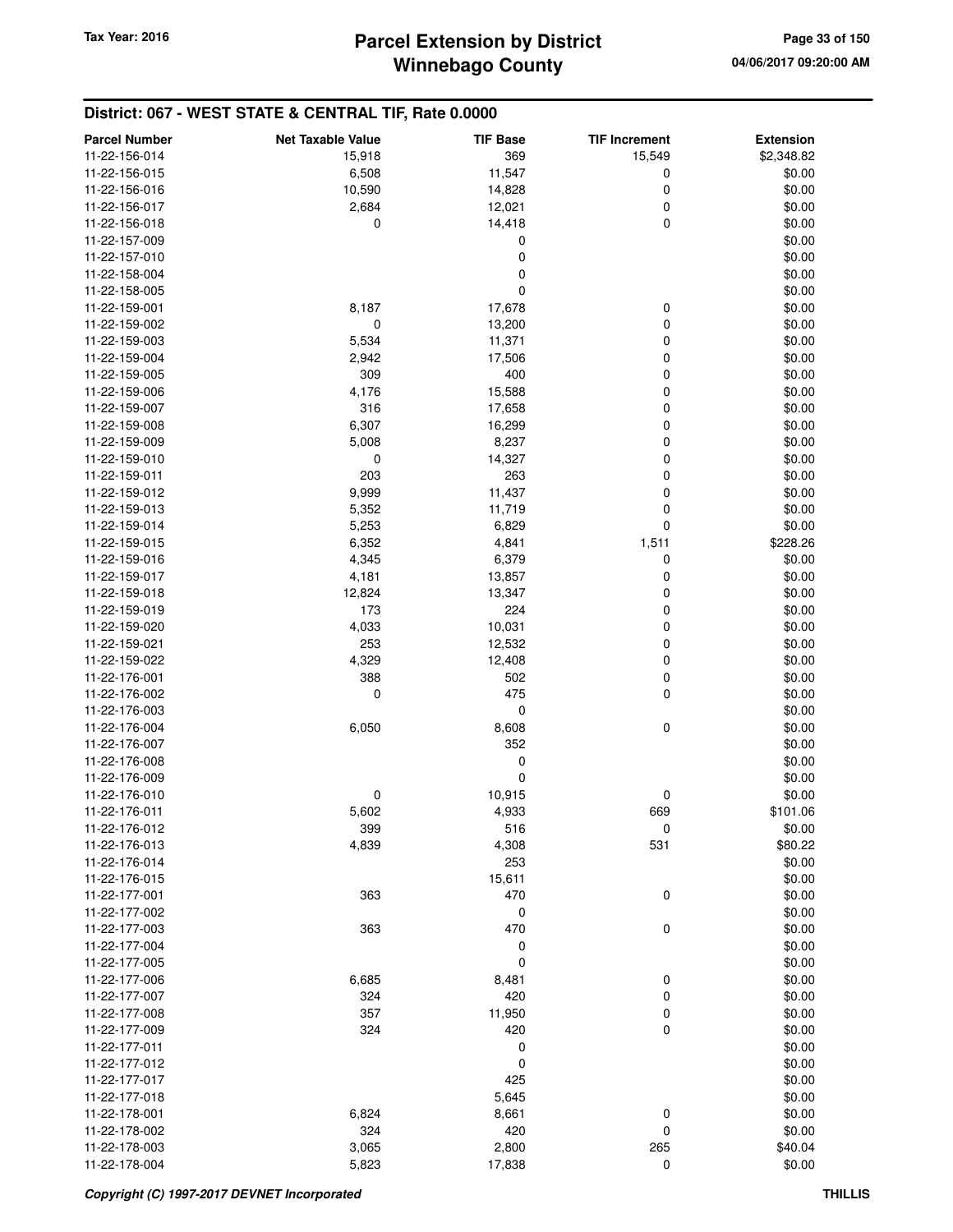| <b>Parcel Number</b> | <b>Net Taxable Value</b> | <b>TIF Base</b> | <b>TIF Increment</b> | <b>Extension</b> |
|----------------------|--------------------------|-----------------|----------------------|------------------|
| 11-22-156-014        | 15,918                   | 369             | 15,549               | \$2,348.82       |
| 11-22-156-015        | 6,508                    | 11,547          | 0                    | \$0.00           |
| 11-22-156-016        | 10,590                   | 14,828          | 0                    | \$0.00           |
| 11-22-156-017        | 2,684                    | 12,021          | 0                    | \$0.00           |
| 11-22-156-018        | 0                        | 14,418          | $\mathbf 0$          | \$0.00           |
| 11-22-157-009        |                          | 0               |                      | \$0.00           |
| 11-22-157-010        |                          | 0               |                      | \$0.00           |
| 11-22-158-004        |                          | 0               |                      | \$0.00           |
| 11-22-158-005        |                          | 0               |                      | \$0.00           |
| 11-22-159-001        | 8,187                    | 17,678          | 0                    | \$0.00           |
| 11-22-159-002        | 0                        | 13,200          | 0                    | \$0.00           |
| 11-22-159-003        | 5,534                    | 11,371          | 0                    | \$0.00           |
| 11-22-159-004        | 2,942                    | 17,506          | 0                    | \$0.00           |
| 11-22-159-005        | 309                      | 400             | 0                    | \$0.00           |
| 11-22-159-006        | 4,176                    | 15,588          | 0                    | \$0.00           |
| 11-22-159-007        | 316                      | 17,658          | 0                    | \$0.00           |
| 11-22-159-008        | 6,307                    | 16,299          | 0                    | \$0.00           |
| 11-22-159-009        | 5,008                    | 8,237           | 0                    | \$0.00           |
| 11-22-159-010        | 0                        | 14,327          | 0                    | \$0.00           |
| 11-22-159-011        | 203                      | 263             | 0                    | \$0.00           |
| 11-22-159-012        | 9,999                    | 11,437          | 0                    | \$0.00           |
| 11-22-159-013        | 5,352                    | 11,719          | 0                    | \$0.00           |
| 11-22-159-014        | 5,253                    | 6,829           | 0                    | \$0.00           |
| 11-22-159-015        | 6,352                    | 4,841           | 1,511                | \$228.26         |
| 11-22-159-016        | 4,345                    | 6,379           | 0                    | \$0.00           |
| 11-22-159-017        | 4,181                    | 13,857          | $\mathbf 0$          | \$0.00           |
| 11-22-159-018        | 12,824                   | 13,347          | 0                    | \$0.00           |
| 11-22-159-019        | 173                      | 224             | 0                    | \$0.00           |
| 11-22-159-020        | 4,033                    | 10,031          | 0                    | \$0.00           |
| 11-22-159-021        | 253                      | 12,532          | 0                    | \$0.00           |
| 11-22-159-022        | 4,329                    | 12,408          | 0                    | \$0.00           |
| 11-22-176-001        | 388                      | 502             | 0                    | \$0.00           |
| 11-22-176-002        | 0                        | 475             | 0                    | \$0.00           |
| 11-22-176-003        |                          | 0               |                      | \$0.00           |
| 11-22-176-004        | 6,050                    | 8,608           | $\mathbf 0$          | \$0.00           |
| 11-22-176-007        |                          | 352             |                      | \$0.00           |
| 11-22-176-008        |                          | 0               |                      | \$0.00           |
| 11-22-176-009        |                          | 0               |                      | \$0.00           |
| 11-22-176-010        | 0                        | 10,915          | 0                    | \$0.00           |
| 11-22-176-011        | 5,602                    | 4,933           | 669                  | \$101.06         |
| 11-22-176-012        | 399                      | 516             | 0                    | \$0.00           |
| 11-22-176-013        | 4,839                    | 4,308           | 531                  | \$80.22          |
| 11-22-176-014        |                          | 253             |                      | \$0.00           |
| 11-22-176-015        |                          | 15,611          |                      | \$0.00           |
| 11-22-177-001        | 363                      | 470             | $\mathbf 0$          | \$0.00           |
| 11-22-177-002        |                          | 0               |                      | \$0.00           |
| 11-22-177-003        | 363                      | 470             | 0                    | \$0.00           |
| 11-22-177-004        |                          | 0               |                      | \$0.00           |
| 11-22-177-005        |                          | 0               |                      | \$0.00           |
| 11-22-177-006        | 6,685                    | 8,481           | 0                    | \$0.00           |
| 11-22-177-007        | 324                      | 420             | $\mathbf 0$          | \$0.00           |
| 11-22-177-008        | 357                      | 11,950          | 0                    | \$0.00           |
| 11-22-177-009        | 324                      | 420             | $\mathbf 0$          | \$0.00           |
| 11-22-177-011        |                          | 0               |                      | \$0.00           |
| 11-22-177-012        |                          | 0               |                      | \$0.00           |
| 11-22-177-017        |                          | 425             |                      | \$0.00           |
| 11-22-177-018        |                          | 5,645           |                      | \$0.00           |
| 11-22-178-001        | 6,824                    | 8,661           | 0                    | \$0.00           |
| 11-22-178-002        | 324                      | 420             | $\mathbf 0$          | \$0.00           |
| 11-22-178-003        | 3,065                    | 2,800           | 265                  | \$40.04          |
| 11-22-178-004        | 5,823                    | 17,838          | $\mathbf 0$          | \$0.00           |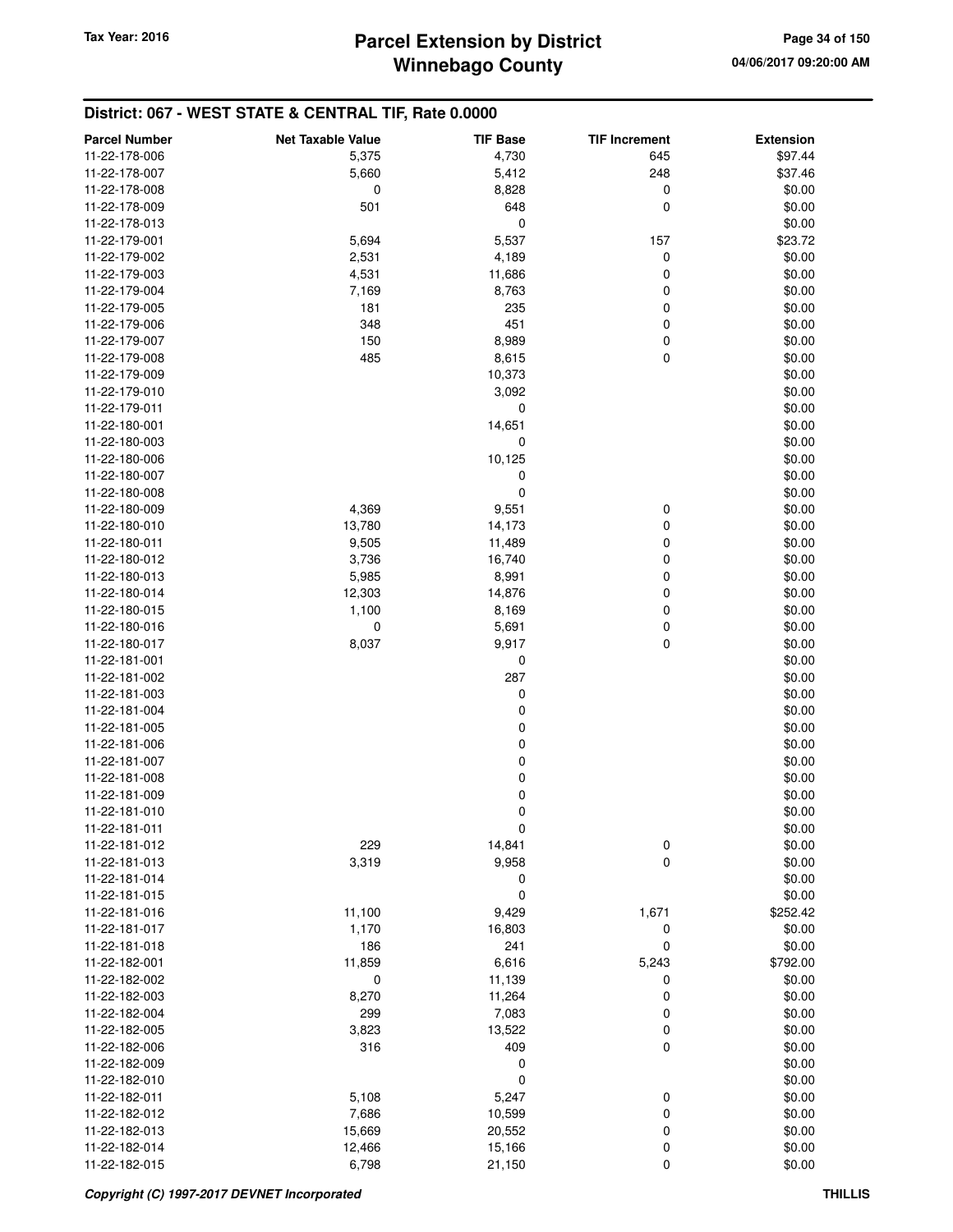| <b>Parcel Number</b> | <b>Net Taxable Value</b> | <b>TIF Base</b>  | <b>TIF Increment</b> | <b>Extension</b> |
|----------------------|--------------------------|------------------|----------------------|------------------|
| 11-22-178-006        | 5,375                    | 4,730            | 645                  | \$97.44          |
| 11-22-178-007        | 5,660                    | 5,412            | 248                  | \$37.46          |
| 11-22-178-008        | 0                        | 8,828            | $\mathbf 0$          | \$0.00           |
| 11-22-178-009        | 501                      | 648              | 0                    | \$0.00           |
| 11-22-178-013        |                          | 0                |                      | \$0.00           |
| 11-22-179-001        | 5,694                    | 5,537            | 157                  | \$23.72          |
| 11-22-179-002        | 2,531                    | 4,189            | 0                    | \$0.00           |
| 11-22-179-003        | 4,531                    | 11,686           | 0                    | \$0.00           |
| 11-22-179-004        | 7,169                    | 8,763            | 0                    | \$0.00           |
| 11-22-179-005        | 181                      | 235              | 0                    | \$0.00           |
| 11-22-179-006        | 348                      | 451              | $\mathbf 0$          | \$0.00           |
| 11-22-179-007        | 150                      | 8,989            | $\boldsymbol{0}$     | \$0.00           |
| 11-22-179-008        | 485                      | 8,615            | 0                    | \$0.00           |
| 11-22-179-009        |                          | 10,373           |                      | \$0.00           |
| 11-22-179-010        |                          | 3,092            |                      | \$0.00           |
| 11-22-179-011        |                          | 0                |                      | \$0.00           |
| 11-22-180-001        |                          | 14,651           |                      | \$0.00           |
| 11-22-180-003        |                          | $\mathbf 0$      |                      | \$0.00           |
| 11-22-180-006        |                          | 10,125           |                      | \$0.00           |
| 11-22-180-007        |                          | 0                |                      | \$0.00           |
| 11-22-180-008        |                          | 0                |                      | \$0.00           |
| 11-22-180-009        | 4,369                    | 9,551            | 0                    | \$0.00           |
| 11-22-180-010        | 13,780                   | 14,173           | 0                    | \$0.00           |
| 11-22-180-011        | 9,505                    | 11,489           | $\boldsymbol{0}$     | \$0.00           |
| 11-22-180-012        | 3,736                    | 16,740           | 0                    | \$0.00           |
| 11-22-180-013        | 5,985                    | 8,991            | $\mathbf 0$          | \$0.00           |
| 11-22-180-014        | 12,303                   | 14,876           | 0                    | \$0.00           |
| 11-22-180-015        | 1,100                    | 8,169            | 0                    | \$0.00           |
| 11-22-180-016        | 0                        | 5,691            | $\boldsymbol{0}$     | \$0.00           |
| 11-22-180-017        | 8,037                    | 9,917            | $\pmb{0}$            | \$0.00           |
| 11-22-181-001        |                          | 0                |                      | \$0.00           |
| 11-22-181-002        |                          | 287              |                      | \$0.00           |
| 11-22-181-003        |                          | 0                |                      | \$0.00           |
| 11-22-181-004        |                          | $\boldsymbol{0}$ |                      | \$0.00           |
| 11-22-181-005        |                          | $\boldsymbol{0}$ |                      | \$0.00           |
| 11-22-181-006        |                          | 0                |                      | \$0.00           |
| 11-22-181-007        |                          | $\boldsymbol{0}$ |                      | \$0.00           |
| 11-22-181-008        |                          | $\mathbf 0$      |                      | \$0.00           |
| 11-22-181-009        |                          | $\mathbf 0$      |                      | \$0.00           |
| 11-22-181-010        |                          | 0                |                      | \$0.00           |
| 11-22-181-011        |                          | 0                |                      | \$0.00           |
| 11-22-181-012        | 229                      | 14,841           | $\boldsymbol{0}$     | \$0.00           |
| 11-22-181-013        | 3,319                    | 9,958            | $\mathbf 0$          | \$0.00           |
| 11-22-181-014        |                          | 0                |                      | \$0.00           |
| 11-22-181-015        |                          | 0                |                      | \$0.00           |
| 11-22-181-016        | 11,100                   | 9,429            | 1,671                | \$252.42         |
| 11-22-181-017        | 1,170                    | 16,803           | 0                    | \$0.00           |
| 11-22-181-018        | 186                      | 241              | 0                    | \$0.00           |
| 11-22-182-001        | 11,859                   | 6,616            | 5,243                | \$792.00         |
| 11-22-182-002        | 0                        | 11,139           | 0                    | \$0.00           |
| 11-22-182-003        | 8,270                    | 11,264           | 0                    | \$0.00           |
| 11-22-182-004        | 299                      | 7,083            | 0                    | \$0.00           |
| 11-22-182-005        | 3,823                    | 13,522           | $\boldsymbol{0}$     | \$0.00           |
| 11-22-182-006        | 316                      | 409              | $\mathbf 0$          | \$0.00           |
| 11-22-182-009        |                          | 0                |                      | \$0.00           |
| 11-22-182-010        |                          | 0                |                      | \$0.00           |
| 11-22-182-011        | 5,108                    | 5,247            | 0                    | \$0.00           |
| 11-22-182-012        | 7,686                    | 10,599           | 0                    | \$0.00           |
| 11-22-182-013        | 15,669                   | 20,552           | $\boldsymbol{0}$     | \$0.00           |
| 11-22-182-014        | 12,466                   | 15,166           | 0                    | \$0.00           |
| 11-22-182-015        | 6,798                    | 21,150           | $\mathbf 0$          | \$0.00           |
|                      |                          |                  |                      |                  |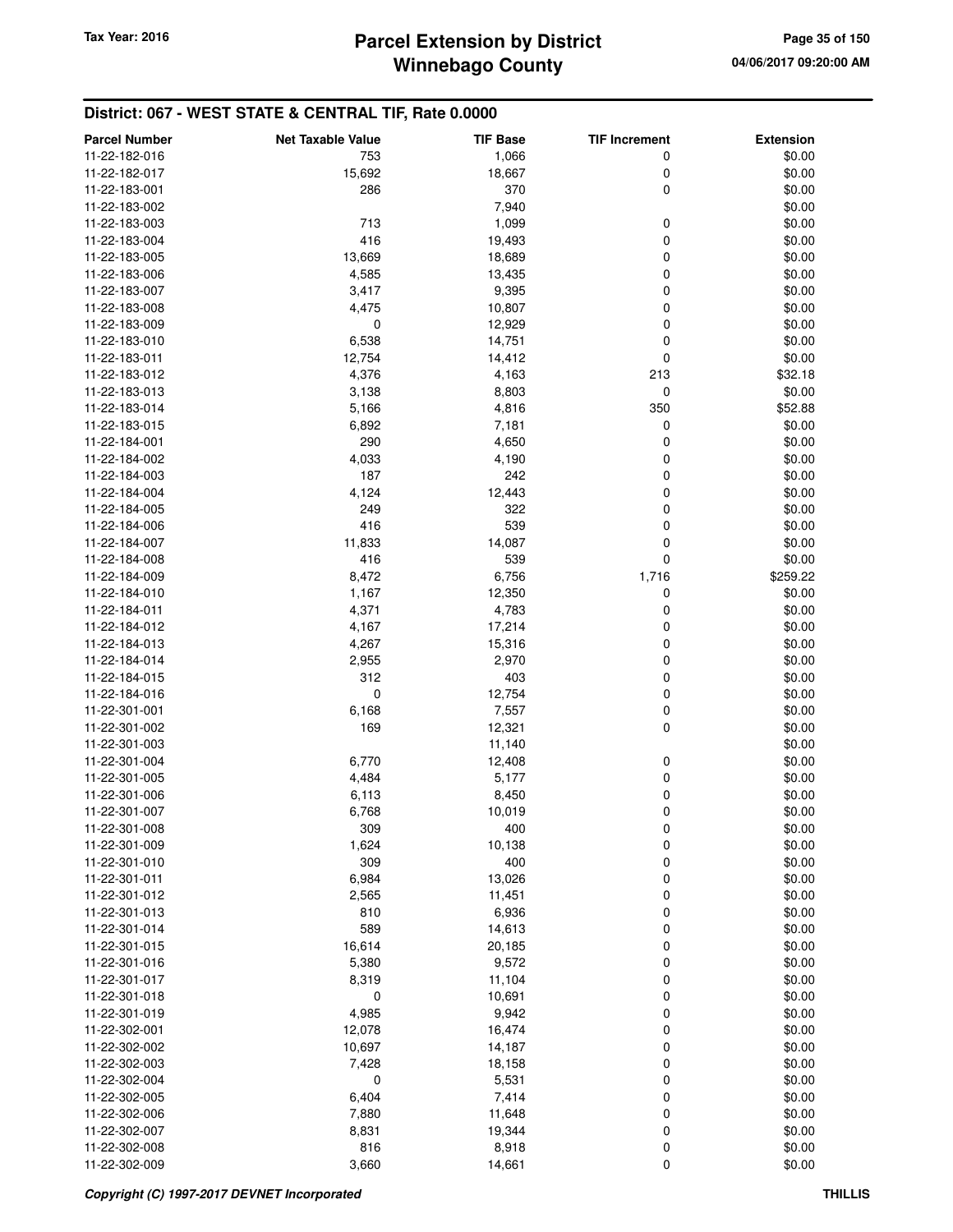| <b>Parcel Number</b> | <b>Net Taxable Value</b> | <b>TIF Base</b> | <b>TIF Increment</b> | <b>Extension</b> |
|----------------------|--------------------------|-----------------|----------------------|------------------|
| 11-22-182-016        | 753                      | 1,066           | 0                    | \$0.00           |
| 11-22-182-017        | 15,692                   | 18,667          | 0                    | \$0.00           |
| 11-22-183-001        | 286                      | 370             | $\mathbf 0$          | \$0.00           |
| 11-22-183-002        |                          | 7,940           |                      | \$0.00           |
| 11-22-183-003        | 713                      | 1,099           | 0                    | \$0.00           |
| 11-22-183-004        | 416                      | 19,493          | 0                    | \$0.00           |
|                      |                          |                 | 0                    |                  |
| 11-22-183-005        | 13,669                   | 18,689          |                      | \$0.00           |
| 11-22-183-006        | 4,585                    | 13,435          | 0                    | \$0.00           |
| 11-22-183-007        | 3,417                    | 9,395           | 0                    | \$0.00           |
| 11-22-183-008        | 4,475                    | 10,807          | 0                    | \$0.00           |
| 11-22-183-009        | 0                        | 12,929          | 0                    | \$0.00           |
| 11-22-183-010        | 6,538                    | 14,751          | 0                    | \$0.00           |
| 11-22-183-011        | 12,754                   | 14,412          | 0                    | \$0.00           |
| 11-22-183-012        | 4,376                    | 4,163           | 213                  | \$32.18          |
| 11-22-183-013        | 3,138                    | 8,803           | 0                    | \$0.00           |
| 11-22-183-014        | 5,166                    | 4,816           | 350                  | \$52.88          |
| 11-22-183-015        | 6,892                    | 7,181           | 0                    | \$0.00           |
| 11-22-184-001        | 290                      | 4,650           | 0                    | \$0.00           |
| 11-22-184-002        | 4,033                    | 4,190           | 0                    | \$0.00           |
| 11-22-184-003        | 187                      | 242             | 0                    | \$0.00           |
| 11-22-184-004        | 4,124                    | 12,443          | 0                    | \$0.00           |
| 11-22-184-005        | 249                      | 322             | 0                    | \$0.00           |
| 11-22-184-006        | 416                      | 539             | 0                    | \$0.00           |
| 11-22-184-007        | 11,833                   | 14,087          | 0                    | \$0.00           |
| 11-22-184-008        | 416                      | 539             | 0                    | \$0.00           |
| 11-22-184-009        | 8,472                    | 6,756           | 1,716                | \$259.22         |
| 11-22-184-010        | 1,167                    | 12,350          | 0                    | \$0.00           |
| 11-22-184-011        | 4,371                    | 4,783           | 0                    | \$0.00           |
| 11-22-184-012        | 4,167                    | 17,214          | 0                    | \$0.00           |
| 11-22-184-013        | 4,267                    | 15,316          | 0                    | \$0.00           |
| 11-22-184-014        | 2,955                    | 2,970           | 0                    | \$0.00           |
| 11-22-184-015        | 312                      | 403             | 0                    | \$0.00           |
| 11-22-184-016        | 0                        | 12,754          | 0                    | \$0.00           |
| 11-22-301-001        | 6,168                    | 7,557           | 0                    | \$0.00           |
| 11-22-301-002        | 169                      | 12,321          | 0                    | \$0.00           |
| 11-22-301-003        |                          | 11,140          |                      | \$0.00           |
| 11-22-301-004        | 6,770                    | 12,408          | 0                    | \$0.00           |
| 11-22-301-005        | 4,484                    | 5,177           | 0                    | \$0.00           |
| 11-22-301-006        | 6,113                    | 8,450           | 0                    | \$0.00           |
| 11-22-301-007        | 6,768                    | 10,019          | 0                    | \$0.00           |
| 11-22-301-008        |                          |                 |                      | \$0.00           |
| 11-22-301-009        | 309<br>1,624             | 400<br>10,138   | 0<br>0               | \$0.00           |
| 11-22-301-010        | 309                      | 400             | 0                    | \$0.00           |
|                      |                          |                 |                      |                  |
| 11-22-301-011        | 6,984                    | 13,026          | 0                    | \$0.00           |
| 11-22-301-012        | 2,565                    | 11,451          | 0                    | \$0.00           |
| 11-22-301-013        | 810                      | 6,936           | 0                    | \$0.00           |
| 11-22-301-014        | 589                      | 14,613          | 0                    | \$0.00           |
| 11-22-301-015        | 16,614                   | 20,185          | 0                    | \$0.00           |
| 11-22-301-016        | 5,380                    | 9,572           | 0                    | \$0.00           |
| 11-22-301-017        | 8,319                    | 11,104          | 0                    | \$0.00           |
| 11-22-301-018        | 0                        | 10,691          | 0                    | \$0.00           |
| 11-22-301-019        | 4,985                    | 9,942           | 0                    | \$0.00           |
| 11-22-302-001        | 12,078                   | 16,474          | 0                    | \$0.00           |
| 11-22-302-002        | 10,697                   | 14,187          | 0                    | \$0.00           |
| 11-22-302-003        | 7,428                    | 18,158          | 0                    | \$0.00           |
| 11-22-302-004        | 0                        | 5,531           | 0                    | \$0.00           |
| 11-22-302-005        | 6,404                    | 7,414           | 0                    | \$0.00           |
| 11-22-302-006        | 7,880                    | 11,648          | 0                    | \$0.00           |
| 11-22-302-007        | 8,831                    | 19,344          | 0                    | \$0.00           |
| 11-22-302-008        | 816                      | 8,918           | 0                    | \$0.00           |
| 11-22-302-009        | 3,660                    | 14,661          | 0                    | \$0.00           |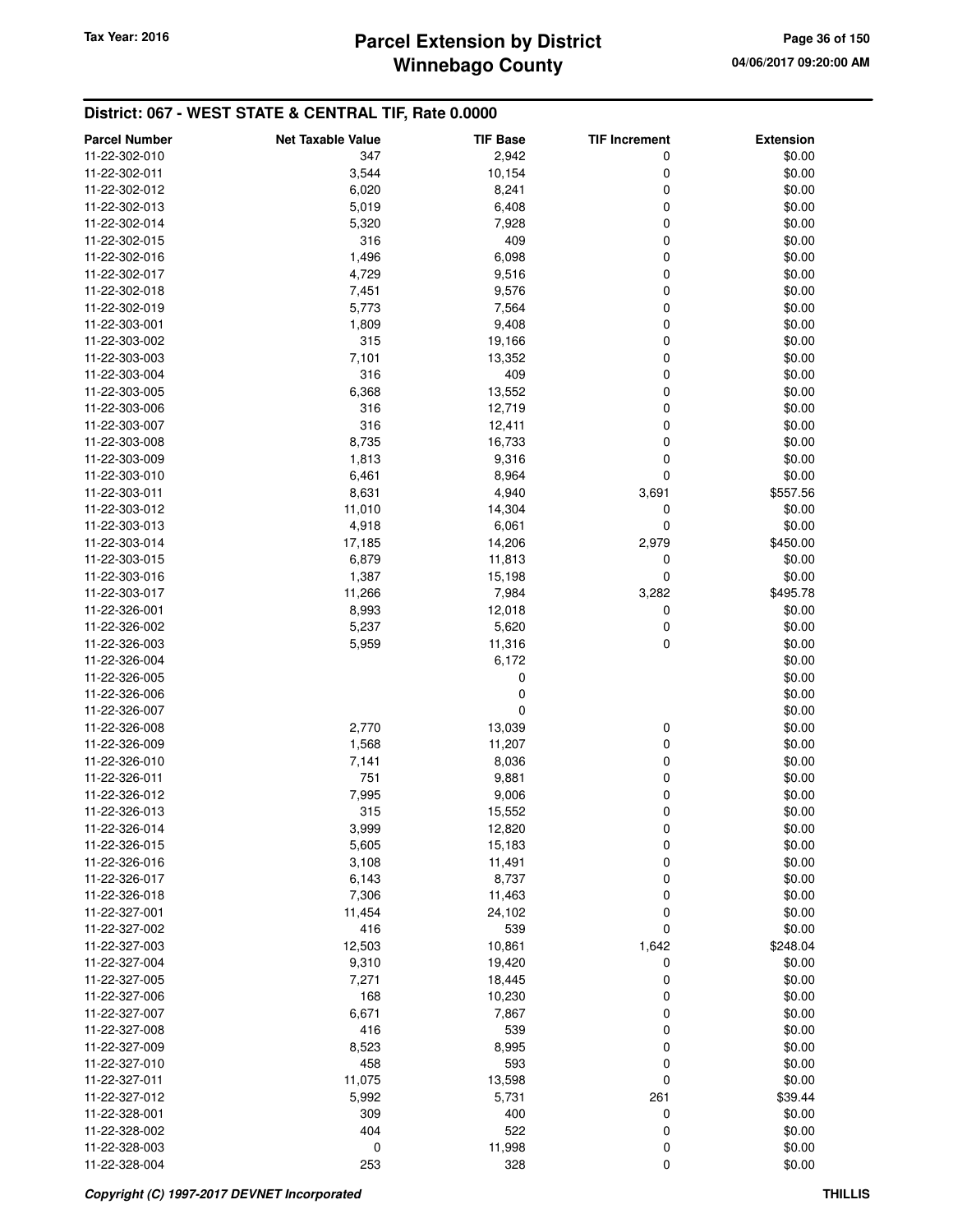| <b>Parcel Number</b>           | <b>Net Taxable Value</b> | <b>TIF Base</b> | <b>TIF Increment</b> | <b>Extension</b> |
|--------------------------------|--------------------------|-----------------|----------------------|------------------|
| 11-22-302-010                  | 347                      | 2,942           | 0                    | \$0.00           |
| 11-22-302-011                  | 3,544                    | 10,154          | 0                    | \$0.00           |
| 11-22-302-012                  | 6,020                    | 8,241           | 0                    | \$0.00           |
| 11-22-302-013                  | 5,019                    | 6,408           | 0                    | \$0.00           |
| 11-22-302-014                  | 5,320                    | 7,928           | 0                    | \$0.00           |
| 11-22-302-015                  | 316                      | 409             | 0                    | \$0.00           |
| 11-22-302-016                  | 1,496                    | 6,098           | 0                    | \$0.00           |
| 11-22-302-017                  | 4,729                    | 9,516           | 0                    | \$0.00           |
| 11-22-302-018                  | 7,451                    | 9,576           | 0                    | \$0.00           |
| 11-22-302-019                  | 5,773                    | 7,564           | 0                    | \$0.00           |
| 11-22-303-001                  | 1,809                    | 9,408           | 0                    | \$0.00           |
| 11-22-303-002                  | 315                      | 19,166          | 0                    | \$0.00           |
| 11-22-303-003                  | 7,101                    | 13,352          | 0                    | \$0.00           |
| 11-22-303-004                  | 316                      | 409             | 0                    | \$0.00           |
| 11-22-303-005                  | 6,368                    | 13,552          | 0                    | \$0.00           |
| 11-22-303-006                  | 316                      | 12,719          | 0                    | \$0.00           |
| 11-22-303-007                  | 316                      | 12,411          | 0                    | \$0.00           |
| 11-22-303-008                  | 8,735                    | 16,733          | 0                    | \$0.00           |
| 11-22-303-009                  | 1,813                    | 9,316           | 0                    | \$0.00           |
| 11-22-303-010                  | 6,461                    | 8,964           | 0                    | \$0.00           |
| 11-22-303-011                  |                          |                 |                      |                  |
| 11-22-303-012                  | 8,631                    | 4,940           | 3,691                | \$557.56         |
|                                | 11,010                   | 14,304          | 0<br>0               | \$0.00           |
| 11-22-303-013                  | 4,918<br>17,185          | 6,061           |                      | \$0.00           |
| 11-22-303-014<br>11-22-303-015 |                          | 14,206          | 2,979                | \$450.00         |
| 11-22-303-016                  | 6,879                    | 11,813          | 0<br>0               | \$0.00<br>\$0.00 |
|                                | 1,387                    | 15,198          |                      |                  |
| 11-22-303-017                  | 11,266                   | 7,984           | 3,282                | \$495.78         |
| 11-22-326-001                  | 8,993<br>5,237           | 12,018          | 0                    | \$0.00           |
| 11-22-326-002                  |                          | 5,620           | 0<br>0               | \$0.00<br>\$0.00 |
| 11-22-326-003                  | 5,959                    | 11,316          |                      |                  |
| 11-22-326-004                  |                          | 6,172           |                      | \$0.00           |
| 11-22-326-005                  |                          | 0               |                      | \$0.00           |
| 11-22-326-006                  |                          | 0               |                      | \$0.00           |
| 11-22-326-007                  |                          | 0               |                      | \$0.00           |
| 11-22-326-008                  | 2,770                    | 13,039          | 0                    | \$0.00           |
| 11-22-326-009                  | 1,568                    | 11,207          | 0                    | \$0.00           |
| 11-22-326-010                  | 7,141                    | 8,036           | 0                    | \$0.00           |
| 11-22-326-011                  | 751                      | 9,881           | 0                    | \$0.00           |
| 11-22-326-012                  | 7,995                    | 9,006           | 0                    | \$0.00           |
| 11-22-326-013                  | 315                      | 15,552          | 0                    | \$0.00<br>\$0.00 |
| 11-22-326-014                  | 3,999                    | 12,820          | 0                    |                  |
| 11-22-326-015                  | 5,605                    | 15,183          | 0                    | \$0.00           |
| 11-22-326-016                  | 3,108                    | 11,491          | 0                    | \$0.00           |
| 11-22-326-017                  | 6,143                    | 8,737           | 0                    | \$0.00           |
| 11-22-326-018                  | 7,306                    | 11,463          | 0                    | \$0.00           |
| 11-22-327-001                  | 11,454                   | 24,102          | 0                    | \$0.00           |
| 11-22-327-002                  | 416                      | 539             | 0                    | \$0.00           |
| 11-22-327-003                  | 12,503                   | 10,861          | 1,642                | \$248.04         |
| 11-22-327-004                  | 9,310                    | 19,420          | 0                    | \$0.00           |
| 11-22-327-005                  | 7,271                    | 18,445          | 0                    | \$0.00           |
| 11-22-327-006                  | 168                      | 10,230          | 0                    | \$0.00           |
| 11-22-327-007                  | 6,671                    | 7,867           | 0                    | \$0.00           |
| 11-22-327-008                  | 416                      | 539             | 0                    | \$0.00           |
| 11-22-327-009                  | 8,523                    | 8,995           | 0                    | \$0.00           |
| 11-22-327-010                  | 458                      | 593             | 0                    | \$0.00           |
| 11-22-327-011                  | 11,075                   | 13,598          | 0                    | \$0.00           |
| 11-22-327-012                  | 5,992                    | 5,731           | 261                  | \$39.44          |
| 11-22-328-001                  | 309                      | 400             | 0                    | \$0.00           |
| 11-22-328-002                  | 404                      | 522             | 0                    | \$0.00           |
| 11-22-328-003                  | 0                        | 11,998          | 0                    | \$0.00           |
| 11-22-328-004                  | 253                      | 328             | 0                    | \$0.00           |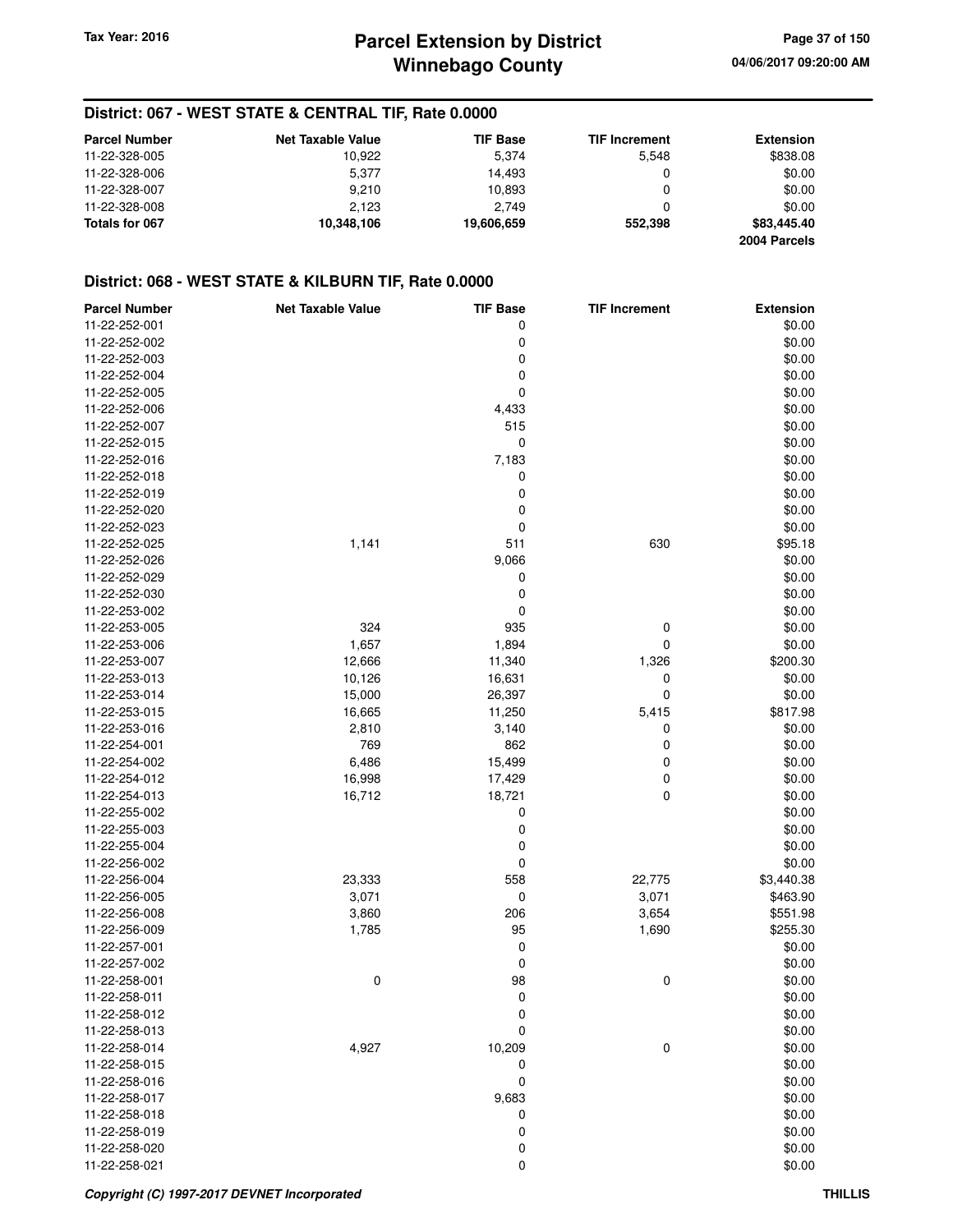# **District: 067 - WEST STATE & CENTRAL TIF, Rate 0.0000**

| <b>Parcel Number</b> | <b>Net Taxable Value</b> | <b>TIF Base</b> | <b>TIF Increment</b> | <b>Extension</b> |
|----------------------|--------------------------|-----------------|----------------------|------------------|
| 11-22-328-005        | 10.922                   | 5.374           | 5.548                | \$838.08         |
| 11-22-328-006        | 5.377                    | 14.493          |                      | \$0.00           |
| 11-22-328-007        | 9.210                    | 10.893          |                      | \$0.00           |
| 11-22-328-008        | 2.123                    | 2.749           |                      | \$0.00           |
| Totals for 067       | 10,348,106               | 19,606,659      | 552.398              | \$83,445.40      |
|                      |                          |                 |                      | 2004 Parcels     |

# **District: 068 - WEST STATE & KILBURN TIF, Rate 0.0000**

| <b>Parcel Number</b> | <b>Net Taxable Value</b> | <b>TIF Base</b> | <b>TIF Increment</b> | <b>Extension</b> |
|----------------------|--------------------------|-----------------|----------------------|------------------|
| 11-22-252-001        |                          | 0               |                      | \$0.00           |
| 11-22-252-002        |                          | 0               |                      | \$0.00           |
| 11-22-252-003        |                          | 0               |                      | \$0.00           |
| 11-22-252-004        |                          | 0               |                      | \$0.00           |
| 11-22-252-005        |                          | 0               |                      | \$0.00           |
| 11-22-252-006        |                          | 4,433           |                      | \$0.00           |
| 11-22-252-007        |                          | 515             |                      | \$0.00           |
| 11-22-252-015        |                          | 0               |                      | \$0.00           |
| 11-22-252-016        |                          | 7,183           |                      | \$0.00           |
| 11-22-252-018        |                          | 0               |                      | \$0.00           |
| 11-22-252-019        |                          | 0               |                      | \$0.00           |
| 11-22-252-020        |                          | 0               |                      | \$0.00           |
| 11-22-252-023        |                          | 0               |                      | \$0.00           |
| 11-22-252-025        | 1,141                    | 511             | 630                  | \$95.18          |
| 11-22-252-026        |                          | 9,066           |                      | \$0.00           |
| 11-22-252-029        |                          | 0               |                      | \$0.00           |
| 11-22-252-030        |                          | 0               |                      | \$0.00           |
| 11-22-253-002        |                          | 0               |                      | \$0.00           |
| 11-22-253-005        | 324                      | 935             | 0                    | \$0.00           |
| 11-22-253-006        | 1,657                    | 1,894           | 0                    | \$0.00           |
| 11-22-253-007        | 12,666                   | 11,340          | 1,326                | \$200.30         |
| 11-22-253-013        | 10,126                   | 16,631          | 0                    | \$0.00           |
| 11-22-253-014        | 15,000                   | 26,397          | 0                    | \$0.00           |
| 11-22-253-015        | 16,665                   | 11,250          | 5,415                | \$817.98         |
| 11-22-253-016        | 2,810                    | 3,140           | 0                    | \$0.00           |
| 11-22-254-001        | 769                      | 862             | 0                    | \$0.00           |
| 11-22-254-002        | 6,486                    | 15,499          | 0                    | \$0.00           |
| 11-22-254-012        | 16,998                   | 17,429          | 0                    | \$0.00           |
| 11-22-254-013        | 16,712                   | 18,721          | 0                    | \$0.00           |
| 11-22-255-002        |                          | 0               |                      | \$0.00           |
| 11-22-255-003        |                          | $\mathbf 0$     |                      | \$0.00           |
| 11-22-255-004        |                          |                 |                      | \$0.00           |
| 11-22-256-002        |                          | 0               |                      | \$0.00           |
|                      |                          | 0               |                      |                  |
| 11-22-256-004        | 23,333                   | 558             | 22,775               | \$3,440.38       |
| 11-22-256-005        | 3,071                    | 0<br>206        | 3,071                | \$463.90         |
| 11-22-256-008        | 3,860                    |                 | 3,654                | \$551.98         |
| 11-22-256-009        | 1,785                    | 95              | 1,690                | \$255.30         |
| 11-22-257-001        |                          | 0               |                      | \$0.00           |
| 11-22-257-002        |                          | 0               |                      | \$0.00           |
| 11-22-258-001        | 0                        | 98<br>$\Omega$  | 0                    | \$0.00           |
| 11-22-258-011        |                          |                 |                      | \$0.00           |
| 11-22-258-012        |                          | 0               |                      | \$0.00           |
| 11-22-258-013        |                          | 0               |                      | \$0.00           |
| 11-22-258-014        | 4,927                    | 10,209          | 0                    | \$0.00           |
| 11-22-258-015        |                          | 0               |                      | \$0.00           |
| 11-22-258-016        |                          | 0               |                      | \$0.00           |
| 11-22-258-017        |                          | 9,683           |                      | \$0.00           |
| 11-22-258-018        |                          | 0               |                      | \$0.00           |
| 11-22-258-019        |                          | 0               |                      | \$0.00           |
| 11-22-258-020        |                          | 0               |                      | \$0.00           |
| 11-22-258-021        |                          | 0               |                      | \$0.00           |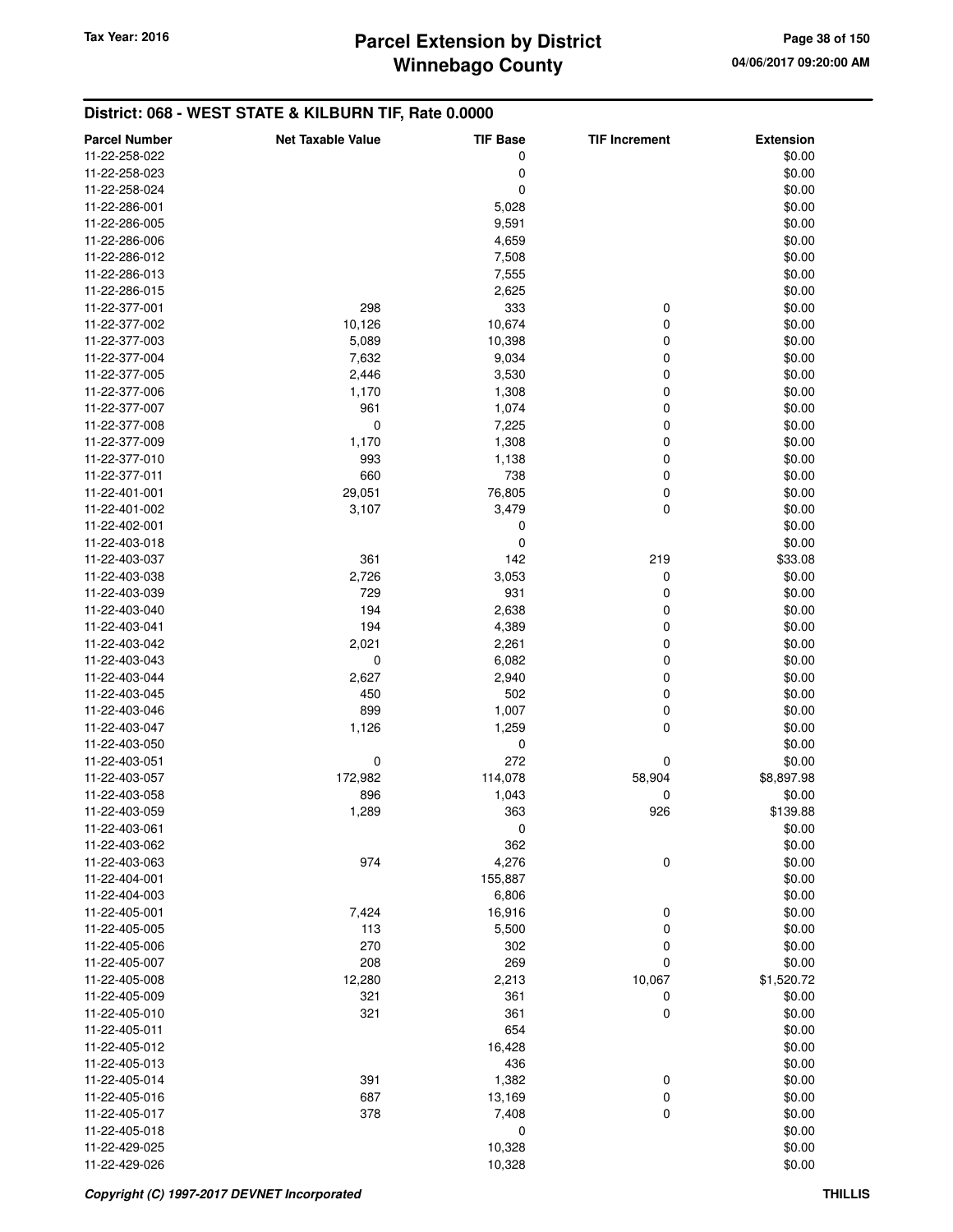# **Winnebago County Parcel Extension by District Tax Year: 2016 Page 38 of 150**

# **District: 068 - WEST STATE & KILBURN TIF, Rate 0.0000**

| <b>Parcel Number</b> | <b>Net Taxable Value</b> | <b>TIF Base</b> | <b>TIF Increment</b> | <b>Extension</b> |
|----------------------|--------------------------|-----------------|----------------------|------------------|
| 11-22-258-022        |                          | 0               |                      | \$0.00           |
| 11-22-258-023        |                          | 0               |                      | \$0.00           |
| 11-22-258-024        |                          | 0               |                      | \$0.00           |
| 11-22-286-001        |                          | 5,028           |                      | \$0.00           |
| 11-22-286-005        |                          | 9,591           |                      | \$0.00           |
| 11-22-286-006        |                          | 4,659           |                      | \$0.00           |
| 11-22-286-012        |                          | 7,508           |                      | \$0.00           |
| 11-22-286-013        |                          | 7,555           |                      | \$0.00           |
| 11-22-286-015        |                          | 2,625           |                      | \$0.00           |
| 11-22-377-001        | 298                      | 333             | 0                    | \$0.00           |
| 11-22-377-002        | 10,126                   | 10,674          | 0                    | \$0.00           |
| 11-22-377-003        | 5,089                    | 10,398          | 0                    | \$0.00           |
| 11-22-377-004        | 7,632                    | 9,034           | 0                    | \$0.00           |
| 11-22-377-005        | 2,446                    | 3,530           | 0                    | \$0.00           |
| 11-22-377-006        | 1,170                    | 1,308           | 0                    | \$0.00           |
| 11-22-377-007        | 961                      | 1,074           | 0                    | \$0.00           |
| 11-22-377-008        | 0                        | 7,225           | 0                    | \$0.00           |
| 11-22-377-009        | 1,170                    | 1,308           | 0                    | \$0.00           |
| 11-22-377-010        | 993                      | 1,138           | 0                    | \$0.00           |
| 11-22-377-011        | 660                      | 738             | 0                    | \$0.00           |
| 11-22-401-001        | 29,051                   | 76,805          | 0                    | \$0.00           |
| 11-22-401-002        | 3,107                    | 3,479           | 0                    | \$0.00           |
| 11-22-402-001        |                          | 0               |                      | \$0.00           |
| 11-22-403-018        |                          | 0               |                      | \$0.00           |
| 11-22-403-037        | 361                      | 142             | 219                  | \$33.08          |
| 11-22-403-038        | 2,726                    | 3,053           | 0                    | \$0.00           |
| 11-22-403-039        | 729                      | 931             | 0                    | \$0.00           |
| 11-22-403-040        | 194                      | 2,638           | 0                    | \$0.00           |
| 11-22-403-041        | 194                      | 4,389           | 0                    | \$0.00           |
| 11-22-403-042        | 2,021                    | 2,261           | 0                    | \$0.00           |
| 11-22-403-043        | $\mathbf 0$              | 6,082           | 0                    | \$0.00           |
| 11-22-403-044        | 2,627                    | 2,940           | 0                    | \$0.00           |
| 11-22-403-045        | 450                      | 502             | 0                    | \$0.00           |
| 11-22-403-046        | 899                      | 1,007           | 0                    | \$0.00           |
| 11-22-403-047        | 1,126                    | 1,259           | 0                    | \$0.00           |
| 11-22-403-050        |                          | 0               |                      | \$0.00           |
| 11-22-403-051        | 0                        | 272             | 0                    | \$0.00           |
| 11-22-403-057        | 172,982                  | 114,078         | 58,904               | \$8,897.98       |
| 11-22-403-058        | 896                      | 1,043           | 0                    | \$0.00           |
| 11-22-403-059        | 1,289                    | 363             | 926                  | \$139.88         |
| 11-22-403-061        |                          | 0               |                      | \$0.00           |
| 11-22-403-062        |                          | 362             |                      | \$0.00           |
| 11-22-403-063        | 974                      | 4,276           | 0                    | \$0.00           |
| 11-22-404-001        |                          | 155,887         |                      | \$0.00           |
| 11-22-404-003        |                          | 6,806           |                      | \$0.00           |
| 11-22-405-001        | 7,424                    | 16,916          | 0                    | \$0.00           |
| 11-22-405-005        | 113                      | 5,500           | 0                    | \$0.00           |
| 11-22-405-006        | 270                      | 302             | 0                    | \$0.00           |
| 11-22-405-007        | 208                      | 269             | 0                    | \$0.00           |
| 11-22-405-008        | 12,280                   | 2,213           | 10,067               | \$1,520.72       |
| 11-22-405-009        | 321                      | 361             | 0                    | \$0.00           |
| 11-22-405-010        | 321                      | 361             | $\mathbf 0$          | \$0.00           |
| 11-22-405-011        |                          | 654             |                      | \$0.00           |
| 11-22-405-012        |                          | 16,428          |                      | \$0.00           |
| 11-22-405-013        |                          | 436             |                      | \$0.00           |
| 11-22-405-014        | 391                      | 1,382           | 0                    | \$0.00           |
| 11-22-405-016        | 687                      | 13,169          | 0                    | \$0.00           |
| 11-22-405-017        | 378                      | 7,408           | 0                    | \$0.00           |
| 11-22-405-018        |                          | 0               |                      | \$0.00           |
| 11-22-429-025        |                          | 10,328          |                      | \$0.00           |
| 11-22-429-026        |                          | 10,328          |                      | \$0.00           |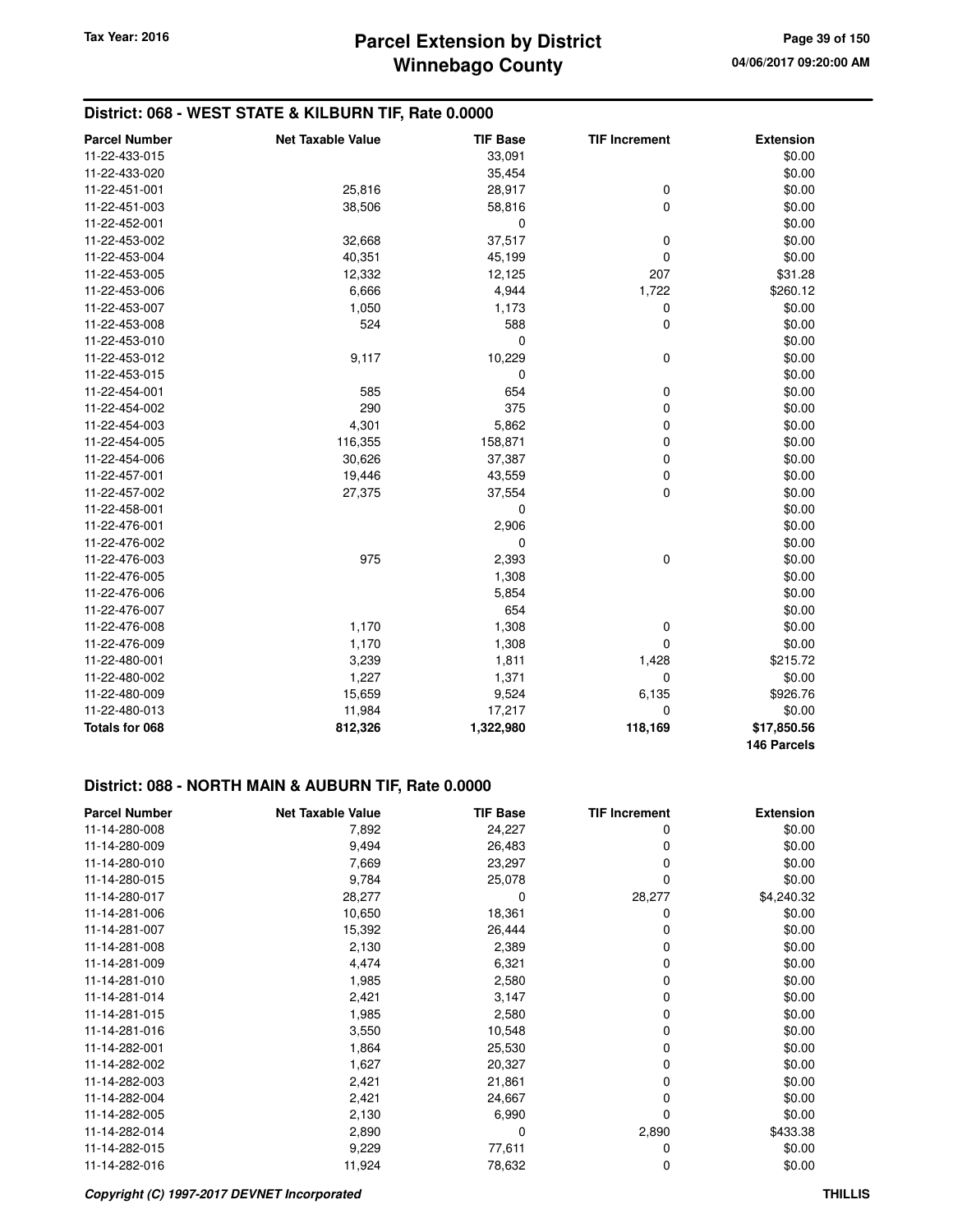# **District: 068 - WEST STATE & KILBURN TIF, Rate 0.0000**

| <b>Parcel Number</b> | <b>Net Taxable Value</b> | <b>TIF Base</b> | <b>TIF Increment</b> | <b>Extension</b>           |
|----------------------|--------------------------|-----------------|----------------------|----------------------------|
| 11-22-433-015        |                          | 33,091          |                      | \$0.00                     |
| 11-22-433-020        |                          | 35,454          |                      | \$0.00                     |
| 11-22-451-001        | 25,816                   | 28,917          | $\mathbf 0$          | \$0.00                     |
| 11-22-451-003        | 38,506                   | 58,816          | $\mathbf 0$          | \$0.00                     |
| 11-22-452-001        |                          | 0               |                      | \$0.00                     |
| 11-22-453-002        | 32,668                   | 37,517          | 0                    | \$0.00                     |
| 11-22-453-004        | 40,351                   | 45,199          | $\mathbf 0$          | \$0.00                     |
| 11-22-453-005        | 12,332                   | 12,125          | 207                  | \$31.28                    |
| 11-22-453-006        | 6,666                    | 4,944           | 1,722                | \$260.12                   |
| 11-22-453-007        | 1,050                    | 1,173           | 0                    | \$0.00                     |
| 11-22-453-008        | 524                      | 588             | $\mathbf 0$          | \$0.00                     |
| 11-22-453-010        |                          | 0               |                      | \$0.00                     |
| 11-22-453-012        | 9,117                    | 10,229          | 0                    | \$0.00                     |
| 11-22-453-015        |                          | 0               |                      | \$0.00                     |
| 11-22-454-001        | 585                      | 654             | 0                    | \$0.00                     |
| 11-22-454-002        | 290                      | 375             | 0                    | \$0.00                     |
| 11-22-454-003        | 4,301                    | 5,862           | 0                    | \$0.00                     |
| 11-22-454-005        | 116,355                  | 158,871         | $\mathbf 0$          | \$0.00                     |
| 11-22-454-006        | 30,626                   | 37,387          | 0                    | \$0.00                     |
| 11-22-457-001        | 19,446                   | 43,559          | $\mathbf 0$          | \$0.00                     |
| 11-22-457-002        | 27,375                   | 37,554          | $\mathbf 0$          | \$0.00                     |
| 11-22-458-001        |                          | 0               |                      | \$0.00                     |
| 11-22-476-001        |                          | 2,906           |                      | \$0.00                     |
| 11-22-476-002        |                          | 0               |                      | \$0.00                     |
| 11-22-476-003        | 975                      | 2,393           | $\mathbf 0$          | \$0.00                     |
| 11-22-476-005        |                          | 1,308           |                      | \$0.00                     |
| 11-22-476-006        |                          | 5,854           |                      | \$0.00                     |
| 11-22-476-007        |                          | 654             |                      | \$0.00                     |
| 11-22-476-008        | 1,170                    | 1,308           | $\mathbf 0$          | \$0.00                     |
| 11-22-476-009        | 1,170                    | 1,308           | 0                    | \$0.00                     |
| 11-22-480-001        | 3,239                    | 1,811           | 1,428                | \$215.72                   |
| 11-22-480-002        | 1,227                    | 1,371           | 0                    | \$0.00                     |
| 11-22-480-009        | 15,659                   | 9,524           | 6,135                | \$926.76                   |
| 11-22-480-013        | 11,984                   | 17,217          | 0                    | \$0.00                     |
| Totals for 068       | 812,326                  | 1,322,980       | 118,169              | \$17,850.56<br>146 Parcels |

#### **District: 088 - NORTH MAIN & AUBURN TIF, Rate 0.0000**

| <b>Parcel Number</b> | <b>Net Taxable Value</b> | <b>TIF Base</b> | <b>TIF Increment</b> | <b>Extension</b> |
|----------------------|--------------------------|-----------------|----------------------|------------------|
| 11-14-280-008        | 7,892                    | 24,227          | 0                    | \$0.00           |
| 11-14-280-009        | 9,494                    | 26,483          | 0                    | \$0.00           |
| 11-14-280-010        | 7,669                    | 23,297          | 0                    | \$0.00           |
| 11-14-280-015        | 9,784                    | 25,078          | 0                    | \$0.00           |
| 11-14-280-017        | 28,277                   | 0               | 28,277               | \$4,240.32       |
| 11-14-281-006        | 10,650                   | 18,361          | 0                    | \$0.00           |
| 11-14-281-007        | 15,392                   | 26,444          | 0                    | \$0.00           |
| 11-14-281-008        | 2,130                    | 2,389           | 0                    | \$0.00           |
| 11-14-281-009        | 4,474                    | 6,321           | 0                    | \$0.00           |
| 11-14-281-010        | 1,985                    | 2,580           | 0                    | \$0.00           |
| 11-14-281-014        | 2,421                    | 3,147           | 0                    | \$0.00           |
| 11-14-281-015        | 1,985                    | 2,580           | 0                    | \$0.00           |
| 11-14-281-016        | 3,550                    | 10,548          | 0                    | \$0.00           |
| 11-14-282-001        | 1,864                    | 25,530          | 0                    | \$0.00           |
| 11-14-282-002        | 1,627                    | 20,327          | 0                    | \$0.00           |
| 11-14-282-003        | 2,421                    | 21,861          | 0                    | \$0.00           |
| 11-14-282-004        | 2,421                    | 24,667          | 0                    | \$0.00           |
| 11-14-282-005        | 2,130                    | 6,990           | 0                    | \$0.00           |
| 11-14-282-014        | 2,890                    | 0               | 2,890                | \$433.38         |
| 11-14-282-015        | 9,229                    | 77,611          | 0                    | \$0.00           |
| 11-14-282-016        | 11,924                   | 78,632          | 0                    | \$0.00           |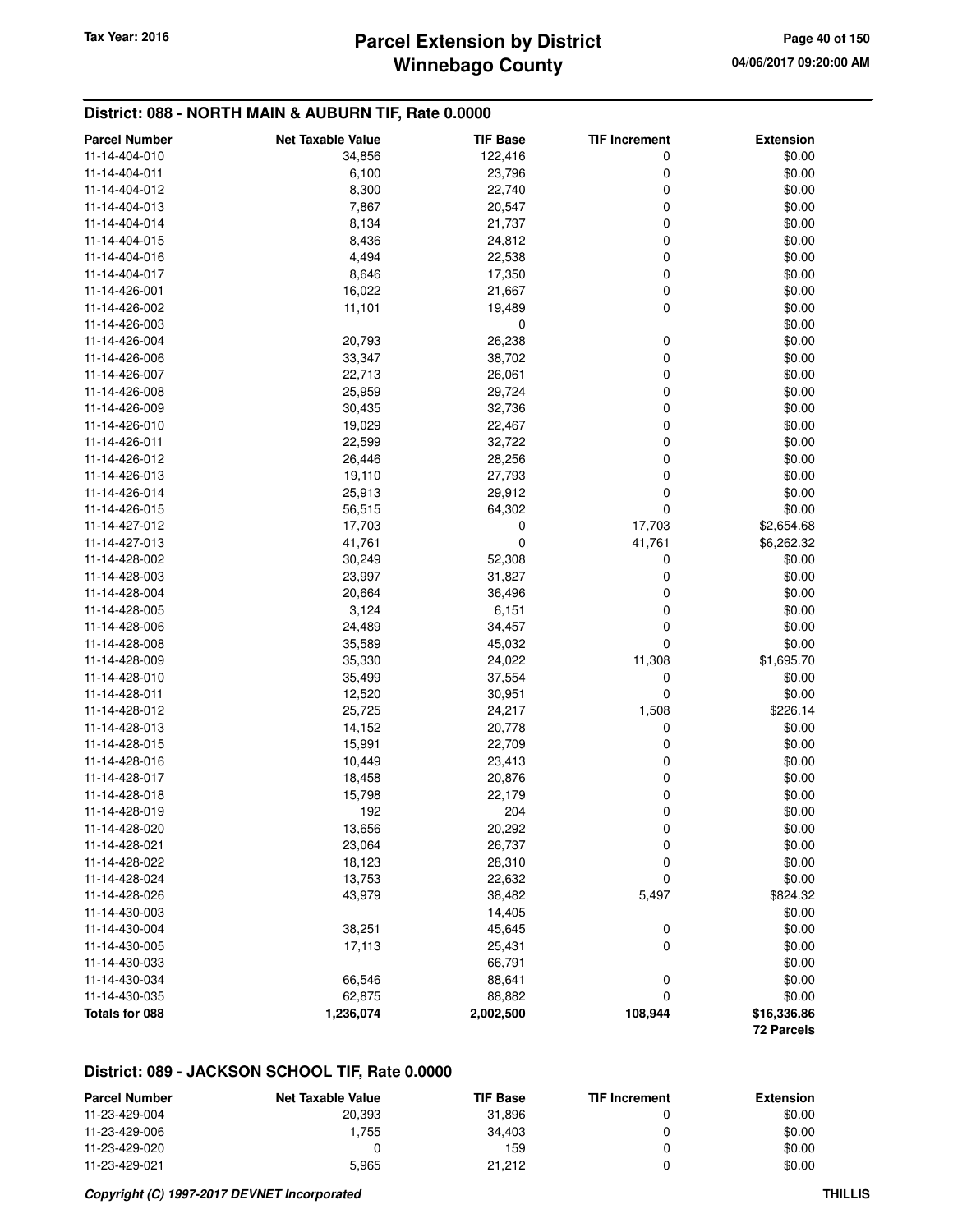# **Winnebago County Parcel Extension by District Tax Year: 2016 Page 40 of 150**

# **District: 088 - NORTH MAIN & AUBURN TIF, Rate 0.0000**

| <b>Parcel Number</b> | <b>Net Taxable Value</b> | <b>TIF Base</b> | <b>TIF Increment</b> | <b>Extension</b>          |
|----------------------|--------------------------|-----------------|----------------------|---------------------------|
| 11-14-404-010        | 34,856                   | 122,416         | 0                    | \$0.00                    |
| 11-14-404-011        | 6,100                    | 23,796          | 0                    | \$0.00                    |
| 11-14-404-012        | 8,300                    | 22,740          | 0                    | \$0.00                    |
| 11-14-404-013        | 7,867                    | 20,547          | 0                    | \$0.00                    |
| 11-14-404-014        | 8,134                    | 21,737          | 0                    | \$0.00                    |
| 11-14-404-015        | 8,436                    | 24,812          | 0                    | \$0.00                    |
| 11-14-404-016        | 4,494                    | 22,538          | 0                    | \$0.00                    |
| 11-14-404-017        | 8,646                    | 17,350          | 0                    | \$0.00                    |
| 11-14-426-001        | 16,022                   | 21,667          | 0                    | \$0.00                    |
| 11-14-426-002        | 11,101                   | 19,489          | 0                    | \$0.00                    |
| 11-14-426-003        |                          | 0               |                      | \$0.00                    |
| 11-14-426-004        | 20,793                   | 26,238          | 0                    | \$0.00                    |
| 11-14-426-006        | 33,347                   | 38,702          | 0                    | \$0.00                    |
| 11-14-426-007        | 22,713                   | 26,061          | 0                    | \$0.00                    |
| 11-14-426-008        | 25,959                   | 29,724          | 0                    | \$0.00                    |
| 11-14-426-009        | 30,435                   | 32,736          | 0                    | \$0.00                    |
| 11-14-426-010        | 19,029                   | 22,467          | 0                    | \$0.00                    |
| 11-14-426-011        | 22,599                   | 32,722          | 0                    | \$0.00                    |
| 11-14-426-012        | 26,446                   | 28,256          | 0                    | \$0.00                    |
| 11-14-426-013        | 19,110                   | 27,793          | 0                    | \$0.00                    |
| 11-14-426-014        | 25,913                   | 29,912          | 0                    | \$0.00                    |
| 11-14-426-015        | 56,515                   | 64,302          | 0                    | \$0.00                    |
| 11-14-427-012        | 17,703                   | 0               | 17,703               | \$2,654.68                |
| 11-14-427-013        | 41,761                   | 0               | 41,761               | \$6,262.32                |
| 11-14-428-002        | 30,249                   | 52,308          | 0                    | \$0.00                    |
| 11-14-428-003        | 23,997                   | 31,827          | 0                    | \$0.00                    |
| 11-14-428-004        | 20,664                   | 36,496          | 0                    | \$0.00                    |
| 11-14-428-005        | 3,124                    | 6,151           | 0                    | \$0.00                    |
| 11-14-428-006        | 24,489                   | 34,457          | 0                    | \$0.00                    |
| 11-14-428-008        | 35,589                   | 45,032          | 0                    | \$0.00                    |
| 11-14-428-009        | 35,330                   | 24,022          | 11,308               | \$1,695.70                |
| 11-14-428-010        | 35,499                   | 37,554          | 0                    | \$0.00                    |
| 11-14-428-011        | 12,520                   | 30,951          | 0                    | \$0.00                    |
| 11-14-428-012        | 25,725                   | 24,217          | 1,508                | \$226.14                  |
| 11-14-428-013        | 14,152                   | 20,778          | 0                    | \$0.00                    |
| 11-14-428-015        | 15,991                   | 22,709          | 0                    | \$0.00                    |
| 11-14-428-016        | 10,449                   | 23,413          | 0                    | \$0.00                    |
| 11-14-428-017        | 18,458                   | 20,876          | 0                    | \$0.00                    |
| 11-14-428-018        | 15,798                   | 22,179          | 0                    | \$0.00                    |
| 11-14-428-019        | 192                      | 204             | 0                    | \$0.00                    |
| 11-14-428-020        | 13,656                   | 20,292          | 0                    | \$0.00                    |
| 11-14-428-021        | 23,064                   | 26,737          | 0                    | \$0.00                    |
| 11-14-428-022        | 18,123                   | 28,310          | 0                    | \$0.00                    |
| 11-14-428-024        | 13,753                   | 22,632          | 0                    | \$0.00                    |
| 11-14-428-026        | 43,979                   | 38,482          | 5,497                | \$824.32                  |
| 11-14-430-003        |                          | 14,405          |                      | \$0.00                    |
| 11-14-430-004        | 38,251                   | 45,645          | 0                    | \$0.00                    |
| 11-14-430-005        | 17,113                   | 25,431          | 0                    | \$0.00                    |
| 11-14-430-033        |                          | 66,791          |                      | \$0.00                    |
| 11-14-430-034        | 66,546                   | 88,641          | 0                    | \$0.00                    |
| 11-14-430-035        | 62,875                   | 88,882          | 0                    | \$0.00                    |
| Totals for 088       | 1,236,074                | 2,002,500       | 108,944              | \$16,336.86<br>72 Parcels |

| <b>Parcel Number</b> | <b>Net Taxable Value</b> | <b>TIF Base</b> | <b>TIF Increment</b> | <b>Extension</b> |
|----------------------|--------------------------|-----------------|----------------------|------------------|
| 11-23-429-004        | 20.393                   | 31.896          |                      | \$0.00           |
| 11-23-429-006        | . .755                   | 34.403          |                      | \$0.00           |
| 11-23-429-020        |                          | 159             |                      | \$0.00           |
| 11-23-429-021        | 5.965                    | 21.212          |                      | \$0.00           |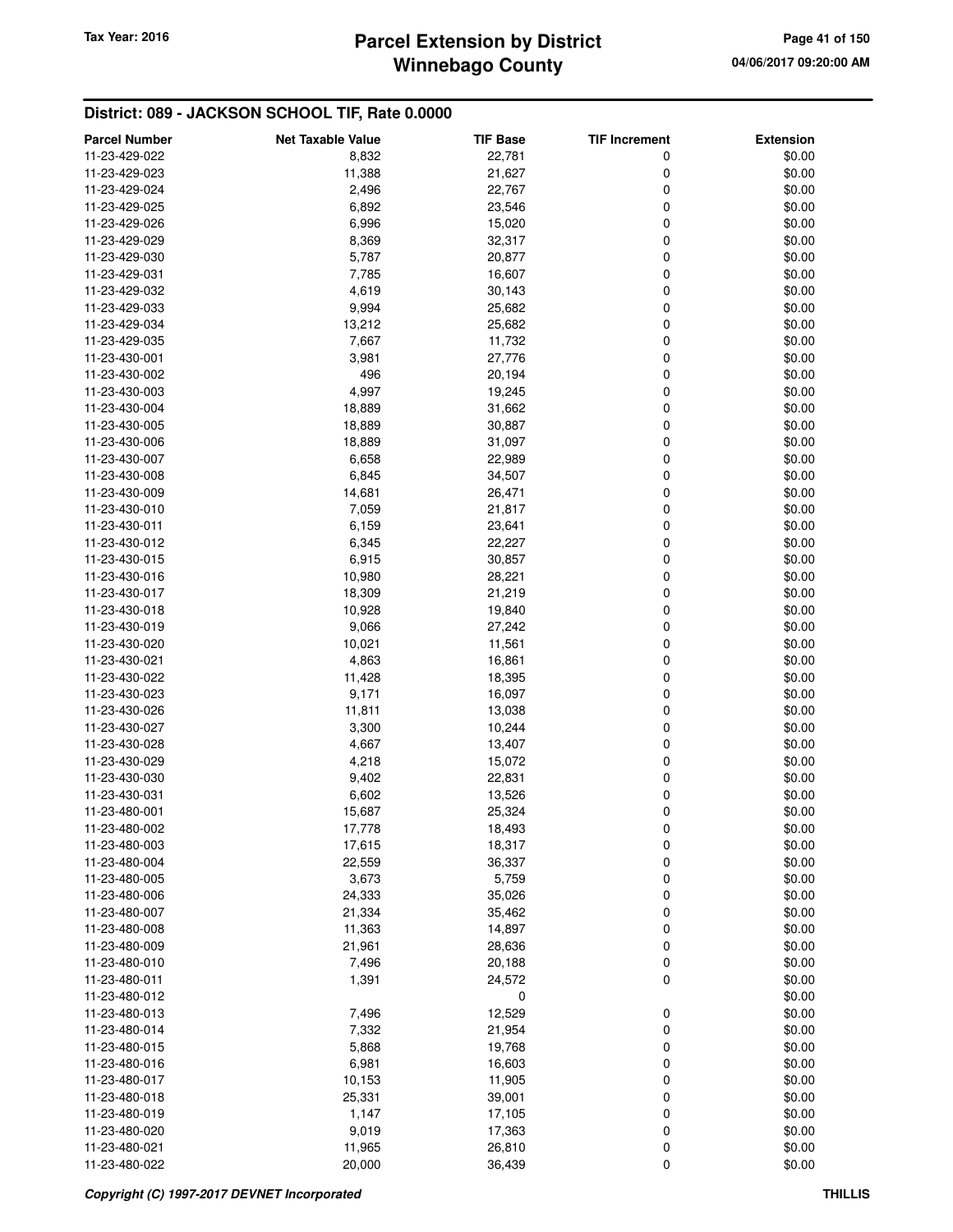# **Winnebago County** Tax Year: 2016 **Parcel Extension by District Page 41 of 150**

| <b>Parcel Number</b>           | <b>Net Taxable Value</b> | <b>TIF Base</b>  | <b>TIF Increment</b> | <b>Extension</b> |
|--------------------------------|--------------------------|------------------|----------------------|------------------|
| 11-23-429-022                  | 8,832                    | 22,781           | 0                    | \$0.00           |
| 11-23-429-023                  | 11,388                   | 21,627           | 0                    | \$0.00           |
| 11-23-429-024                  | 2,496                    | 22,767           | 0                    | \$0.00           |
| 11-23-429-025                  | 6,892                    | 23,546           | 0                    | \$0.00           |
| 11-23-429-026                  | 6,996                    | 15,020           | 0                    | \$0.00           |
| 11-23-429-029                  | 8,369                    | 32,317           | 0                    | \$0.00           |
| 11-23-429-030                  | 5,787                    | 20,877           | 0                    | \$0.00           |
| 11-23-429-031                  | 7,785                    | 16,607           | 0                    | \$0.00           |
| 11-23-429-032                  | 4,619                    | 30,143           | 0                    | \$0.00           |
| 11-23-429-033                  | 9,994                    | 25,682           | 0                    | \$0.00           |
| 11-23-429-034                  | 13,212                   | 25,682           | 0                    | \$0.00           |
| 11-23-429-035                  | 7,667                    | 11,732           | 0                    | \$0.00           |
| 11-23-430-001                  | 3,981                    | 27,776           | 0                    | \$0.00           |
| 11-23-430-002                  | 496                      | 20,194           | 0                    | \$0.00           |
| 11-23-430-003                  | 4,997                    | 19,245           | 0                    | \$0.00           |
| 11-23-430-004                  | 18,889                   | 31,662           | 0                    | \$0.00           |
| 11-23-430-005                  | 18,889                   | 30,887           | 0                    | \$0.00           |
| 11-23-430-006                  | 18,889                   | 31,097           | 0                    | \$0.00           |
| 11-23-430-007                  | 6,658                    | 22,989           | 0                    | \$0.00           |
| 11-23-430-008                  | 6,845                    | 34,507           | 0                    | \$0.00           |
| 11-23-430-009                  | 14,681                   | 26,471           | 0                    | \$0.00           |
| 11-23-430-010                  | 7,059                    | 21,817           | 0                    | \$0.00           |
| 11-23-430-011                  | 6,159                    | 23,641           | 0                    | \$0.00           |
| 11-23-430-012                  | 6,345                    | 22,227           | 0                    | \$0.00           |
| 11-23-430-015                  | 6,915                    | 30,857           | 0                    | \$0.00           |
| 11-23-430-016                  | 10,980                   | 28,221           | 0                    | \$0.00           |
| 11-23-430-017                  | 18,309                   | 21,219           | 0                    | \$0.00           |
| 11-23-430-018                  | 10,928                   | 19,840           | 0                    | \$0.00           |
| 11-23-430-019                  | 9,066                    | 27,242           | 0                    | \$0.00           |
| 11-23-430-020                  | 10,021                   | 11,561           | 0                    | \$0.00           |
| 11-23-430-021                  | 4,863                    | 16,861           | 0                    | \$0.00           |
| 11-23-430-022                  | 11,428                   | 18,395           | 0                    | \$0.00           |
| 11-23-430-023                  | 9,171                    | 16,097           | 0                    | \$0.00           |
| 11-23-430-026                  | 11,811                   | 13,038           | 0                    | \$0.00           |
| 11-23-430-027                  | 3,300                    | 10,244           | 0                    | \$0.00           |
|                                |                          |                  |                      |                  |
| 11-23-430-028                  | 4,667                    | 13,407           | 0<br>0               | \$0.00           |
| 11-23-430-029<br>11-23-430-030 | 4,218<br>9,402           | 15,072<br>22,831 | 0                    | \$0.00<br>\$0.00 |
| 11-23-430-031                  | 6,602                    | 13,526           | 0                    | \$0.00           |
|                                |                          |                  | 0                    | \$0.00           |
| 11-23-480-001<br>11-23-480-002 | 15,687<br>17,778         | 25,324<br>18,493 |                      | \$0.00           |
| 11-23-480-003                  |                          |                  | 0                    |                  |
| 11-23-480-004                  | 17,615<br>22,559         | 18,317<br>36,337 | 0<br>0               | \$0.00<br>\$0.00 |
| 11-23-480-005                  | 3,673                    |                  | 0                    | \$0.00           |
| 11-23-480-006                  | 24,333                   | 5,759<br>35,026  | 0                    | \$0.00           |
| 11-23-480-007                  |                          |                  |                      |                  |
|                                | 21,334                   | 35,462           | 0<br>0               | \$0.00           |
| 11-23-480-008<br>11-23-480-009 | 11,363<br>21,961         | 14,897<br>28,636 | 0                    | \$0.00<br>\$0.00 |
| 11-23-480-010                  | 7,496                    | 20,188           | 0                    | \$0.00           |
| 11-23-480-011                  | 1,391                    | 24,572           | $\mathbf 0$          | \$0.00           |
| 11-23-480-012                  |                          |                  |                      |                  |
|                                |                          | 0                |                      | \$0.00           |
| 11-23-480-013<br>11-23-480-014 | 7,496<br>7,332           | 12,529<br>21,954 | 0<br>$\mathbf 0$     | \$0.00<br>\$0.00 |
|                                |                          |                  | 0                    |                  |
| 11-23-480-015                  | 5,868                    | 19,768           |                      | \$0.00           |
| 11-23-480-016                  | 6,981                    | 16,603           | 0                    | \$0.00           |
| 11-23-480-017                  | 10,153                   | 11,905           | 0                    | \$0.00           |
| 11-23-480-018                  | 25,331                   | 39,001           | 0                    | \$0.00           |
| 11-23-480-019                  | 1,147                    | 17,105           | 0                    | \$0.00           |
| 11-23-480-020                  | 9,019                    | 17,363           | 0                    | \$0.00           |
| 11-23-480-021                  | 11,965                   | 26,810           | 0                    | \$0.00           |
| 11-23-480-022                  | 20,000                   | 36,439           | 0                    | \$0.00           |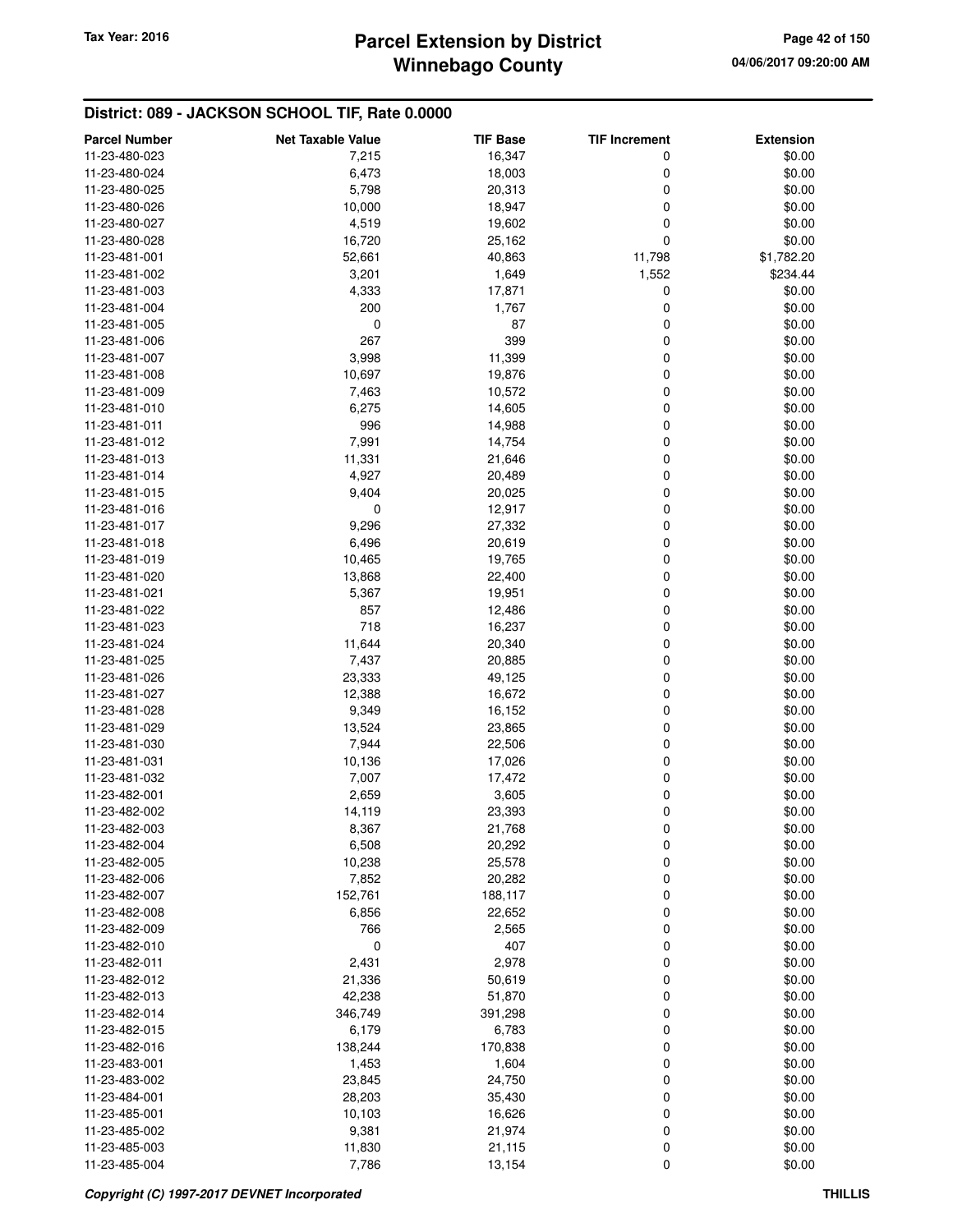# **Winnebago County Parcel Extension by District Tax Year: 2016 Page 42 of 150**

| <b>Parcel Number</b> | <b>Net Taxable Value</b> | TIF Base | <b>TIF Increment</b> | <b>Extension</b> |
|----------------------|--------------------------|----------|----------------------|------------------|
| 11-23-480-023        | 7,215                    | 16,347   | 0                    | \$0.00           |
| 11-23-480-024        | 6,473                    | 18,003   | 0                    | \$0.00           |
| 11-23-480-025        | 5,798                    | 20,313   | 0                    | \$0.00           |
| 11-23-480-026        | 10,000                   | 18,947   | 0                    | \$0.00           |
| 11-23-480-027        | 4,519                    | 19,602   | 0                    | \$0.00           |
| 11-23-480-028        | 16,720                   | 25,162   | 0                    | \$0.00           |
|                      |                          | 40,863   |                      | \$1,782.20       |
| 11-23-481-001        | 52,661                   |          | 11,798               |                  |
| 11-23-481-002        | 3,201                    | 1,649    | 1,552                | \$234.44         |
| 11-23-481-003        | 4,333                    | 17,871   | 0                    | \$0.00           |
| 11-23-481-004        | 200                      | 1,767    | 0                    | \$0.00           |
| 11-23-481-005        | 0                        | 87       | 0                    | \$0.00           |
| 11-23-481-006        | 267                      | 399      | 0                    | \$0.00           |
| 11-23-481-007        | 3,998                    | 11,399   | 0                    | \$0.00           |
| 11-23-481-008        | 10,697                   | 19,876   | 0                    | \$0.00           |
| 11-23-481-009        | 7,463                    | 10,572   | 0                    | \$0.00           |
| 11-23-481-010        | 6,275                    | 14,605   | 0                    | \$0.00           |
| 11-23-481-011        | 996                      | 14,988   | 0                    | \$0.00           |
| 11-23-481-012        | 7,991                    | 14,754   | 0                    | \$0.00           |
| 11-23-481-013        | 11,331                   | 21,646   | 0                    | \$0.00           |
| 11-23-481-014        | 4,927                    | 20,489   | 0                    | \$0.00           |
| 11-23-481-015        | 9,404                    | 20,025   | 0                    | \$0.00           |
| 11-23-481-016        | 0                        | 12,917   | 0                    | \$0.00           |
| 11-23-481-017        | 9,296                    | 27,332   | 0                    | \$0.00           |
| 11-23-481-018        | 6,496                    | 20,619   | 0                    | \$0.00           |
| 11-23-481-019        | 10,465                   | 19,765   | 0                    | \$0.00           |
| 11-23-481-020        | 13,868                   | 22,400   | 0                    | \$0.00           |
| 11-23-481-021        | 5,367                    | 19,951   | 0                    | \$0.00           |
| 11-23-481-022        | 857                      | 12,486   | 0                    | \$0.00           |
| 11-23-481-023        | 718                      | 16,237   | 0                    | \$0.00           |
| 11-23-481-024        | 11,644                   | 20,340   | 0                    | \$0.00           |
| 11-23-481-025        | 7,437                    | 20,885   | 0                    | \$0.00           |
| 11-23-481-026        | 23,333                   | 49,125   | 0                    | \$0.00           |
| 11-23-481-027        | 12,388                   | 16,672   | 0                    | \$0.00           |
| 11-23-481-028        | 9,349                    | 16,152   | 0                    | \$0.00           |
| 11-23-481-029        | 13,524                   | 23,865   | 0                    | \$0.00           |
| 11-23-481-030        | 7,944                    | 22,506   | 0                    | \$0.00           |
| 11-23-481-031        | 10,136                   | 17,026   | 0                    | \$0.00           |
| 11-23-481-032        | 7,007                    | 17,472   | 0                    | \$0.00           |
| 11-23-482-001        | 2,659                    | 3,605    | 0                    | \$0.00           |
| 11-23-482-002        | 14,119                   | 23,393   | 0                    | \$0.00           |
| 11-23-482-003        | 8,367                    | 21,768   |                      | \$0.00           |
| 11-23-482-004        | 6,508                    | 20,292   | $\mathbf 0$          | \$0.00           |
| 11-23-482-005        | 10,238                   | 25,578   | 0<br>0               | \$0.00           |
|                      |                          |          |                      | \$0.00           |
| 11-23-482-006        | 7,852                    | 20,282   | 0                    |                  |
| 11-23-482-007        | 152,761                  | 188,117  | 0                    | \$0.00           |
| 11-23-482-008        | 6,856                    | 22,652   | 0                    | \$0.00           |
| 11-23-482-009        | 766                      | 2,565    | 0                    | \$0.00           |
| 11-23-482-010        | 0                        | 407      | 0                    | \$0.00           |
| 11-23-482-011        | 2,431                    | 2,978    | 0                    | \$0.00           |
| 11-23-482-012        | 21,336                   | 50,619   | 0                    | \$0.00           |
| 11-23-482-013        | 42,238                   | 51,870   | 0                    | \$0.00           |
| 11-23-482-014        | 346,749                  | 391,298  | 0                    | \$0.00           |
| 11-23-482-015        | 6,179                    | 6,783    | 0                    | \$0.00           |
| 11-23-482-016        | 138,244                  | 170,838  | 0                    | \$0.00           |
| 11-23-483-001        | 1,453                    | 1,604    | 0                    | \$0.00           |
| 11-23-483-002        | 23,845                   | 24,750   | 0                    | \$0.00           |
| 11-23-484-001        | 28,203                   | 35,430   | 0                    | \$0.00           |
| 11-23-485-001        | 10,103                   | 16,626   | 0                    | \$0.00           |
| 11-23-485-002        | 9,381                    | 21,974   | 0                    | \$0.00           |
| 11-23-485-003        | 11,830                   | 21,115   | 0                    | \$0.00           |
| 11-23-485-004        | 7,786                    | 13,154   | 0                    | \$0.00           |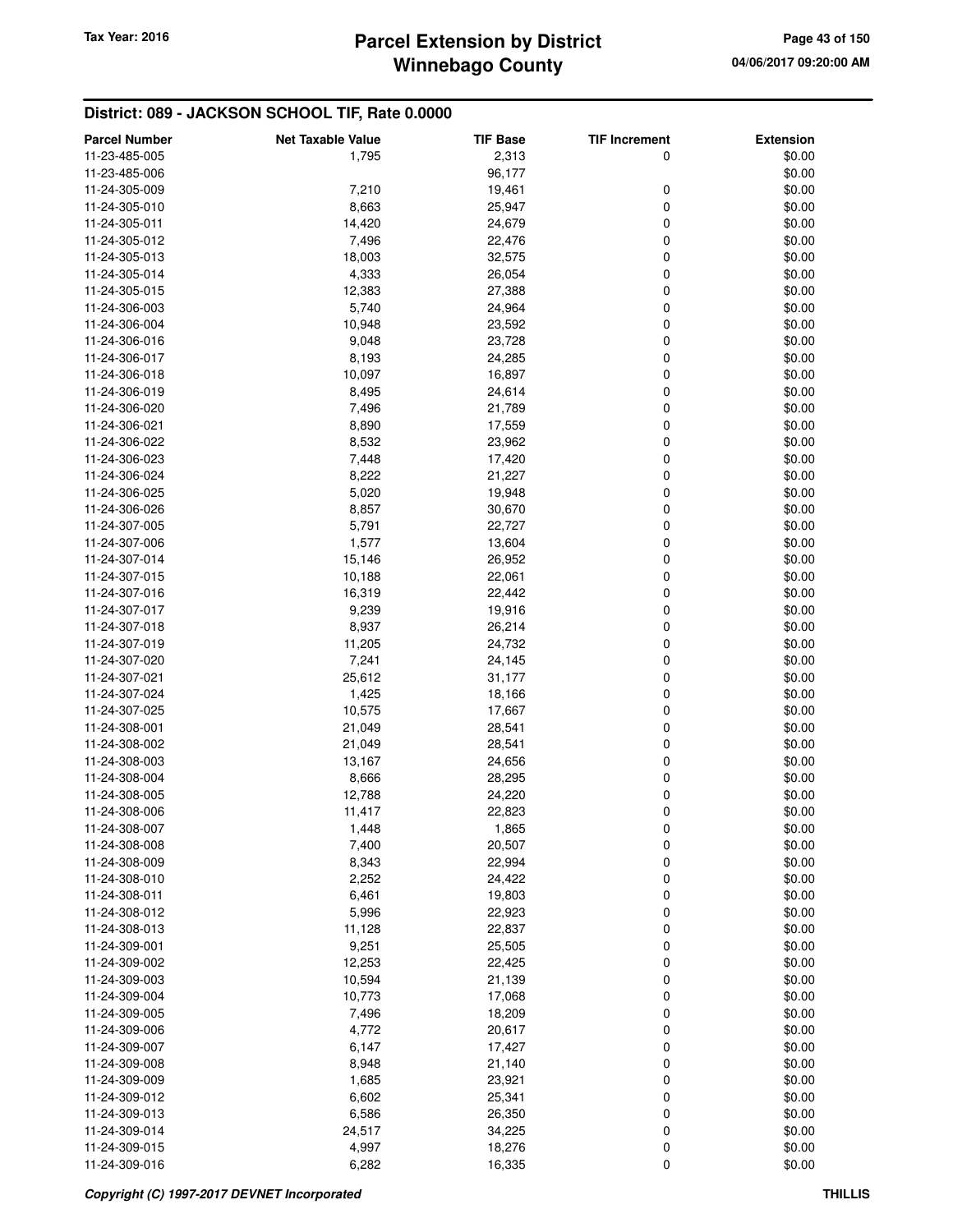# **Winnebago County Parcel Extension by District Tax Year: 2016 Page 43 of 150**

| <b>Parcel Number</b> | <b>Net Taxable Value</b> | <b>TIF Base</b> | <b>TIF Increment</b> | <b>Extension</b> |
|----------------------|--------------------------|-----------------|----------------------|------------------|
| 11-23-485-005        | 1,795                    | 2,313           | 0                    | \$0.00           |
| 11-23-485-006        |                          | 96,177          |                      | \$0.00           |
| 11-24-305-009        | 7,210                    | 19,461          | 0                    | \$0.00           |
| 11-24-305-010        | 8,663                    | 25,947          | 0                    | \$0.00           |
| 11-24-305-011        | 14,420                   | 24,679          | 0                    | \$0.00           |
| 11-24-305-012        | 7,496                    | 22,476          | 0                    | \$0.00           |
| 11-24-305-013        | 18,003                   | 32,575          | 0                    | \$0.00           |
| 11-24-305-014        | 4,333                    | 26,054          | 0                    | \$0.00           |
| 11-24-305-015        | 12,383                   | 27,388          | 0                    | \$0.00           |
| 11-24-306-003        | 5,740                    |                 |                      | \$0.00           |
| 11-24-306-004        |                          | 24,964          | 0                    |                  |
|                      | 10,948                   | 23,592          | 0                    | \$0.00           |
| 11-24-306-016        | 9,048                    | 23,728          | 0                    | \$0.00           |
| 11-24-306-017        | 8,193                    | 24,285          | 0                    | \$0.00           |
| 11-24-306-018        | 10,097                   | 16,897          | 0                    | \$0.00           |
| 11-24-306-019        | 8,495                    | 24,614          | 0                    | \$0.00           |
| 11-24-306-020        | 7,496                    | 21,789          | 0                    | \$0.00           |
| 11-24-306-021        | 8,890                    | 17,559          | 0                    | \$0.00           |
| 11-24-306-022        | 8,532                    | 23,962          | 0                    | \$0.00           |
| 11-24-306-023        | 7,448                    | 17,420          | 0                    | \$0.00           |
| 11-24-306-024        | 8,222                    | 21,227          | 0                    | \$0.00           |
| 11-24-306-025        | 5,020                    | 19,948          | 0                    | \$0.00           |
| 11-24-306-026        | 8,857                    | 30,670          | 0                    | \$0.00           |
| 11-24-307-005        | 5,791                    | 22,727          | 0                    | \$0.00           |
| 11-24-307-006        | 1,577                    | 13,604          | 0                    | \$0.00           |
| 11-24-307-014        | 15,146                   | 26,952          | 0                    | \$0.00           |
| 11-24-307-015        | 10,188                   | 22,061          | 0                    | \$0.00           |
| 11-24-307-016        | 16,319                   | 22,442          | 0                    | \$0.00           |
| 11-24-307-017        | 9,239                    | 19,916          | 0                    | \$0.00           |
| 11-24-307-018        | 8,937                    | 26,214          | 0                    | \$0.00           |
| 11-24-307-019        | 11,205                   | 24,732          | 0                    | \$0.00           |
| 11-24-307-020        | 7,241                    | 24,145          | 0                    | \$0.00           |
| 11-24-307-021        | 25,612                   | 31,177          | 0                    | \$0.00           |
| 11-24-307-024        | 1,425                    | 18,166          | 0                    | \$0.00           |
| 11-24-307-025        | 10,575                   | 17,667          | 0                    | \$0.00           |
| 11-24-308-001        | 21,049                   | 28,541          | 0                    | \$0.00           |
| 11-24-308-002        | 21,049                   | 28,541          | 0                    | \$0.00           |
| 11-24-308-003        | 13,167                   | 24,656          | 0                    | \$0.00           |
| 11-24-308-004        | 8,666                    | 28,295          | 0                    | \$0.00           |
| 11-24-308-005        | 12,788                   | 24,220          | 0                    | \$0.00           |
| 11-24-308-006        | 11,417                   | 22,823          | 0                    | \$0.00           |
| 11-24-308-007        | 1,448                    | 1,865           | $\pmb{0}$            | \$0.00           |
| 11-24-308-008        | 7,400                    | 20,507          | 0                    | \$0.00           |
| 11-24-308-009        | 8,343                    | 22,994          | 0                    | \$0.00           |
| 11-24-308-010        | 2,252                    | 24,422          | 0                    | \$0.00           |
|                      |                          |                 |                      |                  |
| 11-24-308-011        | 6,461                    | 19,803          | 0                    | \$0.00           |
| 11-24-308-012        | 5,996                    | 22,923          | 0                    | \$0.00           |
| 11-24-308-013        | 11,128                   | 22,837          | 0                    | \$0.00           |
| 11-24-309-001        | 9,251                    | 25,505          | 0                    | \$0.00           |
| 11-24-309-002        | 12,253                   | 22,425          | 0                    | \$0.00           |
| 11-24-309-003        | 10,594                   | 21,139          | 0                    | \$0.00           |
| 11-24-309-004        | 10,773                   | 17,068          | 0                    | \$0.00           |
| 11-24-309-005        | 7,496                    | 18,209          | 0                    | \$0.00           |
| 11-24-309-006        | 4,772                    | 20,617          | 0                    | \$0.00           |
| 11-24-309-007        | 6,147                    | 17,427          | 0                    | \$0.00           |
| 11-24-309-008        | 8,948                    | 21,140          | 0                    | \$0.00           |
| 11-24-309-009        | 1,685                    | 23,921          | 0                    | \$0.00           |
| 11-24-309-012        | 6,602                    | 25,341          | 0                    | \$0.00           |
| 11-24-309-013        | 6,586                    | 26,350          | 0                    | \$0.00           |
| 11-24-309-014        | 24,517                   | 34,225          | 0                    | \$0.00           |
| 11-24-309-015        | 4,997                    | 18,276          | 0                    | \$0.00           |
| 11-24-309-016        | 6,282                    | 16,335          | 0                    | \$0.00           |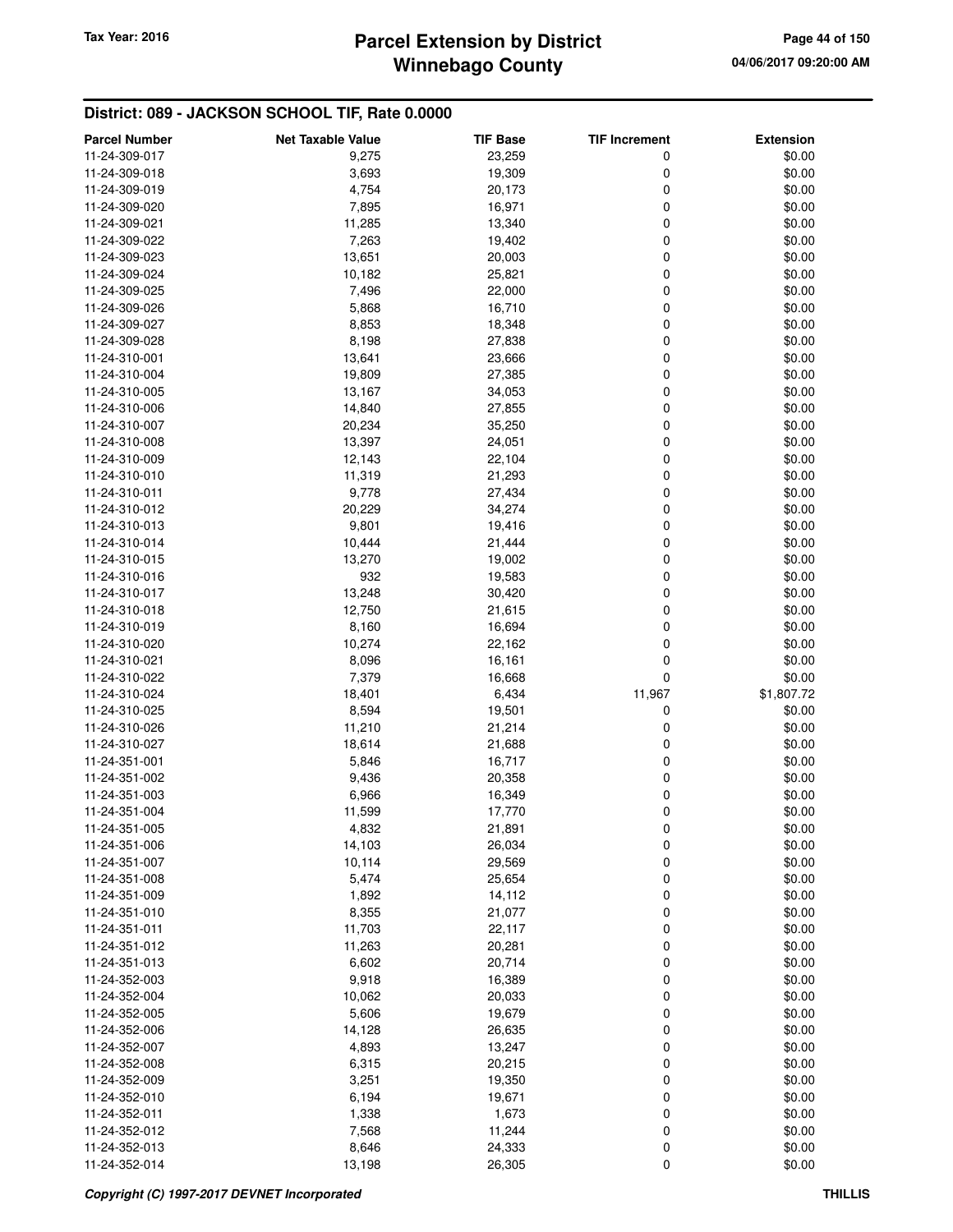# **Winnebago County Parcel Extension by District Tax Year: 2016 Page 44 of 150**

| <b>Parcel Number</b>           | <b>Net Taxable Value</b> | <b>TIF Base</b> | <b>TIF Increment</b> | <b>Extension</b> |
|--------------------------------|--------------------------|-----------------|----------------------|------------------|
| 11-24-309-017                  | 9,275                    | 23,259          | 0                    | \$0.00           |
| 11-24-309-018                  | 3,693                    | 19,309          | 0                    | \$0.00           |
| 11-24-309-019                  | 4,754                    | 20,173          | 0                    | \$0.00           |
| 11-24-309-020                  | 7,895                    | 16,971          | 0                    | \$0.00           |
| 11-24-309-021                  | 11,285                   | 13,340          | 0                    | \$0.00           |
| 11-24-309-022                  | 7,263                    | 19,402          | 0                    | \$0.00           |
| 11-24-309-023                  | 13,651                   | 20,003          | 0                    | \$0.00           |
|                                |                          |                 | 0                    |                  |
| 11-24-309-024                  | 10,182                   | 25,821          |                      | \$0.00           |
| 11-24-309-025                  | 7,496                    | 22,000          | 0                    | \$0.00           |
| 11-24-309-026                  | 5,868                    | 16,710          | 0                    | \$0.00           |
| 11-24-309-027                  | 8,853                    | 18,348          | 0                    | \$0.00           |
| 11-24-309-028                  | 8,198                    | 27,838          | 0                    | \$0.00           |
| 11-24-310-001                  | 13,641                   | 23,666          | 0                    | \$0.00           |
| 11-24-310-004                  | 19,809                   | 27,385          | 0                    | \$0.00           |
| 11-24-310-005                  | 13,167                   | 34,053          | 0                    | \$0.00           |
| 11-24-310-006                  | 14,840                   | 27,855          | 0                    | \$0.00           |
| 11-24-310-007                  | 20,234                   | 35,250          | 0                    | \$0.00           |
| 11-24-310-008                  | 13,397                   | 24,051          | 0                    | \$0.00           |
| 11-24-310-009                  | 12,143                   | 22,104          | 0                    | \$0.00           |
| 11-24-310-010                  | 11,319                   | 21,293          | 0                    | \$0.00           |
| 11-24-310-011                  | 9,778                    | 27,434          | 0                    | \$0.00           |
| 11-24-310-012                  | 20,229                   | 34,274          | 0                    | \$0.00           |
| 11-24-310-013                  | 9,801                    | 19,416          | 0                    | \$0.00           |
| 11-24-310-014                  | 10,444                   | 21,444          | 0                    | \$0.00           |
| 11-24-310-015                  | 13,270                   | 19,002          | 0                    | \$0.00           |
| 11-24-310-016                  | 932                      | 19,583          | 0                    | \$0.00           |
| 11-24-310-017                  | 13,248                   | 30,420          | 0                    | \$0.00           |
| 11-24-310-018                  | 12,750                   | 21,615          | 0                    | \$0.00           |
| 11-24-310-019                  | 8,160                    | 16,694          | 0                    | \$0.00           |
| 11-24-310-020                  | 10,274                   | 22,162          | 0                    | \$0.00           |
| 11-24-310-021                  | 8,096                    | 16,161          | 0                    | \$0.00           |
| 11-24-310-022                  | 7,379                    | 16,668          | 0                    | \$0.00           |
| 11-24-310-024                  | 18,401                   | 6,434           | 11,967               | \$1,807.72       |
| 11-24-310-025                  | 8,594                    | 19,501          | 0                    | \$0.00           |
| 11-24-310-026                  | 11,210                   | 21,214          | 0                    | \$0.00           |
| 11-24-310-027                  | 18,614                   | 21,688          | 0                    | \$0.00           |
| 11-24-351-001                  | 5,846                    | 16,717          | 0                    | \$0.00           |
| 11-24-351-002                  | 9,436                    | 20,358          | 0                    | \$0.00           |
| 11-24-351-003                  | 6,966                    | 16,349          | 0                    | \$0.00           |
| 11-24-351-004                  | 11,599                   | 17,770          | 0                    | \$0.00           |
| 11-24-351-005                  | 4,832                    | 21,891          | 0                    | \$0.00           |
| 11-24-351-006                  | 14,103                   | 26,034          | 0                    | \$0.00           |
| 11-24-351-007                  | 10,114                   | 29,569          | 0                    | \$0.00           |
| 11-24-351-008                  | 5,474                    | 25,654          | 0                    | \$0.00           |
|                                |                          |                 | 0                    |                  |
| 11-24-351-009<br>11-24-351-010 | 1,892                    | 14,112          |                      | \$0.00           |
| 11-24-351-011                  | 8,355                    | 21,077          | 0                    | \$0.00           |
|                                | 11,703                   | 22,117          | 0                    | \$0.00           |
| 11-24-351-012                  | 11,263                   | 20,281          | 0                    | \$0.00           |
| 11-24-351-013                  | 6,602                    | 20,714          | 0                    | \$0.00           |
| 11-24-352-003                  | 9,918                    | 16,389          | 0                    | \$0.00           |
| 11-24-352-004                  | 10,062                   | 20,033          | 0                    | \$0.00           |
| 11-24-352-005                  | 5,606                    | 19,679          | 0                    | \$0.00           |
| 11-24-352-006                  | 14,128                   | 26,635          | 0                    | \$0.00           |
| 11-24-352-007                  | 4,893                    | 13,247          | 0                    | \$0.00           |
| 11-24-352-008                  | 6,315                    | 20,215          | 0                    | \$0.00           |
| 11-24-352-009                  | 3,251                    | 19,350          | 0                    | \$0.00           |
| 11-24-352-010                  | 6,194                    | 19,671          | 0                    | \$0.00           |
| 11-24-352-011                  | 1,338                    | 1,673           | 0                    | \$0.00           |
| 11-24-352-012                  | 7,568                    | 11,244          | 0                    | \$0.00           |
| 11-24-352-013                  | 8,646                    | 24,333          | 0                    | \$0.00           |
| 11-24-352-014                  | 13,198                   | 26,305          | 0                    | \$0.00           |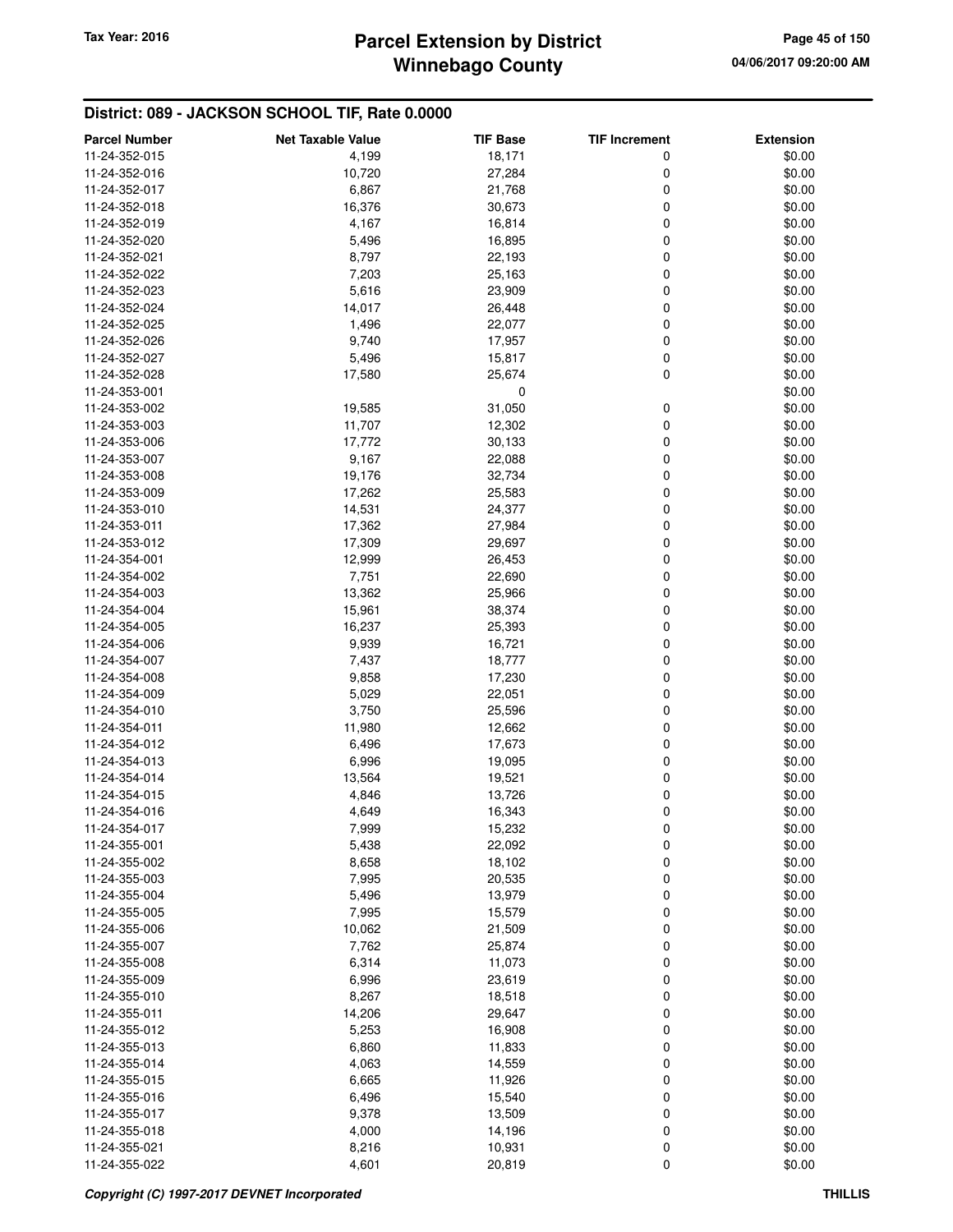# **Winnebago County Parcel Extension by District Tax Year: 2016 Page 45 of 150**

| <b>Parcel Number</b> | <b>Net Taxable Value</b> | <b>TIF Base</b> | <b>TIF Increment</b> | <b>Extension</b> |
|----------------------|--------------------------|-----------------|----------------------|------------------|
| 11-24-352-015        | 4,199                    | 18,171          | 0                    | \$0.00           |
| 11-24-352-016        | 10,720                   | 27,284          | 0                    | \$0.00           |
| 11-24-352-017        | 6,867                    | 21,768          | 0                    | \$0.00           |
| 11-24-352-018        | 16,376                   | 30,673          | 0                    | \$0.00           |
| 11-24-352-019        | 4,167                    | 16,814          | 0                    | \$0.00           |
| 11-24-352-020        | 5,496                    | 16,895          | 0                    | \$0.00           |
| 11-24-352-021        |                          |                 | 0                    |                  |
|                      | 8,797                    | 22,193          | 0                    | \$0.00           |
| 11-24-352-022        | 7,203                    | 25,163          |                      | \$0.00           |
| 11-24-352-023        | 5,616                    | 23,909          | 0                    | \$0.00           |
| 11-24-352-024        | 14,017                   | 26,448          | 0                    | \$0.00           |
| 11-24-352-025        | 1,496                    | 22,077          | 0                    | \$0.00           |
| 11-24-352-026        | 9,740                    | 17,957          | 0                    | \$0.00           |
| 11-24-352-027        | 5,496                    | 15,817          | 0                    | \$0.00           |
| 11-24-352-028        | 17,580                   | 25,674          | 0                    | \$0.00           |
| 11-24-353-001        |                          | 0               |                      | \$0.00           |
| 11-24-353-002        | 19,585                   | 31,050          | 0                    | \$0.00           |
| 11-24-353-003        | 11,707                   | 12,302          | 0                    | \$0.00           |
| 11-24-353-006        | 17,772                   | 30,133          | 0                    | \$0.00           |
| 11-24-353-007        | 9,167                    | 22,088          | 0                    | \$0.00           |
| 11-24-353-008        | 19,176                   | 32,734          | 0                    | \$0.00           |
| 11-24-353-009        | 17,262                   | 25,583          | 0                    | \$0.00           |
| 11-24-353-010        | 14,531                   | 24,377          | 0                    | \$0.00           |
| 11-24-353-011        | 17,362                   | 27,984          | 0                    | \$0.00           |
| 11-24-353-012        | 17,309                   | 29,697          | 0                    | \$0.00           |
| 11-24-354-001        | 12,999                   | 26,453          | 0                    | \$0.00           |
| 11-24-354-002        | 7,751                    | 22,690          | 0                    | \$0.00           |
| 11-24-354-003        | 13,362                   | 25,966          | 0                    | \$0.00           |
| 11-24-354-004        | 15,961                   | 38,374          | 0                    | \$0.00           |
| 11-24-354-005        | 16,237                   | 25,393          | 0                    | \$0.00           |
| 11-24-354-006        | 9,939                    | 16,721          | 0                    | \$0.00           |
| 11-24-354-007        | 7,437                    | 18,777          | 0                    | \$0.00           |
| 11-24-354-008        | 9,858                    | 17,230          | 0                    | \$0.00           |
| 11-24-354-009        | 5,029                    | 22,051          | 0                    | \$0.00           |
| 11-24-354-010        | 3,750                    | 25,596          | 0                    | \$0.00           |
| 11-24-354-011        | 11,980                   | 12,662          | 0                    | \$0.00           |
| 11-24-354-012        | 6,496                    | 17,673          | 0                    | \$0.00           |
| 11-24-354-013        | 6,996                    | 19,095          | 0                    | \$0.00           |
| 11-24-354-014        | 13,564                   |                 | 0                    | \$0.00           |
|                      | 4,846                    | 19,521          | 0                    |                  |
| 11-24-354-015        |                          | 13,726          | 0                    | \$0.00           |
| 11-24-354-016        | 4,649                    | 16,343          |                      | \$0.00           |
| 11-24-354-017        | 7,999                    | 15,232          | $\mathbf 0$          | \$0.00           |
| 11-24-355-001        | 5,438                    | 22,092          | 0                    | \$0.00           |
| 11-24-355-002        | 8,658                    | 18,102          | 0                    | \$0.00           |
| 11-24-355-003        | 7,995                    | 20,535          | 0                    | \$0.00           |
| 11-24-355-004        | 5,496                    | 13,979          | 0                    | \$0.00           |
| 11-24-355-005        | 7,995                    | 15,579          | 0                    | \$0.00           |
| 11-24-355-006        | 10,062                   | 21,509          | 0                    | \$0.00           |
| 11-24-355-007        | 7,762                    | 25,874          | 0                    | \$0.00           |
| 11-24-355-008        | 6,314                    | 11,073          | 0                    | \$0.00           |
| 11-24-355-009        | 6,996                    | 23,619          | 0                    | \$0.00           |
| 11-24-355-010        | 8,267                    | 18,518          | 0                    | \$0.00           |
| 11-24-355-011        | 14,206                   | 29,647          | 0                    | \$0.00           |
| 11-24-355-012        | 5,253                    | 16,908          | 0                    | \$0.00           |
| 11-24-355-013        | 6,860                    | 11,833          | 0                    | \$0.00           |
| 11-24-355-014        | 4,063                    | 14,559          | 0                    | \$0.00           |
| 11-24-355-015        | 6,665                    | 11,926          | 0                    | \$0.00           |
| 11-24-355-016        | 6,496                    | 15,540          | 0                    | \$0.00           |
| 11-24-355-017        | 9,378                    | 13,509          | 0                    | \$0.00           |
| 11-24-355-018        | 4,000                    | 14,196          | 0                    | \$0.00           |
| 11-24-355-021        | 8,216                    | 10,931          | 0                    | \$0.00           |
| 11-24-355-022        | 4,601                    | 20,819          | 0                    | \$0.00           |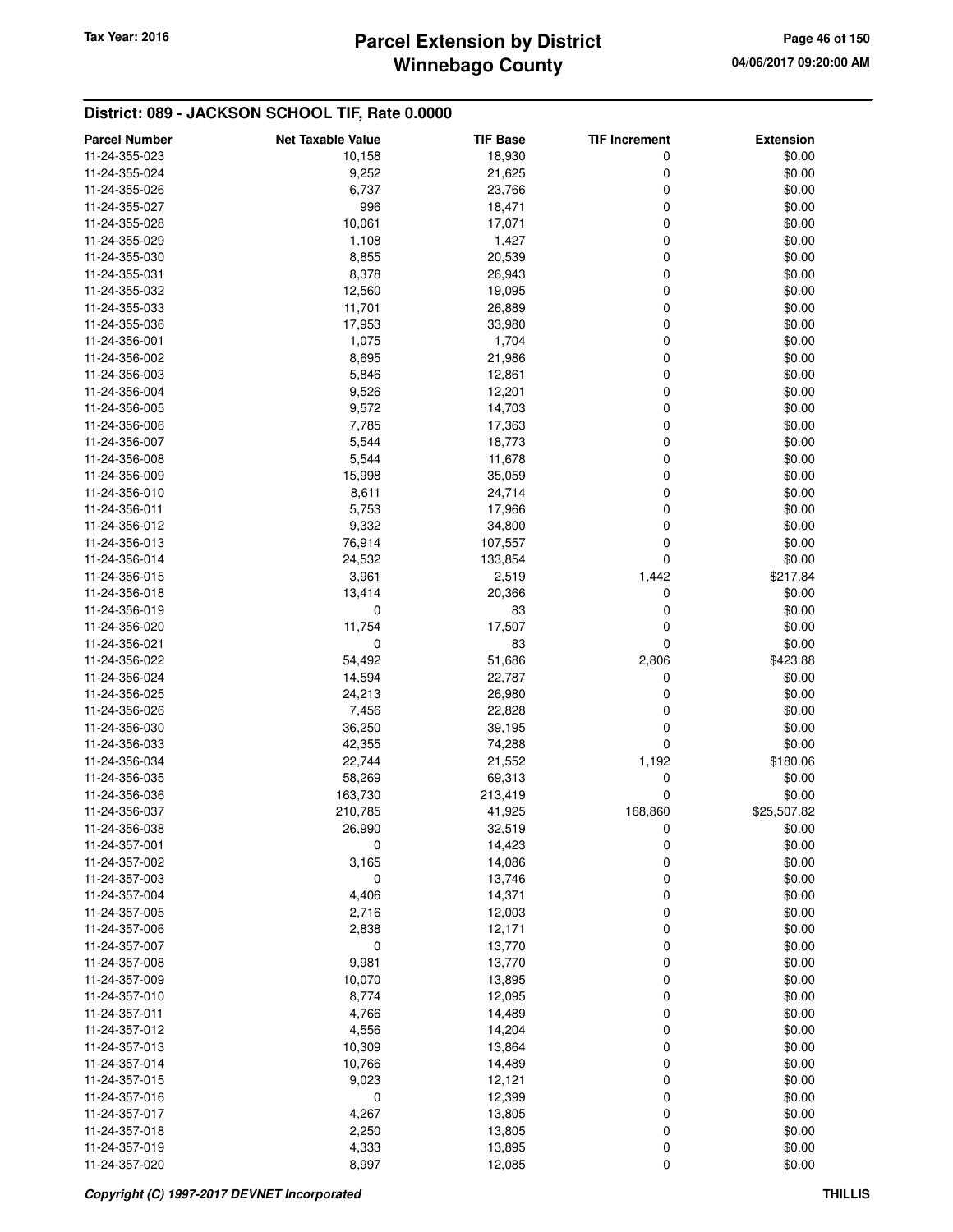# **Winnebago County Parcel Extension by District Tax Year: 2016 Page 46 of 150**

| <b>Parcel Number</b> | <b>Net Taxable Value</b> | <b>TIF Base</b> | <b>TIF Increment</b> | <b>Extension</b> |
|----------------------|--------------------------|-----------------|----------------------|------------------|
| 11-24-355-023        | 10,158                   | 18,930          | 0                    | \$0.00           |
| 11-24-355-024        | 9,252                    | 21,625          | 0                    | \$0.00           |
| 11-24-355-026        | 6,737                    | 23,766          | 0                    | \$0.00           |
| 11-24-355-027        | 996                      | 18,471          | 0                    | \$0.00           |
| 11-24-355-028        | 10,061                   | 17,071          | 0                    | \$0.00           |
| 11-24-355-029        | 1,108                    | 1,427           | 0                    | \$0.00           |
| 11-24-355-030        |                          |                 | 0                    |                  |
|                      | 8,855                    | 20,539          |                      | \$0.00           |
| 11-24-355-031        | 8,378                    | 26,943          | 0                    | \$0.00           |
| 11-24-355-032        | 12,560                   | 19,095          | 0                    | \$0.00           |
| 11-24-355-033        | 11,701                   | 26,889          | 0                    | \$0.00           |
| 11-24-355-036        | 17,953                   | 33,980          | 0                    | \$0.00           |
| 11-24-356-001        | 1,075                    | 1,704           | 0                    | \$0.00           |
| 11-24-356-002        | 8,695                    | 21,986          | 0                    | \$0.00           |
| 11-24-356-003        | 5,846                    | 12,861          | 0                    | \$0.00           |
| 11-24-356-004        | 9,526                    | 12,201          | 0                    | \$0.00           |
| 11-24-356-005        | 9,572                    | 14,703          | 0                    | \$0.00           |
| 11-24-356-006        | 7,785                    | 17,363          | 0                    | \$0.00           |
| 11-24-356-007        | 5,544                    | 18,773          | 0                    | \$0.00           |
| 11-24-356-008        | 5,544                    | 11,678          | 0                    | \$0.00           |
| 11-24-356-009        | 15,998                   | 35,059          | 0                    | \$0.00           |
| 11-24-356-010        | 8,611                    | 24,714          | 0                    | \$0.00           |
| 11-24-356-011        | 5,753                    | 17,966          | 0                    | \$0.00           |
| 11-24-356-012        | 9,332                    | 34,800          | 0                    | \$0.00           |
| 11-24-356-013        | 76,914                   | 107,557         | 0                    | \$0.00           |
| 11-24-356-014        | 24,532                   | 133,854         | 0                    | \$0.00           |
| 11-24-356-015        | 3,961                    | 2,519           | 1,442                | \$217.84         |
| 11-24-356-018        | 13,414                   | 20,366          | 0                    | \$0.00           |
| 11-24-356-019        | 0                        | 83              | 0                    | \$0.00           |
| 11-24-356-020        | 11,754                   | 17,507          | 0                    | \$0.00           |
| 11-24-356-021        | 0                        | 83              | 0                    | \$0.00           |
| 11-24-356-022        | 54,492                   | 51,686          | 2,806                | \$423.88         |
| 11-24-356-024        | 14,594                   | 22,787          | 0                    | \$0.00           |
| 11-24-356-025        | 24,213                   | 26,980          | 0                    | \$0.00           |
| 11-24-356-026        | 7,456                    | 22,828          | 0                    | \$0.00           |
| 11-24-356-030        | 36,250                   | 39,195          | 0                    | \$0.00           |
| 11-24-356-033        | 42,355                   | 74,288          | 0                    | \$0.00           |
| 11-24-356-034        | 22,744                   | 21,552          | 1,192                | \$180.06         |
| 11-24-356-035        | 58,269                   | 69,313          | 0                    | \$0.00           |
| 11-24-356-036        | 163,730                  | 213,419         | 0                    | \$0.00           |
| 11-24-356-037        | 210,785                  | 41,925          | 168,860              | \$25,507.82      |
| 11-24-356-038        | 26,990                   | 32,519          |                      | \$0.00           |
| 11-24-357-001        | 0                        | 14,423          | $\mathbf 0$<br>0     | \$0.00           |
| 11-24-357-002        | 3,165                    | 14,086          | 0                    | \$0.00           |
|                      | 0                        |                 |                      | \$0.00           |
| 11-24-357-003        |                          | 13,746          | 0                    | \$0.00           |
| 11-24-357-004        | 4,406                    | 14,371          | 0                    |                  |
| 11-24-357-005        | 2,716                    | 12,003          | 0                    | \$0.00           |
| 11-24-357-006        | 2,838                    | 12,171          | 0                    | \$0.00           |
| 11-24-357-007        | 0                        | 13,770          | 0                    | \$0.00           |
| 11-24-357-008        | 9,981                    | 13,770          | 0                    | \$0.00           |
| 11-24-357-009        | 10,070                   | 13,895          | 0                    | \$0.00           |
| 11-24-357-010        | 8,774                    | 12,095          | 0                    | \$0.00           |
| 11-24-357-011        | 4,766                    | 14,489          | 0                    | \$0.00           |
| 11-24-357-012        | 4,556                    | 14,204          | 0                    | \$0.00           |
| 11-24-357-013        | 10,309                   | 13,864          | 0                    | \$0.00           |
| 11-24-357-014        | 10,766                   | 14,489          | 0                    | \$0.00           |
| 11-24-357-015        | 9,023                    | 12,121          | 0                    | \$0.00           |
| 11-24-357-016        | $\mathbf 0$              | 12,399          | 0                    | \$0.00           |
| 11-24-357-017        | 4,267                    | 13,805          | 0                    | \$0.00           |
| 11-24-357-018        | 2,250                    | 13,805          | $\mathbf 0$          | \$0.00           |
| 11-24-357-019        | 4,333                    | 13,895          | 0                    | \$0.00           |
| 11-24-357-020        | 8,997                    | 12,085          | 0                    | \$0.00           |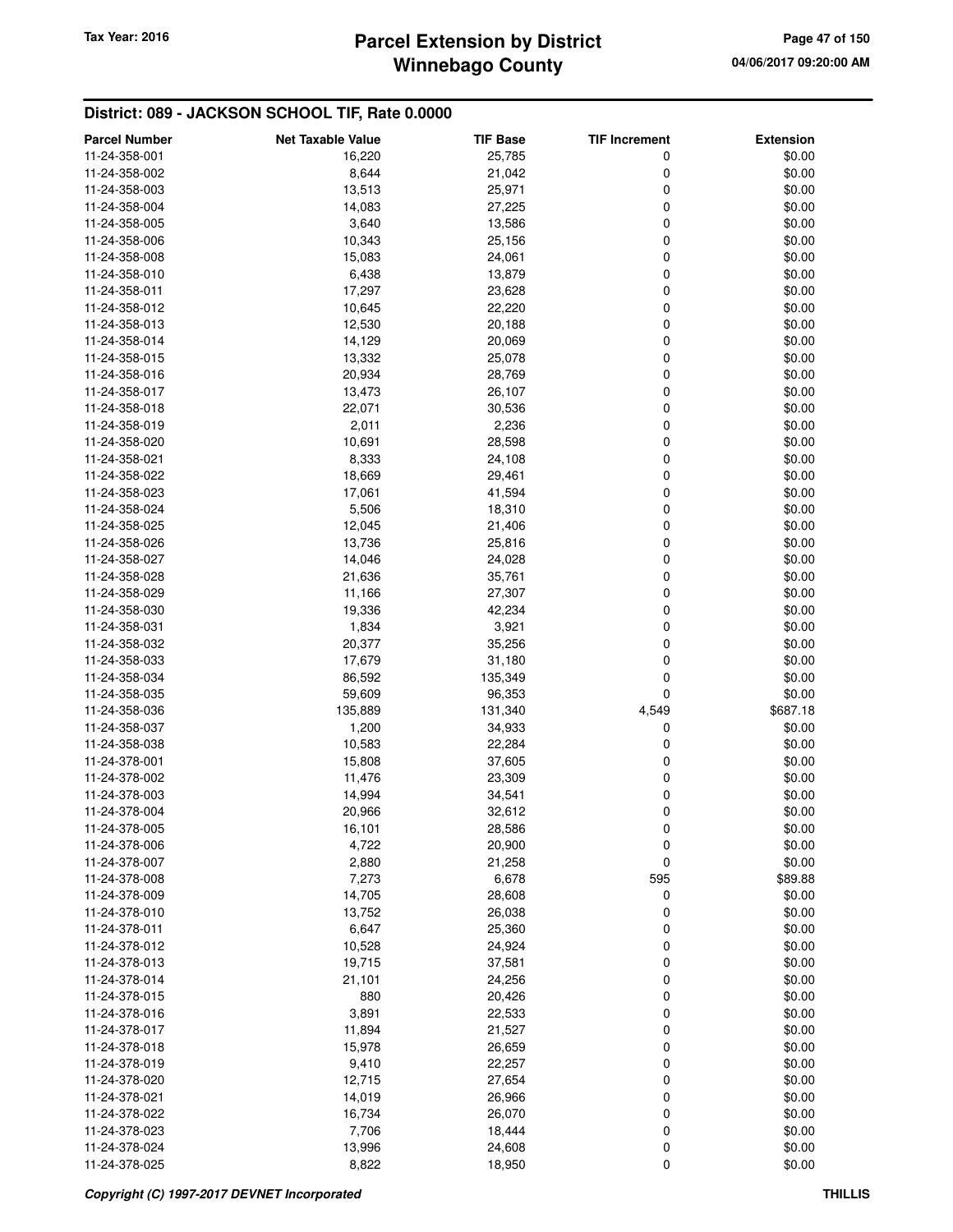# **Winnebago County** Tax Year: 2016 **Parcel Extension by District Page 47 of 150**

| <b>Parcel Number</b> | <b>Net Taxable Value</b> | <b>TIF Base</b> | <b>TIF Increment</b> | <b>Extension</b> |
|----------------------|--------------------------|-----------------|----------------------|------------------|
| 11-24-358-001        | 16,220                   | 25,785          | 0                    | \$0.00           |
| 11-24-358-002        | 8,644                    | 21,042          | 0                    | \$0.00           |
| 11-24-358-003        | 13,513                   | 25,971          | 0                    | \$0.00           |
| 11-24-358-004        | 14,083                   | 27,225          | 0                    | \$0.00           |
| 11-24-358-005        | 3,640                    | 13,586          | 0                    | \$0.00           |
| 11-24-358-006        | 10,343                   | 25,156          | 0                    | \$0.00           |
| 11-24-358-008        | 15,083                   | 24,061          | 0                    | \$0.00           |
| 11-24-358-010        | 6,438                    | 13,879          | 0                    | \$0.00           |
| 11-24-358-011        | 17,297                   | 23,628          | 0                    | \$0.00           |
| 11-24-358-012        | 10,645                   | 22,220          | 0                    | \$0.00           |
| 11-24-358-013        | 12,530                   | 20,188          | 0                    | \$0.00           |
| 11-24-358-014        | 14,129                   | 20,069          | 0                    | \$0.00           |
| 11-24-358-015        | 13,332                   | 25,078          | 0                    | \$0.00           |
| 11-24-358-016        | 20,934                   | 28,769          | 0                    | \$0.00           |
| 11-24-358-017        | 13,473                   | 26,107          | 0                    | \$0.00           |
| 11-24-358-018        | 22,071                   | 30,536          | 0                    | \$0.00           |
| 11-24-358-019        | 2,011                    | 2,236           | 0                    | \$0.00           |
| 11-24-358-020        | 10,691                   | 28,598          | 0                    | \$0.00           |
| 11-24-358-021        | 8,333                    | 24,108          | 0                    | \$0.00           |
| 11-24-358-022        | 18,669                   | 29,461          | 0                    | \$0.00           |
| 11-24-358-023        | 17,061                   | 41,594          | 0                    | \$0.00           |
| 11-24-358-024        | 5,506                    | 18,310          | 0                    | \$0.00           |
| 11-24-358-025        | 12,045                   | 21,406          | 0                    | \$0.00           |
| 11-24-358-026        | 13,736                   | 25,816          | 0                    | \$0.00           |
| 11-24-358-027        | 14,046                   | 24,028          | 0                    | \$0.00           |
| 11-24-358-028        | 21,636                   | 35,761          | 0                    | \$0.00           |
| 11-24-358-029        | 11,166                   | 27,307          | 0                    | \$0.00           |
| 11-24-358-030        | 19,336                   | 42,234          | 0                    | \$0.00           |
| 11-24-358-031        | 1,834                    | 3,921           | 0                    | \$0.00           |
| 11-24-358-032        | 20,377                   | 35,256          | 0                    | \$0.00           |
| 11-24-358-033        | 17,679                   | 31,180          | 0                    | \$0.00           |
| 11-24-358-034        | 86,592                   | 135,349         | 0                    | \$0.00           |
| 11-24-358-035        | 59,609                   | 96,353          | 0                    | \$0.00           |
| 11-24-358-036        | 135,889                  | 131,340         | 4,549                | \$687.18         |
| 11-24-358-037        | 1,200                    | 34,933          | 0                    | \$0.00           |
| 11-24-358-038        | 10,583                   | 22,284          | 0                    | \$0.00           |
| 11-24-378-001        | 15,808                   | 37,605          | 0                    | \$0.00           |
| 11-24-378-002        | 11,476                   | 23,309          | 0                    | \$0.00           |
| 11-24-378-003        | 14,994                   | 34,541          | 0                    | \$0.00           |
| 11-24-378-004        | 20,966                   | 32,612          | 0                    | \$0.00           |
| 11-24-378-005        | 16,101                   | 28,586          | 0                    | \$0.00           |
| 11-24-378-006        | 4,722                    | 20,900          | 0                    | \$0.00           |
| 11-24-378-007        | 2,880                    | 21,258          | 0                    | \$0.00           |
| 11-24-378-008        | 7,273                    | 6,678           | 595                  | \$89.88          |
| 11-24-378-009        | 14,705                   | 28,608          | 0                    | \$0.00           |
| 11-24-378-010        | 13,752                   | 26,038          | 0                    | \$0.00           |
| 11-24-378-011        | 6,647                    | 25,360          | 0                    | \$0.00           |
| 11-24-378-012        | 10,528                   | 24,924          | 0                    | \$0.00           |
| 11-24-378-013        | 19,715                   | 37,581          | 0                    | \$0.00           |
| 11-24-378-014        | 21,101                   | 24,256          | 0                    | \$0.00           |
| 11-24-378-015        | 880                      | 20,426          | 0                    | \$0.00           |
| 11-24-378-016        | 3,891                    | 22,533          | 0                    | \$0.00           |
| 11-24-378-017        | 11,894                   | 21,527          | 0                    | \$0.00           |
| 11-24-378-018        | 15,978                   | 26,659          | 0                    | \$0.00           |
| 11-24-378-019        | 9,410                    | 22,257          | 0                    | \$0.00           |
| 11-24-378-020        | 12,715                   | 27,654          | 0                    | \$0.00           |
| 11-24-378-021        | 14,019                   | 26,966          | 0                    | \$0.00           |
| 11-24-378-022        | 16,734                   | 26,070          | 0                    | \$0.00           |
| 11-24-378-023        | 7,706                    | 18,444          | 0                    | \$0.00           |
| 11-24-378-024        | 13,996                   | 24,608          | 0                    | \$0.00           |
| 11-24-378-025        | 8,822                    | 18,950          | 0                    | \$0.00           |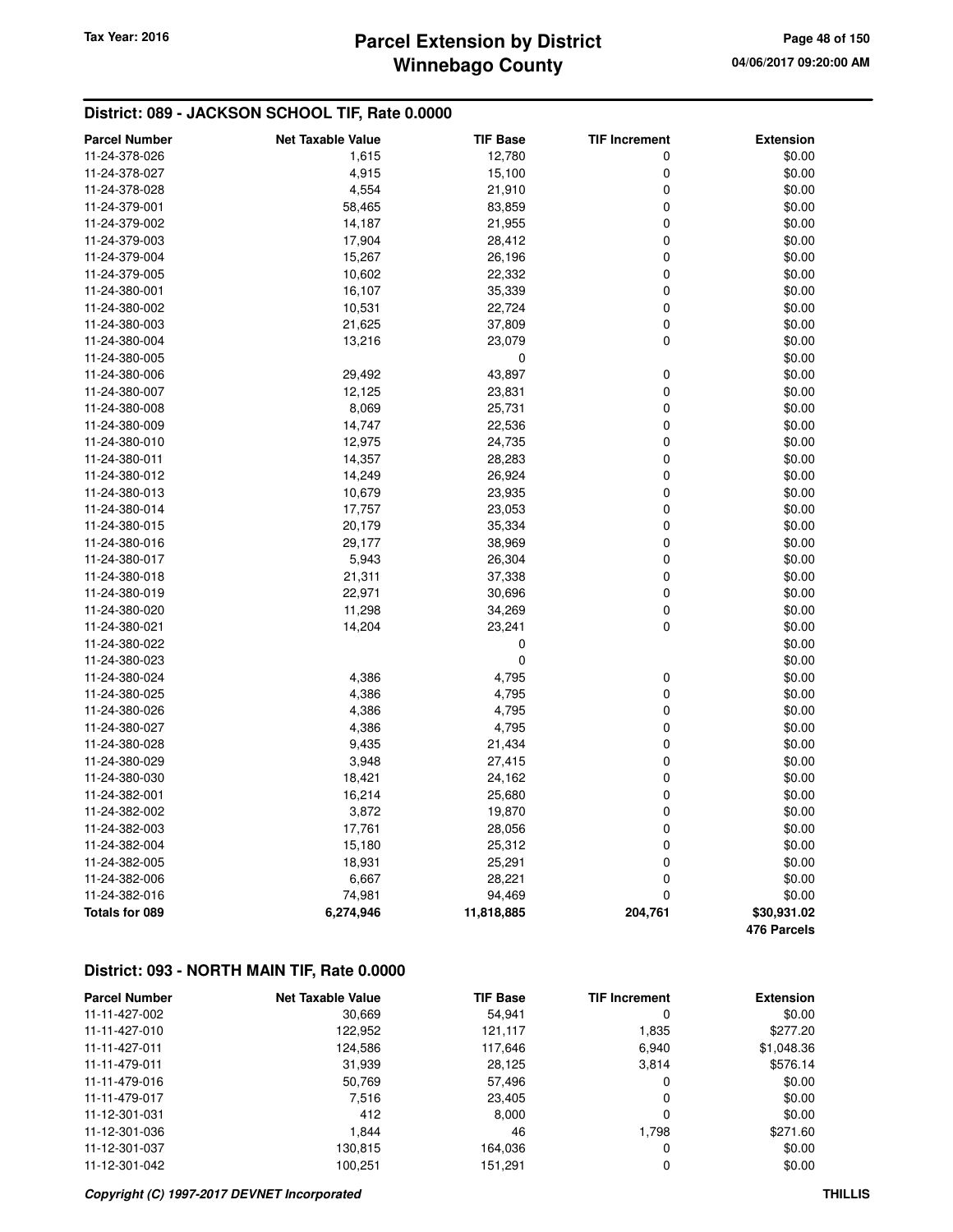# **Winnebago County Parcel Extension by District Tax Year: 2016 Page 48 of 150**

# **District: 089 - JACKSON SCHOOL TIF, Rate 0.0000**

| <b>Parcel Number</b>  | <b>Net Taxable Value</b> | <b>TIF Base</b> | <b>TIF Increment</b> | <b>Extension</b> |
|-----------------------|--------------------------|-----------------|----------------------|------------------|
| 11-24-378-026         | 1,615                    | 12,780          | 0                    | \$0.00           |
| 11-24-378-027         | 4,915                    | 15,100          | 0                    | \$0.00           |
| 11-24-378-028         | 4,554                    | 21,910          | 0                    | \$0.00           |
| 11-24-379-001         | 58,465                   | 83,859          | 0                    | \$0.00           |
| 11-24-379-002         | 14,187                   | 21,955          | $\mathbf 0$          | \$0.00           |
| 11-24-379-003         | 17,904                   | 28,412          | 0                    | \$0.00           |
| 11-24-379-004         | 15,267                   | 26,196          | 0                    | \$0.00           |
| 11-24-379-005         | 10,602                   | 22,332          | 0                    | \$0.00           |
| 11-24-380-001         | 16,107                   | 35,339          | 0                    | \$0.00           |
| 11-24-380-002         | 10,531                   | 22,724          | 0                    | \$0.00           |
| 11-24-380-003         | 21,625                   | 37,809          | 0                    | \$0.00           |
| 11-24-380-004         | 13,216                   | 23,079          | $\mathbf 0$          | \$0.00           |
| 11-24-380-005         |                          | 0               |                      | \$0.00           |
| 11-24-380-006         | 29,492                   | 43,897          | 0                    | \$0.00           |
| 11-24-380-007         | 12,125                   | 23,831          | 0                    | \$0.00           |
| 11-24-380-008         | 8,069                    | 25,731          | $\mathbf 0$          | \$0.00           |
| 11-24-380-009         | 14,747                   | 22,536          | 0                    | \$0.00           |
| 11-24-380-010         | 12,975                   | 24,735          | 0                    | \$0.00           |
| 11-24-380-011         | 14,357                   | 28,283          | 0                    | \$0.00           |
| 11-24-380-012         |                          |                 | 0                    |                  |
|                       | 14,249                   | 26,924          | 0                    | \$0.00           |
| 11-24-380-013         | 10,679                   | 23,935          |                      | \$0.00           |
| 11-24-380-014         | 17,757                   | 23,053          | 0                    | \$0.00           |
| 11-24-380-015         | 20,179                   | 35,334          | 0                    | \$0.00           |
| 11-24-380-016         | 29,177                   | 38,969          | 0                    | \$0.00           |
| 11-24-380-017         | 5,943                    | 26,304          | $\pmb{0}$            | \$0.00           |
| 11-24-380-018         | 21,311                   | 37,338          | 0                    | \$0.00           |
| 11-24-380-019         | 22,971                   | 30,696          | 0                    | \$0.00           |
| 11-24-380-020         | 11,298                   | 34,269          | 0                    | \$0.00           |
| 11-24-380-021         | 14,204                   | 23,241          | 0                    | \$0.00           |
| 11-24-380-022         |                          | 0               |                      | \$0.00           |
| 11-24-380-023         |                          | 0               |                      | \$0.00           |
| 11-24-380-024         | 4,386                    | 4,795           | $\pmb{0}$            | \$0.00           |
| 11-24-380-025         | 4,386                    | 4,795           | 0                    | \$0.00           |
| 11-24-380-026         | 4,386                    | 4,795           | $\mathbf 0$          | \$0.00           |
| 11-24-380-027         | 4,386                    | 4,795           | 0                    | \$0.00           |
| 11-24-380-028         | 9,435                    | 21,434          | 0                    | \$0.00           |
| 11-24-380-029         | 3,948                    | 27,415          | 0                    | \$0.00           |
| 11-24-380-030         | 18,421                   | 24,162          | 0                    | \$0.00           |
| 11-24-382-001         | 16,214                   | 25,680          | $\mathbf 0$          | \$0.00           |
| 11-24-382-002         | 3,872                    | 19,870          | 0                    | \$0.00           |
| 11-24-382-003         | 17,761                   | 28,056          | 0                    | \$0.00           |
| 11-24-382-004         | 15,180                   | 25,312          | 0                    | \$0.00           |
| 11-24-382-005         | 18,931                   | 25,291          | $\mathbf 0$          | \$0.00           |
| 11-24-382-006         | 6,667                    | 28,221          | 0                    | \$0.00           |
| 11-24-382-016         | 74,981                   | 94,469          | 0                    | \$0.00           |
| <b>Totals for 089</b> | 6,274,946                | 11,818,885      | 204,761              | \$30,931.02      |
|                       |                          |                 |                      | 476 Parcels      |

# **District: 093 - NORTH MAIN TIF, Rate 0.0000**

| <b>Parcel Number</b> | <b>Net Taxable Value</b> | <b>TIF Base</b> | <b>TIF Increment</b> | <b>Extension</b> |
|----------------------|--------------------------|-----------------|----------------------|------------------|
| 11-11-427-002        | 30,669                   | 54.941          | 0                    | \$0.00           |
| 11-11-427-010        | 122,952                  | 121,117         | 1,835                | \$277.20         |
| 11-11-427-011        | 124,586                  | 117,646         | 6,940                | \$1,048.36       |
| 11-11-479-011        | 31,939                   | 28,125          | 3,814                | \$576.14         |
| 11-11-479-016        | 50,769                   | 57,496          | 0                    | \$0.00           |
| 11-11-479-017        | 7,516                    | 23.405          | 0                    | \$0.00           |
| 11-12-301-031        | 412                      | 8,000           | 0                    | \$0.00           |
| 11-12-301-036        | 1.844                    | 46              | 1,798                | \$271.60         |
| 11-12-301-037        | 130,815                  | 164,036         | 0                    | \$0.00           |
| 11-12-301-042        | 100.251                  | 151.291         | 0                    | \$0.00           |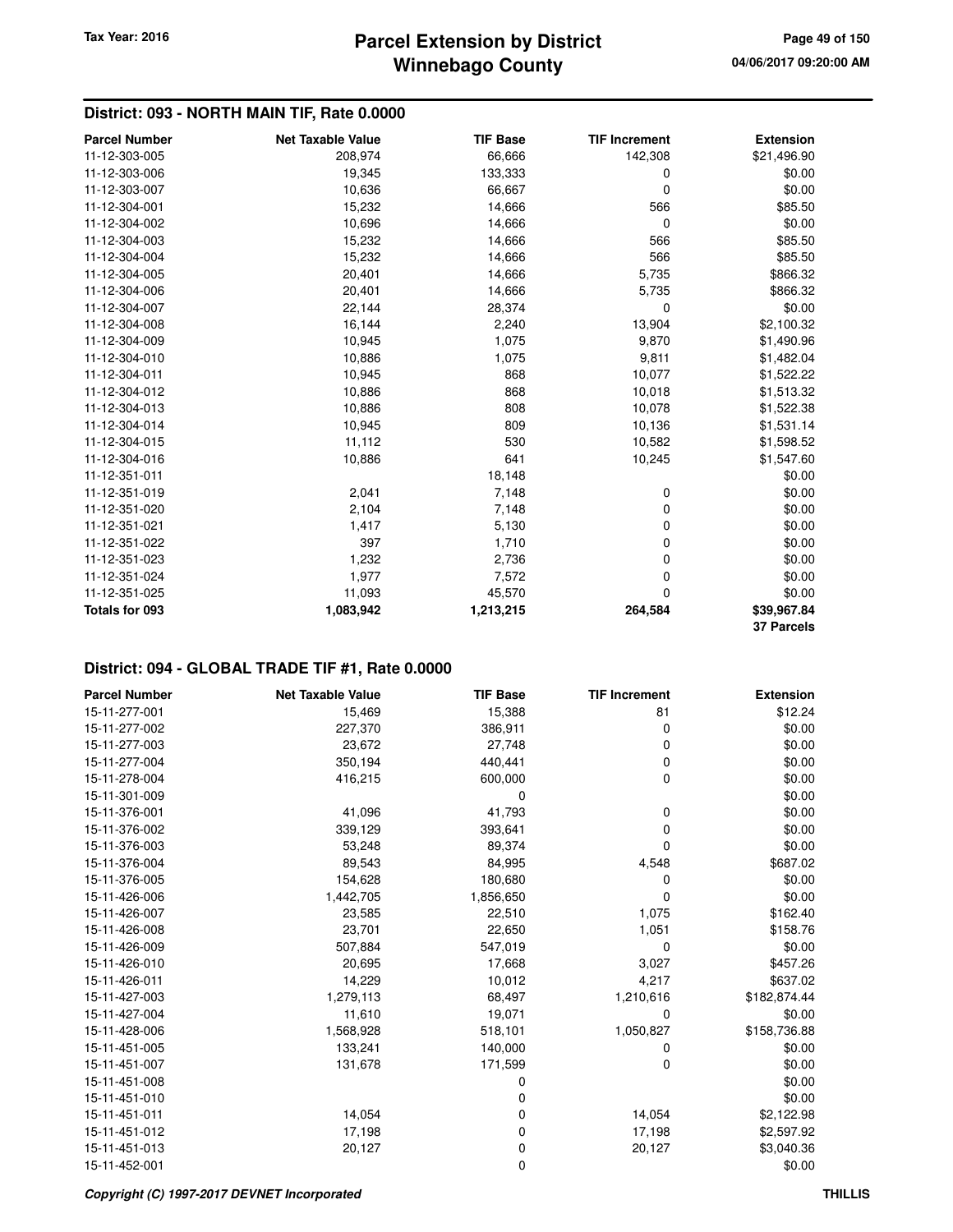# **District: 093 - NORTH MAIN TIF, Rate 0.0000**

| <b>Parcel Number</b>  | <b>Net Taxable Value</b> | <b>TIF Base</b> | <b>TIF Increment</b> | <b>Extension</b>  |
|-----------------------|--------------------------|-----------------|----------------------|-------------------|
| 11-12-303-005         | 208,974                  | 66,666          | 142,308              | \$21,496.90       |
| 11-12-303-006         | 19,345                   | 133,333         | 0                    | \$0.00            |
| 11-12-303-007         | 10,636                   | 66,667          | 0                    | \$0.00            |
| 11-12-304-001         | 15,232                   | 14,666          | 566                  | \$85.50           |
| 11-12-304-002         | 10,696                   | 14,666          | 0                    | \$0.00            |
| 11-12-304-003         | 15,232                   | 14,666          | 566                  | \$85.50           |
| 11-12-304-004         | 15,232                   | 14,666          | 566                  | \$85.50           |
| 11-12-304-005         | 20,401                   | 14,666          | 5,735                | \$866.32          |
| 11-12-304-006         | 20,401                   | 14,666          | 5,735                | \$866.32          |
| 11-12-304-007         | 22,144                   | 28,374          | 0                    | \$0.00            |
| 11-12-304-008         | 16,144                   | 2,240           | 13,904               | \$2,100.32        |
| 11-12-304-009         | 10,945                   | 1,075           | 9,870                | \$1,490.96        |
| 11-12-304-010         | 10,886                   | 1,075           | 9,811                | \$1,482.04        |
| 11-12-304-011         | 10,945                   | 868             | 10,077               | \$1,522.22        |
| 11-12-304-012         | 10,886                   | 868             | 10,018               | \$1,513.32        |
| 11-12-304-013         | 10,886                   | 808             | 10,078               | \$1,522.38        |
| 11-12-304-014         | 10,945                   | 809             | 10,136               | \$1,531.14        |
| 11-12-304-015         | 11,112                   | 530             | 10,582               | \$1,598.52        |
| 11-12-304-016         | 10,886                   | 641             | 10,245               | \$1,547.60        |
| 11-12-351-011         |                          | 18,148          |                      | \$0.00            |
| 11-12-351-019         | 2,041                    | 7,148           | 0                    | \$0.00            |
| 11-12-351-020         | 2,104                    | 7,148           | 0                    | \$0.00            |
| 11-12-351-021         | 1,417                    | 5,130           | 0                    | \$0.00            |
| 11-12-351-022         | 397                      | 1,710           | 0                    | \$0.00            |
| 11-12-351-023         | 1,232                    | 2,736           | 0                    | \$0.00            |
| 11-12-351-024         | 1,977                    | 7,572           | 0                    | \$0.00            |
| 11-12-351-025         | 11,093                   | 45,570          | 0                    | \$0.00            |
| <b>Totals for 093</b> | 1,083,942                | 1,213,215       | 264,584              | \$39,967.84       |
|                       |                          |                 |                      | <b>37 Parcels</b> |

| <b>Parcel Number</b> | <b>Net Taxable Value</b> | <b>TIF Base</b> | <b>TIF Increment</b> | <b>Extension</b> |
|----------------------|--------------------------|-----------------|----------------------|------------------|
| 15-11-277-001        | 15,469                   | 15,388          | 81                   | \$12.24          |
| 15-11-277-002        | 227,370                  | 386,911         | 0                    | \$0.00           |
| 15-11-277-003        | 23,672                   | 27,748          | 0                    | \$0.00           |
| 15-11-277-004        | 350,194                  | 440,441         | 0                    | \$0.00           |
| 15-11-278-004        | 416,215                  | 600,000         | 0                    | \$0.00           |
| 15-11-301-009        |                          | 0               |                      | \$0.00           |
| 15-11-376-001        | 41,096                   | 41,793          | 0                    | \$0.00           |
| 15-11-376-002        | 339,129                  | 393,641         | 0                    | \$0.00           |
| 15-11-376-003        | 53,248                   | 89,374          | 0                    | \$0.00           |
| 15-11-376-004        | 89,543                   | 84,995          | 4,548                | \$687.02         |
| 15-11-376-005        | 154,628                  | 180,680         | 0                    | \$0.00           |
| 15-11-426-006        | 1,442,705                | 1,856,650       | 0                    | \$0.00           |
| 15-11-426-007        | 23,585                   | 22,510          | 1,075                | \$162.40         |
| 15-11-426-008        | 23,701                   | 22,650          | 1,051                | \$158.76         |
| 15-11-426-009        | 507,884                  | 547,019         | 0                    | \$0.00           |
| 15-11-426-010        | 20,695                   | 17,668          | 3,027                | \$457.26         |
| 15-11-426-011        | 14,229                   | 10,012          | 4,217                | \$637.02         |
| 15-11-427-003        | 1,279,113                | 68,497          | 1,210,616            | \$182,874.44     |
| 15-11-427-004        | 11,610                   | 19,071          | 0                    | \$0.00           |
| 15-11-428-006        | 1,568,928                | 518,101         | 1,050,827            | \$158,736.88     |
| 15-11-451-005        | 133,241                  | 140,000         | 0                    | \$0.00           |
| 15-11-451-007        | 131,678                  | 171,599         | 0                    | \$0.00           |
| 15-11-451-008        |                          | 0               |                      | \$0.00           |
| 15-11-451-010        |                          | 0               |                      | \$0.00           |
| 15-11-451-011        | 14,054                   | 0               | 14,054               | \$2,122.98       |
| 15-11-451-012        | 17,198                   | 0               | 17,198               | \$2,597.92       |
| 15-11-451-013        | 20,127                   | 0               | 20,127               | \$3,040.36       |
| 15-11-452-001        |                          | 0               |                      | \$0.00           |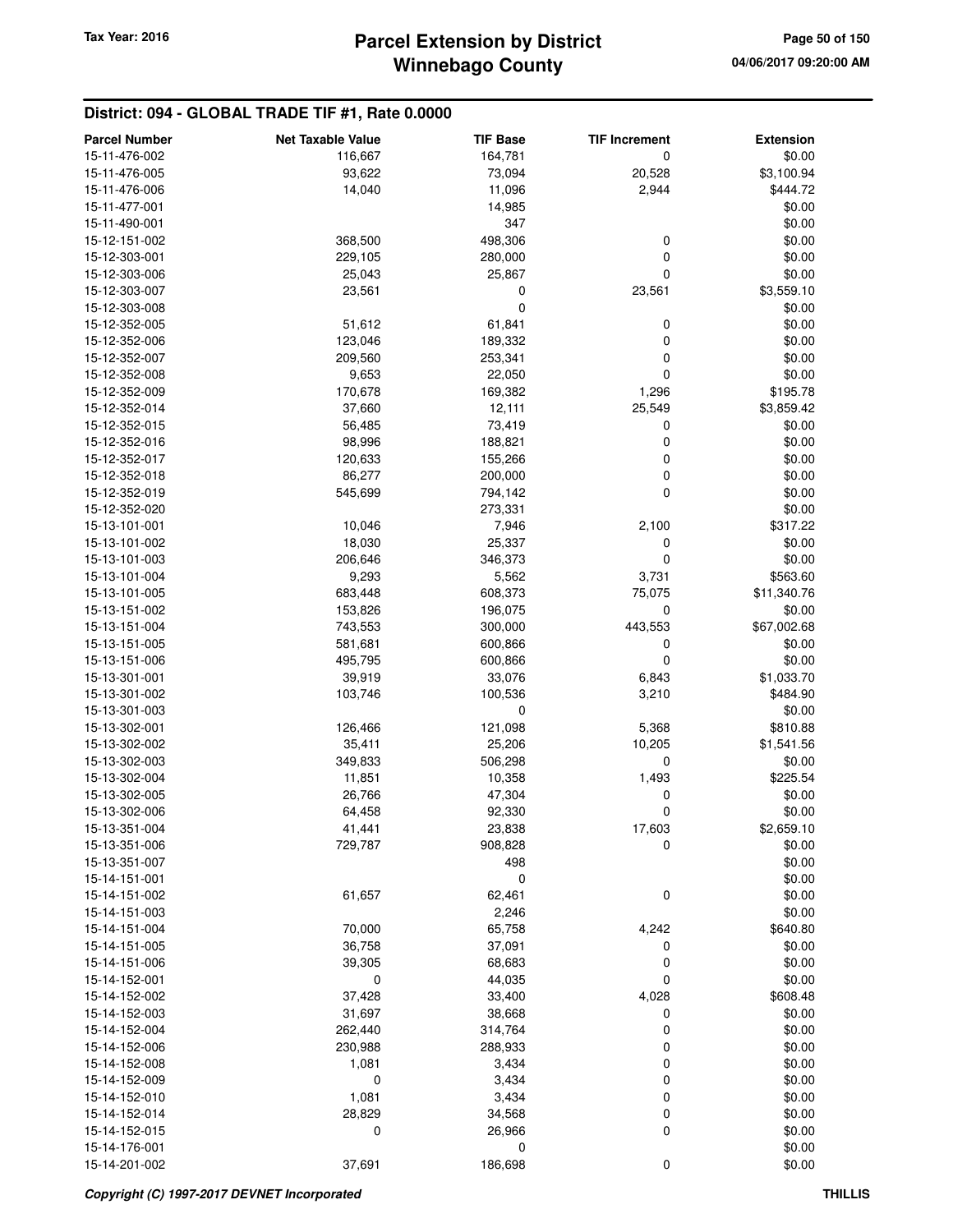| <b>Parcel Number</b>           | <b>Net Taxable Value</b> | <b>TIF Base</b>  | <b>TIF Increment</b> | <b>Extension</b>     |
|--------------------------------|--------------------------|------------------|----------------------|----------------------|
| 15-11-476-002                  | 116,667                  | 164,781          | 0                    | \$0.00               |
| 15-11-476-005                  | 93,622                   | 73,094           | 20,528               | \$3,100.94           |
| 15-11-476-006                  | 14,040                   | 11,096           | 2,944                | \$444.72             |
| 15-11-477-001                  |                          | 14,985           |                      | \$0.00               |
| 15-11-490-001                  |                          | 347              |                      | \$0.00               |
| 15-12-151-002                  | 368,500                  | 498,306          | 0                    | \$0.00               |
| 15-12-303-001                  | 229,105                  | 280,000          | 0                    | \$0.00               |
| 15-12-303-006                  | 25,043                   | 25,867           | 0                    | \$0.00               |
| 15-12-303-007                  | 23,561                   | 0                | 23,561               | \$3,559.10           |
| 15-12-303-008                  |                          | $\mathbf 0$      |                      | \$0.00               |
| 15-12-352-005                  | 51,612                   | 61,841           | 0                    | \$0.00               |
| 15-12-352-006                  | 123,046                  | 189,332          | 0                    | \$0.00               |
| 15-12-352-007                  | 209,560                  | 253,341          | 0                    | \$0.00               |
| 15-12-352-008                  | 9,653                    | 22,050           | 0                    | \$0.00               |
| 15-12-352-009                  | 170,678                  | 169,382          | 1,296                | \$195.78             |
| 15-12-352-014                  | 37,660                   | 12,111           | 25,549               | \$3,859.42           |
| 15-12-352-015                  | 56,485                   | 73,419           | 0                    | \$0.00               |
| 15-12-352-016                  | 98,996                   | 188,821          | 0                    | \$0.00               |
| 15-12-352-017                  | 120,633                  | 155,266          | 0                    | \$0.00               |
| 15-12-352-018                  | 86,277                   | 200,000          | 0                    | \$0.00               |
| 15-12-352-019                  | 545,699                  | 794,142          | 0                    | \$0.00               |
| 15-12-352-020                  |                          | 273,331          |                      | \$0.00               |
| 15-13-101-001                  | 10,046                   | 7,946            | 2,100                | \$317.22             |
| 15-13-101-002                  | 18,030                   | 25,337           | 0                    | \$0.00               |
| 15-13-101-003                  | 206,646                  | 346,373          | 0                    | \$0.00               |
| 15-13-101-004                  | 9,293                    | 5,562            | 3,731                | \$563.60             |
| 15-13-101-005                  | 683,448                  | 608,373          | 75,075               | \$11,340.76          |
| 15-13-151-002                  | 153,826                  | 196,075          | 0                    | \$0.00               |
| 15-13-151-004                  | 743,553                  | 300,000          | 443,553              | \$67,002.68          |
| 15-13-151-005                  | 581,681                  | 600,866          | 0                    | \$0.00               |
| 15-13-151-006                  | 495,795                  | 600,866          | 0                    | \$0.00               |
| 15-13-301-001                  | 39,919                   | 33,076           | 6,843                | \$1,033.70           |
| 15-13-301-002                  | 103,746                  | 100,536          | 3,210                | \$484.90             |
| 15-13-301-003                  |                          | 0                |                      | \$0.00               |
| 15-13-302-001                  | 126,466                  | 121,098          | 5,368                | \$810.88             |
| 15-13-302-002                  | 35,411                   | 25,206           | 10,205               | \$1,541.56           |
| 15-13-302-003                  | 349,833                  | 506,298          | 0                    | \$0.00<br>\$225.54   |
| 15-13-302-004<br>15-13-302-005 | 11,851<br>26,766         | 10,358<br>47,304 | 1,493<br>0           | \$0.00               |
| 15-13-302-006                  | 64,458                   | 92,330           | 0                    | \$0.00               |
| 15-13-351-004                  | 41,441                   | 23,838           |                      |                      |
| 15-13-351-006                  | 729,787                  | 908,828          | 17,603<br>0          | \$2,659.10<br>\$0.00 |
| 15-13-351-007                  |                          | 498              |                      | \$0.00               |
| 15-14-151-001                  |                          | 0                |                      | \$0.00               |
| 15-14-151-002                  | 61,657                   | 62,461           | 0                    | \$0.00               |
| 15-14-151-003                  |                          | 2,246            |                      | \$0.00               |
| 15-14-151-004                  | 70,000                   | 65,758           | 4,242                | \$640.80             |
| 15-14-151-005                  | 36,758                   | 37,091           | 0                    | \$0.00               |
| 15-14-151-006                  | 39,305                   | 68,683           | 0                    | \$0.00               |
| 15-14-152-001                  | 0                        | 44,035           | 0                    | \$0.00               |
| 15-14-152-002                  | 37,428                   | 33,400           | 4,028                | \$608.48             |
| 15-14-152-003                  | 31,697                   | 38,668           | 0                    | \$0.00               |
| 15-14-152-004                  | 262,440                  | 314,764          | 0                    | \$0.00               |
| 15-14-152-006                  | 230,988                  | 288,933          | 0                    | \$0.00               |
| 15-14-152-008                  | 1,081                    | 3,434            | 0                    | \$0.00               |
| 15-14-152-009                  | 0                        | 3,434            | 0                    | \$0.00               |
| 15-14-152-010                  | 1,081                    | 3,434            | 0                    | \$0.00               |
| 15-14-152-014                  | 28,829                   | 34,568           | 0                    | \$0.00               |
| 15-14-152-015                  | 0                        | 26,966           | 0                    | \$0.00               |
| 15-14-176-001                  |                          | 0                |                      | \$0.00               |
| 15-14-201-002                  | 37,691                   | 186,698          | 0                    | \$0.00               |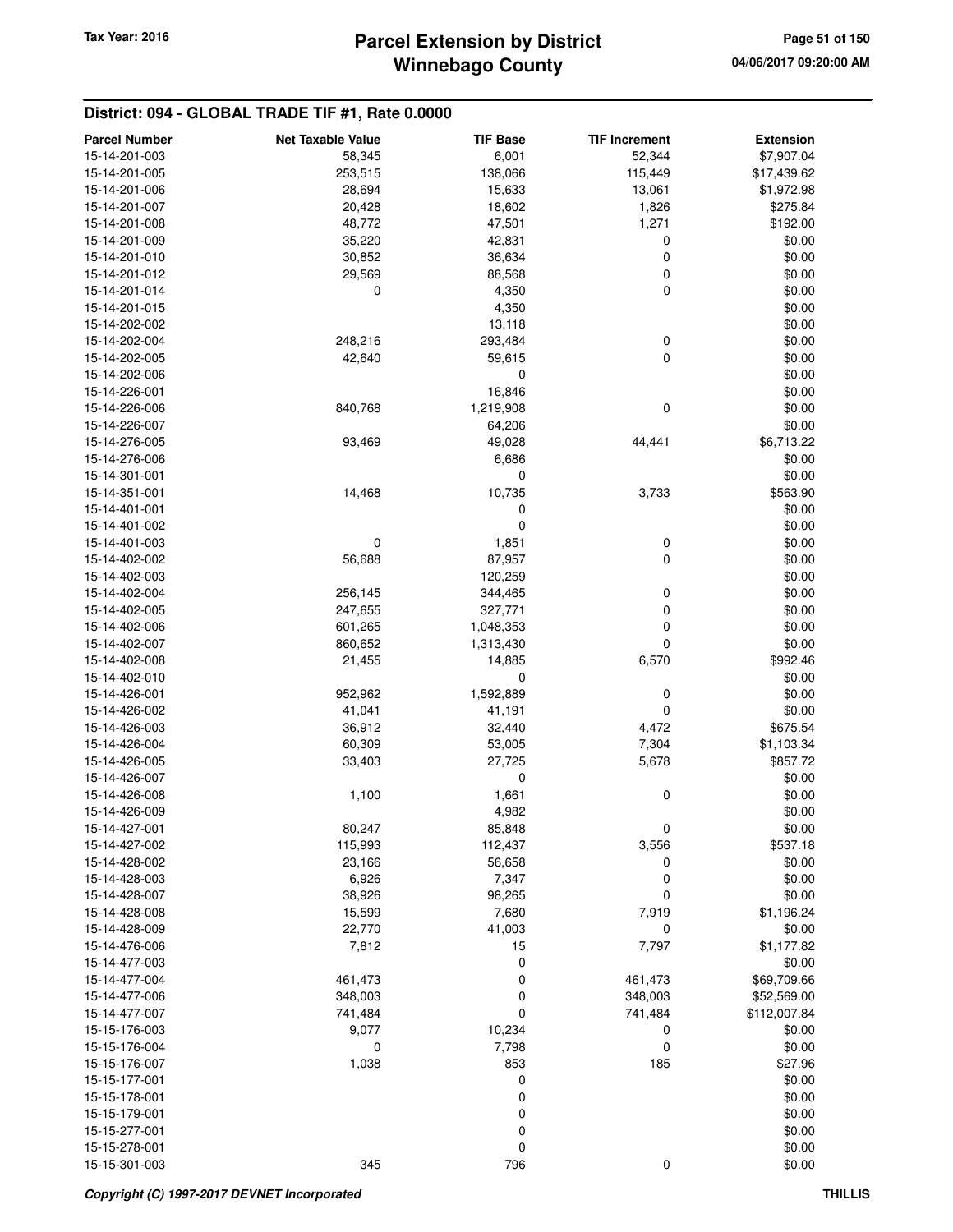# **Winnebago County** Tax Year: 2016 **Parcel Extension by District Page 51 of 150**

| <b>Parcel Number</b>           | <b>Net Taxable Value</b> | <b>TIF Base</b>  | <b>TIF Increment</b>     | <b>Extension</b> |
|--------------------------------|--------------------------|------------------|--------------------------|------------------|
| 15-14-201-003                  | 58,345                   | 6,001            | 52,344                   | \$7,907.04       |
| 15-14-201-005                  | 253,515                  | 138,066          | 115,449                  | \$17,439.62      |
| 15-14-201-006                  | 28,694                   | 15,633           | 13,061                   | \$1,972.98       |
| 15-14-201-007                  | 20,428                   | 18,602           | 1,826                    | \$275.84         |
| 15-14-201-008                  | 48,772                   | 47,501           | 1,271                    | \$192.00         |
| 15-14-201-009                  | 35,220                   | 42,831           | 0                        | \$0.00           |
| 15-14-201-010                  | 30,852                   | 36,634           | $\boldsymbol{0}$         | \$0.00           |
| 15-14-201-012                  | 29,569                   | 88,568           | $\boldsymbol{0}$         | \$0.00           |
| 15-14-201-014                  | 0                        | 4,350            | $\mathbf 0$              | \$0.00           |
| 15-14-201-015                  |                          |                  |                          |                  |
|                                |                          | 4,350            |                          | \$0.00           |
| 15-14-202-002<br>15-14-202-004 |                          | 13,118           |                          | \$0.00           |
|                                | 248,216                  | 293,484          | $\pmb{0}$<br>$\mathbf 0$ | \$0.00           |
| 15-14-202-005                  | 42,640                   | 59,615           |                          | \$0.00           |
| 15-14-202-006                  |                          | 0                |                          | \$0.00           |
| 15-14-226-001                  |                          | 16,846           |                          | \$0.00           |
| 15-14-226-006                  | 840,768                  | 1,219,908        | 0                        | \$0.00           |
| 15-14-226-007                  |                          | 64,206           |                          | \$0.00           |
| 15-14-276-005                  | 93,469                   | 49,028           | 44,441                   | \$6,713.22       |
| 15-14-276-006                  |                          | 6,686            |                          | \$0.00           |
| 15-14-301-001                  |                          | 0                |                          | \$0.00           |
| 15-14-351-001                  | 14,468                   | 10,735           | 3,733                    | \$563.90         |
| 15-14-401-001                  |                          | 0                |                          | \$0.00           |
| 15-14-401-002                  |                          | $\mathbf 0$      |                          | \$0.00           |
| 15-14-401-003                  | 0                        | 1,851            | 0                        | \$0.00           |
| 15-14-402-002                  | 56,688                   | 87,957           | $\mathbf 0$              | \$0.00           |
| 15-14-402-003                  |                          | 120,259          |                          | \$0.00           |
| 15-14-402-004                  | 256,145                  | 344,465          | 0                        | \$0.00           |
| 15-14-402-005                  | 247,655                  | 327,771          | $\boldsymbol{0}$         | \$0.00           |
| 15-14-402-006                  | 601,265                  | 1,048,353        | $\mathbf 0$              | \$0.00           |
| 15-14-402-007                  | 860,652                  | 1,313,430        | 0                        | \$0.00           |
| 15-14-402-008                  | 21,455                   | 14,885           | 6,570                    | \$992.46         |
| 15-14-402-010                  |                          | $\mathbf 0$      |                          | \$0.00           |
| 15-14-426-001                  | 952,962                  | 1,592,889        | 0                        | \$0.00           |
| 15-14-426-002                  | 41,041                   | 41,191           | $\mathbf 0$              | \$0.00           |
| 15-14-426-003                  | 36,912                   | 32,440           | 4,472                    | \$675.54         |
| 15-14-426-004                  | 60,309                   | 53,005           | 7,304                    | \$1,103.34       |
| 15-14-426-005                  | 33,403                   | 27,725           | 5,678                    | \$857.72         |
| 15-14-426-007                  |                          | 0                |                          | \$0.00           |
| 15-14-426-008                  | 1,100                    | 1,661            | 0                        | \$0.00           |
| 15-14-426-009                  |                          | 4,982            |                          | \$0.00           |
| 15-14-427-001                  | 80,247                   | 85,848           | U                        | \$0.00           |
| 15-14-427-002                  | 115,993                  | 112,437          | 3,556                    | \$537.18         |
| 15-14-428-002                  | 23,166                   | 56,658           | 0                        | \$0.00           |
| 15-14-428-003                  | 6,926                    | 7,347            | $\mathbf 0$              | \$0.00           |
| 15-14-428-007                  | 38,926                   | 98,265           | 0                        | \$0.00           |
| 15-14-428-008                  | 15,599                   | 7,680            | 7,919                    | \$1,196.24       |
| 15-14-428-009                  | 22,770                   | 41,003           | 0                        | \$0.00           |
| 15-14-476-006                  | 7,812                    | 15               | 7,797                    | \$1,177.82       |
| 15-14-477-003                  |                          | 0                |                          | \$0.00           |
| 15-14-477-004                  | 461,473                  | 0                | 461,473                  | \$69,709.66      |
| 15-14-477-006                  | 348,003                  | 0                | 348,003                  | \$52,569.00      |
| 15-14-477-007                  | 741,484                  | $\mathbf 0$      | 741,484                  | \$112,007.84     |
|                                |                          | 10,234           |                          |                  |
| 15-15-176-003                  | 9,077<br>0               |                  | 0                        | \$0.00           |
| 15-15-176-004                  |                          | 7,798            | 0                        | \$0.00           |
| 15-15-176-007                  | 1,038                    | 853              | 185                      | \$27.96          |
| 15-15-177-001                  |                          | 0                |                          | \$0.00           |
| 15-15-178-001                  |                          | 0                |                          | \$0.00           |
| 15-15-179-001                  |                          | $\boldsymbol{0}$ |                          | \$0.00           |
| 15-15-277-001                  |                          | 0                |                          | \$0.00           |
| 15-15-278-001                  |                          | 0                |                          | \$0.00           |
| 15-15-301-003                  | 345                      | 796              | 0                        | \$0.00           |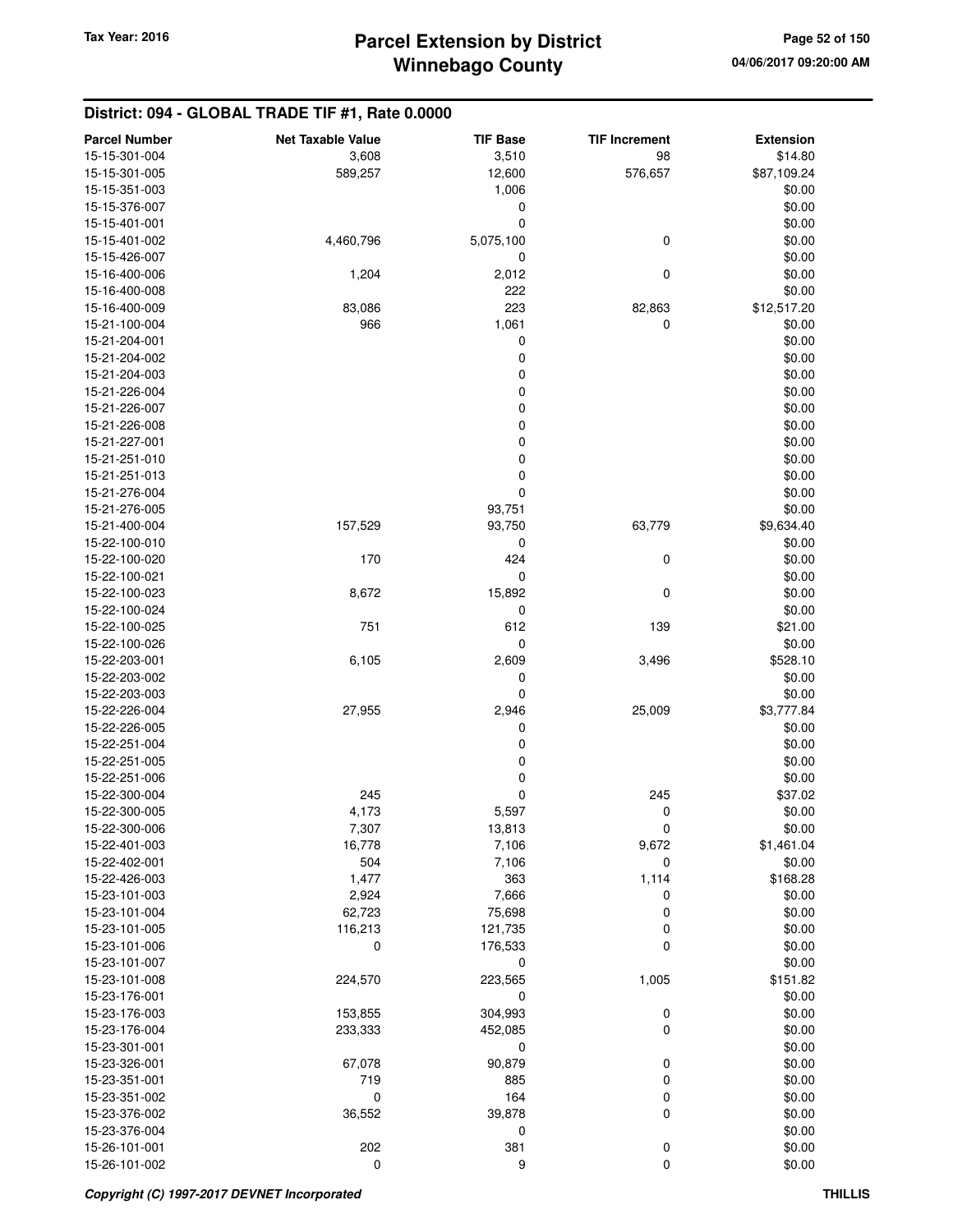| <b>Parcel Number</b>           | <b>Net Taxable Value</b> | <b>TIF Base</b>      | <b>TIF Increment</b> | <b>Extension</b>   |
|--------------------------------|--------------------------|----------------------|----------------------|--------------------|
| 15-15-301-004                  | 3,608                    | 3,510                | 98                   | \$14.80            |
| 15-15-301-005                  | 589,257                  | 12,600               | 576,657              | \$87,109.24        |
| 15-15-351-003                  |                          | 1,006                |                      | \$0.00             |
| 15-15-376-007                  |                          | 0                    |                      | \$0.00             |
| 15-15-401-001                  |                          | $\mathbf 0$          |                      | \$0.00             |
| 15-15-401-002                  | 4,460,796                | 5,075,100            | $\mathbf 0$          | \$0.00             |
| 15-15-426-007                  |                          | 0                    |                      | \$0.00             |
| 15-16-400-006                  | 1,204                    | 2,012                | 0                    | \$0.00             |
| 15-16-400-008                  |                          | 222                  |                      | \$0.00             |
| 15-16-400-009                  | 83,086                   | 223                  | 82,863               | \$12,517.20        |
| 15-21-100-004                  | 966                      | 1,061                | 0                    | \$0.00             |
| 15-21-204-001                  |                          | 0                    |                      | \$0.00             |
| 15-21-204-002                  |                          | $\boldsymbol{0}$     |                      | \$0.00             |
| 15-21-204-003                  |                          | $\boldsymbol{0}$     |                      | \$0.00             |
| 15-21-226-004                  |                          | $\boldsymbol{0}$     |                      | \$0.00             |
| 15-21-226-007                  |                          | $\boldsymbol{0}$     |                      | \$0.00             |
| 15-21-226-008                  |                          | $\boldsymbol{0}$     |                      | \$0.00             |
| 15-21-227-001                  |                          | $\mathbf 0$          |                      | \$0.00             |
| 15-21-251-010                  |                          | $\boldsymbol{0}$     |                      | \$0.00             |
| 15-21-251-013                  |                          | $\boldsymbol{0}$     |                      | \$0.00             |
| 15-21-276-004                  |                          | $\mathbf 0$          |                      | \$0.00             |
| 15-21-276-005                  |                          | 93,751               |                      | \$0.00             |
| 15-21-400-004                  | 157,529                  | 93,750               | 63,779               | \$9,634.40         |
| 15-22-100-010                  |                          | 0                    |                      | \$0.00             |
| 15-22-100-020                  | 170                      | 424                  | 0                    | \$0.00             |
| 15-22-100-021                  |                          | $\mathbf 0$          |                      | \$0.00             |
| 15-22-100-023                  | 8,672                    | 15,892               | $\mathbf 0$          | \$0.00             |
| 15-22-100-024                  |                          | $\mathbf 0$          |                      | \$0.00             |
| 15-22-100-025                  | 751                      | 612                  | 139                  | \$21.00            |
| 15-22-100-026<br>15-22-203-001 |                          | $\mathbf 0$<br>2,609 |                      | \$0.00<br>\$528.10 |
|                                | 6,105                    |                      | 3,496                |                    |
| 15-22-203-002<br>15-22-203-003 |                          | 0<br>$\pmb{0}$       |                      | \$0.00<br>\$0.00   |
| 15-22-226-004                  | 27,955                   | 2,946                | 25,009               | \$3,777.84         |
| 15-22-226-005                  |                          | 0                    |                      | \$0.00             |
| 15-22-251-004                  |                          | $\boldsymbol{0}$     |                      | \$0.00             |
| 15-22-251-005                  |                          | $\boldsymbol{0}$     |                      | \$0.00             |
| 15-22-251-006                  |                          | $\boldsymbol{0}$     |                      | \$0.00             |
| 15-22-300-004                  | 245                      | $\mathbf 0$          | 245                  | \$37.02            |
| 15-22-300-005                  | 4,173                    | 5,597                | $\mathbf 0$          | \$0.00             |
| 15-22-300-006                  | 7,307                    | 13,813               | 0                    | \$0.00             |
| 15-22-401-003                  | 16,778                   | 7,106                | 9,672                | \$1,461.04         |
| 15-22-402-001                  | 504                      | 7,106                | 0                    | \$0.00             |
| 15-22-426-003                  | 1,477                    | 363                  | 1,114                | \$168.28           |
| 15-23-101-003                  | 2,924                    | 7,666                | 0                    | \$0.00             |
| 15-23-101-004                  | 62,723                   | 75,698               | 0                    | \$0.00             |
| 15-23-101-005                  | 116,213                  | 121,735              | 0                    | \$0.00             |
| 15-23-101-006                  | 0                        | 176,533              | 0                    | \$0.00             |
| 15-23-101-007                  |                          | $\mathbf 0$          |                      | \$0.00             |
| 15-23-101-008                  | 224,570                  | 223,565              | 1,005                | \$151.82           |
| 15-23-176-001                  |                          | 0                    |                      | \$0.00             |
| 15-23-176-003                  | 153,855                  | 304,993              | 0                    | \$0.00             |
| 15-23-176-004                  | 233,333                  | 452,085              | 0                    | \$0.00             |
| 15-23-301-001                  |                          | 0                    |                      | \$0.00             |
| 15-23-326-001                  | 67,078                   | 90,879               | 0                    | \$0.00             |
| 15-23-351-001                  | 719                      | 885                  | 0                    | \$0.00             |
| 15-23-351-002                  | 0                        | 164                  | 0                    | \$0.00             |
| 15-23-376-002                  | 36,552                   | 39,878               | 0                    | \$0.00             |
| 15-23-376-004                  |                          | 0                    |                      | \$0.00             |
| 15-26-101-001                  | 202                      | 381                  | $\pmb{0}$            | \$0.00             |
| 15-26-101-002                  | 0                        | 9                    | 0                    | \$0.00             |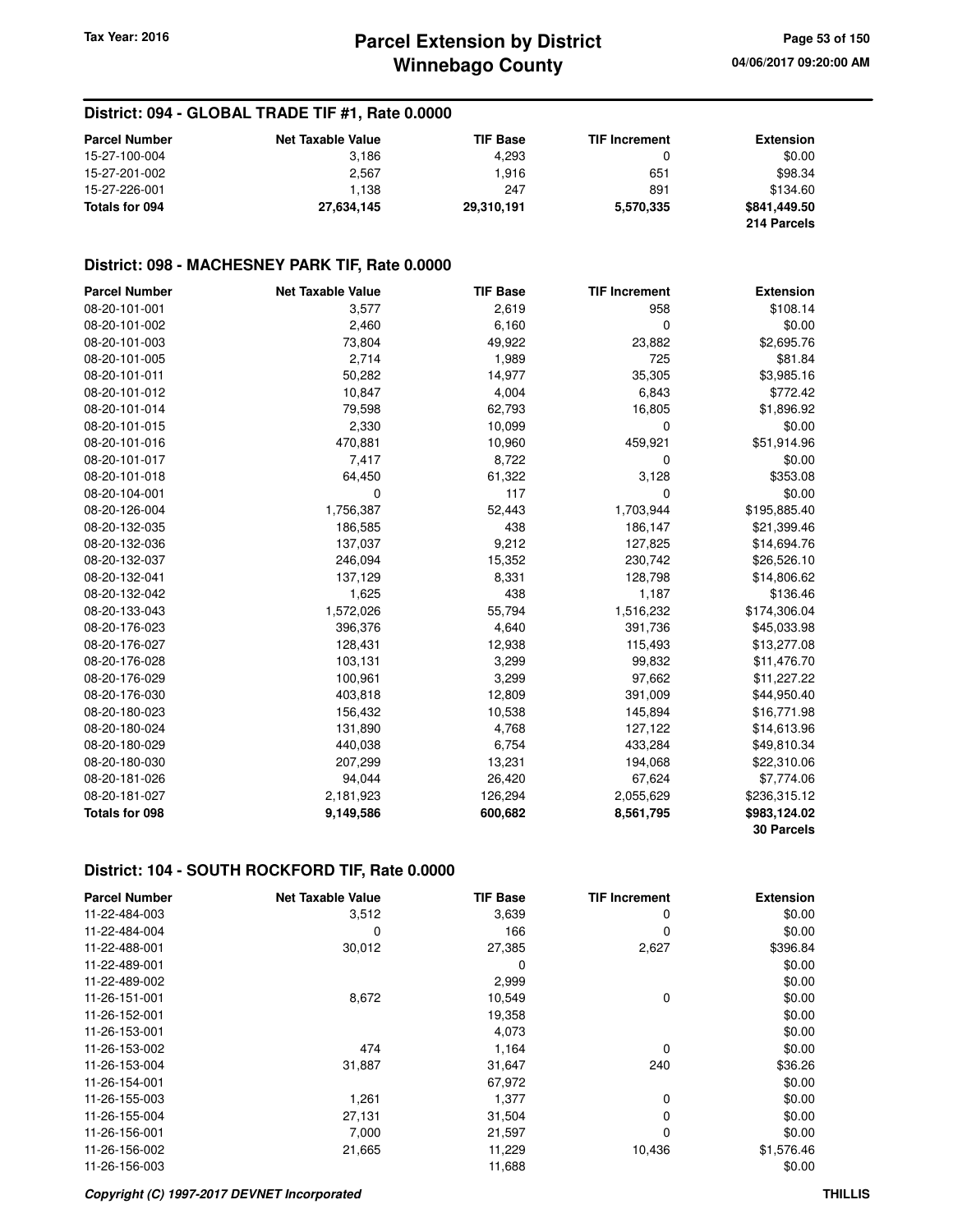#### **District: 094 - GLOBAL TRADE TIF #1, Rate 0.0000**

| <b>Parcel Number</b> | <b>Net Taxable Value</b> | <b>TIF Base</b> | <b>TIF Increment</b> | <b>Extension</b> |
|----------------------|--------------------------|-----------------|----------------------|------------------|
| 15-27-100-004        | 3.186                    | 4.293           |                      | \$0.00           |
| 15-27-201-002        | 2.567                    | 1.916           | 651                  | \$98.34          |
| 15-27-226-001        | 1.138                    | 247             | 891                  | \$134.60         |
| Totals for 094       | 27,634,145               | 29,310,191      | 5.570.335            | \$841,449.50     |
|                      |                          |                 |                      | 214 Parcels      |

#### **District: 098 - MACHESNEY PARK TIF, Rate 0.0000**

| <b>Parcel Number</b>  | <b>Net Taxable Value</b> | <b>TIF Base</b> | <b>TIF Increment</b> | <b>Extension</b>  |
|-----------------------|--------------------------|-----------------|----------------------|-------------------|
| 08-20-101-001         | 3,577                    | 2,619           | 958                  | \$108.14          |
| 08-20-101-002         | 2,460                    | 6,160           | 0                    | \$0.00            |
| 08-20-101-003         | 73,804                   | 49,922          | 23,882               | \$2,695.76        |
| 08-20-101-005         | 2,714                    | 1,989           | 725                  | \$81.84           |
| 08-20-101-011         | 50,282                   | 14,977          | 35,305               | \$3,985.16        |
| 08-20-101-012         | 10,847                   | 4,004           | 6,843                | \$772.42          |
| 08-20-101-014         | 79,598                   | 62,793          | 16,805               | \$1,896.92        |
| 08-20-101-015         | 2,330                    | 10,099          | 0                    | \$0.00            |
| 08-20-101-016         | 470,881                  | 10,960          | 459,921              | \$51,914.96       |
| 08-20-101-017         | 7,417                    | 8,722           | 0                    | \$0.00            |
| 08-20-101-018         | 64,450                   | 61,322          | 3,128                | \$353.08          |
| 08-20-104-001         | 0                        | 117             | $\Omega$             | \$0.00            |
| 08-20-126-004         | 1,756,387                | 52,443          | 1,703,944            | \$195,885.40      |
| 08-20-132-035         | 186,585                  | 438             | 186,147              | \$21,399.46       |
| 08-20-132-036         | 137,037                  | 9,212           | 127,825              | \$14,694.76       |
| 08-20-132-037         | 246,094                  | 15,352          | 230,742              | \$26,526.10       |
| 08-20-132-041         | 137,129                  | 8,331           | 128,798              | \$14,806.62       |
| 08-20-132-042         | 1,625                    | 438             | 1,187                | \$136.46          |
| 08-20-133-043         | 1,572,026                | 55,794          | 1,516,232            | \$174,306.04      |
| 08-20-176-023         | 396,376                  | 4,640           | 391,736              | \$45,033.98       |
| 08-20-176-027         | 128,431                  | 12,938          | 115,493              | \$13,277.08       |
| 08-20-176-028         | 103,131                  | 3,299           | 99,832               | \$11,476.70       |
| 08-20-176-029         | 100,961                  | 3,299           | 97,662               | \$11,227.22       |
| 08-20-176-030         | 403,818                  | 12,809          | 391,009              | \$44,950.40       |
| 08-20-180-023         | 156,432                  | 10,538          | 145,894              | \$16,771.98       |
| 08-20-180-024         | 131,890                  | 4,768           | 127,122              | \$14,613.96       |
| 08-20-180-029         | 440,038                  | 6,754           | 433,284              | \$49,810.34       |
| 08-20-180-030         | 207,299                  | 13,231          | 194,068              | \$22,310.06       |
| 08-20-181-026         | 94,044                   | 26,420          | 67,624               | \$7,774.06        |
| 08-20-181-027         | 2,181,923                | 126,294         | 2,055,629            | \$236,315.12      |
| <b>Totals for 098</b> | 9,149,586                | 600,682         | 8,561,795            | \$983,124.02      |
|                       |                          |                 |                      | <b>30 Parcels</b> |

| <b>Parcel Number</b> | <b>Net Taxable Value</b> | <b>TIF Base</b> | <b>TIF Increment</b> | <b>Extension</b> |
|----------------------|--------------------------|-----------------|----------------------|------------------|
| 11-22-484-003        | 3,512                    | 3,639           | 0                    | \$0.00           |
| 11-22-484-004        | 0                        | 166             | 0                    | \$0.00           |
| 11-22-488-001        | 30,012                   | 27,385          | 2,627                | \$396.84         |
| 11-22-489-001        |                          | 0               |                      | \$0.00           |
| 11-22-489-002        |                          | 2,999           |                      | \$0.00           |
| 11-26-151-001        | 8,672                    | 10,549          | 0                    | \$0.00           |
| 11-26-152-001        |                          | 19,358          |                      | \$0.00           |
| 11-26-153-001        |                          | 4,073           |                      | \$0.00           |
| 11-26-153-002        | 474                      | 1,164           | 0                    | \$0.00           |
| 11-26-153-004        | 31,887                   | 31,647          | 240                  | \$36.26          |
| 11-26-154-001        |                          | 67,972          |                      | \$0.00           |
| 11-26-155-003        | 1,261                    | 1,377           | 0                    | \$0.00           |
| 11-26-155-004        | 27,131                   | 31,504          | 0                    | \$0.00           |
| 11-26-156-001        | 7,000                    | 21,597          | 0                    | \$0.00           |
| 11-26-156-002        | 21,665                   | 11,229          | 10,436               | \$1,576.46       |
| 11-26-156-003        |                          | 11,688          |                      | \$0.00           |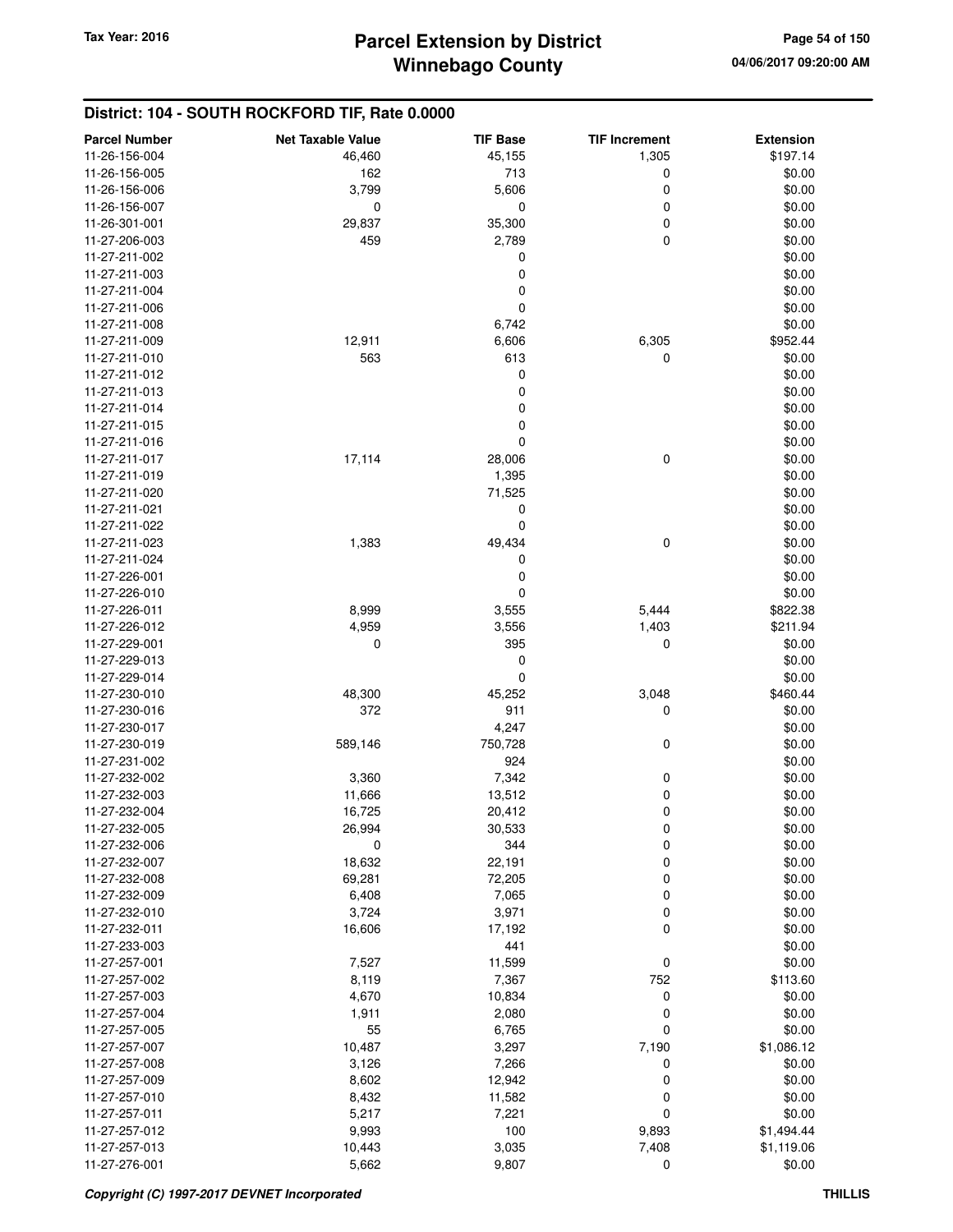| <b>Parcel Number</b> | <b>Net Taxable Value</b> | <b>TIF Base</b>  | <b>TIF Increment</b> | <b>Extension</b>         |
|----------------------|--------------------------|------------------|----------------------|--------------------------|
| 11-26-156-004        | 46,460                   | 45,155           | 1,305                | \$197.14                 |
| 11-26-156-005        | 162                      | 713              | 0                    | \$0.00                   |
| 11-26-156-006        | 3,799                    | 5,606            | 0                    | \$0.00                   |
| 11-26-156-007        | 0                        | 0                | 0                    | \$0.00                   |
| 11-26-301-001        | 29,837                   | 35,300           | 0                    | \$0.00                   |
| 11-27-206-003        | 459                      | 2,789            | 0                    | \$0.00                   |
| 11-27-211-002        |                          | 0                |                      | \$0.00                   |
| 11-27-211-003        |                          | 0                |                      | \$0.00                   |
| 11-27-211-004        |                          | 0                |                      | \$0.00                   |
| 11-27-211-006        |                          | 0                |                      | \$0.00                   |
| 11-27-211-008        |                          | 6,742            |                      | \$0.00                   |
| 11-27-211-009        | 12,911                   | 6,606            | 6,305                | \$952.44                 |
| 11-27-211-010        | 563                      | 613              | 0                    | \$0.00                   |
| 11-27-211-012        |                          | 0                |                      | \$0.00                   |
| 11-27-211-013        |                          | 0                |                      | \$0.00                   |
| 11-27-211-014        |                          | 0                |                      | \$0.00                   |
| 11-27-211-015        |                          | 0                |                      | \$0.00                   |
| 11-27-211-016        |                          | 0                |                      | \$0.00                   |
| 11-27-211-017        | 17,114                   | 28,006           | 0                    | \$0.00                   |
| 11-27-211-019        |                          | 1,395            |                      | \$0.00                   |
| 11-27-211-020        |                          | 71,525           |                      | \$0.00                   |
| 11-27-211-021        |                          | 0                |                      | \$0.00                   |
| 11-27-211-022        |                          | 0                |                      | \$0.00                   |
| 11-27-211-023        | 1,383                    | 49,434           | 0                    | \$0.00                   |
| 11-27-211-024        |                          | 0                |                      | \$0.00                   |
| 11-27-226-001        |                          | 0                |                      | \$0.00                   |
| 11-27-226-010        |                          | 0                |                      | \$0.00                   |
| 11-27-226-011        | 8,999                    | 3,555            | 5,444                | \$822.38                 |
| 11-27-226-012        | 4,959                    | 3,556            | 1,403                | \$211.94                 |
| 11-27-229-001        | 0                        | 395              | 0                    | \$0.00                   |
| 11-27-229-013        |                          | 0                |                      | \$0.00                   |
| 11-27-229-014        |                          | 0                |                      | \$0.00                   |
| 11-27-230-010        | 48,300                   | 45,252           | 3,048                | \$460.44                 |
| 11-27-230-016        | 372                      | 911              | 0                    | \$0.00                   |
| 11-27-230-017        |                          | 4,247            |                      | \$0.00                   |
| 11-27-230-019        | 589,146                  | 750,728          | 0                    | \$0.00                   |
| 11-27-231-002        |                          | 924              |                      | \$0.00                   |
| 11-27-232-002        | 3,360                    | 7,342            | 0                    | \$0.00                   |
| 11-27-232-003        | 11,666                   | 13,512           | 0                    | \$0.00                   |
| 11-27-232-004        | 16,725                   | 20,412           | 0                    | \$0.00                   |
| 11-27-232-005        | 26,994                   | 30,533           | 0                    | \$0.00                   |
| 11-27-232-006        | 0                        | 344              | 0                    | \$0.00                   |
| 11-27-232-007        | 18,632                   | 22,191           | 0                    | \$0.00                   |
| 11-27-232-008        | 69,281                   | 72,205           | 0                    | \$0.00                   |
| 11-27-232-009        | 6,408                    | 7,065            | 0                    | \$0.00                   |
| 11-27-232-010        | 3,724                    | 3,971            | 0                    | \$0.00                   |
| 11-27-232-011        | 16,606                   | 17,192           | 0                    | \$0.00                   |
| 11-27-233-003        |                          | 441              |                      | \$0.00                   |
| 11-27-257-001        | 7,527                    | 11,599           | 0                    | \$0.00                   |
| 11-27-257-002        | 8,119                    | 7,367            | 752                  | \$113.60                 |
| 11-27-257-003        | 4,670                    | 10,834           | 0                    | \$0.00                   |
| 11-27-257-004        | 1,911                    | 2,080            | 0                    | \$0.00                   |
| 11-27-257-005        | 55                       | 6,765            | 0                    | \$0.00                   |
| 11-27-257-007        | 10,487                   | 3,297            | 7,190                | \$1,086.12               |
| 11-27-257-008        | 3,126                    |                  | 0                    | \$0.00                   |
| 11-27-257-009        |                          | 7,266            | 0                    |                          |
| 11-27-257-010        | 8,602                    | 12,942<br>11,582 | 0                    | \$0.00                   |
| 11-27-257-011        | 8,432<br>5,217           | 7,221            | 0                    | \$0.00<br>\$0.00         |
| 11-27-257-012        |                          |                  |                      |                          |
| 11-27-257-013        | 9,993                    | 100              | 9,893                | \$1,494.44<br>\$1,119.06 |
| 11-27-276-001        | 10,443<br>5,662          | 3,035<br>9,807   | 7,408<br>0           | \$0.00                   |
|                      |                          |                  |                      |                          |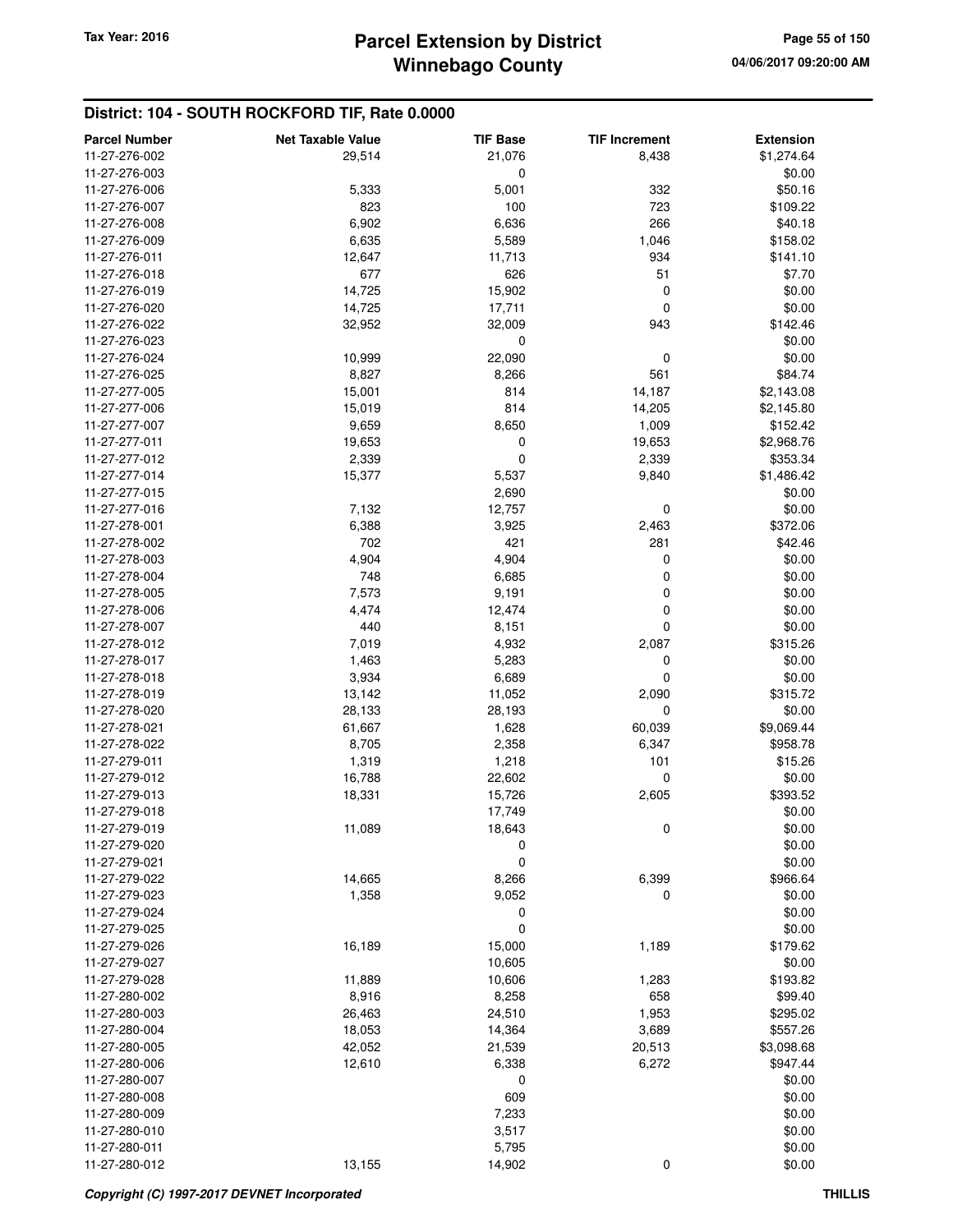| <b>Parcel Number</b> | <b>Net Taxable Value</b> | <b>TIF Base</b> | <b>TIF Increment</b> | <b>Extension</b> |
|----------------------|--------------------------|-----------------|----------------------|------------------|
| 11-27-276-002        | 29,514                   | 21,076          | 8,438                | \$1,274.64       |
| 11-27-276-003        |                          | 0               |                      | \$0.00           |
| 11-27-276-006        | 5,333                    | 5,001           | 332                  | \$50.16          |
| 11-27-276-007        | 823                      | 100             | 723                  | \$109.22         |
| 11-27-276-008        | 6,902                    | 6,636           | 266                  | \$40.18          |
| 11-27-276-009        | 6,635                    | 5,589           | 1,046                | \$158.02         |
| 11-27-276-011        | 12,647                   | 11,713          | 934                  | \$141.10         |
| 11-27-276-018        | 677                      | 626             | 51                   | \$7.70           |
| 11-27-276-019        | 14,725                   | 15,902          | 0                    | \$0.00           |
| 11-27-276-020        | 14,725                   | 17,711          | 0                    | \$0.00           |
| 11-27-276-022        | 32,952                   | 32,009          | 943                  | \$142.46         |
| 11-27-276-023        |                          | $\mathbf 0$     |                      | \$0.00           |
| 11-27-276-024        | 10,999                   | 22,090          | 0                    | \$0.00           |
| 11-27-276-025        | 8,827                    | 8,266           | 561                  | \$84.74          |
| 11-27-277-005        | 15,001                   | 814             | 14,187               | \$2,143.08       |
| 11-27-277-006        | 15,019                   | 814             | 14,205               | \$2,145.80       |
| 11-27-277-007        | 9,659                    | 8,650           | 1,009                | \$152.42         |
| 11-27-277-011        | 19,653                   | 0               | 19,653               | \$2,968.76       |
| 11-27-277-012        | 2,339                    | 0               | 2,339                | \$353.34         |
| 11-27-277-014        | 15,377                   | 5,537           | 9,840                | \$1,486.42       |
| 11-27-277-015        |                          | 2,690           |                      |                  |
|                      |                          |                 |                      | \$0.00           |
| 11-27-277-016        | 7,132                    | 12,757          | 0                    | \$0.00           |
| 11-27-278-001        | 6,388                    | 3,925           | 2,463                | \$372.06         |
| 11-27-278-002        | 702                      | 421             | 281                  | \$42.46          |
| 11-27-278-003        | 4,904                    | 4,904           | 0                    | \$0.00           |
| 11-27-278-004        | 748                      | 6,685           | 0                    | \$0.00           |
| 11-27-278-005        | 7,573                    | 9,191           | 0                    | \$0.00           |
| 11-27-278-006        | 4,474                    | 12,474          | 0                    | \$0.00           |
| 11-27-278-007        | 440                      | 8,151           | 0                    | \$0.00           |
| 11-27-278-012        | 7,019                    | 4,932           | 2,087                | \$315.26         |
| 11-27-278-017        | 1,463                    | 5,283           | 0                    | \$0.00           |
| 11-27-278-018        | 3,934                    | 6,689           | 0                    | \$0.00           |
| 11-27-278-019        | 13,142                   | 11,052          | 2,090                | \$315.72         |
| 11-27-278-020        | 28,133                   | 28,193          | 0                    | \$0.00           |
| 11-27-278-021        | 61,667                   | 1,628           | 60,039               | \$9,069.44       |
| 11-27-278-022        | 8,705                    | 2,358           | 6,347                | \$958.78         |
| 11-27-279-011        | 1,319                    | 1,218           | 101                  | \$15.26          |
| 11-27-279-012        | 16,788                   | 22,602          | 0                    | \$0.00           |
| 11-27-279-013        | 18,331                   | 15,726          | 2,605                | \$393.52         |
| 11-27-279-018        |                          | 17,749          |                      | \$0.00           |
| 11-27-279-019        | 11,089                   | 18,643          | 0                    | \$0.00           |
| 11-27-279-020        |                          | 0               |                      | \$0.00           |
| 11-27-279-021        |                          | 0               |                      | \$0.00           |
| 11-27-279-022        | 14,665                   | 8,266           | 6,399                | \$966.64         |
| 11-27-279-023        | 1,358                    | 9,052           | 0                    | \$0.00           |
| 11-27-279-024        |                          | 0               |                      | \$0.00           |
| 11-27-279-025        |                          | $\mathbf 0$     |                      | \$0.00           |
| 11-27-279-026        | 16,189                   | 15,000          | 1,189                | \$179.62         |
| 11-27-279-027        |                          | 10,605          |                      | \$0.00           |
| 11-27-279-028        | 11,889                   | 10,606          | 1,283                | \$193.82         |
| 11-27-280-002        | 8,916                    | 8,258           | 658                  | \$99.40          |
| 11-27-280-003        | 26,463                   | 24,510          | 1,953                | \$295.02         |
| 11-27-280-004        | 18,053                   | 14,364          | 3,689                | \$557.26         |
| 11-27-280-005        | 42,052                   | 21,539          | 20,513               | \$3,098.68       |
| 11-27-280-006        | 12,610                   | 6,338           | 6,272                | \$947.44         |
| 11-27-280-007        |                          | 0               |                      | \$0.00           |
| 11-27-280-008        |                          | 609             |                      | \$0.00           |
| 11-27-280-009        |                          | 7,233           |                      | \$0.00           |
| 11-27-280-010        |                          | 3,517           |                      | \$0.00           |
| 11-27-280-011        |                          | 5,795           |                      | \$0.00           |
| 11-27-280-012        | 13,155                   | 14,902          | 0                    | \$0.00           |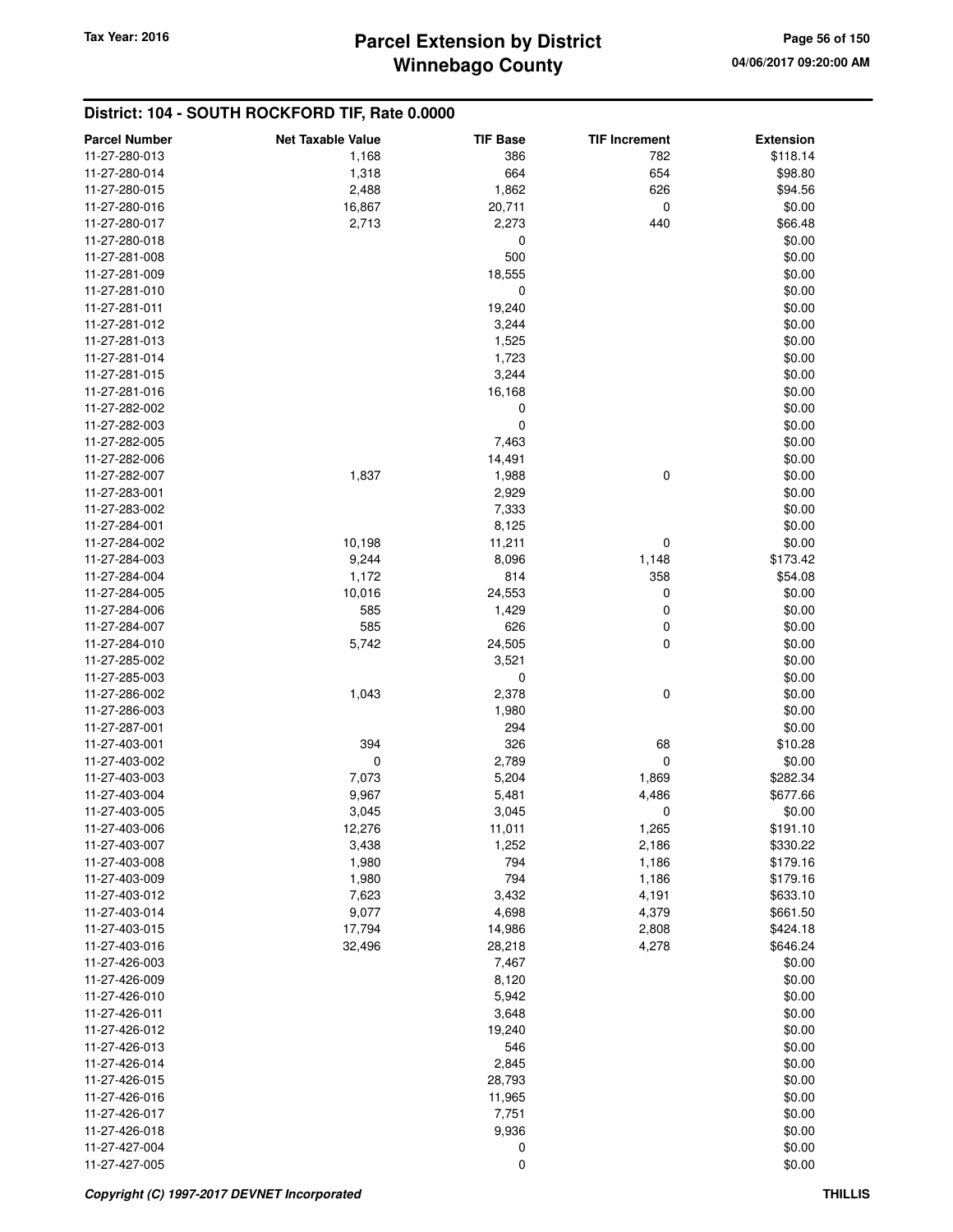| <b>Parcel Number</b> | <b>Net Taxable Value</b> | <b>TIF Base</b> | <b>TIF Increment</b> | <b>Extension</b> |
|----------------------|--------------------------|-----------------|----------------------|------------------|
| 11-27-280-013        | 1,168                    | 386             | 782                  | \$118.14         |
| 11-27-280-014        | 1,318                    | 664             | 654                  | \$98.80          |
| 11-27-280-015        | 2,488                    | 1,862           | 626                  | \$94.56          |
| 11-27-280-016        | 16,867                   | 20,711          | 0                    | \$0.00           |
| 11-27-280-017        | 2,713                    | 2,273           | 440                  | \$66.48          |
| 11-27-280-018        |                          | 0               |                      | \$0.00           |
| 11-27-281-008        |                          | 500             |                      | \$0.00           |
| 11-27-281-009        |                          | 18,555          |                      | \$0.00           |
| 11-27-281-010        |                          | 0               |                      | \$0.00           |
| 11-27-281-011        |                          | 19,240          |                      | \$0.00           |
| 11-27-281-012        |                          | 3,244           |                      | \$0.00           |
| 11-27-281-013        |                          | 1,525           |                      | \$0.00           |
| 11-27-281-014        |                          | 1,723           |                      | \$0.00           |
| 11-27-281-015        |                          | 3,244           |                      | \$0.00           |
| 11-27-281-016        |                          | 16,168          |                      | \$0.00           |
| 11-27-282-002        |                          | 0               |                      | \$0.00           |
| 11-27-282-003        |                          | 0               |                      | \$0.00           |
| 11-27-282-005        |                          | 7,463           |                      | \$0.00           |
| 11-27-282-006        |                          | 14,491          |                      | \$0.00           |
| 11-27-282-007        | 1,837                    | 1,988           | 0                    | \$0.00           |
| 11-27-283-001        |                          | 2,929           |                      | \$0.00           |
| 11-27-283-002        |                          | 7,333           |                      | \$0.00           |
| 11-27-284-001        |                          | 8,125           |                      | \$0.00           |
| 11-27-284-002        | 10,198                   | 11,211          | 0                    | \$0.00           |
| 11-27-284-003        | 9,244                    | 8,096           | 1,148                | \$173.42         |
| 11-27-284-004        | 1,172                    | 814             | 358                  | \$54.08          |
| 11-27-284-005        | 10,016                   | 24,553          | 0                    | \$0.00           |
| 11-27-284-006        | 585                      | 1,429           | 0                    | \$0.00           |
| 11-27-284-007        | 585                      | 626             | 0                    | \$0.00           |
| 11-27-284-010        | 5,742                    | 24,505          | 0                    | \$0.00           |
| 11-27-285-002        |                          | 3,521           |                      | \$0.00           |
| 11-27-285-003        |                          | $\mathbf 0$     |                      | \$0.00           |
| 11-27-286-002        | 1,043                    | 2,378           | 0                    | \$0.00           |
| 11-27-286-003        |                          | 1,980           |                      | \$0.00           |
| 11-27-287-001        |                          | 294             |                      | \$0.00           |
| 11-27-403-001        | 394                      | 326             | 68                   | \$10.28          |
| 11-27-403-002        | 0                        | 2,789           | $\mathbf 0$          | \$0.00           |
| 11-27-403-003        | 7,073                    | 5,204           | 1,869                | \$282.34         |
| 11-27-403-004        | 9,967                    | 5,481           | 4,486                | \$677.66         |
| 11-27-403-005        | 3,045                    | 3,045           | 0                    | \$0.00           |
| 11-27-403-006        | 12,276                   | 11,011          | 1,265                | \$191.10         |
| 11-27-403-007        | 3,438                    | 1,252           | 2,186                | \$330.22         |
| 11-27-403-008        | 1,980                    | 794             | 1,186                | \$179.16         |
| 11-27-403-009        | 1,980                    | 794             | 1,186                | \$179.16         |
| 11-27-403-012        | 7,623                    | 3,432           | 4,191                | \$633.10         |
| 11-27-403-014        | 9,077                    | 4,698           | 4,379                | \$661.50         |
| 11-27-403-015        | 17,794                   | 14,986          | 2,808                | \$424.18         |
| 11-27-403-016        | 32,496                   | 28,218          | 4,278                | \$646.24         |
| 11-27-426-003        |                          | 7,467           |                      | \$0.00           |
| 11-27-426-009        |                          | 8,120           |                      | \$0.00           |
| 11-27-426-010        |                          | 5,942           |                      | \$0.00           |
| 11-27-426-011        |                          | 3,648           |                      | \$0.00           |
| 11-27-426-012        |                          | 19,240          |                      | \$0.00           |
| 11-27-426-013        |                          | 546             |                      | \$0.00           |
| 11-27-426-014        |                          | 2,845           |                      | \$0.00           |
| 11-27-426-015        |                          | 28,793          |                      | \$0.00           |
| 11-27-426-016        |                          | 11,965          |                      | \$0.00           |
| 11-27-426-017        |                          | 7,751           |                      | \$0.00           |
| 11-27-426-018        |                          | 9,936           |                      | \$0.00           |
| 11-27-427-004        |                          | 0               |                      | \$0.00           |
| 11-27-427-005        |                          | 0               |                      | \$0.00           |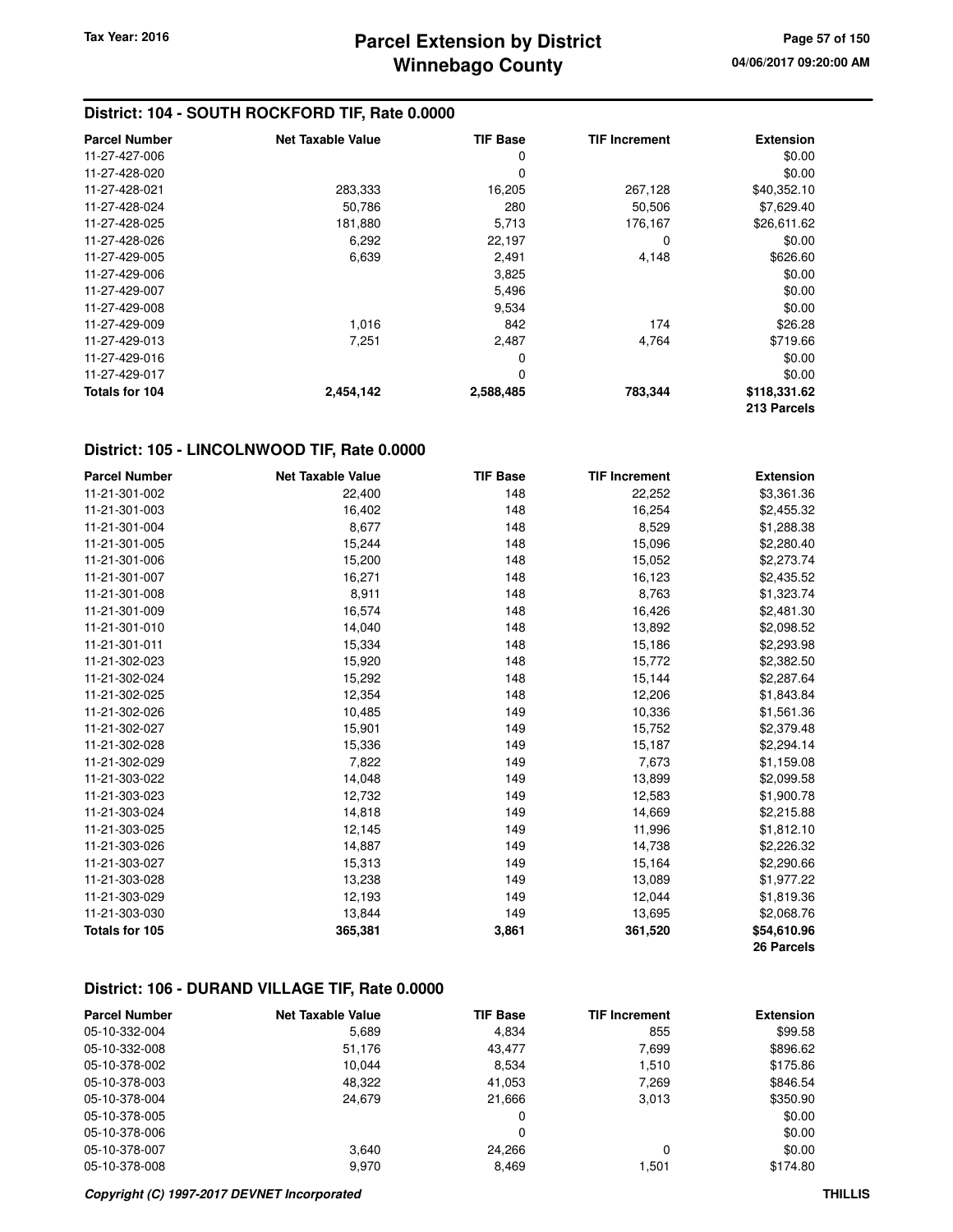| <b>Parcel Number</b> | <b>Net Taxable Value</b> | <b>TIF Base</b> | <b>TIF Increment</b> | <b>Extension</b> |
|----------------------|--------------------------|-----------------|----------------------|------------------|
| 11-27-427-006        |                          | 0               |                      | \$0.00           |
| 11-27-428-020        |                          | 0               |                      | \$0.00           |
| 11-27-428-021        | 283,333                  | 16,205          | 267,128              | \$40,352.10      |
| 11-27-428-024        | 50,786                   | 280             | 50,506               | \$7,629.40       |
| 11-27-428-025        | 181,880                  | 5,713           | 176,167              | \$26,611.62      |
| 11-27-428-026        | 6,292                    | 22,197          | 0                    | \$0.00           |
| 11-27-429-005        | 6,639                    | 2,491           | 4,148                | \$626.60         |
| 11-27-429-006        |                          | 3,825           |                      | \$0.00           |
| 11-27-429-007        |                          | 5,496           |                      | \$0.00           |
| 11-27-429-008        |                          | 9,534           |                      | \$0.00           |
| 11-27-429-009        | 1,016                    | 842             | 174                  | \$26.28          |
| 11-27-429-013        | 7,251                    | 2,487           | 4,764                | \$719.66         |
| 11-27-429-016        |                          | 0               |                      | \$0.00           |
| 11-27-429-017        |                          | 0               |                      | \$0.00           |
| Totals for 104       | 2,454,142                | 2,588,485       | 783,344              | \$118,331.62     |
|                      |                          |                 |                      | 213 Parcels      |

### **District: 105 - LINCOLNWOOD TIF, Rate 0.0000**

| <b>Parcel Number</b> | <b>Net Taxable Value</b> | <b>TIF Base</b> | <b>TIF Increment</b> | <b>Extension</b> |
|----------------------|--------------------------|-----------------|----------------------|------------------|
| 11-21-301-002        | 22,400                   | 148             | 22,252               | \$3,361.36       |
| 11-21-301-003        | 16,402                   | 148             | 16,254               | \$2,455.32       |
| 11-21-301-004        | 8,677                    | 148             | 8,529                | \$1,288.38       |
| 11-21-301-005        | 15,244                   | 148             | 15,096               | \$2,280.40       |
| 11-21-301-006        | 15,200                   | 148             | 15,052               | \$2,273.74       |
| 11-21-301-007        | 16,271                   | 148             | 16,123               | \$2,435.52       |
| 11-21-301-008        | 8,911                    | 148             | 8,763                | \$1,323.74       |
| 11-21-301-009        | 16,574                   | 148             | 16,426               | \$2,481.30       |
| 11-21-301-010        | 14,040                   | 148             | 13,892               | \$2,098.52       |
| 11-21-301-011        | 15,334                   | 148             | 15,186               | \$2,293.98       |
| 11-21-302-023        | 15,920                   | 148             | 15,772               | \$2,382.50       |
| 11-21-302-024        | 15,292                   | 148             | 15,144               | \$2,287.64       |
| 11-21-302-025        | 12,354                   | 148             | 12,206               | \$1,843.84       |
| 11-21-302-026        | 10,485                   | 149             | 10,336               | \$1,561.36       |
| 11-21-302-027        | 15,901                   | 149             | 15,752               | \$2,379.48       |
| 11-21-302-028        | 15,336                   | 149             | 15,187               | \$2,294.14       |
| 11-21-302-029        | 7,822                    | 149             | 7,673                | \$1,159.08       |
| 11-21-303-022        | 14,048                   | 149             | 13,899               | \$2,099.58       |
| 11-21-303-023        | 12,732                   | 149             | 12,583               | \$1,900.78       |
| 11-21-303-024        | 14,818                   | 149             | 14,669               | \$2,215.88       |
| 11-21-303-025        | 12,145                   | 149             | 11,996               | \$1,812.10       |
| 11-21-303-026        | 14,887                   | 149             | 14,738               | \$2,226.32       |
| 11-21-303-027        | 15,313                   | 149             | 15,164               | \$2,290.66       |
| 11-21-303-028        | 13,238                   | 149             | 13,089               | \$1,977.22       |
| 11-21-303-029        | 12,193                   | 149             | 12,044               | \$1,819.36       |
| 11-21-303-030        | 13,844                   | 149             | 13,695               | \$2,068.76       |
| Totals for 105       | 365,381                  | 3,861           | 361,520              | \$54,610.96      |
|                      |                          |                 |                      | 26 Parcels       |

# **District: 106 - DURAND VILLAGE TIF, Rate 0.0000**

| <b>Parcel Number</b> | <b>Net Taxable Value</b> | <b>TIF Base</b> | <b>TIF Increment</b> | <b>Extension</b> |
|----------------------|--------------------------|-----------------|----------------------|------------------|
| 05-10-332-004        | 5,689                    | 4,834           | 855                  | \$99.58          |
| 05-10-332-008        | 51,176                   | 43,477          | 7,699                | \$896.62         |
| 05-10-378-002        | 10.044                   | 8,534           | 1,510                | \$175.86         |
| 05-10-378-003        | 48,322                   | 41,053          | 7,269                | \$846.54         |
| 05-10-378-004        | 24.679                   | 21.666          | 3,013                | \$350.90         |
| 05-10-378-005        |                          | 0               |                      | \$0.00           |
| 05-10-378-006        |                          | 0               |                      | \$0.00           |
| 05-10-378-007        | 3.640                    | 24.266          | 0                    | \$0.00           |
| 05-10-378-008        | 9.970                    | 8.469           | 1.501                | \$174.80         |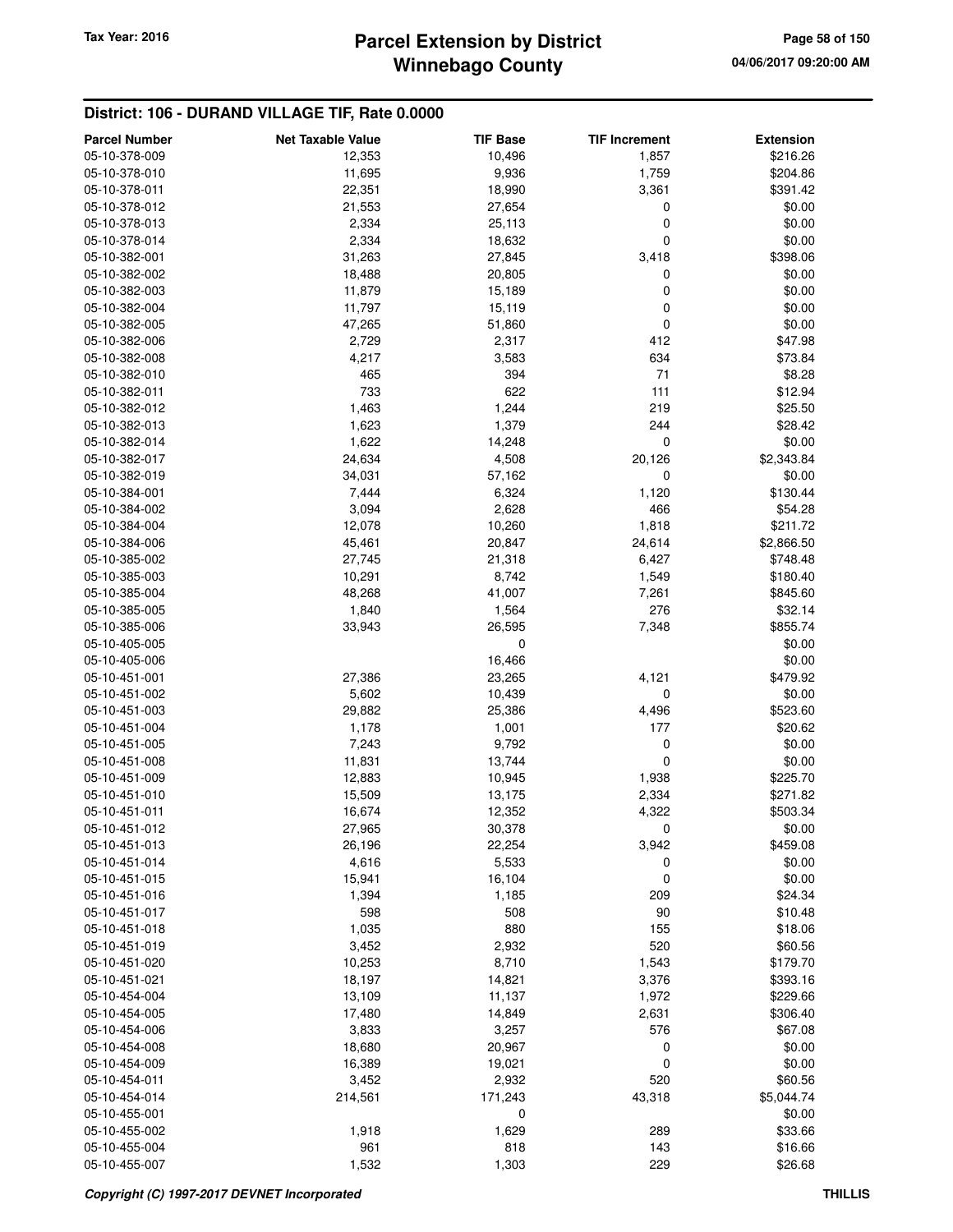# **Winnebago County Parcel Extension by District Tax Year: 2016 Page 58 of 150**

# **District: 106 - DURAND VILLAGE TIF, Rate 0.0000**

| 05-10-378-009<br>12,353<br>10,496<br>1,857<br>05-10-378-010<br>11,695<br>9,936<br>1,759<br>22,351<br>18,990<br>05-10-378-011<br>3,361 | \$216.26<br>\$204.86<br>\$391.42 |
|---------------------------------------------------------------------------------------------------------------------------------------|----------------------------------|
|                                                                                                                                       |                                  |
|                                                                                                                                       |                                  |
|                                                                                                                                       |                                  |
| 21,553<br>05-10-378-012<br>27,654<br>0                                                                                                | \$0.00                           |
| 2,334<br>0<br>05-10-378-013<br>25,113                                                                                                 | \$0.00                           |
| 05-10-378-014<br>2,334<br>18,632<br>0                                                                                                 | \$0.00                           |
| 31,263<br>27,845<br>05-10-382-001<br>3,418                                                                                            | \$398.06                         |
| 05-10-382-002<br>18,488<br>20,805<br>0                                                                                                | \$0.00                           |
| 0<br>05-10-382-003<br>11,879<br>15,189                                                                                                | \$0.00                           |
| 11,797<br>0<br>05-10-382-004<br>15,119                                                                                                | \$0.00                           |
| 0<br>05-10-382-005<br>47,265<br>51,860                                                                                                | \$0.00                           |
| 2,729<br>2,317<br>412<br>05-10-382-006                                                                                                | \$47.98                          |
| 4,217<br>634<br>05-10-382-008<br>3,583                                                                                                | \$73.84                          |
| 71<br>465<br>394<br>05-10-382-010                                                                                                     | \$8.28                           |
| 733<br>622<br>111<br>05-10-382-011                                                                                                    | \$12.94                          |
| 1,463<br>1,244<br>219<br>05-10-382-012                                                                                                | \$25.50                          |
| 1,623<br>1,379<br>244<br>05-10-382-013                                                                                                | \$28.42                          |
| 0<br>05-10-382-014<br>1,622<br>14,248                                                                                                 | \$0.00                           |
| 24,634<br>05-10-382-017<br>4,508<br>20,126                                                                                            | \$2,343.84                       |
| 05-10-382-019<br>34,031<br>57,162<br>0                                                                                                | \$0.00                           |
| 05-10-384-001<br>7,444<br>6,324<br>1,120                                                                                              | \$130.44                         |
| 466<br>3,094<br>2,628<br>05-10-384-002                                                                                                | \$54.28                          |
| 12,078<br>10,260<br>1,818<br>05-10-384-004                                                                                            | \$211.72                         |
| 45,461<br>24,614<br>05-10-384-006<br>20,847                                                                                           | \$2,866.50                       |
| 05-10-385-002<br>27,745<br>21,318<br>6,427                                                                                            | \$748.48                         |
| 05-10-385-003<br>10,291<br>8,742<br>1,549                                                                                             | \$180.40                         |
| 48,268<br>41,007<br>05-10-385-004<br>7,261                                                                                            | \$845.60                         |
| 276<br>05-10-385-005<br>1,840<br>1,564                                                                                                | \$32.14                          |
| 26,595<br>05-10-385-006<br>33,943<br>7,348                                                                                            | \$855.74                         |
| 05-10-405-005<br>0                                                                                                                    | \$0.00                           |
| 16,466<br>05-10-405-006                                                                                                               | \$0.00                           |
| 27,386<br>05-10-451-001<br>23,265<br>4,121                                                                                            | \$479.92                         |
| 5,602<br>0<br>05-10-451-002<br>10,439                                                                                                 | \$0.00                           |
| 29,882<br>25,386<br>4,496<br>05-10-451-003                                                                                            | \$523.60                         |
| 177<br>05-10-451-004<br>1,178<br>1,001                                                                                                | \$20.62                          |
| 7,243<br>9,792<br>0<br>05-10-451-005                                                                                                  | \$0.00                           |
| $\mathbf 0$<br>13,744<br>05-10-451-008<br>11,831                                                                                      | \$0.00                           |
| 05-10-451-009<br>12,883<br>10,945<br>1,938                                                                                            | \$225.70                         |
| 15,509<br>05-10-451-010<br>13,175<br>2,334                                                                                            | \$271.82                         |
| 05-10-451-011<br>16,674<br>12,352<br>4,322                                                                                            | \$503.34                         |
| 05-10-451-012<br>27,965<br>30,378<br>$\mathbf 0$                                                                                      | \$0.00                           |
| 05-10-451-013<br>26,196<br>22,254<br>3,942                                                                                            | \$459.08                         |
| 05-10-451-014<br>4,616<br>5,533<br>0                                                                                                  | \$0.00                           |
| 0<br>05-10-451-015<br>15,941<br>16,104                                                                                                | \$0.00                           |
| 05-10-451-016<br>209<br>1,394<br>1,185                                                                                                | \$24.34                          |
| 508<br>90<br>05-10-451-017<br>598                                                                                                     | \$10.48                          |
| 1,035<br>880<br>155<br>05-10-451-018                                                                                                  | \$18.06                          |
| 3,452<br>2,932<br>520<br>05-10-451-019                                                                                                | \$60.56                          |
| 10,253<br>8,710<br>05-10-451-020<br>1,543                                                                                             | \$179.70                         |
| 05-10-451-021<br>18,197<br>14,821<br>3,376                                                                                            | \$393.16                         |
| 05-10-454-004<br>13,109<br>11,137<br>1,972                                                                                            | \$229.66                         |
| 05-10-454-005<br>17,480<br>14,849<br>2,631                                                                                            | \$306.40                         |
| 576<br>05-10-454-006<br>3,833<br>3,257                                                                                                | \$67.08                          |
| 05-10-454-008<br>18,680<br>20,967<br>0<br>05-10-454-009                                                                               | \$0.00<br>\$0.00                 |
| 16,389<br>0<br>19,021<br>05-10-454-011<br>520                                                                                         |                                  |
| 3,452<br>2,932<br>05-10-454-014<br>171,243<br>214,561<br>43,318                                                                       | \$60.56<br>\$5,044.74            |
| 0<br>05-10-455-001                                                                                                                    | \$0.00                           |
| 05-10-455-002<br>1,918<br>1,629<br>289                                                                                                | \$33.66                          |
| 05-10-455-004<br>961<br>818<br>143                                                                                                    | \$16.66                          |
| 1,532<br>1,303<br>229<br>05-10-455-007                                                                                                | \$26.68                          |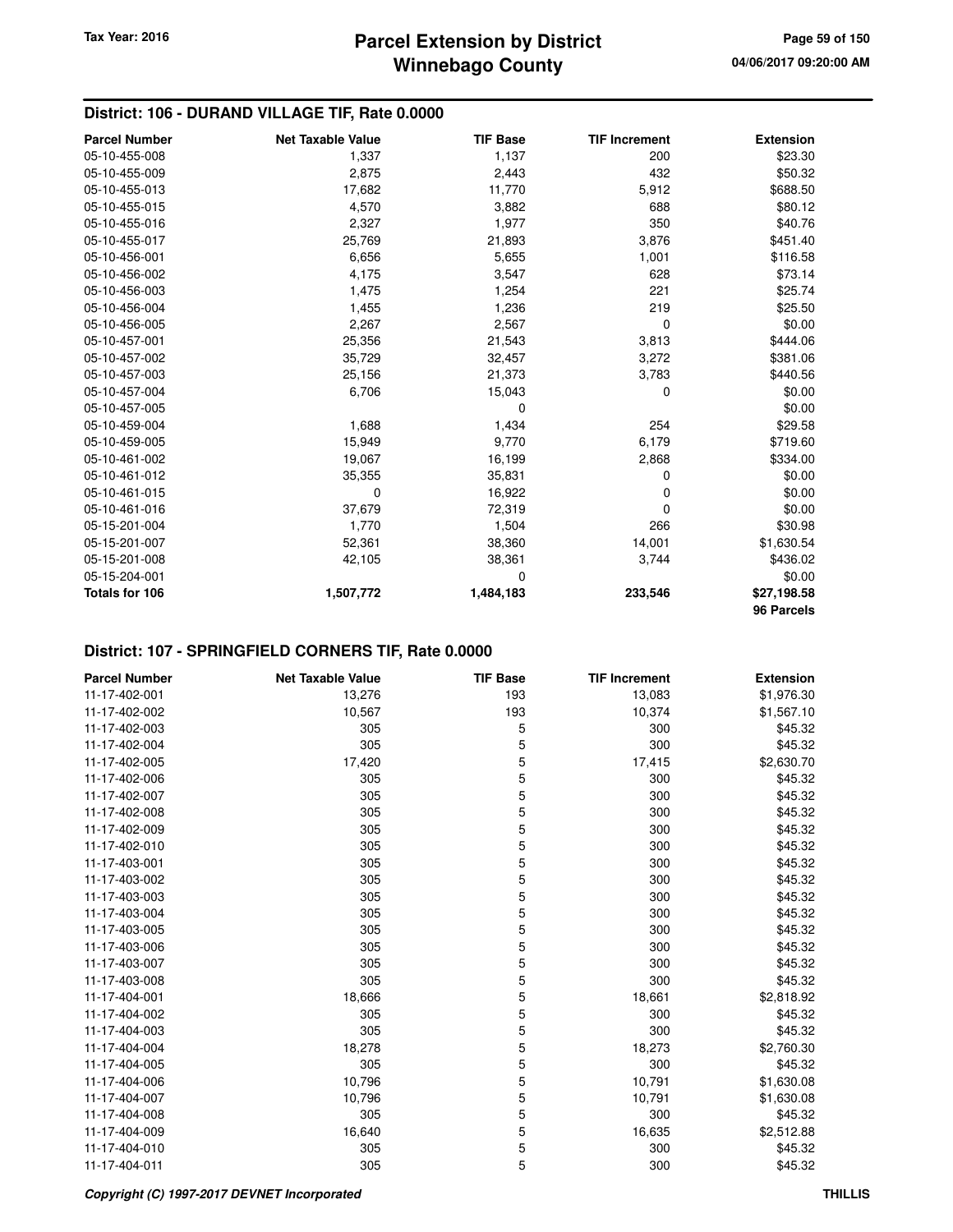# **District: 106 - DURAND VILLAGE TIF, Rate 0.0000**

| <b>Parcel Number</b> | <b>Net Taxable Value</b> | <b>TIF Base</b> | <b>TIF Increment</b> | <b>Extension</b> |
|----------------------|--------------------------|-----------------|----------------------|------------------|
| 05-10-455-008        | 1,337                    | 1,137           | 200                  | \$23.30          |
| 05-10-455-009        | 2,875                    | 2,443           | 432                  | \$50.32          |
| 05-10-455-013        | 17,682                   | 11,770          | 5,912                | \$688.50         |
| 05-10-455-015        | 4,570                    | 3,882           | 688                  | \$80.12          |
| 05-10-455-016        | 2,327                    | 1,977           | 350                  | \$40.76          |
| 05-10-455-017        | 25,769                   | 21,893          | 3,876                | \$451.40         |
| 05-10-456-001        | 6,656                    | 5,655           | 1,001                | \$116.58         |
| 05-10-456-002        | 4,175                    | 3,547           | 628                  | \$73.14          |
| 05-10-456-003        | 1,475                    | 1,254           | 221                  | \$25.74          |
| 05-10-456-004        | 1,455                    | 1,236           | 219                  | \$25.50          |
| 05-10-456-005        | 2,267                    | 2,567           | 0                    | \$0.00           |
| 05-10-457-001        | 25,356                   | 21,543          | 3,813                | \$444.06         |
| 05-10-457-002        | 35,729                   | 32,457          | 3,272                | \$381.06         |
| 05-10-457-003        | 25,156                   | 21,373          | 3,783                | \$440.56         |
| 05-10-457-004        | 6,706                    | 15,043          | 0                    | \$0.00           |
| 05-10-457-005        |                          | 0               |                      | \$0.00           |
| 05-10-459-004        | 1,688                    | 1,434           | 254                  | \$29.58          |
| 05-10-459-005        | 15,949                   | 9,770           | 6,179                | \$719.60         |
| 05-10-461-002        | 19,067                   | 16,199          | 2,868                | \$334.00         |
| 05-10-461-012        | 35,355                   | 35,831          | 0                    | \$0.00           |
| 05-10-461-015        | 0                        | 16,922          | 0                    | \$0.00           |
| 05-10-461-016        | 37,679                   | 72,319          | 0                    | \$0.00           |
| 05-15-201-004        | 1,770                    | 1,504           | 266                  | \$30.98          |
| 05-15-201-007        | 52,361                   | 38,360          | 14,001               | \$1,630.54       |
| 05-15-201-008        | 42,105                   | 38,361          | 3,744                | \$436.02         |
| 05-15-204-001        |                          | 0               |                      | \$0.00           |
| Totals for 106       | 1,507,772                | 1,484,183       | 233,546              | \$27,198.58      |
|                      |                          |                 |                      | 96 Parcels       |

# **District: 107 - SPRINGFIELD CORNERS TIF, Rate 0.0000**

| <b>Parcel Number</b> | <b>Net Taxable Value</b> | <b>TIF Base</b> | <b>TIF Increment</b> | <b>Extension</b> |
|----------------------|--------------------------|-----------------|----------------------|------------------|
| 11-17-402-001        | 13,276                   | 193             | 13,083               | \$1,976.30       |
| 11-17-402-002        | 10,567                   | 193             | 10,374               | \$1,567.10       |
| 11-17-402-003        | 305                      | 5               | 300                  | \$45.32          |
| 11-17-402-004        | 305                      | 5               | 300                  | \$45.32          |
| 11-17-402-005        | 17,420                   | 5               | 17,415               | \$2,630.70       |
| 11-17-402-006        | 305                      | 5               | 300                  | \$45.32          |
| 11-17-402-007        | 305                      | 5               | 300                  | \$45.32          |
| 11-17-402-008        | 305                      | 5               | 300                  | \$45.32          |
| 11-17-402-009        | 305                      | 5               | 300                  | \$45.32          |
| 11-17-402-010        | 305                      | 5               | 300                  | \$45.32          |
| 11-17-403-001        | 305                      | 5               | 300                  | \$45.32          |
| 11-17-403-002        | 305                      | 5               | 300                  | \$45.32          |
| 11-17-403-003        | 305                      | 5               | 300                  | \$45.32          |
| 11-17-403-004        | 305                      | 5               | 300                  | \$45.32          |
| 11-17-403-005        | 305                      | 5               | 300                  | \$45.32          |
| 11-17-403-006        | 305                      | 5               | 300                  | \$45.32          |
| 11-17-403-007        | 305                      | 5               | 300                  | \$45.32          |
| 11-17-403-008        | 305                      | 5               | 300                  | \$45.32          |
| 11-17-404-001        | 18,666                   | 5               | 18,661               | \$2,818.92       |
| 11-17-404-002        | 305                      | 5               | 300                  | \$45.32          |
| 11-17-404-003        | 305                      | 5               | 300                  | \$45.32          |
| 11-17-404-004        | 18,278                   | 5               | 18,273               | \$2,760.30       |
| 11-17-404-005        | 305                      | 5               | 300                  | \$45.32          |
| 11-17-404-006        | 10,796                   | 5               | 10,791               | \$1,630.08       |
| 11-17-404-007        | 10,796                   | 5               | 10,791               | \$1,630.08       |
| 11-17-404-008        | 305                      | 5               | 300                  | \$45.32          |
| 11-17-404-009        | 16,640                   | 5               | 16,635               | \$2,512.88       |
| 11-17-404-010        | 305                      | 5               | 300                  | \$45.32          |
| 11-17-404-011        | 305                      | 5               | 300                  | \$45.32          |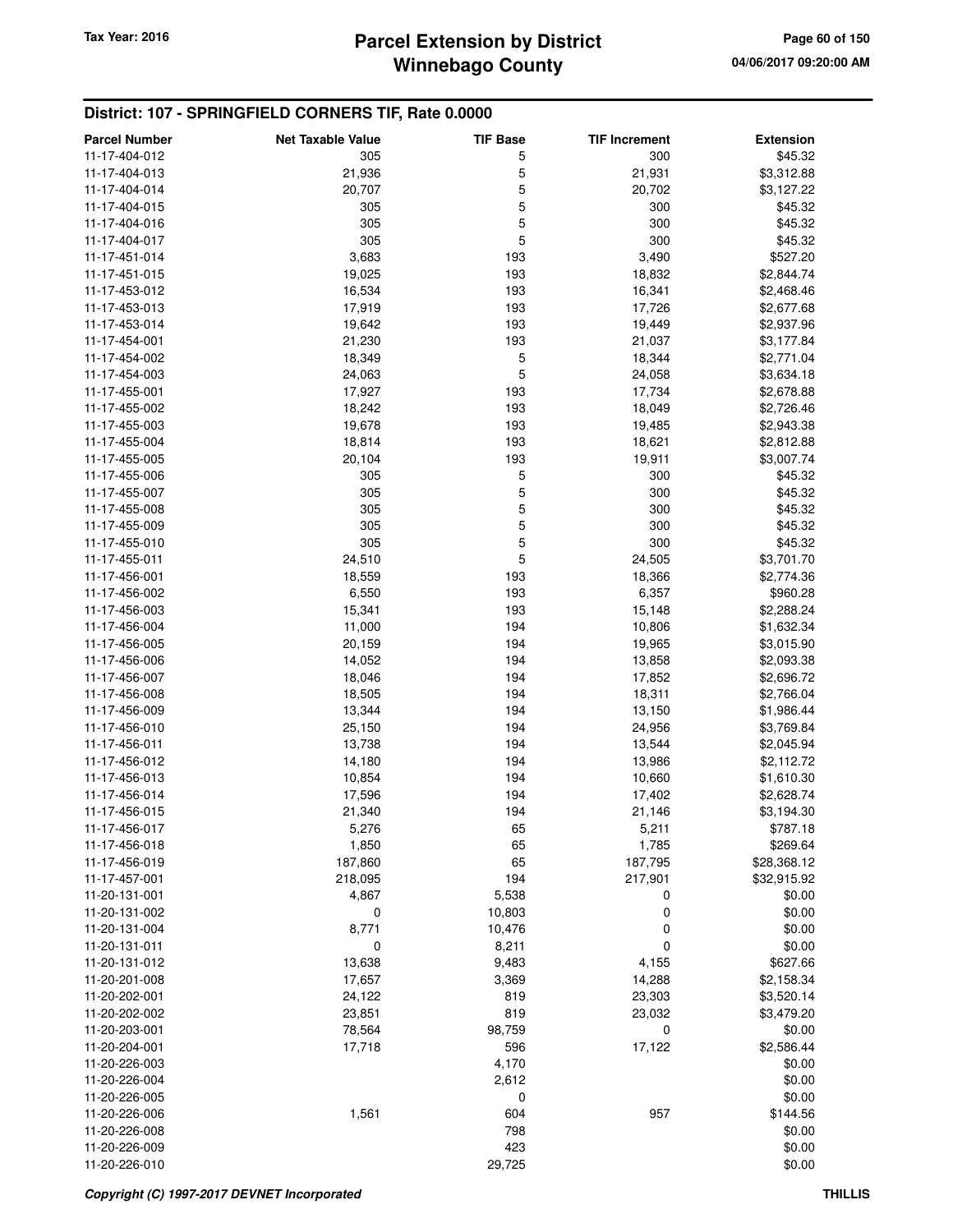# **District: 107 - SPRINGFIELD CORNERS TIF, Rate 0.0000**

| <b>Parcel Number</b> | <b>Net Taxable Value</b> | <b>TIF Base</b> | <b>TIF Increment</b> | <b>Extension</b> |
|----------------------|--------------------------|-----------------|----------------------|------------------|
| 11-17-404-012        | 305                      | 5               | 300                  | \$45.32          |
| 11-17-404-013        | 21,936                   | 5               | 21,931               | \$3,312.88       |
| 11-17-404-014        | 20,707                   | 5               | 20,702               | \$3,127.22       |
| 11-17-404-015        | 305                      | 5               | 300                  | \$45.32          |
| 11-17-404-016        | 305                      | 5               | 300                  | \$45.32          |
| 11-17-404-017        | 305                      | 5               | 300                  | \$45.32          |
| 11-17-451-014        | 3,683                    | 193             | 3,490                | \$527.20         |
| 11-17-451-015        | 19,025                   | 193             | 18,832               | \$2,844.74       |
| 11-17-453-012        | 16,534                   | 193             | 16,341               | \$2,468.46       |
| 11-17-453-013        | 17,919                   | 193             | 17,726               | \$2,677.68       |
| 11-17-453-014        | 19,642                   | 193             | 19,449               | \$2,937.96       |
| 11-17-454-001        | 21,230                   | 193             | 21,037               | \$3,177.84       |
| 11-17-454-002        | 18,349                   | 5               | 18,344               | \$2,771.04       |
| 11-17-454-003        | 24,063                   | 5               | 24,058               | \$3,634.18       |
| 11-17-455-001        | 17,927                   | 193             | 17,734               | \$2,678.88       |
| 11-17-455-002        | 18,242                   | 193             | 18,049               | \$2,726.46       |
| 11-17-455-003        | 19,678                   | 193             | 19,485               | \$2,943.38       |
| 11-17-455-004        | 18,814                   | 193             | 18,621               | \$2,812.88       |
| 11-17-455-005        | 20,104                   | 193             | 19,911               | \$3,007.74       |
| 11-17-455-006        | 305                      | 5               | 300                  | \$45.32          |
| 11-17-455-007        | 305                      | 5               | 300                  | \$45.32          |
| 11-17-455-008        | 305                      | 5               | 300                  | \$45.32          |
| 11-17-455-009        | 305                      | 5               | 300                  | \$45.32          |
| 11-17-455-010        | 305                      | 5               | 300                  | \$45.32          |
| 11-17-455-011        | 24,510                   | 5               | 24,505               | \$3,701.70       |
| 11-17-456-001        | 18,559                   | 193             | 18,366               | \$2,774.36       |
| 11-17-456-002        | 6,550                    | 193             | 6,357                | \$960.28         |
| 11-17-456-003        | 15,341                   | 193             | 15,148               | \$2,288.24       |
| 11-17-456-004        | 11,000                   | 194             | 10,806               | \$1,632.34       |
| 11-17-456-005        | 20,159                   | 194             | 19,965               | \$3,015.90       |
| 11-17-456-006        | 14,052                   | 194             | 13,858               | \$2,093.38       |
| 11-17-456-007        | 18,046                   | 194             | 17,852               | \$2,696.72       |
| 11-17-456-008        | 18,505                   | 194             | 18,311               | \$2,766.04       |
| 11-17-456-009        | 13,344                   | 194             | 13,150               | \$1,986.44       |
| 11-17-456-010        | 25,150                   | 194             | 24,956               | \$3,769.84       |
| 11-17-456-011        | 13,738                   | 194             | 13,544               | \$2,045.94       |
| 11-17-456-012        | 14,180                   | 194             | 13,986               | \$2,112.72       |
| 11-17-456-013        | 10,854                   | 194             | 10,660               | \$1,610.30       |
| 11-17-456-014        | 17,596                   | 194             | 17,402               | \$2,628.74       |
| 11-17-456-015        | 21,340                   | 194             | 21,146               | \$3,194.30       |
| 11-17-456-017        | 5,276                    | 65              | 5,211                | \$787.18         |
| 11-17-456-018        | 1,850                    | 65              | 1,785                | \$269.64         |
| 11-17-456-019        | 187,860                  | 65              | 187,795              | \$28,368.12      |
| 11-17-457-001        | 218,095                  | 194             | 217,901              | \$32,915.92      |
| 11-20-131-001        | 4,867                    | 5,538           | 0                    | \$0.00           |
| 11-20-131-002        | 0                        | 10,803          | 0                    | \$0.00           |
| 11-20-131-004        | 8,771                    | 10,476          | 0                    | \$0.00           |
| 11-20-131-011        | 0                        | 8,211           | 0                    | \$0.00           |
| 11-20-131-012        | 13,638                   | 9,483           | 4,155                | \$627.66         |
| 11-20-201-008        | 17,657                   | 3,369           | 14,288               | \$2,158.34       |
| 11-20-202-001        | 24,122                   | 819             | 23,303               | \$3,520.14       |
| 11-20-202-002        | 23,851                   | 819             | 23,032               | \$3,479.20       |
| 11-20-203-001        | 78,564                   | 98,759          | 0                    | \$0.00           |
| 11-20-204-001        | 17,718                   | 596             | 17,122               | \$2,586.44       |
| 11-20-226-003        |                          | 4,170           |                      | \$0.00           |
| 11-20-226-004        |                          | 2,612           |                      | \$0.00           |
| 11-20-226-005        |                          | 0               |                      | \$0.00           |
| 11-20-226-006        | 1,561                    | 604             | 957                  | \$144.56         |
| 11-20-226-008        |                          | 798             |                      | \$0.00           |
| 11-20-226-009        |                          | 423             |                      | \$0.00           |
| 11-20-226-010        |                          | 29,725          |                      | \$0.00           |
|                      |                          |                 |                      |                  |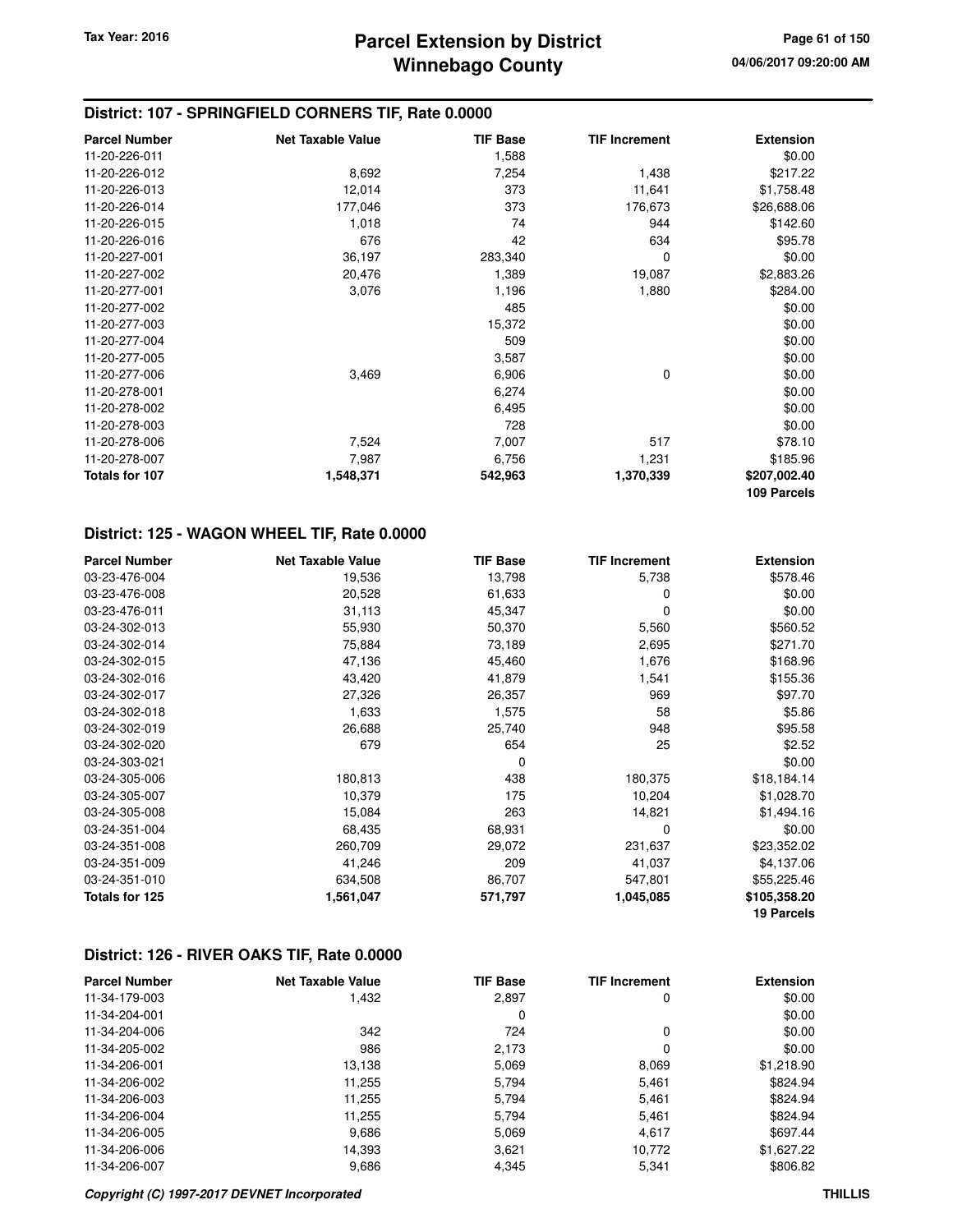# **District: 107 - SPRINGFIELD CORNERS TIF, Rate 0.0000**

| <b>Parcel Number</b> | <b>Net Taxable Value</b> | <b>TIF Base</b> | <b>TIF Increment</b> | <b>Extension</b> |
|----------------------|--------------------------|-----------------|----------------------|------------------|
| 11-20-226-011        |                          | 1,588           |                      | \$0.00           |
| 11-20-226-012        | 8,692                    | 7,254           | 1,438                | \$217.22         |
| 11-20-226-013        | 12,014                   | 373             | 11,641               | \$1,758.48       |
| 11-20-226-014        | 177,046                  | 373             | 176,673              | \$26,688.06      |
| 11-20-226-015        | 1,018                    | 74              | 944                  | \$142.60         |
| 11-20-226-016        | 676                      | 42              | 634                  | \$95.78          |
| 11-20-227-001        | 36,197                   | 283,340         | 0                    | \$0.00           |
| 11-20-227-002        | 20,476                   | 1,389           | 19,087               | \$2,883.26       |
| 11-20-277-001        | 3,076                    | 1,196           | 1,880                | \$284.00         |
| 11-20-277-002        |                          | 485             |                      | \$0.00           |
| 11-20-277-003        |                          | 15,372          |                      | \$0.00           |
| 11-20-277-004        |                          | 509             |                      | \$0.00           |
| 11-20-277-005        |                          | 3,587           |                      | \$0.00           |
| 11-20-277-006        | 3,469                    | 6,906           | 0                    | \$0.00           |
| 11-20-278-001        |                          | 6,274           |                      | \$0.00           |
| 11-20-278-002        |                          | 6,495           |                      | \$0.00           |
| 11-20-278-003        |                          | 728             |                      | \$0.00           |
| 11-20-278-006        | 7,524                    | 7,007           | 517                  | \$78.10          |
| 11-20-278-007        | 7,987                    | 6,756           | 1,231                | \$185.96         |
| Totals for 107       | 1,548,371                | 542,963         | 1,370,339            | \$207,002.40     |
|                      |                          |                 |                      | 109 Parcels      |

# **District: 125 - WAGON WHEEL TIF, Rate 0.0000**

| <b>Parcel Number</b> | <b>Net Taxable Value</b> | <b>TIF Base</b> | <b>TIF Increment</b> | <b>Extension</b> |
|----------------------|--------------------------|-----------------|----------------------|------------------|
| 03-23-476-004        | 19,536                   | 13,798          | 5,738                | \$578.46         |
| 03-23-476-008        | 20,528                   | 61,633          | 0                    | \$0.00           |
| 03-23-476-011        | 31,113                   | 45,347          | 0                    | \$0.00           |
| 03-24-302-013        | 55,930                   | 50,370          | 5,560                | \$560.52         |
| 03-24-302-014        | 75,884                   | 73,189          | 2,695                | \$271.70         |
| 03-24-302-015        | 47,136                   | 45,460          | 1,676                | \$168.96         |
| 03-24-302-016        | 43,420                   | 41,879          | 1,541                | \$155.36         |
| 03-24-302-017        | 27,326                   | 26,357          | 969                  | \$97.70          |
| 03-24-302-018        | 1,633                    | 1,575           | 58                   | \$5.86           |
| 03-24-302-019        | 26,688                   | 25,740          | 948                  | \$95.58          |
| 03-24-302-020        | 679                      | 654             | 25                   | \$2.52           |
| 03-24-303-021        |                          | $\Omega$        |                      | \$0.00           |
| 03-24-305-006        | 180,813                  | 438             | 180,375              | \$18,184.14      |
| 03-24-305-007        | 10,379                   | 175             | 10,204               | \$1,028.70       |
| 03-24-305-008        | 15,084                   | 263             | 14,821               | \$1,494.16       |
| 03-24-351-004        | 68,435                   | 68,931          | $\Omega$             | \$0.00           |
| 03-24-351-008        | 260,709                  | 29,072          | 231,637              | \$23,352.02      |
| 03-24-351-009        | 41,246                   | 209             | 41,037               | \$4,137.06       |
| 03-24-351-010        | 634,508                  | 86,707          | 547,801              | \$55,225.46      |
| Totals for 125       | 1,561,047                | 571,797         | 1,045,085            | \$105,358.20     |
|                      |                          |                 |                      | 19 Parcels       |

#### **District: 126 - RIVER OAKS TIF, Rate 0.0000**

| <b>Parcel Number</b> | <b>Net Taxable Value</b> | <b>TIF Base</b> | <b>TIF Increment</b> | <b>Extension</b> |
|----------------------|--------------------------|-----------------|----------------------|------------------|
| 11-34-179-003        | 1,432                    | 2,897           | 0                    | \$0.00           |
| 11-34-204-001        |                          | 0               |                      | \$0.00           |
| 11-34-204-006        | 342                      | 724             | $\Omega$             | \$0.00           |
| 11-34-205-002        | 986                      | 2,173           | 0                    | \$0.00           |
| 11-34-206-001        | 13,138                   | 5,069           | 8,069                | \$1,218.90       |
| 11-34-206-002        | 11,255                   | 5,794           | 5,461                | \$824.94         |
| 11-34-206-003        | 11,255                   | 5,794           | 5,461                | \$824.94         |
| 11-34-206-004        | 11,255                   | 5.794           | 5.461                | \$824.94         |
| 11-34-206-005        | 9,686                    | 5,069           | 4,617                | \$697.44         |
| 11-34-206-006        | 14,393                   | 3,621           | 10,772               | \$1,627.22       |
| 11-34-206-007        | 9,686                    | 4,345           | 5,341                | \$806.82         |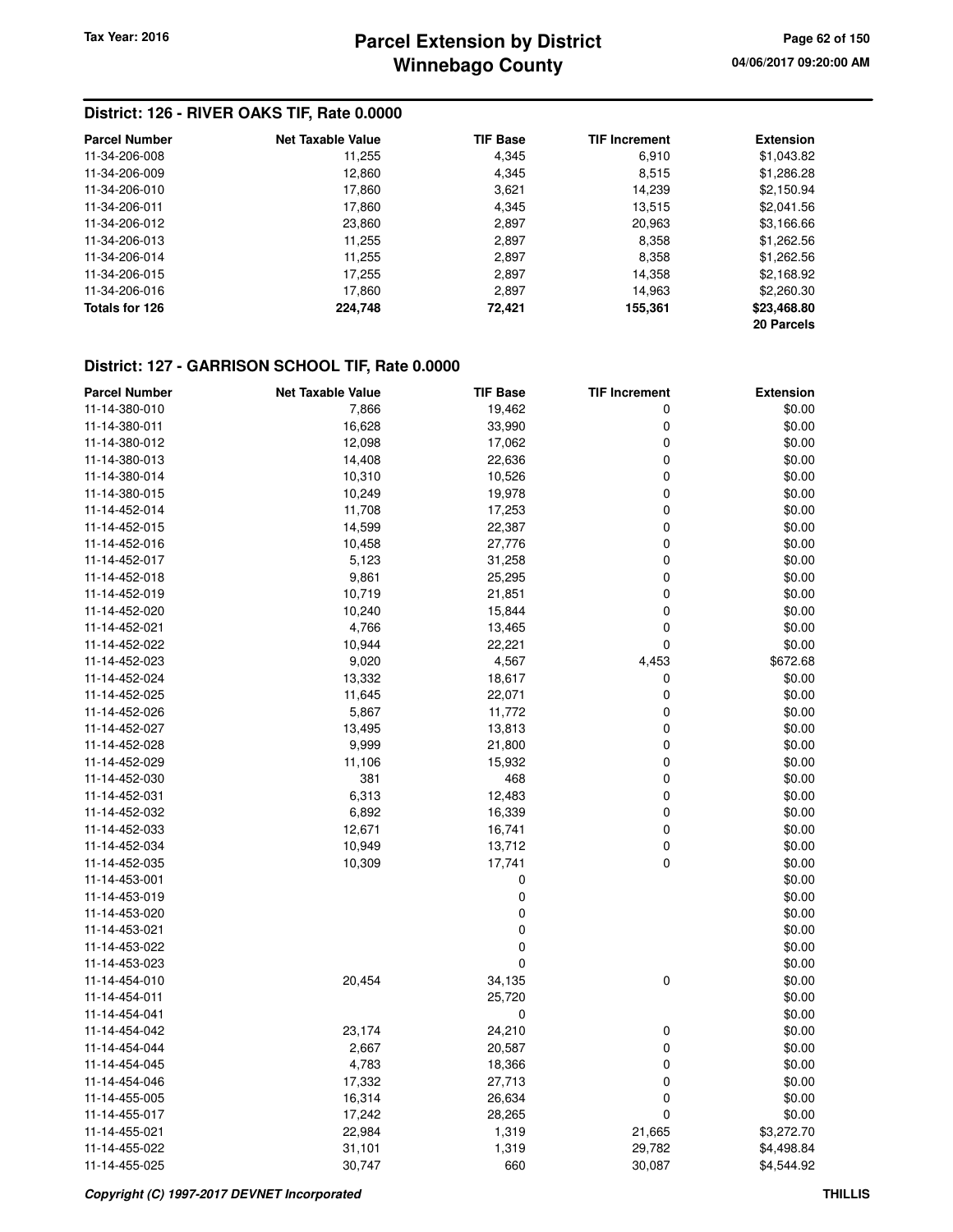# **Winnebago County Parcel Extension by District Tax Year: 2016 Page 62 of 150**

# **District: 126 - RIVER OAKS TIF, Rate 0.0000**

| <b>Parcel Number</b> | <b>Net Taxable Value</b> | <b>TIF Base</b> | <b>TIF Increment</b> | <b>Extension</b> |
|----------------------|--------------------------|-----------------|----------------------|------------------|
| 11-34-206-008        | 11,255                   | 4,345           | 6,910                | \$1,043.82       |
| 11-34-206-009        | 12,860                   | 4,345           | 8,515                | \$1,286.28       |
| 11-34-206-010        | 17,860                   | 3,621           | 14.239               | \$2,150.94       |
| 11-34-206-011        | 17,860                   | 4,345           | 13,515               | \$2,041.56       |
| 11-34-206-012        | 23,860                   | 2,897           | 20,963               | \$3,166.66       |
| 11-34-206-013        | 11,255                   | 2,897           | 8,358                | \$1,262.56       |
| 11-34-206-014        | 11,255                   | 2,897           | 8,358                | \$1,262.56       |
| 11-34-206-015        | 17,255                   | 2,897           | 14,358               | \$2,168.92       |
| 11-34-206-016        | 17,860                   | 2,897           | 14,963               | \$2,260.30       |
| Totals for 126       | 224,748                  | 72.421          | 155,361              | \$23,468.80      |
|                      |                          |                 |                      | 20 Parcels       |

#### **District: 127 - GARRISON SCHOOL TIF, Rate 0.0000**

| <b>Parcel Number</b> | <b>Net Taxable Value</b> | <b>TIF Base</b> | <b>TIF Increment</b> | <b>Extension</b> |
|----------------------|--------------------------|-----------------|----------------------|------------------|
| 11-14-380-010        | 7,866                    | 19,462          | 0                    | \$0.00           |
| 11-14-380-011        | 16,628                   | 33,990          | 0                    | \$0.00           |
| 11-14-380-012        | 12,098                   | 17,062          | 0                    | \$0.00           |
| 11-14-380-013        | 14,408                   | 22,636          | 0                    | \$0.00           |
| 11-14-380-014        | 10,310                   | 10,526          | 0                    | \$0.00           |
| 11-14-380-015        | 10,249                   | 19,978          | 0                    | \$0.00           |
| 11-14-452-014        | 11,708                   | 17,253          | 0                    | \$0.00           |
| 11-14-452-015        | 14,599                   | 22,387          | 0                    | \$0.00           |
| 11-14-452-016        | 10,458                   | 27,776          | 0                    | \$0.00           |
| 11-14-452-017        | 5,123                    | 31,258          | 0                    | \$0.00           |
| 11-14-452-018        | 9,861                    | 25,295          | 0                    | \$0.00           |
| 11-14-452-019        | 10,719                   | 21,851          | 0                    | \$0.00           |
| 11-14-452-020        | 10,240                   | 15,844          | 0                    | \$0.00           |
| 11-14-452-021        | 4,766                    | 13,465          | 0                    | \$0.00           |
| 11-14-452-022        | 10,944                   | 22,221          | $\mathbf 0$          | \$0.00           |
| 11-14-452-023        | 9,020                    | 4,567           | 4,453                | \$672.68         |
| 11-14-452-024        | 13,332                   | 18,617          | 0                    | \$0.00           |
| 11-14-452-025        | 11,645                   | 22,071          | 0                    | \$0.00           |
| 11-14-452-026        | 5,867                    | 11,772          | 0                    | \$0.00           |
| 11-14-452-027        | 13,495                   | 13,813          | 0                    | \$0.00           |
| 11-14-452-028        | 9,999                    | 21,800          | 0                    | \$0.00           |
| 11-14-452-029        | 11,106                   | 15,932          | 0                    | \$0.00           |
| 11-14-452-030        | 381                      | 468             | 0                    | \$0.00           |
| 11-14-452-031        | 6,313                    | 12,483          | 0                    | \$0.00           |
| 11-14-452-032        | 6,892                    | 16,339          | 0                    | \$0.00           |
| 11-14-452-033        | 12,671                   | 16,741          | 0                    | \$0.00           |
| 11-14-452-034        | 10,949                   | 13,712          | 0                    | \$0.00           |
| 11-14-452-035        | 10,309                   | 17,741          | 0                    | \$0.00           |
| 11-14-453-001        |                          | 0               |                      | \$0.00           |
| 11-14-453-019        |                          | 0               |                      | \$0.00           |
| 11-14-453-020        |                          | 0               |                      | \$0.00           |
| 11-14-453-021        |                          | 0               |                      | \$0.00           |
| 11-14-453-022        |                          | 0               |                      | \$0.00           |
| 11-14-453-023        |                          | 0               |                      | \$0.00           |
| 11-14-454-010        | 20,454                   | 34,135          | $\pmb{0}$            | \$0.00           |
| 11-14-454-011        |                          | 25,720          |                      | \$0.00           |
| 11-14-454-041        |                          | 0               |                      | \$0.00           |
| 11-14-454-042        | 23,174                   | 24,210          | 0                    | \$0.00           |
| 11-14-454-044        | 2,667                    | 20,587          | 0                    | \$0.00           |
| 11-14-454-045        | 4,783                    | 18,366          | 0                    | \$0.00           |
| 11-14-454-046        | 17,332                   | 27,713          | 0                    | \$0.00           |
| 11-14-455-005        | 16,314                   | 26,634          | 0                    | \$0.00           |
| 11-14-455-017        | 17,242                   | 28,265          | 0                    | \$0.00           |
| 11-14-455-021        | 22,984                   | 1,319           | 21,665               | \$3,272.70       |
| 11-14-455-022        | 31,101                   | 1,319           | 29,782               | \$4,498.84       |
| 11-14-455-025        | 30,747                   | 660             | 30,087               | \$4,544.92       |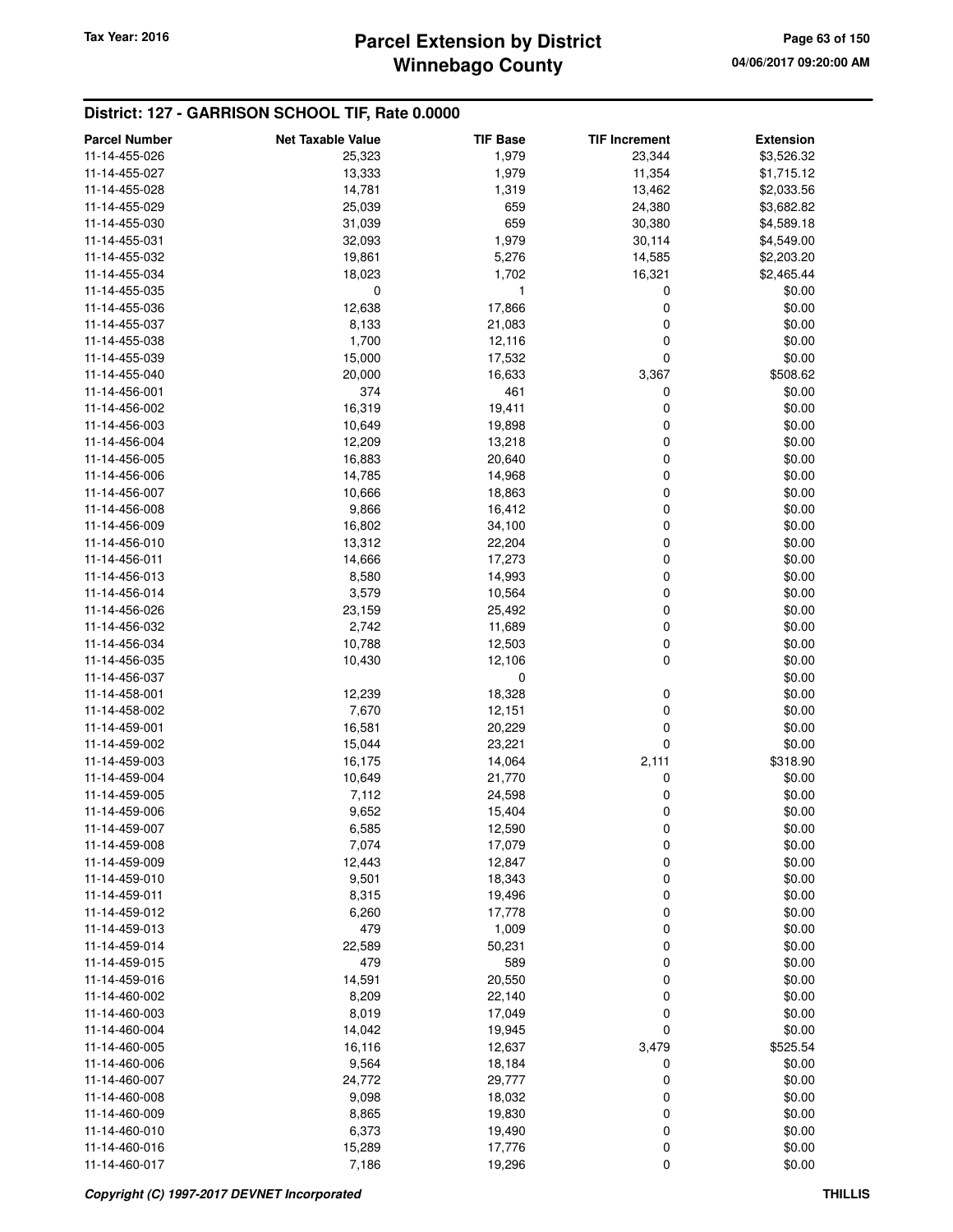# **Winnebago County Parcel Extension by District Tax Year: 2016 Page 63 of 150**

# **District: 127 - GARRISON SCHOOL TIF, Rate 0.0000**

| <b>Parcel Number</b>           | <b>Net Taxable Value</b> | <b>TIF Base</b> | <b>TIF Increment</b> | <b>Extension</b> |
|--------------------------------|--------------------------|-----------------|----------------------|------------------|
| 11-14-455-026                  | 25,323                   | 1,979           | 23,344               | \$3,526.32       |
| 11-14-455-027                  | 13,333                   | 1,979           | 11,354               | \$1,715.12       |
| 11-14-455-028                  | 14,781                   | 1,319           | 13,462               | \$2,033.56       |
| 11-14-455-029                  | 25,039                   | 659             | 24,380               | \$3,682.82       |
| 11-14-455-030                  | 31,039                   | 659             | 30,380               | \$4,589.18       |
| 11-14-455-031                  | 32,093                   | 1,979           | 30,114               | \$4,549.00       |
| 11-14-455-032                  | 19,861                   | 5,276           | 14,585               | \$2,203.20       |
| 11-14-455-034                  | 18,023                   | 1,702           | 16,321               | \$2,465.44       |
| 11-14-455-035                  | 0                        | 1               | 0                    | \$0.00           |
| 11-14-455-036                  | 12,638                   | 17,866          | 0                    | \$0.00           |
| 11-14-455-037                  | 8,133                    | 21,083          | 0                    | \$0.00           |
| 11-14-455-038                  | 1,700                    | 12,116          | 0                    | \$0.00           |
| 11-14-455-039                  | 15,000                   | 17,532          | 0                    | \$0.00           |
| 11-14-455-040                  | 20,000                   | 16,633          | 3,367                | \$508.62         |
| 11-14-456-001                  | 374                      | 461             | 0                    | \$0.00           |
| 11-14-456-002                  | 16,319                   | 19,411          | 0                    | \$0.00           |
| 11-14-456-003                  | 10,649                   | 19,898          | 0                    | \$0.00           |
| 11-14-456-004                  | 12,209                   | 13,218          | 0                    | \$0.00           |
| 11-14-456-005                  | 16,883                   | 20,640          | 0                    | \$0.00           |
| 11-14-456-006                  | 14,785                   | 14,968          | 0                    | \$0.00           |
| 11-14-456-007                  | 10,666                   | 18,863          | 0                    | \$0.00           |
| 11-14-456-008                  | 9,866                    | 16,412          | 0                    | \$0.00           |
| 11-14-456-009                  | 16,802                   | 34,100          | 0                    | \$0.00           |
| 11-14-456-010                  | 13,312                   | 22,204          | 0                    | \$0.00           |
| 11-14-456-011                  | 14,666                   | 17,273          | 0                    | \$0.00           |
| 11-14-456-013                  | 8,580                    | 14,993          | 0                    | \$0.00           |
| 11-14-456-014                  | 3,579                    | 10,564          | 0                    | \$0.00           |
| 11-14-456-026                  | 23,159                   | 25,492          | 0                    | \$0.00           |
| 11-14-456-032                  | 2,742                    | 11,689          | 0                    | \$0.00           |
| 11-14-456-034                  | 10,788                   | 12,503          | 0                    | \$0.00           |
| 11-14-456-035                  | 10,430                   | 12,106          | 0                    | \$0.00           |
| 11-14-456-037                  |                          | 0               |                      | \$0.00           |
| 11-14-458-001                  | 12,239                   | 18,328          | 0                    | \$0.00           |
| 11-14-458-002                  | 7,670                    | 12,151          | 0                    | \$0.00           |
| 11-14-459-001                  |                          |                 | 0                    |                  |
|                                | 16,581                   | 20,229          | 0                    | \$0.00           |
| 11-14-459-002                  | 15,044<br>16,175         | 23,221          |                      | \$0.00           |
| 11-14-459-003                  |                          | 14,064          | 2,111<br>0           | \$318.90         |
| 11-14-459-004<br>11-14-459-005 | 10,649<br>7,112          | 21,770          |                      | \$0.00           |
|                                |                          | 24,598          | 0<br>0               | \$0.00<br>\$0.00 |
| 11-14-459-006                  | 9,652                    | 15,404          |                      |                  |
| 11-14-459-007                  | 6,585                    | 12,590          | 0                    | \$0.00           |
| 11-14-459-008                  | 7,074                    | 17,079          | 0                    | \$0.00<br>\$0.00 |
| 11-14-459-009<br>11-14-459-010 | 12,443                   | 12,847          | 0                    | \$0.00           |
|                                | 9,501                    | 18,343          | 0                    |                  |
| 11-14-459-011                  | 8,315                    | 19,496          | 0                    | \$0.00           |
| 11-14-459-012                  | 6,260                    | 17,778          | 0                    | \$0.00           |
| 11-14-459-013                  | 479                      | 1,009           | 0                    | \$0.00           |
| 11-14-459-014                  | 22,589                   | 50,231          | 0                    | \$0.00           |
| 11-14-459-015                  | 479                      | 589             | 0                    | \$0.00           |
| 11-14-459-016                  | 14,591                   | 20,550          | 0                    | \$0.00           |
| 11-14-460-002                  | 8,209                    | 22,140          | 0                    | \$0.00           |
| 11-14-460-003                  | 8,019                    | 17,049          | 0                    | \$0.00           |
| 11-14-460-004                  | 14,042                   | 19,945          | 0                    | \$0.00           |
| 11-14-460-005                  | 16,116                   | 12,637          | 3,479                | \$525.54         |
| 11-14-460-006                  | 9,564                    | 18,184          | 0                    | \$0.00           |
| 11-14-460-007                  | 24,772                   | 29,777          | 0                    | \$0.00           |
| 11-14-460-008                  | 9,098                    | 18,032          | 0                    | \$0.00           |
| 11-14-460-009                  | 8,865                    | 19,830          | 0                    | \$0.00           |
| 11-14-460-010                  | 6,373                    | 19,490          | 0                    | \$0.00           |
| 11-14-460-016                  | 15,289                   | 17,776          | 0                    | \$0.00           |
| 11-14-460-017                  | 7,186                    | 19,296          | 0                    | \$0.00           |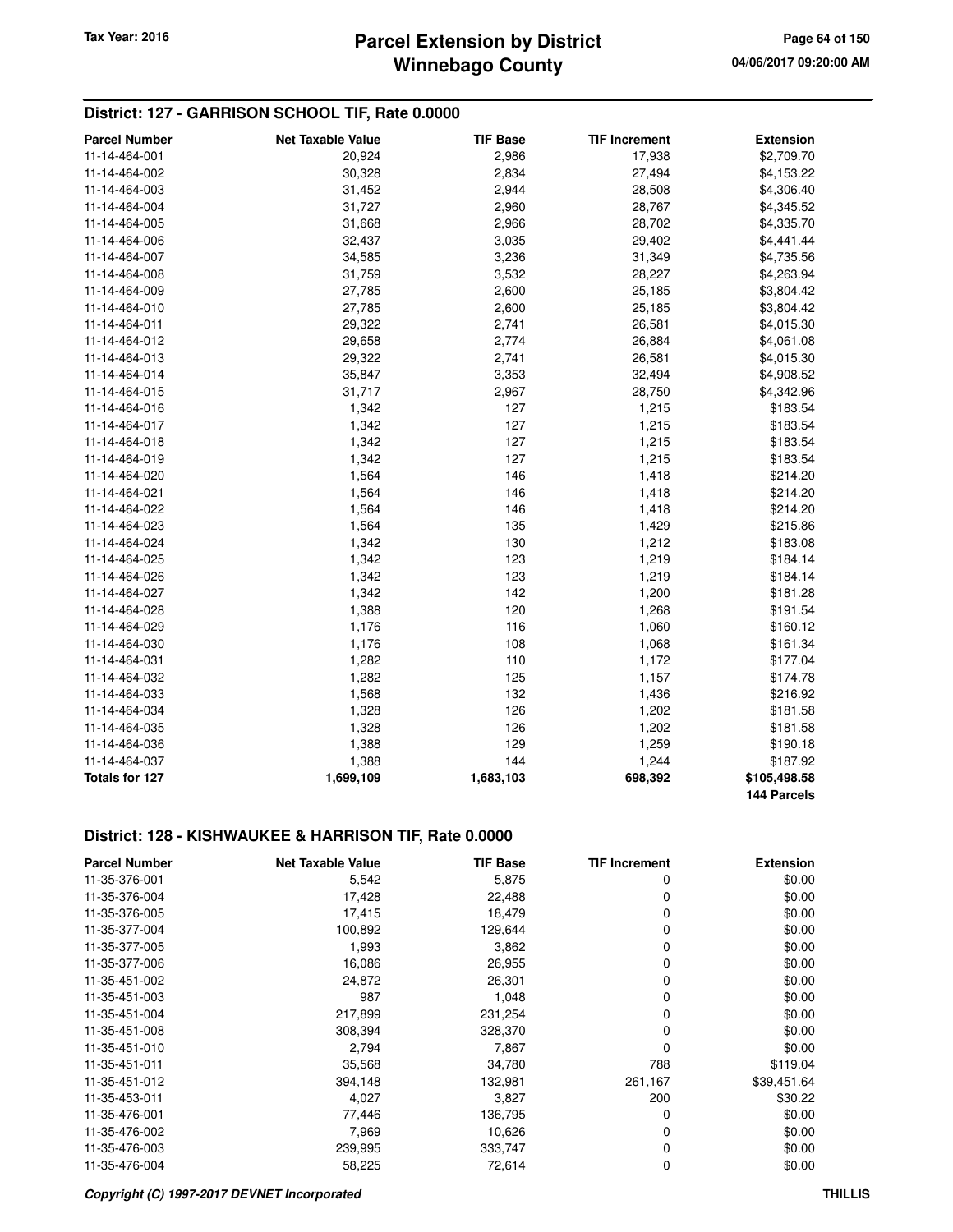# **District: 127 - GARRISON SCHOOL TIF, Rate 0.0000**

| <b>Parcel Number</b>  | <b>Net Taxable Value</b> | <b>TIF Base</b> | <b>TIF Increment</b> | <b>Extension</b> |
|-----------------------|--------------------------|-----------------|----------------------|------------------|
| 11-14-464-001         | 20,924                   | 2,986           | 17,938               | \$2,709.70       |
| 11-14-464-002         | 30,328                   | 2,834           | 27,494               | \$4,153.22       |
| 11-14-464-003         | 31,452                   | 2,944           | 28,508               | \$4,306.40       |
| 11-14-464-004         | 31,727                   | 2,960           | 28,767               | \$4,345.52       |
| 11-14-464-005         | 31,668                   | 2,966           | 28,702               | \$4,335.70       |
| 11-14-464-006         | 32,437                   | 3,035           | 29,402               | \$4,441.44       |
| 11-14-464-007         | 34,585                   | 3,236           | 31,349               | \$4,735.56       |
| 11-14-464-008         | 31,759                   | 3,532           | 28,227               | \$4,263.94       |
| 11-14-464-009         | 27,785                   | 2,600           | 25,185               | \$3,804.42       |
| 11-14-464-010         | 27,785                   | 2,600           | 25,185               | \$3,804.42       |
| 11-14-464-011         | 29,322                   | 2,741           | 26,581               | \$4,015.30       |
| 11-14-464-012         | 29,658                   | 2,774           | 26,884               | \$4,061.08       |
| 11-14-464-013         | 29,322                   | 2,741           | 26,581               | \$4,015.30       |
| 11-14-464-014         | 35,847                   | 3,353           | 32,494               | \$4,908.52       |
| 11-14-464-015         | 31,717                   | 2,967           | 28,750               | \$4,342.96       |
| 11-14-464-016         | 1,342                    | 127             | 1,215                | \$183.54         |
| 11-14-464-017         | 1,342                    | 127             | 1,215                | \$183.54         |
| 11-14-464-018         | 1,342                    | 127             | 1,215                | \$183.54         |
| 11-14-464-019         | 1,342                    | 127             | 1,215                | \$183.54         |
| 11-14-464-020         | 1,564                    | 146             | 1,418                | \$214.20         |
| 11-14-464-021         | 1,564                    | 146             | 1,418                | \$214.20         |
| 11-14-464-022         | 1,564                    | 146             | 1,418                | \$214.20         |
| 11-14-464-023         | 1,564                    | 135             | 1,429                | \$215.86         |
| 11-14-464-024         | 1,342                    | 130             | 1,212                | \$183.08         |
| 11-14-464-025         | 1,342                    | 123             | 1,219                | \$184.14         |
| 11-14-464-026         | 1,342                    | 123             | 1,219                | \$184.14         |
| 11-14-464-027         | 1,342                    | 142             | 1,200                | \$181.28         |
| 11-14-464-028         | 1,388                    | 120             | 1,268                | \$191.54         |
| 11-14-464-029         | 1,176                    | 116             | 1,060                | \$160.12         |
| 11-14-464-030         | 1,176                    | 108             | 1,068                | \$161.34         |
| 11-14-464-031         | 1,282                    | 110             | 1,172                | \$177.04         |
| 11-14-464-032         | 1,282                    | 125             | 1,157                | \$174.78         |
| 11-14-464-033         | 1,568                    | 132             | 1,436                | \$216.92         |
| 11-14-464-034         | 1,328                    | 126             | 1,202                | \$181.58         |
| 11-14-464-035         | 1,328                    | 126             | 1,202                | \$181.58         |
| 11-14-464-036         | 1,388                    | 129             | 1,259                | \$190.18         |
| 11-14-464-037         | 1,388                    | 144             | 1,244                | \$187.92         |
| <b>Totals for 127</b> | 1,699,109                | 1,683,103       | 698,392              | \$105,498.58     |
|                       |                          |                 |                      | 144 Parcels      |

# **District: 128 - KISHWAUKEE & HARRISON TIF, Rate 0.0000**

| <b>Parcel Number</b> | <b>Net Taxable Value</b> | <b>TIF Base</b> | <b>TIF Increment</b> | <b>Extension</b> |
|----------------------|--------------------------|-----------------|----------------------|------------------|
| 11-35-376-001        | 5,542                    | 5,875           | 0                    | \$0.00           |
| 11-35-376-004        | 17,428                   | 22,488          | 0                    | \$0.00           |
| 11-35-376-005        | 17,415                   | 18,479          | 0                    | \$0.00           |
| 11-35-377-004        | 100,892                  | 129,644         | 0                    | \$0.00           |
| 11-35-377-005        | 1,993                    | 3,862           | 0                    | \$0.00           |
| 11-35-377-006        | 16,086                   | 26,955          | 0                    | \$0.00           |
| 11-35-451-002        | 24,872                   | 26,301          | 0                    | \$0.00           |
| 11-35-451-003        | 987                      | 1,048           | 0                    | \$0.00           |
| 11-35-451-004        | 217,899                  | 231,254         | 0                    | \$0.00           |
| 11-35-451-008        | 308,394                  | 328,370         | 0                    | \$0.00           |
| 11-35-451-010        | 2,794                    | 7,867           | 0                    | \$0.00           |
| 11-35-451-011        | 35,568                   | 34,780          | 788                  | \$119.04         |
| 11-35-451-012        | 394,148                  | 132,981         | 261,167              | \$39,451.64      |
| 11-35-453-011        | 4,027                    | 3,827           | 200                  | \$30.22          |
| 11-35-476-001        | 77,446                   | 136,795         | 0                    | \$0.00           |
| 11-35-476-002        | 7,969                    | 10,626          | 0                    | \$0.00           |
| 11-35-476-003        | 239,995                  | 333,747         | 0                    | \$0.00           |
| 11-35-476-004        | 58,225                   | 72,614          | 0                    | \$0.00           |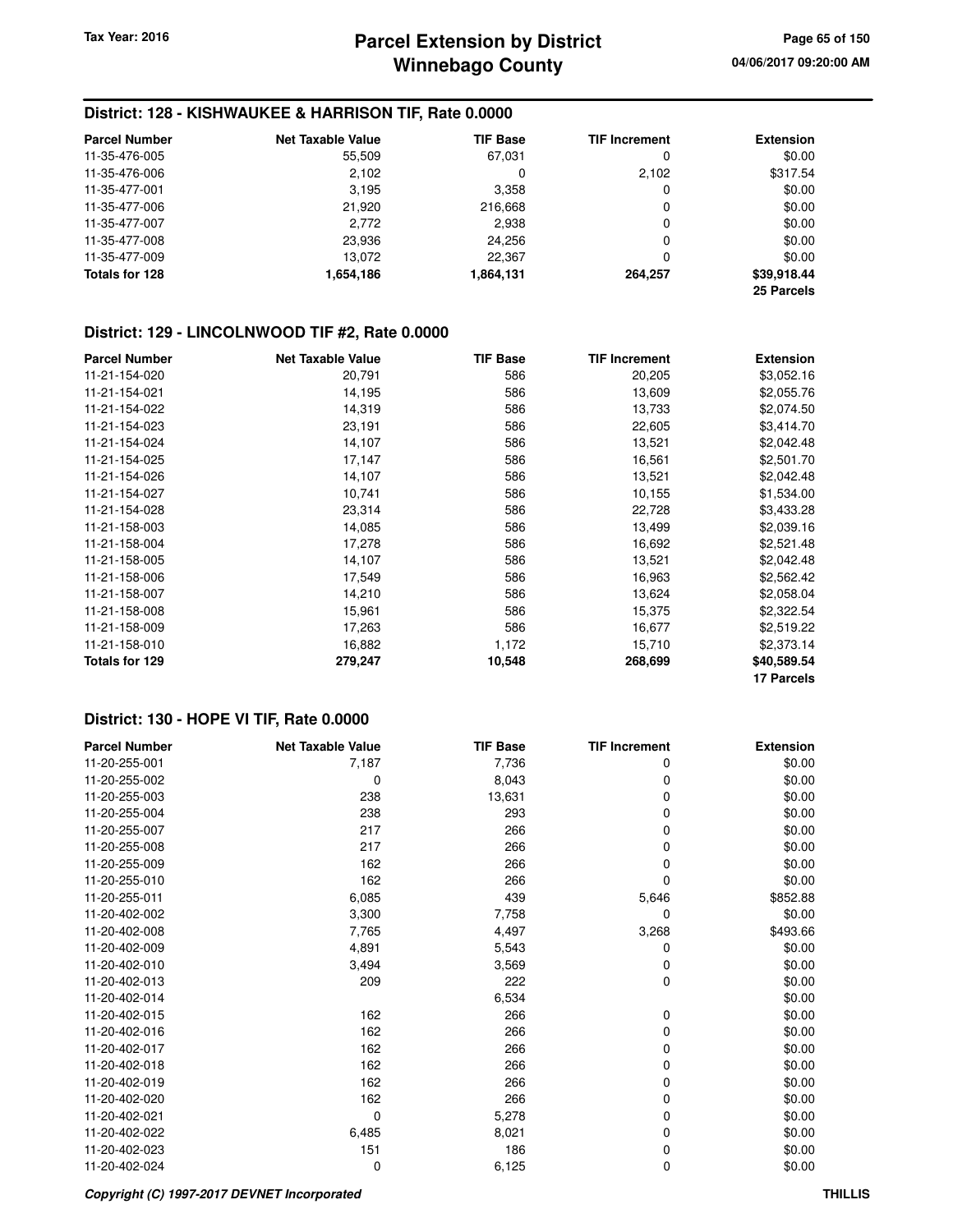# **District: 128 - KISHWAUKEE & HARRISON TIF, Rate 0.0000**

| <b>Parcel Number</b> | <b>Net Taxable Value</b> | <b>TIF Base</b> | <b>TIF Increment</b> | <b>Extension</b> |
|----------------------|--------------------------|-----------------|----------------------|------------------|
| 11-35-476-005        | 55,509                   | 67,031          | 0                    | \$0.00           |
| 11-35-476-006        | 2.102                    | 0               | 2,102                | \$317.54         |
| 11-35-477-001        | 3,195                    | 3,358           | 0                    | \$0.00           |
| 11-35-477-006        | 21,920                   | 216,668         | 0                    | \$0.00           |
| 11-35-477-007        | 2,772                    | 2,938           | 0                    | \$0.00           |
| 11-35-477-008        | 23,936                   | 24.256          | 0                    | \$0.00           |
| 11-35-477-009        | 13.072                   | 22.367          | 0                    | \$0.00           |
| Totals for 128       | 1,654,186                | 1,864,131       | 264.257              | \$39,918.44      |
|                      |                          |                 |                      | 25 Parcels       |

#### **District: 129 - LINCOLNWOOD TIF #2, Rate 0.0000**

| <b>Parcel Number</b> | <b>Net Taxable Value</b> | <b>TIF Base</b> | <b>TIF Increment</b> | <b>Extension</b> |
|----------------------|--------------------------|-----------------|----------------------|------------------|
| 11-21-154-020        | 20,791                   | 586             | 20,205               | \$3,052.16       |
| 11-21-154-021        | 14,195                   | 586             | 13,609               | \$2,055.76       |
| 11-21-154-022        | 14,319                   | 586             | 13,733               | \$2,074.50       |
| 11-21-154-023        | 23,191                   | 586             | 22,605               | \$3,414.70       |
| 11-21-154-024        | 14,107                   | 586             | 13,521               | \$2,042.48       |
| 11-21-154-025        | 17,147                   | 586             | 16,561               | \$2,501.70       |
| 11-21-154-026        | 14,107                   | 586             | 13,521               | \$2,042.48       |
| 11-21-154-027        | 10,741                   | 586             | 10,155               | \$1,534.00       |
| 11-21-154-028        | 23,314                   | 586             | 22,728               | \$3,433.28       |
| 11-21-158-003        | 14,085                   | 586             | 13,499               | \$2,039.16       |
| 11-21-158-004        | 17,278                   | 586             | 16,692               | \$2,521.48       |
| 11-21-158-005        | 14,107                   | 586             | 13,521               | \$2,042.48       |
| 11-21-158-006        | 17,549                   | 586             | 16,963               | \$2,562.42       |
| 11-21-158-007        | 14,210                   | 586             | 13,624               | \$2,058.04       |
| 11-21-158-008        | 15,961                   | 586             | 15,375               | \$2,322.54       |
| 11-21-158-009        | 17,263                   | 586             | 16,677               | \$2,519.22       |
| 11-21-158-010        | 16,882                   | 1,172           | 15,710               | \$2,373.14       |
| Totals for 129       | 279,247                  | 10,548          | 268,699              | \$40,589.54      |
|                      |                          |                 |                      | 17 Parcels       |

| <b>Parcel Number</b> | <b>Net Taxable Value</b> | <b>TIF Base</b> | <b>TIF Increment</b> | <b>Extension</b> |
|----------------------|--------------------------|-----------------|----------------------|------------------|
| 11-20-255-001        | 7,187                    | 7,736           | 0                    | \$0.00           |
| 11-20-255-002        | 0                        | 8,043           | 0                    | \$0.00           |
| 11-20-255-003        | 238                      | 13,631          | 0                    | \$0.00           |
| 11-20-255-004        | 238                      | 293             | 0                    | \$0.00           |
| 11-20-255-007        | 217                      | 266             | 0                    | \$0.00           |
| 11-20-255-008        | 217                      | 266             | 0                    | \$0.00           |
| 11-20-255-009        | 162                      | 266             | 0                    | \$0.00           |
| 11-20-255-010        | 162                      | 266             | 0                    | \$0.00           |
| 11-20-255-011        | 6,085                    | 439             | 5,646                | \$852.88         |
| 11-20-402-002        | 3,300                    | 7,758           | 0                    | \$0.00           |
| 11-20-402-008        | 7,765                    | 4,497           | 3,268                | \$493.66         |
| 11-20-402-009        | 4,891                    | 5,543           | 0                    | \$0.00           |
| 11-20-402-010        | 3,494                    | 3,569           | 0                    | \$0.00           |
| 11-20-402-013        | 209                      | 222             | 0                    | \$0.00           |
| 11-20-402-014        |                          | 6,534           |                      | \$0.00           |
| 11-20-402-015        | 162                      | 266             | 0                    | \$0.00           |
| 11-20-402-016        | 162                      | 266             | 0                    | \$0.00           |
| 11-20-402-017        | 162                      | 266             | 0                    | \$0.00           |
| 11-20-402-018        | 162                      | 266             | 0                    | \$0.00           |
| 11-20-402-019        | 162                      | 266             | 0                    | \$0.00           |
| 11-20-402-020        | 162                      | 266             | 0                    | \$0.00           |
| 11-20-402-021        | 0                        | 5,278           | 0                    | \$0.00           |
| 11-20-402-022        | 6,485                    | 8,021           | 0                    | \$0.00           |
| 11-20-402-023        | 151                      | 186             | 0                    | \$0.00           |
| 11-20-402-024        | 0                        | 6,125           | 0                    | \$0.00           |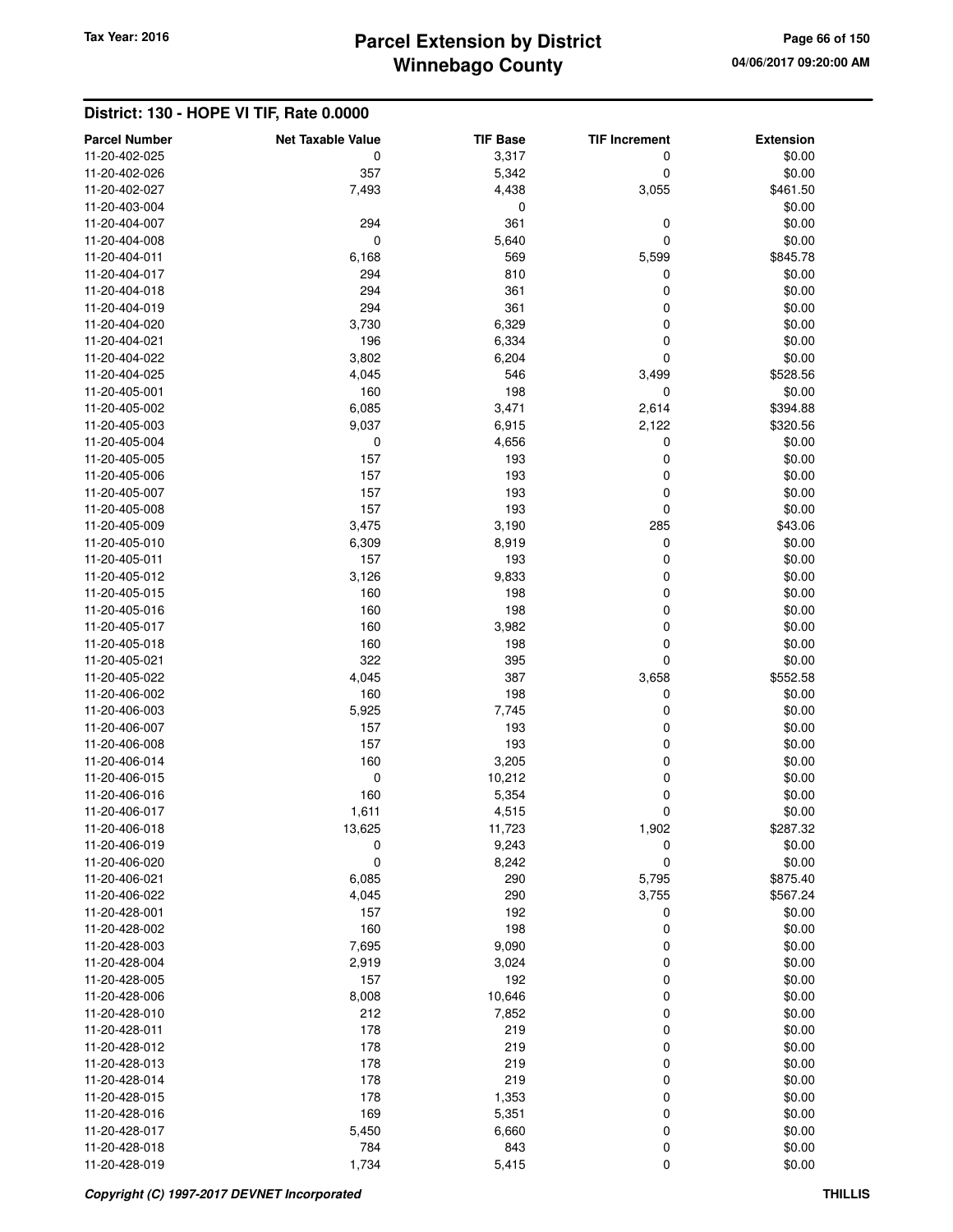# **Winnebago County** Tax Year: 2016 **Parcel Extension by District Page 66 of 150**

| <b>Parcel Number</b> | <b>Net Taxable Value</b> | <b>TIF Base</b> | <b>TIF Increment</b> | <b>Extension</b> |
|----------------------|--------------------------|-----------------|----------------------|------------------|
| 11-20-402-025        | 0                        | 3,317           | 0                    | \$0.00           |
| 11-20-402-026        | 357                      | 5,342           | 0                    | \$0.00           |
| 11-20-402-027        | 7,493                    | 4,438           | 3,055                | \$461.50         |
| 11-20-403-004        |                          | 0               |                      | \$0.00           |
| 11-20-404-007        | 294                      | 361             | 0                    | \$0.00           |
| 11-20-404-008        | $\mathbf 0$              | 5,640           | $\mathbf 0$          | \$0.00           |
| 11-20-404-011        | 6,168                    | 569             | 5,599                | \$845.78         |
| 11-20-404-017        | 294                      | 810             | 0                    | \$0.00           |
| 11-20-404-018        | 294                      | 361             | 0                    | \$0.00           |
| 11-20-404-019        | 294                      | 361             | 0                    | \$0.00           |
| 11-20-404-020        | 3,730                    | 6,329           | 0                    | \$0.00           |
| 11-20-404-021        | 196                      | 6,334           | 0                    | \$0.00           |
| 11-20-404-022        | 3,802                    | 6,204           | 0                    | \$0.00           |
| 11-20-404-025        | 4,045                    | 546             | 3,499                | \$528.56         |
| 11-20-405-001        | 160                      | 198             | $\mathbf 0$          | \$0.00           |
| 11-20-405-002        | 6,085                    | 3,471           | 2,614                | \$394.88         |
| 11-20-405-003        | 9,037                    | 6,915           | 2,122                | \$320.56         |
| 11-20-405-004        | 0                        | 4,656           | 0                    | \$0.00           |
| 11-20-405-005        | 157                      | 193             | 0                    | \$0.00           |
| 11-20-405-006        | 157                      | 193             | 0                    | \$0.00           |
| 11-20-405-007        | 157                      | 193             | 0                    | \$0.00           |
| 11-20-405-008        | 157                      | 193             | $\mathbf 0$          | \$0.00           |
| 11-20-405-009        | 3,475                    | 3,190           | 285                  | \$43.06          |
| 11-20-405-010        | 6,309                    | 8,919           | 0                    | \$0.00           |
| 11-20-405-011        | 157                      | 193             | 0                    | \$0.00           |
| 11-20-405-012        | 3,126                    | 9,833           | 0                    | \$0.00           |
| 11-20-405-015        | 160                      | 198             | 0                    | \$0.00           |
| 11-20-405-016        | 160                      | 198             | 0                    | \$0.00           |
| 11-20-405-017        | 160                      | 3,982           | 0                    | \$0.00           |
| 11-20-405-018        | 160                      | 198             | 0                    | \$0.00           |
| 11-20-405-021        | 322                      | 395             | 0                    | \$0.00           |
| 11-20-405-022        | 4,045                    | 387             | 3,658                | \$552.58         |
| 11-20-406-002        | 160                      | 198             | 0                    | \$0.00           |
| 11-20-406-003        | 5,925                    | 7,745           | 0                    | \$0.00           |
| 11-20-406-007        | 157                      | 193             | 0                    | \$0.00           |
| 11-20-406-008        | 157                      | 193             | 0                    | \$0.00           |
| 11-20-406-014        | 160                      | 3,205           | 0                    | \$0.00           |
| 11-20-406-015        | 0                        | 10,212          | 0                    | \$0.00           |
| 11-20-406-016        | 160                      | 5,354           | 0                    | \$0.00           |
| 11-20-406-017        | 1,611                    | 4,515           | 0                    | \$0.00           |
| 11-20-406-018        | 13,625                   | 11,723          | 1,902                | \$287.32         |
| 11-20-406-019        | 0                        | 9,243           | 0                    | \$0.00           |
| 11-20-406-020        | 0                        | 8,242           | 0                    | \$0.00           |
| 11-20-406-021        | 6,085                    | 290             | 5,795                | \$875.40         |
| 11-20-406-022        | 4,045                    | 290             | 3,755                | \$567.24         |
| 11-20-428-001        | 157                      | 192             | 0                    | \$0.00           |
| 11-20-428-002        | 160                      | 198             | $\mathbf 0$          | \$0.00           |
| 11-20-428-003        | 7,695                    | 9,090           | 0                    | \$0.00           |
| 11-20-428-004        | 2,919                    | 3,024           | 0                    | \$0.00           |
| 11-20-428-005        | 157                      | 192             | 0                    | \$0.00           |
| 11-20-428-006        | 8,008                    | 10,646          | 0                    | \$0.00           |
| 11-20-428-010        | 212                      | 7,852           | 0                    | \$0.00           |
| 11-20-428-011        | 178                      | 219             | 0                    | \$0.00           |
| 11-20-428-012        | 178                      | 219             | 0                    | \$0.00           |
| 11-20-428-013        | 178                      | 219             | 0                    | \$0.00           |
| 11-20-428-014        | 178                      | 219             | 0                    | \$0.00           |
| 11-20-428-015        | 178                      | 1,353           | $\mathbf 0$          | \$0.00           |
| 11-20-428-016        | 169                      | 5,351           | 0                    | \$0.00           |
| 11-20-428-017        | 5,450                    | 6,660           | 0                    | \$0.00           |
| 11-20-428-018        | 784                      | 843             | 0                    | \$0.00           |
| 11-20-428-019        | 1,734                    | 5,415           | $\pmb{0}$            | \$0.00           |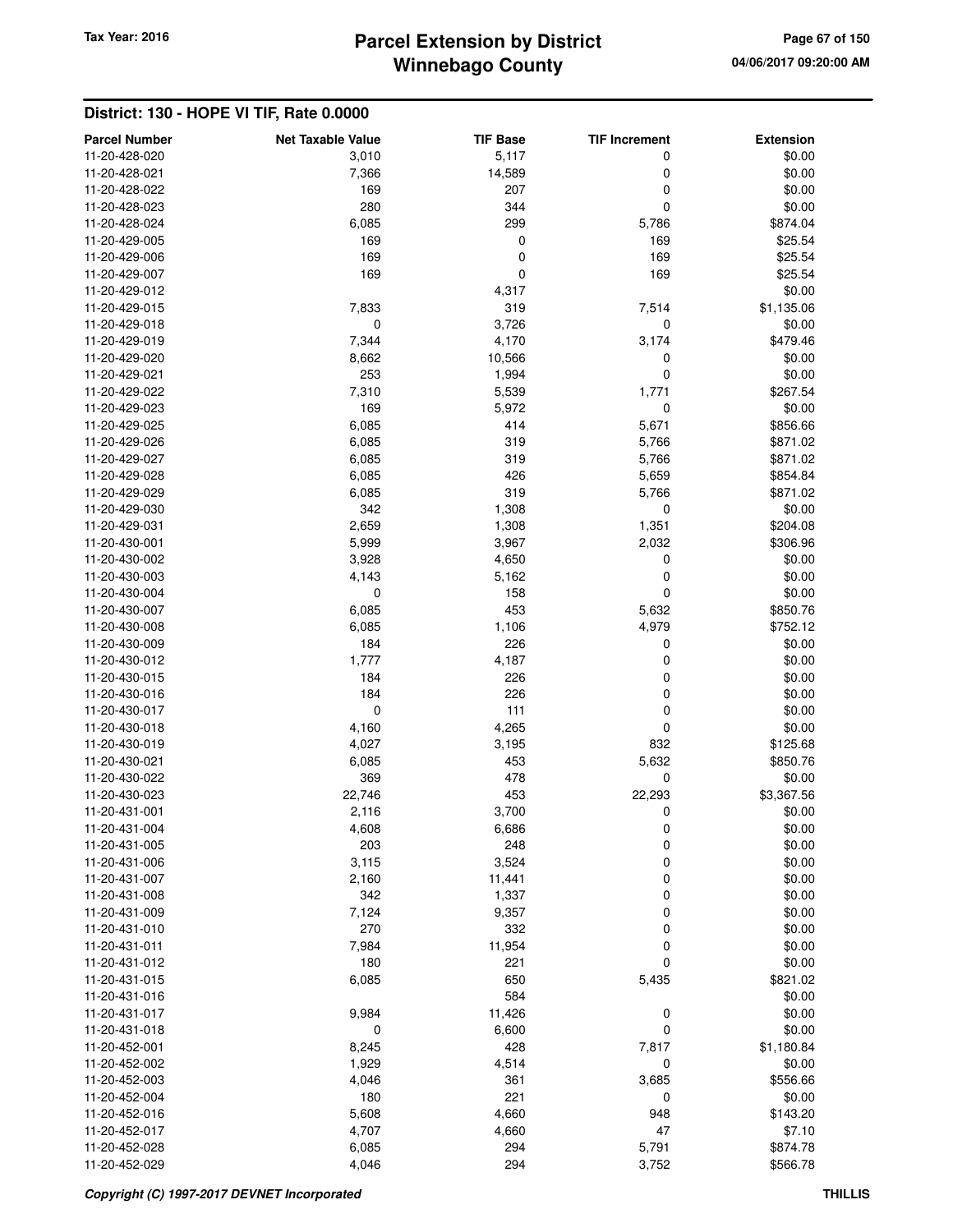# **Winnebago County** Tax Year: 2016 **Parcel Extension by District Page 67 of 150**

| <b>Parcel Number</b>           | <b>Net Taxable Value</b> | <b>TIF Base</b> | <b>TIF Increment</b> | <b>Extension</b>   |
|--------------------------------|--------------------------|-----------------|----------------------|--------------------|
| 11-20-428-020                  | 3,010                    | 5,117           | 0                    | \$0.00             |
| 11-20-428-021                  | 7,366                    | 14,589          | 0                    | \$0.00             |
| 11-20-428-022                  | 169                      | 207             | 0                    | \$0.00             |
| 11-20-428-023                  | 280                      | 344             | 0                    | \$0.00             |
| 11-20-428-024                  | 6,085                    | 299             | 5,786                | \$874.04           |
| 11-20-429-005                  | 169                      | 0               | 169                  | \$25.54            |
| 11-20-429-006                  | 169                      | 0               | 169                  | \$25.54            |
| 11-20-429-007                  | 169                      | 0               | 169                  | \$25.54            |
| 11-20-429-012                  |                          | 4,317           |                      | \$0.00             |
| 11-20-429-015                  | 7,833                    | 319             | 7,514                | \$1,135.06         |
| 11-20-429-018                  | $\mathbf 0$              | 3,726           | 0                    | \$0.00             |
| 11-20-429-019                  | 7,344                    | 4,170           | 3,174                | \$479.46           |
| 11-20-429-020                  | 8,662                    | 10,566          | 0                    | \$0.00             |
| 11-20-429-021                  | 253                      | 1,994           | 0                    | \$0.00             |
| 11-20-429-022                  | 7,310                    | 5,539           | 1,771                | \$267.54           |
| 11-20-429-023                  | 169                      | 5,972           | $\mathbf 0$          | \$0.00             |
| 11-20-429-025                  | 6,085                    | 414             | 5,671                | \$856.66           |
| 11-20-429-026                  | 6,085                    | 319             | 5,766                | \$871.02           |
| 11-20-429-027                  | 6,085                    | 319             | 5,766                | \$871.02           |
| 11-20-429-028                  | 6,085                    | 426             | 5,659                | \$854.84           |
| 11-20-429-029                  | 6,085                    | 319             | 5,766                | \$871.02           |
| 11-20-429-030                  | 342                      | 1,308           | 0                    | \$0.00             |
| 11-20-429-031                  | 2,659                    | 1,308           | 1,351                | \$204.08           |
| 11-20-430-001                  | 5,999                    | 3,967           | 2,032                | \$306.96           |
| 11-20-430-002                  | 3,928                    | 4,650           | $\mathbf 0$          | \$0.00             |
| 11-20-430-003                  | 4,143                    | 5,162           | $\mathbf 0$          | \$0.00             |
| 11-20-430-004<br>11-20-430-007 | $\mathbf 0$<br>6,085     | 158<br>453      | 0<br>5,632           | \$0.00<br>\$850.76 |
| 11-20-430-008                  | 6,085                    | 1,106           | 4,979                | \$752.12           |
| 11-20-430-009                  | 184                      | 226             | 0                    | \$0.00             |
| 11-20-430-012                  | 1,777                    | 4,187           | 0                    | \$0.00             |
| 11-20-430-015                  | 184                      | 226             | 0                    | \$0.00             |
| 11-20-430-016                  | 184                      | 226             | 0                    | \$0.00             |
| 11-20-430-017                  | $\mathbf 0$              | 111             | 0                    | \$0.00             |
| 11-20-430-018                  | 4,160                    | 4,265           | 0                    | \$0.00             |
| 11-20-430-019                  | 4,027                    | 3,195           | 832                  | \$125.68           |
| 11-20-430-021                  | 6,085                    | 453             | 5,632                | \$850.76           |
| 11-20-430-022                  | 369                      | 478             | 0                    | \$0.00             |
| 11-20-430-023                  | 22,746                   | 453             | 22,293               | \$3,367.56         |
| 11-20-431-001                  | 2,116                    | 3,700           | 0                    | \$0.00             |
| 11-20-431-004                  | 4,608                    | 6,686           | 0                    | \$0.00             |
| 11-20-431-005                  | 203                      | 248             | 0                    | \$0.00             |
| 11-20-431-006                  | 3,115                    | 3,524           | 0                    | \$0.00             |
| 11-20-431-007                  | 2,160                    | 11,441          | 0                    | \$0.00             |
| 11-20-431-008                  | 342                      | 1,337           | 0                    | \$0.00             |
| 11-20-431-009                  | 7,124                    | 9,357           | 0                    | \$0.00             |
| 11-20-431-010                  | 270                      | 332             | 0                    | \$0.00             |
| 11-20-431-011                  | 7,984                    | 11,954          | 0                    | \$0.00             |
| 11-20-431-012                  | 180                      | 221             | 0                    | \$0.00             |
| 11-20-431-015                  | 6,085                    | 650             | 5,435                | \$821.02           |
| 11-20-431-016<br>11-20-431-017 |                          | 584             |                      | \$0.00<br>\$0.00   |
| 11-20-431-018                  | 9,984<br>0               | 11,426<br>6,600 | 0<br>0               | \$0.00             |
| 11-20-452-001                  | 8,245                    | 428             | 7,817                | \$1,180.84         |
| 11-20-452-002                  | 1,929                    | 4,514           | $\mathbf 0$          | \$0.00             |
| 11-20-452-003                  | 4,046                    | 361             | 3,685                | \$556.66           |
| 11-20-452-004                  | 180                      | 221             | 0                    | \$0.00             |
| 11-20-452-016                  | 5,608                    | 4,660           | 948                  | \$143.20           |
| 11-20-452-017                  | 4,707                    | 4,660           | 47                   | \$7.10             |
| 11-20-452-028                  | 6,085                    | 294             | 5,791                | \$874.78           |
| 11-20-452-029                  | 4,046                    | 294             | 3,752                | \$566.78           |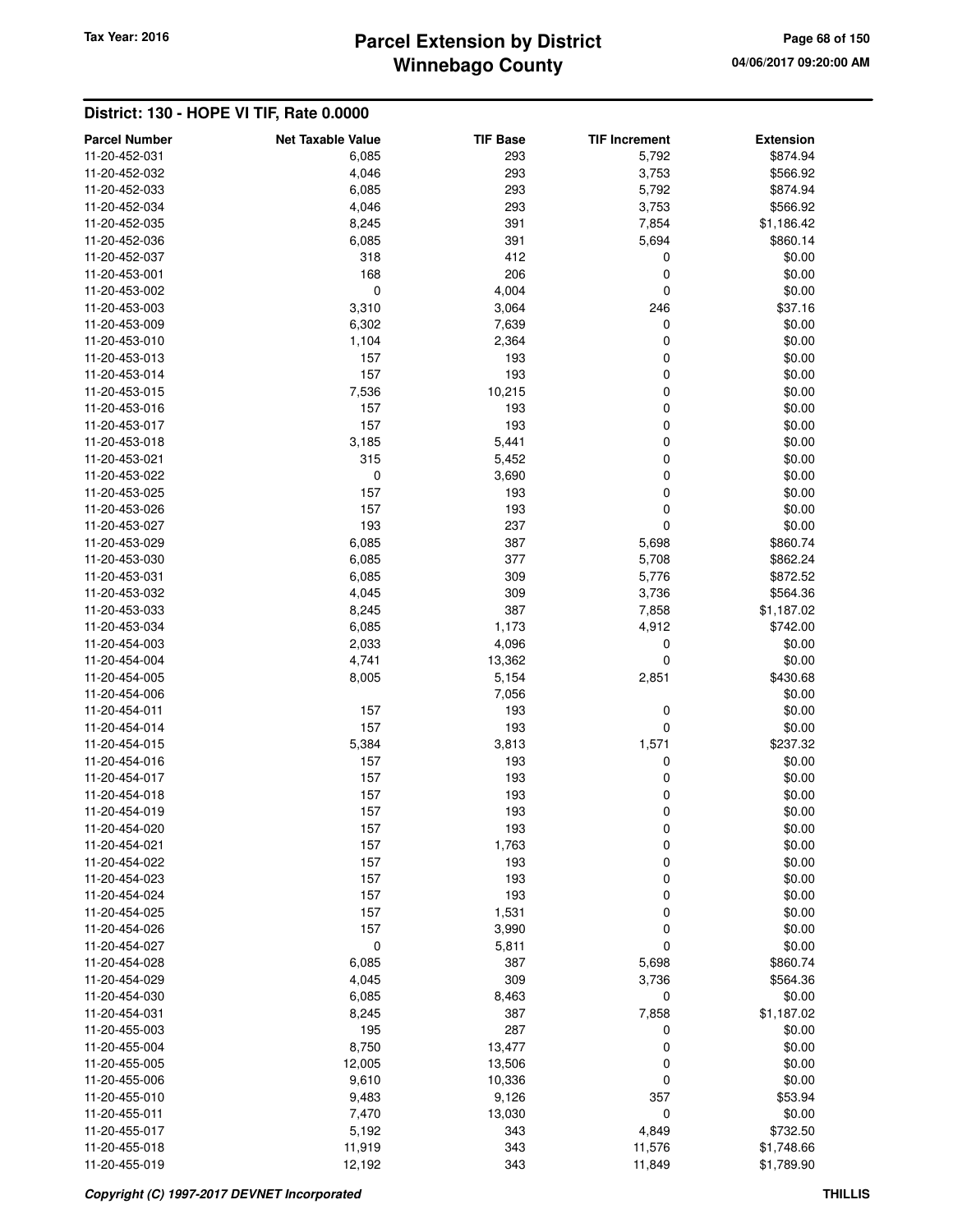# **Winnebago County** Tax Year: 2016 **Parcel Extension by District Page 68 of 150**

| <b>Parcel Number</b> | <b>Net Taxable Value</b> | <b>TIF Base</b> | <b>TIF Increment</b> | <b>Extension</b> |
|----------------------|--------------------------|-----------------|----------------------|------------------|
| 11-20-452-031        | 6,085                    | 293             | 5,792                | \$874.94         |
| 11-20-452-032        | 4,046                    | 293             | 3,753                | \$566.92         |
| 11-20-452-033        | 6,085                    | 293             | 5,792                | \$874.94         |
| 11-20-452-034        | 4,046                    | 293             | 3,753                | \$566.92         |
| 11-20-452-035        | 8,245                    | 391             | 7,854                | \$1,186.42       |
| 11-20-452-036        |                          | 391             |                      | \$860.14         |
| 11-20-452-037        | 6,085<br>318             | 412             | 5,694                |                  |
| 11-20-453-001        | 168                      | 206             | 0                    | \$0.00           |
|                      |                          |                 | 0                    | \$0.00           |
| 11-20-453-002        | $\mathbf 0$              | 4,004           | 0                    | \$0.00           |
| 11-20-453-003        | 3,310                    | 3,064           | 246                  | \$37.16          |
| 11-20-453-009        | 6,302                    | 7,639           | 0                    | \$0.00           |
| 11-20-453-010        | 1,104                    | 2,364           | 0                    | \$0.00           |
| 11-20-453-013        | 157                      | 193             | 0                    | \$0.00           |
| 11-20-453-014        | 157                      | 193             | 0                    | \$0.00           |
| 11-20-453-015        | 7,536                    | 10,215          | 0                    | \$0.00           |
| 11-20-453-016        | 157                      | 193             | 0                    | \$0.00           |
| 11-20-453-017        | 157                      | 193             | 0                    | \$0.00           |
| 11-20-453-018        | 3,185                    | 5,441           | 0                    | \$0.00           |
| 11-20-453-021        | 315                      | 5,452           | 0                    | \$0.00           |
| 11-20-453-022        | 0                        | 3,690           | 0                    | \$0.00           |
| 11-20-453-025        | 157                      | 193             | 0                    | \$0.00           |
| 11-20-453-026        | 157                      | 193             | 0                    | \$0.00           |
| 11-20-453-027        | 193                      | 237             | 0                    | \$0.00           |
| 11-20-453-029        | 6,085                    | 387             | 5,698                | \$860.74         |
| 11-20-453-030        | 6,085                    | 377             | 5,708                | \$862.24         |
| 11-20-453-031        | 6,085                    | 309             | 5,776                | \$872.52         |
| 11-20-453-032        | 4,045                    | 309             | 3,736                | \$564.36         |
| 11-20-453-033        | 8,245                    | 387             | 7,858                | \$1,187.02       |
| 11-20-453-034        | 6,085                    | 1,173           | 4,912                | \$742.00         |
| 11-20-454-003        | 2,033                    | 4,096           | $\mathbf 0$          | \$0.00           |
| 11-20-454-004        | 4,741                    | 13,362          | 0                    | \$0.00           |
| 11-20-454-005        | 8,005                    | 5,154           | 2,851                | \$430.68         |
| 11-20-454-006        |                          | 7,056           |                      | \$0.00           |
| 11-20-454-011        | 157                      | 193             | 0                    | \$0.00           |
| 11-20-454-014        | 157                      | 193             | 0                    | \$0.00           |
| 11-20-454-015        | 5,384                    | 3,813           | 1,571                | \$237.32         |
| 11-20-454-016        | 157                      | 193             | 0                    | \$0.00           |
| 11-20-454-017        | 157                      | 193             | 0                    | \$0.00           |
| 11-20-454-018        | 157                      | 193             | 0                    | \$0.00           |
| 11-20-454-019        | 157                      | 193             | 0                    | \$0.00           |
| 11-20-454-020        | 157                      | 193             | 0                    | \$0.00           |
| 11-20-454-021        | 157                      | 1,763           | 0                    | \$0.00           |
| 11-20-454-022        | 157                      | 193             | 0                    | \$0.00           |
| 11-20-454-023        | 157                      | 193             | 0                    | \$0.00           |
| 11-20-454-024        | 157                      | 193             | 0                    | \$0.00           |
| 11-20-454-025        | 157                      | 1,531           | 0                    | \$0.00           |
| 11-20-454-026        | 157                      | 3,990           | 0                    | \$0.00           |
| 11-20-454-027        | $\boldsymbol{0}$         | 5,811           | 0                    | \$0.00           |
| 11-20-454-028        | 6,085                    | 387             | 5,698                | \$860.74         |
| 11-20-454-029        | 4,045                    | 309             | 3,736                | \$564.36         |
| 11-20-454-030        | 6,085                    | 8,463           | 0                    | \$0.00           |
| 11-20-454-031        | 8,245                    | 387             | 7,858                | \$1,187.02       |
| 11-20-455-003        | 195                      | 287             | 0                    | \$0.00           |
| 11-20-455-004        | 8,750                    | 13,477          | 0                    | \$0.00           |
| 11-20-455-005        | 12,005                   | 13,506          | 0                    | \$0.00           |
| 11-20-455-006        | 9,610                    | 10,336          | 0                    | \$0.00           |
| 11-20-455-010        | 9,483                    | 9,126           | 357                  | \$53.94          |
| 11-20-455-011        | 7,470                    | 13,030          | $\mathbf 0$          | \$0.00           |
| 11-20-455-017        | 5,192                    | 343             | 4,849                | \$732.50         |
| 11-20-455-018        | 11,919                   | 343             | 11,576               | \$1,748.66       |
| 11-20-455-019        | 12,192                   | 343             | 11,849               | \$1,789.90       |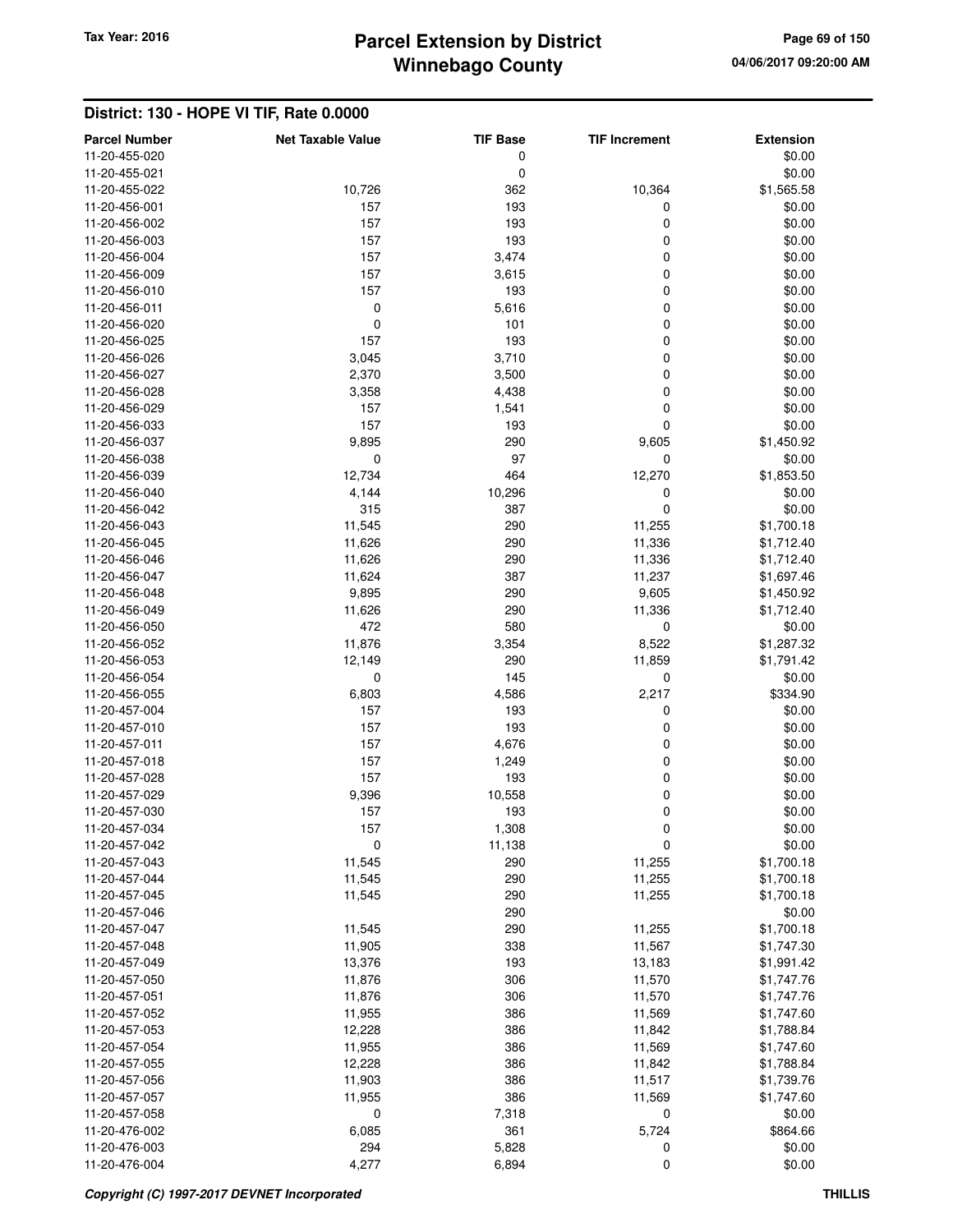# **Winnebago County** Tax Year: 2016 **Parcel Extension by District Page 69 of 150**

| <b>Parcel Number</b> | <b>Net Taxable Value</b> | <b>TIF Base</b> | <b>TIF Increment</b> | <b>Extension</b> |
|----------------------|--------------------------|-----------------|----------------------|------------------|
| 11-20-455-020        |                          | 0               |                      | \$0.00           |
| 11-20-455-021        |                          | 0               |                      | \$0.00           |
|                      |                          |                 |                      |                  |
| 11-20-455-022        | 10,726                   | 362             | 10,364               | \$1,565.58       |
| 11-20-456-001        | 157                      | 193             | 0                    | \$0.00           |
| 11-20-456-002        | 157                      | 193             | 0                    | \$0.00           |
| 11-20-456-003        | 157                      | 193             | 0                    | \$0.00           |
| 11-20-456-004        | 157                      | 3,474           | 0                    | \$0.00           |
| 11-20-456-009        | 157                      | 3,615           | 0                    | \$0.00           |
| 11-20-456-010        | 157                      | 193             | 0                    | \$0.00           |
| 11-20-456-011        | 0                        | 5,616           | 0                    | \$0.00           |
| 11-20-456-020        | 0                        | 101             | 0                    | \$0.00           |
| 11-20-456-025        | 157                      | 193             | 0                    | \$0.00           |
|                      |                          | 3,710           | 0                    | \$0.00           |
| 11-20-456-026        | 3,045                    |                 |                      |                  |
| 11-20-456-027        | 2,370                    | 3,500           | 0                    | \$0.00           |
| 11-20-456-028        | 3,358                    | 4,438           | 0                    | \$0.00           |
| 11-20-456-029        | 157                      | 1,541           | 0                    | \$0.00           |
| 11-20-456-033        | 157                      | 193             | 0                    | \$0.00           |
| 11-20-456-037        | 9,895                    | 290             | 9,605                | \$1,450.92       |
| 11-20-456-038        | 0                        | 97              | 0                    | \$0.00           |
| 11-20-456-039        | 12,734                   | 464             | 12,270               | \$1,853.50       |
| 11-20-456-040        | 4,144                    | 10,296          | 0                    | \$0.00           |
| 11-20-456-042        | 315                      | 387             | 0                    | \$0.00           |
| 11-20-456-043        | 11,545                   | 290             | 11,255               | \$1,700.18       |
|                      |                          |                 |                      |                  |
| 11-20-456-045        | 11,626                   | 290             | 11,336               | \$1,712.40       |
| 11-20-456-046        | 11,626                   | 290             | 11,336               | \$1,712.40       |
| 11-20-456-047        | 11,624                   | 387             | 11,237               | \$1,697.46       |
| 11-20-456-048        | 9,895                    | 290             | 9,605                | \$1,450.92       |
| 11-20-456-049        | 11,626                   | 290             | 11,336               | \$1,712.40       |
| 11-20-456-050        | 472                      | 580             | 0                    | \$0.00           |
| 11-20-456-052        | 11,876                   | 3,354           | 8,522                | \$1,287.32       |
| 11-20-456-053        | 12,149                   | 290             | 11,859               | \$1,791.42       |
| 11-20-456-054        | 0                        | 145             | 0                    | \$0.00           |
| 11-20-456-055        | 6,803                    | 4,586           | 2,217                | \$334.90         |
| 11-20-457-004        | 157                      | 193             | 0                    | \$0.00           |
|                      |                          |                 |                      |                  |
| 11-20-457-010        | 157                      | 193             | 0                    | \$0.00           |
| 11-20-457-011        | 157                      | 4,676           | 0                    | \$0.00           |
| 11-20-457-018        | 157                      | 1,249           | 0                    | \$0.00           |
| 11-20-457-028        | 157                      | 193             | 0                    | \$0.00           |
| 11-20-457-029        | 9,396                    | 10,558          | 0                    | \$0.00           |
| 11-20-457-030        | 157                      | 193             | 0                    | \$0.00           |
| 11-20-457-034        | 157                      | 1,308           | O                    | \$0.00           |
| 11-20-457-042        | 0                        | 11,138          | 0                    | \$0.00           |
| 11-20-457-043        | 11,545                   | 290             | 11,255               | \$1,700.18       |
| 11-20-457-044        | 11,545                   | 290             | 11,255               | \$1,700.18       |
| 11-20-457-045        | 11,545                   | 290             | 11,255               | \$1,700.18       |
| 11-20-457-046        |                          | 290             |                      | \$0.00           |
|                      |                          |                 |                      |                  |
| 11-20-457-047        | 11,545                   | 290             | 11,255               | \$1,700.18       |
| 11-20-457-048        | 11,905                   | 338             | 11,567               | \$1,747.30       |
| 11-20-457-049        | 13,376                   | 193             | 13,183               | \$1,991.42       |
| 11-20-457-050        | 11,876                   | 306             | 11,570               | \$1,747.76       |
| 11-20-457-051        | 11,876                   | 306             | 11,570               | \$1,747.76       |
| 11-20-457-052        | 11,955                   | 386             | 11,569               | \$1,747.60       |
| 11-20-457-053        | 12,228                   | 386             | 11,842               | \$1,788.84       |
| 11-20-457-054        | 11,955                   | 386             | 11,569               | \$1,747.60       |
| 11-20-457-055        | 12,228                   | 386             | 11,842               | \$1,788.84       |
| 11-20-457-056        | 11,903                   | 386             | 11,517               | \$1,739.76       |
| 11-20-457-057        | 11,955                   | 386             | 11,569               | \$1,747.60       |
|                      |                          |                 |                      |                  |
| 11-20-457-058        | $\mathbf 0$              | 7,318           | 0                    | \$0.00           |
| 11-20-476-002        | 6,085                    | 361             | 5,724                | \$864.66         |
| 11-20-476-003        | 294                      | 5,828           | 0                    | \$0.00           |
| 11-20-476-004        | 4,277                    | 6,894           | 0                    | \$0.00           |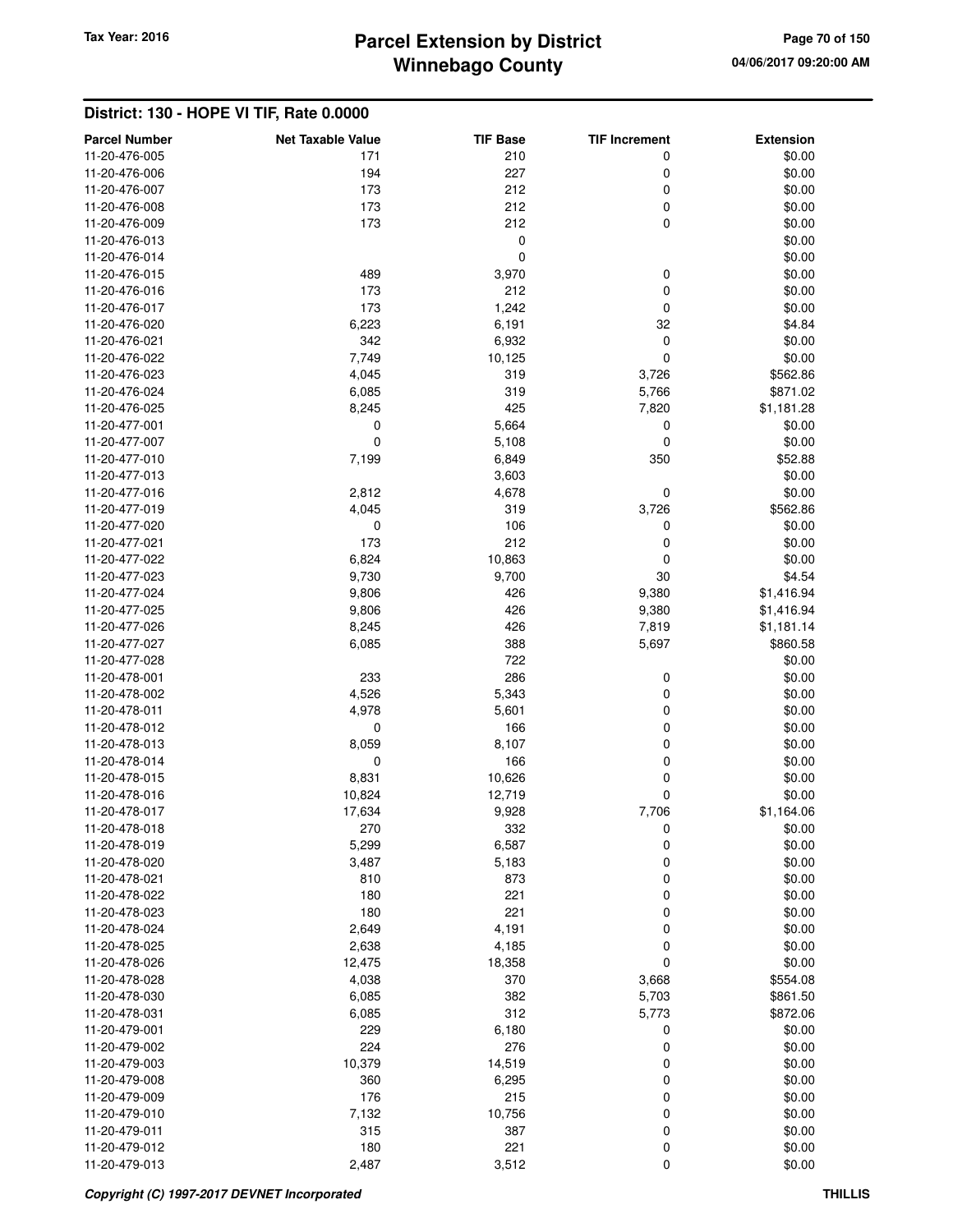# **Winnebago County** Tax Year: 2016 **Parcel Extension by District Page 70 of 150**

| <b>Parcel Number</b>           | <b>Net Taxable Value</b> | <b>TIF Base</b> | <b>TIF Increment</b> | <b>Extension</b>     |
|--------------------------------|--------------------------|-----------------|----------------------|----------------------|
| 11-20-476-005                  | 171                      | 210             | 0                    | \$0.00               |
| 11-20-476-006                  | 194                      | 227             | 0                    | \$0.00               |
| 11-20-476-007                  | 173                      | 212             | 0                    | \$0.00               |
| 11-20-476-008                  | 173                      | 212             | 0                    | \$0.00               |
| 11-20-476-009                  | 173                      | 212             | $\mathbf 0$          | \$0.00               |
| 11-20-476-013                  |                          | $\mathbf 0$     |                      | \$0.00               |
| 11-20-476-014                  |                          | 0               |                      | \$0.00               |
| 11-20-476-015                  | 489                      | 3,970           | 0                    | \$0.00               |
| 11-20-476-016                  | 173                      | 212             | 0                    | \$0.00               |
| 11-20-476-017                  | 173                      | 1,242           | $\mathbf 0$          | \$0.00               |
| 11-20-476-020                  | 6,223                    | 6,191           | 32                   | \$4.84               |
| 11-20-476-021                  | 342                      | 6,932           | $\mathbf 0$          | \$0.00               |
| 11-20-476-022                  | 7,749                    | 10,125          | 0                    | \$0.00               |
| 11-20-476-023                  | 4,045                    | 319             | 3,726                | \$562.86             |
| 11-20-476-024                  | 6,085                    | 319             | 5,766                | \$871.02             |
| 11-20-476-025                  | 8,245                    | 425             | 7,820                | \$1,181.28           |
| 11-20-477-001                  | 0                        | 5,664           | 0                    | \$0.00               |
| 11-20-477-007                  | 0                        | 5,108           | 0                    | \$0.00               |
| 11-20-477-010                  | 7,199                    | 6,849           | 350                  | \$52.88              |
| 11-20-477-013                  |                          | 3,603           |                      | \$0.00               |
| 11-20-477-016                  | 2,812                    | 4,678           | $\boldsymbol{0}$     | \$0.00               |
| 11-20-477-019                  | 4,045                    | 319             | 3,726                | \$562.86             |
| 11-20-477-020                  | 0                        | 106             | 0                    | \$0.00               |
| 11-20-477-021                  | 173                      | 212             | 0                    | \$0.00               |
| 11-20-477-022                  | 6,824                    | 10,863          | $\mathbf 0$          | \$0.00               |
| 11-20-477-023                  | 9,730                    | 9,700           | 30                   | \$4.54               |
| 11-20-477-024                  | 9,806                    | 426             | 9,380                | \$1,416.94           |
| 11-20-477-025                  | 9,806                    | 426             | 9,380                | \$1,416.94           |
| 11-20-477-026                  | 8,245                    | 426             | 7,819                | \$1,181.14           |
| 11-20-477-027                  | 6,085                    | 388             | 5,697                | \$860.58             |
| 11-20-477-028                  |                          | 722             |                      | \$0.00               |
| 11-20-478-001                  | 233                      | 286             | 0                    | \$0.00               |
| 11-20-478-002                  | 4,526                    | 5,343           | 0                    | \$0.00               |
| 11-20-478-011                  | 4,978                    | 5,601           | 0                    | \$0.00               |
| 11-20-478-012                  | 0                        | 166             | $\mathbf 0$          | \$0.00               |
| 11-20-478-013                  | 8,059                    | 8,107           | $\mathbf 0$          | \$0.00               |
| 11-20-478-014                  | 0                        | 166             | $\mathbf 0$          | \$0.00               |
| 11-20-478-015                  | 8,831                    | 10,626          | 0                    | \$0.00               |
| 11-20-478-016                  | 10,824                   | 12,719          | $\mathbf 0$          | \$0.00               |
| 11-20-478-017<br>11-20-478-018 | 17,634<br>270            | 9,928           | 7,706                | \$1,164.06<br>\$0.00 |
| 11-20-478-019                  | 5,299                    | 332<br>6,587    | 0<br>0               | \$0.00               |
| 11-20-478-020                  | 3,487                    | 5,183           | $\mathbf 0$          | \$0.00               |
| 11-20-478-021                  | 810                      | 873             | $\mathbf 0$          | \$0.00               |
| 11-20-478-022                  | 180                      | 221             | $\mathbf 0$          | \$0.00               |
| 11-20-478-023                  | 180                      | 221             | $\mathbf 0$          | \$0.00               |
| 11-20-478-024                  | 2,649                    | 4,191           | $\mathbf 0$          | \$0.00               |
| 11-20-478-025                  | 2,638                    | 4,185           | 0                    | \$0.00               |
| 11-20-478-026                  | 12,475                   | 18,358          | $\mathbf 0$          | \$0.00               |
| 11-20-478-028                  | 4,038                    | 370             | 3,668                | \$554.08             |
| 11-20-478-030                  | 6,085                    | 382             | 5,703                | \$861.50             |
| 11-20-478-031                  | 6,085                    | 312             | 5,773                | \$872.06             |
| 11-20-479-001                  | 229                      | 6,180           | 0                    | \$0.00               |
| 11-20-479-002                  | 224                      | 276             | 0                    | \$0.00               |
| 11-20-479-003                  | 10,379                   | 14,519          | 0                    | \$0.00               |
| 11-20-479-008                  | 360                      | 6,295           | $\mathbf 0$          | \$0.00               |
| 11-20-479-009                  | 176                      | 215             | $\mathbf 0$          | \$0.00               |
| 11-20-479-010                  | 7,132                    | 10,756          | $\mathbf 0$          | \$0.00               |
| 11-20-479-011                  | 315                      | 387             | 0                    | \$0.00               |
| 11-20-479-012                  | 180                      | 221             | 0                    | \$0.00               |
| 11-20-479-013                  | 2,487                    | 3,512           | $\mathbf 0$          | \$0.00               |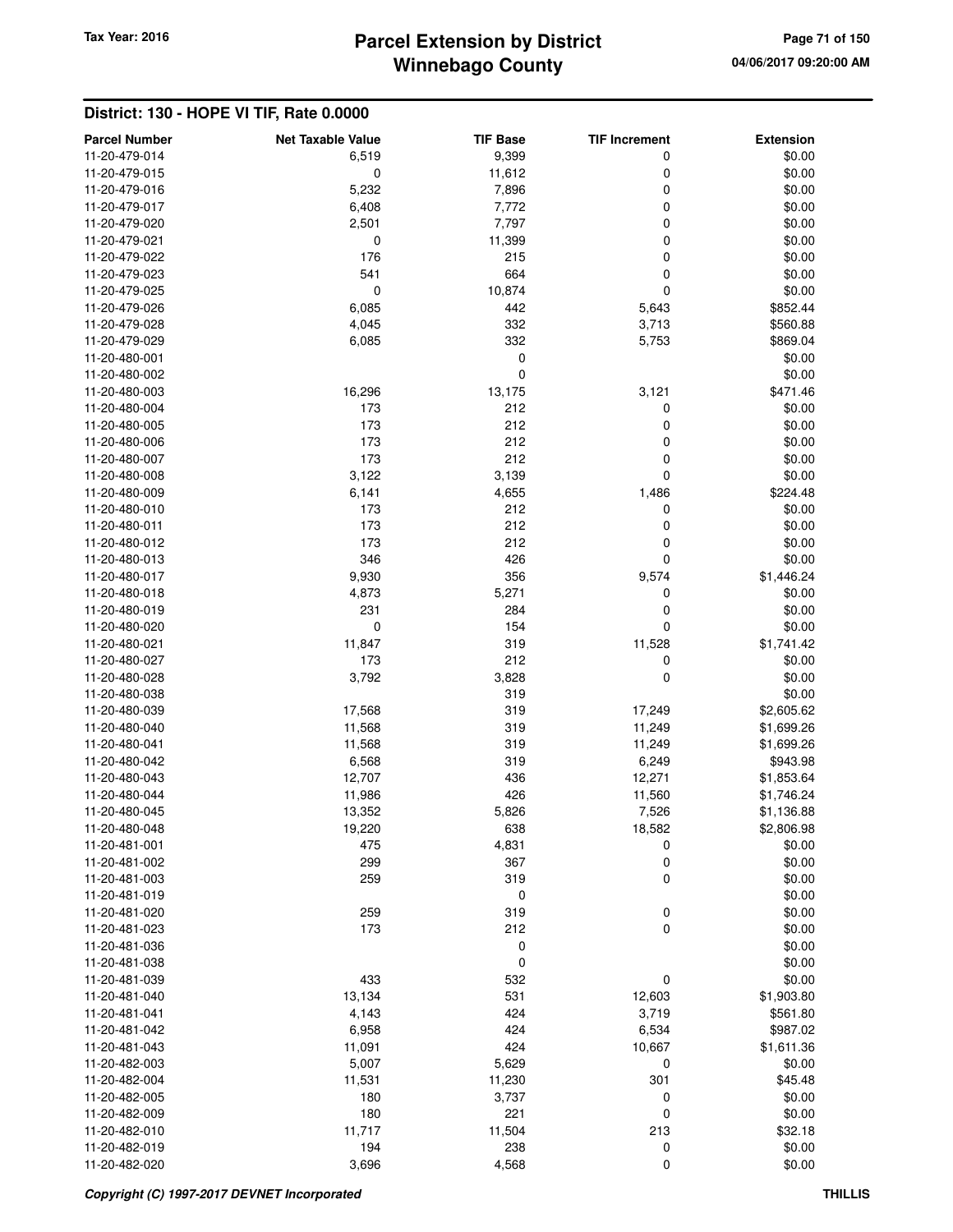# **Winnebago County** Tax Year: 2016 **Parcel Extension by District Page 71 of 150**

| <b>Parcel Number</b> | <b>Net Taxable Value</b> | <b>TIF Base</b> | <b>TIF Increment</b> | <b>Extension</b> |
|----------------------|--------------------------|-----------------|----------------------|------------------|
| 11-20-479-014        | 6,519                    | 9,399           | 0                    | \$0.00           |
| 11-20-479-015        | $\mathbf 0$              | 11,612          | 0                    | \$0.00           |
| 11-20-479-016        | 5,232                    | 7,896           | 0                    | \$0.00           |
| 11-20-479-017        | 6,408                    | 7,772           | 0                    | \$0.00           |
| 11-20-479-020        | 2,501                    | 7,797           | 0                    | \$0.00           |
| 11-20-479-021        | $\mathbf 0$              | 11,399          | 0                    | \$0.00           |
| 11-20-479-022        | 176                      | 215             | 0                    | \$0.00           |
| 11-20-479-023        | 541                      | 664             | 0                    | \$0.00           |
| 11-20-479-025        | $\mathbf 0$              | 10,874          | 0                    | \$0.00           |
| 11-20-479-026        | 6,085                    | 442             | 5,643                | \$852.44         |
| 11-20-479-028        | 4,045                    | 332             | 3,713                | \$560.88         |
| 11-20-479-029        | 6,085                    | 332             | 5,753                | \$869.04         |
| 11-20-480-001        |                          | 0               |                      | \$0.00           |
| 11-20-480-002        |                          | 0               |                      | \$0.00           |
| 11-20-480-003        | 16,296                   | 13,175          | 3,121                | \$471.46         |
| 11-20-480-004        | 173                      | 212             | 0                    | \$0.00           |
| 11-20-480-005        | 173                      | 212             | 0                    | \$0.00           |
| 11-20-480-006        | 173                      | 212             | 0                    | \$0.00           |
| 11-20-480-007        | 173                      | 212             | 0                    | \$0.00           |
| 11-20-480-008        | 3,122                    | 3,139           | 0                    | \$0.00           |
| 11-20-480-009        | 6,141                    | 4,655           | 1,486                | \$224.48         |
| 11-20-480-010        | 173                      | 212             | 0                    | \$0.00           |
| 11-20-480-011        | 173                      | 212             | 0                    | \$0.00           |
| 11-20-480-012        | 173                      | 212             | 0                    | \$0.00           |
| 11-20-480-013        | 346                      | 426             | 0                    | \$0.00           |
| 11-20-480-017        | 9,930                    | 356             | 9,574                | \$1,446.24       |
| 11-20-480-018        | 4,873                    | 5,271           | 0                    | \$0.00           |
| 11-20-480-019        | 231                      | 284             | 0                    | \$0.00           |
| 11-20-480-020        | $\mathbf 0$              | 154             | 0                    | \$0.00           |
| 11-20-480-021        | 11,847                   | 319             | 11,528               | \$1,741.42       |
| 11-20-480-027        | 173                      | 212             | 0                    | \$0.00           |
| 11-20-480-028        | 3,792                    | 3,828           | $\mathbf 0$          | \$0.00           |
| 11-20-480-038        |                          | 319             |                      | \$0.00           |
| 11-20-480-039        | 17,568                   | 319             | 17,249               | \$2,605.62       |
| 11-20-480-040        | 11,568                   | 319             | 11,249               | \$1,699.26       |
| 11-20-480-041        | 11,568                   | 319             | 11,249               | \$1,699.26       |
| 11-20-480-042        | 6,568                    | 319             | 6,249                | \$943.98         |
| 11-20-480-043        | 12,707                   | 436             | 12,271               | \$1,853.64       |
| 11-20-480-044        | 11,986                   | 426             | 11,560               | \$1,746.24       |
| 11-20-480-045        | 13,352                   | 5,826           | 7,526                | \$1,136.88       |
| 11-20-480-048        | 19,220                   | 638             | 18,582               | \$2,806.98       |
| 11-20-481-001        | 475                      | 4,831           | 0                    | \$0.00           |
| 11-20-481-002        | 299                      | 367             | 0                    | \$0.00           |
| 11-20-481-003        | 259                      | 319             | 0                    | \$0.00           |
| 11-20-481-019        |                          | $\pmb{0}$       |                      | \$0.00           |
| 11-20-481-020        | 259                      | 319             | 0                    | \$0.00           |
| 11-20-481-023        | 173                      | 212             | 0                    | \$0.00           |
| 11-20-481-036        |                          | 0               |                      | \$0.00           |
| 11-20-481-038        |                          | $\pmb{0}$       |                      | \$0.00           |
| 11-20-481-039        | 433                      | 532             | 0                    | \$0.00           |
| 11-20-481-040        | 13,134                   | 531             | 12,603               | \$1,903.80       |
| 11-20-481-041        |                          | 424             | 3,719                | \$561.80         |
| 11-20-481-042        | 4,143<br>6,958           | 424             | 6,534                | \$987.02         |
|                      |                          | 424             |                      |                  |
| 11-20-481-043        | 11,091                   |                 | 10,667               | \$1,611.36       |
| 11-20-482-003        | 5,007                    | 5,629           | 0                    | \$0.00           |
| 11-20-482-004        | 11,531                   | 11,230          | 301                  | \$45.48          |
| 11-20-482-005        | 180                      | 3,737           | 0                    | \$0.00           |
| 11-20-482-009        | 180                      | 221             | 0                    | \$0.00           |
| 11-20-482-010        | 11,717                   | 11,504          | 213                  | \$32.18          |
| 11-20-482-019        | 194                      | 238             | 0                    | \$0.00           |
| 11-20-482-020        | 3,696                    | 4,568           | 0                    | \$0.00           |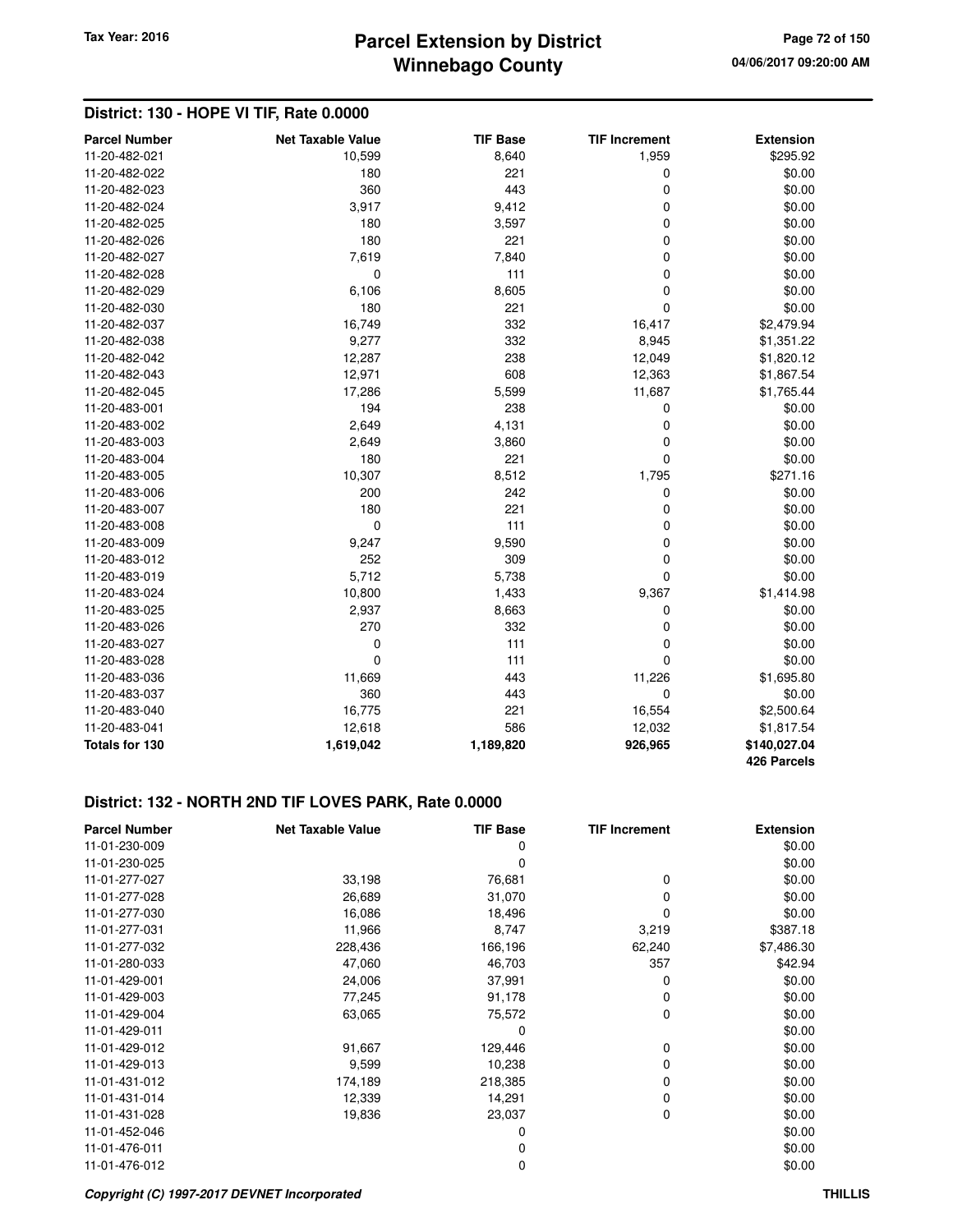# **Winnebago County Parcel Extension by District Tax Year: 2016 Page 72 of 150**

### **District: 130 - HOPE VI TIF, Rate 0.0000**

| <b>Parcel Number</b> | <b>Net Taxable Value</b> | <b>TIF Base</b> | <b>TIF Increment</b> | <b>Extension</b> |
|----------------------|--------------------------|-----------------|----------------------|------------------|
| 11-20-482-021        | 10,599                   | 8,640           | 1,959                | \$295.92         |
| 11-20-482-022        | 180                      | 221             | 0                    | \$0.00           |
| 11-20-482-023        | 360                      | 443             | $\mathbf 0$          | \$0.00           |
| 11-20-482-024        | 3,917                    | 9,412           | $\mathbf 0$          | \$0.00           |
| 11-20-482-025        | 180                      | 3,597           | $\mathbf 0$          | \$0.00           |
| 11-20-482-026        | 180                      | 221             | $\mathbf 0$          | \$0.00           |
| 11-20-482-027        | 7,619                    | 7,840           | $\mathbf 0$          | \$0.00           |
| 11-20-482-028        | 0                        | 111             | 0                    | \$0.00           |
| 11-20-482-029        | 6,106                    | 8,605           | 0                    | \$0.00           |
| 11-20-482-030        | 180                      | 221             | $\mathbf 0$          | \$0.00           |
| 11-20-482-037        | 16,749                   | 332             | 16,417               | \$2,479.94       |
| 11-20-482-038        | 9,277                    | 332             | 8,945                | \$1,351.22       |
| 11-20-482-042        | 12,287                   | 238             | 12,049               | \$1,820.12       |
| 11-20-482-043        | 12,971                   | 608             | 12,363               | \$1,867.54       |
| 11-20-482-045        | 17,286                   | 5,599           | 11,687               | \$1,765.44       |
| 11-20-483-001        | 194                      | 238             | 0                    | \$0.00           |
| 11-20-483-002        | 2,649                    | 4,131           | $\mathbf 0$          | \$0.00           |
| 11-20-483-003        | 2,649                    | 3,860           | $\mathbf 0$          | \$0.00           |
| 11-20-483-004        | 180                      | 221             | 0                    | \$0.00           |
| 11-20-483-005        | 10,307                   | 8,512           | 1,795                | \$271.16         |
| 11-20-483-006        | 200                      | 242             | 0                    | \$0.00           |
| 11-20-483-007        | 180                      | 221             | $\mathbf 0$          | \$0.00           |
| 11-20-483-008        | 0                        | 111             | $\mathbf 0$          | \$0.00           |
| 11-20-483-009        | 9,247                    | 9,590           | $\mathbf 0$          | \$0.00           |
| 11-20-483-012        | 252                      | 309             | $\mathbf 0$          | \$0.00           |
| 11-20-483-019        | 5,712                    | 5,738           | 0                    | \$0.00           |
| 11-20-483-024        | 10,800                   | 1,433           | 9,367                | \$1,414.98       |
| 11-20-483-025        | 2,937                    | 8,663           | 0                    | \$0.00           |
| 11-20-483-026        | 270                      | 332             | $\mathbf 0$          | \$0.00           |
| 11-20-483-027        | 0                        | 111             | $\mathbf 0$          | \$0.00           |
| 11-20-483-028        | 0                        | 111             | $\Omega$             | \$0.00           |
| 11-20-483-036        | 11,669                   | 443             | 11,226               | \$1,695.80       |
| 11-20-483-037        | 360                      | 443             | $\mathbf 0$          | \$0.00           |
| 11-20-483-040        | 16,775                   | 221             | 16,554               | \$2,500.64       |
| 11-20-483-041        | 12,618                   | 586             | 12,032               | \$1,817.54       |
| Totals for 130       | 1,619,042                | 1,189,820       | 926,965              | \$140,027.04     |
|                      |                          |                 |                      | 426 Parcels      |

#### **District: 132 - NORTH 2ND TIF LOVES PARK, Rate 0.0000**

| <b>Parcel Number</b> | <b>Net Taxable Value</b> | <b>TIF Base</b> | <b>TIF Increment</b> | <b>Extension</b> |
|----------------------|--------------------------|-----------------|----------------------|------------------|
| 11-01-230-009        |                          | 0               |                      | \$0.00           |
| 11-01-230-025        |                          | 0               |                      | \$0.00           |
| 11-01-277-027        | 33,198                   | 76,681          | 0                    | \$0.00           |
| 11-01-277-028        | 26,689                   | 31,070          | 0                    | \$0.00           |
| 11-01-277-030        | 16,086                   | 18,496          | 0                    | \$0.00           |
| 11-01-277-031        | 11,966                   | 8,747           | 3,219                | \$387.18         |
| 11-01-277-032        | 228,436                  | 166,196         | 62,240               | \$7,486.30       |
| 11-01-280-033        | 47,060                   | 46,703          | 357                  | \$42.94          |
| 11-01-429-001        | 24,006                   | 37,991          | 0                    | \$0.00           |
| 11-01-429-003        | 77,245                   | 91,178          | 0                    | \$0.00           |
| 11-01-429-004        | 63,065                   | 75,572          | 0                    | \$0.00           |
| 11-01-429-011        |                          | 0               |                      | \$0.00           |
| 11-01-429-012        | 91,667                   | 129,446         | 0                    | \$0.00           |
| 11-01-429-013        | 9,599                    | 10,238          | 0                    | \$0.00           |
| 11-01-431-012        | 174,189                  | 218,385         | 0                    | \$0.00           |
| 11-01-431-014        | 12,339                   | 14,291          | 0                    | \$0.00           |
| 11-01-431-028        | 19,836                   | 23,037          | 0                    | \$0.00           |
| 11-01-452-046        |                          | 0               |                      | \$0.00           |
| 11-01-476-011        |                          | 0               |                      | \$0.00           |
| 11-01-476-012        |                          | 0               |                      | \$0.00           |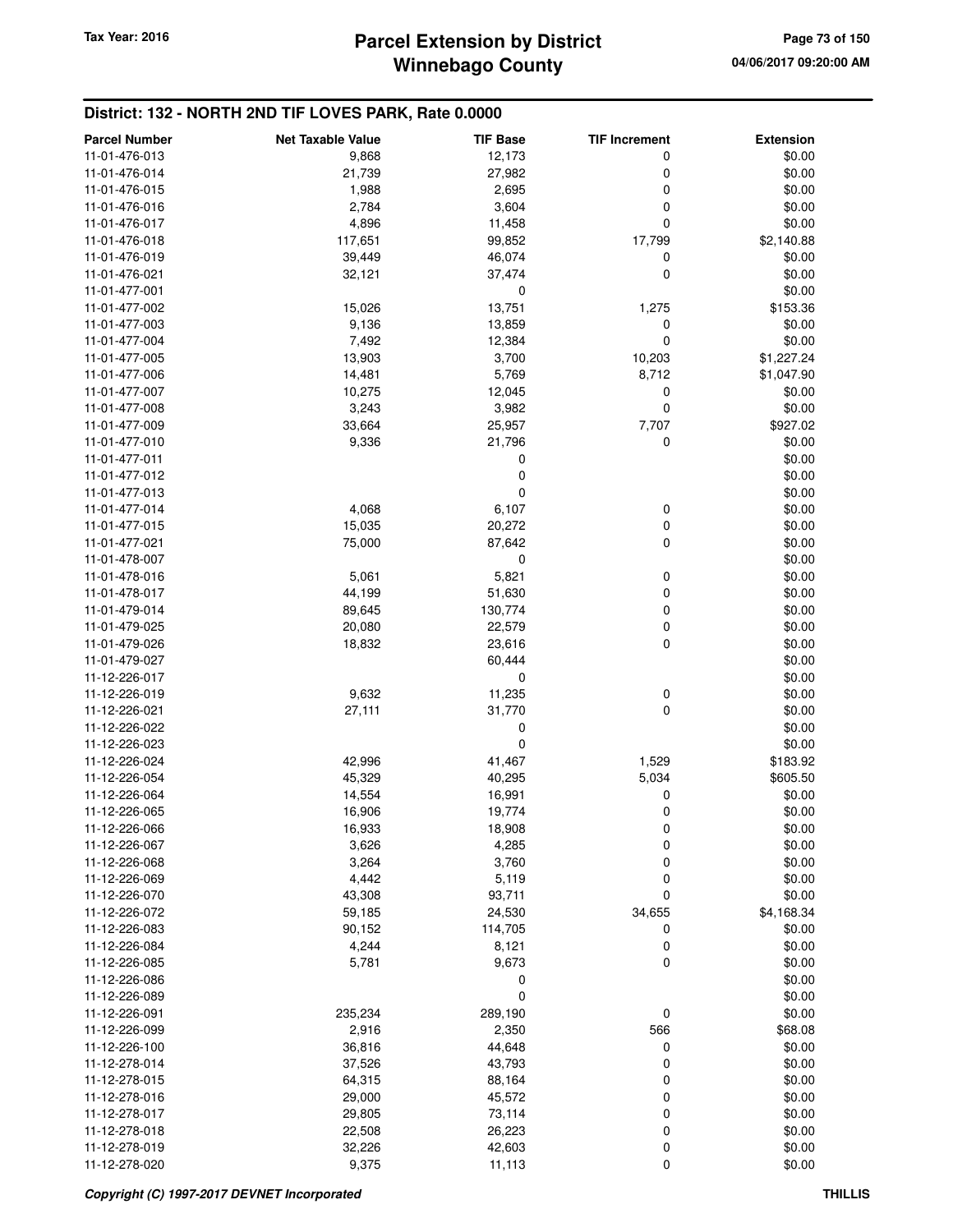## **Winnebago County Parcel Extension by District Tax Year: 2016 Page 73 of 150**

| <b>Parcel Number</b> | <b>Net Taxable Value</b> | <b>TIF Base</b> | <b>TIF Increment</b> | <b>Extension</b> |
|----------------------|--------------------------|-----------------|----------------------|------------------|
| 11-01-476-013        | 9,868                    | 12,173          | 0                    | \$0.00           |
| 11-01-476-014        | 21,739                   | 27,982          | 0                    | \$0.00           |
| 11-01-476-015        | 1,988                    | 2,695           | 0                    | \$0.00           |
| 11-01-476-016        | 2,784                    | 3,604           | 0                    | \$0.00           |
| 11-01-476-017        | 4,896                    | 11,458          | 0                    | \$0.00           |
| 11-01-476-018        | 117,651                  | 99,852          | 17,799               | \$2,140.88       |
| 11-01-476-019        | 39,449                   | 46,074          | 0                    | \$0.00           |
| 11-01-476-021        | 32,121                   | 37,474          | $\mathbf 0$          | \$0.00           |
| 11-01-477-001        |                          | 0               |                      | \$0.00           |
| 11-01-477-002        | 15,026                   | 13,751          | 1,275                | \$153.36         |
| 11-01-477-003        | 9,136                    | 13,859          | 0                    | \$0.00           |
| 11-01-477-004        | 7,492                    | 12,384          | $\mathbf 0$          | \$0.00           |
| 11-01-477-005        | 13,903                   | 3,700           | 10,203               | \$1,227.24       |
| 11-01-477-006        | 14,481                   | 5,769           | 8,712                | \$1,047.90       |
| 11-01-477-007        | 10,275                   | 12,045          | 0                    | \$0.00           |
| 11-01-477-008        | 3,243                    | 3,982           | 0                    | \$0.00           |
| 11-01-477-009        | 33,664                   | 25,957          | 7,707                | \$927.02         |
| 11-01-477-010        | 9,336                    | 21,796          | 0                    | \$0.00           |
| 11-01-477-011        |                          | 0               |                      | \$0.00           |
| 11-01-477-012        |                          | 0               |                      | \$0.00           |
| 11-01-477-013        |                          | 0               |                      | \$0.00           |
| 11-01-477-014        | 4,068                    | 6,107           | 0                    | \$0.00           |
| 11-01-477-015        | 15,035                   | 20,272          | 0                    | \$0.00           |
| 11-01-477-021        | 75,000                   | 87,642          | 0                    | \$0.00           |
| 11-01-478-007        |                          | 0               |                      | \$0.00           |
| 11-01-478-016        | 5,061                    | 5,821           | 0                    | \$0.00           |
| 11-01-478-017        | 44,199                   | 51,630          | 0                    | \$0.00           |
| 11-01-479-014        | 89,645                   | 130,774         | 0                    | \$0.00           |
| 11-01-479-025        | 20,080                   | 22,579          | 0                    | \$0.00           |
| 11-01-479-026        | 18,832                   | 23,616          | 0                    | \$0.00           |
| 11-01-479-027        |                          | 60,444          |                      | \$0.00           |
| 11-12-226-017        |                          | 0               |                      | \$0.00           |
| 11-12-226-019        | 9,632                    | 11,235          | 0                    | \$0.00           |
| 11-12-226-021        | 27,111                   | 31,770          | $\mathbf 0$          | \$0.00           |
| 11-12-226-022        |                          | 0               |                      | \$0.00           |
| 11-12-226-023        |                          | $\mathbf 0$     |                      | \$0.00           |
| 11-12-226-024        | 42,996                   | 41,467          | 1,529                | \$183.92         |
| 11-12-226-054        | 45,329                   | 40,295          | 5,034                | \$605.50         |
| 11-12-226-064        | 14,554                   | 16,991          | 0                    | \$0.00           |
| 11-12-226-065        | 16,906                   | 19,774          | 0                    | \$0.00           |
| 11-12-226-066        | 16,933                   | 18,908          | 0                    | \$0.00           |
| 11-12-226-067        | 3,626                    | 4,285           | 0                    | \$0.00           |
| 11-12-226-068        | 3,264                    | 3,760           | $\mathbf 0$          | \$0.00           |
| 11-12-226-069        | 4,442                    | 5,119           | 0                    | \$0.00           |
| 11-12-226-070        | 43,308                   | 93,711          | 0                    | \$0.00           |
| 11-12-226-072        | 59,185                   | 24,530          | 34,655               | \$4,168.34       |
| 11-12-226-083        | 90,152                   | 114,705         | 0                    | \$0.00           |
| 11-12-226-084        | 4,244                    | 8,121           | 0                    | \$0.00           |
| 11-12-226-085        | 5,781                    | 9,673           | $\mathbf 0$          | \$0.00           |
| 11-12-226-086        |                          | 0               |                      | \$0.00           |
| 11-12-226-089        |                          | 0               |                      | \$0.00           |
| 11-12-226-091        | 235,234                  | 289,190         | 0                    | \$0.00           |
| 11-12-226-099        | 2,916                    | 2,350           | 566                  | \$68.08          |
| 11-12-226-100        | 36,816                   | 44,648          | 0                    | \$0.00           |
| 11-12-278-014        | 37,526                   | 43,793          | 0                    | \$0.00           |
| 11-12-278-015        | 64,315                   | 88,164          | 0                    | \$0.00           |
| 11-12-278-016        | 29,000                   | 45,572          | 0                    | \$0.00           |
| 11-12-278-017        | 29,805                   | 73,114          | 0                    | \$0.00           |
| 11-12-278-018        | 22,508                   | 26,223          | 0                    | \$0.00           |
| 11-12-278-019        | 32,226                   | 42,603          | 0                    | \$0.00           |
| 11-12-278-020        | 9,375                    | 11,113          | 0                    | \$0.00           |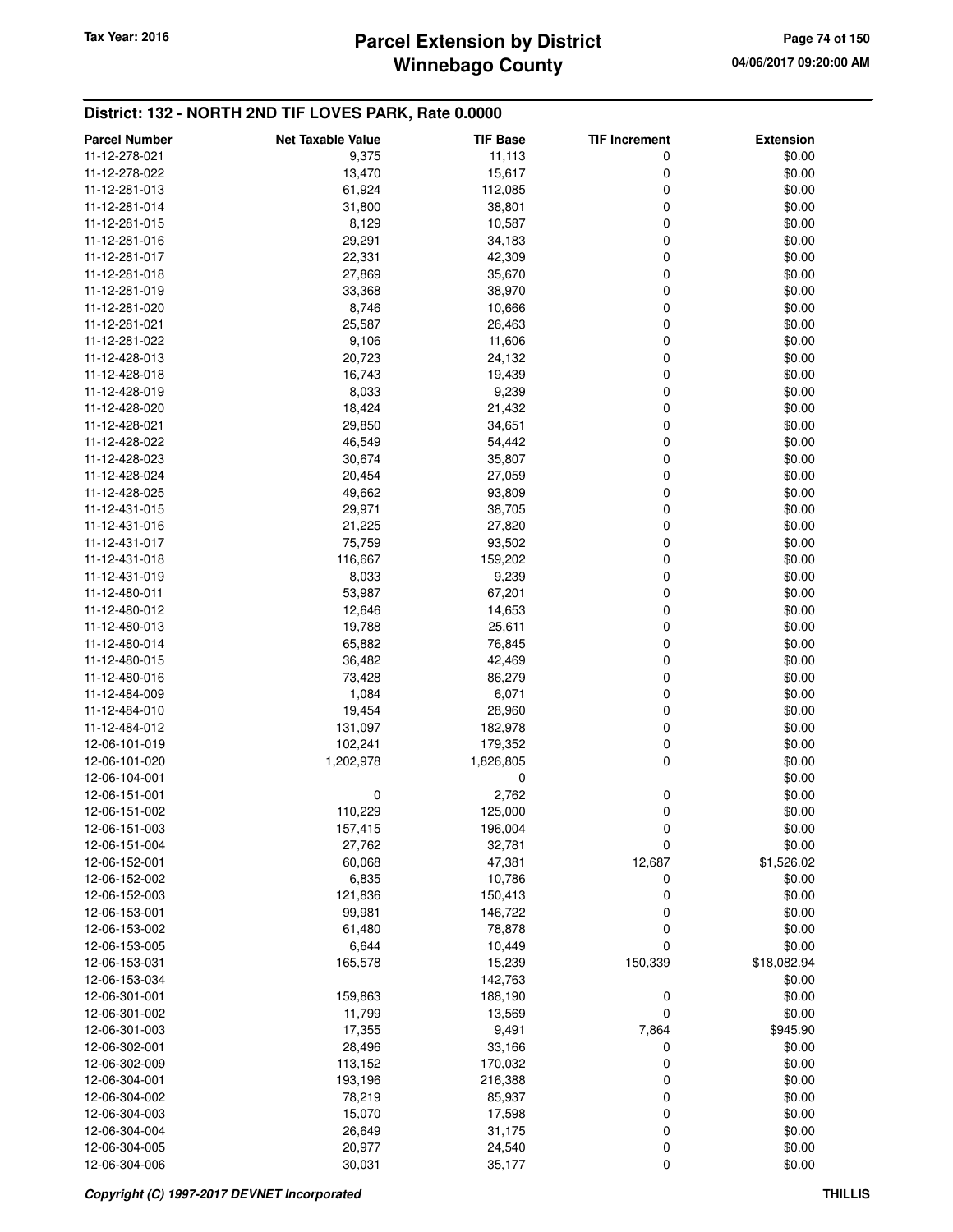## **Winnebago County** Tax Year: 2016 **Parcel Extension by District Page 74 of 150**

| <b>Parcel Number</b>           | <b>Net Taxable Value</b> | <b>TIF Base</b>  | <b>TIF Increment</b> | <b>Extension</b>      |
|--------------------------------|--------------------------|------------------|----------------------|-----------------------|
| 11-12-278-021                  | 9,375                    | 11,113           | 0                    | \$0.00                |
| 11-12-278-022                  | 13,470                   | 15,617           | 0                    | \$0.00                |
| 11-12-281-013                  | 61,924                   | 112,085          | 0                    | \$0.00                |
| 11-12-281-014                  | 31,800                   | 38,801           | 0                    | \$0.00                |
| 11-12-281-015                  | 8,129                    | 10,587           | 0                    | \$0.00                |
| 11-12-281-016                  | 29,291                   | 34,183           | 0                    | \$0.00                |
| 11-12-281-017                  | 22,331                   | 42,309           | 0                    | \$0.00                |
| 11-12-281-018                  | 27,869                   | 35,670           | 0                    | \$0.00                |
| 11-12-281-019                  | 33,368                   | 38,970           | 0                    | \$0.00                |
| 11-12-281-020                  | 8,746                    | 10,666           | 0                    | \$0.00                |
| 11-12-281-021                  | 25,587                   | 26,463           | 0                    | \$0.00                |
| 11-12-281-022                  | 9,106                    | 11,606           | 0                    | \$0.00                |
| 11-12-428-013                  | 20,723                   | 24,132           | 0                    | \$0.00                |
| 11-12-428-018                  | 16,743                   | 19,439           | 0                    | \$0.00                |
| 11-12-428-019                  | 8,033                    | 9,239            | 0                    | \$0.00                |
| 11-12-428-020                  | 18,424                   | 21,432           | 0                    | \$0.00                |
| 11-12-428-021                  | 29,850                   | 34,651           | 0                    | \$0.00                |
| 11-12-428-022                  | 46,549                   | 54,442           | 0                    | \$0.00                |
| 11-12-428-023                  | 30,674                   | 35,807           | 0                    | \$0.00                |
| 11-12-428-024                  | 20,454                   | 27,059           | 0                    | \$0.00                |
| 11-12-428-025                  | 49,662                   | 93,809           | 0                    | \$0.00                |
| 11-12-431-015                  | 29,971                   | 38,705           | 0                    | \$0.00                |
| 11-12-431-016                  | 21,225                   | 27,820           | 0                    | \$0.00                |
| 11-12-431-017                  | 75,759                   | 93,502           | 0                    | \$0.00                |
| 11-12-431-018                  | 116,667                  | 159,202          | 0                    | \$0.00                |
| 11-12-431-019                  | 8,033                    | 9,239            | 0                    | \$0.00                |
| 11-12-480-011                  | 53,987                   | 67,201           | 0                    | \$0.00                |
| 11-12-480-012                  | 12,646                   | 14,653           | 0                    | \$0.00                |
| 11-12-480-013                  | 19,788                   | 25,611           | 0                    | \$0.00                |
| 11-12-480-014                  | 65,882                   | 76,845           | 0                    | \$0.00                |
| 11-12-480-015                  | 36,482                   | 42,469           | 0                    | \$0.00                |
| 11-12-480-016                  | 73,428                   | 86,279           | 0                    | \$0.00                |
| 11-12-484-009                  | 1,084                    | 6,071            | 0                    | \$0.00                |
| 11-12-484-010                  | 19,454                   | 28,960           | 0                    | \$0.00                |
| 11-12-484-012                  | 131,097                  | 182,978          | 0                    | \$0.00                |
| 12-06-101-019                  | 102,241                  | 179,352          | 0                    | \$0.00                |
| 12-06-101-020                  | 1,202,978                | 1,826,805        | 0                    | \$0.00                |
| 12-06-104-001                  |                          | 0                |                      | \$0.00                |
| 12-06-151-001                  | 0                        | 2,762            | 0                    | \$0.00                |
| 12-06-151-002                  | 110,229                  | 125,000          | 0                    | \$0.00                |
| 12-06-151-003                  | 157,415                  | 196,004          | 0                    | \$0.00                |
| 12-06-151-004                  | 27,762                   | 32,781           | 0                    | \$0.00                |
| 12-06-152-001                  | 60,068                   | 47,381           | 12,687               | \$1,526.02            |
| 12-06-152-002                  | 6,835                    | 10,786           | 0                    | \$0.00                |
| 12-06-152-003                  | 121,836                  | 150,413          | 0                    | \$0.00                |
| 12-06-153-001                  | 99,981                   | 146,722          | 0                    | \$0.00                |
| 12-06-153-002                  | 61,480                   | 78,878           | 0<br>0               | \$0.00                |
| 12-06-153-005<br>12-06-153-031 | 6,644<br>165,578         | 10,449<br>15,239 | 150,339              | \$0.00<br>\$18,082.94 |
| 12-06-153-034                  |                          | 142,763          |                      | \$0.00                |
| 12-06-301-001                  | 159,863                  | 188,190          | 0                    | \$0.00                |
| 12-06-301-002                  | 11,799                   | 13,569           | 0                    | \$0.00                |
| 12-06-301-003                  | 17,355                   | 9,491            | 7,864                | \$945.90              |
| 12-06-302-001                  | 28,496                   | 33,166           | 0                    | \$0.00                |
| 12-06-302-009                  | 113,152                  | 170,032          | 0                    | \$0.00                |
| 12-06-304-001                  | 193,196                  | 216,388          | 0                    | \$0.00                |
| 12-06-304-002                  | 78,219                   | 85,937           | 0                    | \$0.00                |
| 12-06-304-003                  | 15,070                   | 17,598           | 0                    | \$0.00                |
| 12-06-304-004                  | 26,649                   | 31,175           | 0                    | \$0.00                |
| 12-06-304-005                  | 20,977                   | 24,540           | 0                    | \$0.00                |
| 12-06-304-006                  | 30,031                   | 35,177           | 0                    | \$0.00                |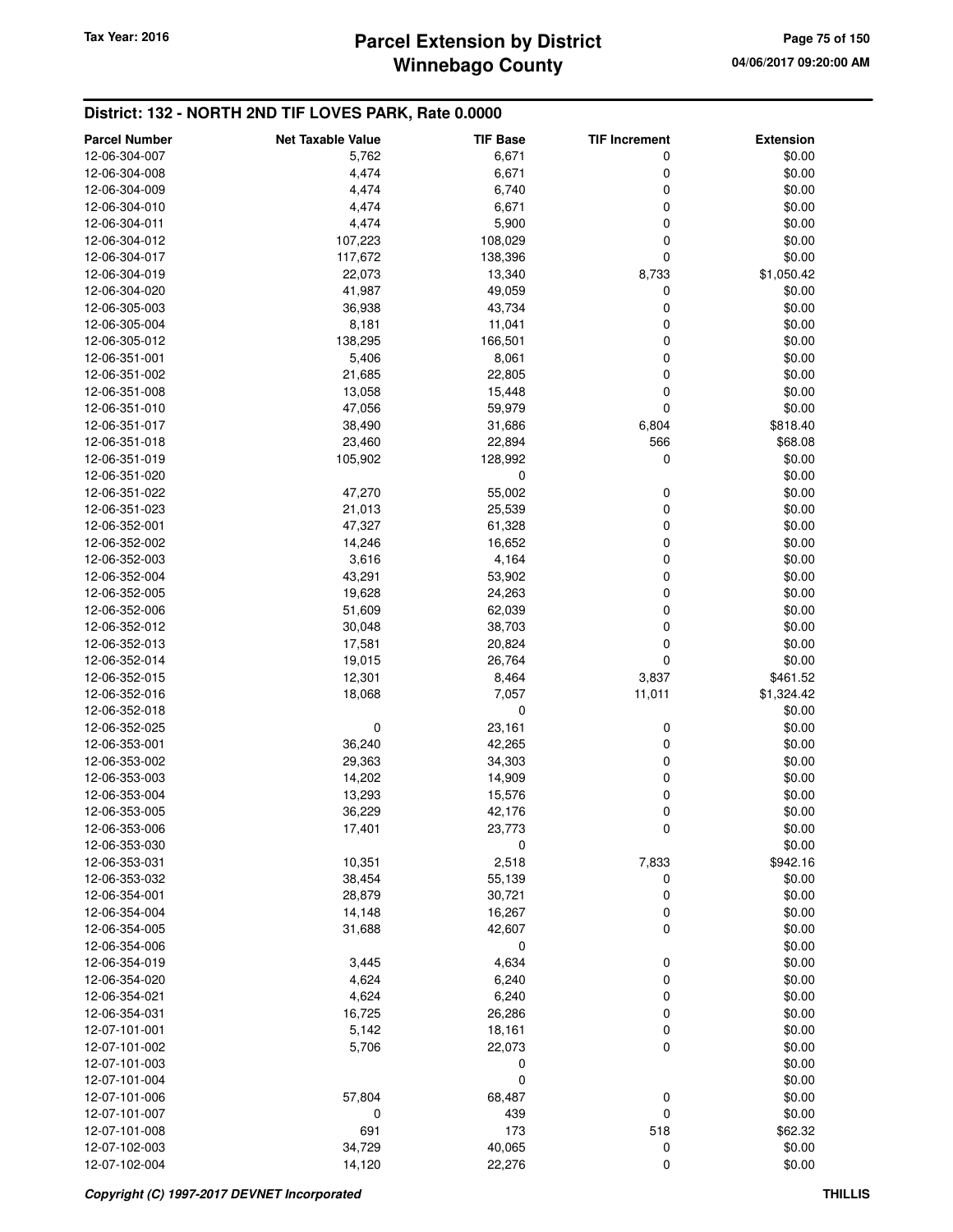| <b>Parcel Number</b> | <b>Net Taxable Value</b> | <b>TIF Base</b> | <b>TIF Increment</b> | <b>Extension</b> |
|----------------------|--------------------------|-----------------|----------------------|------------------|
| 12-06-304-007        | 5,762                    | 6,671           | 0                    | \$0.00           |
| 12-06-304-008        | 4,474                    | 6,671           | 0                    | \$0.00           |
| 12-06-304-009        | 4,474                    | 6,740           | 0                    | \$0.00           |
| 12-06-304-010        | 4,474                    | 6,671           | 0                    | \$0.00           |
| 12-06-304-011        | 4,474                    | 5,900           | 0                    | \$0.00           |
| 12-06-304-012        | 107,223                  | 108,029         | 0                    | \$0.00           |
| 12-06-304-017        | 117,672                  | 138,396         | 0                    | \$0.00           |
| 12-06-304-019        | 22,073                   | 13,340          | 8,733                | \$1,050.42       |
| 12-06-304-020        | 41,987                   | 49,059          | 0                    | \$0.00           |
| 12-06-305-003        | 36,938                   | 43,734          | 0                    | \$0.00           |
| 12-06-305-004        | 8,181                    | 11,041          | 0                    | \$0.00           |
| 12-06-305-012        | 138,295                  | 166,501         | 0                    | \$0.00           |
| 12-06-351-001        | 5,406                    | 8,061           | 0                    | \$0.00           |
| 12-06-351-002        | 21,685                   | 22,805          | 0                    | \$0.00           |
| 12-06-351-008        | 13,058                   | 15,448          | 0                    | \$0.00           |
| 12-06-351-010        | 47,056                   | 59,979          | 0                    | \$0.00           |
| 12-06-351-017        | 38,490                   | 31,686          | 6,804                | \$818.40         |
| 12-06-351-018        | 23,460                   | 22,894          | 566                  | \$68.08          |
| 12-06-351-019        | 105,902                  | 128,992         | 0                    | \$0.00           |
| 12-06-351-020        |                          | 0               |                      | \$0.00           |
| 12-06-351-022        | 47,270                   | 55,002          | 0                    | \$0.00           |
| 12-06-351-023        | 21,013                   | 25,539          | 0                    | \$0.00           |
| 12-06-352-001        | 47,327                   | 61,328          | 0                    | \$0.00           |
| 12-06-352-002        | 14,246                   | 16,652          | 0                    | \$0.00           |
| 12-06-352-003        | 3,616                    | 4,164           | 0                    | \$0.00           |
| 12-06-352-004        | 43,291                   | 53,902          | 0                    | \$0.00           |
| 12-06-352-005        | 19,628                   | 24,263          | 0                    | \$0.00           |
| 12-06-352-006        | 51,609                   | 62,039          | 0                    | \$0.00           |
| 12-06-352-012        | 30,048                   | 38,703          | 0                    | \$0.00           |
| 12-06-352-013        | 17,581                   | 20,824          | 0                    | \$0.00           |
| 12-06-352-014        | 19,015                   | 26,764          | 0                    | \$0.00           |
| 12-06-352-015        | 12,301                   | 8,464           | 3,837                | \$461.52         |
| 12-06-352-016        | 18,068                   | 7,057           | 11,011               | \$1,324.42       |
| 12-06-352-018        |                          | 0               |                      | \$0.00           |
| 12-06-352-025        | 0                        | 23,161          | 0                    | \$0.00           |
| 12-06-353-001        | 36,240                   | 42,265          | 0                    | \$0.00           |
| 12-06-353-002        | 29,363                   | 34,303          | 0                    | \$0.00           |
| 12-06-353-003        | 14,202                   | 14,909          | 0                    | \$0.00           |
| 12-06-353-004        | 13,293                   | 15,576          | 0                    | \$0.00           |
| 12-06-353-005        | 36,229                   | 42,176          | 0                    | \$0.00           |
| 12-06-353-006        | 17,401                   | 23,773          | 0                    | \$0.00           |
| 12-06-353-030        |                          | 0               |                      | \$0.00           |
| 12-06-353-031        | 10,351                   | 2,518           | 7,833                | \$942.16         |
| 12-06-353-032        | 38,454                   | 55,139          | 0                    | \$0.00           |
| 12-06-354-001        | 28,879                   | 30,721          | 0                    | \$0.00           |
| 12-06-354-004        | 14,148                   | 16,267          | 0                    | \$0.00           |
| 12-06-354-005        | 31,688                   | 42,607          | 0                    | \$0.00           |
| 12-06-354-006        |                          | 0               |                      | \$0.00           |
| 12-06-354-019        | 3,445                    | 4,634           | 0                    | \$0.00           |
| 12-06-354-020        | 4,624                    | 6,240           | 0                    | \$0.00           |
| 12-06-354-021        | 4,624                    | 6,240           | 0                    | \$0.00           |
| 12-06-354-031        | 16,725                   | 26,286          | 0                    | \$0.00           |
| 12-07-101-001        | 5,142                    | 18,161          | 0                    | \$0.00           |
| 12-07-101-002        | 5,706                    | 22,073          | 0                    | \$0.00           |
| 12-07-101-003        |                          | 0               |                      | \$0.00           |
| 12-07-101-004        |                          | $\mathbf 0$     |                      | \$0.00           |
| 12-07-101-006        | 57,804                   | 68,487          | 0                    | \$0.00           |
| 12-07-101-007        | 0                        | 439             | 0                    | \$0.00           |
| 12-07-101-008        | 691                      | 173             | 518                  | \$62.32          |
| 12-07-102-003        | 34,729                   | 40,065          | 0                    | \$0.00           |
| 12-07-102-004        | 14,120                   | 22,276          | 0                    | \$0.00           |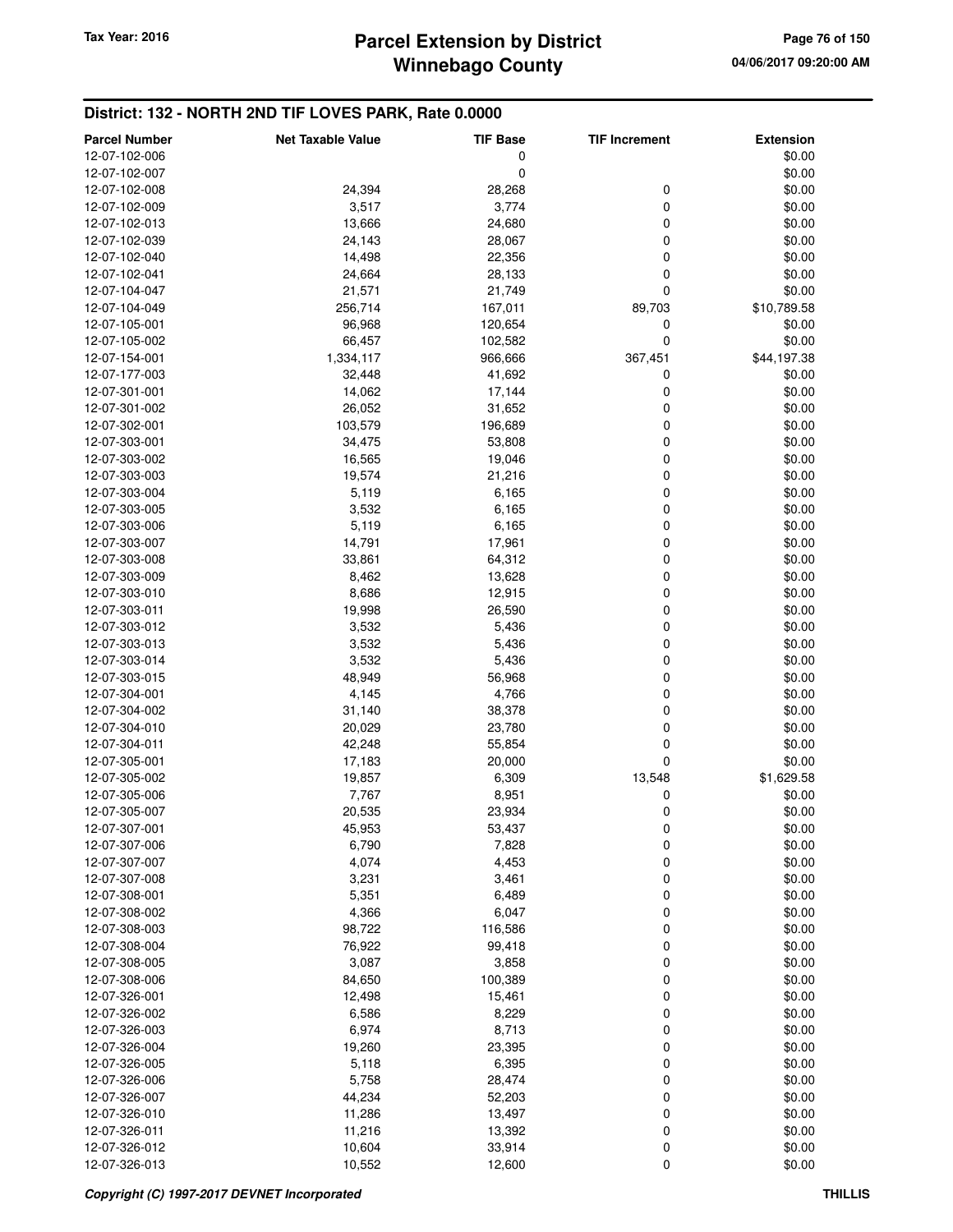| <b>Parcel Number</b> | <b>Net Taxable Value</b> | <b>TIF Base</b>  | <b>TIF Increment</b> | <b>Extension</b> |
|----------------------|--------------------------|------------------|----------------------|------------------|
| 12-07-102-006        |                          | 0                |                      | \$0.00           |
| 12-07-102-007        |                          | 0                |                      | \$0.00           |
| 12-07-102-008        | 24,394                   | 28,268           | 0                    | \$0.00           |
| 12-07-102-009        | 3,517                    | 3,774            | 0                    | \$0.00           |
| 12-07-102-013        | 13,666                   | 24,680           | 0                    | \$0.00           |
| 12-07-102-039        | 24,143                   | 28,067           | 0                    | \$0.00           |
| 12-07-102-040        | 14,498                   | 22,356           | 0                    | \$0.00           |
| 12-07-102-041        | 24,664                   | 28,133           | 0                    | \$0.00           |
| 12-07-104-047        | 21,571                   | 21,749           | 0                    | \$0.00           |
| 12-07-104-049        | 256,714                  | 167,011          | 89,703               | \$10,789.58      |
| 12-07-105-001        | 96,968                   | 120,654          | 0                    | \$0.00           |
| 12-07-105-002        | 66,457                   | 102,582          | $\mathbf 0$          | \$0.00           |
| 12-07-154-001        | 1,334,117                | 966,666          | 367,451              | \$44,197.38      |
| 12-07-177-003        | 32,448                   | 41,692           | 0                    | \$0.00           |
| 12-07-301-001        | 14,062                   | 17,144           | 0                    | \$0.00           |
| 12-07-301-002        | 26,052                   | 31,652           | 0                    | \$0.00           |
| 12-07-302-001        | 103,579                  | 196,689          | 0                    | \$0.00           |
| 12-07-303-001        | 34,475                   | 53,808           | 0                    | \$0.00           |
| 12-07-303-002        | 16,565                   | 19,046           | 0                    | \$0.00           |
| 12-07-303-003        | 19,574                   | 21,216           | 0                    | \$0.00           |
| 12-07-303-004        | 5,119                    | 6,165            | 0                    | \$0.00           |
| 12-07-303-005        | 3,532                    | 6,165            | 0                    | \$0.00           |
| 12-07-303-006        | 5,119                    | 6,165            | 0                    | \$0.00           |
| 12-07-303-007        | 14,791                   | 17,961           | 0                    | \$0.00           |
| 12-07-303-008        | 33,861                   | 64,312           | 0                    | \$0.00           |
| 12-07-303-009        | 8,462                    | 13,628           | 0                    | \$0.00           |
| 12-07-303-010        | 8,686                    | 12,915           | 0                    | \$0.00           |
| 12-07-303-011        | 19,998                   | 26,590           | 0                    | \$0.00           |
| 12-07-303-012        | 3,532                    | 5,436            | 0                    | \$0.00           |
| 12-07-303-013        | 3,532                    | 5,436            | 0                    | \$0.00           |
| 12-07-303-014        | 3,532                    | 5,436            | 0                    | \$0.00           |
| 12-07-303-015        | 48,949                   | 56,968           | 0                    | \$0.00           |
| 12-07-304-001        | 4,145                    | 4,766            | 0                    | \$0.00           |
| 12-07-304-002        | 31,140                   | 38,378           | 0                    | \$0.00           |
| 12-07-304-010        | 20,029                   | 23,780           | 0                    | \$0.00           |
| 12-07-304-011        | 42,248                   | 55,854           | 0                    | \$0.00           |
| 12-07-305-001        | 17,183                   | 20,000           | 0                    | \$0.00           |
| 12-07-305-002        | 19,857                   | 6,309            | 13,548               | \$1,629.58       |
| 12-07-305-006        | 7,767                    | 8,951            | 0                    | \$0.00           |
| 12-07-305-007        | 20,535                   | 23,934           | 0                    | \$0.00           |
| 12-07-307-001        | 45,953                   | 53,437           | 0                    | \$0.00           |
| 12-07-307-006        | 6,790                    | 7,828            | 0                    | \$0.00           |
| 12-07-307-007        | 4,074                    | 4,453            | 0                    | \$0.00           |
| 12-07-307-008        | 3,231                    | 3,461            | 0                    | \$0.00           |
| 12-07-308-001        | 5,351                    | 6,489            | 0                    | \$0.00           |
| 12-07-308-002        | 4,366                    | 6,047            | 0                    | \$0.00           |
| 12-07-308-003        | 98,722                   | 116,586          | 0                    | \$0.00           |
| 12-07-308-004        | 76,922                   | 99,418           | 0                    | \$0.00           |
| 12-07-308-005        | 3,087                    | 3,858            | 0                    | \$0.00           |
| 12-07-308-006        | 84,650                   | 100,389          | 0                    | \$0.00           |
| 12-07-326-001        | 12,498                   | 15,461           | 0                    | \$0.00           |
| 12-07-326-002        | 6,586                    | 8,229            | 0                    | \$0.00           |
| 12-07-326-003        | 6,974                    | 8,713            | 0                    | \$0.00           |
| 12-07-326-004        | 19,260                   | 23,395           | 0                    | \$0.00           |
| 12-07-326-005        | 5,118                    | 6,395            | 0                    | \$0.00           |
| 12-07-326-006        |                          |                  |                      | \$0.00           |
| 12-07-326-007        | 5,758                    | 28,474           | 0<br>0               | \$0.00           |
| 12-07-326-010        | 44,234<br>11,286         | 52,203<br>13,497 | 0                    | \$0.00           |
| 12-07-326-011        | 11,216                   | 13,392           | 0                    | \$0.00           |
| 12-07-326-012        | 10,604                   | 33,914           | 0                    | \$0.00           |
| 12-07-326-013        | 10,552                   | 12,600           | $\pmb{0}$            | \$0.00           |
|                      |                          |                  |                      |                  |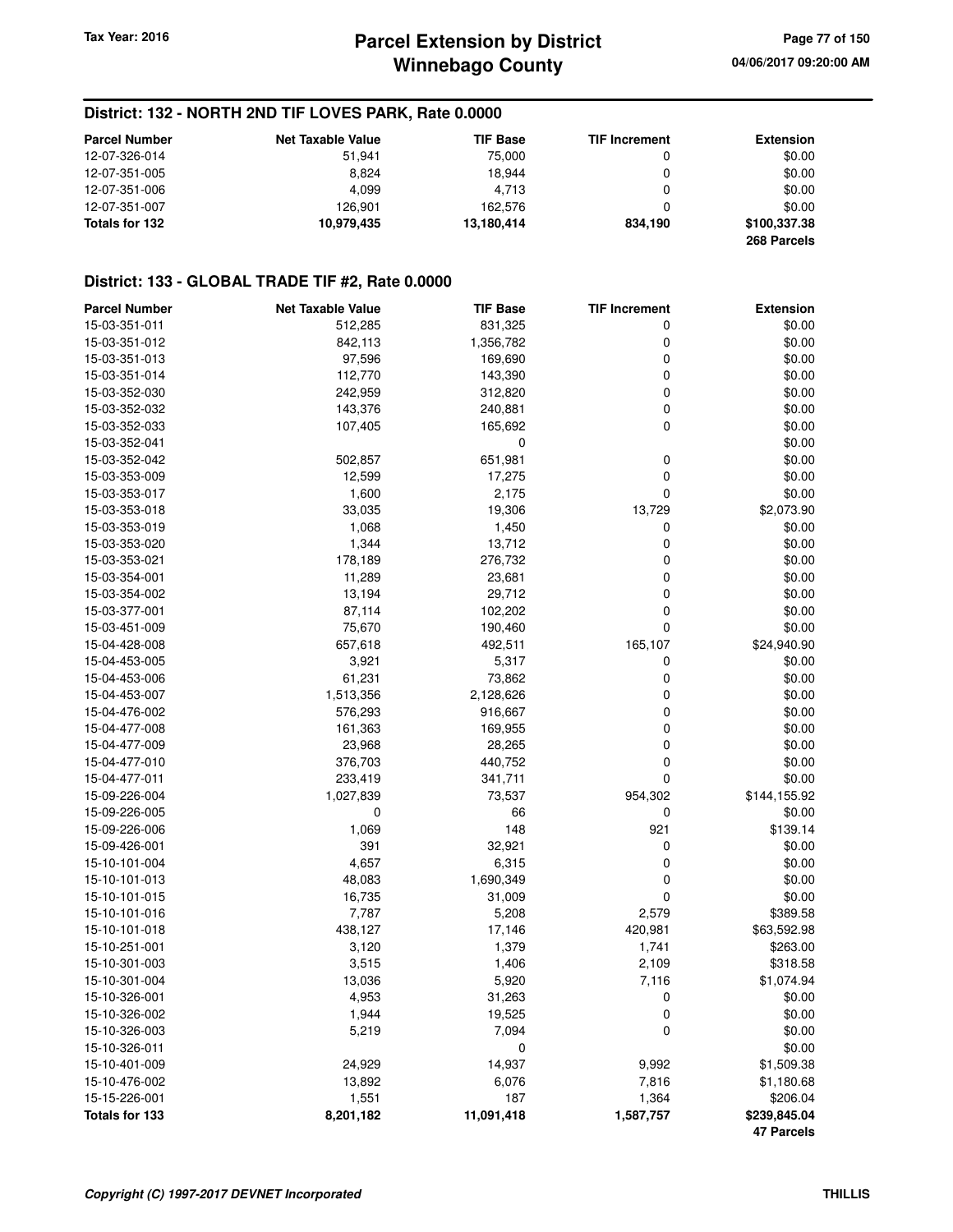#### **District: 132 - NORTH 2ND TIF LOVES PARK, Rate 0.0000**

| <b>Parcel Number</b> | <b>Net Taxable Value</b> | <b>TIF Base</b> | <b>TIF Increment</b> | <b>Extension</b> |
|----------------------|--------------------------|-----------------|----------------------|------------------|
| 12-07-326-014        | 51,941                   | 75.000          | 0                    | \$0.00           |
| 12-07-351-005        | 8.824                    | 18.944          |                      | \$0.00           |
| 12-07-351-006        | 4.099                    | 4.713           | 0                    | \$0.00           |
| 12-07-351-007        | 126.901                  | 162.576         |                      | \$0.00           |
| Totals for 132       | 10.979.435               | 13.180.414      | 834.190              | \$100,337,38     |
|                      |                          |                 |                      | 268 Parcels      |

#### **District: 133 - GLOBAL TRADE TIF #2, Rate 0.0000**

| <b>Parcel Number</b> | <b>Net Taxable Value</b> | <b>TIF Base</b> | <b>TIF Increment</b> | <b>Extension</b>  |
|----------------------|--------------------------|-----------------|----------------------|-------------------|
| 15-03-351-011        | 512,285                  | 831,325         | 0                    | \$0.00            |
| 15-03-351-012        | 842,113                  | 1,356,782       | 0                    | \$0.00            |
| 15-03-351-013        | 97,596                   | 169,690         | 0                    | \$0.00            |
| 15-03-351-014        | 112,770                  | 143,390         | 0                    | \$0.00            |
| 15-03-352-030        | 242,959                  | 312,820         | 0                    | \$0.00            |
| 15-03-352-032        | 143,376                  | 240,881         | 0                    | \$0.00            |
| 15-03-352-033        | 107,405                  | 165,692         | 0                    | \$0.00            |
| 15-03-352-041        |                          | 0               |                      | \$0.00            |
| 15-03-352-042        | 502,857                  | 651,981         | 0                    | \$0.00            |
| 15-03-353-009        | 12,599                   | 17,275          | 0                    | \$0.00            |
| 15-03-353-017        | 1,600                    | 2,175           | 0                    | \$0.00            |
| 15-03-353-018        | 33,035                   | 19,306          | 13,729               | \$2,073.90        |
| 15-03-353-019        | 1,068                    | 1,450           | 0                    | \$0.00            |
| 15-03-353-020        | 1,344                    | 13,712          | 0                    | \$0.00            |
| 15-03-353-021        | 178,189                  | 276,732         | 0                    | \$0.00            |
| 15-03-354-001        | 11,289                   | 23,681          | 0                    | \$0.00            |
| 15-03-354-002        | 13,194                   | 29,712          | 0                    | \$0.00            |
| 15-03-377-001        | 87,114                   | 102,202         | 0                    | \$0.00            |
| 15-03-451-009        | 75,670                   | 190,460         | 0                    | \$0.00            |
| 15-04-428-008        | 657,618                  | 492,511         | 165,107              | \$24,940.90       |
| 15-04-453-005        | 3,921                    | 5,317           | 0                    | \$0.00            |
| 15-04-453-006        | 61,231                   | 73,862          | 0                    | \$0.00            |
| 15-04-453-007        | 1,513,356                | 2,128,626       | 0                    | \$0.00            |
| 15-04-476-002        |                          |                 | 0                    | \$0.00            |
|                      | 576,293                  | 916,667         |                      |                   |
| 15-04-477-008        | 161,363                  | 169,955         | 0<br>0               | \$0.00            |
| 15-04-477-009        | 23,968                   | 28,265          |                      | \$0.00            |
| 15-04-477-010        | 376,703                  | 440,752         | 0                    | \$0.00            |
| 15-04-477-011        | 233,419                  | 341,711         | 0                    | \$0.00            |
| 15-09-226-004        | 1,027,839                | 73,537          | 954,302              | \$144,155.92      |
| 15-09-226-005        | 0                        | 66              | 0                    | \$0.00            |
| 15-09-226-006        | 1,069                    | 148             | 921                  | \$139.14          |
| 15-09-426-001        | 391                      | 32,921          | 0                    | \$0.00            |
| 15-10-101-004        | 4,657                    | 6,315           | 0                    | \$0.00            |
| 15-10-101-013        | 48,083                   | 1,690,349       | 0                    | \$0.00            |
| 15-10-101-015        | 16,735                   | 31,009          | 0                    | \$0.00            |
| 15-10-101-016        | 7,787                    | 5,208           | 2,579                | \$389.58          |
| 15-10-101-018        | 438,127                  | 17,146          | 420,981              | \$63,592.98       |
| 15-10-251-001        | 3,120                    | 1,379           | 1,741                | \$263.00          |
| 15-10-301-003        | 3,515                    | 1,406           | 2,109                | \$318.58          |
| 15-10-301-004        | 13,036                   | 5,920           | 7,116                | \$1,074.94        |
| 15-10-326-001        | 4,953                    | 31,263          | 0                    | \$0.00            |
| 15-10-326-002        | 1,944                    | 19,525          | 0                    | \$0.00            |
| 15-10-326-003        | 5,219                    | 7,094           | 0                    | \$0.00            |
| 15-10-326-011        |                          | 0               |                      | \$0.00            |
| 15-10-401-009        | 24,929                   | 14,937          | 9,992                | \$1,509.38        |
| 15-10-476-002        | 13,892                   | 6,076           | 7,816                | \$1,180.68        |
| 15-15-226-001        | 1,551                    | 187             | 1,364                | \$206.04          |
| Totals for 133       | 8,201,182                | 11,091,418      | 1,587,757            | \$239,845.04      |
|                      |                          |                 |                      | <b>47 Parcels</b> |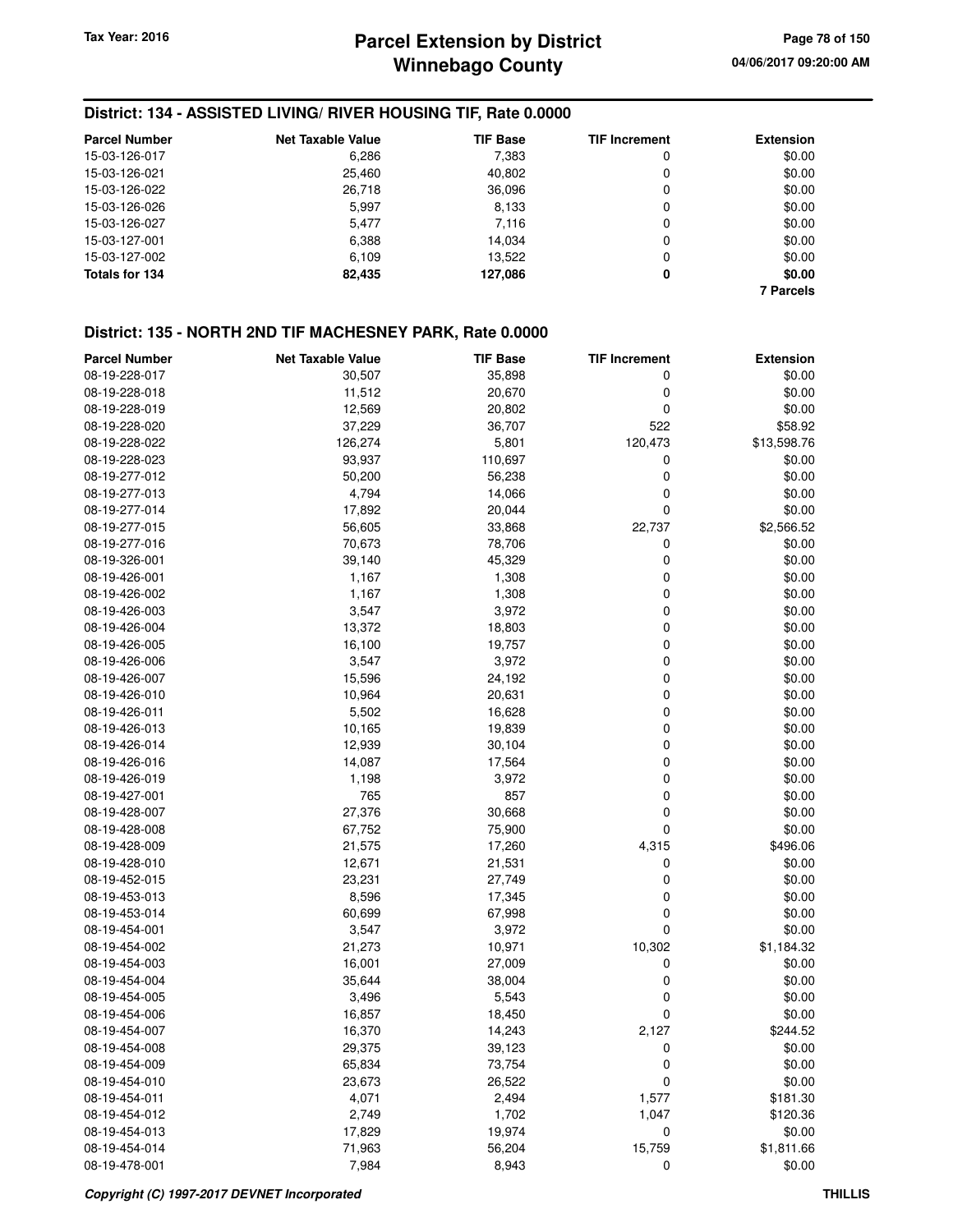## **District: 134 - ASSISTED LIVING/ RIVER HOUSING TIF, Rate 0.0000**

| <b>Parcel Number</b> | <b>Net Taxable Value</b> | <b>TIF Base</b> | <b>TIF Increment</b> | <b>Extension</b> |
|----------------------|--------------------------|-----------------|----------------------|------------------|
| 15-03-126-017        | 6,286                    | 7,383           | 0                    | \$0.00           |
| 15-03-126-021        | 25,460                   | 40,802          | 0                    | \$0.00           |
| 15-03-126-022        | 26,718                   | 36,096          | 0                    | \$0.00           |
| 15-03-126-026        | 5.997                    | 8,133           | 0                    | \$0.00           |
| 15-03-126-027        | 5.477                    | 7,116           | 0                    | \$0.00           |
| 15-03-127-001        | 6,388                    | 14.034          | 0                    | \$0.00           |
| 15-03-127-002        | 6,109                    | 13,522          | 0                    | \$0.00           |
| Totals for 134       | 82,435                   | 127,086         | 0                    | \$0.00           |
|                      |                          |                 |                      | <b>7 Parcels</b> |

#### **District: 135 - NORTH 2ND TIF MACHESNEY PARK, Rate 0.0000**

| <b>Parcel Number</b> | <b>Net Taxable Value</b> | <b>TIF Base</b> | <b>TIF Increment</b> | <b>Extension</b> |
|----------------------|--------------------------|-----------------|----------------------|------------------|
| 08-19-228-017        | 30,507                   | 35,898          | 0                    | \$0.00           |
| 08-19-228-018        | 11,512                   | 20,670          | 0                    | \$0.00           |
| 08-19-228-019        | 12,569                   | 20,802          | 0                    | \$0.00           |
| 08-19-228-020        | 37,229                   | 36,707          | 522                  | \$58.92          |
| 08-19-228-022        | 126,274                  | 5,801           | 120,473              | \$13,598.76      |
| 08-19-228-023        | 93,937                   | 110,697         | 0                    | \$0.00           |
| 08-19-277-012        | 50,200                   | 56,238          | 0                    | \$0.00           |
| 08-19-277-013        | 4,794                    | 14,066          | 0                    | \$0.00           |
| 08-19-277-014        | 17,892                   | 20,044          | $\mathbf 0$          | \$0.00           |
| 08-19-277-015        | 56,605                   | 33,868          | 22,737               | \$2,566.52       |
| 08-19-277-016        | 70,673                   | 78,706          | 0                    | \$0.00           |
| 08-19-326-001        | 39,140                   | 45,329          | 0                    | \$0.00           |
| 08-19-426-001        | 1,167                    | 1,308           | 0                    | \$0.00           |
| 08-19-426-002        | 1,167                    | 1,308           | 0                    | \$0.00           |
| 08-19-426-003        | 3,547                    | 3,972           | 0                    | \$0.00           |
| 08-19-426-004        | 13,372                   | 18,803          | $\mathbf 0$          | \$0.00           |
| 08-19-426-005        | 16,100                   | 19,757          | $\mathbf 0$          | \$0.00           |
| 08-19-426-006        | 3,547                    | 3,972           | $\mathbf 0$          | \$0.00           |
| 08-19-426-007        | 15,596                   | 24,192          | 0                    | \$0.00           |
| 08-19-426-010        | 10,964                   | 20,631          | 0                    | \$0.00           |
| 08-19-426-011        | 5,502                    | 16,628          | $\mathbf 0$          | \$0.00           |
| 08-19-426-013        | 10,165                   | 19,839          | 0                    | \$0.00           |
| 08-19-426-014        | 12,939                   | 30,104          | $\mathbf 0$          | \$0.00           |
| 08-19-426-016        | 14,087                   | 17,564          | 0                    | \$0.00           |
| 08-19-426-019        | 1,198                    | 3,972           | 0                    | \$0.00           |
| 08-19-427-001        | 765                      | 857             | $\mathbf 0$          | \$0.00           |
| 08-19-428-007        | 27,376                   | 30,668          | 0                    | \$0.00           |
| 08-19-428-008        | 67,752                   | 75,900          | $\mathbf 0$          | \$0.00           |
| 08-19-428-009        | 21,575                   | 17,260          | 4,315                | \$496.06         |
| 08-19-428-010        | 12,671                   | 21,531          | 0                    | \$0.00           |
| 08-19-452-015        | 23,231                   | 27,749          | 0                    | \$0.00           |
| 08-19-453-013        | 8,596                    | 17,345          | 0                    | \$0.00           |
| 08-19-453-014        | 60,699                   | 67,998          | 0                    | \$0.00           |
| 08-19-454-001        | 3,547                    | 3,972           | $\mathbf 0$          | \$0.00           |
| 08-19-454-002        | 21,273                   | 10,971          | 10,302               | \$1,184.32       |
| 08-19-454-003        | 16,001                   | 27,009          | 0                    | \$0.00           |
| 08-19-454-004        | 35,644                   | 38,004          | 0                    | \$0.00           |
| 08-19-454-005        | 3,496                    | 5,543           | 0                    | \$0.00           |
| 08-19-454-006        | 16,857                   | 18,450          | 0                    | \$0.00           |
| 08-19-454-007        | 16,370                   | 14,243          | 2,127                | \$244.52         |
| 08-19-454-008        | 29,375                   | 39,123          | 0                    | \$0.00           |
| 08-19-454-009        | 65,834                   | 73,754          | 0                    | \$0.00           |
| 08-19-454-010        | 23,673                   | 26,522          | 0                    | \$0.00           |
| 08-19-454-011        | 4,071                    | 2,494           | 1,577                | \$181.30         |
| 08-19-454-012        | 2,749                    | 1,702           | 1,047                | \$120.36         |
| 08-19-454-013        | 17,829                   | 19,974          | 0                    | \$0.00           |
| 08-19-454-014        | 71,963                   | 56,204          | 15,759               | \$1,811.66       |
| 08-19-478-001        | 7,984                    | 8,943           | 0                    | \$0.00           |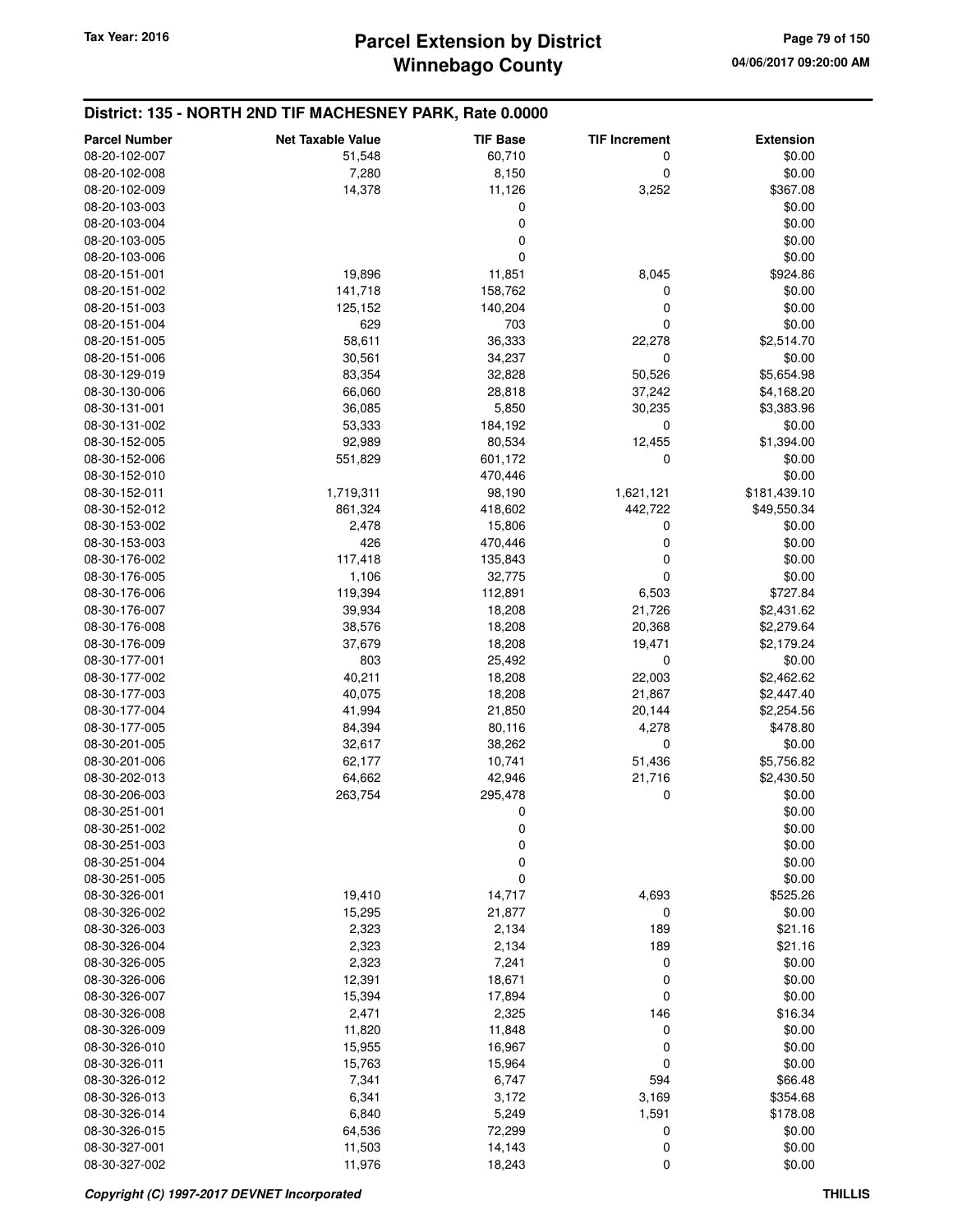#### **District: 135 - NORTH 2ND TIF MACHESNEY PARK, Rate 0.0000 Parcel Number Net Taxable Value TIF Base TIF Increment Extension** 08-20-102-007 51,548 60,710 0 \$0.00 08-20-102-008 7,280 8,150 0 \$0.00 08-20-102-009 14,378 11,126 3,252 \$367.08 08-20-103-003 0 \$0.00 08-20-103-004 \$0.00 \$0.00 \$0.00 \$0.00 \$0.00 \$0.00 \$0.00 \$0.00 \$0.00 \$0.00 \$0.00 \$0.00 \$0.00 \$0.00 \$0.00 \$0.00 \$0.00 08-20-103-005 \$0.00 \$0.00 \$0.00 \$0.00 \$0.00 \$0.00 \$0.00 \$0.00 \$0.00 \$0.00 \$0.00 \$0.00 \$0.00 \$0.00 \$0.00 \$0.00 \$0.00 \$0.00 \$0.00 \$0.00 \$0.00 \$0.00 \$0.00 \$0.00 \$0.00 \$0.00 \$0.00 \$0.00 \$0.00 \$0.00 \$0.00 \$0.00 \$0.00 \$0.00 \$0.0 08-20-103-006 0 \$0.00 08-20-151-001 19,896 11,851 8,045 \$924.86 08-20-151-002 141,718 158,762 0 \$0.00 08-20-151-003 125,152 140,204 0 \$0.00 08-20-151-004 629 703 0 \$0.00 08-20-151-005 58,611 36,333 22,278 \$2,514.70 08-20-151-006 30,561 34,237 0 \$0.00 08-30-129-019 83,354 32,828 50,526 \$5,654.98 08-30-130-006 66,060 28,818 37,242 \$4,168.20 08-30-131-001 36,085 5,850 30,235 \$3,383.96 08-30-131-002 53,333 184,192 0 \$0.00 08-30-152-005 92,989 80,534 12,455 \$1,394.00 08-30-152-006 551,829 601,172 0 \$0.00 08-30-152-010 \$0.00 \$0.00 \$1,000 \$1,000 \$1,000 \$1,000 \$1,000 \$1,000 \$1,000 \$1,000 \$1,000 \$1,000 \$1,000 \$1,000 \$ 08-30-152-011 1,719,311 98,190 1,621,121 \$181,439.10 08-30-152-012 861,324 418,602 442,722 \$49,550.34 08-30-153-002 2,478 15,806 0 \$0.00 08-30-153-003 426 470,446 0 \$0.00 08-30-176-002 117,418 135,843 0 \$0.00 08-30-176-005 1,106 32,775 0 \$0.00 08-30-176-006 119,394 112,891 6,503 \$727.84 08-30-176-007 39,934 18,208 21,726 \$2,431.62 08-30-176-008 38,576 18,208 20,368 \$2,279.64 08-30-176-009 37,679 18,208 19,471 \$2,179.24 08-30-177-001 803 25,492 0 \$0.00 08-30-177-002 **40,211** 40,211 **18,208** 22,003 \$2,462.62 08-30-177-003 **18,208 18,208 21,867 \$2,447.40** 08-30-177-004 **41,994 41,994 21,850 20,144 \$2,254.56** 08-30-177-005 84,394 80,116 4,278 \$478.80 08-30-201-005 32,617 38,262 0 \$0.00 08-30-201-006 62,177 10,741 51,436 \$5,756.82 08-30-202-013 64,662 42,946 21,716 \$2,430.50 08-30-206-003 263,754 295,478 0 \$0.00 08-30-251-001 \$0.00 \$0.00 \$0.00 \$0.00 \$0.00 \$0.00 \$0.00 \$0.00 \$0.00 \$0.00 \$0.00 \$0.00 \$0.00 \$0.00 \$0.00 \$0.00 \$0.00 08-30-251-002 \$0.00 08-30-251-003 0 \$0.00 08-30-251-004 \$0.00 \$0.00 \$0.00 \$0.00 \$0.00 \$0.00 \$0.00 \$0.00 \$0.00 \$0.00 \$0.00 \$0.00 \$0.00 \$0.00 \$0.00 \$0.00 \$0.00 08-30-251-005 0 \$0.00 08-30-326-001 19,410 14,717 4,693 \$525.26 08-30-326-002 15,295 21,877 0 \$0.00 08-30-326-003 2,323 2,134 189 \$21.16 08-30-326-004 2,323 2,134 189 \$21.16 08-30-326-005 2,323 7,241 0 \$0.00 08-30-326-006 12,391 18,671 0 \$0.00 08-30-326-007 15,394 17,894 0 \$0.00 08-30-326-008 2,471 2,325 146 \$16.34 08-30-326-009 11,820 11,848 0 \$0.00 08-30-326-010 15,955 16,967 0 \$0.00 08-30-326-011 15,763 15,964 0 \$0.00 08-30-326-012 7,341 6,747 594 \$66.48 08-30-326-013 6,341 3,172 3,169 \$354.68 08-30-326-014 6,840 5,249 1,591 \$178.08 08-30-326-015 64,536 72,299 0 \$0.00 08-30-327-001 11,503 14,143 0 \$0.00 08-30-327-002 11,976 18,243 0 \$0.00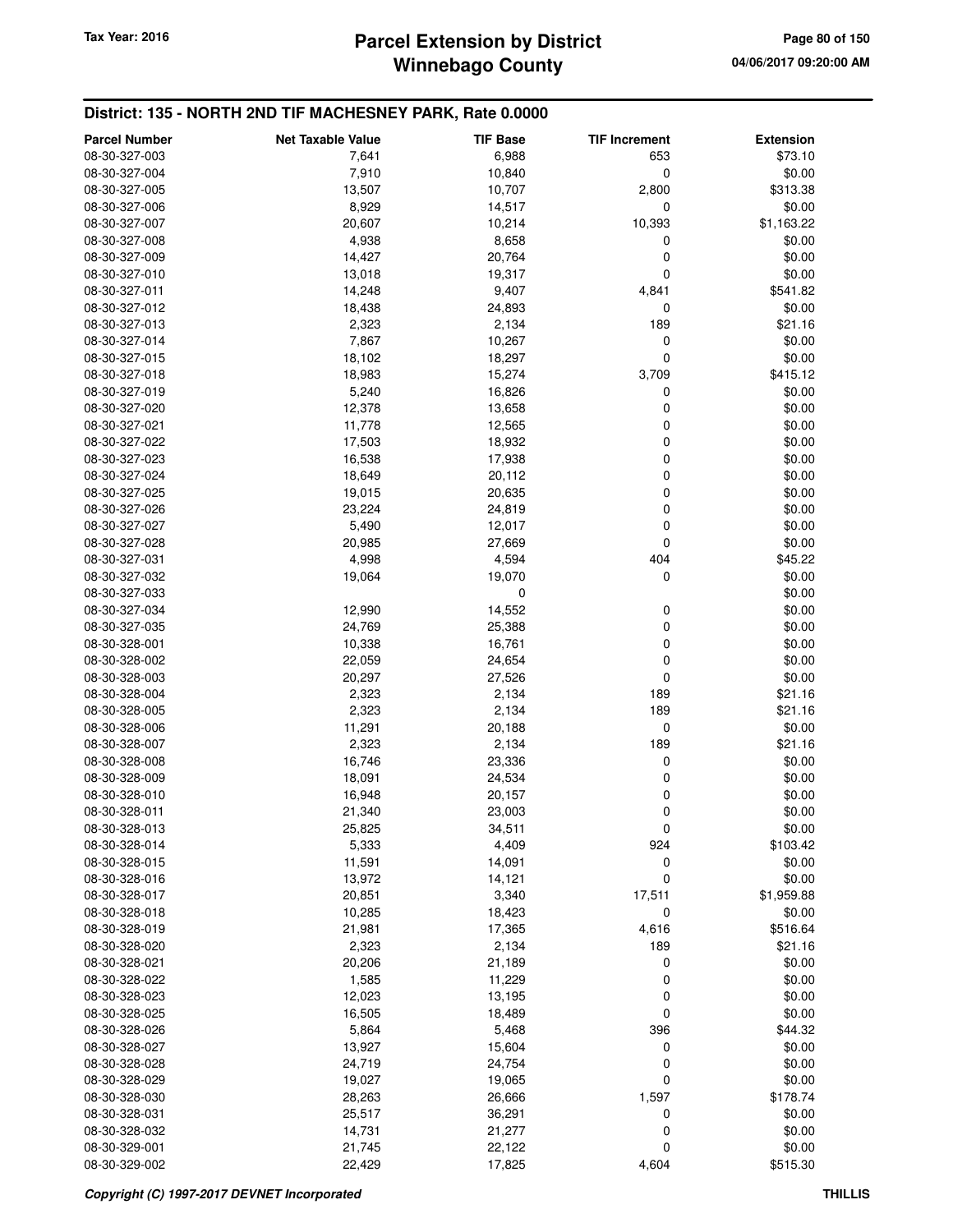#### **District: 135 - NORTH 2ND TIF MACHESNEY PARK, Rate 0.0000**

| <b>Parcel Number</b> | <b>Net Taxable Value</b> | <b>TIF Base</b> | <b>TIF Increment</b> | <b>Extension</b> |
|----------------------|--------------------------|-----------------|----------------------|------------------|
| 08-30-327-003        | 7,641                    | 6,988           | 653                  | \$73.10          |
| 08-30-327-004        | 7,910                    | 10,840          | 0                    | \$0.00           |
| 08-30-327-005        | 13,507                   | 10,707          | 2,800                | \$313.38         |
| 08-30-327-006        | 8,929                    | 14,517          | $\mathbf 0$          | \$0.00           |
| 08-30-327-007        | 20,607                   | 10,214          | 10,393               | \$1,163.22       |
| 08-30-327-008        | 4,938                    | 8,658           | 0                    | \$0.00           |
| 08-30-327-009        |                          |                 |                      | \$0.00           |
| 08-30-327-010        | 14,427                   | 20,764          | 0<br>0               |                  |
|                      | 13,018                   | 19,317          |                      | \$0.00           |
| 08-30-327-011        | 14,248                   | 9,407           | 4,841                | \$541.82         |
| 08-30-327-012        | 18,438                   | 24,893          | 0                    | \$0.00           |
| 08-30-327-013        | 2,323                    | 2,134           | 189                  | \$21.16          |
| 08-30-327-014        | 7,867                    | 10,267          | 0                    | \$0.00           |
| 08-30-327-015        | 18,102                   | 18,297          | 0                    | \$0.00           |
| 08-30-327-018        | 18,983                   | 15,274          | 3,709                | \$415.12         |
| 08-30-327-019        | 5,240                    | 16,826          | 0                    | \$0.00           |
| 08-30-327-020        | 12,378                   | 13,658          | 0                    | \$0.00           |
| 08-30-327-021        | 11,778                   | 12,565          | 0                    | \$0.00           |
| 08-30-327-022        | 17,503                   | 18,932          | 0                    | \$0.00           |
| 08-30-327-023        | 16,538                   | 17,938          | 0                    | \$0.00           |
| 08-30-327-024        | 18,649                   | 20,112          | 0                    | \$0.00           |
| 08-30-327-025        | 19,015                   | 20,635          | 0                    | \$0.00           |
| 08-30-327-026        | 23,224                   | 24,819          | 0                    | \$0.00           |
| 08-30-327-027        | 5,490                    | 12,017          | 0                    | \$0.00           |
| 08-30-327-028        | 20,985                   | 27,669          | $\mathbf 0$          | \$0.00           |
| 08-30-327-031        | 4,998                    | 4,594           | 404                  | \$45.22          |
| 08-30-327-032        | 19,064                   | 19,070          | 0                    | \$0.00           |
| 08-30-327-033        |                          | 0               |                      | \$0.00           |
| 08-30-327-034        | 12,990                   | 14,552          | 0                    | \$0.00           |
| 08-30-327-035        | 24,769                   | 25,388          | 0                    | \$0.00           |
| 08-30-328-001        | 10,338                   | 16,761          | 0                    | \$0.00           |
| 08-30-328-002        | 22,059                   | 24,654          | 0                    | \$0.00           |
| 08-30-328-003        | 20,297                   | 27,526          | 0                    | \$0.00           |
| 08-30-328-004        | 2,323                    | 2,134           | 189                  | \$21.16          |
| 08-30-328-005        | 2,323                    | 2,134           | 189                  | \$21.16          |
| 08-30-328-006        | 11,291                   | 20,188          | $\mathbf 0$          | \$0.00           |
| 08-30-328-007        | 2,323                    | 2,134           | 189                  | \$21.16          |
| 08-30-328-008        | 16,746                   | 23,336          | 0                    | \$0.00           |
| 08-30-328-009        | 18,091                   | 24,534          | 0                    | \$0.00           |
| 08-30-328-010        | 16,948                   | 20,157          | 0                    | \$0.00           |
| 08-30-328-011        | 21,340                   | 23,003          | 0                    | \$0.00           |
| 08-30-328-013        | 25,825                   | 34,511          | 0                    | \$0.00           |
| 08-30-328-014        | 5,333                    | 4,409           | 924                  | \$103.42         |
| 08-30-328-015        | 11,591                   | 14,091          | 0                    | \$0.00           |
| 08-30-328-016        | 13,972                   | 14,121          | $\mathbf 0$          | \$0.00           |
| 08-30-328-017        | 20,851                   | 3,340           | 17,511               | \$1,959.88       |
| 08-30-328-018        | 10,285                   | 18,423          | 0                    | \$0.00           |
| 08-30-328-019        | 21,981                   | 17,365          | 4,616                | \$516.64         |
| 08-30-328-020        | 2,323                    | 2,134           | 189                  | \$21.16          |
| 08-30-328-021        | 20,206                   | 21,189          | 0                    | \$0.00           |
| 08-30-328-022        | 1,585                    | 11,229          | 0                    | \$0.00           |
| 08-30-328-023        | 12,023                   | 13,195          | 0                    | \$0.00           |
| 08-30-328-025        | 16,505                   | 18,489          | 0                    | \$0.00           |
| 08-30-328-026        | 5,864                    | 5,468           | 396                  | \$44.32          |
| 08-30-328-027        | 13,927                   | 15,604          | 0                    | \$0.00           |
| 08-30-328-028        | 24,719                   | 24,754          | 0                    | \$0.00           |
| 08-30-328-029        | 19,027                   | 19,065          | 0                    | \$0.00           |
| 08-30-328-030        | 28,263                   | 26,666          | 1,597                | \$178.74         |
| 08-30-328-031        | 25,517                   | 36,291          | 0                    | \$0.00           |
| 08-30-328-032        | 14,731                   | 21,277          | 0                    | \$0.00           |
| 08-30-329-001        | 21,745                   | 22,122          | 0                    | \$0.00           |
| 08-30-329-002        | 22,429                   | 17,825          | 4,604                | \$515.30         |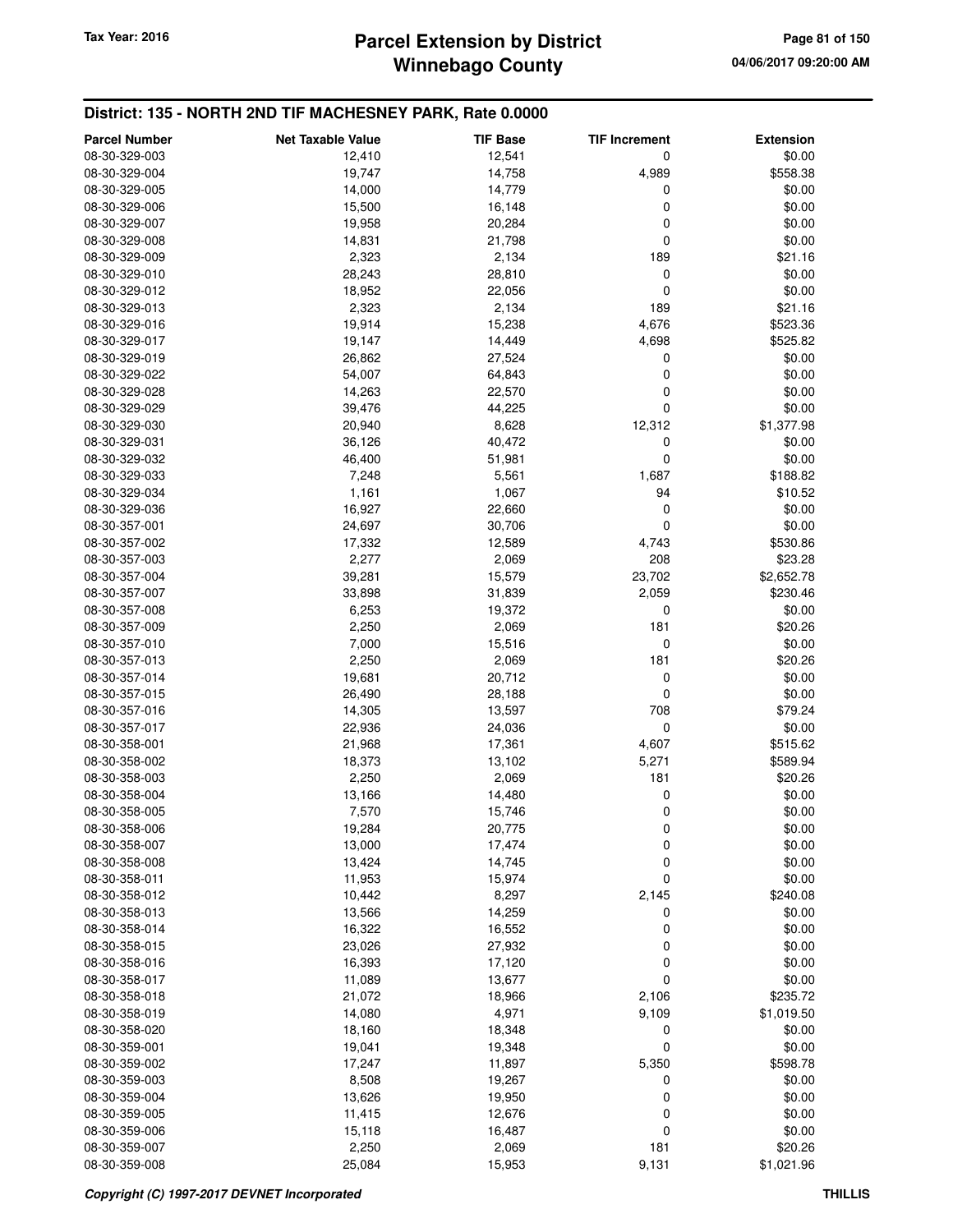#### **District: 135 - NORTH 2ND TIF MACHESNEY PARK, Rate 0.0000**

| <b>Parcel Number</b> | <b>Net Taxable Value</b> | <b>TIF Base</b> | <b>TIF Increment</b> | <b>Extension</b> |
|----------------------|--------------------------|-----------------|----------------------|------------------|
| 08-30-329-003        | 12,410                   | 12,541          | 0                    | \$0.00           |
| 08-30-329-004        | 19,747                   | 14,758          | 4,989                | \$558.38         |
| 08-30-329-005        | 14,000                   | 14,779          | 0                    | \$0.00           |
| 08-30-329-006        | 15,500                   | 16,148          | 0                    | \$0.00           |
| 08-30-329-007        | 19,958                   | 20,284          | 0                    | \$0.00           |
| 08-30-329-008        | 14,831                   | 21,798          | 0                    | \$0.00           |
| 08-30-329-009        | 2,323                    | 2,134           | 189                  | \$21.16          |
| 08-30-329-010        | 28,243                   | 28,810          | 0                    | \$0.00           |
| 08-30-329-012        | 18,952                   | 22,056          | 0                    | \$0.00           |
| 08-30-329-013        | 2,323                    | 2,134           | 189                  | \$21.16          |
| 08-30-329-016        | 19,914                   | 15,238          | 4,676                | \$523.36         |
| 08-30-329-017        | 19,147                   | 14,449          | 4,698                | \$525.82         |
| 08-30-329-019        | 26,862                   | 27,524          | 0                    | \$0.00           |
| 08-30-329-022        | 54,007                   | 64,843          | 0                    | \$0.00           |
| 08-30-329-028        | 14,263                   | 22,570          | 0                    | \$0.00           |
| 08-30-329-029        | 39,476                   | 44,225          | 0                    | \$0.00           |
| 08-30-329-030        | 20,940                   | 8,628           | 12,312               | \$1,377.98       |
| 08-30-329-031        | 36,126                   | 40,472          | 0                    | \$0.00           |
| 08-30-329-032        | 46,400                   | 51,981          | 0                    | \$0.00           |
| 08-30-329-033        | 7,248                    | 5,561           | 1,687                | \$188.82         |
| 08-30-329-034        | 1,161                    | 1,067           | 94                   | \$10.52          |
| 08-30-329-036        | 16,927                   | 22,660          | 0                    | \$0.00           |
| 08-30-357-001        | 24,697                   | 30,706          | $\mathbf 0$          | \$0.00           |
| 08-30-357-002        | 17,332                   | 12,589          | 4,743                | \$530.86         |
| 08-30-357-003        | 2,277                    | 2,069           | 208                  | \$23.28          |
| 08-30-357-004        | 39,281                   | 15,579          | 23,702               | \$2,652.78       |
| 08-30-357-007        | 33,898                   | 31,839          | 2,059                | \$230.46         |
| 08-30-357-008        | 6,253                    | 19,372          | 0                    | \$0.00           |
| 08-30-357-009        | 2,250                    | 2,069           | 181                  | \$20.26          |
| 08-30-357-010        | 7,000                    | 15,516          | 0                    | \$0.00           |
| 08-30-357-013        | 2,250                    | 2,069           | 181                  | \$20.26          |
| 08-30-357-014        | 19,681                   | 20,712          | $\mathbf 0$          | \$0.00           |
| 08-30-357-015        | 26,490                   | 28,188          | 0                    | \$0.00           |
| 08-30-357-016        | 14,305                   | 13,597          | 708                  | \$79.24          |
| 08-30-357-017        | 22,936                   | 24,036          | $\mathbf 0$          | \$0.00           |
| 08-30-358-001        | 21,968                   | 17,361          | 4,607                | \$515.62         |
| 08-30-358-002        | 18,373                   | 13,102          | 5,271                | \$589.94         |
| 08-30-358-003        | 2,250                    | 2,069           | 181                  | \$20.26          |
| 08-30-358-004        | 13,166                   | 14,480          | 0                    | \$0.00           |
| 08-30-358-005        | 7,570                    | 15,746          | 0                    | \$0.00           |
| 08-30-358-006        | 19,284                   | 20,775          | 0                    | \$0.00           |
| 08-30-358-007        | 13,000                   | 17,474          | 0                    | \$0.00           |
| 08-30-358-008        | 13,424                   | 14,745          | 0                    | \$0.00           |
| 08-30-358-011        | 11,953                   | 15,974          | 0                    | \$0.00           |
| 08-30-358-012        | 10,442                   | 8,297           | 2,145                | \$240.08         |
| 08-30-358-013        | 13,566                   | 14,259          | 0                    | \$0.00           |
| 08-30-358-014        | 16,322                   | 16,552          | 0                    | \$0.00           |
| 08-30-358-015        | 23,026                   | 27,932          | 0                    | \$0.00           |
| 08-30-358-016        | 16,393                   | 17,120          | 0                    | \$0.00           |
| 08-30-358-017        | 11,089                   | 13,677          | 0                    | \$0.00           |
| 08-30-358-018        | 21,072                   | 18,966          | 2,106                | \$235.72         |
| 08-30-358-019        | 14,080                   | 4,971           | 9,109                | \$1,019.50       |
| 08-30-358-020        | 18,160                   | 18,348          | 0                    | \$0.00           |
| 08-30-359-001        | 19,041                   | 19,348          | 0                    | \$0.00           |
| 08-30-359-002        | 17,247                   | 11,897          | 5,350                | \$598.78         |
| 08-30-359-003        | 8,508                    | 19,267          | 0                    | \$0.00           |
| 08-30-359-004        | 13,626                   | 19,950          | 0                    | \$0.00           |
| 08-30-359-005        | 11,415                   | 12,676          | 0                    | \$0.00           |
| 08-30-359-006        | 15,118                   | 16,487          | 0                    | \$0.00           |
| 08-30-359-007        | 2,250                    | 2,069           | 181                  | \$20.26          |
| 08-30-359-008        | 25,084                   | 15,953          | 9,131                | \$1,021.96       |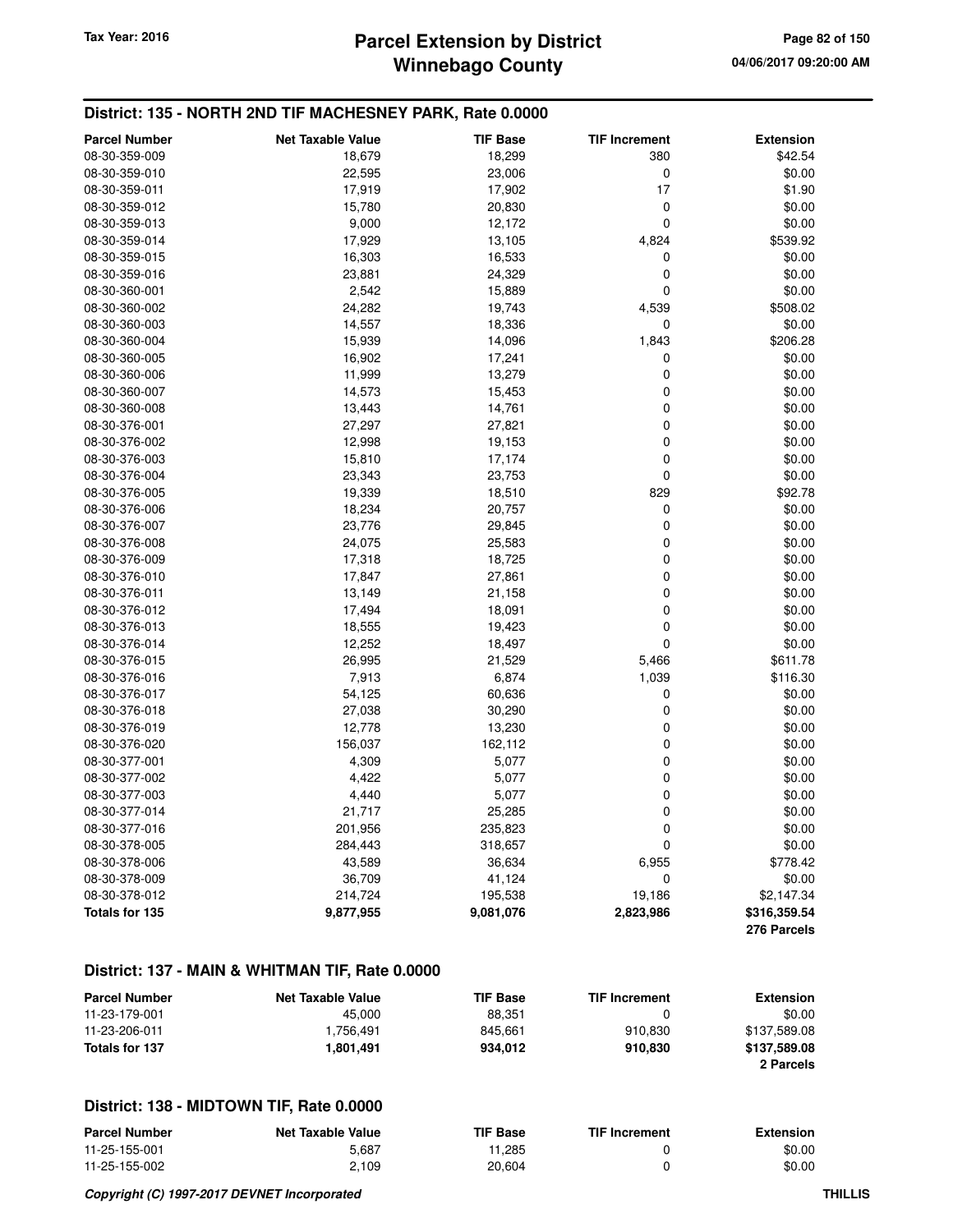## **Winnebago County Parcel Extension by District Tax Year: 2016 Page 82 of 150**

#### **District: 135 - NORTH 2ND TIF MACHESNEY PARK, Rate 0.0000**

| <b>Parcel Number</b> | <b>Net Taxable Value</b> | <b>TIF Base</b> | <b>TIF Increment</b> | <b>Extension</b> |
|----------------------|--------------------------|-----------------|----------------------|------------------|
| 08-30-359-009        | 18,679                   | 18,299          | 380                  | \$42.54          |
| 08-30-359-010        | 22,595                   | 23,006          | 0                    | \$0.00           |
| 08-30-359-011        | 17,919                   | 17,902          | 17                   | \$1.90           |
| 08-30-359-012        | 15,780                   | 20,830          | 0                    | \$0.00           |
| 08-30-359-013        | 9,000                    | 12,172          | 0                    | \$0.00           |
| 08-30-359-014        | 17,929                   | 13,105          | 4,824                | \$539.92         |
| 08-30-359-015        | 16,303                   | 16,533          | 0                    | \$0.00           |
| 08-30-359-016        | 23,881                   | 24,329          | 0                    | \$0.00           |
| 08-30-360-001        | 2,542                    | 15,889          | 0                    | \$0.00           |
| 08-30-360-002        | 24,282                   | 19,743          | 4,539                | \$508.02         |
| 08-30-360-003        | 14,557                   | 18,336          | 0                    | \$0.00           |
| 08-30-360-004        | 15,939                   | 14,096          | 1,843                | \$206.28         |
| 08-30-360-005        | 16,902                   | 17,241          | 0                    | \$0.00           |
| 08-30-360-006        | 11,999                   | 13,279          | 0                    | \$0.00           |
| 08-30-360-007        | 14,573                   | 15,453          | 0                    | \$0.00           |
| 08-30-360-008        | 13,443                   | 14,761          | 0                    | \$0.00           |
| 08-30-376-001        | 27,297                   | 27,821          | 0                    | \$0.00           |
| 08-30-376-002        | 12,998                   | 19,153          | 0                    | \$0.00           |
| 08-30-376-003        | 15,810                   | 17,174          | 0                    | \$0.00           |
| 08-30-376-004        | 23,343                   | 23,753          | $\mathbf 0$          | \$0.00           |
| 08-30-376-005        | 19,339                   | 18,510          | 829                  | \$92.78          |
| 08-30-376-006        | 18,234                   | 20,757          | 0                    | \$0.00           |
| 08-30-376-007        | 23,776                   | 29,845          | 0                    | \$0.00           |
|                      |                          |                 | 0                    | \$0.00           |
| 08-30-376-008        | 24,075                   | 25,583          | 0                    |                  |
| 08-30-376-009        | 17,318                   | 18,725          |                      | \$0.00           |
| 08-30-376-010        | 17,847                   | 27,861          | 0                    | \$0.00           |
| 08-30-376-011        | 13,149                   | 21,158          | $\mathbf 0$          | \$0.00           |
| 08-30-376-012        | 17,494                   | 18,091          | 0                    | \$0.00           |
| 08-30-376-013        | 18,555                   | 19,423          | $\mathbf 0$          | \$0.00           |
| 08-30-376-014        | 12,252                   | 18,497          | 0                    | \$0.00           |
| 08-30-376-015        | 26,995                   | 21,529          | 5,466                | \$611.78         |
| 08-30-376-016        | 7,913                    | 6,874           | 1,039                | \$116.30         |
| 08-30-376-017        | 54,125                   | 60,636          | 0                    | \$0.00           |
| 08-30-376-018        | 27,038                   | 30,290          | 0                    | \$0.00           |
| 08-30-376-019        | 12,778                   | 13,230          | 0                    | \$0.00           |
| 08-30-376-020        | 156,037                  | 162,112         | 0                    | \$0.00           |
| 08-30-377-001        | 4,309                    | 5,077           | 0                    | \$0.00           |
| 08-30-377-002        | 4,422                    | 5,077           | $\mathbf 0$          | \$0.00           |
| 08-30-377-003        | 4,440                    | 5,077           | 0                    | \$0.00           |
| 08-30-377-014        | 21,717                   | 25,285          | 0                    | \$0.00           |
| 08-30-377-016        | 201,956                  | 235,823         | 0                    | \$0.00           |
| 08-30-378-005        | 284,443                  | 318,657         | 0                    | \$0.00           |
| 08-30-378-006        | 43,589                   | 36,634          | 6,955                | \$778.42         |
| 08-30-378-009        | 36,709                   | 41,124          | 0                    | \$0.00           |
| 08-30-378-012        | 214,724                  | 195,538         | 19,186               | \$2,147.34       |
| Totals for 135       | 9,877,955                | 9,081,076       | 2,823,986            | \$316,359.54     |
|                      |                          |                 |                      | 276 Parcels      |

#### **District: 137 - MAIN & WHITMAN TIF, Rate 0.0000**

| <b>Parcel Number</b> | <b>Net Taxable Value</b> | <b>TIF Base</b> | <b>TIF Increment</b> | <b>Extension</b> |
|----------------------|--------------------------|-----------------|----------------------|------------------|
| 11-23-179-001        | 45.000                   | 88.351          |                      | \$0.00           |
| 11-23-206-011        | 1.756.491                | 845.661         | 910.830              | \$137.589.08     |
| Totals for 137       | 1.801.491                | 934.012         | 910.830              | \$137.589.08     |
|                      |                          |                 |                      | 2 Parcels        |

| <b>Parcel Number</b> | Net Taxable Value | <b>TIF Base</b> | <b>TIF Increment</b> | <b>Extension</b> |
|----------------------|-------------------|-----------------|----------------------|------------------|
| 11-25-155-001        | 5.687             | 11.285          |                      | \$0.00           |
| 11-25-155-002        | 2,109             | 20,604          |                      | \$0.00           |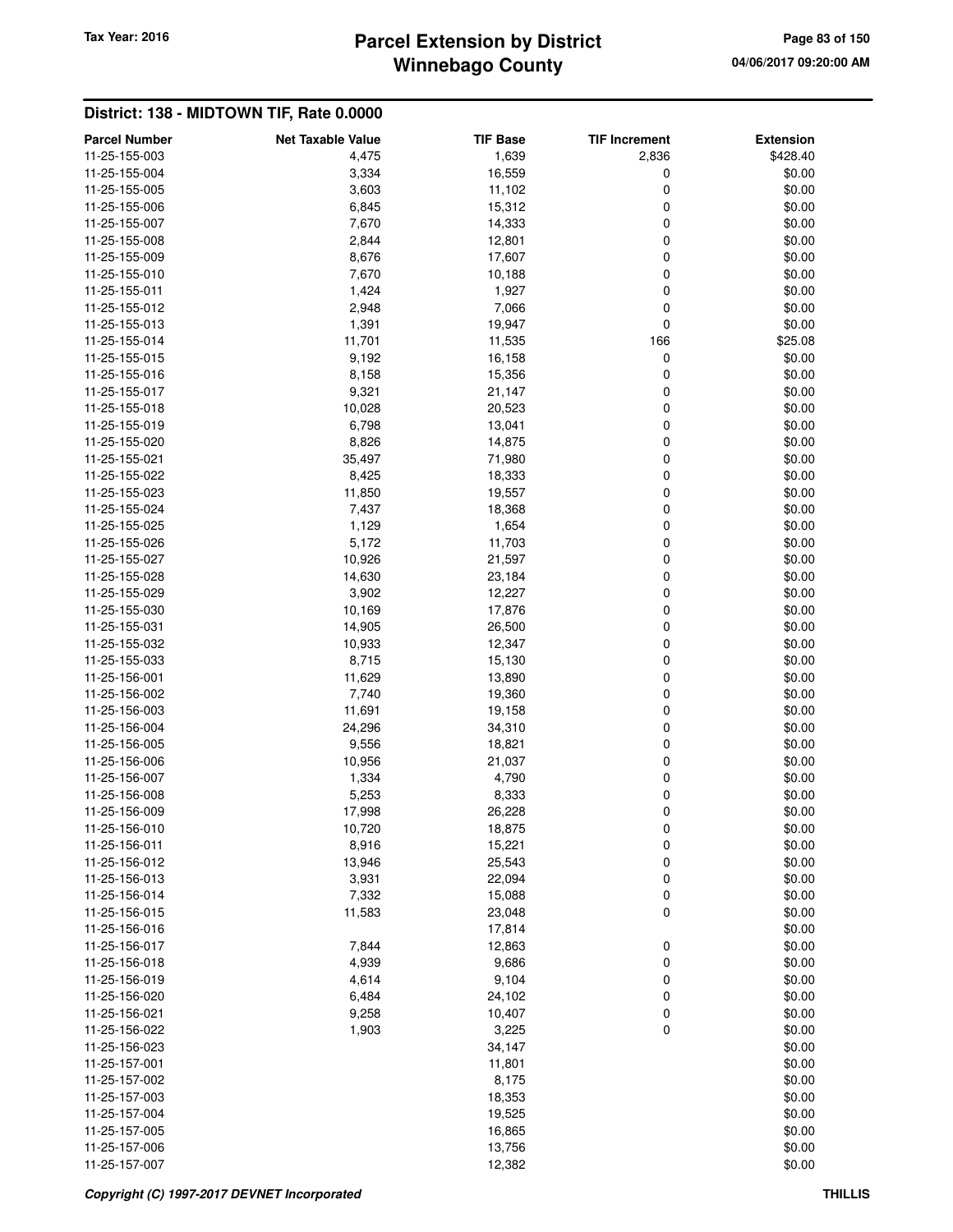# **Winnebago County** Tax Year: 2016 **Parcel Extension by District Page 83 of 150**

| <b>Parcel Number</b><br>11-25-155-003 | <b>Net Taxable Value</b><br>4,475 | <b>TIF Base</b> | <b>TIF Increment</b><br>2,836 | <b>Extension</b><br>\$428.40 |
|---------------------------------------|-----------------------------------|-----------------|-------------------------------|------------------------------|
|                                       |                                   | 1,639           |                               |                              |
| 11-25-155-004                         | 3,334                             | 16,559          | 0                             | \$0.00                       |
| 11-25-155-005                         | 3,603                             | 11,102          | $\mathbf 0$                   | \$0.00                       |
| 11-25-155-006                         | 6,845                             | 15,312          | 0                             | \$0.00                       |
| 11-25-155-007                         | 7,670                             | 14,333          | 0                             | \$0.00                       |
| 11-25-155-008                         | 2,844                             | 12,801          | 0                             | \$0.00                       |
| 11-25-155-009                         | 8,676                             | 17,607          | $\mathbf 0$                   | \$0.00                       |
| 11-25-155-010                         | 7,670                             | 10,188          | 0                             | \$0.00                       |
| 11-25-155-011                         | 1,424                             | 1,927           | 0                             | \$0.00                       |
| 11-25-155-012                         | 2,948                             | 7,066           | $\mathbf 0$                   | \$0.00                       |
| 11-25-155-013                         | 1,391                             | 19,947          | $\mathbf 0$                   | \$0.00                       |
| 11-25-155-014                         | 11,701                            | 11,535          | 166                           | \$25.08                      |
| 11-25-155-015                         | 9,192                             | 16,158          | 0                             | \$0.00                       |
| 11-25-155-016                         | 8,158                             | 15,356          | 0                             | \$0.00                       |
| 11-25-155-017                         | 9,321                             | 21,147          | 0                             | \$0.00                       |
| 11-25-155-018                         | 10,028                            | 20,523          | 0                             | \$0.00                       |
| 11-25-155-019                         | 6,798                             | 13,041          | $\mathbf 0$                   | \$0.00                       |
| 11-25-155-020                         | 8,826                             | 14,875          | $\mathbf 0$                   | \$0.00                       |
| 11-25-155-021                         | 35,497                            | 71,980          | 0                             | \$0.00                       |
| 11-25-155-022                         | 8,425                             | 18,333          | 0                             | \$0.00                       |
| 11-25-155-023                         | 11,850                            | 19,557          | 0                             | \$0.00                       |
| 11-25-155-024                         | 7,437                             | 18,368          | $\mathbf 0$                   | \$0.00                       |
| 11-25-155-025                         | 1,129                             | 1,654           | $\mathbf 0$                   | \$0.00                       |
| 11-25-155-026                         | 5,172                             | 11,703          | $\mathbf 0$                   | \$0.00                       |
| 11-25-155-027                         | 10,926                            | 21,597          | 0                             | \$0.00                       |
| 11-25-155-028                         | 14,630                            | 23,184          | $\mathbf 0$                   | \$0.00                       |
| 11-25-155-029                         | 3,902                             | 12,227          | $\mathbf 0$                   | \$0.00                       |
| 11-25-155-030                         | 10,169                            | 17,876          | 0                             | \$0.00                       |
| 11-25-155-031                         | 14,905                            | 26,500          | 0                             | \$0.00                       |
| 11-25-155-032                         | 10,933                            | 12,347          | 0                             | \$0.00                       |
| 11-25-155-033                         | 8,715                             | 15,130          | $\mathbf 0$                   | \$0.00                       |
| 11-25-156-001                         | 11,629                            | 13,890          | $\mathbf 0$                   | \$0.00                       |
| 11-25-156-002                         | 7,740                             | 19,360          | $\mathbf 0$                   | \$0.00                       |
| 11-25-156-003                         | 11,691                            | 19,158          | $\mathbf 0$                   | \$0.00                       |
| 11-25-156-004                         | 24,296                            | 34,310          | 0                             | \$0.00                       |
| 11-25-156-005                         | 9,556                             | 18,821          | $\mathbf 0$                   | \$0.00                       |
| 11-25-156-006                         | 10,956                            | 21,037          | $\mathbf 0$                   | \$0.00                       |
| 11-25-156-007                         | 1,334                             | 4,790           | 0                             | \$0.00                       |
| 11-25-156-008                         | 5,253                             | 8,333           | $\mathbf 0$                   | \$0.00                       |
| 11-25-156-009                         | 17,998                            | 26,228          | $\mathbf 0$                   | \$0.00                       |
| 11-25-156-010                         | 10,720                            | 18,875          | $\boldsymbol{0}$              | \$0.00                       |
| 11-25-156-011                         | 8,916                             | 15,221          | 0                             | \$0.00                       |
| 11-25-156-012                         | 13,946                            | 25,543          | 0                             | \$0.00                       |
| 11-25-156-013                         | 3,931                             | 22,094          | 0                             | \$0.00                       |
| 11-25-156-014                         | 7,332                             | 15,088          | 0                             | \$0.00                       |
| 11-25-156-015                         | 11,583                            | 23,048          | $\mathbf 0$                   | \$0.00                       |
| 11-25-156-016                         |                                   | 17,814          |                               | \$0.00                       |
| 11-25-156-017                         | 7,844                             | 12,863          | $\boldsymbol{0}$              | \$0.00                       |
| 11-25-156-018                         | 4,939                             | 9,686           | 0                             | \$0.00                       |
| 11-25-156-019                         | 4,614                             | 9,104           | 0                             | \$0.00                       |
| 11-25-156-020                         | 6,484                             | 24,102          | 0                             | \$0.00                       |
| 11-25-156-021                         | 9,258                             | 10,407          | 0                             | \$0.00                       |
| 11-25-156-022                         | 1,903                             | 3,225           | $\mathbf 0$                   | \$0.00                       |
| 11-25-156-023                         |                                   | 34,147          |                               | \$0.00                       |
| 11-25-157-001                         |                                   | 11,801          |                               | \$0.00                       |
| 11-25-157-002                         |                                   | 8,175           |                               | \$0.00                       |
| 11-25-157-003                         |                                   | 18,353          |                               | \$0.00                       |
| 11-25-157-004                         |                                   | 19,525          |                               | \$0.00                       |
| 11-25-157-005                         |                                   | 16,865          |                               | \$0.00                       |
| 11-25-157-006                         |                                   | 13,756          |                               | \$0.00                       |
| 11-25-157-007                         |                                   | 12,382          |                               | \$0.00                       |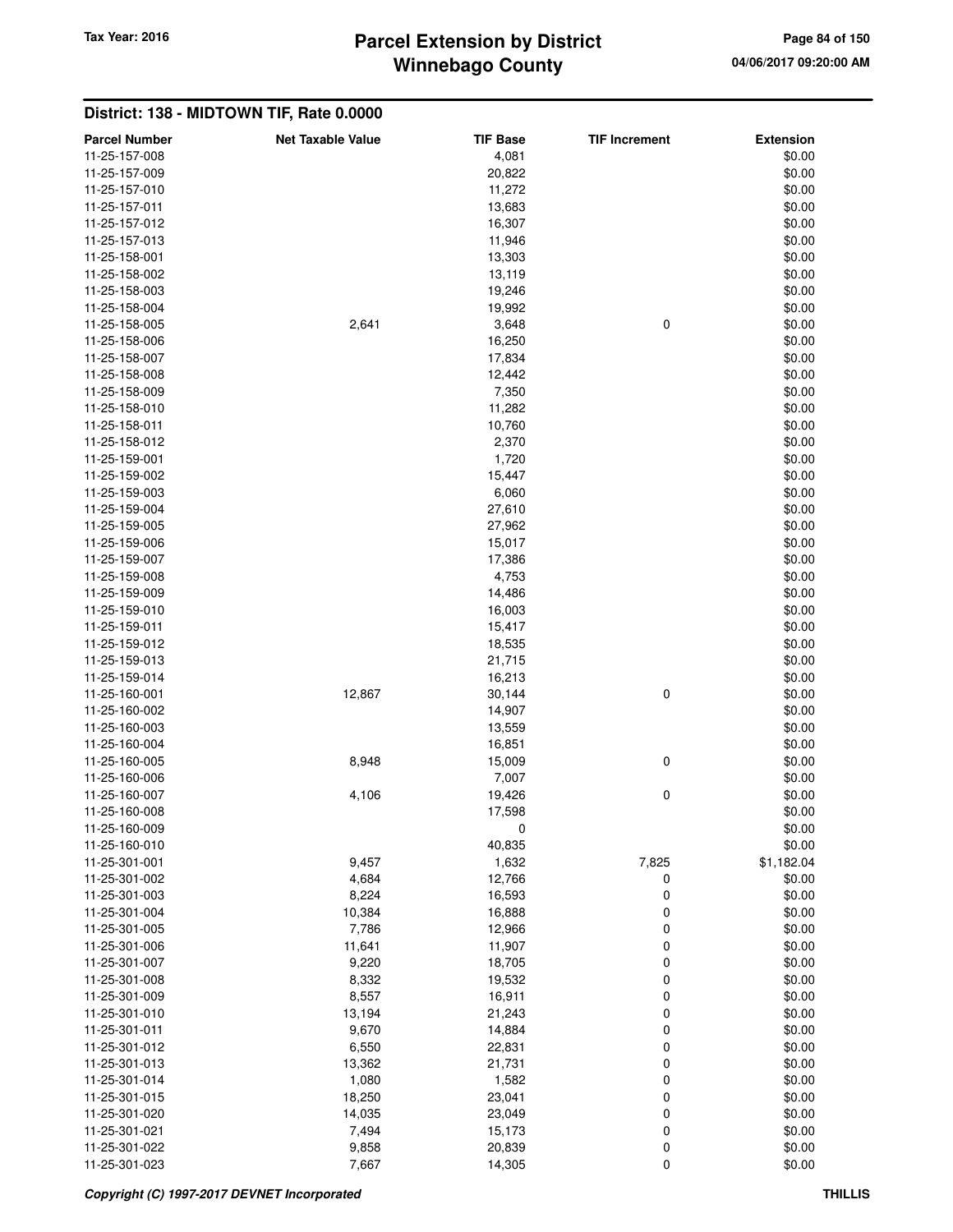# **Winnebago County** Tax Year: 2016 **Parcel Extension by District Page 84 of 150**

| <b>Parcel Number</b> | <b>Net Taxable Value</b> | <b>TIF Base</b> | <b>TIF Increment</b> | <b>Extension</b> |
|----------------------|--------------------------|-----------------|----------------------|------------------|
| 11-25-157-008        |                          | 4,081           |                      | \$0.00           |
| 11-25-157-009        |                          | 20,822          |                      | \$0.00           |
| 11-25-157-010        |                          | 11,272          |                      | \$0.00           |
| 11-25-157-011        |                          | 13,683          |                      | \$0.00           |
|                      |                          |                 |                      |                  |
| 11-25-157-012        |                          | 16,307          |                      | \$0.00           |
| 11-25-157-013        |                          | 11,946          |                      | \$0.00           |
| 11-25-158-001        |                          | 13,303          |                      | \$0.00           |
| 11-25-158-002        |                          | 13,119          |                      | \$0.00           |
| 11-25-158-003        |                          | 19,246          |                      | \$0.00           |
| 11-25-158-004        |                          | 19,992          |                      | \$0.00           |
| 11-25-158-005        | 2,641                    | 3,648           | 0                    | \$0.00           |
| 11-25-158-006        |                          | 16,250          |                      | \$0.00           |
| 11-25-158-007        |                          | 17,834          |                      | \$0.00           |
| 11-25-158-008        |                          | 12,442          |                      | \$0.00           |
| 11-25-158-009        |                          | 7,350           |                      | \$0.00           |
| 11-25-158-010        |                          | 11,282          |                      | \$0.00           |
| 11-25-158-011        |                          | 10,760          |                      | \$0.00           |
| 11-25-158-012        |                          | 2,370           |                      | \$0.00           |
| 11-25-159-001        |                          | 1,720           |                      | \$0.00           |
| 11-25-159-002        |                          | 15,447          |                      | \$0.00           |
| 11-25-159-003        |                          | 6,060           |                      | \$0.00           |
| 11-25-159-004        |                          | 27,610          |                      | \$0.00           |
| 11-25-159-005        |                          | 27,962          |                      | \$0.00           |
|                      |                          |                 |                      |                  |
| 11-25-159-006        |                          | 15,017          |                      | \$0.00           |
| 11-25-159-007        |                          | 17,386          |                      | \$0.00           |
| 11-25-159-008        |                          | 4,753           |                      | \$0.00           |
| 11-25-159-009        |                          | 14,486          |                      | \$0.00           |
| 11-25-159-010        |                          | 16,003          |                      | \$0.00           |
| 11-25-159-011        |                          | 15,417          |                      | \$0.00           |
| 11-25-159-012        |                          | 18,535          |                      | \$0.00           |
| 11-25-159-013        |                          | 21,715          |                      | \$0.00           |
| 11-25-159-014        |                          | 16,213          |                      | \$0.00           |
| 11-25-160-001        | 12,867                   | 30,144          | 0                    | \$0.00           |
| 11-25-160-002        |                          | 14,907          |                      | \$0.00           |
| 11-25-160-003        |                          | 13,559          |                      | \$0.00           |
| 11-25-160-004        |                          | 16,851          |                      | \$0.00           |
| 11-25-160-005        | 8,948                    | 15,009          | 0                    | \$0.00           |
| 11-25-160-006        |                          | 7,007           |                      | \$0.00           |
| 11-25-160-007        | 4,106                    | 19,426          | 0                    | \$0.00           |
| 11-25-160-008        |                          | 17,598          |                      | \$0.00           |
| 11-25-160-009        |                          | U               |                      | \$0.00           |
| 11-25-160-010        |                          | 40,835          |                      | \$0.00           |
| 11-25-301-001        | 9,457                    | 1,632           | 7,825                | \$1,182.04       |
| 11-25-301-002        | 4,684                    | 12,766          | 0                    | \$0.00           |
| 11-25-301-003        | 8,224                    | 16,593          | 0                    | \$0.00           |
| 11-25-301-004        | 10,384                   | 16,888          | 0                    | \$0.00           |
| 11-25-301-005        | 7,786                    | 12,966          | 0                    | \$0.00           |
| 11-25-301-006        | 11,641                   | 11,907          | 0                    | \$0.00           |
| 11-25-301-007        | 9,220                    | 18,705          | 0                    | \$0.00           |
| 11-25-301-008        | 8,332                    | 19,532          | 0                    | \$0.00           |
| 11-25-301-009        | 8,557                    | 16,911          | 0                    | \$0.00           |
| 11-25-301-010        | 13,194                   | 21,243          | 0                    | \$0.00           |
| 11-25-301-011        | 9,670                    | 14,884          | 0                    | \$0.00           |
| 11-25-301-012        | 6,550                    | 22,831          | 0                    | \$0.00           |
| 11-25-301-013        |                          |                 |                      |                  |
|                      | 13,362                   | 21,731          | 0                    | \$0.00           |
| 11-25-301-014        | 1,080                    | 1,582           | 0                    | \$0.00           |
| 11-25-301-015        | 18,250                   | 23,041          | 0                    | \$0.00           |
| 11-25-301-020        | 14,035                   | 23,049          | 0                    | \$0.00           |
| 11-25-301-021        | 7,494                    | 15,173          | 0                    | \$0.00           |
| 11-25-301-022        | 9,858                    | 20,839          | 0                    | \$0.00           |
| 11-25-301-023        | 7,667                    | 14,305          | 0                    | \$0.00           |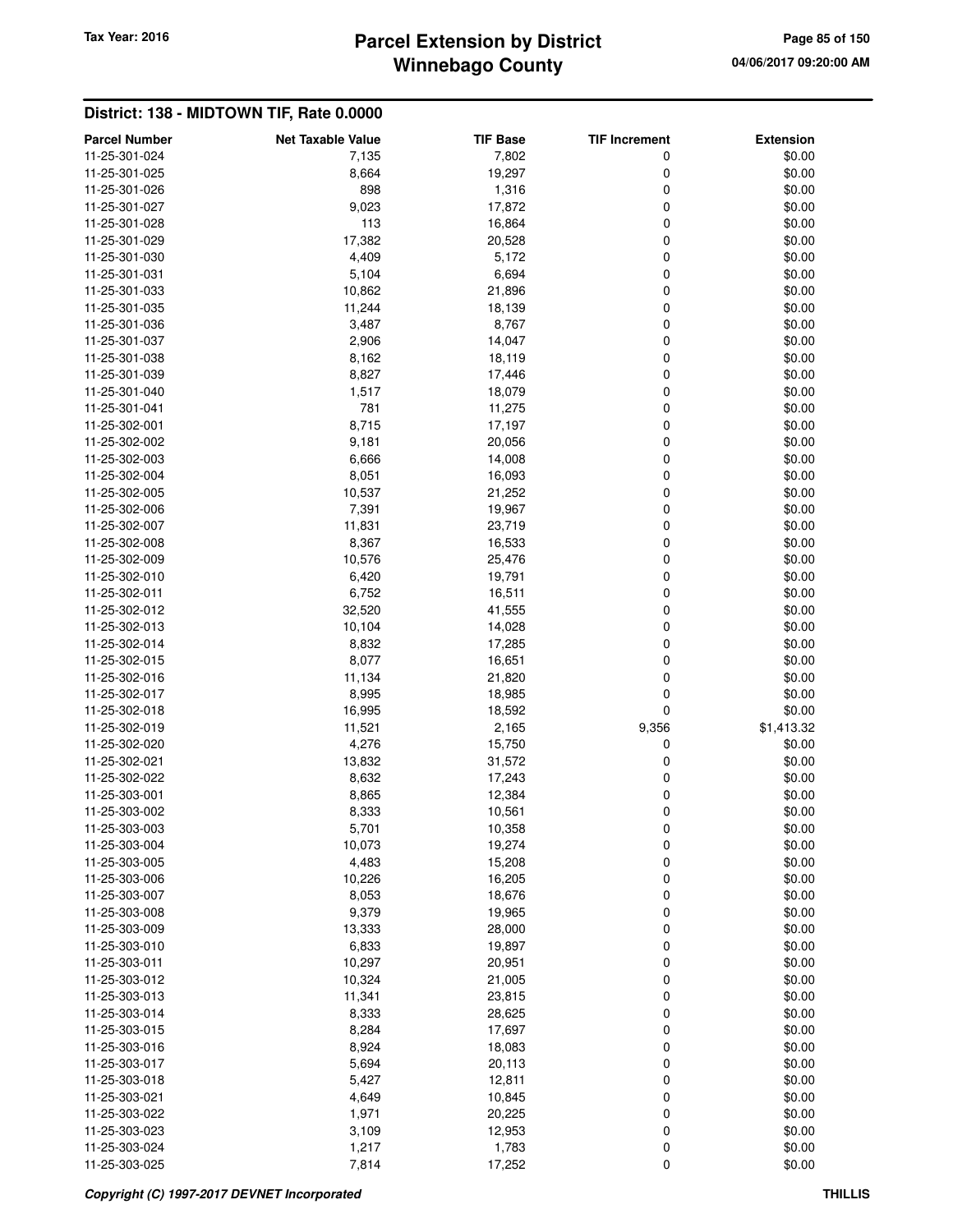# **Winnebago County Parcel Extension by District Tax Year: 2016 Page 85 of 150**

| 7,802<br>\$0.00<br>11-25-301-024<br>7,135<br>0<br>8,664<br>19,297<br>0<br>\$0.00<br>11-25-301-025<br>898<br>0<br>\$0.00<br>11-25-301-026<br>1,316<br>11-25-301-027<br>9,023<br>17,872<br>0<br>\$0.00<br>113<br>11-25-301-028<br>16,864<br>0<br>\$0.00<br>17,382<br>20,528<br>0<br>\$0.00<br>11-25-301-029<br>4,409<br>5,172<br>0<br>\$0.00<br>11-25-301-030<br>5,104<br>6,694<br>0<br>11-25-301-031<br>\$0.00<br>10,862<br>21,896<br>0<br>\$0.00<br>11-25-301-033<br>11-25-301-035<br>11,244<br>18,139<br>0<br>\$0.00<br>3,487<br>8,767<br>0<br>\$0.00<br>11-25-301-036<br>2,906<br>14,047<br>0<br>\$0.00<br>11-25-301-037<br>0<br>\$0.00<br>11-25-301-038<br>8,162<br>18,119<br>11-25-301-039<br>8,827<br>17,446<br>0<br>\$0.00<br>11-25-301-040<br>1,517<br>18,079<br>0<br>\$0.00<br>781<br>11,275<br>0<br>\$0.00<br>11-25-301-041<br>8,715<br>0<br>17,197<br>\$0.00<br>11-25-302-001<br>0<br>\$0.00<br>11-25-302-002<br>9,181<br>20,056<br>11-25-302-003<br>6,666<br>14,008<br>0<br>\$0.00<br>11-25-302-004<br>8,051<br>16,093<br>0<br>\$0.00<br>10,537<br>21,252<br>0<br>\$0.00<br>11-25-302-005<br>7,391<br>19,967<br>0<br>\$0.00<br>11-25-302-006<br>0<br>\$0.00<br>11-25-302-007<br>11,831<br>23,719<br>0<br>11-25-302-008<br>8,367<br>16,533<br>\$0.00<br>11-25-302-009<br>10,576<br>25,476<br>0<br>\$0.00<br>6,420<br>\$0.00<br>19,791<br>0<br>11-25-302-010<br>11-25-302-011<br>6,752<br>16,511<br>0<br>\$0.00<br>32,520<br>0<br>\$0.00<br>11-25-302-012<br>41,555<br>10,104<br>14,028<br>0<br>\$0.00<br>11-25-302-013<br>11-25-302-014<br>8,832<br>17,285<br>0<br>\$0.00<br>8,077<br>16,651<br>0<br>\$0.00<br>11-25-302-015<br>11,134<br>0<br>\$0.00<br>11-25-302-016<br>21,820<br>0<br>11-25-302-017<br>8,995<br>18,985<br>\$0.00<br>0<br>16,995<br>18,592<br>\$0.00<br>11-25-302-018<br>11-25-302-019<br>11,521<br>2,165<br>9,356<br>\$1,413.32<br>4,276<br>15,750<br>0<br>\$0.00<br>11-25-302-020<br>13,832<br>31,572<br>0<br>\$0.00<br>11-25-302-021<br>11-25-302-022<br>8,632<br>17,243<br>0<br>\$0.00<br>11-25-303-001<br>12,384<br>0<br>\$0.00<br>8,865<br>0<br>11-25-303-002<br>8,333<br>10,561<br>\$0.00<br>5,701<br>10,358<br>0<br>\$0.00<br>11-25-303-003<br>10,073<br>0<br>11-25-303-004<br>19,274<br>\$0.00<br>4,483<br>0<br>\$0.00<br>11-25-303-005<br>15,208<br>0<br>10,226<br>16,205<br>\$0.00<br>11-25-303-006<br>0<br>11-25-303-007<br>8,053<br>18,676<br>\$0.00<br>0<br>9,379<br>19,965<br>\$0.00<br>11-25-303-008<br>0<br>11-25-303-009<br>13,333<br>28,000<br>\$0.00<br>6,833<br>0<br>\$0.00<br>11-25-303-010<br>19,897<br>0<br>11-25-303-011<br>10,297<br>20,951<br>\$0.00<br>10,324<br>0<br>11-25-303-012<br>21,005<br>\$0.00<br>0<br>\$0.00<br>11,341<br>23,815<br>11-25-303-013<br>0<br>11-25-303-014<br>8,333<br>28,625<br>\$0.00<br>8,284<br>0<br>\$0.00<br>11-25-303-015<br>17,697<br>0<br>8,924<br>18,083<br>\$0.00<br>11-25-303-016<br>11-25-303-017<br>5,694<br>20,113<br>0<br>\$0.00<br>5,427<br>12,811<br>0<br>\$0.00<br>11-25-303-018<br>0<br>4,649<br>10,845<br>\$0.00<br>11-25-303-021<br>0<br>11-25-303-022<br>1,971<br>20,225<br>\$0.00<br>0<br>\$0.00<br>11-25-303-023<br>3,109<br>12,953<br>1,217<br>1,783<br>0<br>11-25-303-024<br>\$0.00<br>7,814<br>17,252<br>0<br>\$0.00<br>11-25-303-025 |                      |                          |                 |                      |                  |
|--------------------------------------------------------------------------------------------------------------------------------------------------------------------------------------------------------------------------------------------------------------------------------------------------------------------------------------------------------------------------------------------------------------------------------------------------------------------------------------------------------------------------------------------------------------------------------------------------------------------------------------------------------------------------------------------------------------------------------------------------------------------------------------------------------------------------------------------------------------------------------------------------------------------------------------------------------------------------------------------------------------------------------------------------------------------------------------------------------------------------------------------------------------------------------------------------------------------------------------------------------------------------------------------------------------------------------------------------------------------------------------------------------------------------------------------------------------------------------------------------------------------------------------------------------------------------------------------------------------------------------------------------------------------------------------------------------------------------------------------------------------------------------------------------------------------------------------------------------------------------------------------------------------------------------------------------------------------------------------------------------------------------------------------------------------------------------------------------------------------------------------------------------------------------------------------------------------------------------------------------------------------------------------------------------------------------------------------------------------------------------------------------------------------------------------------------------------------------------------------------------------------------------------------------------------------------------------------------------------------------------------------------------------------------------------------------------------------------------------------------------------------------------------------------------------------------------------------------------------------------------------------------------------------------------------------------------------------------------------------------------------------------------------------------------------------------------------------------------------------------------------------------------------------------------------------------------------------------------------------------|----------------------|--------------------------|-----------------|----------------------|------------------|
|                                                                                                                                                                                                                                                                                                                                                                                                                                                                                                                                                                                                                                                                                                                                                                                                                                                                                                                                                                                                                                                                                                                                                                                                                                                                                                                                                                                                                                                                                                                                                                                                                                                                                                                                                                                                                                                                                                                                                                                                                                                                                                                                                                                                                                                                                                                                                                                                                                                                                                                                                                                                                                                                                                                                                                                                                                                                                                                                                                                                                                                                                                                                                                                                                                                  | <b>Parcel Number</b> | <b>Net Taxable Value</b> | <b>TIF Base</b> | <b>TIF Increment</b> | <b>Extension</b> |
|                                                                                                                                                                                                                                                                                                                                                                                                                                                                                                                                                                                                                                                                                                                                                                                                                                                                                                                                                                                                                                                                                                                                                                                                                                                                                                                                                                                                                                                                                                                                                                                                                                                                                                                                                                                                                                                                                                                                                                                                                                                                                                                                                                                                                                                                                                                                                                                                                                                                                                                                                                                                                                                                                                                                                                                                                                                                                                                                                                                                                                                                                                                                                                                                                                                  |                      |                          |                 |                      |                  |
|                                                                                                                                                                                                                                                                                                                                                                                                                                                                                                                                                                                                                                                                                                                                                                                                                                                                                                                                                                                                                                                                                                                                                                                                                                                                                                                                                                                                                                                                                                                                                                                                                                                                                                                                                                                                                                                                                                                                                                                                                                                                                                                                                                                                                                                                                                                                                                                                                                                                                                                                                                                                                                                                                                                                                                                                                                                                                                                                                                                                                                                                                                                                                                                                                                                  |                      |                          |                 |                      |                  |
|                                                                                                                                                                                                                                                                                                                                                                                                                                                                                                                                                                                                                                                                                                                                                                                                                                                                                                                                                                                                                                                                                                                                                                                                                                                                                                                                                                                                                                                                                                                                                                                                                                                                                                                                                                                                                                                                                                                                                                                                                                                                                                                                                                                                                                                                                                                                                                                                                                                                                                                                                                                                                                                                                                                                                                                                                                                                                                                                                                                                                                                                                                                                                                                                                                                  |                      |                          |                 |                      |                  |
|                                                                                                                                                                                                                                                                                                                                                                                                                                                                                                                                                                                                                                                                                                                                                                                                                                                                                                                                                                                                                                                                                                                                                                                                                                                                                                                                                                                                                                                                                                                                                                                                                                                                                                                                                                                                                                                                                                                                                                                                                                                                                                                                                                                                                                                                                                                                                                                                                                                                                                                                                                                                                                                                                                                                                                                                                                                                                                                                                                                                                                                                                                                                                                                                                                                  |                      |                          |                 |                      |                  |
|                                                                                                                                                                                                                                                                                                                                                                                                                                                                                                                                                                                                                                                                                                                                                                                                                                                                                                                                                                                                                                                                                                                                                                                                                                                                                                                                                                                                                                                                                                                                                                                                                                                                                                                                                                                                                                                                                                                                                                                                                                                                                                                                                                                                                                                                                                                                                                                                                                                                                                                                                                                                                                                                                                                                                                                                                                                                                                                                                                                                                                                                                                                                                                                                                                                  |                      |                          |                 |                      |                  |
|                                                                                                                                                                                                                                                                                                                                                                                                                                                                                                                                                                                                                                                                                                                                                                                                                                                                                                                                                                                                                                                                                                                                                                                                                                                                                                                                                                                                                                                                                                                                                                                                                                                                                                                                                                                                                                                                                                                                                                                                                                                                                                                                                                                                                                                                                                                                                                                                                                                                                                                                                                                                                                                                                                                                                                                                                                                                                                                                                                                                                                                                                                                                                                                                                                                  |                      |                          |                 |                      |                  |
|                                                                                                                                                                                                                                                                                                                                                                                                                                                                                                                                                                                                                                                                                                                                                                                                                                                                                                                                                                                                                                                                                                                                                                                                                                                                                                                                                                                                                                                                                                                                                                                                                                                                                                                                                                                                                                                                                                                                                                                                                                                                                                                                                                                                                                                                                                                                                                                                                                                                                                                                                                                                                                                                                                                                                                                                                                                                                                                                                                                                                                                                                                                                                                                                                                                  |                      |                          |                 |                      |                  |
|                                                                                                                                                                                                                                                                                                                                                                                                                                                                                                                                                                                                                                                                                                                                                                                                                                                                                                                                                                                                                                                                                                                                                                                                                                                                                                                                                                                                                                                                                                                                                                                                                                                                                                                                                                                                                                                                                                                                                                                                                                                                                                                                                                                                                                                                                                                                                                                                                                                                                                                                                                                                                                                                                                                                                                                                                                                                                                                                                                                                                                                                                                                                                                                                                                                  |                      |                          |                 |                      |                  |
|                                                                                                                                                                                                                                                                                                                                                                                                                                                                                                                                                                                                                                                                                                                                                                                                                                                                                                                                                                                                                                                                                                                                                                                                                                                                                                                                                                                                                                                                                                                                                                                                                                                                                                                                                                                                                                                                                                                                                                                                                                                                                                                                                                                                                                                                                                                                                                                                                                                                                                                                                                                                                                                                                                                                                                                                                                                                                                                                                                                                                                                                                                                                                                                                                                                  |                      |                          |                 |                      |                  |
|                                                                                                                                                                                                                                                                                                                                                                                                                                                                                                                                                                                                                                                                                                                                                                                                                                                                                                                                                                                                                                                                                                                                                                                                                                                                                                                                                                                                                                                                                                                                                                                                                                                                                                                                                                                                                                                                                                                                                                                                                                                                                                                                                                                                                                                                                                                                                                                                                                                                                                                                                                                                                                                                                                                                                                                                                                                                                                                                                                                                                                                                                                                                                                                                                                                  |                      |                          |                 |                      |                  |
|                                                                                                                                                                                                                                                                                                                                                                                                                                                                                                                                                                                                                                                                                                                                                                                                                                                                                                                                                                                                                                                                                                                                                                                                                                                                                                                                                                                                                                                                                                                                                                                                                                                                                                                                                                                                                                                                                                                                                                                                                                                                                                                                                                                                                                                                                                                                                                                                                                                                                                                                                                                                                                                                                                                                                                                                                                                                                                                                                                                                                                                                                                                                                                                                                                                  |                      |                          |                 |                      |                  |
|                                                                                                                                                                                                                                                                                                                                                                                                                                                                                                                                                                                                                                                                                                                                                                                                                                                                                                                                                                                                                                                                                                                                                                                                                                                                                                                                                                                                                                                                                                                                                                                                                                                                                                                                                                                                                                                                                                                                                                                                                                                                                                                                                                                                                                                                                                                                                                                                                                                                                                                                                                                                                                                                                                                                                                                                                                                                                                                                                                                                                                                                                                                                                                                                                                                  |                      |                          |                 |                      |                  |
|                                                                                                                                                                                                                                                                                                                                                                                                                                                                                                                                                                                                                                                                                                                                                                                                                                                                                                                                                                                                                                                                                                                                                                                                                                                                                                                                                                                                                                                                                                                                                                                                                                                                                                                                                                                                                                                                                                                                                                                                                                                                                                                                                                                                                                                                                                                                                                                                                                                                                                                                                                                                                                                                                                                                                                                                                                                                                                                                                                                                                                                                                                                                                                                                                                                  |                      |                          |                 |                      |                  |
|                                                                                                                                                                                                                                                                                                                                                                                                                                                                                                                                                                                                                                                                                                                                                                                                                                                                                                                                                                                                                                                                                                                                                                                                                                                                                                                                                                                                                                                                                                                                                                                                                                                                                                                                                                                                                                                                                                                                                                                                                                                                                                                                                                                                                                                                                                                                                                                                                                                                                                                                                                                                                                                                                                                                                                                                                                                                                                                                                                                                                                                                                                                                                                                                                                                  |                      |                          |                 |                      |                  |
|                                                                                                                                                                                                                                                                                                                                                                                                                                                                                                                                                                                                                                                                                                                                                                                                                                                                                                                                                                                                                                                                                                                                                                                                                                                                                                                                                                                                                                                                                                                                                                                                                                                                                                                                                                                                                                                                                                                                                                                                                                                                                                                                                                                                                                                                                                                                                                                                                                                                                                                                                                                                                                                                                                                                                                                                                                                                                                                                                                                                                                                                                                                                                                                                                                                  |                      |                          |                 |                      |                  |
|                                                                                                                                                                                                                                                                                                                                                                                                                                                                                                                                                                                                                                                                                                                                                                                                                                                                                                                                                                                                                                                                                                                                                                                                                                                                                                                                                                                                                                                                                                                                                                                                                                                                                                                                                                                                                                                                                                                                                                                                                                                                                                                                                                                                                                                                                                                                                                                                                                                                                                                                                                                                                                                                                                                                                                                                                                                                                                                                                                                                                                                                                                                                                                                                                                                  |                      |                          |                 |                      |                  |
|                                                                                                                                                                                                                                                                                                                                                                                                                                                                                                                                                                                                                                                                                                                                                                                                                                                                                                                                                                                                                                                                                                                                                                                                                                                                                                                                                                                                                                                                                                                                                                                                                                                                                                                                                                                                                                                                                                                                                                                                                                                                                                                                                                                                                                                                                                                                                                                                                                                                                                                                                                                                                                                                                                                                                                                                                                                                                                                                                                                                                                                                                                                                                                                                                                                  |                      |                          |                 |                      |                  |
|                                                                                                                                                                                                                                                                                                                                                                                                                                                                                                                                                                                                                                                                                                                                                                                                                                                                                                                                                                                                                                                                                                                                                                                                                                                                                                                                                                                                                                                                                                                                                                                                                                                                                                                                                                                                                                                                                                                                                                                                                                                                                                                                                                                                                                                                                                                                                                                                                                                                                                                                                                                                                                                                                                                                                                                                                                                                                                                                                                                                                                                                                                                                                                                                                                                  |                      |                          |                 |                      |                  |
|                                                                                                                                                                                                                                                                                                                                                                                                                                                                                                                                                                                                                                                                                                                                                                                                                                                                                                                                                                                                                                                                                                                                                                                                                                                                                                                                                                                                                                                                                                                                                                                                                                                                                                                                                                                                                                                                                                                                                                                                                                                                                                                                                                                                                                                                                                                                                                                                                                                                                                                                                                                                                                                                                                                                                                                                                                                                                                                                                                                                                                                                                                                                                                                                                                                  |                      |                          |                 |                      |                  |
|                                                                                                                                                                                                                                                                                                                                                                                                                                                                                                                                                                                                                                                                                                                                                                                                                                                                                                                                                                                                                                                                                                                                                                                                                                                                                                                                                                                                                                                                                                                                                                                                                                                                                                                                                                                                                                                                                                                                                                                                                                                                                                                                                                                                                                                                                                                                                                                                                                                                                                                                                                                                                                                                                                                                                                                                                                                                                                                                                                                                                                                                                                                                                                                                                                                  |                      |                          |                 |                      |                  |
|                                                                                                                                                                                                                                                                                                                                                                                                                                                                                                                                                                                                                                                                                                                                                                                                                                                                                                                                                                                                                                                                                                                                                                                                                                                                                                                                                                                                                                                                                                                                                                                                                                                                                                                                                                                                                                                                                                                                                                                                                                                                                                                                                                                                                                                                                                                                                                                                                                                                                                                                                                                                                                                                                                                                                                                                                                                                                                                                                                                                                                                                                                                                                                                                                                                  |                      |                          |                 |                      |                  |
|                                                                                                                                                                                                                                                                                                                                                                                                                                                                                                                                                                                                                                                                                                                                                                                                                                                                                                                                                                                                                                                                                                                                                                                                                                                                                                                                                                                                                                                                                                                                                                                                                                                                                                                                                                                                                                                                                                                                                                                                                                                                                                                                                                                                                                                                                                                                                                                                                                                                                                                                                                                                                                                                                                                                                                                                                                                                                                                                                                                                                                                                                                                                                                                                                                                  |                      |                          |                 |                      |                  |
|                                                                                                                                                                                                                                                                                                                                                                                                                                                                                                                                                                                                                                                                                                                                                                                                                                                                                                                                                                                                                                                                                                                                                                                                                                                                                                                                                                                                                                                                                                                                                                                                                                                                                                                                                                                                                                                                                                                                                                                                                                                                                                                                                                                                                                                                                                                                                                                                                                                                                                                                                                                                                                                                                                                                                                                                                                                                                                                                                                                                                                                                                                                                                                                                                                                  |                      |                          |                 |                      |                  |
|                                                                                                                                                                                                                                                                                                                                                                                                                                                                                                                                                                                                                                                                                                                                                                                                                                                                                                                                                                                                                                                                                                                                                                                                                                                                                                                                                                                                                                                                                                                                                                                                                                                                                                                                                                                                                                                                                                                                                                                                                                                                                                                                                                                                                                                                                                                                                                                                                                                                                                                                                                                                                                                                                                                                                                                                                                                                                                                                                                                                                                                                                                                                                                                                                                                  |                      |                          |                 |                      |                  |
|                                                                                                                                                                                                                                                                                                                                                                                                                                                                                                                                                                                                                                                                                                                                                                                                                                                                                                                                                                                                                                                                                                                                                                                                                                                                                                                                                                                                                                                                                                                                                                                                                                                                                                                                                                                                                                                                                                                                                                                                                                                                                                                                                                                                                                                                                                                                                                                                                                                                                                                                                                                                                                                                                                                                                                                                                                                                                                                                                                                                                                                                                                                                                                                                                                                  |                      |                          |                 |                      |                  |
|                                                                                                                                                                                                                                                                                                                                                                                                                                                                                                                                                                                                                                                                                                                                                                                                                                                                                                                                                                                                                                                                                                                                                                                                                                                                                                                                                                                                                                                                                                                                                                                                                                                                                                                                                                                                                                                                                                                                                                                                                                                                                                                                                                                                                                                                                                                                                                                                                                                                                                                                                                                                                                                                                                                                                                                                                                                                                                                                                                                                                                                                                                                                                                                                                                                  |                      |                          |                 |                      |                  |
|                                                                                                                                                                                                                                                                                                                                                                                                                                                                                                                                                                                                                                                                                                                                                                                                                                                                                                                                                                                                                                                                                                                                                                                                                                                                                                                                                                                                                                                                                                                                                                                                                                                                                                                                                                                                                                                                                                                                                                                                                                                                                                                                                                                                                                                                                                                                                                                                                                                                                                                                                                                                                                                                                                                                                                                                                                                                                                                                                                                                                                                                                                                                                                                                                                                  |                      |                          |                 |                      |                  |
|                                                                                                                                                                                                                                                                                                                                                                                                                                                                                                                                                                                                                                                                                                                                                                                                                                                                                                                                                                                                                                                                                                                                                                                                                                                                                                                                                                                                                                                                                                                                                                                                                                                                                                                                                                                                                                                                                                                                                                                                                                                                                                                                                                                                                                                                                                                                                                                                                                                                                                                                                                                                                                                                                                                                                                                                                                                                                                                                                                                                                                                                                                                                                                                                                                                  |                      |                          |                 |                      |                  |
|                                                                                                                                                                                                                                                                                                                                                                                                                                                                                                                                                                                                                                                                                                                                                                                                                                                                                                                                                                                                                                                                                                                                                                                                                                                                                                                                                                                                                                                                                                                                                                                                                                                                                                                                                                                                                                                                                                                                                                                                                                                                                                                                                                                                                                                                                                                                                                                                                                                                                                                                                                                                                                                                                                                                                                                                                                                                                                                                                                                                                                                                                                                                                                                                                                                  |                      |                          |                 |                      |                  |
|                                                                                                                                                                                                                                                                                                                                                                                                                                                                                                                                                                                                                                                                                                                                                                                                                                                                                                                                                                                                                                                                                                                                                                                                                                                                                                                                                                                                                                                                                                                                                                                                                                                                                                                                                                                                                                                                                                                                                                                                                                                                                                                                                                                                                                                                                                                                                                                                                                                                                                                                                                                                                                                                                                                                                                                                                                                                                                                                                                                                                                                                                                                                                                                                                                                  |                      |                          |                 |                      |                  |
|                                                                                                                                                                                                                                                                                                                                                                                                                                                                                                                                                                                                                                                                                                                                                                                                                                                                                                                                                                                                                                                                                                                                                                                                                                                                                                                                                                                                                                                                                                                                                                                                                                                                                                                                                                                                                                                                                                                                                                                                                                                                                                                                                                                                                                                                                                                                                                                                                                                                                                                                                                                                                                                                                                                                                                                                                                                                                                                                                                                                                                                                                                                                                                                                                                                  |                      |                          |                 |                      |                  |
|                                                                                                                                                                                                                                                                                                                                                                                                                                                                                                                                                                                                                                                                                                                                                                                                                                                                                                                                                                                                                                                                                                                                                                                                                                                                                                                                                                                                                                                                                                                                                                                                                                                                                                                                                                                                                                                                                                                                                                                                                                                                                                                                                                                                                                                                                                                                                                                                                                                                                                                                                                                                                                                                                                                                                                                                                                                                                                                                                                                                                                                                                                                                                                                                                                                  |                      |                          |                 |                      |                  |
|                                                                                                                                                                                                                                                                                                                                                                                                                                                                                                                                                                                                                                                                                                                                                                                                                                                                                                                                                                                                                                                                                                                                                                                                                                                                                                                                                                                                                                                                                                                                                                                                                                                                                                                                                                                                                                                                                                                                                                                                                                                                                                                                                                                                                                                                                                                                                                                                                                                                                                                                                                                                                                                                                                                                                                                                                                                                                                                                                                                                                                                                                                                                                                                                                                                  |                      |                          |                 |                      |                  |
|                                                                                                                                                                                                                                                                                                                                                                                                                                                                                                                                                                                                                                                                                                                                                                                                                                                                                                                                                                                                                                                                                                                                                                                                                                                                                                                                                                                                                                                                                                                                                                                                                                                                                                                                                                                                                                                                                                                                                                                                                                                                                                                                                                                                                                                                                                                                                                                                                                                                                                                                                                                                                                                                                                                                                                                                                                                                                                                                                                                                                                                                                                                                                                                                                                                  |                      |                          |                 |                      |                  |
|                                                                                                                                                                                                                                                                                                                                                                                                                                                                                                                                                                                                                                                                                                                                                                                                                                                                                                                                                                                                                                                                                                                                                                                                                                                                                                                                                                                                                                                                                                                                                                                                                                                                                                                                                                                                                                                                                                                                                                                                                                                                                                                                                                                                                                                                                                                                                                                                                                                                                                                                                                                                                                                                                                                                                                                                                                                                                                                                                                                                                                                                                                                                                                                                                                                  |                      |                          |                 |                      |                  |
|                                                                                                                                                                                                                                                                                                                                                                                                                                                                                                                                                                                                                                                                                                                                                                                                                                                                                                                                                                                                                                                                                                                                                                                                                                                                                                                                                                                                                                                                                                                                                                                                                                                                                                                                                                                                                                                                                                                                                                                                                                                                                                                                                                                                                                                                                                                                                                                                                                                                                                                                                                                                                                                                                                                                                                                                                                                                                                                                                                                                                                                                                                                                                                                                                                                  |                      |                          |                 |                      |                  |
|                                                                                                                                                                                                                                                                                                                                                                                                                                                                                                                                                                                                                                                                                                                                                                                                                                                                                                                                                                                                                                                                                                                                                                                                                                                                                                                                                                                                                                                                                                                                                                                                                                                                                                                                                                                                                                                                                                                                                                                                                                                                                                                                                                                                                                                                                                                                                                                                                                                                                                                                                                                                                                                                                                                                                                                                                                                                                                                                                                                                                                                                                                                                                                                                                                                  |                      |                          |                 |                      |                  |
|                                                                                                                                                                                                                                                                                                                                                                                                                                                                                                                                                                                                                                                                                                                                                                                                                                                                                                                                                                                                                                                                                                                                                                                                                                                                                                                                                                                                                                                                                                                                                                                                                                                                                                                                                                                                                                                                                                                                                                                                                                                                                                                                                                                                                                                                                                                                                                                                                                                                                                                                                                                                                                                                                                                                                                                                                                                                                                                                                                                                                                                                                                                                                                                                                                                  |                      |                          |                 |                      |                  |
|                                                                                                                                                                                                                                                                                                                                                                                                                                                                                                                                                                                                                                                                                                                                                                                                                                                                                                                                                                                                                                                                                                                                                                                                                                                                                                                                                                                                                                                                                                                                                                                                                                                                                                                                                                                                                                                                                                                                                                                                                                                                                                                                                                                                                                                                                                                                                                                                                                                                                                                                                                                                                                                                                                                                                                                                                                                                                                                                                                                                                                                                                                                                                                                                                                                  |                      |                          |                 |                      |                  |
|                                                                                                                                                                                                                                                                                                                                                                                                                                                                                                                                                                                                                                                                                                                                                                                                                                                                                                                                                                                                                                                                                                                                                                                                                                                                                                                                                                                                                                                                                                                                                                                                                                                                                                                                                                                                                                                                                                                                                                                                                                                                                                                                                                                                                                                                                                                                                                                                                                                                                                                                                                                                                                                                                                                                                                                                                                                                                                                                                                                                                                                                                                                                                                                                                                                  |                      |                          |                 |                      |                  |
|                                                                                                                                                                                                                                                                                                                                                                                                                                                                                                                                                                                                                                                                                                                                                                                                                                                                                                                                                                                                                                                                                                                                                                                                                                                                                                                                                                                                                                                                                                                                                                                                                                                                                                                                                                                                                                                                                                                                                                                                                                                                                                                                                                                                                                                                                                                                                                                                                                                                                                                                                                                                                                                                                                                                                                                                                                                                                                                                                                                                                                                                                                                                                                                                                                                  |                      |                          |                 |                      |                  |
|                                                                                                                                                                                                                                                                                                                                                                                                                                                                                                                                                                                                                                                                                                                                                                                                                                                                                                                                                                                                                                                                                                                                                                                                                                                                                                                                                                                                                                                                                                                                                                                                                                                                                                                                                                                                                                                                                                                                                                                                                                                                                                                                                                                                                                                                                                                                                                                                                                                                                                                                                                                                                                                                                                                                                                                                                                                                                                                                                                                                                                                                                                                                                                                                                                                  |                      |                          |                 |                      |                  |
|                                                                                                                                                                                                                                                                                                                                                                                                                                                                                                                                                                                                                                                                                                                                                                                                                                                                                                                                                                                                                                                                                                                                                                                                                                                                                                                                                                                                                                                                                                                                                                                                                                                                                                                                                                                                                                                                                                                                                                                                                                                                                                                                                                                                                                                                                                                                                                                                                                                                                                                                                                                                                                                                                                                                                                                                                                                                                                                                                                                                                                                                                                                                                                                                                                                  |                      |                          |                 |                      |                  |
|                                                                                                                                                                                                                                                                                                                                                                                                                                                                                                                                                                                                                                                                                                                                                                                                                                                                                                                                                                                                                                                                                                                                                                                                                                                                                                                                                                                                                                                                                                                                                                                                                                                                                                                                                                                                                                                                                                                                                                                                                                                                                                                                                                                                                                                                                                                                                                                                                                                                                                                                                                                                                                                                                                                                                                                                                                                                                                                                                                                                                                                                                                                                                                                                                                                  |                      |                          |                 |                      |                  |
|                                                                                                                                                                                                                                                                                                                                                                                                                                                                                                                                                                                                                                                                                                                                                                                                                                                                                                                                                                                                                                                                                                                                                                                                                                                                                                                                                                                                                                                                                                                                                                                                                                                                                                                                                                                                                                                                                                                                                                                                                                                                                                                                                                                                                                                                                                                                                                                                                                                                                                                                                                                                                                                                                                                                                                                                                                                                                                                                                                                                                                                                                                                                                                                                                                                  |                      |                          |                 |                      |                  |
|                                                                                                                                                                                                                                                                                                                                                                                                                                                                                                                                                                                                                                                                                                                                                                                                                                                                                                                                                                                                                                                                                                                                                                                                                                                                                                                                                                                                                                                                                                                                                                                                                                                                                                                                                                                                                                                                                                                                                                                                                                                                                                                                                                                                                                                                                                                                                                                                                                                                                                                                                                                                                                                                                                                                                                                                                                                                                                                                                                                                                                                                                                                                                                                                                                                  |                      |                          |                 |                      |                  |
|                                                                                                                                                                                                                                                                                                                                                                                                                                                                                                                                                                                                                                                                                                                                                                                                                                                                                                                                                                                                                                                                                                                                                                                                                                                                                                                                                                                                                                                                                                                                                                                                                                                                                                                                                                                                                                                                                                                                                                                                                                                                                                                                                                                                                                                                                                                                                                                                                                                                                                                                                                                                                                                                                                                                                                                                                                                                                                                                                                                                                                                                                                                                                                                                                                                  |                      |                          |                 |                      |                  |
|                                                                                                                                                                                                                                                                                                                                                                                                                                                                                                                                                                                                                                                                                                                                                                                                                                                                                                                                                                                                                                                                                                                                                                                                                                                                                                                                                                                                                                                                                                                                                                                                                                                                                                                                                                                                                                                                                                                                                                                                                                                                                                                                                                                                                                                                                                                                                                                                                                                                                                                                                                                                                                                                                                                                                                                                                                                                                                                                                                                                                                                                                                                                                                                                                                                  |                      |                          |                 |                      |                  |
|                                                                                                                                                                                                                                                                                                                                                                                                                                                                                                                                                                                                                                                                                                                                                                                                                                                                                                                                                                                                                                                                                                                                                                                                                                                                                                                                                                                                                                                                                                                                                                                                                                                                                                                                                                                                                                                                                                                                                                                                                                                                                                                                                                                                                                                                                                                                                                                                                                                                                                                                                                                                                                                                                                                                                                                                                                                                                                                                                                                                                                                                                                                                                                                                                                                  |                      |                          |                 |                      |                  |
|                                                                                                                                                                                                                                                                                                                                                                                                                                                                                                                                                                                                                                                                                                                                                                                                                                                                                                                                                                                                                                                                                                                                                                                                                                                                                                                                                                                                                                                                                                                                                                                                                                                                                                                                                                                                                                                                                                                                                                                                                                                                                                                                                                                                                                                                                                                                                                                                                                                                                                                                                                                                                                                                                                                                                                                                                                                                                                                                                                                                                                                                                                                                                                                                                                                  |                      |                          |                 |                      |                  |
|                                                                                                                                                                                                                                                                                                                                                                                                                                                                                                                                                                                                                                                                                                                                                                                                                                                                                                                                                                                                                                                                                                                                                                                                                                                                                                                                                                                                                                                                                                                                                                                                                                                                                                                                                                                                                                                                                                                                                                                                                                                                                                                                                                                                                                                                                                                                                                                                                                                                                                                                                                                                                                                                                                                                                                                                                                                                                                                                                                                                                                                                                                                                                                                                                                                  |                      |                          |                 |                      |                  |
|                                                                                                                                                                                                                                                                                                                                                                                                                                                                                                                                                                                                                                                                                                                                                                                                                                                                                                                                                                                                                                                                                                                                                                                                                                                                                                                                                                                                                                                                                                                                                                                                                                                                                                                                                                                                                                                                                                                                                                                                                                                                                                                                                                                                                                                                                                                                                                                                                                                                                                                                                                                                                                                                                                                                                                                                                                                                                                                                                                                                                                                                                                                                                                                                                                                  |                      |                          |                 |                      |                  |
|                                                                                                                                                                                                                                                                                                                                                                                                                                                                                                                                                                                                                                                                                                                                                                                                                                                                                                                                                                                                                                                                                                                                                                                                                                                                                                                                                                                                                                                                                                                                                                                                                                                                                                                                                                                                                                                                                                                                                                                                                                                                                                                                                                                                                                                                                                                                                                                                                                                                                                                                                                                                                                                                                                                                                                                                                                                                                                                                                                                                                                                                                                                                                                                                                                                  |                      |                          |                 |                      |                  |
|                                                                                                                                                                                                                                                                                                                                                                                                                                                                                                                                                                                                                                                                                                                                                                                                                                                                                                                                                                                                                                                                                                                                                                                                                                                                                                                                                                                                                                                                                                                                                                                                                                                                                                                                                                                                                                                                                                                                                                                                                                                                                                                                                                                                                                                                                                                                                                                                                                                                                                                                                                                                                                                                                                                                                                                                                                                                                                                                                                                                                                                                                                                                                                                                                                                  |                      |                          |                 |                      |                  |
|                                                                                                                                                                                                                                                                                                                                                                                                                                                                                                                                                                                                                                                                                                                                                                                                                                                                                                                                                                                                                                                                                                                                                                                                                                                                                                                                                                                                                                                                                                                                                                                                                                                                                                                                                                                                                                                                                                                                                                                                                                                                                                                                                                                                                                                                                                                                                                                                                                                                                                                                                                                                                                                                                                                                                                                                                                                                                                                                                                                                                                                                                                                                                                                                                                                  |                      |                          |                 |                      |                  |
|                                                                                                                                                                                                                                                                                                                                                                                                                                                                                                                                                                                                                                                                                                                                                                                                                                                                                                                                                                                                                                                                                                                                                                                                                                                                                                                                                                                                                                                                                                                                                                                                                                                                                                                                                                                                                                                                                                                                                                                                                                                                                                                                                                                                                                                                                                                                                                                                                                                                                                                                                                                                                                                                                                                                                                                                                                                                                                                                                                                                                                                                                                                                                                                                                                                  |                      |                          |                 |                      |                  |
|                                                                                                                                                                                                                                                                                                                                                                                                                                                                                                                                                                                                                                                                                                                                                                                                                                                                                                                                                                                                                                                                                                                                                                                                                                                                                                                                                                                                                                                                                                                                                                                                                                                                                                                                                                                                                                                                                                                                                                                                                                                                                                                                                                                                                                                                                                                                                                                                                                                                                                                                                                                                                                                                                                                                                                                                                                                                                                                                                                                                                                                                                                                                                                                                                                                  |                      |                          |                 |                      |                  |
|                                                                                                                                                                                                                                                                                                                                                                                                                                                                                                                                                                                                                                                                                                                                                                                                                                                                                                                                                                                                                                                                                                                                                                                                                                                                                                                                                                                                                                                                                                                                                                                                                                                                                                                                                                                                                                                                                                                                                                                                                                                                                                                                                                                                                                                                                                                                                                                                                                                                                                                                                                                                                                                                                                                                                                                                                                                                                                                                                                                                                                                                                                                                                                                                                                                  |                      |                          |                 |                      |                  |
|                                                                                                                                                                                                                                                                                                                                                                                                                                                                                                                                                                                                                                                                                                                                                                                                                                                                                                                                                                                                                                                                                                                                                                                                                                                                                                                                                                                                                                                                                                                                                                                                                                                                                                                                                                                                                                                                                                                                                                                                                                                                                                                                                                                                                                                                                                                                                                                                                                                                                                                                                                                                                                                                                                                                                                                                                                                                                                                                                                                                                                                                                                                                                                                                                                                  |                      |                          |                 |                      |                  |
|                                                                                                                                                                                                                                                                                                                                                                                                                                                                                                                                                                                                                                                                                                                                                                                                                                                                                                                                                                                                                                                                                                                                                                                                                                                                                                                                                                                                                                                                                                                                                                                                                                                                                                                                                                                                                                                                                                                                                                                                                                                                                                                                                                                                                                                                                                                                                                                                                                                                                                                                                                                                                                                                                                                                                                                                                                                                                                                                                                                                                                                                                                                                                                                                                                                  |                      |                          |                 |                      |                  |
|                                                                                                                                                                                                                                                                                                                                                                                                                                                                                                                                                                                                                                                                                                                                                                                                                                                                                                                                                                                                                                                                                                                                                                                                                                                                                                                                                                                                                                                                                                                                                                                                                                                                                                                                                                                                                                                                                                                                                                                                                                                                                                                                                                                                                                                                                                                                                                                                                                                                                                                                                                                                                                                                                                                                                                                                                                                                                                                                                                                                                                                                                                                                                                                                                                                  |                      |                          |                 |                      |                  |
|                                                                                                                                                                                                                                                                                                                                                                                                                                                                                                                                                                                                                                                                                                                                                                                                                                                                                                                                                                                                                                                                                                                                                                                                                                                                                                                                                                                                                                                                                                                                                                                                                                                                                                                                                                                                                                                                                                                                                                                                                                                                                                                                                                                                                                                                                                                                                                                                                                                                                                                                                                                                                                                                                                                                                                                                                                                                                                                                                                                                                                                                                                                                                                                                                                                  |                      |                          |                 |                      |                  |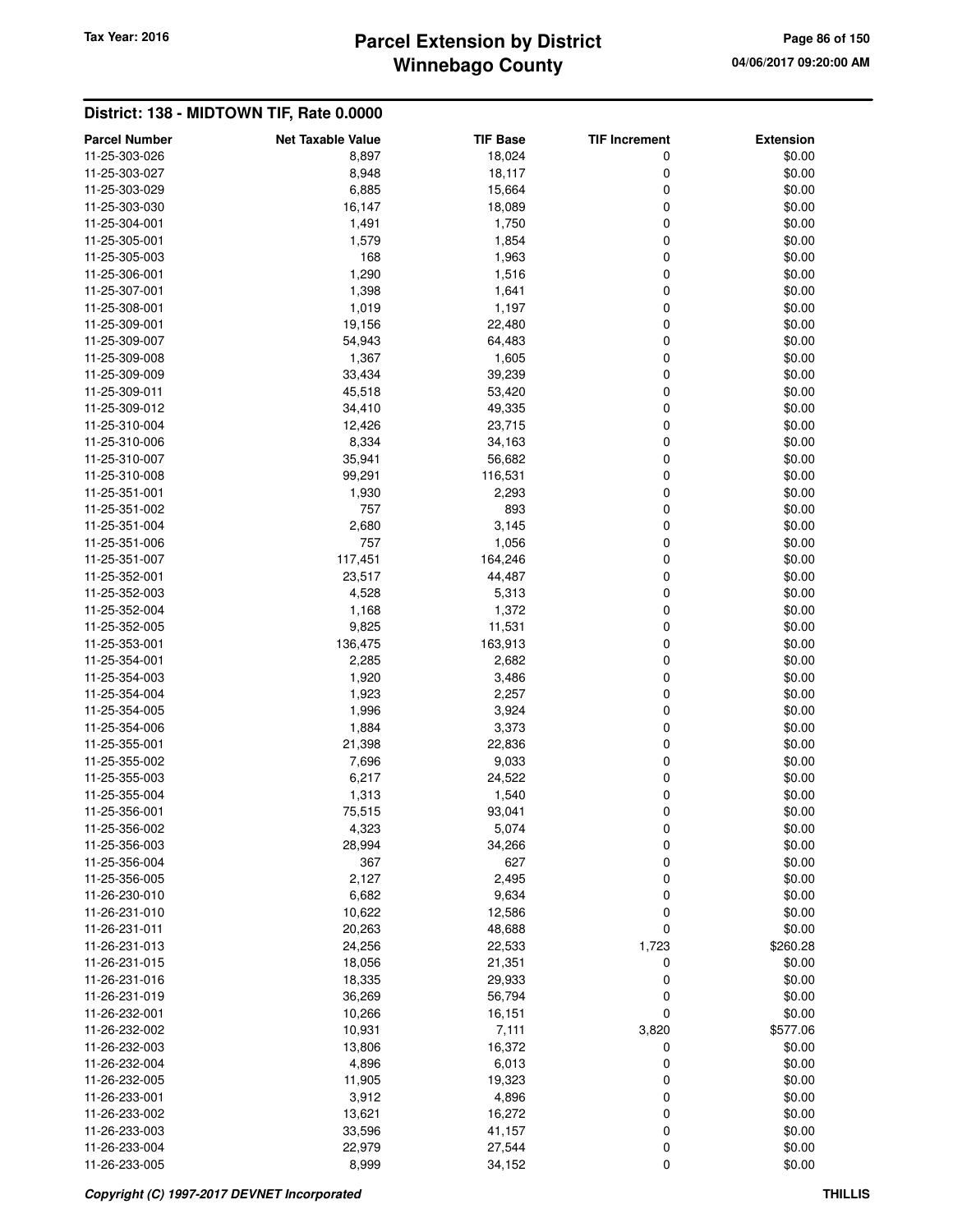# **Winnebago County Parcel Extension by District Tax Year: 2016 Page 86 of 150**

| <b>Parcel Number</b>           | <b>Net Taxable Value</b> | <b>TIF Base</b>  | <b>TIF Increment</b> | <b>Extension</b>   |
|--------------------------------|--------------------------|------------------|----------------------|--------------------|
| 11-25-303-026                  | 8,897                    | 18,024           | 0                    | \$0.00             |
| 11-25-303-027                  | 8,948                    | 18,117           | 0                    | \$0.00             |
| 11-25-303-029                  | 6,885                    | 15,664           | 0                    | \$0.00             |
| 11-25-303-030                  | 16,147                   | 18,089           | 0                    | \$0.00             |
| 11-25-304-001                  | 1,491                    | 1,750            | 0                    | \$0.00             |
| 11-25-305-001                  | 1,579                    | 1,854            | 0                    | \$0.00             |
| 11-25-305-003                  | 168                      | 1,963            | 0                    | \$0.00             |
| 11-25-306-001                  | 1,290                    | 1,516            | 0                    | \$0.00             |
| 11-25-307-001                  | 1,398                    | 1,641            | 0                    | \$0.00             |
| 11-25-308-001                  | 1,019                    | 1,197            | 0                    | \$0.00             |
| 11-25-309-001                  | 19,156                   | 22,480           | 0                    | \$0.00             |
| 11-25-309-007                  | 54,943                   | 64,483           | 0                    | \$0.00             |
| 11-25-309-008                  | 1,367                    | 1,605            | 0                    | \$0.00             |
| 11-25-309-009                  | 33,434                   | 39,239           | 0                    | \$0.00             |
| 11-25-309-011                  | 45,518                   | 53,420           | 0                    | \$0.00             |
| 11-25-309-012                  | 34,410                   | 49,335           | 0                    | \$0.00             |
| 11-25-310-004                  | 12,426                   | 23,715           | 0                    | \$0.00             |
| 11-25-310-006                  | 8,334                    | 34,163           | 0                    | \$0.00             |
| 11-25-310-007                  | 35,941                   | 56,682           | 0                    | \$0.00             |
| 11-25-310-008                  | 99,291                   | 116,531          | 0                    | \$0.00             |
| 11-25-351-001                  | 1,930                    | 2,293            | 0                    | \$0.00             |
| 11-25-351-002                  | 757                      | 893              | 0                    | \$0.00             |
| 11-25-351-004                  | 2,680                    | 3,145            | 0                    | \$0.00             |
| 11-25-351-006                  | 757                      | 1,056            | 0                    | \$0.00             |
| 11-25-351-007                  | 117,451                  | 164,246          | 0                    | \$0.00             |
| 11-25-352-001                  | 23,517                   | 44,487           | 0                    | \$0.00             |
| 11-25-352-003                  | 4,528                    | 5,313            | 0                    | \$0.00             |
| 11-25-352-004                  | 1,168                    | 1,372            | 0                    | \$0.00             |
| 11-25-352-005                  | 9,825                    | 11,531           | 0                    | \$0.00             |
| 11-25-353-001                  | 136,475                  | 163,913          | 0                    | \$0.00             |
| 11-25-354-001                  | 2,285                    | 2,682            | 0                    | \$0.00             |
| 11-25-354-003                  | 1,920                    | 3,486            | 0                    | \$0.00             |
| 11-25-354-004                  | 1,923                    | 2,257            | 0                    | \$0.00             |
| 11-25-354-005                  | 1,996                    | 3,924            | 0                    | \$0.00             |
| 11-25-354-006                  | 1,884                    | 3,373            | 0                    | \$0.00             |
| 11-25-355-001                  | 21,398                   | 22,836           | 0                    | \$0.00             |
| 11-25-355-002                  | 7,696                    | 9,033            | 0                    | \$0.00             |
| 11-25-355-003                  | 6,217                    | 24,522           | 0                    | \$0.00             |
| 11-25-355-004                  | 1,313                    | 1,540            | 0                    | \$0.00             |
| 11-25-356-001                  | 75,515                   | 93,041           | 0                    | \$0.00             |
| 11-25-356-002                  | 4,323                    | 5,074            | 0                    | \$0.00             |
| 11-25-356-003                  | 28,994                   | 34,266           | 0                    | \$0.00             |
| 11-25-356-004                  | 367                      | 627              | 0                    | \$0.00             |
| 11-25-356-005                  | 2,127                    | 2,495            | 0                    | \$0.00             |
| 11-26-230-010                  | 6,682                    | 9,634            | 0                    | \$0.00             |
| 11-26-231-010                  | 10,622                   | 12,586           | 0                    | \$0.00             |
| 11-26-231-011<br>11-26-231-013 | 20,263<br>24,256         | 48,688<br>22,533 | 0<br>1,723           | \$0.00<br>\$260.28 |
| 11-26-231-015                  | 18,056                   | 21,351           | 0                    | \$0.00             |
| 11-26-231-016                  | 18,335                   | 29,933           | 0                    | \$0.00             |
| 11-26-231-019                  | 36,269                   | 56,794           | 0                    | \$0.00             |
| 11-26-232-001                  | 10,266                   | 16,151           | 0                    | \$0.00             |
| 11-26-232-002                  | 10,931                   | 7,111            | 3,820                | \$577.06           |
| 11-26-232-003                  | 13,806                   | 16,372           | 0                    | \$0.00             |
| 11-26-232-004                  | 4,896                    | 6,013            | 0                    | \$0.00             |
| 11-26-232-005                  | 11,905                   | 19,323           | 0                    | \$0.00             |
| 11-26-233-001                  | 3,912                    | 4,896            | 0                    | \$0.00             |
| 11-26-233-002                  | 13,621                   | 16,272           | 0                    | \$0.00             |
| 11-26-233-003                  | 33,596                   | 41,157           | 0                    | \$0.00             |
| 11-26-233-004                  | 22,979                   | 27,544           | 0                    | \$0.00             |
| 11-26-233-005                  | 8,999                    | 34,152           | 0                    | \$0.00             |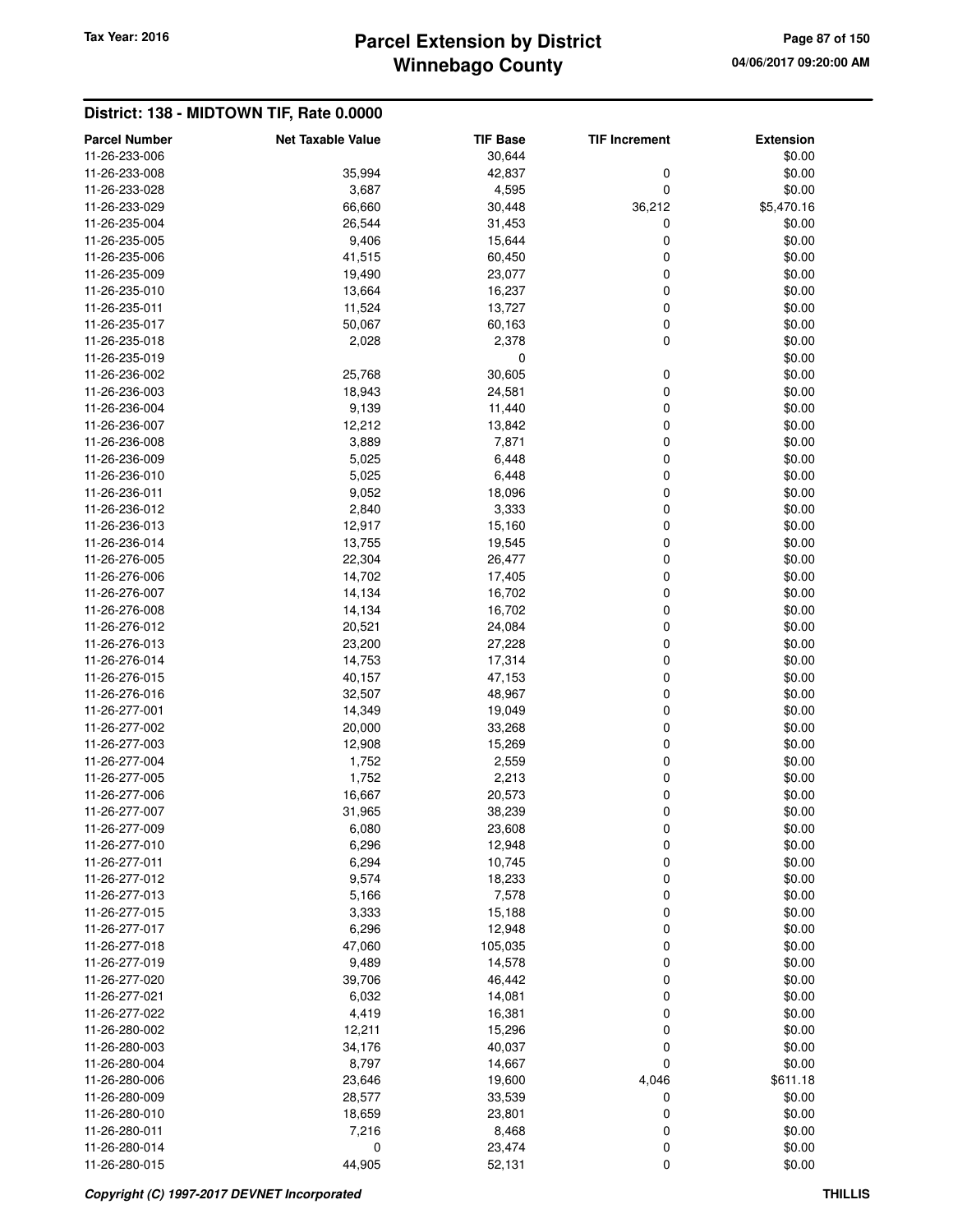# **Winnebago County** Tax Year: 2016 **Parcel Extension by District Page 87 of 150**

| <b>Parcel Number</b> | <b>Net Taxable Value</b> | <b>TIF Base</b> | <b>TIF Increment</b> | <b>Extension</b> |
|----------------------|--------------------------|-----------------|----------------------|------------------|
| 11-26-233-006        |                          | 30,644          |                      | \$0.00           |
| 11-26-233-008        | 35,994                   | 42,837          | 0                    | \$0.00           |
| 11-26-233-028        | 3,687                    | 4,595           | 0                    | \$0.00           |
| 11-26-233-029        | 66,660                   | 30,448          | 36,212               | \$5,470.16       |
| 11-26-235-004        | 26,544                   | 31,453          | 0                    | \$0.00           |
| 11-26-235-005        | 9,406                    | 15,644          | 0                    | \$0.00           |
| 11-26-235-006        | 41,515                   | 60,450          | 0                    | \$0.00           |
| 11-26-235-009        | 19,490                   | 23,077          | 0                    | \$0.00           |
| 11-26-235-010        | 13,664                   | 16,237          | 0                    | \$0.00           |
| 11-26-235-011        | 11,524                   | 13,727          | 0                    | \$0.00           |
| 11-26-235-017        | 50,067                   | 60,163          | 0                    | \$0.00           |
| 11-26-235-018        | 2,028                    | 2,378           | 0                    | \$0.00           |
| 11-26-235-019        |                          | 0               |                      | \$0.00           |
| 11-26-236-002        |                          | 30,605          |                      | \$0.00           |
|                      | 25,768                   |                 | 0                    |                  |
| 11-26-236-003        | 18,943                   | 24,581          | 0                    | \$0.00           |
| 11-26-236-004        | 9,139                    | 11,440          | 0                    | \$0.00           |
| 11-26-236-007        | 12,212                   | 13,842          | 0                    | \$0.00           |
| 11-26-236-008        | 3,889                    | 7,871           | 0                    | \$0.00           |
| 11-26-236-009        | 5,025                    | 6,448           | 0                    | \$0.00           |
| 11-26-236-010        | 5,025                    | 6,448           | 0                    | \$0.00           |
| 11-26-236-011        | 9,052                    | 18,096          | 0                    | \$0.00           |
| 11-26-236-012        | 2,840                    | 3,333           | 0                    | \$0.00           |
| 11-26-236-013        | 12,917                   | 15,160          | 0                    | \$0.00           |
| 11-26-236-014        | 13,755                   | 19,545          | 0                    | \$0.00           |
| 11-26-276-005        | 22,304                   | 26,477          | 0                    | \$0.00           |
| 11-26-276-006        | 14,702                   | 17,405          | 0                    | \$0.00           |
| 11-26-276-007        | 14,134                   | 16,702          | 0                    | \$0.00           |
| 11-26-276-008        | 14,134                   | 16,702          | 0                    | \$0.00           |
| 11-26-276-012        | 20,521                   | 24,084          | 0                    | \$0.00           |
| 11-26-276-013        | 23,200                   | 27,228          | 0                    | \$0.00           |
| 11-26-276-014        | 14,753                   | 17,314          | 0                    | \$0.00           |
| 11-26-276-015        | 40,157                   | 47,153          | 0                    | \$0.00           |
| 11-26-276-016        | 32,507                   | 48,967          | 0                    | \$0.00           |
| 11-26-277-001        | 14,349                   | 19,049          | 0                    | \$0.00           |
| 11-26-277-002        | 20,000                   | 33,268          | 0                    | \$0.00           |
| 11-26-277-003        | 12,908                   | 15,269          | 0                    | \$0.00           |
| 11-26-277-004        | 1,752                    | 2,559           | 0                    | \$0.00           |
| 11-26-277-005        | 1,752                    | 2,213           | 0                    | \$0.00           |
| 11-26-277-006        | 16,667                   | 20,573          | 0                    | \$0.00           |
| 11-26-277-007        | 31,965                   | 38,239          | 0                    | \$0.00           |
| 11-26-277-009        | 6,080                    | 23,608          | 0                    | \$0.00           |
| 11-26-277-010        | 6,296                    | 12,948          | 0                    | \$0.00           |
| 11-26-277-011        | 6,294                    | 10,745          | 0                    | \$0.00           |
|                      |                          |                 |                      |                  |
| 11-26-277-012        | 9,574                    | 18,233          | 0                    | \$0.00           |
| 11-26-277-013        | 5,166                    | 7,578           | 0                    | \$0.00           |
| 11-26-277-015        | 3,333                    | 15,188          | 0                    | \$0.00           |
| 11-26-277-017        | 6,296                    | 12,948          | 0                    | \$0.00           |
| 11-26-277-018        | 47,060                   | 105,035         | 0                    | \$0.00           |
| 11-26-277-019        | 9,489                    | 14,578          | 0                    | \$0.00           |
| 11-26-277-020        | 39,706                   | 46,442          | 0                    | \$0.00           |
| 11-26-277-021        | 6,032                    | 14,081          | 0                    | \$0.00           |
| 11-26-277-022        | 4,419                    | 16,381          | 0                    | \$0.00           |
| 11-26-280-002        | 12,211                   | 15,296          | 0                    | \$0.00           |
| 11-26-280-003        | 34,176                   | 40,037          | 0                    | \$0.00           |
| 11-26-280-004        | 8,797                    | 14,667          | 0                    | \$0.00           |
| 11-26-280-006        | 23,646                   | 19,600          | 4,046                | \$611.18         |
| 11-26-280-009        | 28,577                   | 33,539          | 0                    | \$0.00           |
| 11-26-280-010        | 18,659                   | 23,801          | 0                    | \$0.00           |
| 11-26-280-011        | 7,216                    | 8,468           | 0                    | \$0.00           |
| 11-26-280-014        | $\mathbf 0$              | 23,474          | 0                    | \$0.00           |
| 11-26-280-015        | 44,905                   | 52,131          | 0                    | \$0.00           |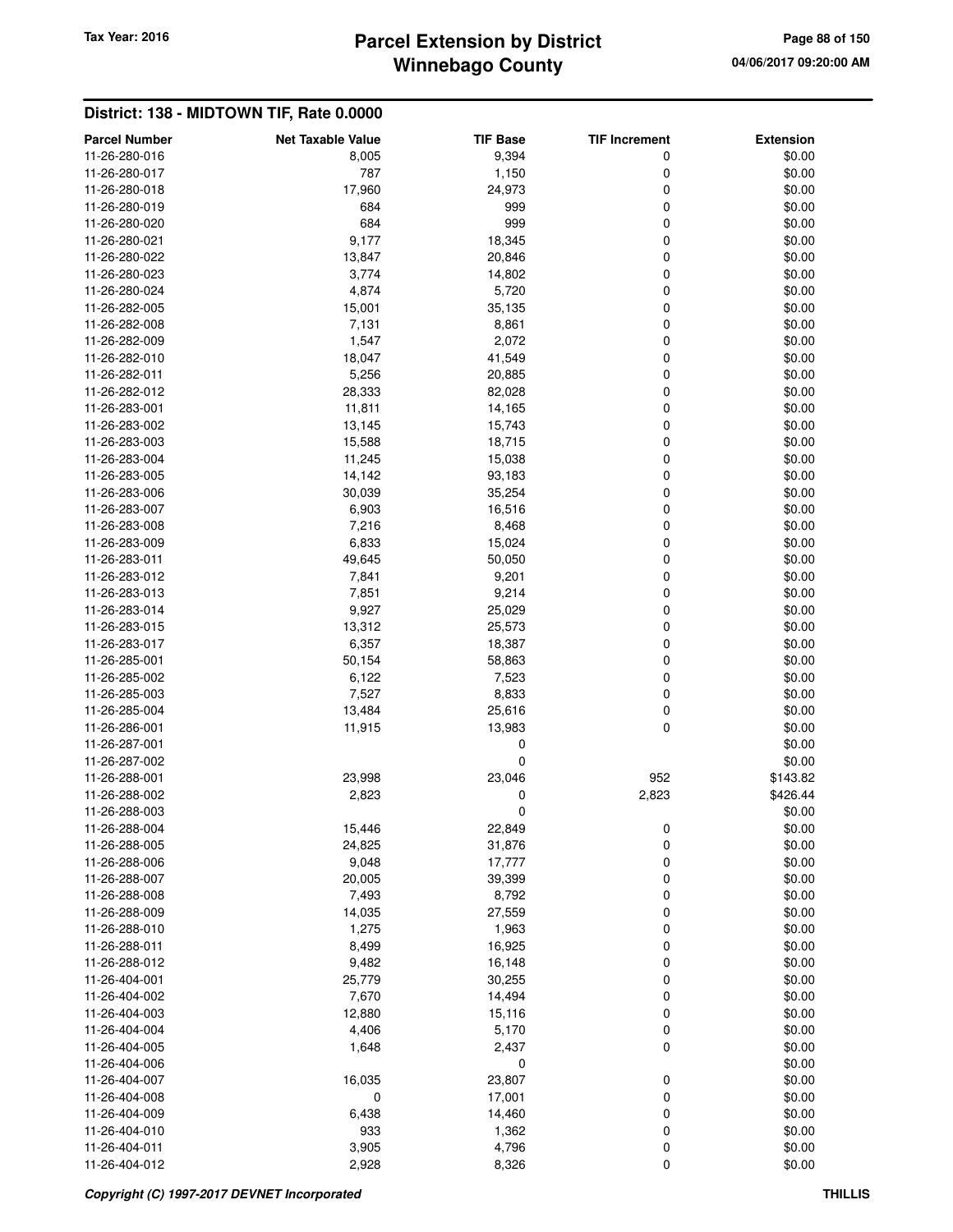# **Winnebago County Parcel Extension by District Tax Year: 2016 Page 88 of 150**

| <b>Parcel Number</b> | <b>Net Taxable Value</b> | <b>TIF Base</b> | <b>TIF Increment</b> | <b>Extension</b> |
|----------------------|--------------------------|-----------------|----------------------|------------------|
| 11-26-280-016        | 8,005                    | 9,394           | 0                    | \$0.00           |
| 11-26-280-017        | 787                      | 1,150           | 0                    | \$0.00           |
| 11-26-280-018        | 17,960                   | 24,973          | 0                    | \$0.00           |
| 11-26-280-019        | 684                      | 999             | 0                    | \$0.00           |
| 11-26-280-020        | 684                      | 999             | 0                    | \$0.00           |
| 11-26-280-021        | 9,177                    | 18,345          | 0                    | \$0.00           |
| 11-26-280-022        | 13,847                   | 20,846          | 0                    | \$0.00           |
| 11-26-280-023        | 3,774                    | 14,802          | 0                    | \$0.00           |
| 11-26-280-024        | 4,874                    | 5,720           | 0                    | \$0.00           |
| 11-26-282-005        | 15,001                   | 35,135          | 0                    | \$0.00           |
| 11-26-282-008        | 7,131                    | 8,861           | 0                    | \$0.00           |
| 11-26-282-009        | 1,547                    | 2,072           | 0                    | \$0.00           |
| 11-26-282-010        | 18,047                   | 41,549          | 0                    | \$0.00           |
|                      |                          |                 |                      |                  |
| 11-26-282-011        | 5,256                    | 20,885          | 0                    | \$0.00           |
| 11-26-282-012        | 28,333                   | 82,028          | 0                    | \$0.00           |
| 11-26-283-001        | 11,811                   | 14,165          | 0                    | \$0.00           |
| 11-26-283-002        | 13,145                   | 15,743          | 0                    | \$0.00           |
| 11-26-283-003        | 15,588                   | 18,715          | 0                    | \$0.00           |
| 11-26-283-004        | 11,245                   | 15,038          | 0                    | \$0.00           |
| 11-26-283-005        | 14,142                   | 93,183          | 0                    | \$0.00           |
| 11-26-283-006        | 30,039                   | 35,254          | 0                    | \$0.00           |
| 11-26-283-007        | 6,903                    | 16,516          | 0                    | \$0.00           |
| 11-26-283-008        | 7,216                    | 8,468           | 0                    | \$0.00           |
| 11-26-283-009        | 6,833                    | 15,024          | 0                    | \$0.00           |
| 11-26-283-011        | 49,645                   | 50,050          | 0                    | \$0.00           |
| 11-26-283-012        | 7,841                    | 9,201           | 0                    | \$0.00           |
| 11-26-283-013        | 7,851                    | 9,214           | 0                    | \$0.00           |
| 11-26-283-014        | 9,927                    | 25,029          | 0                    | \$0.00           |
| 11-26-283-015        | 13,312                   | 25,573          | 0                    | \$0.00           |
| 11-26-283-017        | 6,357                    | 18,387          | 0                    | \$0.00           |
| 11-26-285-001        | 50,154                   | 58,863          | 0                    | \$0.00           |
| 11-26-285-002        | 6,122                    | 7,523           | 0                    | \$0.00           |
| 11-26-285-003        | 7,527                    | 8,833           | 0                    | \$0.00           |
|                      |                          |                 |                      |                  |
| 11-26-285-004        | 13,484                   | 25,616          | 0                    | \$0.00           |
| 11-26-286-001        | 11,915                   | 13,983          | 0                    | \$0.00           |
| 11-26-287-001        |                          | 0               |                      | \$0.00           |
| 11-26-287-002        |                          | 0               |                      | \$0.00           |
| 11-26-288-001        | 23,998                   | 23,046          | 952                  | \$143.82         |
| 11-26-288-002        | 2,823                    | 0               | 2,823                | \$426.44         |
| 11-26-288-003        |                          | 0               |                      | \$0.00           |
| 11-26-288-004        | 15,446                   | 22,849          | 0                    | \$0.00           |
| 11-26-288-005        | 24,825                   | 31,876          | 0                    | \$0.00           |
| 11-26-288-006        | 9,048                    | 17,777          | 0                    | \$0.00           |
| 11-26-288-007        | 20,005                   | 39,399          | 0                    | \$0.00           |
| 11-26-288-008        | 7,493                    | 8,792           | 0                    | \$0.00           |
| 11-26-288-009        | 14,035                   | 27,559          | 0                    | \$0.00           |
| 11-26-288-010        | 1,275                    | 1,963           | 0                    | \$0.00           |
| 11-26-288-011        | 8,499                    | 16,925          | 0                    | \$0.00           |
| 11-26-288-012        | 9,482                    | 16,148          | 0                    | \$0.00           |
| 11-26-404-001        | 25,779                   | 30,255          | 0                    | \$0.00           |
| 11-26-404-002        | 7,670                    | 14,494          | 0                    | \$0.00           |
| 11-26-404-003        | 12,880                   | 15,116          | 0                    | \$0.00           |
| 11-26-404-004        | 4,406                    | 5,170           | 0                    | \$0.00           |
| 11-26-404-005        | 1,648                    | 2,437           | 0                    | \$0.00           |
| 11-26-404-006        |                          |                 |                      | \$0.00           |
|                      |                          | 0               |                      |                  |
| 11-26-404-007        | 16,035                   | 23,807          | 0                    | \$0.00           |
| 11-26-404-008        | 0                        | 17,001          | 0                    | \$0.00           |
| 11-26-404-009        | 6,438                    | 14,460          | 0                    | \$0.00           |
| 11-26-404-010        | 933                      | 1,362           | 0                    | \$0.00           |
| 11-26-404-011        | 3,905                    | 4,796           | 0                    | \$0.00           |
| 11-26-404-012        | 2,928                    | 8,326           | 0                    | \$0.00           |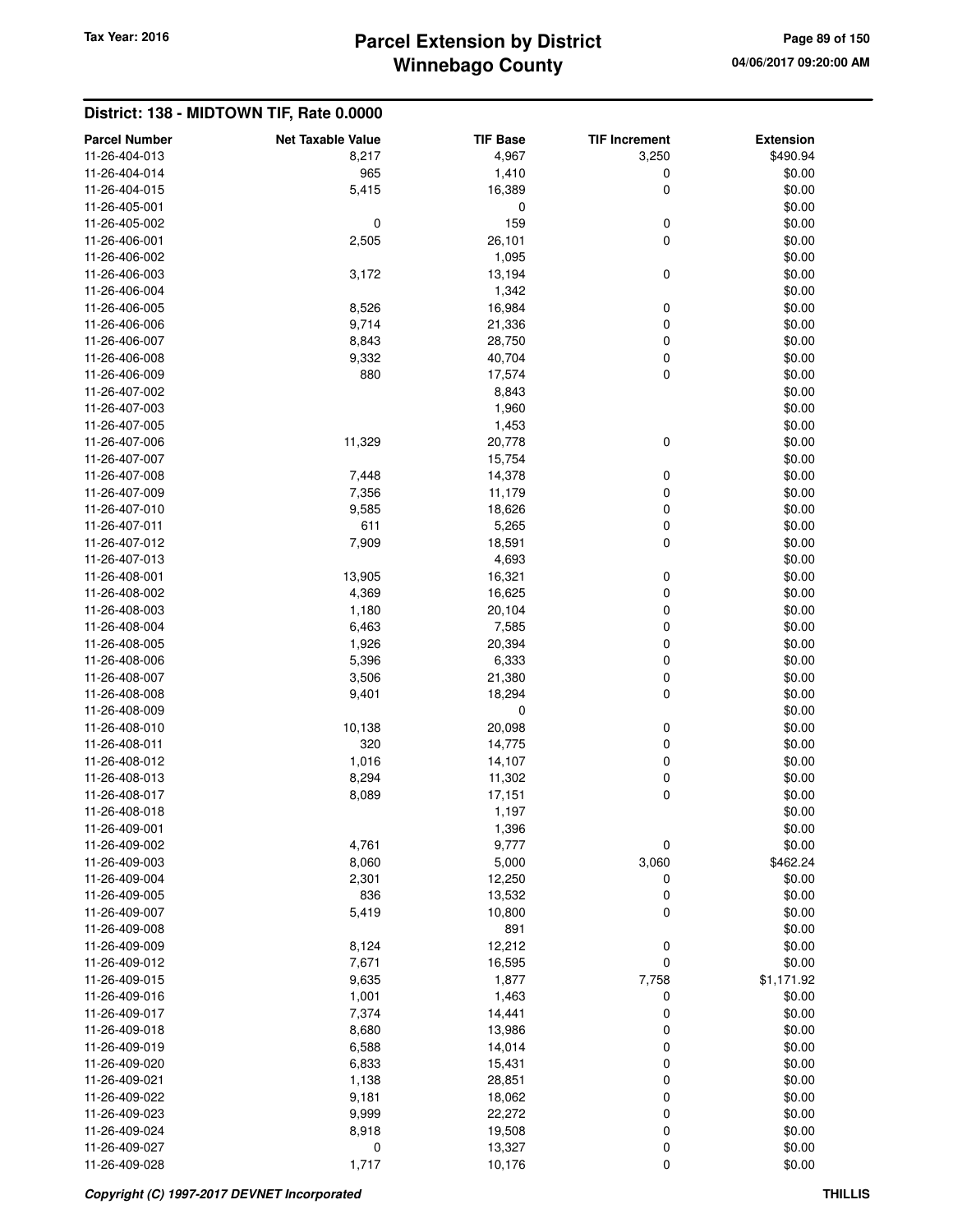## **Winnebago County Parcel Extension by District Tax Year: 2016 Page 89 of 150**

#### **District: 138 - MIDTOWN TIF, Rate 0.0000 Parcel Number Net Taxable Value TIF Base TIF Increment Extension** 11-26-404-013 8,217 4,967 3,250 \$490.94 11-26-404-014 965 1,410 0 \$0.00 11-26-404-015 5,415 16,389 0 \$0.00 11-26-405-001 0 \$0.00 11-26-405-002 0 159 0 \$0.00 11-26-406-001 2,505 26,101 0 \$0.00 11-26-406-002 \$0.00 11-26-406-003 3,172 13,194 0 \$0.00 11-26-406-004 \$0.00 11-26-406-005 8,526 16,984 0 \$0.00 11-26-406-006 9,714 21,336 0 \$0.00 11-26-406-007 8,843 28,750 0 \$0.00 11-26-406-008 9,332 40,704 0 \$0.00 11-26-406-009 880 17,574 0 \$0.00 11-26-407-002 8,843 \$0.00 11-26-407-003 \$0.00 11-26-407-005 1,453 \$0.00 11-26-407-006 11,329 20,778 0 \$0.00 11-26-407-007 15,754 \$0.00 11-26-407-008 7,448 14,378 0 \$0.00 11-26-407-009 7,356 11,179 0 \$0.00 11-26-407-010 9,585 18,626 0 \$0.00 11-26-407-011 611 5,265 0 \$0.00 11-26-407-012 7,909 18,591 0 \$0.00 11-26-407-013 4,693 \$0.00 11-26-408-001 13,905 16,321 0 \$0.00 11-26-408-002 4,369 16,625 0 \$0.00 11-26-408-003 1,180 20,104 0 \$0.00 11-26-408-004 6,000 6,463 7,585 0 60.00 11-26-408-005 1,926 20,394 0 \$0.00 11-26-408-006 6,396 6,333 6,333 6,933 6,933 6,933 6,933 6,933 6,000 6,000 6,000 5,000 5,000 5,000 5,000 5,000 5,000 5,000 5,000 5,000 5,000 5,000 5,000 11-26-408-007 3,506 21,380 0 \$0.00 11-26-408-008 9,401 18,294 0 \$0.00  $11-26-408-009$  \$0.00 11-26-408-010 10,138 20,098 0 \$0.00 11-26-408-011 320 14,775 0 \$0.00 11-26-408-012 1,016 14,107 0 \$0.00 11-26-408-013 8,294 11,302 0 \$0.00 11-26-408-017 8,089 17,151 0 \$0.00 11-26-408-018 1,197 \$0.00 11-26-409-001 1,396 \$0.00 11-26-409-002 4,761 9,777 0 \$0.00 11-26-409-003 8,060 5,000 3,060 \$462.24 11-26-409-004 2,301 12,250 0 \$0.00 11-26-409-005 836 13,532 0 \$0.00 11-26-409-007 5,419 10,800 0 \$0.00 11-26-409-008 891 \$0.00 11-26-409-009 8,124 12,212 0 \$0.00 11-26-409-012 7,671 16,595 0 \$0.00 11-26-409-015 9,635 1,877 7,758 \$1,171.92 11-26-409-016 1,001 1,463 0 \$0.00 11-26-409-017 7,374 14,441 0 \$0.00 11-26-409-018 8,680 13,986 0 \$0.00 11-26-409-019 6,588 14,014 0 \$0.00 11-26-409-020 6,833 15,431 0 \$0.00 11-26-409-021 1,138 28,851 0 \$0.00 11-26-409-022 9,181 18,062 0 \$0.00 11-26-409-023 9,999 22,272 0 \$0.00 11-26-409-024 8,918 19,508 0 \$0.00 11-26-409-027 0 13,327 0 \$0.00 11-26-409-028 1,717 10,176 0 \$0.00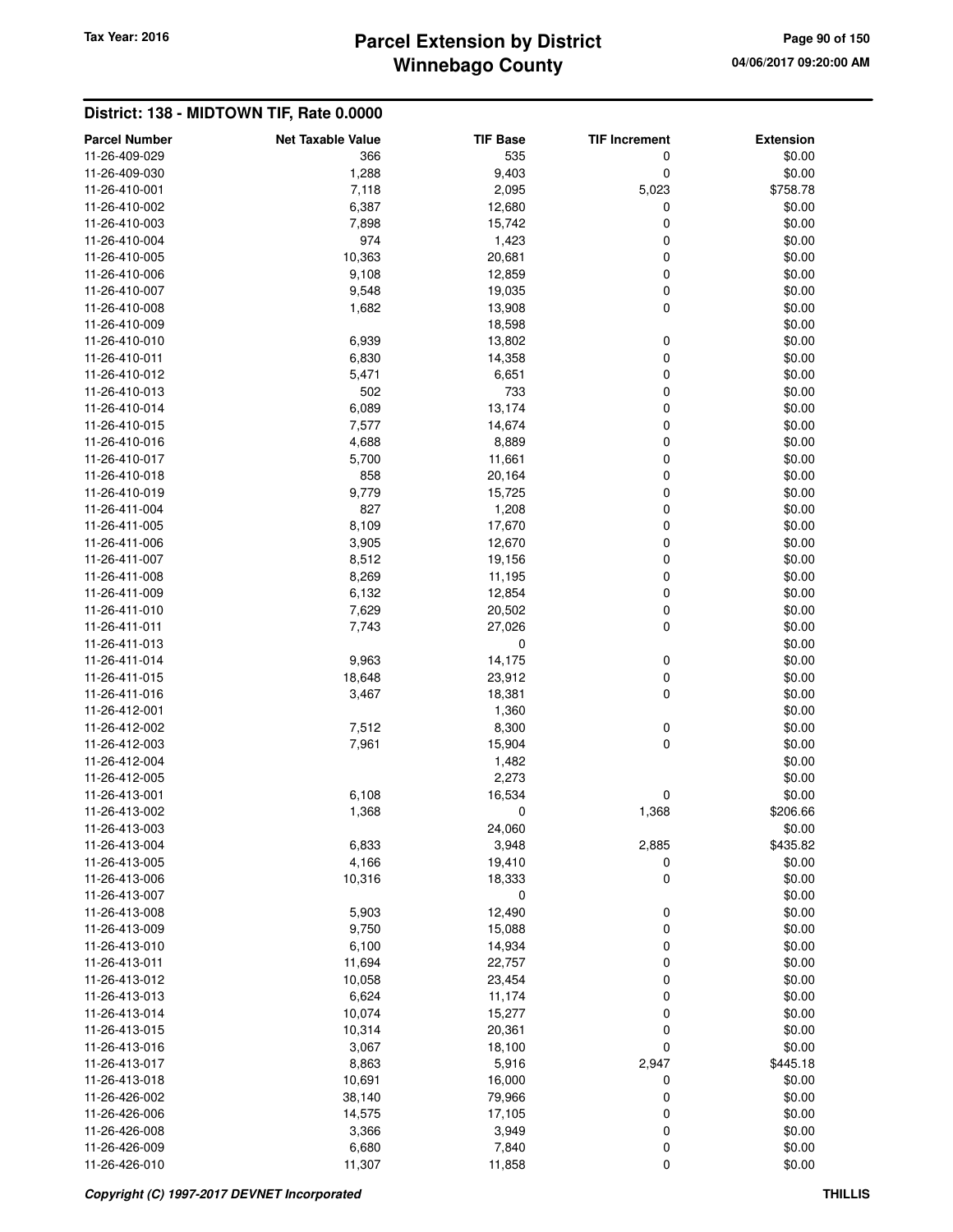# **Winnebago County Parcel Extension by District Tax Year: 2016 Page 90 of 150**

| <b>Parcel Number</b>           |                                 |                        |                           |                            |
|--------------------------------|---------------------------------|------------------------|---------------------------|----------------------------|
| 11-26-409-029                  | <b>Net Taxable Value</b><br>366 | <b>TIF Base</b><br>535 | <b>TIF Increment</b><br>0 | <b>Extension</b><br>\$0.00 |
| 11-26-409-030                  | 1,288                           | 9,403                  | 0                         | \$0.00                     |
| 11-26-410-001                  | 7,118                           | 2,095                  | 5,023                     | \$758.78                   |
| 11-26-410-002                  | 6,387                           | 12,680                 | 0                         | \$0.00                     |
| 11-26-410-003                  | 7,898                           | 15,742                 | 0                         | \$0.00                     |
| 11-26-410-004                  | 974                             | 1,423                  | 0                         | \$0.00                     |
| 11-26-410-005                  | 10,363                          | 20,681                 | 0                         | \$0.00                     |
| 11-26-410-006                  | 9,108                           | 12,859                 | 0                         | \$0.00                     |
| 11-26-410-007                  | 9,548                           | 19,035                 | 0                         | \$0.00                     |
| 11-26-410-008                  | 1,682                           | 13,908                 | 0                         | \$0.00                     |
| 11-26-410-009                  |                                 | 18,598                 |                           | \$0.00                     |
| 11-26-410-010                  | 6,939                           | 13,802                 | 0                         | \$0.00                     |
| 11-26-410-011                  | 6,830                           | 14,358                 | 0                         | \$0.00                     |
| 11-26-410-012                  | 5,471                           | 6,651                  | 0                         | \$0.00                     |
| 11-26-410-013                  | 502                             | 733                    | 0                         | \$0.00                     |
| 11-26-410-014                  | 6,089                           | 13,174                 | 0                         | \$0.00                     |
| 11-26-410-015                  | 7,577                           | 14,674                 | 0                         | \$0.00                     |
| 11-26-410-016                  | 4,688                           | 8,889                  | 0                         | \$0.00                     |
| 11-26-410-017                  | 5,700                           | 11,661                 | 0                         | \$0.00                     |
| 11-26-410-018                  | 858                             | 20,164                 | 0                         | \$0.00                     |
| 11-26-410-019                  | 9,779                           | 15,725                 | 0                         | \$0.00                     |
| 11-26-411-004                  | 827                             | 1,208                  | 0                         | \$0.00                     |
| 11-26-411-005                  | 8,109                           | 17,670                 | 0                         | \$0.00                     |
| 11-26-411-006                  | 3,905                           | 12,670                 | 0                         | \$0.00                     |
| 11-26-411-007                  | 8,512                           | 19,156                 | 0                         | \$0.00                     |
| 11-26-411-008                  | 8,269                           | 11,195                 | 0                         | \$0.00                     |
| 11-26-411-009                  | 6,132                           | 12,854                 | 0                         | \$0.00                     |
| 11-26-411-010                  | 7,629                           | 20,502                 | 0                         | \$0.00                     |
| 11-26-411-011                  | 7,743                           | 27,026                 | 0                         | \$0.00                     |
| 11-26-411-013                  |                                 | 0                      |                           | \$0.00                     |
| 11-26-411-014                  | 9,963                           | 14,175                 | 0                         | \$0.00                     |
| 11-26-411-015                  | 18,648                          | 23,912                 | 0                         | \$0.00                     |
| 11-26-411-016                  | 3,467                           | 18,381                 | 0                         | \$0.00                     |
| 11-26-412-001                  |                                 | 1,360                  |                           | \$0.00                     |
| 11-26-412-002                  | 7,512                           | 8,300                  | 0                         | \$0.00                     |
| 11-26-412-003                  | 7,961                           | 15,904                 | 0                         | \$0.00                     |
| 11-26-412-004                  |                                 | 1,482                  |                           | \$0.00                     |
| 11-26-412-005                  |                                 | 2,273                  |                           | \$0.00                     |
| 11-26-413-001                  | 6,108                           | 16,534                 | 0                         | \$0.00                     |
| 11-26-413-002                  | 1,368                           | 0                      | 1,368                     | \$206.66                   |
| 11-26-413-003                  |                                 | 24,060                 |                           | \$0.00                     |
| 11-26-413-004                  | 6,833                           | 3,948                  | 2,885                     | \$435.82                   |
| 11-26-413-005                  | 4,166                           | 19,410                 | 0                         | \$0.00                     |
| 11-26-413-006                  | 10,316                          | 18,333                 | 0                         | \$0.00                     |
| 11-26-413-007                  |                                 | 0                      |                           | \$0.00                     |
| 11-26-413-008                  | 5,903                           | 12,490                 | 0                         | \$0.00                     |
| 11-26-413-009                  | 9,750                           | 15,088                 | 0                         | \$0.00                     |
| 11-26-413-010                  | 6,100                           | 14,934                 | 0                         | \$0.00                     |
| 11-26-413-011                  | 11,694                          | 22,757                 | 0                         | \$0.00                     |
| 11-26-413-012                  | 10,058                          | 23,454                 | 0                         | \$0.00                     |
| 11-26-413-013                  | 6,624                           | 11,174                 | 0                         | \$0.00                     |
| 11-26-413-014                  | 10,074                          | 15,277                 | 0                         | \$0.00                     |
| 11-26-413-015                  | 10,314                          | 20,361                 | 0                         | \$0.00                     |
| 11-26-413-016                  | 3,067                           | 18,100                 | 0                         | \$0.00                     |
| 11-26-413-017                  | 8,863                           | 5,916                  | 2,947                     | \$445.18                   |
| 11-26-413-018                  | 10,691                          | 16,000                 | 0                         | \$0.00                     |
| 11-26-426-002<br>11-26-426-006 | 38,140                          | 79,966                 | 0                         | \$0.00                     |
|                                | 14,575                          | 17,105                 | 0                         | \$0.00                     |
| 11-26-426-008<br>11-26-426-009 | 3,366<br>6,680                  | 3,949<br>7,840         | 0<br>0                    | \$0.00<br>\$0.00           |
| 11-26-426-010                  | 11,307                          | 11,858                 | 0                         | \$0.00                     |
|                                |                                 |                        |                           |                            |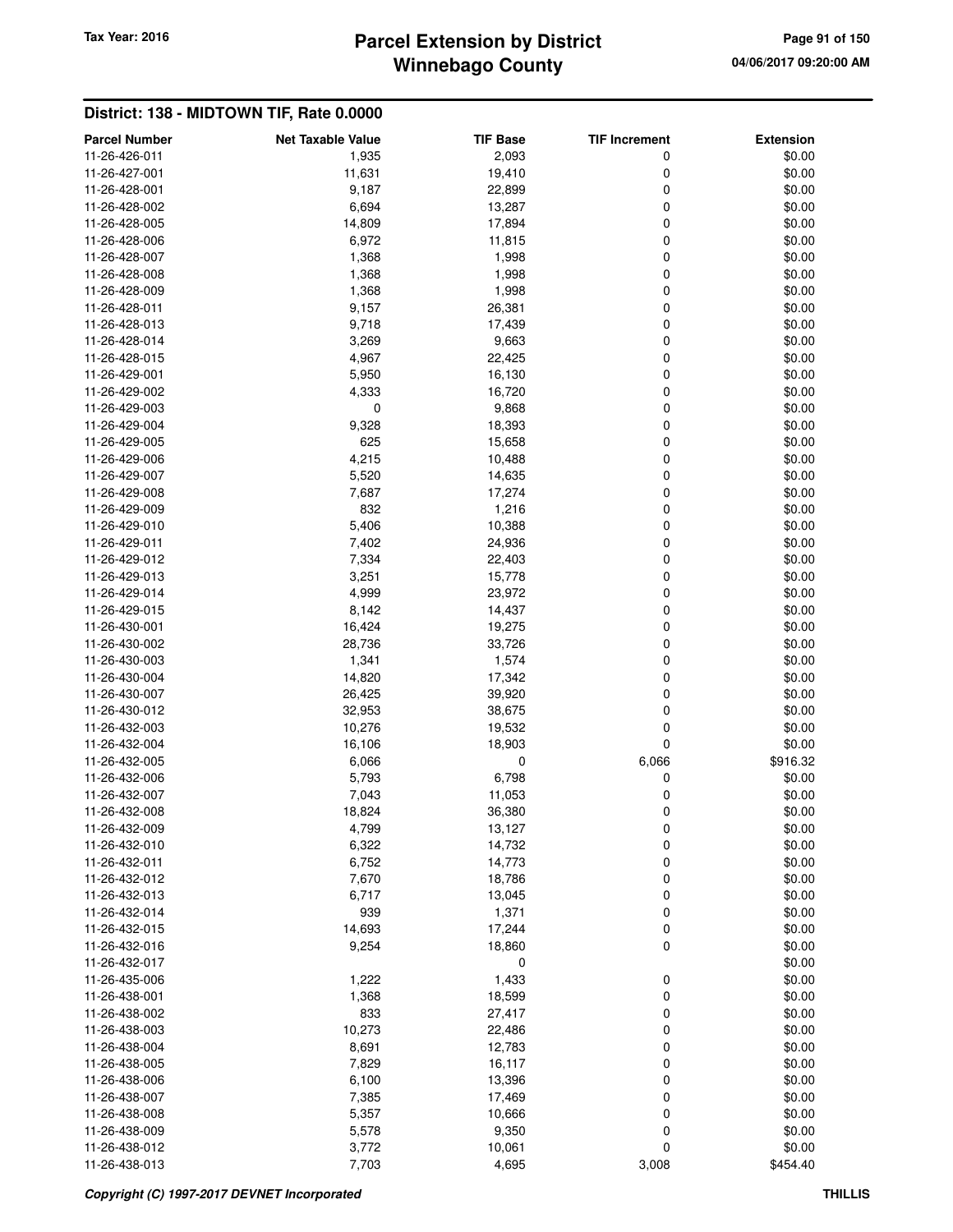# **Winnebago County** Tax Year: 2016 **Parcel Extension by District Page 91 of 150**

| <b>Parcel Number</b> | <b>Net Taxable Value</b> | <b>TIF Base</b> | <b>TIF Increment</b> | <b>Extension</b> |
|----------------------|--------------------------|-----------------|----------------------|------------------|
| 11-26-426-011        | 1,935                    | 2,093           | 0                    | \$0.00           |
| 11-26-427-001        | 11,631                   | 19,410          | 0                    | \$0.00           |
| 11-26-428-001        | 9,187                    | 22,899          | 0                    | \$0.00           |
| 11-26-428-002        | 6,694                    | 13,287          | 0                    | \$0.00           |
| 11-26-428-005        | 14,809                   | 17,894          | 0                    | \$0.00           |
| 11-26-428-006        | 6,972                    | 11,815          | 0                    | \$0.00           |
| 11-26-428-007        | 1,368                    | 1,998           | 0                    | \$0.00           |
| 11-26-428-008        | 1,368                    | 1,998           | 0                    | \$0.00           |
| 11-26-428-009        | 1,368                    | 1,998           | 0                    | \$0.00           |
| 11-26-428-011        | 9,157                    | 26,381          | 0                    | \$0.00           |
| 11-26-428-013        | 9,718                    | 17,439          | 0                    | \$0.00           |
| 11-26-428-014        | 3,269                    | 9,663           | 0                    | \$0.00           |
| 11-26-428-015        | 4,967                    | 22,425          | 0                    | \$0.00           |
| 11-26-429-001        | 5,950                    | 16,130          | 0                    | \$0.00           |
| 11-26-429-002        | 4,333                    | 16,720          | 0                    | \$0.00           |
| 11-26-429-003        | 0                        | 9,868           | 0                    | \$0.00           |
| 11-26-429-004        | 9,328                    | 18,393          | 0                    | \$0.00           |
| 11-26-429-005        | 625                      | 15,658          | 0                    | \$0.00           |
| 11-26-429-006        | 4,215                    | 10,488          | 0                    | \$0.00           |
| 11-26-429-007        | 5,520                    | 14,635          | 0                    | \$0.00           |
| 11-26-429-008        | 7,687                    | 17,274          | 0                    | \$0.00           |
| 11-26-429-009        | 832                      | 1,216           | 0                    | \$0.00           |
| 11-26-429-010        | 5,406                    | 10,388          | 0                    | \$0.00           |
| 11-26-429-011        | 7,402                    | 24,936          | 0                    | \$0.00           |
| 11-26-429-012        | 7,334                    | 22,403          | 0                    | \$0.00           |
| 11-26-429-013        | 3,251                    | 15,778          | 0                    | \$0.00           |
| 11-26-429-014        | 4,999                    | 23,972          | 0                    | \$0.00           |
| 11-26-429-015        | 8,142                    | 14,437          | 0                    | \$0.00           |
| 11-26-430-001        | 16,424                   | 19,275          | 0                    | \$0.00           |
| 11-26-430-002        | 28,736                   | 33,726          | 0                    | \$0.00           |
| 11-26-430-003        | 1,341                    | 1,574           | 0                    | \$0.00           |
| 11-26-430-004        | 14,820                   | 17,342          | 0                    | \$0.00           |
| 11-26-430-007        | 26,425                   | 39,920          | 0                    | \$0.00           |
| 11-26-430-012        | 32,953                   | 38,675          | 0                    | \$0.00           |
| 11-26-432-003        | 10,276                   | 19,532          | 0                    | \$0.00           |
| 11-26-432-004        | 16,106                   | 18,903          | 0                    | \$0.00           |
| 11-26-432-005        | 6,066                    | 0               | 6,066                | \$916.32         |
| 11-26-432-006        | 5,793                    | 6,798           | 0                    | \$0.00           |
| 11-26-432-007        | 7,043                    | 11,053          | 0                    | \$0.00           |
| 11-26-432-008        | 18,824                   | 36,380          | 0                    | \$0.00           |
| 11-26-432-009        | 4,799                    | 13,127          | 0                    | \$0.00           |
| 11-26-432-010        | 6,322                    | 14,732          | 0                    | \$0.00           |
| 11-26-432-011        | 6,752                    | 14,773          | 0                    | \$0.00           |
| 11-26-432-012        | 7,670                    | 18,786          | 0                    | \$0.00           |
| 11-26-432-013        | 6,717                    | 13,045          | 0                    | \$0.00           |
| 11-26-432-014        | 939                      | 1,371           | 0                    | \$0.00           |
| 11-26-432-015        | 14,693                   | 17,244          | 0                    | \$0.00           |
| 11-26-432-016        | 9,254                    | 18,860          | 0                    | \$0.00           |
| 11-26-432-017        |                          | 0               |                      | \$0.00           |
| 11-26-435-006        | 1,222                    | 1,433           | 0                    | \$0.00           |
| 11-26-438-001        | 1,368                    | 18,599          | 0                    | \$0.00           |
| 11-26-438-002        | 833                      | 27,417          | 0                    | \$0.00           |
| 11-26-438-003        | 10,273                   | 22,486          | 0                    | \$0.00           |
| 11-26-438-004        | 8,691                    | 12,783          | 0                    | \$0.00           |
| 11-26-438-005        | 7,829                    | 16,117          | 0                    | \$0.00           |
| 11-26-438-006        | 6,100                    | 13,396          | 0                    | \$0.00           |
| 11-26-438-007        | 7,385                    | 17,469          | 0                    | \$0.00           |
| 11-26-438-008        | 5,357                    | 10,666          | 0                    | \$0.00           |
| 11-26-438-009        | 5,578                    | 9,350           | 0                    | \$0.00           |
| 11-26-438-012        | 3,772                    | 10,061          | 0                    | \$0.00           |
| 11-26-438-013        | 7,703                    | 4,695           | 3,008                | \$454.40         |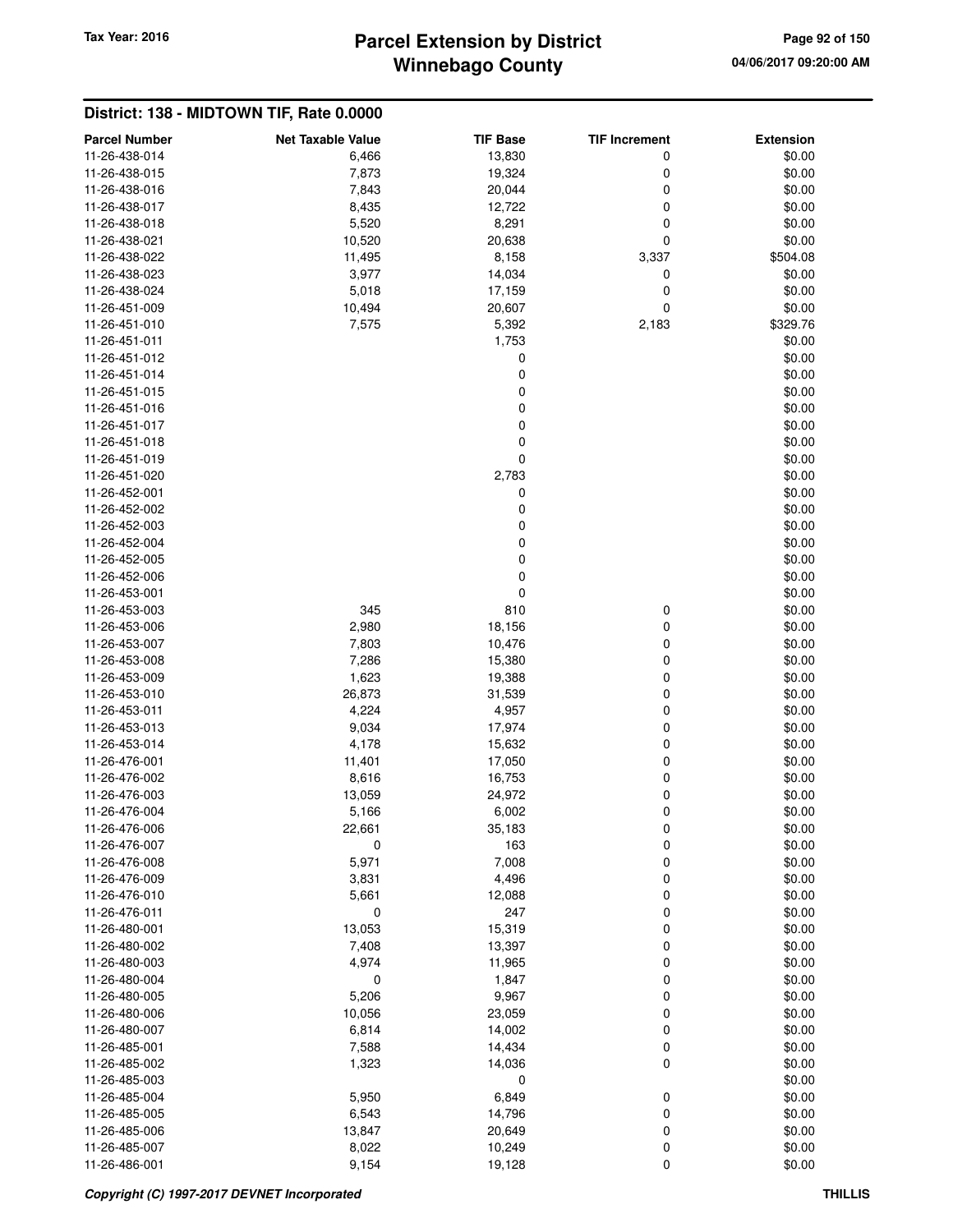## **Winnebago County Parcel Extension by District Tax Year: 2016 Page 92 of 150**

| <b>Parcel Number</b> | <b>Net Taxable Value</b> | TIF Base | <b>TIF Increment</b> | <b>Extension</b> |
|----------------------|--------------------------|----------|----------------------|------------------|
| 11-26-438-014        | 6,466                    | 13,830   | 0                    | \$0.00           |
| 11-26-438-015        | 7,873                    | 19,324   | 0                    | \$0.00           |
| 11-26-438-016        | 7,843                    | 20,044   | 0                    | \$0.00           |
| 11-26-438-017        | 8,435                    | 12,722   | 0                    | \$0.00           |
| 11-26-438-018        | 5,520                    | 8,291    | 0                    | \$0.00           |
| 11-26-438-021        | 10,520                   | 20,638   | 0                    | \$0.00           |
| 11-26-438-022        | 11,495                   | 8,158    | 3,337                | \$504.08         |
| 11-26-438-023        | 3,977                    | 14,034   | 0                    | \$0.00           |
| 11-26-438-024        | 5,018                    | 17,159   | 0                    | \$0.00           |
| 11-26-451-009        | 10,494                   | 20,607   | 0                    | \$0.00           |
| 11-26-451-010        | 7,575                    | 5,392    | 2,183                | \$329.76         |
| 11-26-451-011        |                          | 1,753    |                      | \$0.00           |
| 11-26-451-012        |                          | 0        |                      | \$0.00           |
| 11-26-451-014        |                          | 0        |                      | \$0.00           |
| 11-26-451-015        |                          | 0        |                      | \$0.00           |
| 11-26-451-016        |                          | 0        |                      | \$0.00           |
| 11-26-451-017        |                          | 0        |                      | \$0.00           |
| 11-26-451-018        |                          | 0        |                      | \$0.00           |
| 11-26-451-019        |                          | 0        |                      | \$0.00           |
| 11-26-451-020        |                          | 2,783    |                      | \$0.00           |
| 11-26-452-001        |                          | 0        |                      | \$0.00           |
| 11-26-452-002        |                          | 0        |                      | \$0.00           |
| 11-26-452-003        |                          | 0        |                      | \$0.00           |
| 11-26-452-004        |                          | 0        |                      |                  |
|                      |                          |          |                      | \$0.00           |
| 11-26-452-005        |                          | 0        |                      | \$0.00           |
| 11-26-452-006        |                          | 0        |                      | \$0.00           |
| 11-26-453-001        |                          | 0        |                      | \$0.00           |
| 11-26-453-003        | 345                      | 810      | 0                    | \$0.00           |
| 11-26-453-006        | 2,980                    | 18,156   | 0                    | \$0.00           |
| 11-26-453-007        | 7,803                    | 10,476   | 0                    | \$0.00           |
| 11-26-453-008        | 7,286                    | 15,380   | 0                    | \$0.00           |
| 11-26-453-009        | 1,623                    | 19,388   | 0                    | \$0.00           |
| 11-26-453-010        | 26,873                   | 31,539   | 0                    | \$0.00           |
| 11-26-453-011        | 4,224                    | 4,957    | 0                    | \$0.00           |
| 11-26-453-013        | 9,034                    | 17,974   | 0                    | \$0.00           |
| 11-26-453-014        | 4,178                    | 15,632   | 0                    | \$0.00           |
| 11-26-476-001        | 11,401                   | 17,050   | 0                    | \$0.00           |
| 11-26-476-002        | 8,616                    | 16,753   | 0                    | \$0.00           |
| 11-26-476-003        | 13,059                   | 24,972   | 0                    | \$0.00           |
| 11-26-476-004        | 5,166                    | 6,002    | 0                    | \$0.00           |
| 11-26-476-006        | 22,661                   | 35,183   | $\mathbf 0$          | \$0.00           |
| 11-26-476-007        | $\pmb{0}$                | 163      | 0                    | \$0.00           |
| 11-26-476-008        | 5,971                    | 7,008    | 0                    | \$0.00           |
| 11-26-476-009        | 3,831                    | 4,496    | 0                    | \$0.00           |
| 11-26-476-010        | 5,661                    | 12,088   | 0                    | \$0.00           |
| 11-26-476-011        | 0                        | 247      | $\mathbf 0$          | \$0.00           |
| 11-26-480-001        | 13,053                   | 15,319   | 0                    | \$0.00           |
| 11-26-480-002        | 7,408                    | 13,397   | 0                    | \$0.00           |
| 11-26-480-003        | 4,974                    | 11,965   | 0                    | \$0.00           |
| 11-26-480-004        | 0                        | 1,847    | 0                    | \$0.00           |
| 11-26-480-005        | 5,206                    | 9,967    | $\mathbf 0$          | \$0.00           |
| 11-26-480-006        | 10,056                   | 23,059   | 0                    | \$0.00           |
| 11-26-480-007        | 6,814                    | 14,002   | 0                    | \$0.00           |
| 11-26-485-001        | 7,588                    | 14,434   | 0                    | \$0.00           |
| 11-26-485-002        | 1,323                    | 14,036   | $\mathbf 0$          | \$0.00           |
| 11-26-485-003        |                          | 0        |                      | \$0.00           |
| 11-26-485-004        | 5,950                    | 6,849    | 0                    | \$0.00           |
| 11-26-485-005        | 6,543                    | 14,796   | 0                    | \$0.00           |
| 11-26-485-006        | 13,847                   | 20,649   | 0                    | \$0.00           |
| 11-26-485-007        | 8,022                    | 10,249   | 0                    | \$0.00           |
| 11-26-486-001        | 9,154                    | 19,128   | $\mathbf 0$          | \$0.00           |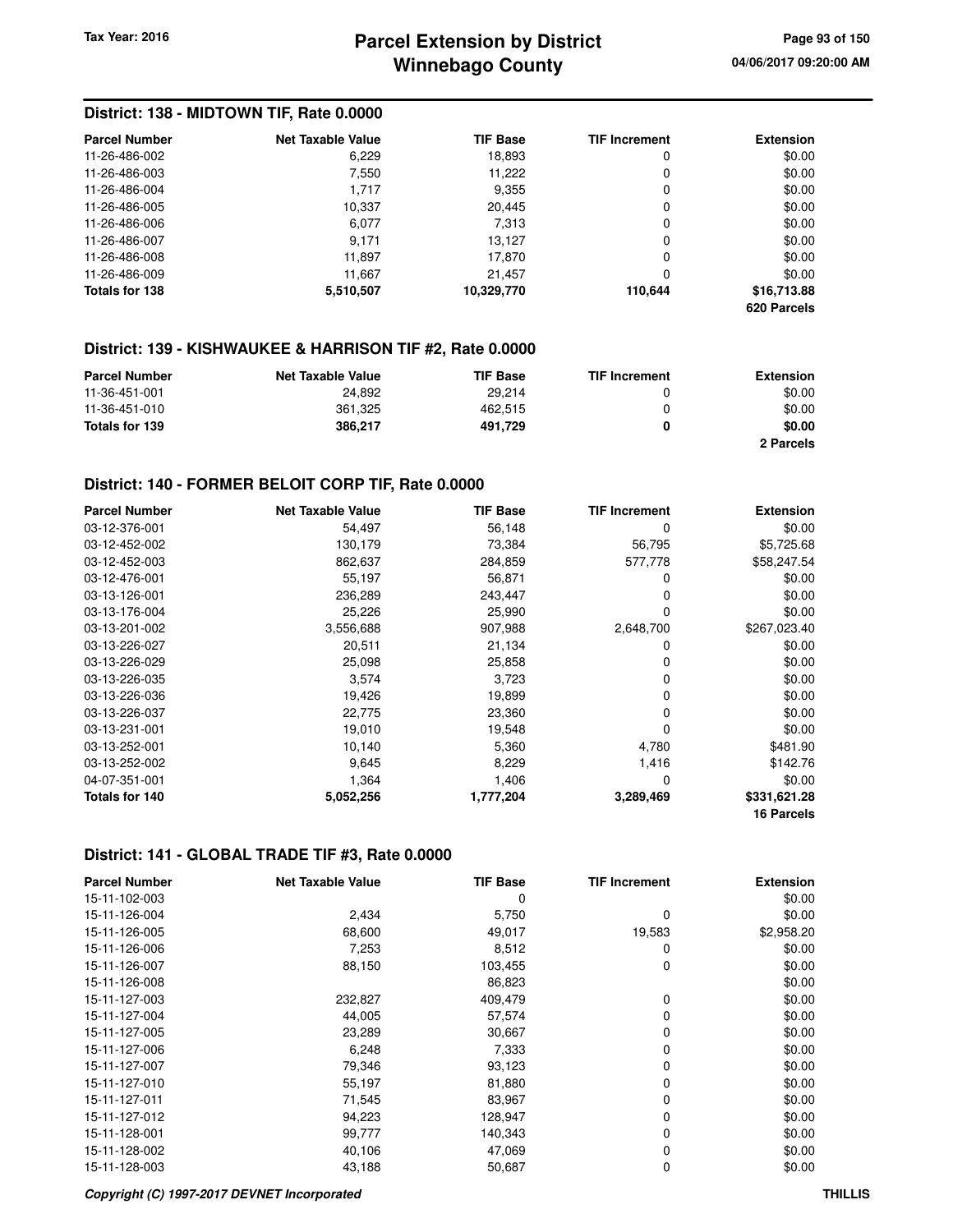## **Winnebago County Parcel Extension by District Tax Year: 2016 Page 93 of 150**

## **District: 138 - MIDTOWN TIF, Rate 0.0000**

| <b>Parcel Number</b> | <b>Net Taxable Value</b> | <b>TIF Base</b> | <b>TIF Increment</b> | <b>Extension</b>           |
|----------------------|--------------------------|-----------------|----------------------|----------------------------|
| 11-26-486-002        | 6,229                    | 18,893          | 0                    | \$0.00                     |
| 11-26-486-003        | 7,550                    | 11,222          | 0                    | \$0.00                     |
| 11-26-486-004        | 1.717                    | 9,355           | 0                    | \$0.00                     |
| 11-26-486-005        | 10,337                   | 20,445          | 0                    | \$0.00                     |
| 11-26-486-006        | 6,077                    | 7,313           | 0                    | \$0.00                     |
| 11-26-486-007        | 9.171                    | 13.127          | 0                    | \$0.00                     |
| 11-26-486-008        | 11.897                   | 17.870          | 0                    | \$0.00                     |
| 11-26-486-009        | 11.667                   | 21.457          | 0                    | \$0.00                     |
| Totals for 138       | 5,510,507                | 10,329,770      | 110.644              | \$16,713.88<br>620 Parcels |

#### **District: 139 - KISHWAUKEE & HARRISON TIF #2, Rate 0.0000**

| <b>Parcel Number</b> | <b>Net Taxable Value</b> | <b>TIF Base</b> | <b>TIF Increment</b> | Extension |
|----------------------|--------------------------|-----------------|----------------------|-----------|
| 11-36-451-001        | 24.892                   | 29.214          |                      | \$0.00    |
| 11-36-451-010        | 361.325                  | 462.515         |                      | \$0.00    |
| Totals for 139       | 386.217                  | 491.729         |                      | \$0.00    |
|                      |                          |                 |                      | 2 Parcels |

#### **District: 140 - FORMER BELOIT CORP TIF, Rate 0.0000**

| <b>Parcel Number</b> | <b>Net Taxable Value</b> | <b>TIF Base</b> | <b>TIF Increment</b> | <b>Extension</b> |
|----------------------|--------------------------|-----------------|----------------------|------------------|
| 03-12-376-001        | 54,497                   | 56,148          | 0                    | \$0.00           |
| 03-12-452-002        | 130,179                  | 73,384          | 56,795               | \$5,725.68       |
| 03-12-452-003        | 862,637                  | 284,859         | 577,778              | \$58,247.54      |
| 03-12-476-001        | 55,197                   | 56,871          | 0                    | \$0.00           |
| 03-13-126-001        | 236,289                  | 243,447         | 0                    | \$0.00           |
| 03-13-176-004        | 25,226                   | 25,990          | 0                    | \$0.00           |
| 03-13-201-002        | 3,556,688                | 907,988         | 2,648,700            | \$267,023.40     |
| 03-13-226-027        | 20,511                   | 21,134          | 0                    | \$0.00           |
| 03-13-226-029        | 25,098                   | 25,858          | 0                    | \$0.00           |
| 03-13-226-035        | 3,574                    | 3,723           | 0                    | \$0.00           |
| 03-13-226-036        | 19,426                   | 19,899          | 0                    | \$0.00           |
| 03-13-226-037        | 22,775                   | 23,360          | 0                    | \$0.00           |
| 03-13-231-001        | 19,010                   | 19,548          | 0                    | \$0.00           |
| 03-13-252-001        | 10,140                   | 5,360           | 4,780                | \$481.90         |
| 03-13-252-002        | 9,645                    | 8,229           | 1,416                | \$142.76         |
| 04-07-351-001        | 1,364                    | 1,406           | 0                    | \$0.00           |
| Totals for 140       | 5,052,256                | 1,777,204       | 3,289,469            | \$331,621.28     |
|                      |                          |                 |                      | 16 Parcels       |

#### **District: 141 - GLOBAL TRADE TIF #3, Rate 0.0000**

| <b>Parcel Number</b> | <b>Net Taxable Value</b> | <b>TIF Base</b> | <b>TIF Increment</b> | <b>Extension</b> |
|----------------------|--------------------------|-----------------|----------------------|------------------|
| 15-11-102-003        |                          | 0               |                      | \$0.00           |
| 15-11-126-004        | 2,434                    | 5,750           | 0                    | \$0.00           |
| 15-11-126-005        | 68,600                   | 49,017          | 19,583               | \$2,958.20       |
| 15-11-126-006        | 7,253                    | 8,512           | 0                    | \$0.00           |
| 15-11-126-007        | 88,150                   | 103,455         | 0                    | \$0.00           |
| 15-11-126-008        |                          | 86,823          |                      | \$0.00           |
| 15-11-127-003        | 232,827                  | 409,479         | 0                    | \$0.00           |
| 15-11-127-004        | 44,005                   | 57,574          | 0                    | \$0.00           |
| 15-11-127-005        | 23,289                   | 30,667          | 0                    | \$0.00           |
| 15-11-127-006        | 6,248                    | 7,333           | 0                    | \$0.00           |
| 15-11-127-007        | 79,346                   | 93,123          | 0                    | \$0.00           |
| 15-11-127-010        | 55,197                   | 81,880          | 0                    | \$0.00           |
| 15-11-127-011        | 71,545                   | 83,967          | 0                    | \$0.00           |
| 15-11-127-012        | 94,223                   | 128,947         | 0                    | \$0.00           |
| 15-11-128-001        | 99,777                   | 140,343         | 0                    | \$0.00           |
| 15-11-128-002        | 40,106                   | 47,069          | 0                    | \$0.00           |
| 15-11-128-003        | 43,188                   | 50,687          | 0                    | \$0.00           |

#### **Copyright (C) 1997-2017 DEVNET Incorporated THILLIS**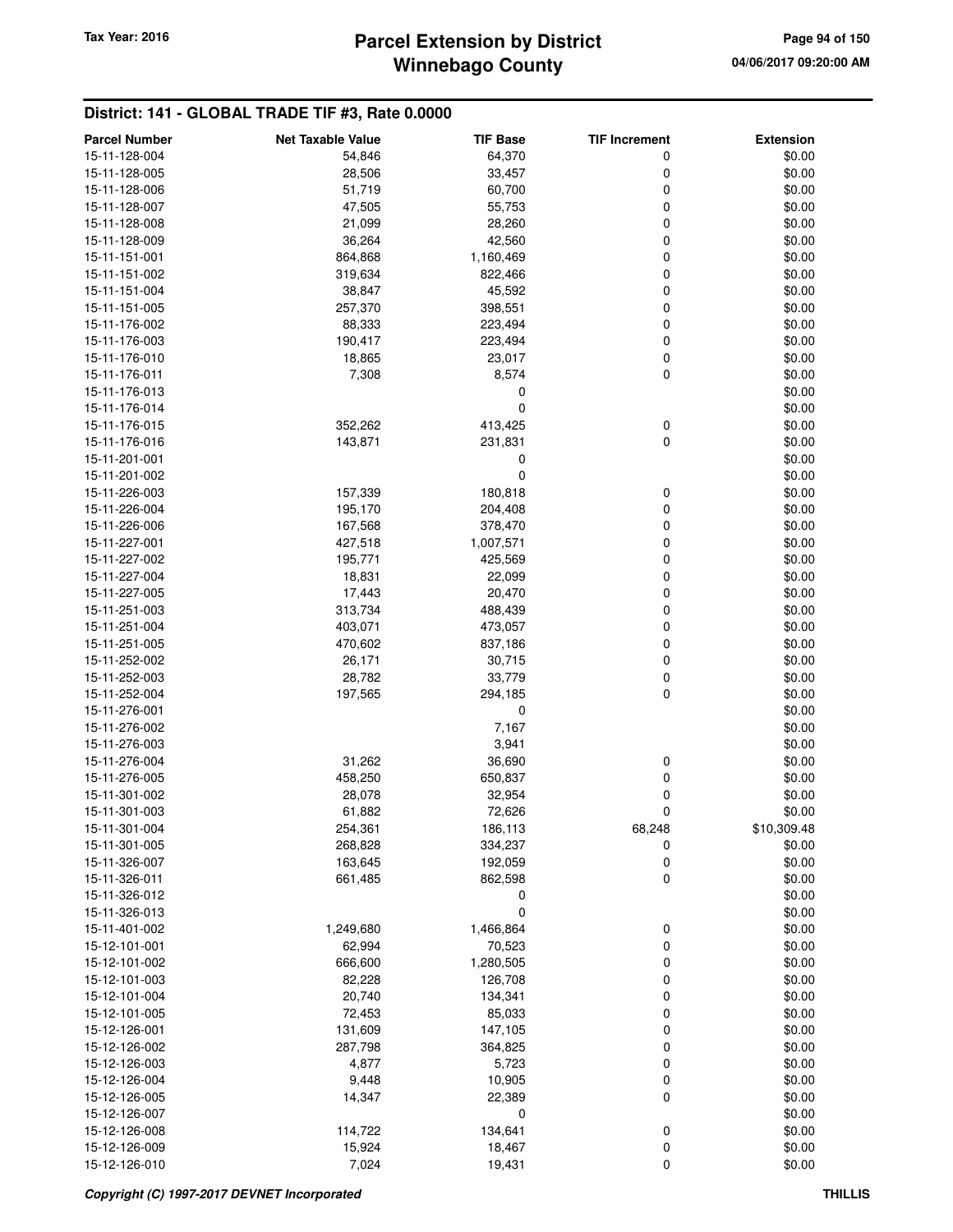# **Winnebago County** Tax Year: 2016 **Parcel Extension by District Page 94 of 150**

#### **District: 141 - GLOBAL TRADE TIF #3, Rate 0.0000**

| <b>Parcel Number</b>           | <b>Net Taxable Value</b> | <b>TIF Base</b> | <b>TIF Increment</b> | <b>Extension</b> |
|--------------------------------|--------------------------|-----------------|----------------------|------------------|
| 15-11-128-004                  | 54,846                   | 64,370          | 0                    | \$0.00           |
| 15-11-128-005                  | 28,506                   | 33,457          | 0                    | \$0.00           |
| 15-11-128-006                  | 51,719                   | 60,700          | 0                    | \$0.00           |
| 15-11-128-007                  | 47,505                   | 55,753          | 0                    | \$0.00           |
| 15-11-128-008                  | 21,099                   | 28,260          | 0                    | \$0.00           |
| 15-11-128-009                  | 36,264                   | 42,560          | 0                    | \$0.00           |
| 15-11-151-001                  | 864,868                  | 1,160,469       | 0                    | \$0.00           |
| 15-11-151-002                  | 319,634                  | 822,466         | 0                    | \$0.00           |
| 15-11-151-004                  | 38,847                   | 45,592          | 0                    | \$0.00           |
| 15-11-151-005                  | 257,370                  | 398,551         | 0                    | \$0.00           |
| 15-11-176-002                  | 88,333                   | 223,494         | 0                    | \$0.00           |
| 15-11-176-003                  | 190,417                  | 223,494         | 0                    | \$0.00           |
| 15-11-176-010                  | 18,865                   | 23,017          | 0                    | \$0.00           |
| 15-11-176-011                  | 7,308                    | 8,574           | 0                    | \$0.00           |
| 15-11-176-013                  |                          | 0               |                      | \$0.00           |
| 15-11-176-014                  |                          | 0               |                      | \$0.00           |
| 15-11-176-015                  | 352,262                  | 413,425         | 0                    | \$0.00           |
| 15-11-176-016                  | 143,871                  | 231,831         | 0                    | \$0.00           |
| 15-11-201-001                  |                          | 0               |                      | \$0.00           |
| 15-11-201-002                  |                          | 0               |                      |                  |
|                                |                          |                 |                      | \$0.00<br>\$0.00 |
| 15-11-226-003                  | 157,339                  | 180,818         | 0                    | \$0.00           |
| 15-11-226-004<br>15-11-226-006 | 195,170                  | 204,408         | 0                    |                  |
|                                | 167,568                  | 378,470         | 0                    | \$0.00           |
| 15-11-227-001                  | 427,518                  | 1,007,571       | 0                    | \$0.00           |
| 15-11-227-002                  | 195,771                  | 425,569         | 0                    | \$0.00           |
| 15-11-227-004                  | 18,831                   | 22,099          | 0                    | \$0.00           |
| 15-11-227-005                  | 17,443                   | 20,470          | 0                    | \$0.00           |
| 15-11-251-003                  | 313,734                  | 488,439         | 0                    | \$0.00           |
| 15-11-251-004                  | 403,071                  | 473,057         | 0                    | \$0.00           |
| 15-11-251-005                  | 470,602                  | 837,186         | 0                    | \$0.00           |
| 15-11-252-002                  | 26,171                   | 30,715          | 0                    | \$0.00           |
| 15-11-252-003                  | 28,782                   | 33,779          | 0                    | \$0.00           |
| 15-11-252-004                  | 197,565                  | 294,185         | 0                    | \$0.00           |
| 15-11-276-001                  |                          | 0               |                      | \$0.00           |
| 15-11-276-002                  |                          | 7,167           |                      | \$0.00           |
| 15-11-276-003                  |                          | 3,941           |                      | \$0.00           |
| 15-11-276-004                  | 31,262                   | 36,690          | 0                    | \$0.00           |
| 15-11-276-005                  | 458,250                  | 650,837         | 0                    | \$0.00           |
| 15-11-301-002                  | 28,078                   | 32,954          | 0                    | \$0.00           |
| 15-11-301-003                  | 61,882                   | 72,626          | 0                    | \$0.00           |
| 15-11-301-004                  | 254,361                  | 186,113         | 68,248               | \$10,309.48      |
| 15-11-301-005                  | 268,828                  | 334,237         | 0                    | \$0.00           |
| 15-11-326-007                  | 163,645                  | 192,059         | 0                    | \$0.00           |
| 15-11-326-011                  | 661,485                  | 862,598         | 0                    | \$0.00           |
| 15-11-326-012                  |                          | 0               |                      | \$0.00           |
| 15-11-326-013                  |                          | 0               |                      | \$0.00           |
| 15-11-401-002                  | 1,249,680                | 1,466,864       | 0                    | \$0.00           |
| 15-12-101-001                  | 62,994                   | 70,523          | 0                    | \$0.00           |
| 15-12-101-002                  | 666,600                  | 1,280,505       | 0                    | \$0.00           |
| 15-12-101-003                  | 82,228                   | 126,708         | 0                    | \$0.00           |
| 15-12-101-004                  | 20,740                   | 134,341         | 0                    | \$0.00           |
| 15-12-101-005                  | 72,453                   | 85,033          | 0                    | \$0.00           |
| 15-12-126-001                  | 131,609                  | 147,105         | 0                    | \$0.00           |
| 15-12-126-002                  | 287,798                  | 364,825         | 0                    | \$0.00           |
| 15-12-126-003                  | 4,877                    | 5,723           | 0                    | \$0.00           |
| 15-12-126-004                  | 9,448                    | 10,905          | 0                    | \$0.00           |
| 15-12-126-005                  | 14,347                   | 22,389          | 0                    | \$0.00           |
| 15-12-126-007                  |                          | 0               |                      | \$0.00           |
| 15-12-126-008                  | 114,722                  | 134,641         | 0                    | \$0.00           |
| 15-12-126-009                  | 15,924                   | 18,467          | 0                    | \$0.00           |
| 15-12-126-010                  | 7,024                    | 19,431          | 0                    | \$0.00           |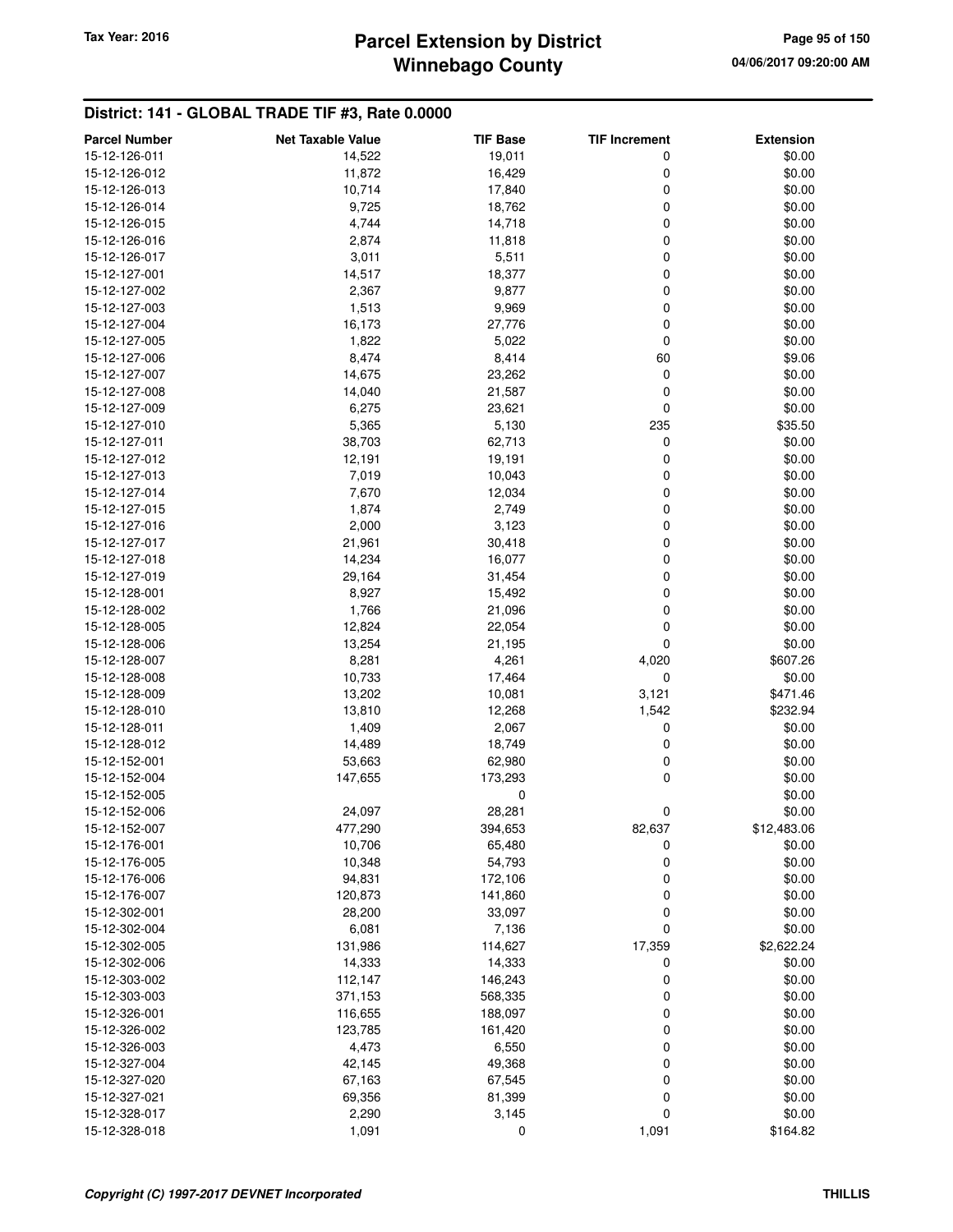## **Winnebago County Parcel Extension by District Tax Year: 2016 Page 95 of 150**

#### **District: 141 - GLOBAL TRADE TIF #3, Rate 0.0000**

| <b>Parcel Number</b> | <b>Net Taxable Value</b> | <b>TIF Base</b> | <b>TIF Increment</b> | <b>Extension</b> |
|----------------------|--------------------------|-----------------|----------------------|------------------|
| 15-12-126-011        | 14,522                   | 19,011          | 0                    | \$0.00           |
| 15-12-126-012        | 11,872                   | 16,429          | 0                    | \$0.00           |
| 15-12-126-013        | 10,714                   | 17,840          | 0                    | \$0.00           |
| 15-12-126-014        | 9,725                    | 18,762          | 0                    | \$0.00           |
| 15-12-126-015        | 4,744                    | 14,718          | 0                    | \$0.00           |
| 15-12-126-016        |                          |                 | 0                    |                  |
|                      | 2,874                    | 11,818          |                      | \$0.00           |
| 15-12-126-017        | 3,011                    | 5,511           | 0                    | \$0.00           |
| 15-12-127-001        | 14,517                   | 18,377          | 0                    | \$0.00           |
| 15-12-127-002        | 2,367                    | 9,877           | 0                    | \$0.00           |
| 15-12-127-003        | 1,513                    | 9,969           | 0                    | \$0.00           |
| 15-12-127-004        | 16,173                   | 27,776          | 0                    | \$0.00           |
| 15-12-127-005        | 1,822                    | 5,022           | $\mathbf 0$          | \$0.00           |
| 15-12-127-006        | 8,474                    | 8,414           | 60                   | \$9.06           |
| 15-12-127-007        | 14,675                   | 23,262          | $\mathbf 0$          | \$0.00           |
| 15-12-127-008        | 14,040                   | 21,587          | 0                    | \$0.00           |
| 15-12-127-009        | 6,275                    | 23,621          | 0                    | \$0.00           |
| 15-12-127-010        | 5,365                    | 5,130           | 235                  | \$35.50          |
| 15-12-127-011        | 38,703                   | 62,713          | 0                    | \$0.00           |
| 15-12-127-012        | 12,191                   | 19,191          | 0                    | \$0.00           |
| 15-12-127-013        | 7,019                    | 10,043          | 0                    | \$0.00           |
| 15-12-127-014        | 7,670                    | 12,034          | 0                    | \$0.00           |
| 15-12-127-015        | 1,874                    | 2,749           | 0                    | \$0.00           |
| 15-12-127-016        | 2,000                    | 3,123           | 0                    | \$0.00           |
| 15-12-127-017        | 21,961                   | 30,418          | 0                    | \$0.00           |
| 15-12-127-018        | 14,234                   | 16,077          | 0                    | \$0.00           |
| 15-12-127-019        | 29,164                   | 31,454          | 0                    | \$0.00           |
| 15-12-128-001        | 8,927                    | 15,492          | 0                    | \$0.00           |
| 15-12-128-002        | 1,766                    | 21,096          | 0                    | \$0.00           |
| 15-12-128-005        | 12,824                   | 22,054          | 0                    | \$0.00           |
| 15-12-128-006        | 13,254                   | 21,195          | 0                    | \$0.00           |
| 15-12-128-007        | 8,281                    | 4,261           | 4,020                | \$607.26         |
| 15-12-128-008        | 10,733                   | 17,464          | $\mathbf 0$          | \$0.00           |
| 15-12-128-009        | 13,202                   | 10,081          | 3,121                | \$471.46         |
| 15-12-128-010        | 13,810                   | 12,268          | 1,542                | \$232.94         |
| 15-12-128-011        | 1,409                    | 2,067           | 0                    | \$0.00           |
| 15-12-128-012        | 14,489                   | 18,749          | 0                    | \$0.00           |
| 15-12-152-001        | 53,663                   | 62,980          | 0                    | \$0.00           |
| 15-12-152-004        | 147,655                  | 173,293         | 0                    | \$0.00           |
| 15-12-152-005        |                          | 0               |                      | \$0.00           |
|                      |                          |                 | 0                    | \$0.00           |
| 15-12-152-006        | 24,097                   | 28,281          |                      |                  |
| 15-12-152-007        | 477,290                  | 394,653         | 82,637               | \$12,483.06      |
| 15-12-176-001        | 10,706                   | 65,480          | 0                    | \$0.00           |
| 15-12-176-005        | 10,348                   | 54,793          | $\mathbf 0$          | \$0.00           |
| 15-12-176-006        | 94,831                   | 172,106         | 0                    | \$0.00           |
| 15-12-176-007        | 120,873                  | 141,860         | 0                    | \$0.00           |
| 15-12-302-001        | 28,200                   | 33,097          | 0                    | \$0.00           |
| 15-12-302-004        | 6,081                    | 7,136           | $\mathbf 0$          | \$0.00           |
| 15-12-302-005        | 131,986                  | 114,627         | 17,359               | \$2,622.24       |
| 15-12-302-006        | 14,333                   | 14,333          | 0                    | \$0.00           |
| 15-12-303-002        | 112,147                  | 146,243         | 0                    | \$0.00           |
| 15-12-303-003        | 371,153                  | 568,335         | 0                    | \$0.00           |
| 15-12-326-001        | 116,655                  | 188,097         | 0                    | \$0.00           |
| 15-12-326-002        | 123,785                  | 161,420         | 0                    | \$0.00           |
| 15-12-326-003        | 4,473                    | 6,550           | 0                    | \$0.00           |
| 15-12-327-004        | 42,145                   | 49,368          | 0                    | \$0.00           |
| 15-12-327-020        | 67,163                   | 67,545          | 0                    | \$0.00           |
| 15-12-327-021        | 69,356                   | 81,399          | 0                    | \$0.00           |
| 15-12-328-017        | 2,290                    | 3,145           | 0                    | \$0.00           |
| 15-12-328-018        | 1,091                    | 0               | 1,091                | \$164.82         |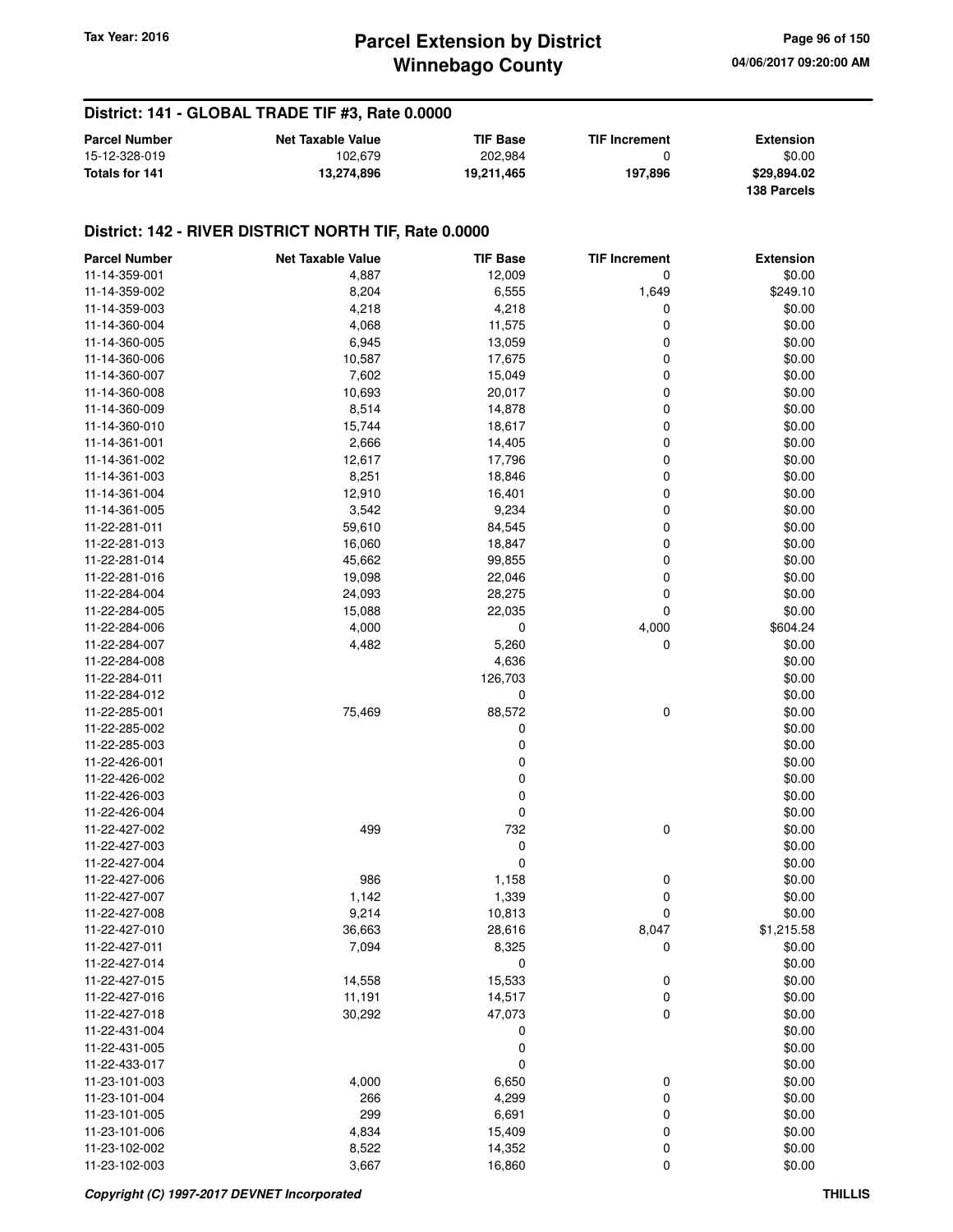#### **District: 141 - GLOBAL TRADE TIF #3, Rate 0.0000**

| <b>Parcel Number</b> | <b>Net Taxable Value</b> | <b>TIF Base</b> | <b>TIF Increment</b> | <b>Extension</b> |
|----------------------|--------------------------|-----------------|----------------------|------------------|
| 15-12-328-019        | 102.679                  | 202.984         |                      | \$0.00           |
| Totals for 141       | 13.274.896               | 19.211.465      | 197.896              | \$29,894.02      |
|                      |                          |                 |                      | 138 Parcels      |

| <b>Parcel Number</b> | <b>Net Taxable Value</b> | <b>TIF Base</b> | <b>TIF Increment</b> | <b>Extension</b> |
|----------------------|--------------------------|-----------------|----------------------|------------------|
| 11-14-359-001        | 4,887                    | 12,009          | 0                    | \$0.00           |
| 11-14-359-002        | 8,204                    | 6,555           | 1,649                | \$249.10         |
| 11-14-359-003        | 4,218                    | 4,218           | 0                    | \$0.00           |
| 11-14-360-004        | 4,068                    | 11,575          | 0                    | \$0.00           |
| 11-14-360-005        | 6,945                    | 13,059          | 0                    | \$0.00           |
| 11-14-360-006        | 10,587                   | 17,675          | 0                    | \$0.00           |
| 11-14-360-007        | 7,602                    | 15,049          | 0                    | \$0.00           |
| 11-14-360-008        | 10,693                   | 20,017          | 0                    | \$0.00           |
| 11-14-360-009        | 8,514                    | 14,878          | 0                    | \$0.00           |
| 11-14-360-010        | 15,744                   | 18,617          | 0                    | \$0.00           |
| 11-14-361-001        | 2,666                    | 14,405          | 0                    | \$0.00           |
| 11-14-361-002        | 12,617                   | 17,796          | 0                    | \$0.00           |
| 11-14-361-003        | 8,251                    | 18,846          | 0                    | \$0.00           |
| 11-14-361-004        | 12,910                   | 16,401          | 0                    | \$0.00           |
| 11-14-361-005        | 3,542                    | 9,234           | 0                    | \$0.00           |
| 11-22-281-011        | 59,610                   | 84,545          | 0                    | \$0.00           |
| 11-22-281-013        | 16,060                   | 18,847          | 0                    | \$0.00           |
| 11-22-281-014        | 45,662                   | 99,855          | 0                    | \$0.00           |
| 11-22-281-016        | 19,098                   | 22,046          | 0                    | \$0.00           |
| 11-22-284-004        |                          |                 | 0                    |                  |
|                      | 24,093                   | 28,275          |                      | \$0.00           |
| 11-22-284-005        | 15,088                   | 22,035          | 0                    | \$0.00           |
| 11-22-284-006        | 4,000                    | 0               | 4,000                | \$604.24         |
| 11-22-284-007        | 4,482                    | 5,260           | 0                    | \$0.00           |
| 11-22-284-008        |                          | 4,636           |                      | \$0.00           |
| 11-22-284-011        |                          | 126,703         |                      | \$0.00           |
| 11-22-284-012        |                          | 0               |                      | \$0.00           |
| 11-22-285-001        | 75,469                   | 88,572          | 0                    | \$0.00           |
| 11-22-285-002        |                          | 0               |                      | \$0.00           |
| 11-22-285-003        |                          | 0               |                      | \$0.00           |
| 11-22-426-001        |                          | 0               |                      | \$0.00           |
| 11-22-426-002        |                          | 0               |                      | \$0.00           |
| 11-22-426-003        |                          | 0               |                      | \$0.00           |
| 11-22-426-004        |                          | 0               |                      | \$0.00           |
| 11-22-427-002        | 499                      | 732             | 0                    | \$0.00           |
| 11-22-427-003        |                          | 0               |                      | \$0.00           |
| 11-22-427-004        |                          | 0               |                      | \$0.00           |
| 11-22-427-006        | 986                      | 1,158           | 0                    | \$0.00           |
| 11-22-427-007        | 1,142                    | 1,339           | 0                    | \$0.00           |
| 11-22-427-008        | 9,214                    | 10,813          | 0                    | \$0.00           |
| 11-22-427-010        | 36,663                   | 28,616          | 8,047                | \$1,215.58       |
| 11-22-427-011        | 7,094                    | 8,325           | 0                    | \$0.00           |
| 11-22-427-014        |                          | 0               |                      | \$0.00           |
| 11-22-427-015        | 14,558                   | 15,533          | $\pmb{0}$            | \$0.00           |
| 11-22-427-016        | 11,191                   | 14,517          | 0                    | \$0.00           |
| 11-22-427-018        | 30,292                   | 47,073          | $\pmb{0}$            | \$0.00           |
| 11-22-431-004        |                          | 0               |                      | \$0.00           |
| 11-22-431-005        |                          | 0               |                      | \$0.00           |
| 11-22-433-017        |                          | 0               |                      | \$0.00           |
| 11-23-101-003        | 4,000                    | 6,650           | 0                    | \$0.00           |
| 11-23-101-004        | 266                      | 4,299           | 0                    | \$0.00           |
| 11-23-101-005        | 299                      | 6,691           | 0                    | \$0.00           |
| 11-23-101-006        | 4,834                    | 15,409          | 0                    | \$0.00           |
| 11-23-102-002        | 8,522                    | 14,352          | 0                    | \$0.00           |
| 11-23-102-003        | 3,667                    | 16,860          | 0                    | \$0.00           |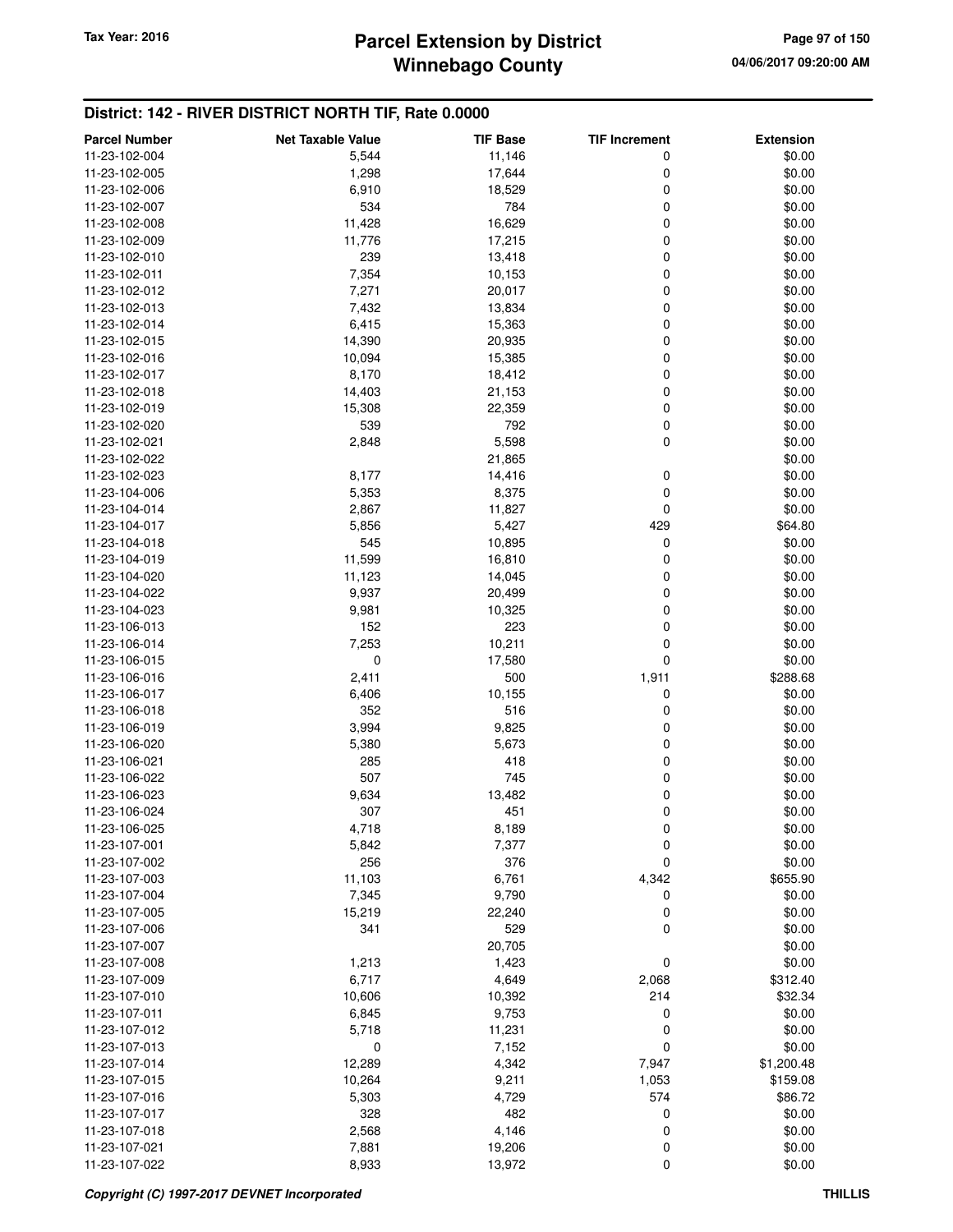| <b>Parcel Number</b>           | <b>Net Taxable Value</b> | <b>TIF Base</b> | <b>TIF Increment</b> | <b>Extension</b> |
|--------------------------------|--------------------------|-----------------|----------------------|------------------|
| 11-23-102-004                  | 5,544                    | 11,146          | 0                    | \$0.00           |
| 11-23-102-005                  | 1,298                    | 17,644          | 0                    | \$0.00           |
| 11-23-102-006                  | 6,910                    | 18,529          | 0                    | \$0.00           |
| 11-23-102-007                  | 534                      | 784             | 0                    | \$0.00           |
| 11-23-102-008                  | 11,428                   | 16,629          | 0                    | \$0.00           |
| 11-23-102-009                  | 11,776                   | 17,215          | 0                    | \$0.00           |
| 11-23-102-010                  | 239                      | 13,418          | 0                    | \$0.00           |
| 11-23-102-011                  | 7,354                    | 10,153          | 0                    | \$0.00           |
| 11-23-102-012                  | 7,271                    | 20,017          | 0                    | \$0.00           |
| 11-23-102-013                  | 7,432                    | 13,834          | 0                    | \$0.00           |
| 11-23-102-014                  | 6,415                    | 15,363          | 0                    | \$0.00           |
| 11-23-102-015                  | 14,390                   | 20,935          | 0                    | \$0.00           |
| 11-23-102-016                  | 10,094                   | 15,385          | 0                    | \$0.00           |
| 11-23-102-017                  | 8,170                    | 18,412          | 0                    | \$0.00           |
| 11-23-102-018                  | 14,403                   | 21,153          | 0                    | \$0.00           |
| 11-23-102-019                  | 15,308                   | 22,359          | 0                    | \$0.00           |
| 11-23-102-020                  | 539                      | 792             | 0                    | \$0.00           |
| 11-23-102-021                  | 2,848                    | 5,598           | 0                    | \$0.00           |
| 11-23-102-022                  |                          | 21,865          |                      | \$0.00           |
| 11-23-102-023                  | 8,177                    | 14,416          | 0                    | \$0.00           |
| 11-23-104-006                  | 5,353                    | 8,375           | 0                    | \$0.00           |
|                                |                          |                 | 0                    | \$0.00           |
| 11-23-104-014<br>11-23-104-017 | 2,867<br>5,856           | 11,827<br>5,427 | 429                  | \$64.80          |
| 11-23-104-018                  | 545                      | 10,895          | 0                    | \$0.00           |
| 11-23-104-019                  |                          |                 | 0                    | \$0.00           |
| 11-23-104-020                  | 11,599                   | 16,810          |                      |                  |
|                                | 11,123<br>9,937          | 14,045          | 0<br>0               | \$0.00<br>\$0.00 |
| 11-23-104-022                  |                          | 20,499          | 0                    | \$0.00           |
| 11-23-104-023                  | 9,981                    | 10,325          |                      |                  |
| 11-23-106-013                  | 152                      | 223             | 0                    | \$0.00<br>\$0.00 |
| 11-23-106-014                  | 7,253                    | 10,211          | 0                    |                  |
| 11-23-106-015                  | $\mathbf 0$              | 17,580          | 0                    | \$0.00           |
| 11-23-106-016                  | 2,411                    | 500             | 1,911                | \$288.68         |
| 11-23-106-017                  | 6,406                    | 10,155          | 0                    | \$0.00           |
| 11-23-106-018                  | 352                      | 516             | 0                    | \$0.00           |
| 11-23-106-019                  | 3,994                    | 9,825           | 0                    | \$0.00           |
| 11-23-106-020                  | 5,380                    | 5,673           | 0                    | \$0.00           |
| 11-23-106-021                  | 285                      | 418             | 0                    | \$0.00           |
| 11-23-106-022                  | 507                      | 745             | 0                    | \$0.00           |
| 11-23-106-023                  | 9,634                    | 13,482          | 0                    | \$0.00           |
| 11-23-106-024                  | 307                      | 451             | 0                    | \$0.00           |
| 11-23-106-025                  | 4,718                    | 8,189           | 0                    | \$0.00           |
| 11-23-107-001                  | 5,842                    | 7,377           | 0                    | \$0.00           |
| 11-23-107-002                  | 256                      | 376             | 0                    | \$0.00           |
| 11-23-107-003                  | 11,103                   | 6,761           | 4,342                | \$655.90         |
| 11-23-107-004                  | 7,345                    | 9,790           | 0                    | \$0.00           |
| 11-23-107-005                  | 15,219                   | 22,240          | 0                    | \$0.00           |
| 11-23-107-006                  | 341                      | 529             | $\mathbf 0$          | \$0.00           |
| 11-23-107-007                  |                          | 20,705          |                      | \$0.00           |
| 11-23-107-008                  | 1,213                    | 1,423           | 0                    | \$0.00           |
| 11-23-107-009                  | 6,717                    | 4,649           | 2,068                | \$312.40         |
| 11-23-107-010                  | 10,606                   | 10,392          | 214                  | \$32.34          |
| 11-23-107-011                  | 6,845                    | 9,753           | 0                    | \$0.00           |
| 11-23-107-012                  | 5,718                    | 11,231          | 0                    | \$0.00           |
| 11-23-107-013                  | 0                        | 7,152           | 0                    | \$0.00           |
| 11-23-107-014                  | 12,289                   | 4,342           | 7,947                | \$1,200.48       |
| 11-23-107-015                  | 10,264                   | 9,211           | 1,053                | \$159.08         |
| 11-23-107-016                  | 5,303                    | 4,729           | 574                  | \$86.72          |
| 11-23-107-017                  | 328                      | 482             | 0                    | \$0.00           |
| 11-23-107-018                  | 2,568                    | 4,146           | 0                    | \$0.00           |
| 11-23-107-021                  | 7,881                    | 19,206          | 0                    | \$0.00           |
| 11-23-107-022                  | 8,933                    | 13,972          | 0                    | \$0.00           |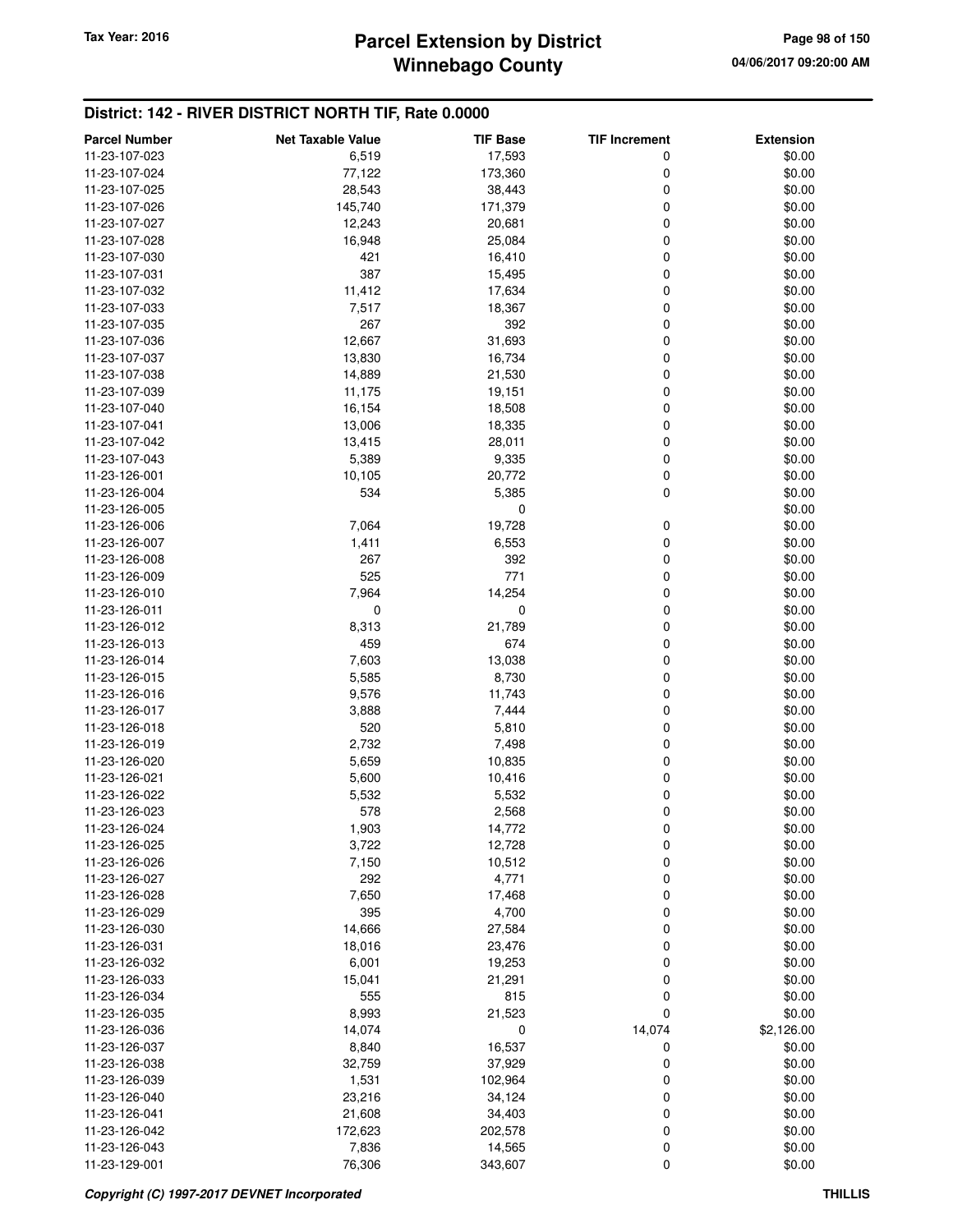## **Winnebago County Parcel Extension by District Tax Year: 2016 Page 98 of 150**

| <b>Parcel Number</b> | <b>Net Taxable Value</b> | <b>TIF Base</b> | <b>TIF Increment</b> | <b>Extension</b> |
|----------------------|--------------------------|-----------------|----------------------|------------------|
| 11-23-107-023        | 6,519                    | 17,593          | 0                    | \$0.00           |
| 11-23-107-024        | 77,122                   | 173,360         | 0                    | \$0.00           |
| 11-23-107-025        | 28,543                   | 38,443          | 0                    | \$0.00           |
| 11-23-107-026        | 145,740                  | 171,379         | 0                    | \$0.00           |
| 11-23-107-027        | 12,243                   | 20,681          | 0                    | \$0.00           |
| 11-23-107-028        | 16,948                   | 25,084          | 0                    | \$0.00           |
|                      | 421                      |                 | 0                    |                  |
| 11-23-107-030        | 387                      | 16,410          | 0                    | \$0.00           |
| 11-23-107-031        |                          | 15,495          |                      | \$0.00           |
| 11-23-107-032        | 11,412                   | 17,634          | 0                    | \$0.00           |
| 11-23-107-033        | 7,517                    | 18,367          | 0                    | \$0.00           |
| 11-23-107-035        | 267                      | 392             | 0                    | \$0.00           |
| 11-23-107-036        | 12,667                   | 31,693          | 0                    | \$0.00           |
| 11-23-107-037        | 13,830                   | 16,734          | 0                    | \$0.00           |
| 11-23-107-038        | 14,889                   | 21,530          | 0                    | \$0.00           |
| 11-23-107-039        | 11,175                   | 19,151          | 0                    | \$0.00           |
| 11-23-107-040        | 16,154                   | 18,508          | 0                    | \$0.00           |
| 11-23-107-041        | 13,006                   | 18,335          | 0                    | \$0.00           |
| 11-23-107-042        | 13,415                   | 28,011          | 0                    | \$0.00           |
| 11-23-107-043        | 5,389                    | 9,335           | $\mathbf 0$          | \$0.00           |
| 11-23-126-001        | 10,105                   | 20,772          | $\mathbf 0$          | \$0.00           |
| 11-23-126-004        | 534                      | 5,385           | $\mathbf 0$          | \$0.00           |
| 11-23-126-005        |                          | 0               |                      | \$0.00           |
| 11-23-126-006        | 7,064                    | 19,728          | 0                    | \$0.00           |
| 11-23-126-007        | 1,411                    | 6,553           | 0                    | \$0.00           |
| 11-23-126-008        | 267                      | 392             | 0                    | \$0.00           |
| 11-23-126-009        | 525                      | 771             | 0                    | \$0.00           |
| 11-23-126-010        | 7,964                    | 14,254          | 0                    | \$0.00           |
| 11-23-126-011        | 0                        | 0               | 0                    | \$0.00           |
| 11-23-126-012        | 8,313                    | 21,789          | 0                    | \$0.00           |
| 11-23-126-013        | 459                      | 674             | 0                    | \$0.00           |
| 11-23-126-014        | 7,603                    | 13,038          | 0                    | \$0.00           |
| 11-23-126-015        | 5,585                    | 8,730           | 0                    | \$0.00           |
| 11-23-126-016        | 9,576                    | 11,743          | 0                    | \$0.00           |
| 11-23-126-017        | 3,888                    | 7,444           | $\mathbf 0$          | \$0.00           |
| 11-23-126-018        | 520                      | 5,810           | 0                    | \$0.00           |
| 11-23-126-019        |                          |                 |                      |                  |
|                      | 2,732                    | 7,498           | 0                    | \$0.00           |
| 11-23-126-020        | 5,659                    | 10,835          | 0                    | \$0.00           |
| 11-23-126-021        | 5,600                    | 10,416          | 0                    | \$0.00           |
| 11-23-126-022        | 5,532                    | 5,532           | 0                    | \$0.00           |
| 11-23-126-023        | 578                      | 2,568           | 0                    | \$0.00           |
| 11-23-126-024        | 1,903                    | 14,772          | $\mathbf 0$          | \$0.00           |
| 11-23-126-025        | 3,722                    | 12,728          | 0                    | \$0.00           |
| 11-23-126-026        | 7,150                    | 10,512          | 0                    | \$0.00           |
| 11-23-126-027        | 292                      | 4,771           | 0                    | \$0.00           |
| 11-23-126-028        | 7,650                    | 17,468          | 0                    | \$0.00           |
| 11-23-126-029        | 395                      | 4,700           | 0                    | \$0.00           |
| 11-23-126-030        | 14,666                   | 27,584          | 0                    | \$0.00           |
| 11-23-126-031        | 18,016                   | 23,476          | 0                    | \$0.00           |
| 11-23-126-032        | 6,001                    | 19,253          | 0                    | \$0.00           |
| 11-23-126-033        | 15,041                   | 21,291          | 0                    | \$0.00           |
| 11-23-126-034        | 555                      | 815             | 0                    | \$0.00           |
| 11-23-126-035        | 8,993                    | 21,523          | 0                    | \$0.00           |
| 11-23-126-036        | 14,074                   | 0               | 14,074               | \$2,126.00       |
| 11-23-126-037        | 8,840                    | 16,537          | 0                    | \$0.00           |
| 11-23-126-038        | 32,759                   | 37,929          | 0                    | \$0.00           |
| 11-23-126-039        | 1,531                    | 102,964         | 0                    | \$0.00           |
| 11-23-126-040        | 23,216                   | 34,124          | 0                    | \$0.00           |
| 11-23-126-041        | 21,608                   | 34,403          | 0                    | \$0.00           |
| 11-23-126-042        | 172,623                  | 202,578         | 0                    | \$0.00           |
| 11-23-126-043        | 7,836                    | 14,565          | 0                    | \$0.00           |
| 11-23-129-001        | 76,306                   | 343,607         | 0                    | \$0.00           |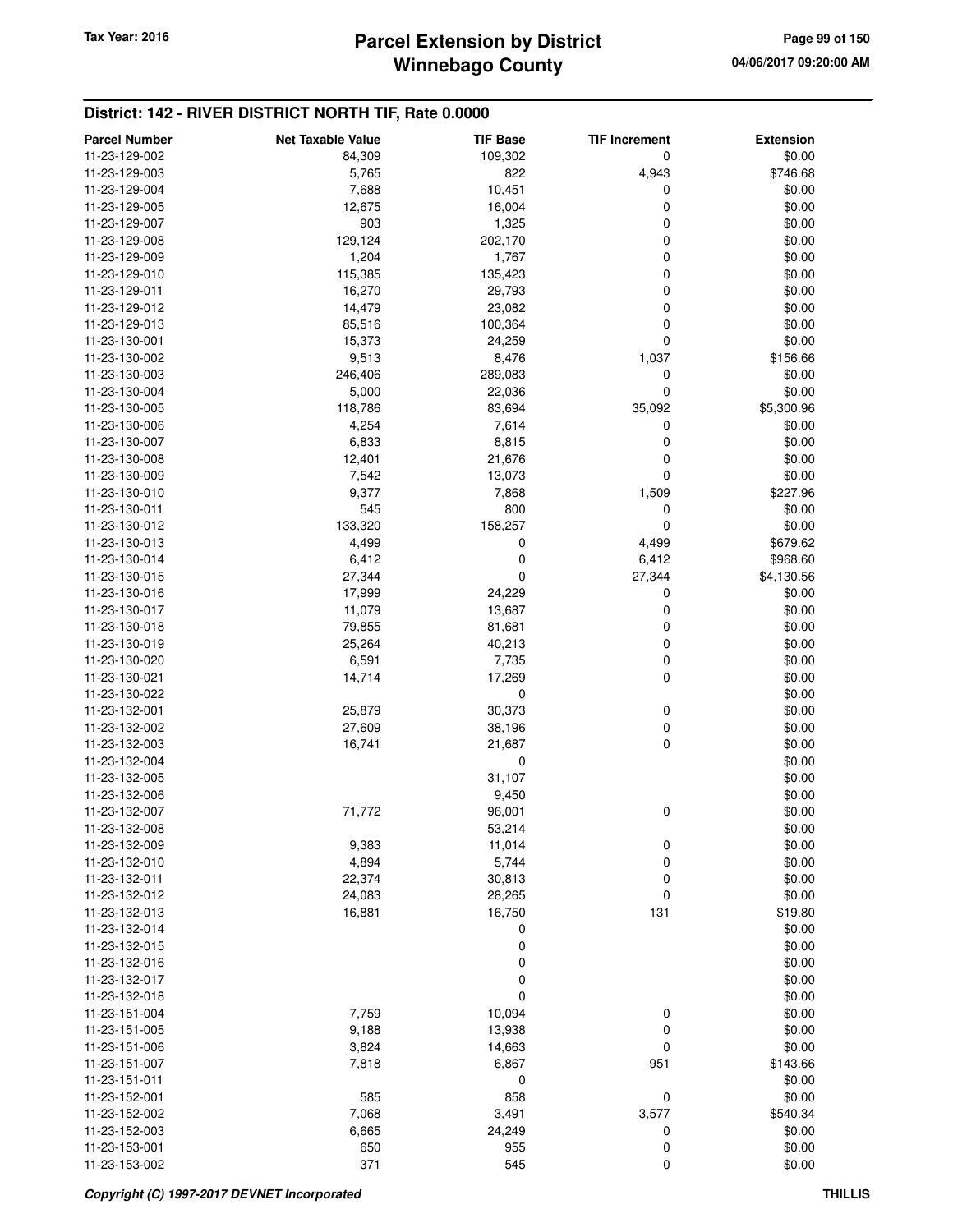## **Winnebago County Parcel Extension by District Tax Year: 2016 Page 99 of 150**

| <b>Parcel Number</b>           | <b>Net Taxable Value</b> | <b>TIF Base</b> | <b>TIF Increment</b> | <b>Extension</b>   |
|--------------------------------|--------------------------|-----------------|----------------------|--------------------|
| 11-23-129-002                  | 84,309                   | 109,302         | 0                    | \$0.00             |
| 11-23-129-003                  | 5,765                    | 822             | 4,943                | \$746.68           |
| 11-23-129-004                  | 7,688                    | 10,451          | 0                    | \$0.00             |
| 11-23-129-005                  | 12,675                   | 16,004          | 0                    | \$0.00             |
| 11-23-129-007                  | 903                      | 1,325           | 0                    | \$0.00             |
| 11-23-129-008                  | 129,124                  | 202,170         | 0                    | \$0.00             |
| 11-23-129-009                  | 1,204                    | 1,767           | 0                    | \$0.00             |
| 11-23-129-010                  | 115,385                  | 135,423         | 0                    | \$0.00             |
| 11-23-129-011                  | 16,270                   | 29,793          | 0                    | \$0.00             |
| 11-23-129-012                  | 14,479                   | 23,082          | 0                    | \$0.00             |
| 11-23-129-013                  | 85,516                   | 100,364         | 0                    | \$0.00             |
| 11-23-130-001                  | 15,373                   | 24,259          | 0                    | \$0.00             |
| 11-23-130-002                  | 9,513                    | 8,476           | 1,037                | \$156.66           |
| 11-23-130-003                  | 246,406                  | 289,083         | 0                    | \$0.00             |
| 11-23-130-004                  | 5,000                    | 22,036          | 0                    | \$0.00             |
| 11-23-130-005                  | 118,786                  | 83,694          | 35,092               | \$5,300.96         |
| 11-23-130-006                  | 4,254                    | 7,614           | 0                    | \$0.00             |
| 11-23-130-007                  | 6,833                    | 8,815           | 0                    | \$0.00             |
| 11-23-130-008                  | 12,401                   | 21,676          | 0                    | \$0.00             |
| 11-23-130-009                  | 7,542                    | 13,073          | 0                    | \$0.00             |
| 11-23-130-010                  | 9,377                    | 7,868           | 1,509                | \$227.96           |
| 11-23-130-011<br>11-23-130-012 | 545<br>133,320           | 800<br>158,257  | 0<br>0               | \$0.00<br>\$0.00   |
| 11-23-130-013                  | 4,499                    | 0               | 4,499                | \$679.62           |
| 11-23-130-014                  | 6,412                    | 0               | 6,412                | \$968.60           |
| 11-23-130-015                  | 27,344                   | 0               | 27,344               | \$4,130.56         |
| 11-23-130-016                  | 17,999                   | 24,229          | 0                    | \$0.00             |
| 11-23-130-017                  | 11,079                   | 13,687          | 0                    | \$0.00             |
| 11-23-130-018                  | 79,855                   | 81,681          | 0                    | \$0.00             |
| 11-23-130-019                  | 25,264                   | 40,213          | 0                    | \$0.00             |
| 11-23-130-020                  | 6,591                    | 7,735           | 0                    | \$0.00             |
| 11-23-130-021                  | 14,714                   | 17,269          | 0                    | \$0.00             |
| 11-23-130-022                  |                          | 0               |                      | \$0.00             |
| 11-23-132-001                  | 25,879                   | 30,373          | 0                    | \$0.00             |
| 11-23-132-002                  | 27,609                   | 38,196          | 0                    | \$0.00             |
| 11-23-132-003                  | 16,741                   | 21,687          | 0                    | \$0.00             |
| 11-23-132-004                  |                          | 0               |                      | \$0.00             |
| 11-23-132-005                  |                          | 31,107          |                      | \$0.00             |
| 11-23-132-006                  |                          | 9,450           |                      | \$0.00             |
| 11-23-132-007                  | 71,772                   | 96,001          | 0                    | \$0.00             |
| 11-23-132-008                  |                          | 53,214          |                      | \$0.00             |
| 11-23-132-009                  | 9,383                    | 11,014          | 0                    | \$0.00             |
| 11-23-132-010                  | 4,894                    | 5,744           | 0                    | \$0.00             |
| 11-23-132-011                  | 22,374                   | 30,813          | 0                    | \$0.00             |
| 11-23-132-012                  | 24,083                   | 28,265          | 0                    | \$0.00             |
| 11-23-132-013                  | 16,881                   | 16,750          | 131                  | \$19.80            |
| 11-23-132-014                  |                          | 0               |                      | \$0.00             |
| 11-23-132-015                  |                          | 0               |                      | \$0.00             |
| 11-23-132-016                  |                          | 0               |                      | \$0.00             |
| 11-23-132-017                  |                          | 0               |                      | \$0.00             |
| 11-23-132-018                  |                          | 0               |                      | \$0.00             |
| 11-23-151-004                  | 7,759                    | 10,094          | 0                    | \$0.00             |
| 11-23-151-005                  | 9,188                    | 13,938          | 0                    | \$0.00             |
| 11-23-151-006                  | 3,824                    | 14,663          | 0                    | \$0.00             |
| 11-23-151-007                  | 7,818                    | 6,867           | 951                  | \$143.66           |
| 11-23-151-011                  |                          | 0               |                      | \$0.00             |
| 11-23-152-001                  | 585                      | 858             | $\mathbf 0$<br>3,577 | \$0.00             |
| 11-23-152-002<br>11-23-152-003 | 7,068                    | 3,491           |                      | \$540.34<br>\$0.00 |
| 11-23-153-001                  | 6,665<br>650             | 24,249<br>955   | 0<br>0               | \$0.00             |
| 11-23-153-002                  | 371                      | 545             | 0                    | \$0.00             |
|                                |                          |                 |                      |                    |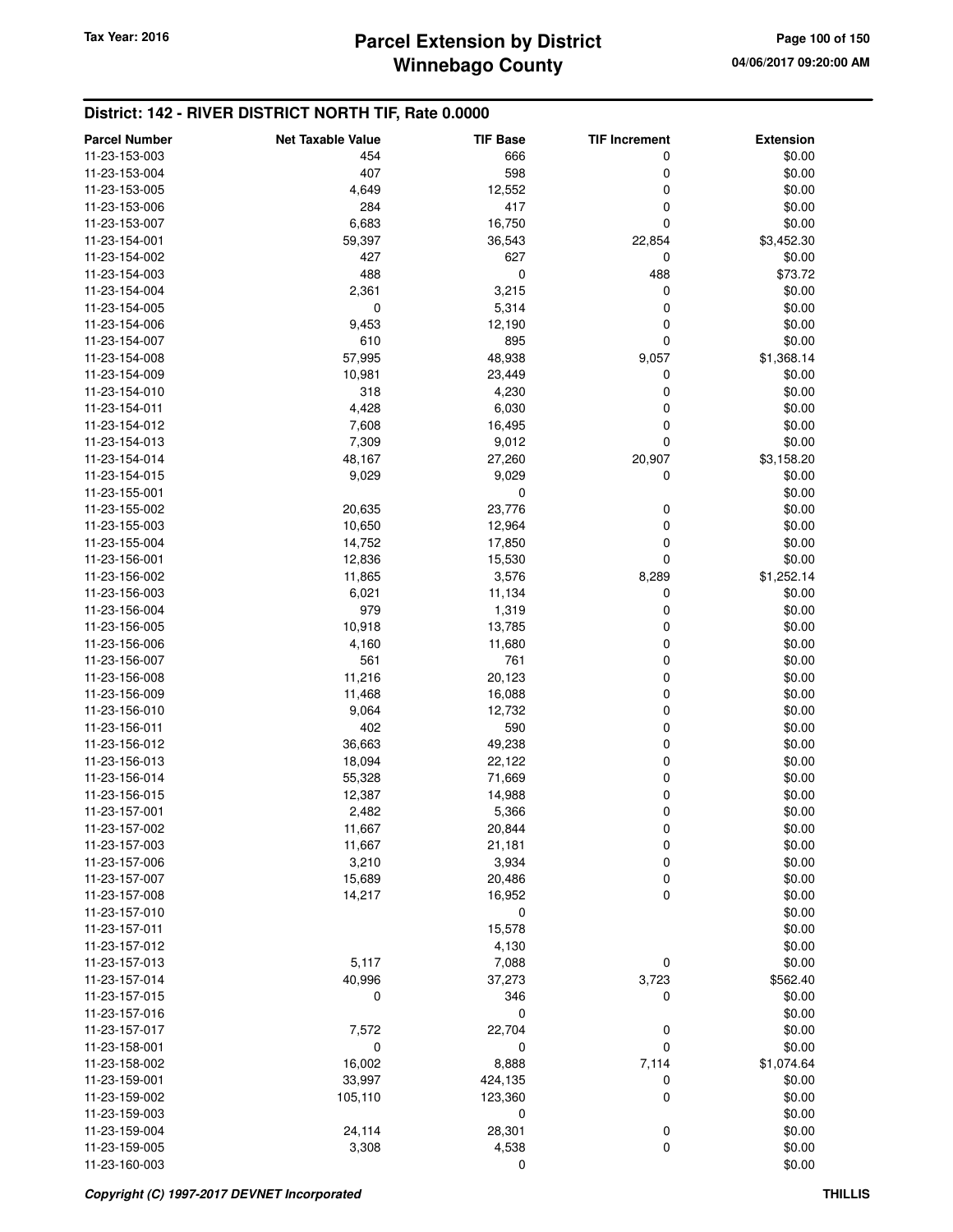| <b>Parcel Number</b> | <b>Net Taxable Value</b> | <b>TIF Base</b> | <b>TIF Increment</b> | <b>Extension</b> |
|----------------------|--------------------------|-----------------|----------------------|------------------|
| 11-23-153-003        | 454                      | 666             | 0                    | \$0.00           |
| 11-23-153-004        | 407                      | 598             | 0                    | \$0.00           |
| 11-23-153-005        | 4,649                    | 12,552          | 0                    | \$0.00           |
| 11-23-153-006        | 284                      | 417             | 0                    | \$0.00           |
| 11-23-153-007        | 6,683                    | 16,750          | 0                    | \$0.00           |
| 11-23-154-001        | 59,397                   | 36,543          | 22,854               | \$3,452.30       |
| 11-23-154-002        | 427                      | 627             | 0                    | \$0.00           |
| 11-23-154-003        | 488                      | 0               | 488                  | \$73.72          |
| 11-23-154-004        | 2,361                    | 3,215           | 0                    | \$0.00           |
| 11-23-154-005        | 0                        | 5,314           | 0                    | \$0.00           |
| 11-23-154-006        | 9,453                    | 12,190          | 0                    | \$0.00           |
| 11-23-154-007        | 610                      | 895             | 0                    | \$0.00           |
| 11-23-154-008        | 57,995                   | 48,938          | 9,057                | \$1,368.14       |
| 11-23-154-009        | 10,981                   | 23,449          | 0                    | \$0.00           |
| 11-23-154-010        | 318                      | 4,230           | 0                    | \$0.00           |
| 11-23-154-011        | 4,428                    | 6,030           | 0                    | \$0.00           |
| 11-23-154-012        | 7,608                    | 16,495          | 0                    | \$0.00           |
| 11-23-154-013        | 7,309                    | 9,012           | 0                    | \$0.00           |
| 11-23-154-014        | 48,167                   | 27,260          | 20,907               | \$3,158.20       |
| 11-23-154-015        | 9,029                    | 9,029           | 0                    | \$0.00           |
| 11-23-155-001        |                          | 0               |                      | \$0.00           |
| 11-23-155-002        | 20,635                   | 23,776          | 0                    | \$0.00           |
| 11-23-155-003        | 10,650                   | 12,964          | 0                    | \$0.00           |
| 11-23-155-004        | 14,752                   | 17,850          | 0                    | \$0.00           |
| 11-23-156-001        | 12,836                   | 15,530          | 0                    | \$0.00           |
| 11-23-156-002        | 11,865                   | 3,576           | 8,289                | \$1,252.14       |
| 11-23-156-003        | 6,021                    | 11,134          | 0                    | \$0.00           |
| 11-23-156-004        | 979                      | 1,319           | 0                    | \$0.00           |
| 11-23-156-005        | 10,918                   | 13,785          | 0                    | \$0.00           |
| 11-23-156-006        | 4,160                    | 11,680          | 0                    | \$0.00           |
| 11-23-156-007        | 561                      | 761             | 0                    | \$0.00           |
| 11-23-156-008        | 11,216                   | 20,123          | 0                    | \$0.00           |
| 11-23-156-009        | 11,468                   | 16,088          | 0                    | \$0.00           |
| 11-23-156-010        | 9,064                    | 12,732          | 0                    | \$0.00           |
| 11-23-156-011        | 402                      | 590             | 0                    | \$0.00           |
| 11-23-156-012        | 36,663                   | 49,238          | 0                    | \$0.00           |
| 11-23-156-013        | 18,094                   | 22,122          | 0                    | \$0.00           |
| 11-23-156-014        | 55,328                   | 71,669          | 0                    | \$0.00           |
| 11-23-156-015        | 12,387                   | 14,988          | 0                    | \$0.00           |
| 11-23-157-001        | 2,482                    | 5,366           | 0                    | \$0.00           |
| 11-23-157-002        | 11,667                   | 20,844          | 0                    | \$0.00           |
| 11-23-157-003        | 11,667                   | 21,181          | 0                    | \$0.00           |
| 11-23-157-006        | 3,210                    | 3,934           | 0                    | \$0.00           |
| 11-23-157-007        | 15,689                   | 20,486          | 0                    | \$0.00           |
| 11-23-157-008        | 14,217                   | 16,952          | 0                    | \$0.00           |
| 11-23-157-010        |                          | 0               |                      | \$0.00           |
| 11-23-157-011        |                          | 15,578          |                      | \$0.00           |
| 11-23-157-012        |                          | 4,130           |                      | \$0.00           |
| 11-23-157-013        | 5,117                    | 7,088           | 0                    | \$0.00           |
| 11-23-157-014        | 40,996                   | 37,273          | 3,723                | \$562.40         |
| 11-23-157-015        | 0                        | 346             | 0                    | \$0.00           |
| 11-23-157-016        |                          | 0               |                      | \$0.00           |
| 11-23-157-017        | 7,572                    | 22,704          | 0                    | \$0.00           |
| 11-23-158-001        | 0                        | 0               | 0                    | \$0.00           |
| 11-23-158-002        | 16,002                   | 8,888           | 7,114                | \$1,074.64       |
| 11-23-159-001        | 33,997                   | 424,135         | 0                    | \$0.00           |
| 11-23-159-002        | 105,110                  | 123,360         | 0                    | \$0.00           |
| 11-23-159-003        |                          | 0               |                      | \$0.00           |
| 11-23-159-004        | 24,114                   | 28,301          | 0                    | \$0.00           |
| 11-23-159-005        | 3,308                    | 4,538           | 0                    | \$0.00           |
| 11-23-160-003        |                          | 0               |                      | \$0.00           |
|                      |                          |                 |                      |                  |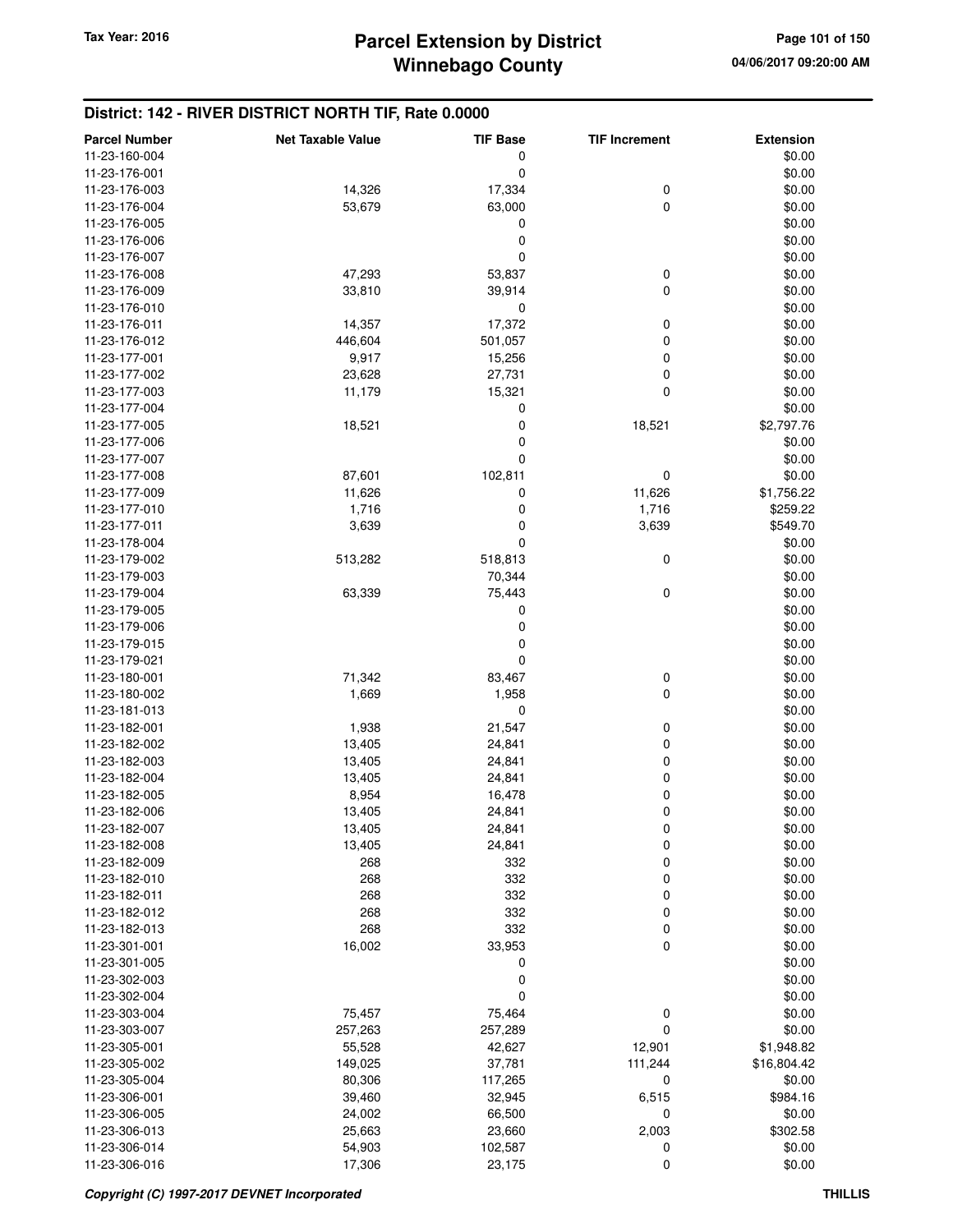| <b>Parcel Number</b> | <b>Net Taxable Value</b> | <b>TIF Base</b> | <b>TIF Increment</b> | <b>Extension</b> |
|----------------------|--------------------------|-----------------|----------------------|------------------|
| 11-23-160-004        |                          | 0               |                      | \$0.00           |
| 11-23-176-001        |                          | $\mathbf 0$     |                      | \$0.00           |
| 11-23-176-003        | 14,326                   | 17,334          | $\boldsymbol{0}$     | \$0.00           |
| 11-23-176-004        | 53,679                   | 63,000          | $\mathbf 0$          | \$0.00           |
| 11-23-176-005        |                          | 0               |                      | \$0.00           |
| 11-23-176-006        |                          | 0               |                      | \$0.00           |
| 11-23-176-007        |                          | 0               |                      | \$0.00           |
| 11-23-176-008        | 47,293                   | 53,837          | 0                    | \$0.00           |
|                      | 33,810                   |                 | $\mathbf 0$          |                  |
| 11-23-176-009        |                          | 39,914          |                      | \$0.00           |
| 11-23-176-010        |                          | 0               |                      | \$0.00           |
| 11-23-176-011        | 14,357                   | 17,372          | 0                    | \$0.00           |
| 11-23-176-012        | 446,604                  | 501,057         | 0                    | \$0.00           |
| 11-23-177-001        | 9,917                    | 15,256          | 0                    | \$0.00           |
| 11-23-177-002        | 23,628                   | 27,731          | 0                    | \$0.00           |
| 11-23-177-003        | 11,179                   | 15,321          | 0                    | \$0.00           |
| 11-23-177-004        |                          | 0               |                      | \$0.00           |
| 11-23-177-005        | 18,521                   | 0               | 18,521               | \$2,797.76       |
| 11-23-177-006        |                          | 0               |                      | \$0.00           |
| 11-23-177-007        |                          | 0               |                      | \$0.00           |
| 11-23-177-008        | 87,601                   | 102,811         | 0                    | \$0.00           |
| 11-23-177-009        | 11,626                   | 0               | 11,626               | \$1,756.22       |
| 11-23-177-010        | 1,716                    | 0               | 1,716                | \$259.22         |
| 11-23-177-011        | 3,639                    | 0               | 3,639                | \$549.70         |
| 11-23-178-004        |                          | 0               |                      | \$0.00           |
| 11-23-179-002        | 513,282                  | 518,813         | 0                    | \$0.00           |
| 11-23-179-003        |                          | 70,344          |                      | \$0.00           |
| 11-23-179-004        | 63,339                   | 75,443          | $\mathbf 0$          | \$0.00           |
| 11-23-179-005        |                          | 0               |                      | \$0.00           |
| 11-23-179-006        |                          | 0               |                      | \$0.00           |
| 11-23-179-015        |                          | 0               |                      | \$0.00           |
| 11-23-179-021        |                          | 0               |                      | \$0.00           |
| 11-23-180-001        | 71,342                   | 83,467          | 0                    | \$0.00           |
| 11-23-180-002        | 1,669                    | 1,958           | $\mathbf 0$          | \$0.00           |
| 11-23-181-013        |                          | 0               |                      | \$0.00           |
| 11-23-182-001        | 1,938                    | 21,547          | 0                    | \$0.00           |
| 11-23-182-002        | 13,405                   | 24,841          | 0                    | \$0.00           |
| 11-23-182-003        | 13,405                   | 24,841          | 0                    | \$0.00           |
| 11-23-182-004        | 13,405                   | 24,841          | 0                    | \$0.00           |
| 11-23-182-005        | 8,954                    | 16,478          | 0                    | \$0.00           |
| 11-23-182-006        | 13,405                   | 24,841          | 0                    | \$0.00           |
| 11-23-182-007        | 13,405                   | 24,841          | 0                    | \$0.00           |
| 11-23-182-008        | 13,405                   | 24,841          | 0                    | \$0.00           |
| 11-23-182-009        | 268                      | 332             | 0                    | \$0.00           |
| 11-23-182-010        | 268                      | 332             | 0                    | \$0.00           |
| 11-23-182-011        | 268                      | 332             | 0                    | \$0.00           |
| 11-23-182-012        | 268                      | 332             | 0                    | \$0.00           |
| 11-23-182-013        | 268                      | 332             | 0                    | \$0.00           |
| 11-23-301-001        | 16,002                   | 33,953          | $\mathbf 0$          | \$0.00           |
| 11-23-301-005        |                          | 0               |                      | \$0.00           |
|                      |                          |                 |                      |                  |
| 11-23-302-003        |                          | 0               |                      | \$0.00           |
| 11-23-302-004        |                          | 0               |                      | \$0.00           |
| 11-23-303-004        | 75,457                   | 75,464          | 0                    | \$0.00           |
| 11-23-303-007        | 257,263                  | 257,289         | $\mathbf 0$          | \$0.00           |
| 11-23-305-001        | 55,528                   | 42,627          | 12,901               | \$1,948.82       |
| 11-23-305-002        | 149,025                  | 37,781          | 111,244              | \$16,804.42      |
| 11-23-305-004        | 80,306                   | 117,265         | 0                    | \$0.00           |
| 11-23-306-001        | 39,460                   | 32,945          | 6,515                | \$984.16         |
| 11-23-306-005        | 24,002                   | 66,500          | 0                    | \$0.00           |
| 11-23-306-013        | 25,663                   | 23,660          | 2,003                | \$302.58         |
| 11-23-306-014        | 54,903                   | 102,587         | 0                    | \$0.00           |
| 11-23-306-016        | 17,306                   | 23,175          | $\mathbf 0$          | \$0.00           |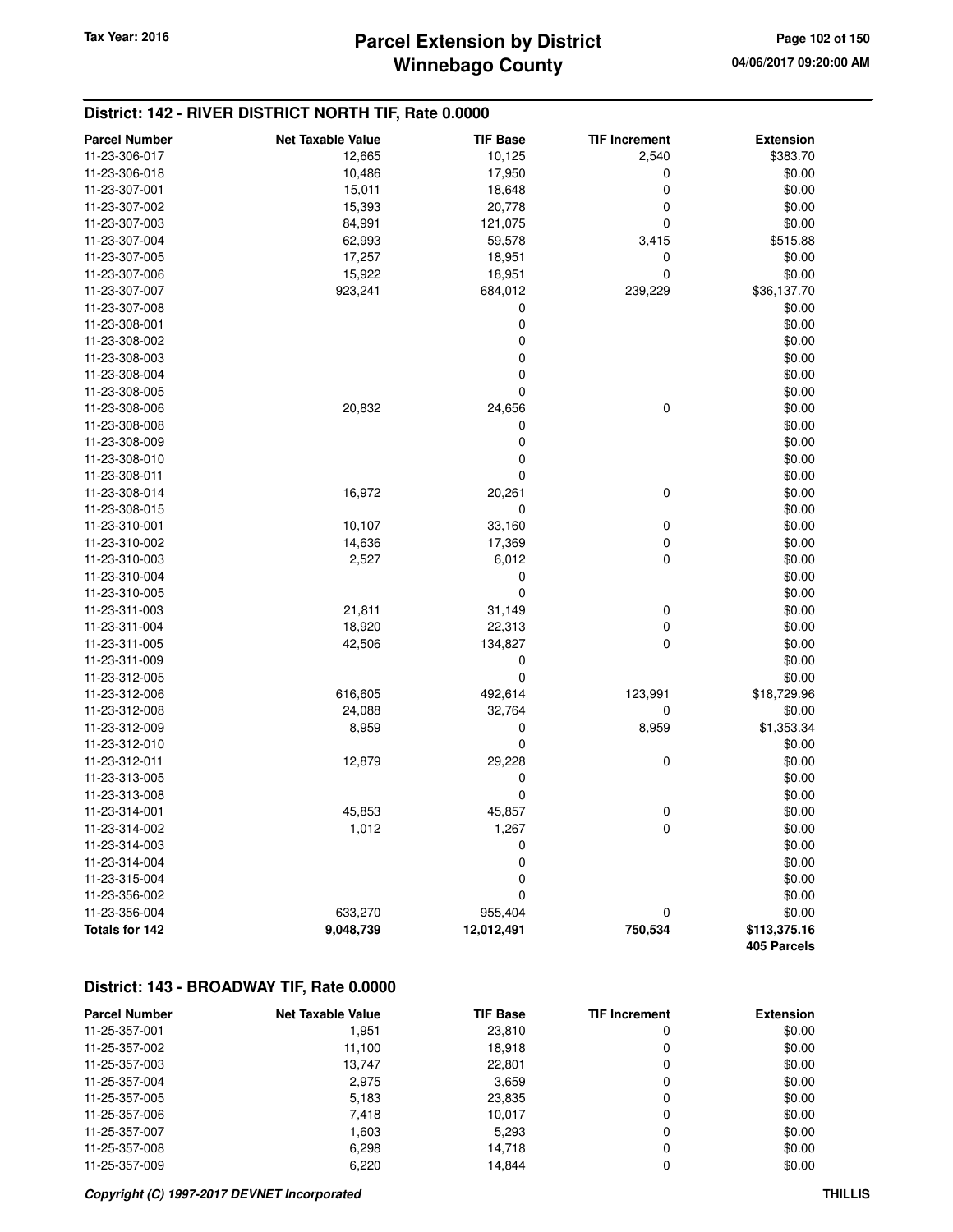## **Winnebago County Parcel Extension by District Tax Year: 2016 Page 102 of 150**

#### **District: 142 - RIVER DISTRICT NORTH TIF, Rate 0.0000**

| <b>Parcel Number</b> | <b>Net Taxable Value</b> | <b>TIF Base</b>  | <b>TIF Increment</b> | <b>Extension</b> |
|----------------------|--------------------------|------------------|----------------------|------------------|
| 11-23-306-017        | 12,665                   | 10,125           | 2,540                | \$383.70         |
| 11-23-306-018        | 10,486                   | 17,950           | 0                    | \$0.00           |
| 11-23-307-001        | 15,011                   | 18,648           | 0                    | \$0.00           |
| 11-23-307-002        | 15,393                   | 20,778           | 0                    | \$0.00           |
| 11-23-307-003        | 84,991                   | 121,075          | 0                    | \$0.00           |
| 11-23-307-004        | 62,993                   | 59,578           | 3,415                | \$515.88         |
| 11-23-307-005        | 17,257                   | 18,951           | 0                    | \$0.00           |
| 11-23-307-006        | 15,922                   | 18,951           | 0                    | \$0.00           |
| 11-23-307-007        | 923,241                  | 684,012          | 239,229              | \$36,137.70      |
| 11-23-307-008        |                          | 0                |                      | \$0.00           |
| 11-23-308-001        |                          | 0                |                      | \$0.00           |
| 11-23-308-002        |                          | 0                |                      | \$0.00           |
| 11-23-308-003        |                          | 0                |                      | \$0.00           |
| 11-23-308-004        |                          | 0                |                      | \$0.00           |
| 11-23-308-005        |                          | $\mathbf 0$      |                      | \$0.00           |
| 11-23-308-006        | 20,832                   | 24,656           | 0                    | \$0.00           |
| 11-23-308-008        |                          | 0                |                      | \$0.00           |
| 11-23-308-009        |                          | 0                |                      | \$0.00           |
| 11-23-308-010        |                          | $\boldsymbol{0}$ |                      | \$0.00           |
| 11-23-308-011        |                          | 0                |                      | \$0.00           |
| 11-23-308-014        | 16,972                   | 20,261           | 0                    | \$0.00           |
| 11-23-308-015        |                          | 0                |                      | \$0.00           |
| 11-23-310-001        | 10,107                   | 33,160           | 0                    | \$0.00           |
| 11-23-310-002        | 14,636                   | 17,369           | 0                    | \$0.00           |
| 11-23-310-003        | 2,527                    | 6,012            | 0                    | \$0.00           |
| 11-23-310-004        |                          | 0                |                      | \$0.00           |
| 11-23-310-005        |                          | 0                |                      | \$0.00           |
| 11-23-311-003        | 21,811                   | 31,149           | 0                    | \$0.00           |
| 11-23-311-004        | 18,920                   | 22,313           | 0                    | \$0.00           |
| 11-23-311-005        | 42,506                   | 134,827          | 0                    | \$0.00           |
| 11-23-311-009        |                          | 0                |                      | \$0.00           |
| 11-23-312-005        |                          | 0                |                      | \$0.00           |
| 11-23-312-006        | 616,605                  | 492,614          | 123,991              | \$18,729.96      |
| 11-23-312-008        | 24,088                   | 32,764           | 0                    | \$0.00           |
| 11-23-312-009        | 8,959                    | 0                | 8,959                | \$1,353.34       |
| 11-23-312-010        |                          | 0                |                      | \$0.00           |
| 11-23-312-011        | 12,879                   | 29,228           | 0                    | \$0.00           |
| 11-23-313-005        |                          | 0                |                      | \$0.00           |
| 11-23-313-008        |                          | 0                |                      | \$0.00           |
| 11-23-314-001        | 45,853                   | 45,857           | 0                    | \$0.00           |
| 11-23-314-002        | 1,012                    | 1,267            | 0                    | \$0.00           |
| 11-23-314-003        |                          | 0                |                      | \$0.00           |
| 11-23-314-004        |                          | 0                |                      | \$0.00           |
| 11-23-315-004        |                          | 0                |                      | \$0.00           |
| 11-23-356-002        |                          | 0                |                      | \$0.00           |
| 11-23-356-004        | 633,270                  | 955,404          | 0                    | \$0.00           |
| Totals for 142       | 9,048,739                | 12,012,491       | 750,534              | \$113,375.16     |
|                      |                          |                  |                      | 405 Parcels      |

### **District: 143 - BROADWAY TIF, Rate 0.0000**

| <b>Parcel Number</b> | <b>Net Taxable Value</b> | <b>TIF Base</b> | <b>TIF Increment</b> | <b>Extension</b> |
|----------------------|--------------------------|-----------------|----------------------|------------------|
| 11-25-357-001        | 1,951                    | 23,810          | 0                    | \$0.00           |
| 11-25-357-002        | 11.100                   | 18.918          | 0                    | \$0.00           |
| 11-25-357-003        | 13.747                   | 22.801          | 0                    | \$0.00           |
| 11-25-357-004        | 2,975                    | 3,659           | 0                    | \$0.00           |
| 11-25-357-005        | 5,183                    | 23,835          | 0                    | \$0.00           |
| 11-25-357-006        | 7,418                    | 10.017          | 0                    | \$0.00           |
| 11-25-357-007        | 1.603                    | 5,293           | 0                    | \$0.00           |
| 11-25-357-008        | 6,298                    | 14,718          | 0                    | \$0.00           |
| 11-25-357-009        | 6.220                    | 14.844          |                      | \$0.00           |

#### **Copyright (C) 1997-2017 DEVNET Incorporated THILLIS**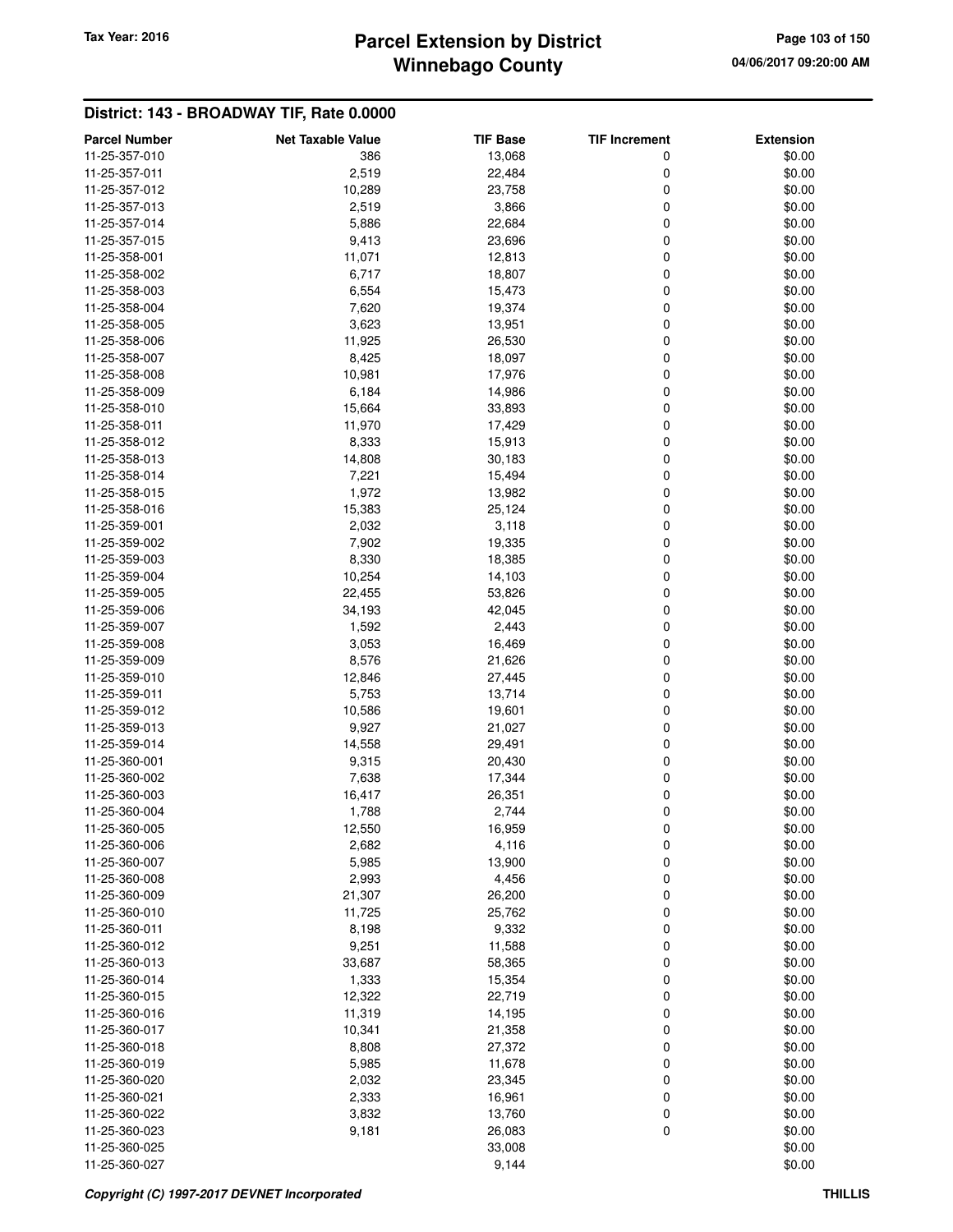# **Winnebago County Parcel Extension by District Tax Year: 2016 Page 103 of 150**

| <b>Parcel Number</b>           | <b>Net Taxable Value</b> | <b>TIF Base</b> | <b>TIF Increment</b> | <b>Extension</b> |
|--------------------------------|--------------------------|-----------------|----------------------|------------------|
| 11-25-357-010                  | 386                      | 13,068          | 0                    | \$0.00           |
| 11-25-357-011                  | 2,519                    | 22,484          | 0                    | \$0.00           |
| 11-25-357-012                  | 10,289                   | 23,758          | 0                    | \$0.00           |
| 11-25-357-013                  | 2,519                    | 3,866           | 0                    | \$0.00           |
| 11-25-357-014                  | 5,886                    | 22,684          | 0                    | \$0.00           |
| 11-25-357-015                  | 9,413                    | 23,696          | 0                    | \$0.00           |
| 11-25-358-001                  | 11,071                   | 12,813          | 0                    | \$0.00           |
| 11-25-358-002                  | 6,717                    | 18,807          | 0                    | \$0.00           |
| 11-25-358-003                  | 6,554                    | 15,473          | 0                    | \$0.00           |
| 11-25-358-004                  | 7,620                    | 19,374          | 0                    | \$0.00           |
| 11-25-358-005                  | 3,623                    | 13,951          | 0                    | \$0.00           |
| 11-25-358-006                  | 11,925                   | 26,530          | 0                    | \$0.00           |
| 11-25-358-007                  | 8,425                    | 18,097          | 0                    | \$0.00           |
| 11-25-358-008                  | 10,981                   | 17,976          | 0                    | \$0.00           |
| 11-25-358-009                  | 6,184                    | 14,986          | 0                    | \$0.00           |
| 11-25-358-010                  | 15,664                   | 33,893          | 0                    | \$0.00           |
| 11-25-358-011                  | 11,970                   | 17,429          | 0                    | \$0.00           |
| 11-25-358-012                  | 8,333                    | 15,913          | 0                    | \$0.00           |
| 11-25-358-013                  | 14,808                   | 30,183          | 0                    | \$0.00           |
| 11-25-358-014                  | 7,221                    | 15,494          | 0                    | \$0.00           |
| 11-25-358-015                  | 1,972                    | 13,982          | 0                    | \$0.00           |
| 11-25-358-016                  | 15,383                   | 25,124          | 0                    | \$0.00           |
| 11-25-359-001                  | 2,032                    | 3,118           | 0                    | \$0.00           |
| 11-25-359-002                  | 7,902                    | 19,335          | 0                    | \$0.00           |
| 11-25-359-003                  | 8,330                    | 18,385          | 0                    | \$0.00           |
| 11-25-359-004                  | 10,254                   | 14,103          | 0                    | \$0.00           |
| 11-25-359-005                  | 22,455                   | 53,826          | 0                    | \$0.00           |
| 11-25-359-006                  | 34,193                   | 42,045          | 0                    | \$0.00           |
| 11-25-359-007                  | 1,592                    | 2,443           | 0                    | \$0.00           |
| 11-25-359-008                  | 3,053                    | 16,469          | 0                    | \$0.00           |
| 11-25-359-009                  | 8,576                    | 21,626          | 0                    | \$0.00           |
| 11-25-359-010                  | 12,846                   | 27,445          | 0                    | \$0.00           |
| 11-25-359-011                  | 5,753                    | 13,714          | 0                    | \$0.00           |
| 11-25-359-012                  | 10,586                   | 19,601          | 0                    | \$0.00           |
| 11-25-359-013                  | 9,927                    | 21,027          | 0                    | \$0.00           |
| 11-25-359-014                  | 14,558                   | 29,491          | 0                    | \$0.00           |
| 11-25-360-001                  | 9,315                    | 20,430          | 0                    | \$0.00           |
| 11-25-360-002                  | 7,638                    | 17,344          | 0                    | \$0.00           |
| 11-25-360-003                  | 16,417                   | 26,351          | 0                    | \$0.00           |
| 11-25-360-004                  | 1,788                    | 2,744           | 0                    | \$0.00           |
| 11-25-360-005                  | 12,550                   | 16,959          | 0                    | \$0.00           |
| 11-25-360-006                  | 2,682                    | 4,116           | 0                    | \$0.00           |
| 11-25-360-007                  | 5,985                    | 13,900          | 0                    | \$0.00           |
| 11-25-360-008<br>11-25-360-009 | 2,993                    | 4,456           | 0                    | \$0.00           |
| 11-25-360-010                  | 21,307                   | 26,200          | 0                    | \$0.00           |
| 11-25-360-011                  | 11,725                   | 25,762<br>9,332 | 0                    | \$0.00           |
| 11-25-360-012                  | 8,198<br>9,251           | 11,588          | 0<br>0               | \$0.00<br>\$0.00 |
| 11-25-360-013                  | 33,687                   | 58,365          | 0                    | \$0.00           |
| 11-25-360-014                  | 1,333                    | 15,354          | 0                    | \$0.00           |
| 11-25-360-015                  | 12,322                   | 22,719          | 0                    | \$0.00           |
| 11-25-360-016                  | 11,319                   | 14,195          | 0                    | \$0.00           |
| 11-25-360-017                  | 10,341                   | 21,358          | 0                    | \$0.00           |
| 11-25-360-018                  | 8,808                    | 27,372          | 0                    | \$0.00           |
| 11-25-360-019                  | 5,985                    | 11,678          | 0                    | \$0.00           |
| 11-25-360-020                  | 2,032                    | 23,345          | 0                    | \$0.00           |
| 11-25-360-021                  | 2,333                    | 16,961          | 0                    | \$0.00           |
| 11-25-360-022                  | 3,832                    | 13,760          | 0                    | \$0.00           |
| 11-25-360-023                  | 9,181                    | 26,083          | 0                    | \$0.00           |
| 11-25-360-025                  |                          | 33,008          |                      | \$0.00           |
| 11-25-360-027                  |                          | 9,144           |                      | \$0.00           |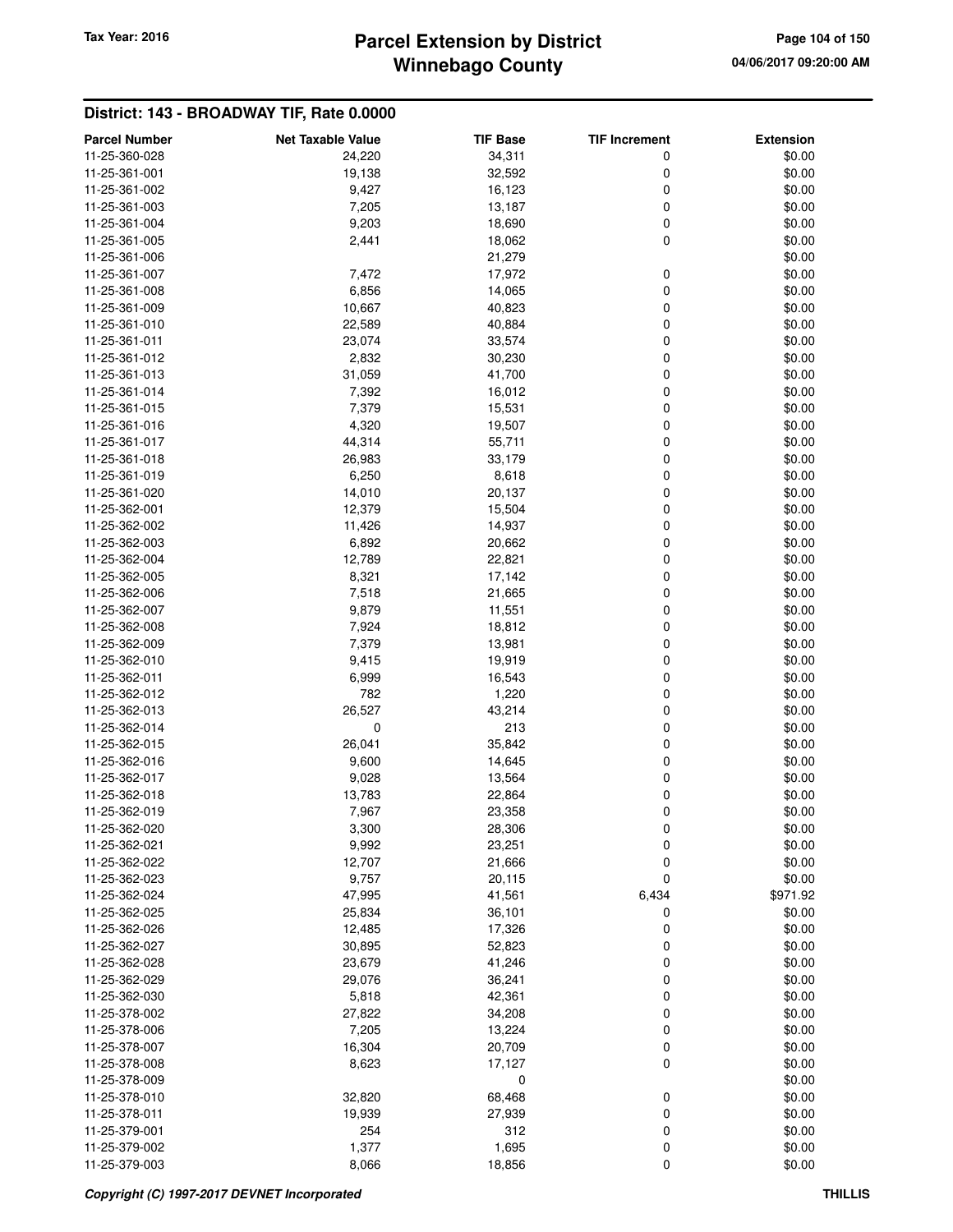# **Winnebago County Parcel Extension by District Tax Year: 2016 Page 104 of 150**

| <b>Parcel Number</b>           | <b>Net Taxable Value</b> | <b>TIF Base</b>  | <b>TIF Increment</b> | <b>Extension</b> |
|--------------------------------|--------------------------|------------------|----------------------|------------------|
| 11-25-360-028                  | 24,220                   | 34,311           | 0                    | \$0.00           |
| 11-25-361-001                  | 19,138                   | 32,592           | 0                    | \$0.00           |
| 11-25-361-002                  | 9,427                    | 16,123           | 0                    | \$0.00           |
| 11-25-361-003                  | 7,205                    | 13,187           | 0                    | \$0.00           |
| 11-25-361-004                  | 9,203                    | 18,690           | 0                    | \$0.00           |
| 11-25-361-005                  | 2,441                    | 18,062           | 0                    | \$0.00           |
| 11-25-361-006                  |                          | 21,279           |                      | \$0.00           |
| 11-25-361-007                  | 7,472                    | 17,972           | 0                    | \$0.00           |
| 11-25-361-008                  | 6,856                    | 14,065           | 0                    | \$0.00           |
| 11-25-361-009                  | 10,667                   | 40,823           | 0                    | \$0.00           |
| 11-25-361-010                  | 22,589                   | 40,884           | 0                    | \$0.00           |
| 11-25-361-011                  | 23,074                   | 33,574           | $\mathbf 0$          | \$0.00           |
| 11-25-361-012                  | 2,832                    | 30,230           | 0                    | \$0.00           |
| 11-25-361-013                  | 31,059                   | 41,700           | 0                    | \$0.00           |
| 11-25-361-014                  | 7,392                    | 16,012           | 0                    | \$0.00           |
| 11-25-361-015                  | 7,379                    | 15,531           | 0                    | \$0.00           |
| 11-25-361-016                  | 4,320                    | 19,507           | 0                    | \$0.00           |
| 11-25-361-017                  | 44,314                   | 55,711           | 0                    | \$0.00           |
| 11-25-361-018                  | 26,983                   | 33,179           | 0                    | \$0.00           |
| 11-25-361-019                  | 6,250                    | 8,618            | 0                    | \$0.00           |
| 11-25-361-020                  | 14,010                   | 20,137           | 0                    | \$0.00           |
| 11-25-362-001                  | 12,379                   | 15,504           | $\mathbf 0$          | \$0.00           |
| 11-25-362-002                  | 11,426                   | 14,937           | 0                    | \$0.00           |
| 11-25-362-003                  | 6,892                    | 20,662           | 0                    | \$0.00           |
| 11-25-362-004                  | 12,789                   | 22,821           | 0                    | \$0.00           |
| 11-25-362-005                  | 8,321                    | 17,142           | 0                    | \$0.00           |
| 11-25-362-006                  | 7,518                    | 21,665           | 0                    | \$0.00           |
| 11-25-362-007                  | 9,879                    | 11,551           | 0                    | \$0.00           |
| 11-25-362-008                  | 7,924                    | 18,812           | 0                    | \$0.00           |
| 11-25-362-009                  | 7,379                    | 13,981           | 0                    | \$0.00           |
| 11-25-362-010                  | 9,415                    | 19,919           | 0                    | \$0.00           |
| 11-25-362-011                  | 6,999                    | 16,543           | $\mathbf 0$          | \$0.00           |
| 11-25-362-012                  | 782                      | 1,220            | 0                    | \$0.00           |
| 11-25-362-013                  | 26,527                   | 43,214           | 0                    | \$0.00           |
| 11-25-362-014                  | 0                        | 213              | 0                    | \$0.00           |
| 11-25-362-015                  | 26,041                   | 35,842           | 0                    | \$0.00           |
| 11-25-362-016                  | 9,600                    | 14,645           | 0                    | \$0.00           |
| 11-25-362-017                  | 9,028                    | 13,564           | 0                    | \$0.00           |
| 11-25-362-018                  | 13,783                   | 22,864           | 0                    | \$0.00           |
| 11-25-362-019                  | 7,967                    | 23,358           | 0                    | \$0.00           |
| 11-25-362-020<br>11-25-362-021 | 3,300                    | 28,306           | 0                    | \$0.00           |
| 11-25-362-022                  | 9,992<br>12,707          | 23,251<br>21,666 | 0<br>0               | \$0.00<br>\$0.00 |
| 11-25-362-023                  | 9,757                    | 20,115           | 0                    | \$0.00           |
| 11-25-362-024                  | 47,995                   | 41,561           | 6,434                | \$971.92         |
| 11-25-362-025                  | 25,834                   | 36,101           | 0                    | \$0.00           |
| 11-25-362-026                  | 12,485                   | 17,326           | 0                    | \$0.00           |
| 11-25-362-027                  | 30,895                   | 52,823           | 0                    | \$0.00           |
| 11-25-362-028                  | 23,679                   | 41,246           | 0                    | \$0.00           |
| 11-25-362-029                  | 29,076                   | 36,241           | 0                    | \$0.00           |
| 11-25-362-030                  | 5,818                    | 42,361           | 0                    | \$0.00           |
| 11-25-378-002                  | 27,822                   | 34,208           | 0                    | \$0.00           |
| 11-25-378-006                  | 7,205                    | 13,224           | 0                    | \$0.00           |
| 11-25-378-007                  | 16,304                   | 20,709           | 0                    | \$0.00           |
| 11-25-378-008                  | 8,623                    | 17,127           | 0                    | \$0.00           |
| 11-25-378-009                  |                          | 0                |                      | \$0.00           |
| 11-25-378-010                  | 32,820                   | 68,468           | 0                    | \$0.00           |
| 11-25-378-011                  | 19,939                   | 27,939           | 0                    | \$0.00           |
| 11-25-379-001                  | 254                      | 312              | 0                    | \$0.00           |
| 11-25-379-002                  | 1,377                    | 1,695            | $\boldsymbol{0}$     | \$0.00           |
| 11-25-379-003                  | 8,066                    | 18,856           | $\mathbf 0$          | \$0.00           |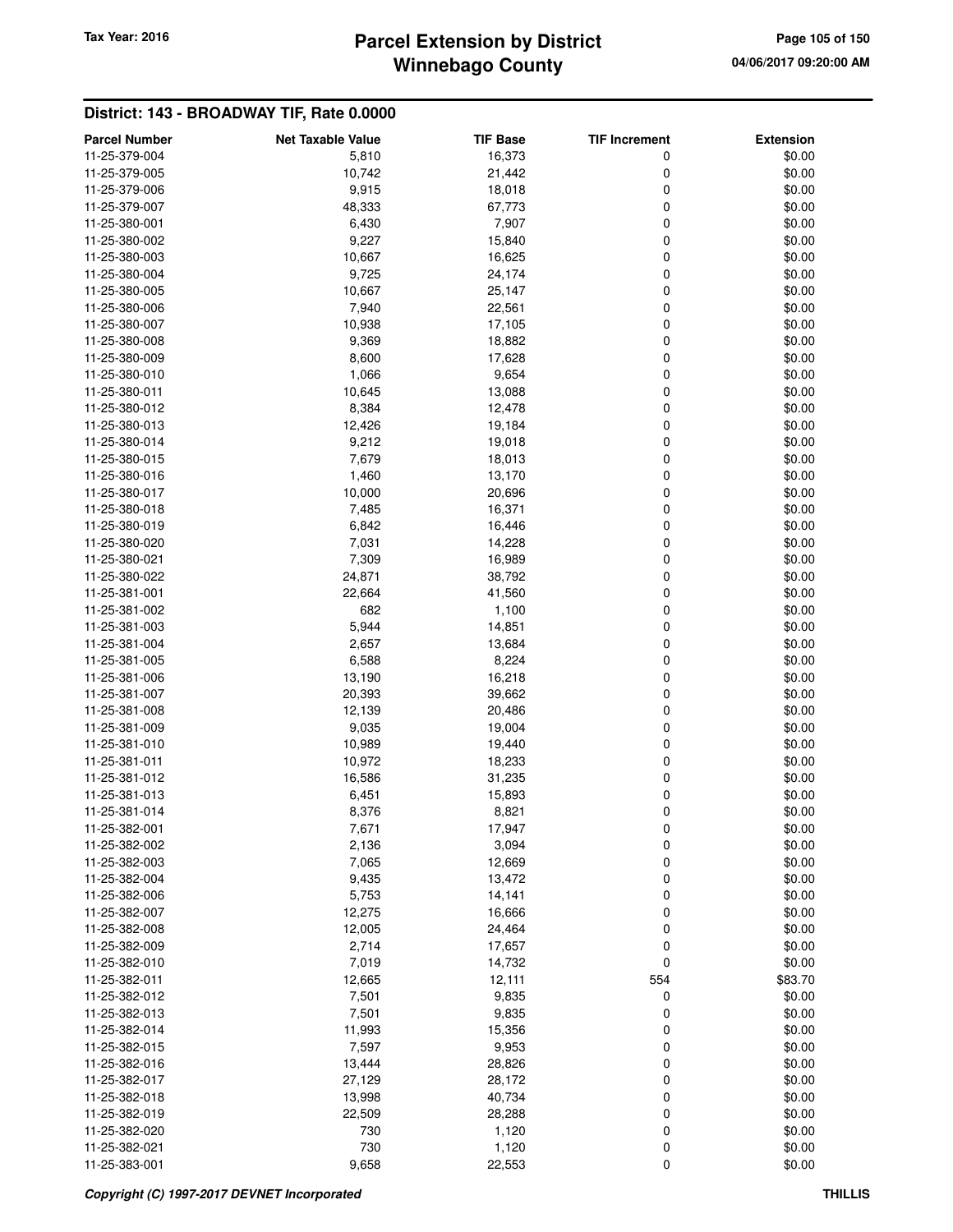# **Winnebago County** Tax Year: 2016 **Parcel Extension by District Page 105 of 150**

| <b>Parcel Number</b> | <b>Net Taxable Value</b> | <b>TIF Base</b> | <b>TIF Increment</b> | <b>Extension</b> |
|----------------------|--------------------------|-----------------|----------------------|------------------|
| 11-25-379-004        | 5,810                    | 16,373          | 0                    | \$0.00           |
| 11-25-379-005        | 10,742                   | 21,442          | 0                    | \$0.00           |
| 11-25-379-006        | 9,915                    | 18,018          | 0                    | \$0.00           |
| 11-25-379-007        | 48,333                   | 67,773          | 0                    | \$0.00           |
| 11-25-380-001        | 6,430                    | 7,907           | 0                    | \$0.00           |
| 11-25-380-002        | 9,227                    | 15,840          | 0                    | \$0.00           |
| 11-25-380-003        | 10,667                   | 16,625          | 0                    | \$0.00           |
| 11-25-380-004        | 9,725                    | 24,174          | 0                    | \$0.00           |
| 11-25-380-005        | 10,667                   | 25,147          | 0                    | \$0.00           |
| 11-25-380-006        | 7,940                    | 22,561          | 0                    | \$0.00           |
| 11-25-380-007        | 10,938                   | 17,105          | 0                    | \$0.00           |
| 11-25-380-008        | 9,369                    | 18,882          | 0                    | \$0.00           |
| 11-25-380-009        | 8,600                    | 17,628          | 0                    | \$0.00           |
| 11-25-380-010        | 1,066                    | 9,654           | 0                    | \$0.00           |
| 11-25-380-011        | 10,645                   | 13,088          | 0                    | \$0.00           |
| 11-25-380-012        | 8,384                    | 12,478          | 0                    | \$0.00           |
| 11-25-380-013        | 12,426                   | 19,184          | 0                    | \$0.00           |
| 11-25-380-014        | 9,212                    | 19,018          | 0                    | \$0.00           |
| 11-25-380-015        | 7,679                    | 18,013          | 0                    | \$0.00           |
| 11-25-380-016        | 1,460                    | 13,170          | 0                    | \$0.00           |
| 11-25-380-017        | 10,000                   | 20,696          | 0                    | \$0.00           |
| 11-25-380-018        | 7,485                    | 16,371          | 0                    | \$0.00           |
| 11-25-380-019        | 6,842                    | 16,446          | 0                    | \$0.00           |
| 11-25-380-020        | 7,031                    | 14,228          | 0                    | \$0.00           |
| 11-25-380-021        | 7,309                    | 16,989          | 0                    | \$0.00           |
| 11-25-380-022        | 24,871                   | 38,792          | 0                    | \$0.00           |
| 11-25-381-001        | 22,664                   | 41,560          | 0                    | \$0.00           |
| 11-25-381-002        | 682                      | 1,100           | 0                    | \$0.00           |
| 11-25-381-003        | 5,944                    | 14,851          | 0                    | \$0.00           |
| 11-25-381-004        | 2,657                    | 13,684          | 0                    | \$0.00           |
| 11-25-381-005        | 6,588                    | 8,224           | 0                    | \$0.00           |
| 11-25-381-006        | 13,190                   | 16,218          | 0                    | \$0.00           |
| 11-25-381-007        | 20,393                   | 39,662          | 0                    | \$0.00           |
| 11-25-381-008        | 12,139                   | 20,486          | 0                    | \$0.00           |
| 11-25-381-009        | 9,035                    | 19,004          | 0                    | \$0.00           |
| 11-25-381-010        | 10,989                   | 19,440          | 0                    | \$0.00           |
| 11-25-381-011        | 10,972                   | 18,233          | 0                    | \$0.00           |
| 11-25-381-012        | 16,586                   | 31,235          | 0                    | \$0.00           |
| 11-25-381-013        | 6,451                    | 15,893          | 0                    | \$0.00           |
| 11-25-381-014        | 8,376                    | 8,821           | 0                    | \$0.00           |
| 11-25-382-001        | 7,671                    | 17,947          | 0                    | \$0.00           |
| 11-25-382-002        | 2,136                    | 3,094           | 0                    | \$0.00           |
| 11-25-382-003        | 7,065                    | 12,669          | 0                    | \$0.00           |
| 11-25-382-004        | 9,435                    | 13,472          | 0                    | \$0.00           |
| 11-25-382-006        | 5,753                    | 14,141          | 0                    | \$0.00           |
| 11-25-382-007        | 12,275                   | 16,666          | 0                    | \$0.00           |
| 11-25-382-008        | 12,005                   | 24,464          | 0                    | \$0.00           |
| 11-25-382-009        | 2,714                    | 17,657          | 0                    | \$0.00           |
| 11-25-382-010        | 7,019                    | 14,732          | 0                    | \$0.00           |
| 11-25-382-011        | 12,665                   | 12,111          | 554                  | \$83.70          |
| 11-25-382-012        | 7,501                    | 9,835           | 0                    | \$0.00           |
| 11-25-382-013        | 7,501                    | 9,835           | 0                    | \$0.00           |
| 11-25-382-014        | 11,993                   | 15,356          | 0                    | \$0.00           |
| 11-25-382-015        | 7,597                    | 9,953           | 0                    | \$0.00           |
| 11-25-382-016        | 13,444                   | 28,826          | 0                    | \$0.00           |
| 11-25-382-017        | 27,129                   | 28,172          | 0                    | \$0.00           |
| 11-25-382-018        | 13,998                   | 40,734          | 0                    | \$0.00           |
| 11-25-382-019        | 22,509                   | 28,288          | 0                    | \$0.00           |
| 11-25-382-020        | 730                      | 1,120           | 0                    | \$0.00           |
| 11-25-382-021        | 730                      | 1,120           | 0                    | \$0.00           |
| 11-25-383-001        | 9,658                    | 22,553          | 0                    | \$0.00           |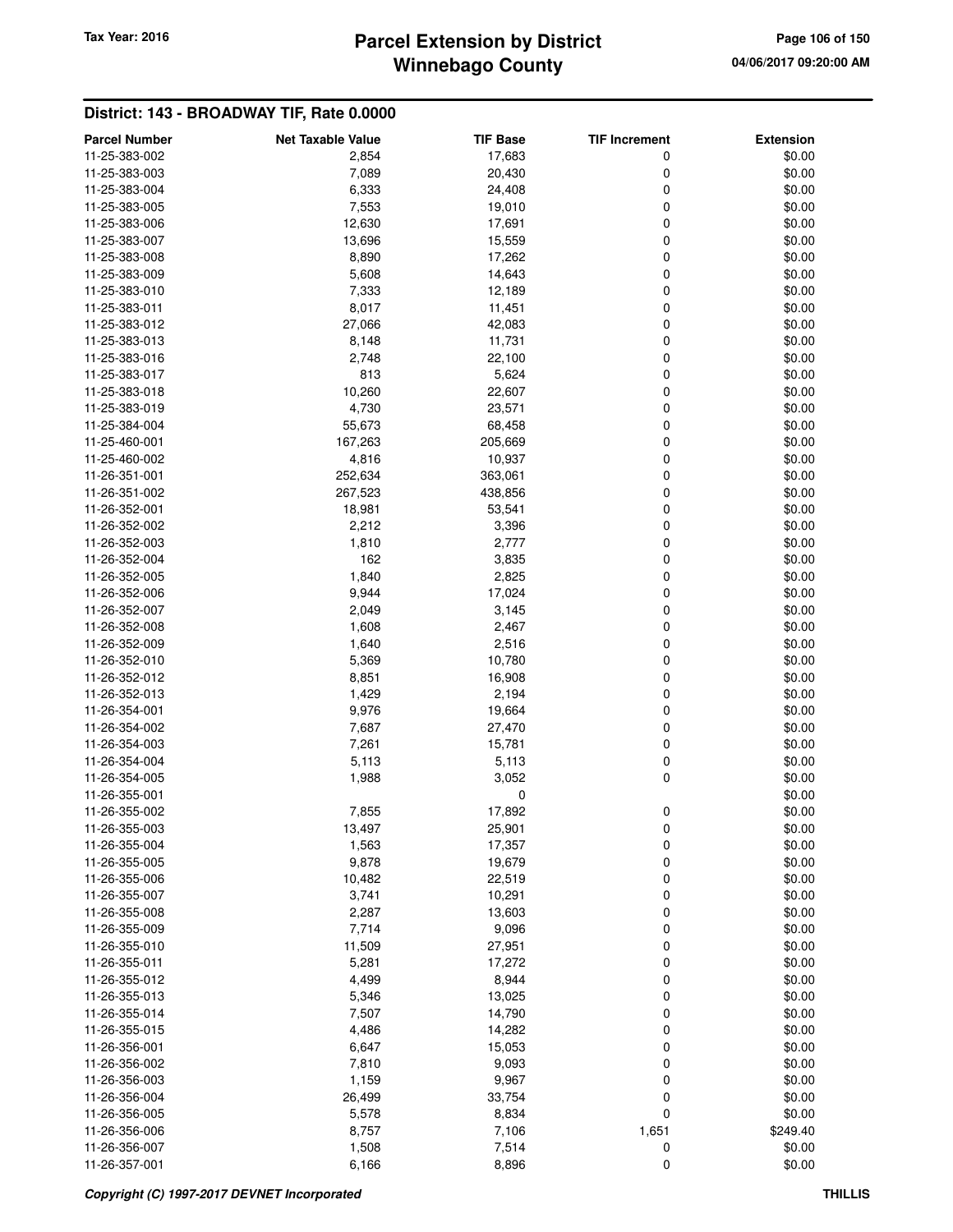## **Winnebago County Parcel Extension by District Tax Year: 2016 Page 106 of 150**

| <b>Parcel Number</b> | <b>Net Taxable Value</b> | <b>TIF Base</b> | <b>TIF Increment</b> | <b>Extension</b> |
|----------------------|--------------------------|-----------------|----------------------|------------------|
| 11-25-383-002        | 2,854                    | 17,683          | 0                    | \$0.00           |
| 11-25-383-003        | 7,089                    | 20,430          | 0                    | \$0.00           |
| 11-25-383-004        | 6,333                    | 24,408          | 0                    | \$0.00           |
| 11-25-383-005        | 7,553                    | 19,010          | 0                    | \$0.00           |
| 11-25-383-006        | 12,630                   | 17,691          | 0                    | \$0.00           |
| 11-25-383-007        | 13,696                   | 15,559          | 0                    | \$0.00           |
| 11-25-383-008        | 8,890                    | 17,262          | 0                    | \$0.00           |
| 11-25-383-009        | 5,608                    | 14,643          | 0                    | \$0.00           |
| 11-25-383-010        | 7,333                    | 12,189          | 0                    | \$0.00           |
| 11-25-383-011        | 8,017                    | 11,451          | 0                    | \$0.00           |
| 11-25-383-012        | 27,066                   | 42,083          | 0                    | \$0.00           |
| 11-25-383-013        | 8,148                    | 11,731          | 0                    | \$0.00           |
| 11-25-383-016        | 2,748                    | 22,100          | 0                    | \$0.00           |
| 11-25-383-017        | 813                      | 5,624           | 0                    | \$0.00           |
| 11-25-383-018        | 10,260                   | 22,607          | 0                    | \$0.00           |
| 11-25-383-019        | 4,730                    | 23,571          | 0                    | \$0.00           |
| 11-25-384-004        | 55,673                   | 68,458          | 0                    | \$0.00           |
| 11-25-460-001        | 167,263                  | 205,669         | 0                    | \$0.00           |
| 11-25-460-002        | 4,816                    | 10,937          | 0                    | \$0.00           |
| 11-26-351-001        | 252,634                  | 363,061         | 0                    | \$0.00           |
| 11-26-351-002        | 267,523                  | 438,856         | 0                    | \$0.00           |
| 11-26-352-001        | 18,981                   | 53,541          | 0                    | \$0.00           |
| 11-26-352-002        | 2,212                    | 3,396           | 0                    | \$0.00           |
| 11-26-352-003        | 1,810                    | 2,777           | 0                    | \$0.00           |
| 11-26-352-004        | 162                      | 3,835           | 0                    | \$0.00           |
| 11-26-352-005        | 1,840                    | 2,825           | 0                    | \$0.00           |
| 11-26-352-006        | 9,944                    | 17,024          | 0                    | \$0.00           |
| 11-26-352-007        | 2,049                    | 3,145           | 0                    | \$0.00           |
| 11-26-352-008        | 1,608                    | 2,467           | 0                    | \$0.00           |
| 11-26-352-009        | 1,640                    | 2,516           | 0                    | \$0.00           |
| 11-26-352-010        | 5,369                    | 10,780          | $\mathbf 0$          | \$0.00           |
| 11-26-352-012        | 8,851                    | 16,908          | 0                    | \$0.00           |
| 11-26-352-013        | 1,429                    | 2,194           | 0                    | \$0.00           |
| 11-26-354-001        | 9,976                    | 19,664          | 0                    | \$0.00           |
| 11-26-354-002        | 7,687                    | 27,470          | 0                    | \$0.00           |
| 11-26-354-003        | 7,261                    | 15,781          | 0                    | \$0.00           |
| 11-26-354-004        | 5,113                    | 5,113           | 0                    | \$0.00           |
| 11-26-354-005        | 1,988                    | 3,052           | 0                    | \$0.00           |
| 11-26-355-001        |                          | 0               |                      | \$0.00           |
| 11-26-355-002        | 7,855                    | 17,892          | 0                    | \$0.00           |
| 11-26-355-003        | 13,497                   | 25,901          | 0                    | \$0.00           |
| 11-26-355-004        | 1,563                    | 17,357          | 0                    | \$0.00           |
| 11-26-355-005        | 9,878                    | 19,679          | 0                    | \$0.00           |
| 11-26-355-006        | 10,482                   | 22,519          | 0                    | \$0.00           |
| 11-26-355-007        | 3,741                    | 10,291          | 0                    | \$0.00           |
| 11-26-355-008        | 2,287                    | 13,603          | 0                    | \$0.00           |
| 11-26-355-009        | 7,714                    | 9,096           | 0                    | \$0.00           |
| 11-26-355-010        | 11,509                   | 27,951          | 0                    | \$0.00           |
| 11-26-355-011        | 5,281                    | 17,272          | 0                    | \$0.00           |
| 11-26-355-012        | 4,499                    | 8,944           | 0                    | \$0.00           |
| 11-26-355-013        | 5,346                    | 13,025          | 0                    | \$0.00           |
| 11-26-355-014        | 7,507                    | 14,790          | 0                    | \$0.00           |
| 11-26-355-015        | 4,486                    | 14,282          | 0                    | \$0.00           |
| 11-26-356-001        | 6,647                    | 15,053          | 0                    | \$0.00           |
| 11-26-356-002        | 7,810                    | 9,093           | 0                    | \$0.00           |
| 11-26-356-003        | 1,159                    | 9,967           | 0                    | \$0.00           |
| 11-26-356-004        | 26,499                   | 33,754          | 0                    | \$0.00           |
| 11-26-356-005        | 5,578                    | 8,834           | $\mathbf 0$          | \$0.00           |
| 11-26-356-006        | 8,757                    | 7,106           | 1,651                | \$249.40         |
| 11-26-356-007        | 1,508                    | 7,514           | 0                    | \$0.00           |
| 11-26-357-001        | 6,166                    | 8,896           | $\mathbf 0$          | \$0.00           |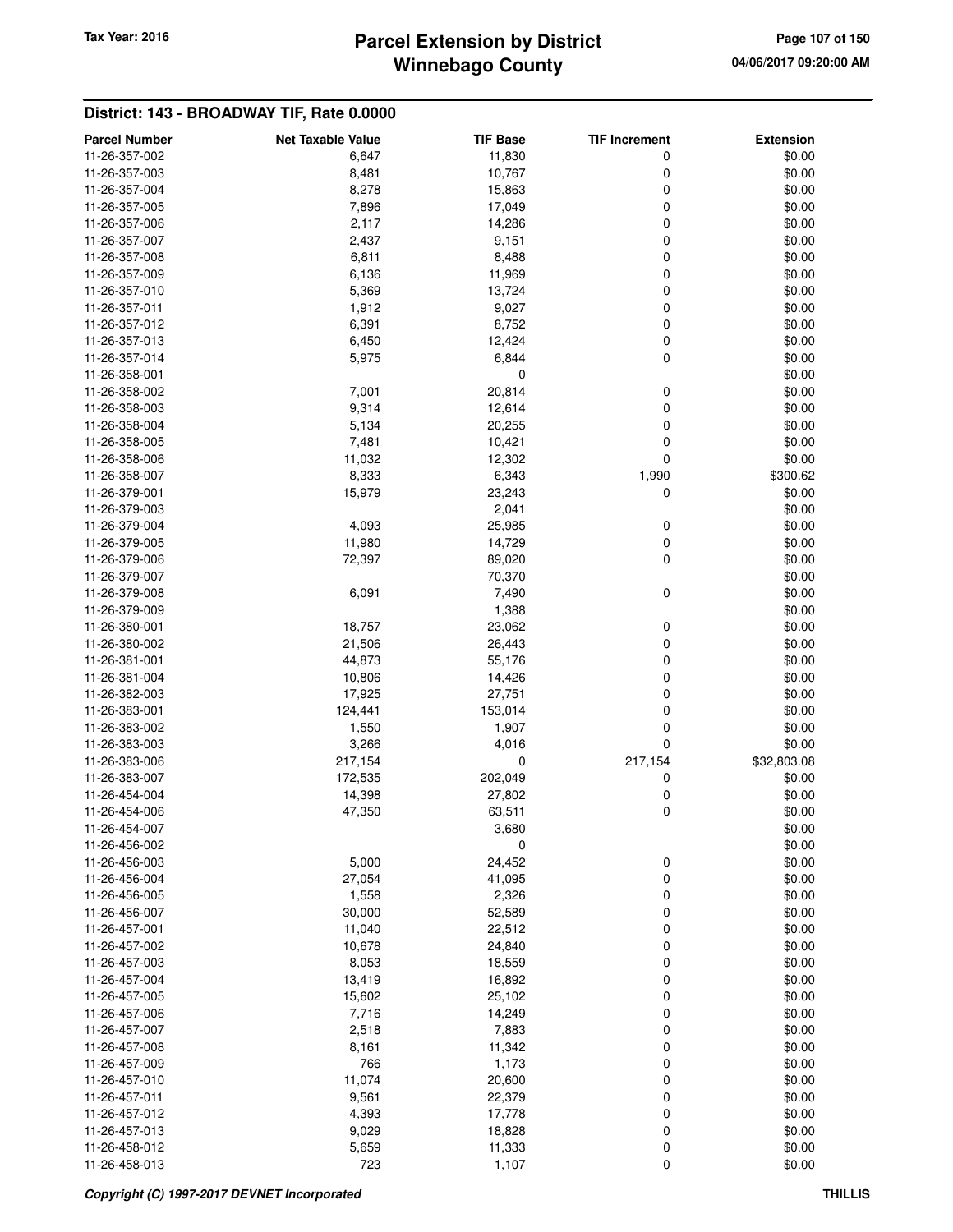## **Winnebago County Parcel Extension by District Tax Year: 2016 Page 107 of 150**

| <b>Parcel Number</b>           | <b>Net Taxable Value</b> | <b>TIF Base</b>  | <b>TIF Increment</b> | <b>Extension</b> |
|--------------------------------|--------------------------|------------------|----------------------|------------------|
| 11-26-357-002                  | 6,647                    | 11,830           | 0                    | \$0.00           |
| 11-26-357-003                  | 8,481                    | 10,767           | 0                    | \$0.00           |
| 11-26-357-004                  | 8,278                    | 15,863           | 0                    | \$0.00           |
| 11-26-357-005                  | 7,896                    | 17,049           | 0                    | \$0.00           |
| 11-26-357-006                  | 2,117                    | 14,286           | 0                    | \$0.00           |
| 11-26-357-007                  | 2,437                    | 9,151            | 0                    | \$0.00           |
| 11-26-357-008                  | 6,811                    | 8,488            | 0                    | \$0.00           |
| 11-26-357-009                  | 6,136                    | 11,969           | 0                    | \$0.00           |
| 11-26-357-010                  | 5,369                    | 13,724           | 0                    | \$0.00           |
| 11-26-357-011                  | 1,912                    | 9,027            | 0                    | \$0.00           |
| 11-26-357-012                  | 6,391                    | 8,752            | 0                    | \$0.00           |
| 11-26-357-013                  | 6,450                    | 12,424           | 0                    | \$0.00           |
| 11-26-357-014                  | 5,975                    | 6,844            | 0                    | \$0.00           |
| 11-26-358-001                  |                          | 0                |                      | \$0.00           |
| 11-26-358-002                  | 7,001                    | 20,814           | 0                    | \$0.00           |
| 11-26-358-003                  | 9,314                    | 12,614           | 0                    | \$0.00           |
| 11-26-358-004                  | 5,134                    | 20,255           | 0                    | \$0.00           |
| 11-26-358-005                  | 7,481                    | 10,421           | 0                    | \$0.00           |
| 11-26-358-006                  | 11,032                   | 12,302           | 0                    | \$0.00           |
| 11-26-358-007                  | 8,333                    | 6,343            | 1,990                | \$300.62         |
| 11-26-379-001                  | 15,979                   | 23,243           | 0                    | \$0.00           |
| 11-26-379-003                  |                          | 2,041            |                      | \$0.00           |
| 11-26-379-004                  | 4,093                    | 25,985           | 0                    | \$0.00           |
| 11-26-379-005                  | 11,980                   | 14,729           | 0                    | \$0.00           |
| 11-26-379-006                  | 72,397                   | 89,020           | 0                    | \$0.00           |
| 11-26-379-007                  |                          | 70,370           |                      | \$0.00           |
| 11-26-379-008                  | 6,091                    | 7,490            | 0                    | \$0.00           |
| 11-26-379-009                  |                          | 1,388            |                      | \$0.00           |
| 11-26-380-001                  | 18,757                   | 23,062           | 0                    | \$0.00           |
| 11-26-380-002                  | 21,506                   | 26,443           | 0                    | \$0.00           |
| 11-26-381-001                  | 44,873                   | 55,176           | 0                    | \$0.00           |
| 11-26-381-004                  | 10,806                   | 14,426           | 0                    | \$0.00           |
| 11-26-382-003                  | 17,925                   | 27,751           | 0                    | \$0.00           |
| 11-26-383-001                  | 124,441                  | 153,014          | 0                    | \$0.00           |
| 11-26-383-002                  | 1,550                    | 1,907            | 0                    | \$0.00           |
| 11-26-383-003                  | 3,266                    | 4,016            | 0                    | \$0.00           |
| 11-26-383-006                  | 217,154                  | 0                | 217,154              | \$32,803.08      |
| 11-26-383-007                  | 172,535                  | 202,049          | 0                    | \$0.00           |
| 11-26-454-004                  | 14,398                   | 27,802           | 0                    | \$0.00           |
| 11-26-454-006                  | 47,350                   | 63,511           | 0                    | \$0.00           |
| 11-26-454-007                  |                          | 3,680            |                      | \$0.00           |
| 11-26-456-002                  |                          | 0                |                      | \$0.00           |
| 11-26-456-003                  | 5,000                    | 24,452           | 0                    | \$0.00           |
| 11-26-456-004                  | 27,054                   | 41,095           | 0                    | \$0.00           |
| 11-26-456-005                  | 1,558                    | 2,326            | 0                    | \$0.00           |
| 11-26-456-007                  | 30,000                   | 52,589           | 0                    | \$0.00           |
| 11-26-457-001                  | 11,040                   | 22,512           | 0                    | \$0.00           |
| 11-26-457-002                  | 10,678                   | 24,840           | 0                    | \$0.00           |
| 11-26-457-003<br>11-26-457-004 | 8,053                    | 18,559           | 0                    | \$0.00           |
| 11-26-457-005                  | 13,419                   | 16,892<br>25,102 | 0                    | \$0.00           |
| 11-26-457-006                  | 15,602                   | 14,249           | 0                    | \$0.00           |
| 11-26-457-007                  | 7,716<br>2,518           | 7,883            | 0<br>0               | \$0.00<br>\$0.00 |
| 11-26-457-008                  | 8,161                    | 11,342           | 0                    | \$0.00           |
| 11-26-457-009                  | 766                      | 1,173            | 0                    | \$0.00           |
| 11-26-457-010                  | 11,074                   | 20,600           | 0                    | \$0.00           |
| 11-26-457-011                  | 9,561                    | 22,379           | 0                    | \$0.00           |
| 11-26-457-012                  | 4,393                    | 17,778           | 0                    | \$0.00           |
| 11-26-457-013                  | 9,029                    | 18,828           | 0                    | \$0.00           |
| 11-26-458-012                  | 5,659                    | 11,333           | 0                    | \$0.00           |
| 11-26-458-013                  | 723                      | 1,107            | 0                    | \$0.00           |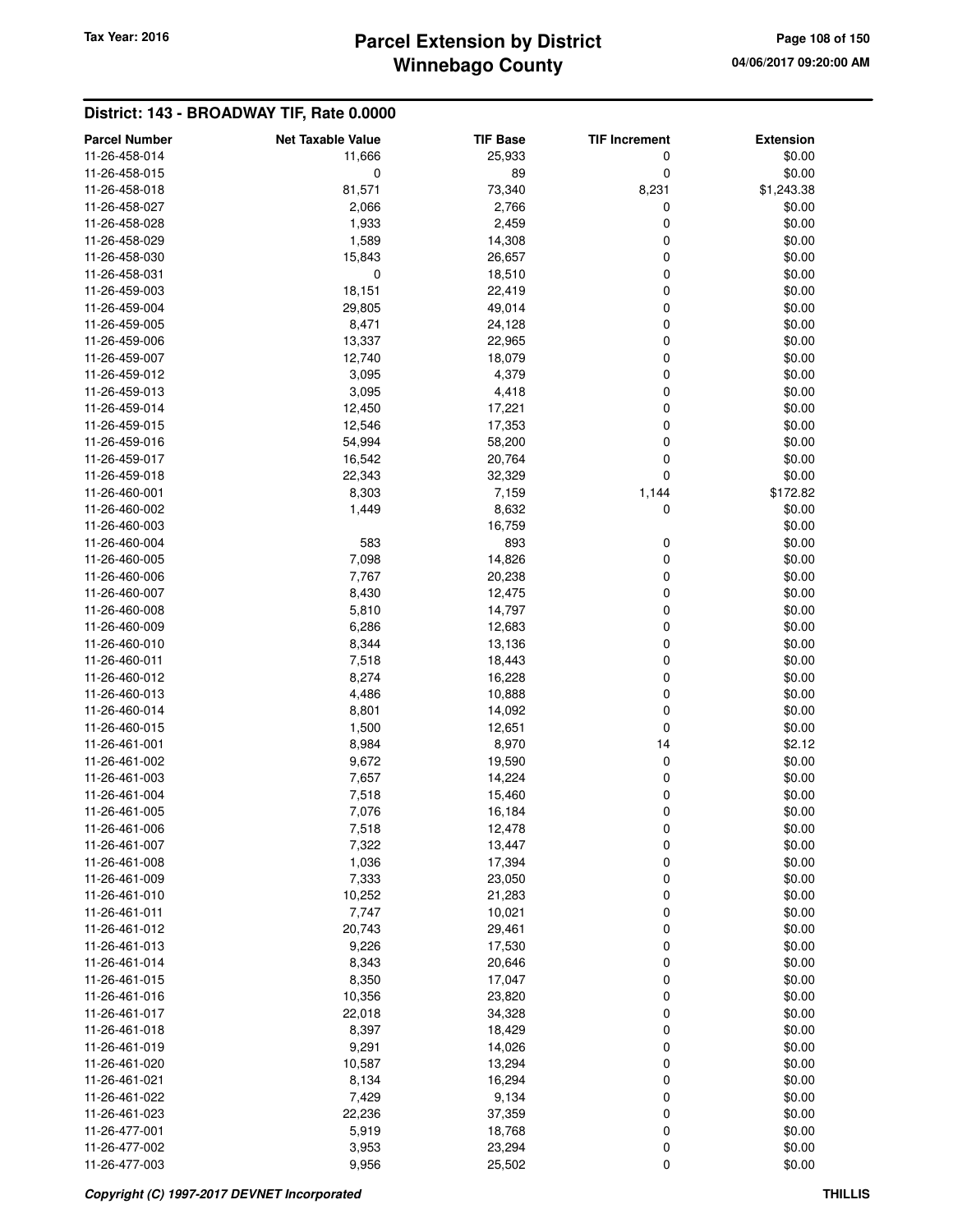# **Winnebago County Parcel Extension by District Tax Year: 2016 Page 108 of 150**

| <b>Parcel Number</b>           | <b>Net Taxable Value</b> | <b>TIF Base</b>  | <b>TIF Increment</b> | <b>Extension</b> |
|--------------------------------|--------------------------|------------------|----------------------|------------------|
| 11-26-458-014                  | 11,666                   | 25,933           | 0                    | \$0.00           |
| 11-26-458-015                  | 0                        | 89               | 0                    | \$0.00           |
| 11-26-458-018                  | 81,571                   | 73,340           | 8,231                | \$1,243.38       |
| 11-26-458-027                  | 2,066                    | 2,766            | 0                    | \$0.00           |
| 11-26-458-028                  | 1,933                    | 2,459            | 0                    | \$0.00           |
| 11-26-458-029                  | 1,589                    | 14,308           | 0                    | \$0.00           |
| 11-26-458-030                  | 15,843                   | 26,657           | 0                    | \$0.00           |
| 11-26-458-031                  | 0                        | 18,510           | 0                    | \$0.00           |
| 11-26-459-003                  | 18,151                   | 22,419           | 0                    | \$0.00           |
| 11-26-459-004                  | 29,805                   | 49,014           | 0                    | \$0.00           |
| 11-26-459-005                  | 8,471                    | 24,128           | 0                    | \$0.00           |
| 11-26-459-006                  | 13,337                   | 22,965           | 0                    | \$0.00           |
| 11-26-459-007                  | 12,740                   | 18,079           | 0                    | \$0.00           |
| 11-26-459-012                  | 3,095                    | 4,379            | 0                    | \$0.00           |
| 11-26-459-013                  | 3,095                    | 4,418            | 0                    | \$0.00           |
| 11-26-459-014                  | 12,450                   | 17,221           | 0                    | \$0.00           |
| 11-26-459-015                  | 12,546                   | 17,353           | 0                    | \$0.00           |
| 11-26-459-016                  | 54,994                   | 58,200           | 0                    | \$0.00           |
| 11-26-459-017                  | 16,542                   | 20,764           | 0                    | \$0.00           |
| 11-26-459-018                  | 22,343                   | 32,329           | 0                    | \$0.00           |
| 11-26-460-001                  | 8,303                    | 7,159            | 1,144                | \$172.82         |
| 11-26-460-002                  | 1,449                    | 8,632            | 0                    | \$0.00           |
| 11-26-460-003                  |                          | 16,759           |                      | \$0.00           |
| 11-26-460-004                  | 583                      | 893              | 0                    | \$0.00           |
| 11-26-460-005                  | 7,098                    | 14,826           | 0                    | \$0.00           |
| 11-26-460-006                  | 7,767                    | 20,238           | 0                    | \$0.00           |
| 11-26-460-007                  | 8,430                    | 12,475           | 0                    | \$0.00           |
| 11-26-460-008                  | 5,810                    | 14,797           | 0                    | \$0.00           |
| 11-26-460-009                  | 6,286                    | 12,683           | 0                    | \$0.00           |
| 11-26-460-010                  | 8,344                    | 13,136           | 0                    | \$0.00           |
| 11-26-460-011                  | 7,518                    | 18,443           | 0                    | \$0.00           |
| 11-26-460-012                  | 8,274                    | 16,228           | 0                    | \$0.00           |
| 11-26-460-013                  | 4,486                    | 10,888           | 0                    | \$0.00           |
| 11-26-460-014                  | 8,801                    | 14,092           | 0                    | \$0.00           |
| 11-26-460-015                  | 1,500                    | 12,651           | 0                    | \$0.00           |
| 11-26-461-001                  | 8,984                    | 8,970            | 14                   | \$2.12           |
| 11-26-461-002                  | 9,672                    | 19,590           | 0                    | \$0.00           |
| 11-26-461-003                  | 7,657                    | 14,224           | 0                    | \$0.00           |
| 11-26-461-004                  | 7,518                    | 15,460           | 0                    | \$0.00           |
| 11-26-461-005                  | 7,076                    | 16,184           | 0                    | \$0.00           |
| 11-26-461-006                  | 7,518                    | 12,478           | 0                    | \$0.00           |
| 11-26-461-007                  | 7,322                    | 13,447           | 0                    | \$0.00           |
| 11-26-461-008                  | 1,036                    | 17,394           | 0                    | \$0.00           |
| 11-26-461-009                  | 7,333                    | 23,050           | 0                    | \$0.00           |
| 11-26-461-010<br>11-26-461-011 | 10,252                   | 21,283           | 0                    | \$0.00           |
| 11-26-461-012                  | 7,747                    | 10,021           | 0                    | \$0.00           |
| 11-26-461-013                  | 20,743<br>9,226          | 29,461<br>17,530 | 0<br>0               | \$0.00<br>\$0.00 |
| 11-26-461-014                  | 8,343                    | 20,646           | 0                    | \$0.00           |
| 11-26-461-015                  | 8,350                    | 17,047           | 0                    | \$0.00           |
| 11-26-461-016                  | 10,356                   | 23,820           | 0                    | \$0.00           |
| 11-26-461-017                  | 22,018                   | 34,328           | 0                    | \$0.00           |
| 11-26-461-018                  | 8,397                    | 18,429           | 0                    | \$0.00           |
| 11-26-461-019                  | 9,291                    | 14,026           | 0                    | \$0.00           |
| 11-26-461-020                  | 10,587                   | 13,294           | 0                    | \$0.00           |
| 11-26-461-021                  | 8,134                    | 16,294           | 0                    | \$0.00           |
| 11-26-461-022                  | 7,429                    | 9,134            | 0                    | \$0.00           |
| 11-26-461-023                  | 22,236                   | 37,359           | 0                    | \$0.00           |
| 11-26-477-001                  | 5,919                    | 18,768           | 0                    | \$0.00           |
| 11-26-477-002                  | 3,953                    | 23,294           | 0                    | \$0.00           |
| 11-26-477-003                  | 9,956                    | 25,502           | 0                    | \$0.00           |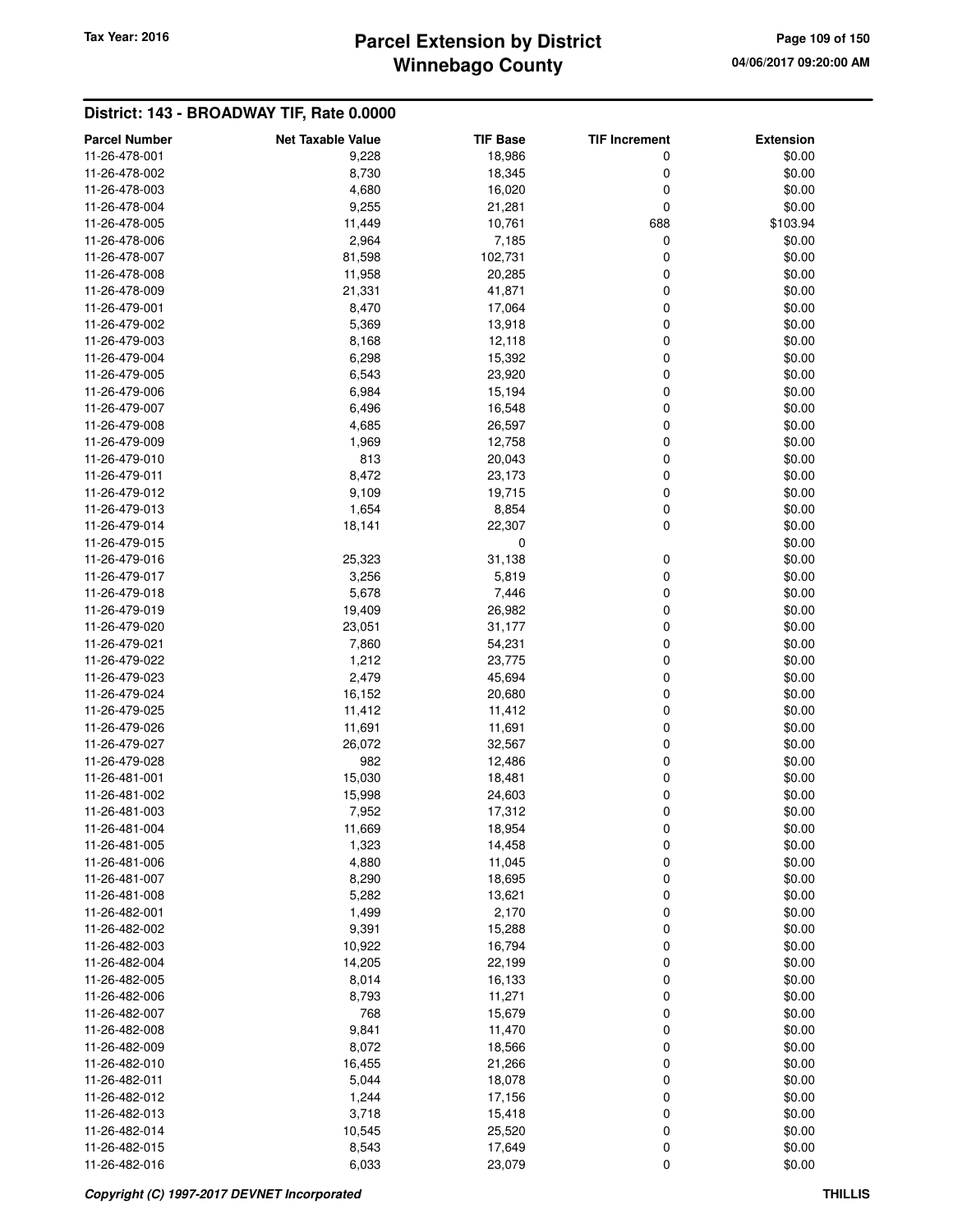# **Winnebago County Parcel Extension by District Tax Year: 2016 Page 109 of 150**

| <b>Parcel Number</b> | <b>Net Taxable Value</b> | <b>TIF Base</b> | <b>TIF Increment</b> | <b>Extension</b> |
|----------------------|--------------------------|-----------------|----------------------|------------------|
| 11-26-478-001        | 9,228                    | 18,986          | 0                    | \$0.00           |
| 11-26-478-002        | 8,730                    | 18,345          | 0                    | \$0.00           |
| 11-26-478-003        | 4,680                    | 16,020          | 0                    | \$0.00           |
|                      |                          |                 |                      |                  |
| 11-26-478-004        | 9,255                    | 21,281          | 0                    | \$0.00           |
| 11-26-478-005        | 11,449                   | 10,761          | 688                  | \$103.94         |
| 11-26-478-006        | 2,964                    | 7,185           | 0                    | \$0.00           |
| 11-26-478-007        | 81,598                   | 102,731         | 0                    | \$0.00           |
| 11-26-478-008        | 11,958                   | 20,285          | 0                    | \$0.00           |
| 11-26-478-009        | 21,331                   | 41,871          | 0                    | \$0.00           |
| 11-26-479-001        | 8,470                    | 17,064          | 0                    | \$0.00           |
| 11-26-479-002        | 5,369                    | 13,918          | 0                    | \$0.00           |
| 11-26-479-003        | 8,168                    | 12,118          | 0                    | \$0.00           |
| 11-26-479-004        | 6,298                    | 15,392          | 0                    | \$0.00           |
| 11-26-479-005        | 6,543                    | 23,920          | 0                    | \$0.00           |
| 11-26-479-006        | 6,984                    | 15,194          | 0                    | \$0.00           |
| 11-26-479-007        | 6,496                    | 16,548          | 0                    | \$0.00           |
| 11-26-479-008        | 4,685                    | 26,597          | 0                    | \$0.00           |
| 11-26-479-009        | 1,969                    | 12,758          | 0                    | \$0.00           |
|                      | 813                      |                 | 0                    |                  |
| 11-26-479-010        |                          | 20,043          |                      | \$0.00           |
| 11-26-479-011        | 8,472                    | 23,173          | 0                    | \$0.00           |
| 11-26-479-012        | 9,109                    | 19,715          | 0                    | \$0.00           |
| 11-26-479-013        | 1,654                    | 8,854           | 0                    | \$0.00           |
| 11-26-479-014        | 18,141                   | 22,307          | 0                    | \$0.00           |
| 11-26-479-015        |                          | 0               |                      | \$0.00           |
| 11-26-479-016        | 25,323                   | 31,138          | 0                    | \$0.00           |
| 11-26-479-017        | 3,256                    | 5,819           | 0                    | \$0.00           |
| 11-26-479-018        | 5,678                    | 7,446           | 0                    | \$0.00           |
| 11-26-479-019        | 19,409                   | 26,982          | 0                    | \$0.00           |
| 11-26-479-020        | 23,051                   | 31,177          | 0                    | \$0.00           |
| 11-26-479-021        | 7,860                    | 54,231          | 0                    | \$0.00           |
| 11-26-479-022        | 1,212                    | 23,775          | 0                    | \$0.00           |
| 11-26-479-023        | 2,479                    | 45,694          | 0                    | \$0.00           |
| 11-26-479-024        | 16,152                   | 20,680          | 0                    | \$0.00           |
| 11-26-479-025        | 11,412                   | 11,412          | 0                    | \$0.00           |
| 11-26-479-026        | 11,691                   | 11,691          | 0                    | \$0.00           |
|                      |                          |                 |                      |                  |
| 11-26-479-027        | 26,072                   | 32,567          | 0                    | \$0.00           |
| 11-26-479-028        | 982                      | 12,486          | 0                    | \$0.00           |
| 11-26-481-001        | 15,030                   | 18,481          | 0                    | \$0.00           |
| 11-26-481-002        | 15,998                   | 24,603          | 0                    | \$0.00           |
| 11-26-481-003        | 7,952                    | 17,312          | 0                    | \$0.00           |
| 11-26-481-004        | 11,669                   | 18,954          | o                    | \$0.00           |
| 11-26-481-005        | 1,323                    | 14,458          | 0                    | \$0.00           |
| 11-26-481-006        | 4,880                    | 11,045          | 0                    | \$0.00           |
| 11-26-481-007        | 8,290                    | 18,695          | 0                    | \$0.00           |
| 11-26-481-008        | 5,282                    | 13,621          | 0                    | \$0.00           |
| 11-26-482-001        | 1,499                    | 2,170           | 0                    | \$0.00           |
| 11-26-482-002        | 9,391                    | 15,288          | 0                    | \$0.00           |
| 11-26-482-003        | 10,922                   | 16,794          | 0                    | \$0.00           |
| 11-26-482-004        | 14,205                   | 22,199          | 0                    | \$0.00           |
| 11-26-482-005        | 8,014                    | 16,133          | 0                    | \$0.00           |
| 11-26-482-006        | 8,793                    | 11,271          | 0                    | \$0.00           |
| 11-26-482-007        | 768                      | 15,679          | 0                    | \$0.00           |
| 11-26-482-008        | 9,841                    | 11,470          | 0                    | \$0.00           |
| 11-26-482-009        | 8,072                    | 18,566          | 0                    | \$0.00           |
|                      |                          |                 |                      |                  |
| 11-26-482-010        | 16,455                   | 21,266          | 0                    | \$0.00           |
| 11-26-482-011        | 5,044                    | 18,078          | 0                    | \$0.00           |
| 11-26-482-012        | 1,244                    | 17,156          | 0                    | \$0.00           |
| 11-26-482-013        | 3,718                    | 15,418          | 0                    | \$0.00           |
| 11-26-482-014        | 10,545                   | 25,520          | 0                    | \$0.00           |
| 11-26-482-015        | 8,543                    | 17,649          | 0                    | \$0.00           |
| 11-26-482-016        | 6,033                    | 23,079          | 0                    | \$0.00           |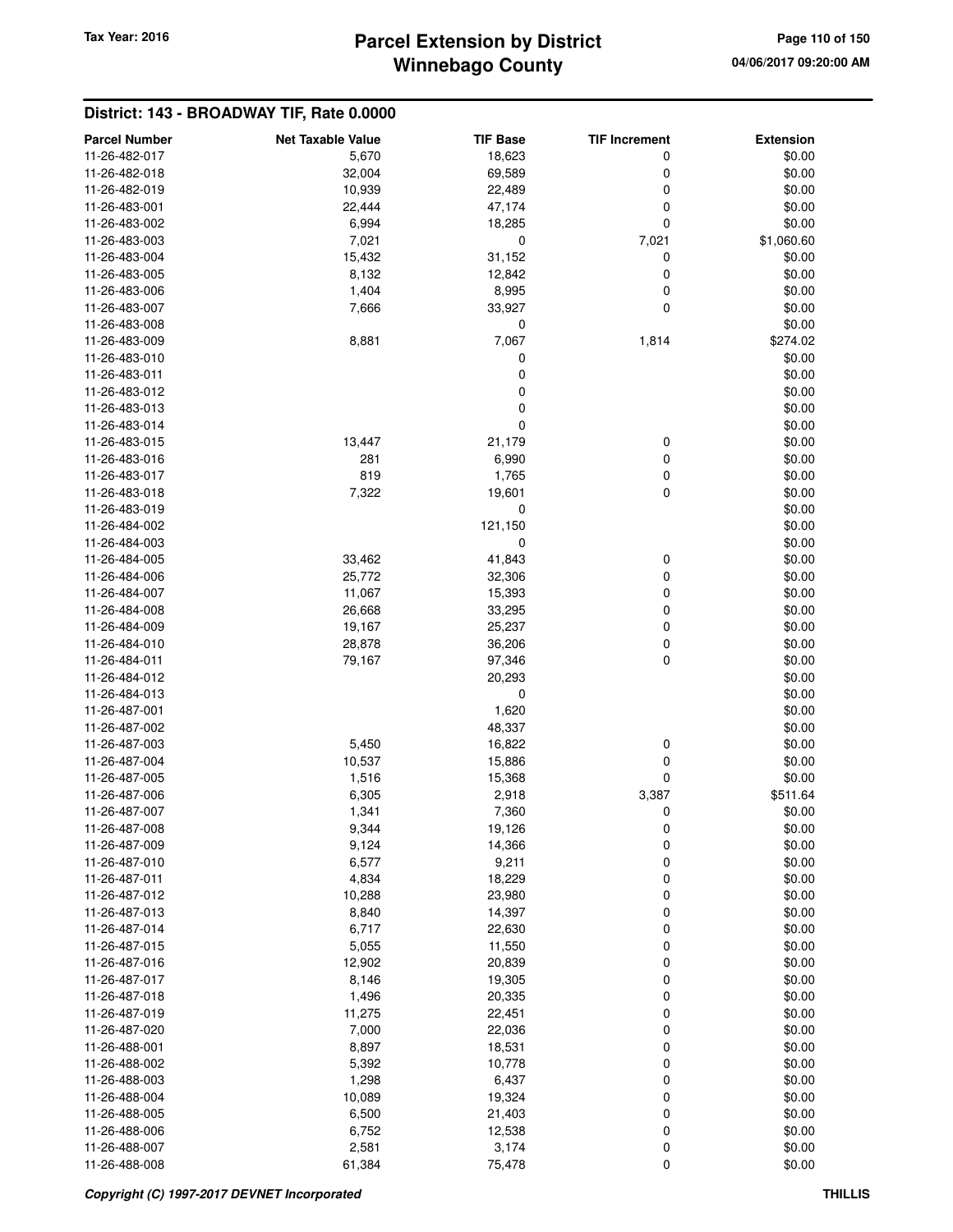# **Winnebago County** Tax Year: 2016 **Parcel Extension by District Page 110 of 150**

| <b>Parcel Number</b>           | <b>Net Taxable Value</b> | <b>TIF Base</b>  | <b>TIF Increment</b> | <b>Extension</b> |
|--------------------------------|--------------------------|------------------|----------------------|------------------|
| 11-26-482-017                  | 5,670                    | 18,623           | 0                    | \$0.00           |
| 11-26-482-018                  | 32,004                   | 69,589           | 0                    | \$0.00           |
| 11-26-482-019                  | 10,939                   | 22,489           | 0                    | \$0.00           |
| 11-26-483-001                  | 22,444                   | 47,174           | $\mathbf 0$          | \$0.00           |
| 11-26-483-002                  | 6,994                    | 18,285           | $\mathbf 0$          | \$0.00           |
| 11-26-483-003                  | 7,021                    | 0                | 7,021                | \$1,060.60       |
| 11-26-483-004                  | 15,432                   | 31,152           | 0                    | \$0.00           |
| 11-26-483-005                  | 8,132                    | 12,842           | 0                    | \$0.00           |
| 11-26-483-006                  | 1,404                    | 8,995            | 0                    | \$0.00           |
| 11-26-483-007                  | 7,666                    | 33,927           | 0                    | \$0.00           |
| 11-26-483-008                  |                          | 0                |                      | \$0.00           |
| 11-26-483-009                  | 8,881                    | 7,067            | 1,814                | \$274.02         |
| 11-26-483-010                  |                          | 0                |                      | \$0.00           |
| 11-26-483-011                  |                          | 0                |                      | \$0.00           |
| 11-26-483-012                  |                          | 0                |                      | \$0.00           |
| 11-26-483-013                  |                          | 0                |                      | \$0.00           |
| 11-26-483-014                  |                          | 0                |                      | \$0.00           |
| 11-26-483-015                  | 13,447                   | 21,179           | 0                    | \$0.00           |
| 11-26-483-016                  | 281                      | 6,990            | 0                    | \$0.00           |
| 11-26-483-017                  | 819                      | 1,765            | 0                    | \$0.00           |
| 11-26-483-018                  | 7,322                    | 19,601           | $\mathbf 0$          | \$0.00           |
| 11-26-483-019                  |                          | 0                |                      | \$0.00           |
| 11-26-484-002                  |                          | 121,150          |                      | \$0.00           |
| 11-26-484-003                  |                          | 0                |                      | \$0.00           |
| 11-26-484-005                  | 33,462                   | 41,843           | 0                    | \$0.00           |
| 11-26-484-006                  | 25,772                   | 32,306           | 0                    | \$0.00           |
| 11-26-484-007                  | 11,067                   | 15,393           | 0                    | \$0.00           |
| 11-26-484-008                  | 26,668                   | 33,295           | 0                    | \$0.00           |
| 11-26-484-009                  | 19,167                   | 25,237           | 0                    | \$0.00           |
| 11-26-484-010                  | 28,878                   | 36,206           | 0                    | \$0.00           |
| 11-26-484-011                  | 79,167                   | 97,346           | $\mathbf 0$          | \$0.00           |
| 11-26-484-012                  |                          | 20,293           |                      | \$0.00           |
| 11-26-484-013                  |                          | 0                |                      | \$0.00           |
| 11-26-487-001                  |                          | 1,620            |                      | \$0.00           |
| 11-26-487-002                  |                          | 48,337           |                      | \$0.00           |
| 11-26-487-003                  | 5,450                    | 16,822           | 0                    | \$0.00           |
| 11-26-487-004                  | 10,537                   | 15,886           | 0                    | \$0.00           |
| 11-26-487-005                  | 1,516                    | 15,368           | 0                    | \$0.00           |
| 11-26-487-006                  | 6,305                    | 2,918            | 3,387                | \$511.64         |
| 11-26-487-007                  | 1,341                    | 7,360            | 0                    | \$0.00           |
| 11-26-487-008                  | 9,344                    | 19,126           | 0                    | \$0.00           |
| 11-26-487-009                  | 9,124                    | 14,366           | $\boldsymbol{0}$     | \$0.00           |
| 11-26-487-010                  | 6,577                    | 9,211            | 0                    | \$0.00           |
| 11-26-487-011                  | 4,834                    | 18,229           | 0                    | \$0.00           |
| 11-26-487-012                  | 10,288                   | 23,980           | 0                    | \$0.00           |
| 11-26-487-013<br>11-26-487-014 | 8,840                    | 14,397           | 0                    | \$0.00<br>\$0.00 |
| 11-26-487-015                  | 6,717<br>5,055           | 22,630<br>11,550 | 0<br>0               | \$0.00           |
| 11-26-487-016                  | 12,902                   | 20,839           | 0                    | \$0.00           |
| 11-26-487-017                  | 8,146                    | 19,305           | 0                    | \$0.00           |
| 11-26-487-018                  | 1,496                    | 20,335           | 0                    | \$0.00           |
| 11-26-487-019                  | 11,275                   | 22,451           | 0                    | \$0.00           |
| 11-26-487-020                  | 7,000                    | 22,036           | 0                    | \$0.00           |
| 11-26-488-001                  | 8,897                    | 18,531           | 0                    | \$0.00           |
| 11-26-488-002                  | 5,392                    | 10,778           | 0                    | \$0.00           |
| 11-26-488-003                  | 1,298                    | 6,437            | 0                    | \$0.00           |
| 11-26-488-004                  | 10,089                   | 19,324           | 0                    | \$0.00           |
| 11-26-488-005                  | 6,500                    | 21,403           | 0                    | \$0.00           |
| 11-26-488-006                  | 6,752                    | 12,538           | 0                    | \$0.00           |
| 11-26-488-007                  | 2,581                    | 3,174            | 0                    | \$0.00           |
| 11-26-488-008                  | 61,384                   | 75,478           | 0                    | \$0.00           |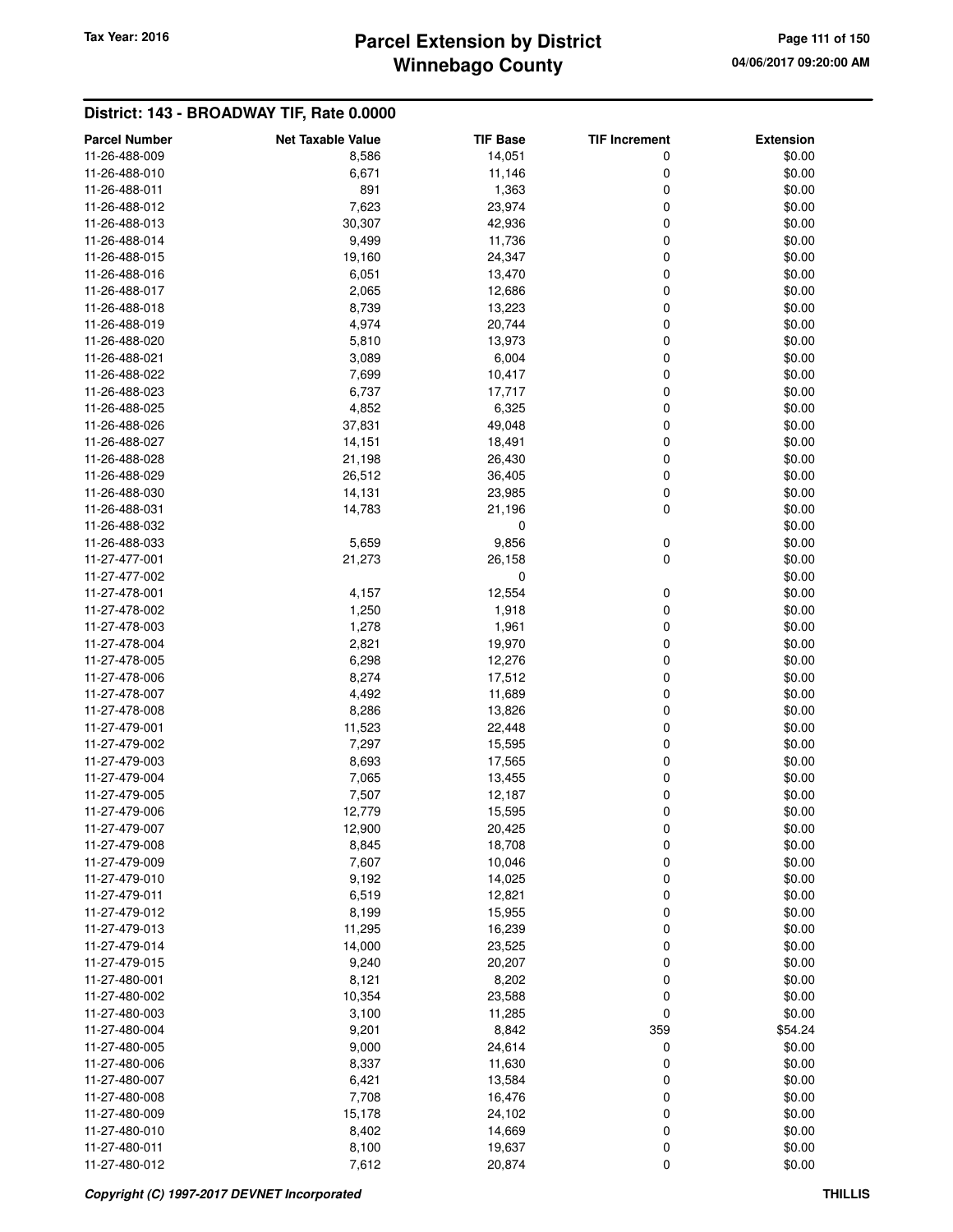# **Winnebago County Parcel Extension by District Tax Year: 2016 Page 111 of 150**

| <b>Parcel Number</b> | <b>Net Taxable Value</b> | <b>TIF Base</b> | <b>TIF Increment</b> | <b>Extension</b> |
|----------------------|--------------------------|-----------------|----------------------|------------------|
| 11-26-488-009        | 8,586                    | 14,051          | 0                    | \$0.00           |
| 11-26-488-010        | 6,671                    | 11,146          | 0                    | \$0.00           |
| 11-26-488-011        | 891                      | 1,363           | 0                    | \$0.00           |
| 11-26-488-012        | 7,623                    | 23,974          | 0                    | \$0.00           |
| 11-26-488-013        | 30,307                   | 42,936          | 0                    | \$0.00           |
| 11-26-488-014        | 9,499                    | 11,736          | 0                    | \$0.00           |
| 11-26-488-015        | 19,160                   | 24,347          | 0                    | \$0.00           |
| 11-26-488-016        | 6,051                    | 13,470          | 0                    | \$0.00           |
| 11-26-488-017        | 2,065                    | 12,686          | 0                    | \$0.00           |
| 11-26-488-018        | 8,739                    | 13,223          | 0                    | \$0.00           |
| 11-26-488-019        | 4,974                    | 20,744          | 0                    | \$0.00           |
| 11-26-488-020        | 5,810                    | 13,973          | 0                    | \$0.00           |
| 11-26-488-021        | 3,089                    | 6,004           | 0                    | \$0.00           |
| 11-26-488-022        | 7,699                    | 10,417          | 0                    | \$0.00           |
| 11-26-488-023        | 6,737                    | 17,717          | 0                    | \$0.00           |
| 11-26-488-025        | 4,852                    | 6,325           | 0                    | \$0.00           |
| 11-26-488-026        | 37,831                   | 49,048          | 0                    | \$0.00           |
| 11-26-488-027        | 14,151                   | 18,491          | 0                    | \$0.00           |
| 11-26-488-028        | 21,198                   | 26,430          | 0                    | \$0.00           |
| 11-26-488-029        | 26,512                   | 36,405          | 0                    | \$0.00           |
| 11-26-488-030        | 14,131                   | 23,985          | 0                    | \$0.00           |
| 11-26-488-031        | 14,783                   | 21,196          | 0                    | \$0.00           |
| 11-26-488-032        |                          | 0               |                      | \$0.00           |
| 11-26-488-033        | 5,659                    | 9,856           | 0                    | \$0.00           |
| 11-27-477-001        | 21,273                   | 26,158          | 0                    | \$0.00           |
| 11-27-477-002        |                          | 0               |                      | \$0.00           |
| 11-27-478-001        | 4,157                    | 12,554          | 0                    | \$0.00           |
| 11-27-478-002        | 1,250                    | 1,918           | 0                    | \$0.00           |
| 11-27-478-003        | 1,278                    | 1,961           | 0                    | \$0.00           |
| 11-27-478-004        | 2,821                    | 19,970          | 0                    | \$0.00           |
| 11-27-478-005        | 6,298                    | 12,276          | 0                    | \$0.00           |
| 11-27-478-006        | 8,274                    | 17,512          | 0                    | \$0.00           |
| 11-27-478-007        | 4,492                    | 11,689          | 0                    | \$0.00           |
| 11-27-478-008        | 8,286                    | 13,826          | 0                    | \$0.00           |
| 11-27-479-001        | 11,523                   | 22,448          | 0                    | \$0.00           |
| 11-27-479-002        | 7,297                    | 15,595          | 0                    | \$0.00           |
| 11-27-479-003        | 8,693                    | 17,565          | 0                    | \$0.00           |
| 11-27-479-004        | 7,065                    | 13,455          | 0                    | \$0.00           |
| 11-27-479-005        | 7,507                    | 12,187          | 0                    | \$0.00           |
| 11-27-479-006        | 12,779                   | 15,595          | 0                    | \$0.00           |
| 11-27-479-007        | 12,900                   | 20,425          | O                    | \$0.00           |
| 11-27-479-008        | 8,845                    | 18,708          | 0                    | \$0.00           |
| 11-27-479-009        | 7,607                    | 10,046          | 0                    | \$0.00           |
| 11-27-479-010        | 9,192                    | 14,025          | 0                    | \$0.00           |
| 11-27-479-011        | 6,519                    | 12,821          | 0                    | \$0.00           |
| 11-27-479-012        | 8,199                    | 15,955          | 0                    | \$0.00           |
| 11-27-479-013        | 11,295                   | 16,239          | 0                    | \$0.00           |
| 11-27-479-014        | 14,000                   | 23,525          | 0                    | \$0.00           |
| 11-27-479-015        | 9,240                    | 20,207          | 0                    | \$0.00           |
| 11-27-480-001        | 8,121                    | 8,202           | 0                    | \$0.00           |
| 11-27-480-002        | 10,354                   | 23,588          | 0                    | \$0.00           |
| 11-27-480-003        | 3,100                    | 11,285          | 0                    | \$0.00           |
| 11-27-480-004        | 9,201                    | 8,842           | 359                  | \$54.24          |
| 11-27-480-005        | 9,000                    | 24,614          | 0                    | \$0.00           |
| 11-27-480-006        | 8,337                    | 11,630          | 0                    | \$0.00           |
| 11-27-480-007        | 6,421                    | 13,584          | 0                    | \$0.00           |
| 11-27-480-008        | 7,708                    | 16,476          | 0                    | \$0.00           |
| 11-27-480-009        | 15,178                   | 24,102          | 0                    | \$0.00           |
| 11-27-480-010        | 8,402                    | 14,669          | 0                    | \$0.00           |
| 11-27-480-011        | 8,100                    | 19,637          | 0                    | \$0.00           |
| 11-27-480-012        | 7,612                    | 20,874          | 0                    | \$0.00           |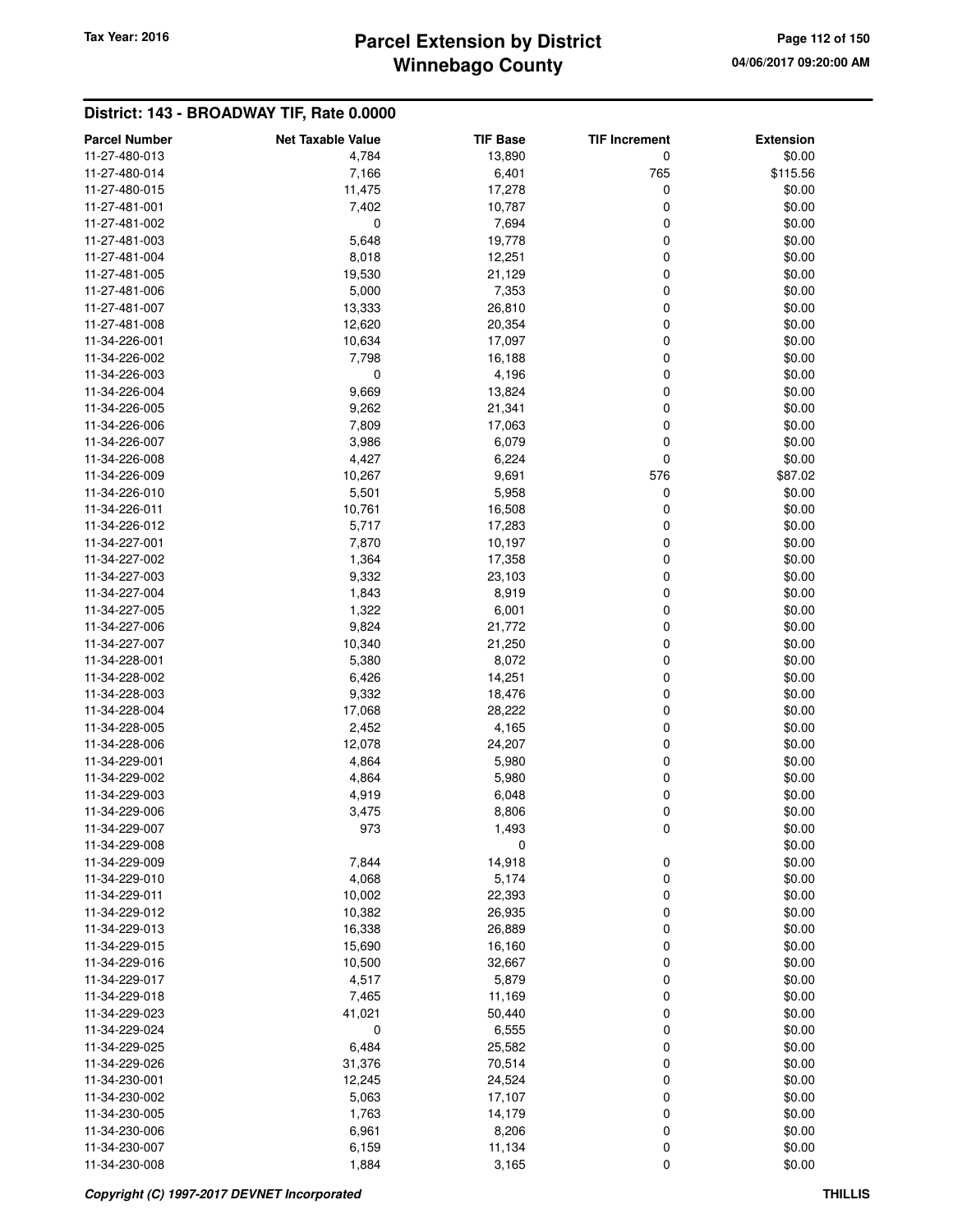# **Winnebago County Parcel Extension by District Tax Year: 2016 Page 112 of 150**

| <b>Parcel Number</b>           | <b>Net Taxable Value</b> | <b>TIF Base</b>  | <b>TIF Increment</b> | <b>Extension</b>  |
|--------------------------------|--------------------------|------------------|----------------------|-------------------|
| 11-27-480-013                  | 4,784                    | 13,890           | 0                    | \$0.00            |
| 11-27-480-014                  | 7,166                    | 6,401            | 765                  | \$115.56          |
| 11-27-480-015                  | 11,475                   | 17,278           | 0                    | \$0.00            |
| 11-27-481-001                  | 7,402                    | 10,787           | 0                    | \$0.00            |
| 11-27-481-002                  | 0                        | 7,694            | 0                    | \$0.00            |
| 11-27-481-003                  | 5,648                    | 19,778           | 0                    | \$0.00            |
| 11-27-481-004                  | 8,018                    | 12,251           | 0                    | \$0.00            |
| 11-27-481-005                  | 19,530                   | 21,129           | 0                    | \$0.00            |
| 11-27-481-006                  | 5,000                    | 7,353            | 0                    | \$0.00            |
| 11-27-481-007                  | 13,333                   | 26,810           | 0                    | \$0.00            |
| 11-27-481-008                  | 12,620                   | 20,354           | 0                    | \$0.00            |
| 11-34-226-001                  |                          |                  | 0                    | \$0.00            |
| 11-34-226-002                  | 10,634<br>7,798          | 17,097<br>16,188 | 0                    | \$0.00            |
| 11-34-226-003                  | 0                        | 4,196            | 0                    | \$0.00            |
| 11-34-226-004                  |                          |                  | 0                    | \$0.00            |
| 11-34-226-005                  | 9,669                    | 13,824           | 0                    |                   |
| 11-34-226-006                  | 9,262                    | 21,341           |                      | \$0.00<br>\$0.00  |
| 11-34-226-007                  | 7,809                    | 17,063           | 0<br>0               | \$0.00            |
|                                | 3,986                    | 6,079            | 0                    |                   |
| 11-34-226-008<br>11-34-226-009 | 4,427                    | 6,224            | 576                  | \$0.00<br>\$87.02 |
|                                | 10,267                   | 9,691            |                      |                   |
| 11-34-226-010                  | 5,501                    | 5,958            | 0                    | \$0.00            |
| 11-34-226-011                  | 10,761                   | 16,508           | 0                    | \$0.00            |
| 11-34-226-012                  | 5,717                    | 17,283           | 0                    | \$0.00            |
| 11-34-227-001                  | 7,870                    | 10,197           | 0                    | \$0.00<br>\$0.00  |
| 11-34-227-002                  | 1,364                    | 17,358           | 0                    |                   |
| 11-34-227-003                  | 9,332                    | 23,103           | 0                    | \$0.00            |
| 11-34-227-004                  | 1,843                    | 8,919            | 0                    | \$0.00            |
| 11-34-227-005                  | 1,322                    | 6,001            | 0                    | \$0.00            |
| 11-34-227-006                  | 9,824                    | 21,772           | 0                    | \$0.00            |
| 11-34-227-007                  | 10,340                   | 21,250           | 0                    | \$0.00            |
| 11-34-228-001                  | 5,380                    | 8,072            | 0                    | \$0.00            |
| 11-34-228-002                  | 6,426                    | 14,251           | 0                    | \$0.00            |
| 11-34-228-003                  | 9,332                    | 18,476           | 0                    | \$0.00            |
| 11-34-228-004                  | 17,068                   | 28,222           | 0                    | \$0.00            |
| 11-34-228-005                  | 2,452                    | 4,165            | 0                    | \$0.00            |
| 11-34-228-006                  | 12,078                   | 24,207           | 0                    | \$0.00            |
| 11-34-229-001                  | 4,864                    | 5,980            | 0                    | \$0.00            |
| 11-34-229-002                  | 4,864                    | 5,980            | 0                    | \$0.00            |
| 11-34-229-003                  | 4,919                    | 6,048            | 0                    | \$0.00            |
| 11-34-229-006                  | 3,475                    | 8,806            | 0                    | \$0.00            |
| 11-34-229-007                  | 973                      | 1,493            | 0                    | \$0.00            |
| 11-34-229-008                  |                          | 0                |                      | \$0.00            |
| 11-34-229-009                  | 7,844                    | 14,918           | 0                    | \$0.00            |
| 11-34-229-010                  | 4,068                    | 5,174            | 0                    | \$0.00            |
| 11-34-229-011                  | 10,002                   | 22,393           | 0                    | \$0.00            |
| 11-34-229-012                  | 10,382                   | 26,935           | 0                    | \$0.00            |
| 11-34-229-013                  | 16,338                   | 26,889           | 0                    | \$0.00            |
| 11-34-229-015                  | 15,690                   | 16,160           | 0                    | \$0.00            |
| 11-34-229-016                  | 10,500                   | 32,667           | 0                    | \$0.00            |
| 11-34-229-017                  | 4,517                    | 5,879            | 0                    | \$0.00            |
| 11-34-229-018                  | 7,465                    | 11,169           | 0                    | \$0.00            |
| 11-34-229-023                  | 41,021                   | 50,440           | 0                    | \$0.00            |
| 11-34-229-024                  | 0                        | 6,555            | 0                    | \$0.00            |
| 11-34-229-025                  | 6,484                    | 25,582           | 0                    | \$0.00            |
| 11-34-229-026                  | 31,376                   | 70,514           | 0                    | \$0.00            |
| 11-34-230-001                  | 12,245                   | 24,524           | 0                    | \$0.00            |
| 11-34-230-002                  | 5,063                    | 17,107           | 0                    | \$0.00            |
| 11-34-230-005                  | 1,763                    | 14,179           | 0                    | \$0.00            |
| 11-34-230-006                  | 6,961                    | 8,206            | 0                    | \$0.00            |
| 11-34-230-007                  | 6,159                    | 11,134           | 0                    | \$0.00            |
| 11-34-230-008                  | 1,884                    | 3,165            | 0                    | \$0.00            |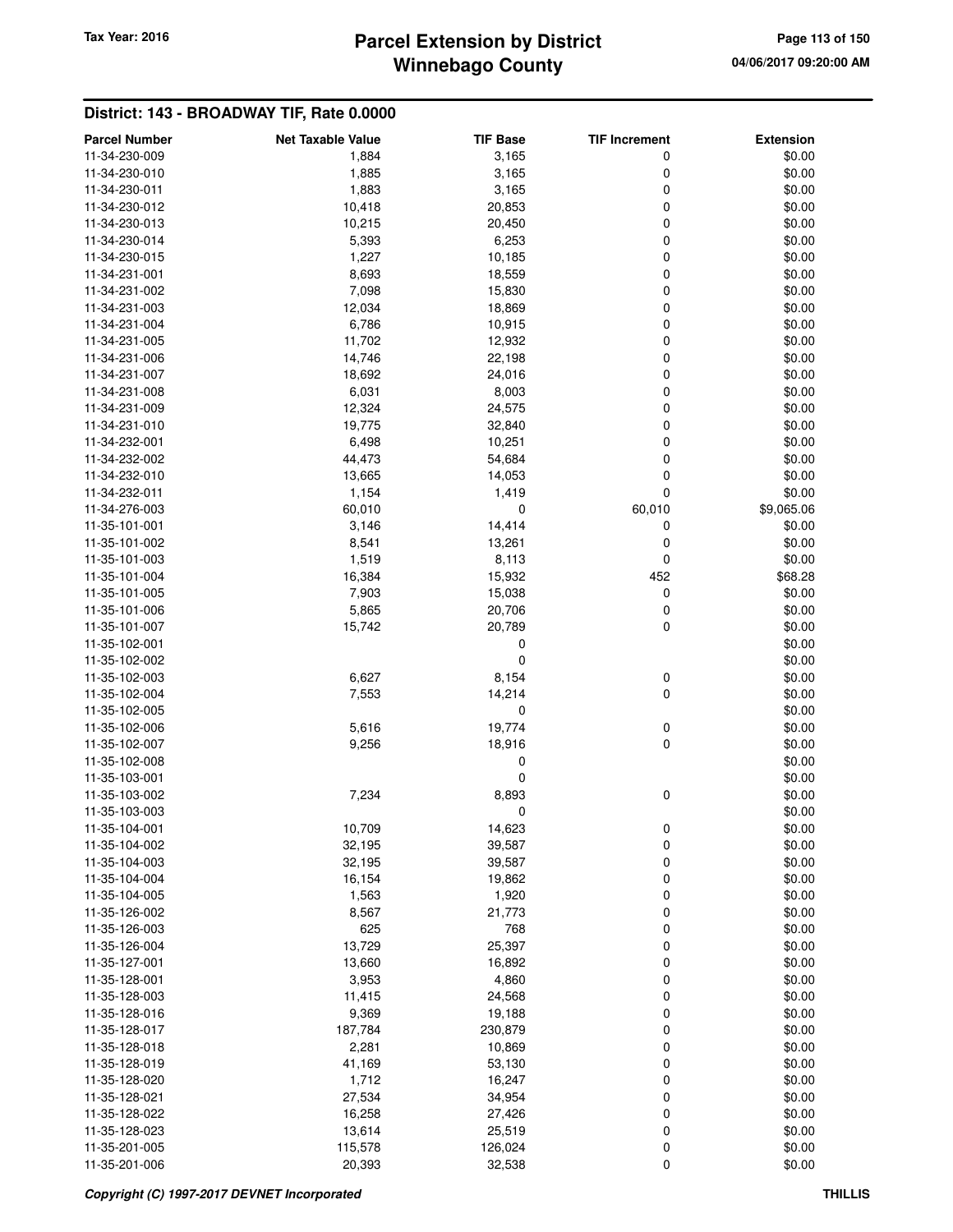# **Winnebago County Parcel Extension by District Tax Year: 2016 Page 113 of 150**

| <b>Parcel Number</b>           | <b>Net Taxable Value</b> | <b>TIF Base</b>  | <b>TIF Increment</b> | <b>Extension</b> |
|--------------------------------|--------------------------|------------------|----------------------|------------------|
| 11-34-230-009                  | 1,884                    | 3,165            | 0                    | \$0.00           |
| 11-34-230-010                  | 1,885                    | 3,165            | 0                    | \$0.00           |
| 11-34-230-011                  | 1,883                    | 3,165            | 0                    | \$0.00           |
| 11-34-230-012                  | 10,418                   | 20,853           | 0                    | \$0.00           |
| 11-34-230-013                  | 10,215                   | 20,450           | 0                    | \$0.00           |
| 11-34-230-014                  | 5,393                    | 6,253            | 0                    | \$0.00           |
| 11-34-230-015                  | 1,227                    | 10,185           | 0                    | \$0.00           |
| 11-34-231-001                  | 8,693                    | 18,559           | 0                    | \$0.00           |
| 11-34-231-002                  | 7,098                    | 15,830           | 0                    | \$0.00           |
| 11-34-231-003                  | 12,034                   | 18,869           | 0                    | \$0.00           |
| 11-34-231-004                  | 6,786                    | 10,915           | 0                    | \$0.00           |
| 11-34-231-005                  | 11,702                   | 12,932           | 0                    | \$0.00           |
| 11-34-231-006                  | 14,746                   | 22,198           | 0                    | \$0.00           |
| 11-34-231-007                  | 18,692                   | 24,016           | 0                    | \$0.00           |
| 11-34-231-008                  | 6,031                    | 8,003            | 0                    | \$0.00           |
| 11-34-231-009                  | 12,324                   | 24,575           | 0                    | \$0.00           |
| 11-34-231-010                  | 19,775                   | 32,840           | 0                    | \$0.00           |
| 11-34-232-001                  | 6,498                    | 10,251           | 0                    | \$0.00           |
| 11-34-232-002                  | 44,473                   | 54,684           | 0                    | \$0.00           |
| 11-34-232-010                  | 13,665                   | 14,053           | 0                    | \$0.00           |
| 11-34-232-011                  | 1,154                    | 1,419            | 0                    | \$0.00           |
| 11-34-276-003                  | 60,010                   | 0                | 60,010               | \$9,065.06       |
| 11-35-101-001                  | 3,146                    | 14,414           | 0                    | \$0.00           |
| 11-35-101-002                  | 8,541                    | 13,261           | 0                    | \$0.00           |
| 11-35-101-003                  | 1,519                    | 8,113            | 0                    | \$0.00           |
| 11-35-101-004                  | 16,384                   | 15,932           | 452                  | \$68.28          |
| 11-35-101-005                  | 7,903                    | 15,038           | 0                    | \$0.00           |
| 11-35-101-006                  | 5,865                    | 20,706           | 0                    | \$0.00           |
| 11-35-101-007                  | 15,742                   | 20,789           | 0                    | \$0.00           |
| 11-35-102-001                  |                          | 0                |                      | \$0.00           |
| 11-35-102-002                  |                          | 0                |                      | \$0.00           |
| 11-35-102-003                  | 6,627                    | 8,154            | 0                    | \$0.00           |
| 11-35-102-004                  | 7,553                    | 14,214           | 0                    | \$0.00           |
| 11-35-102-005                  |                          | 0                |                      | \$0.00           |
| 11-35-102-006                  | 5,616                    | 19,774           | 0                    | \$0.00           |
| 11-35-102-007                  | 9,256                    | 18,916           | 0                    | \$0.00           |
| 11-35-102-008                  |                          |                  |                      |                  |
| 11-35-103-001                  |                          | 0<br>0           |                      | \$0.00<br>\$0.00 |
| 11-35-103-002                  | 7,234                    | 8,893            | 0                    | \$0.00           |
|                                |                          | 0                |                      | \$0.00           |
| 11-35-103-003<br>11-35-104-001 | 10,709                   | 14,623           |                      | \$0.00           |
| 11-35-104-002                  |                          |                  | 0                    |                  |
| 11-35-104-003                  | 32,195<br>32,195         | 39,587<br>39,587 | 0<br>0               | \$0.00<br>\$0.00 |
| 11-35-104-004                  | 16,154                   | 19,862           | 0                    | \$0.00           |
|                                |                          |                  |                      |                  |
| 11-35-104-005<br>11-35-126-002 | 1,563                    | 1,920            | 0                    | \$0.00           |
| 11-35-126-003                  | 8,567<br>625             | 21,773<br>768    | 0                    | \$0.00           |
|                                |                          |                  | 0<br>0               | \$0.00           |
| 11-35-126-004                  | 13,729                   | 25,397           |                      | \$0.00           |
| 11-35-127-001                  | 13,660                   | 16,892           | 0                    | \$0.00           |
| 11-35-128-001                  | 3,953                    | 4,860            | 0                    | \$0.00           |
| 11-35-128-003                  | 11,415                   | 24,568           | 0                    | \$0.00           |
| 11-35-128-016                  | 9,369                    | 19,188           | 0                    | \$0.00           |
| 11-35-128-017                  | 187,784                  | 230,879          | 0                    | \$0.00           |
| 11-35-128-018                  | 2,281                    | 10,869           | 0                    | \$0.00           |
| 11-35-128-019                  | 41,169                   | 53,130           | 0                    | \$0.00           |
| 11-35-128-020                  | 1,712                    | 16,247           | 0                    | \$0.00           |
| 11-35-128-021                  | 27,534                   | 34,954           | 0                    | \$0.00           |
| 11-35-128-022                  | 16,258                   | 27,426           | 0                    | \$0.00           |
| 11-35-128-023                  | 13,614                   | 25,519           | 0                    | \$0.00           |
| 11-35-201-005                  | 115,578                  | 126,024          | 0                    | \$0.00           |
| 11-35-201-006                  | 20,393                   | 32,538           | 0                    | \$0.00           |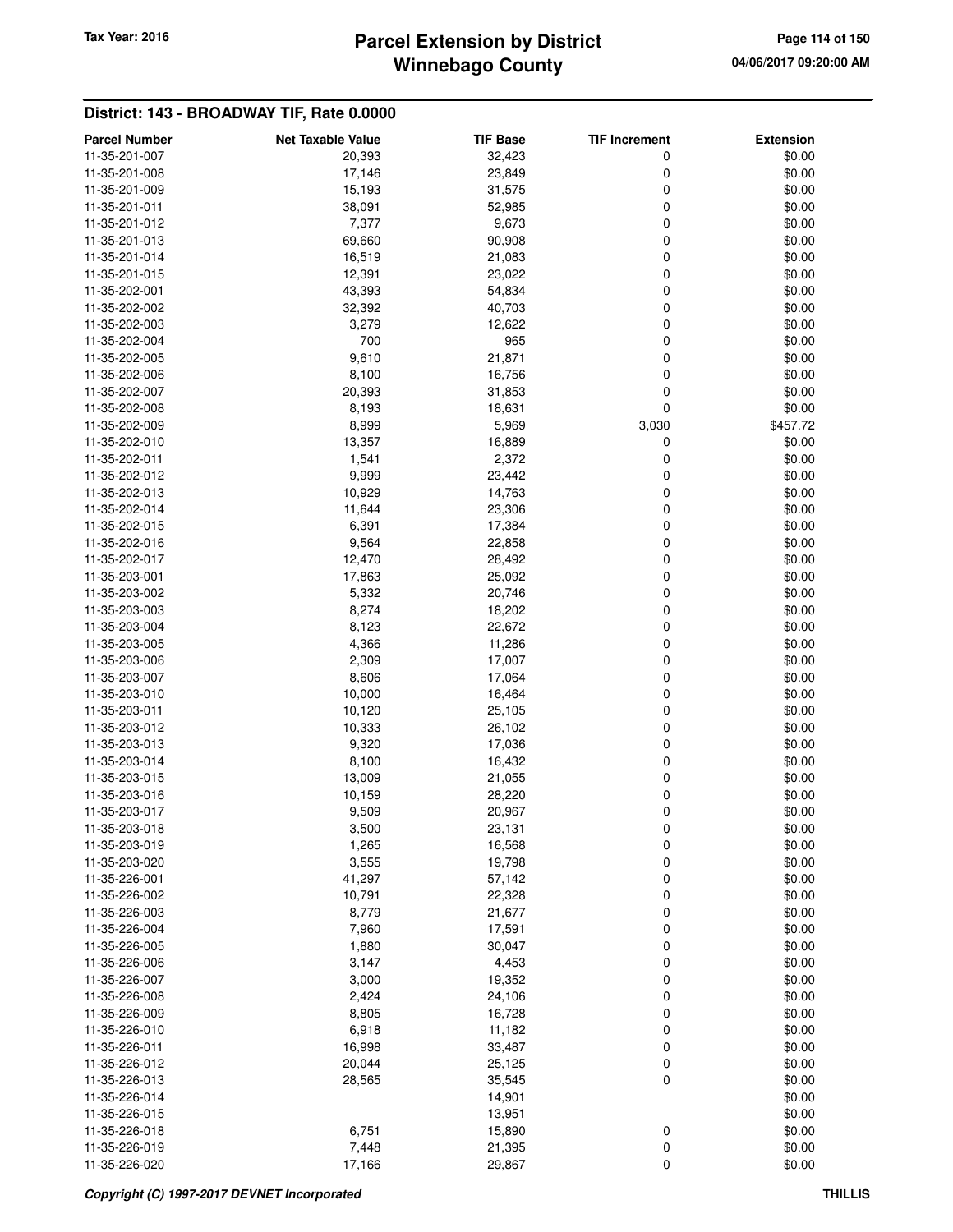# **Winnebago County** Tax Year: 2016 **Parcel Extension by District Page 114 of 150**

| <b>Parcel Number</b>           | <b>Net Taxable Value</b> | <b>TIF Base</b>  | <b>TIF Increment</b> | <b>Extension</b> |
|--------------------------------|--------------------------|------------------|----------------------|------------------|
| 11-35-201-007                  | 20,393                   | 32,423           | 0                    | \$0.00           |
| 11-35-201-008                  | 17,146                   | 23,849           | 0                    | \$0.00           |
| 11-35-201-009                  | 15,193                   | 31,575           | 0                    | \$0.00           |
| 11-35-201-011                  | 38,091                   | 52,985           | 0                    | \$0.00           |
| 11-35-201-012                  | 7,377                    | 9,673            | 0                    | \$0.00           |
| 11-35-201-013                  | 69,660                   | 90,908           | 0                    | \$0.00           |
| 11-35-201-014                  | 16,519                   | 21,083           | 0                    | \$0.00           |
| 11-35-201-015                  | 12,391                   | 23,022           | 0                    | \$0.00           |
| 11-35-202-001                  | 43,393                   | 54,834           | 0                    | \$0.00           |
| 11-35-202-002                  | 32,392                   | 40,703           | 0                    | \$0.00           |
| 11-35-202-003                  | 3,279                    | 12,622           | 0                    | \$0.00           |
| 11-35-202-004                  | 700                      | 965              | 0                    | \$0.00           |
| 11-35-202-005                  | 9,610                    | 21,871           | 0                    | \$0.00           |
| 11-35-202-006                  | 8,100                    | 16,756           | 0                    | \$0.00           |
| 11-35-202-007                  | 20,393                   | 31,853           | 0                    | \$0.00           |
| 11-35-202-008                  | 8,193                    | 18,631           | $\mathbf 0$          | \$0.00           |
| 11-35-202-009                  | 8,999                    | 5,969            | 3,030                | \$457.72         |
| 11-35-202-010                  | 13,357                   | 16,889           | 0                    | \$0.00           |
| 11-35-202-011                  | 1,541                    | 2,372            | 0                    | \$0.00           |
| 11-35-202-012                  | 9,999                    | 23,442           | 0                    | \$0.00           |
| 11-35-202-013                  | 10,929                   | 14,763           | 0                    | \$0.00           |
| 11-35-202-014                  | 11,644                   | 23,306           | 0                    | \$0.00           |
| 11-35-202-015                  | 6,391                    | 17,384           | 0                    | \$0.00           |
| 11-35-202-016                  | 9,564                    | 22,858           | 0                    | \$0.00           |
| 11-35-202-017                  | 12,470                   | 28,492           | 0                    | \$0.00           |
| 11-35-203-001                  | 17,863                   | 25,092           | 0                    | \$0.00           |
| 11-35-203-002                  | 5,332                    | 20,746           | 0                    | \$0.00           |
| 11-35-203-003                  | 8,274                    | 18,202           | 0                    | \$0.00           |
| 11-35-203-004                  | 8,123                    | 22,672           | 0                    | \$0.00           |
| 11-35-203-005                  | 4,366                    | 11,286           | 0                    | \$0.00           |
| 11-35-203-006                  | 2,309                    | 17,007           | 0                    | \$0.00           |
| 11-35-203-007                  | 8,606                    | 17,064           | 0                    | \$0.00           |
| 11-35-203-010                  | 10,000                   | 16,464           | 0                    | \$0.00           |
| 11-35-203-011                  | 10,120                   | 25,105           | 0                    | \$0.00           |
| 11-35-203-012                  | 10,333                   | 26,102           | 0                    | \$0.00           |
| 11-35-203-013                  | 9,320                    | 17,036           | 0                    | \$0.00           |
| 11-35-203-014                  | 8,100                    | 16,432           | 0                    | \$0.00           |
| 11-35-203-015                  | 13,009                   | 21,055           | 0                    | \$0.00           |
| 11-35-203-016                  | 10,159                   | 28,220           | 0                    | \$0.00           |
| 11-35-203-017                  | 9,509                    | 20,967           | 0                    | \$0.00           |
| 11-35-203-018                  | 3,500                    | 23,131           | 0                    | \$0.00           |
| 11-35-203-019                  | 1,265                    | 16,568           | 0                    | \$0.00           |
| 11-35-203-020                  | 3,555                    | 19,798           | 0                    | \$0.00           |
| 11-35-226-001                  | 41,297                   | 57,142           | 0                    | \$0.00           |
| 11-35-226-002                  | 10,791                   | 22,328           | 0                    | \$0.00           |
| 11-35-226-003<br>11-35-226-004 | 8,779                    | 21,677           | 0                    | \$0.00           |
|                                | 7,960                    | 17,591           | 0                    | \$0.00           |
| 11-35-226-005<br>11-35-226-006 | 1,880                    | 30,047           | 0                    | \$0.00           |
| 11-35-226-007                  | 3,147                    | 4,453            | 0                    | \$0.00           |
|                                | 3,000                    | 19,352           | 0                    | \$0.00           |
| 11-35-226-008<br>11-35-226-009 | 2,424<br>8,805           | 24,106           | 0                    | \$0.00<br>\$0.00 |
| 11-35-226-010                  | 6,918                    | 16,728<br>11,182 | 0<br>0               | \$0.00           |
| 11-35-226-011                  | 16,998                   | 33,487           | 0                    | \$0.00           |
| 11-35-226-012                  | 20,044                   | 25,125           | 0                    | \$0.00           |
| 11-35-226-013                  | 28,565                   | 35,545           | 0                    | \$0.00           |
| 11-35-226-014                  |                          | 14,901           |                      | \$0.00           |
| 11-35-226-015                  |                          | 13,951           |                      | \$0.00           |
| 11-35-226-018                  | 6,751                    | 15,890           | 0                    | \$0.00           |
| 11-35-226-019                  | 7,448                    | 21,395           | 0                    | \$0.00           |
| 11-35-226-020                  | 17,166                   | 29,867           | 0                    | \$0.00           |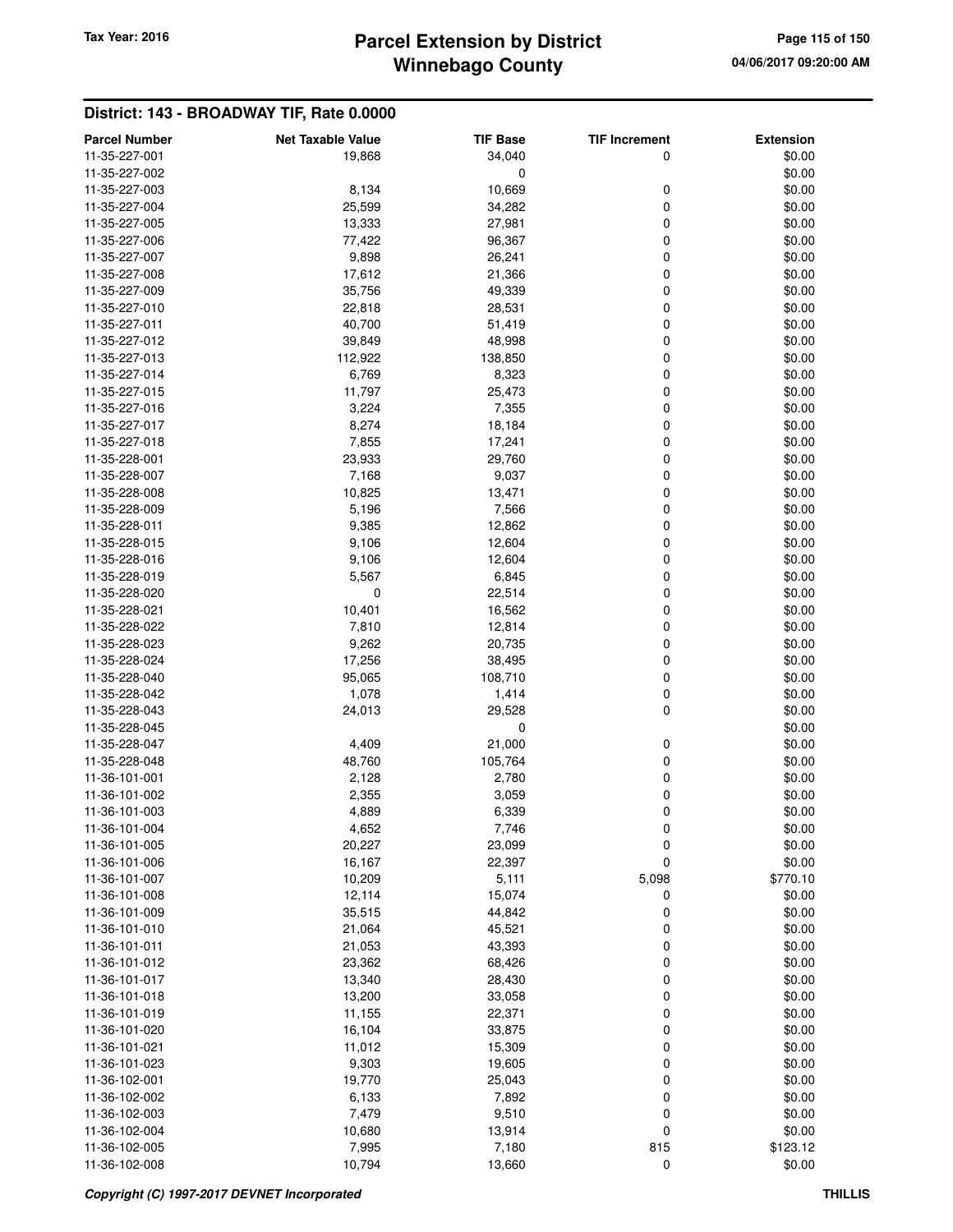### **Winnebago County Parcel Extension by District Tax Year: 2016 Page 115 of 150**

| <b>Parcel Number</b>           | <b>Net Taxable Value</b> | <b>TIF Base</b>  | <b>TIF Increment</b> | <b>Extension</b> |
|--------------------------------|--------------------------|------------------|----------------------|------------------|
| 11-35-227-001                  | 19,868                   | 34,040           | 0                    | \$0.00           |
| 11-35-227-002                  |                          | 0                |                      | \$0.00           |
| 11-35-227-003                  | 8,134                    | 10,669           | 0                    | \$0.00           |
| 11-35-227-004                  | 25,599                   | 34,282           | 0                    | \$0.00           |
| 11-35-227-005                  | 13,333                   | 27,981           | 0                    | \$0.00           |
| 11-35-227-006                  | 77,422                   | 96,367           | 0                    | \$0.00           |
| 11-35-227-007                  | 9,898                    | 26,241           | 0                    | \$0.00           |
| 11-35-227-008                  | 17,612                   | 21,366           | 0                    | \$0.00           |
| 11-35-227-009                  | 35,756                   | 49,339           | 0                    | \$0.00           |
| 11-35-227-010                  | 22,818                   | 28,531           | 0                    | \$0.00           |
| 11-35-227-011                  | 40,700                   | 51,419           | 0                    | \$0.00           |
| 11-35-227-012                  | 39,849                   | 48,998           | 0                    | \$0.00           |
| 11-35-227-013                  | 112,922                  | 138,850          | 0                    | \$0.00           |
| 11-35-227-014                  | 6,769                    | 8,323            | 0                    | \$0.00           |
| 11-35-227-015                  | 11,797                   | 25,473           | 0                    | \$0.00           |
| 11-35-227-016                  | 3,224                    | 7,355            | 0                    | \$0.00           |
| 11-35-227-017                  | 8,274                    | 18,184           | 0                    | \$0.00           |
| 11-35-227-018                  | 7,855                    | 17,241           | 0                    | \$0.00           |
| 11-35-228-001                  | 23,933                   | 29,760           | 0                    | \$0.00           |
| 11-35-228-007                  | 7,168                    | 9,037            | 0                    | \$0.00           |
| 11-35-228-008                  | 10,825                   | 13,471           | 0                    | \$0.00           |
| 11-35-228-009                  | 5,196                    | 7,566            | 0                    | \$0.00           |
| 11-35-228-011                  | 9,385                    | 12,862           | 0                    | \$0.00           |
| 11-35-228-015                  | 9,106                    | 12,604           | 0                    | \$0.00           |
| 11-35-228-016                  | 9,106                    | 12,604           | 0                    | \$0.00           |
| 11-35-228-019                  | 5,567                    | 6,845            | 0                    | \$0.00           |
| 11-35-228-020                  | 0                        | 22,514           | 0                    | \$0.00           |
| 11-35-228-021                  | 10,401                   | 16,562           | 0                    | \$0.00           |
| 11-35-228-022                  | 7,810                    | 12,814           | 0                    | \$0.00           |
| 11-35-228-023                  | 9,262                    | 20,735           | 0                    | \$0.00           |
| 11-35-228-024                  | 17,256                   | 38,495           | 0                    | \$0.00           |
| 11-35-228-040                  | 95,065                   | 108,710          | 0                    | \$0.00           |
| 11-35-228-042                  | 1,078                    | 1,414            | 0                    | \$0.00           |
| 11-35-228-043                  | 24,013                   | 29,528           | 0                    | \$0.00           |
| 11-35-228-045                  |                          | 0                |                      | \$0.00           |
| 11-35-228-047                  | 4,409                    | 21,000           | 0                    | \$0.00           |
| 11-35-228-048                  | 48,760                   | 105,764          | 0                    | \$0.00           |
| 11-36-101-001                  | 2,128                    | 2,780            | 0                    | \$0.00           |
| 11-36-101-002                  | 2,355                    | 3,059            | 0                    | \$0.00           |
| 11-36-101-003                  | 4,889                    | 6,339            | 0                    | \$0.00           |
| 11-36-101-004<br>11-36-101-005 | 4,652                    | 7,746            | 0                    | \$0.00           |
| 11-36-101-006                  | 20,227<br>16,167         | 23,099<br>22,397 | 0<br>$\mathbf 0$     | \$0.00<br>\$0.00 |
| 11-36-101-007                  | 10,209                   | 5,111            | 5,098                | \$770.10         |
| 11-36-101-008                  | 12,114                   | 15,074           | 0                    | \$0.00           |
| 11-36-101-009                  | 35,515                   | 44,842           | 0                    | \$0.00           |
| 11-36-101-010                  | 21,064                   | 45,521           | 0                    | \$0.00           |
| 11-36-101-011                  | 21,053                   | 43,393           | 0                    | \$0.00           |
| 11-36-101-012                  | 23,362                   | 68,426           | 0                    | \$0.00           |
| 11-36-101-017                  | 13,340                   | 28,430           | 0                    | \$0.00           |
| 11-36-101-018                  | 13,200                   | 33,058           | 0                    | \$0.00           |
| 11-36-101-019                  | 11,155                   | 22,371           | 0                    | \$0.00           |
| 11-36-101-020                  | 16,104                   | 33,875           | 0                    | \$0.00           |
| 11-36-101-021                  | 11,012                   | 15,309           | 0                    | \$0.00           |
| 11-36-101-023                  | 9,303                    | 19,605           | 0                    | \$0.00           |
| 11-36-102-001                  | 19,770                   | 25,043           | 0                    | \$0.00           |
| 11-36-102-002                  | 6,133                    | 7,892            | 0                    | \$0.00           |
| 11-36-102-003                  | 7,479                    | 9,510            | 0                    | \$0.00           |
| 11-36-102-004                  | 10,680                   | 13,914           | 0                    | \$0.00           |
| 11-36-102-005                  | 7,995                    | 7,180            | 815                  | \$123.12         |
| 11-36-102-008                  | 10,794                   | 13,660           | $\pmb{0}$            | \$0.00           |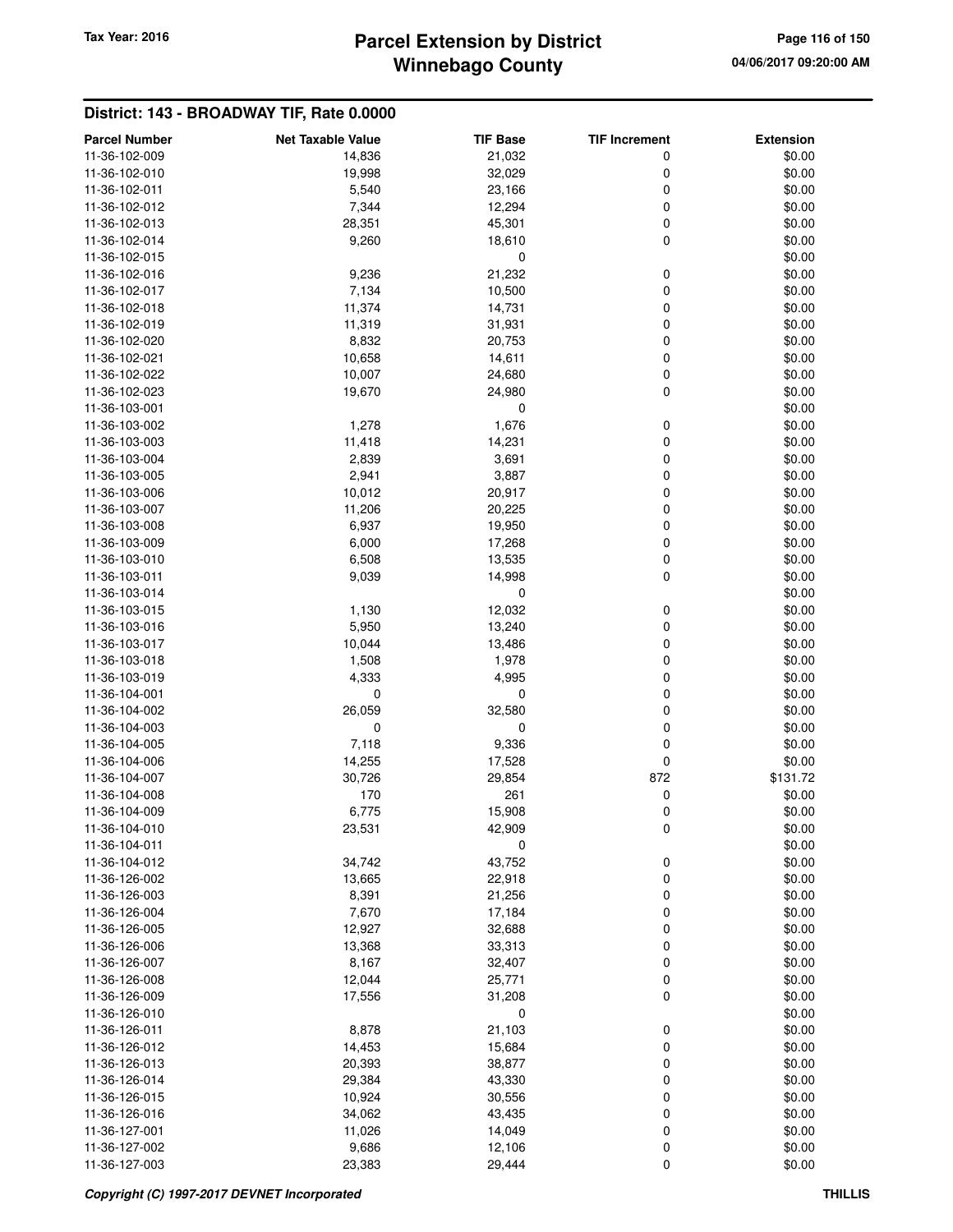# **Winnebago County** Tax Year: 2016 **Parcel Extension by District Page 116 of 150**

| <b>Parcel Number</b> | <b>Net Taxable Value</b> | <b>TIF Base</b> | <b>TIF Increment</b> | <b>Extension</b> |
|----------------------|--------------------------|-----------------|----------------------|------------------|
| 11-36-102-009        | 14,836                   | 21,032          | 0                    | \$0.00           |
| 11-36-102-010        | 19,998                   | 32,029          | 0                    | \$0.00           |
| 11-36-102-011        | 5,540                    | 23,166          | 0                    | \$0.00           |
| 11-36-102-012        | 7,344                    | 12,294          | 0                    | \$0.00           |
| 11-36-102-013        | 28,351                   | 45,301          | 0                    | \$0.00           |
| 11-36-102-014        | 9,260                    | 18,610          | 0                    | \$0.00           |
| 11-36-102-015        |                          | 0               |                      | \$0.00           |
| 11-36-102-016        | 9,236                    | 21,232          | 0                    | \$0.00           |
| 11-36-102-017        | 7,134                    | 10,500          | 0                    | \$0.00           |
| 11-36-102-018        | 11,374                   | 14,731          | 0                    | \$0.00           |
| 11-36-102-019        | 11,319                   | 31,931          | 0                    | \$0.00           |
| 11-36-102-020        | 8,832                    | 20,753          | 0                    | \$0.00           |
| 11-36-102-021        | 10,658                   | 14,611          | 0                    | \$0.00           |
| 11-36-102-022        | 10,007                   | 24,680          | 0                    | \$0.00           |
| 11-36-102-023        | 19,670                   | 24,980          | 0                    | \$0.00           |
| 11-36-103-001        |                          | 0               |                      | \$0.00           |
| 11-36-103-002        | 1,278                    | 1,676           | 0                    | \$0.00           |
| 11-36-103-003        | 11,418                   | 14,231          | 0                    | \$0.00           |
| 11-36-103-004        | 2,839                    | 3,691           | 0                    | \$0.00           |
| 11-36-103-005        | 2,941                    | 3,887           | 0                    | \$0.00           |
| 11-36-103-006        | 10,012                   | 20,917          | 0                    | \$0.00           |
| 11-36-103-007        | 11,206                   | 20,225          | 0                    | \$0.00           |
| 11-36-103-008        | 6,937                    | 19,950          | 0                    | \$0.00           |
| 11-36-103-009        | 6,000                    | 17,268          | 0                    | \$0.00           |
| 11-36-103-010        | 6,508                    | 13,535          | 0                    | \$0.00           |
| 11-36-103-011        | 9,039                    | 14,998          | 0                    | \$0.00           |
| 11-36-103-014        |                          | 0               |                      | \$0.00           |
| 11-36-103-015        | 1,130                    | 12,032          | 0                    | \$0.00           |
| 11-36-103-016        | 5,950                    | 13,240          | 0                    | \$0.00           |
| 11-36-103-017        | 10,044                   | 13,486          | 0                    | \$0.00           |
| 11-36-103-018        | 1,508                    | 1,978           | 0                    | \$0.00           |
| 11-36-103-019        | 4,333                    | 4,995           | 0                    | \$0.00           |
| 11-36-104-001        | $\mathbf 0$              | 0               | 0                    | \$0.00           |
| 11-36-104-002        | 26,059                   | 32,580          | 0                    | \$0.00           |
| 11-36-104-003        | $\mathbf 0$              | 0               | 0                    | \$0.00           |
| 11-36-104-005        | 7,118                    | 9,336           | 0                    | \$0.00           |
| 11-36-104-006        | 14,255                   | 17,528          | 0                    | \$0.00           |
| 11-36-104-007        | 30,726                   | 29,854          | 872                  | \$131.72         |
| 11-36-104-008        | 170                      | 261             | 0                    | \$0.00           |
| 11-36-104-009        | 6,775                    | 15,908          | 0                    | \$0.00           |
| 11-36-104-010        | 23,531                   | 42,909          | 0                    | \$0.00           |
| 11-36-104-011        |                          | 0               |                      | \$0.00           |
| 11-36-104-012        | 34,742                   | 43,752          | 0                    | \$0.00           |
| 11-36-126-002        | 13,665                   | 22,918          | 0                    | \$0.00           |
| 11-36-126-003        | 8,391                    | 21,256          | 0                    | \$0.00           |
| 11-36-126-004        | 7,670                    | 17,184          | 0                    | \$0.00           |
| 11-36-126-005        | 12,927                   | 32,688          | 0                    | \$0.00           |
| 11-36-126-006        | 13,368                   | 33,313          | 0                    | \$0.00           |
| 11-36-126-007        | 8,167                    | 32,407          | 0                    | \$0.00           |
| 11-36-126-008        | 12,044                   | 25,771          | 0                    | \$0.00           |
| 11-36-126-009        | 17,556                   | 31,208          | 0                    | \$0.00           |
| 11-36-126-010        |                          | 0               |                      | \$0.00           |
| 11-36-126-011        | 8,878                    | 21,103          | 0                    | \$0.00           |
| 11-36-126-012        | 14,453                   | 15,684          | 0                    | \$0.00           |
| 11-36-126-013        | 20,393                   | 38,877          | 0                    | \$0.00           |
| 11-36-126-014        | 29,384                   | 43,330          | 0                    | \$0.00           |
| 11-36-126-015        | 10,924                   | 30,556          | 0                    | \$0.00           |
| 11-36-126-016        | 34,062                   | 43,435          | 0                    | \$0.00           |
| 11-36-127-001        | 11,026                   | 14,049          | 0                    | \$0.00           |
| 11-36-127-002        | 9,686                    | 12,106          | 0                    | \$0.00           |
| 11-36-127-003        | 23,383                   | 29,444          | 0                    | \$0.00           |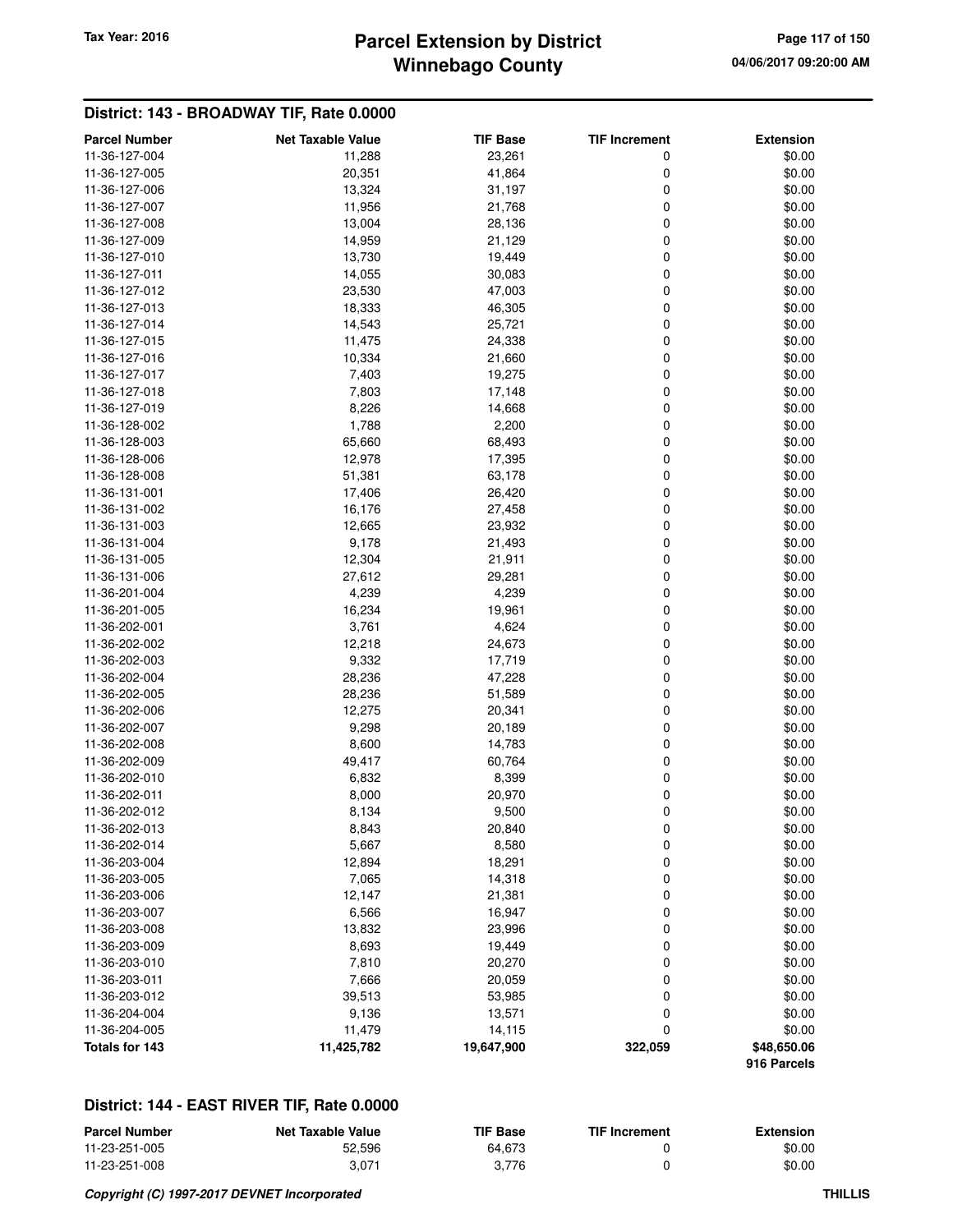# **Winnebago County Parcel Extension by District Tax Year: 2016 Page 117 of 150**

### **District: 143 - BROADWAY TIF, Rate 0.0000**

| <b>Parcel Number</b> | <b>Net Taxable Value</b> | <b>TIF Base</b> | <b>TIF Increment</b> | <b>Extension</b>           |
|----------------------|--------------------------|-----------------|----------------------|----------------------------|
| 11-36-127-004        | 11,288                   | 23,261          | 0                    | \$0.00                     |
| 11-36-127-005        | 20,351                   | 41,864          | 0                    | \$0.00                     |
| 11-36-127-006        | 13,324                   | 31,197          | 0                    | \$0.00                     |
| 11-36-127-007        | 11,956                   | 21,768          | 0                    | \$0.00                     |
| 11-36-127-008        | 13,004                   | 28,136          | 0                    | \$0.00                     |
| 11-36-127-009        | 14,959                   | 21,129          | 0                    | \$0.00                     |
| 11-36-127-010        | 13,730                   | 19,449          | 0                    | \$0.00                     |
| 11-36-127-011        | 14,055                   | 30,083          | 0                    | \$0.00                     |
| 11-36-127-012        | 23,530                   | 47,003          | 0                    | \$0.00                     |
| 11-36-127-013        | 18,333                   | 46,305          | 0                    | \$0.00                     |
| 11-36-127-014        | 14,543                   | 25,721          | 0                    | \$0.00                     |
| 11-36-127-015        | 11,475                   | 24,338          | 0                    | \$0.00                     |
| 11-36-127-016        | 10,334                   | 21,660          | 0                    | \$0.00                     |
| 11-36-127-017        | 7,403                    | 19,275          | 0                    | \$0.00                     |
| 11-36-127-018        | 7,803                    | 17,148          | 0                    | \$0.00                     |
| 11-36-127-019        | 8,226                    | 14,668          | 0                    | \$0.00                     |
| 11-36-128-002        | 1,788                    | 2,200           | 0                    | \$0.00                     |
| 11-36-128-003        | 65,660                   | 68,493          | 0                    | \$0.00                     |
| 11-36-128-006        | 12,978                   | 17,395          | 0                    | \$0.00                     |
| 11-36-128-008        | 51,381                   | 63,178          | 0                    | \$0.00                     |
| 11-36-131-001        | 17,406                   | 26,420          | 0                    | \$0.00                     |
| 11-36-131-002        | 16,176                   | 27,458          | 0                    | \$0.00                     |
| 11-36-131-003        | 12,665                   | 23,932          | 0                    | \$0.00                     |
| 11-36-131-004        | 9,178                    | 21,493          | 0                    | \$0.00                     |
| 11-36-131-005        | 12,304                   | 21,911          | 0                    | \$0.00                     |
| 11-36-131-006        | 27,612                   | 29,281          | 0                    | \$0.00                     |
| 11-36-201-004        | 4,239                    | 4,239           | 0                    | \$0.00                     |
| 11-36-201-005        | 16,234                   | 19,961          | 0                    | \$0.00                     |
| 11-36-202-001        | 3,761                    | 4,624           | 0                    | \$0.00                     |
| 11-36-202-002        | 12,218                   | 24,673          | 0                    | \$0.00                     |
| 11-36-202-003        | 9,332                    | 17,719          | 0                    | \$0.00                     |
| 11-36-202-004        | 28,236                   | 47,228          | 0                    | \$0.00                     |
| 11-36-202-005        | 28,236                   | 51,589          | 0                    | \$0.00                     |
| 11-36-202-006        | 12,275                   | 20,341          | 0                    | \$0.00                     |
| 11-36-202-007        | 9,298                    | 20,189          | 0                    | \$0.00                     |
| 11-36-202-008        | 8,600                    | 14,783          | 0                    | \$0.00                     |
| 11-36-202-009        | 49,417                   | 60,764          | 0                    | \$0.00                     |
| 11-36-202-010        | 6,832                    | 8,399           | 0                    | \$0.00                     |
| 11-36-202-011        | 8,000                    | 20,970          | 0                    | \$0.00                     |
| 11-36-202-012        | 8,134                    | 9,500           | 0                    | \$0.00                     |
| 11-36-202-013        |                          |                 |                      | \$0.00                     |
| 11-36-202-014        | 8,843                    | 20,840          | 0                    |                            |
| 11-36-203-004        | 5,667                    | 8,580<br>18,291 | 0                    | \$0.00<br>\$0.00           |
|                      | 12,894                   |                 | 0                    |                            |
| 11-36-203-005        | 7,065                    | 14,318          | 0                    | \$0.00                     |
| 11-36-203-006        | 12,147                   | 21,381          | 0                    | \$0.00                     |
| 11-36-203-007        | 6,566                    | 16,947          | 0                    | \$0.00                     |
| 11-36-203-008        | 13,832                   | 23,996          | 0                    | \$0.00                     |
| 11-36-203-009        | 8,693                    | 19,449          | 0                    | \$0.00                     |
| 11-36-203-010        | 7,810                    | 20,270          | 0                    | \$0.00                     |
| 11-36-203-011        | 7,666                    | 20,059          | 0                    | \$0.00                     |
| 11-36-203-012        | 39,513                   | 53,985          | 0                    | \$0.00                     |
| 11-36-204-004        | 9,136                    | 13,571          | 0                    | \$0.00                     |
| 11-36-204-005        | 11,479                   | 14,115          | 0                    | \$0.00                     |
| Totals for 143       | 11,425,782               | 19,647,900      | 322,059              | \$48,650.06<br>916 Parcels |

| <b>Parcel Number</b> | <b>Net Taxable Value</b> | TIF Base | <b>TIF Increment</b> | Extension |
|----------------------|--------------------------|----------|----------------------|-----------|
| 11-23-251-005        | 52.596                   | 64.673   |                      | \$0.00    |
| 11-23-251-008        | 3.071                    | 3.776    |                      | \$0.00    |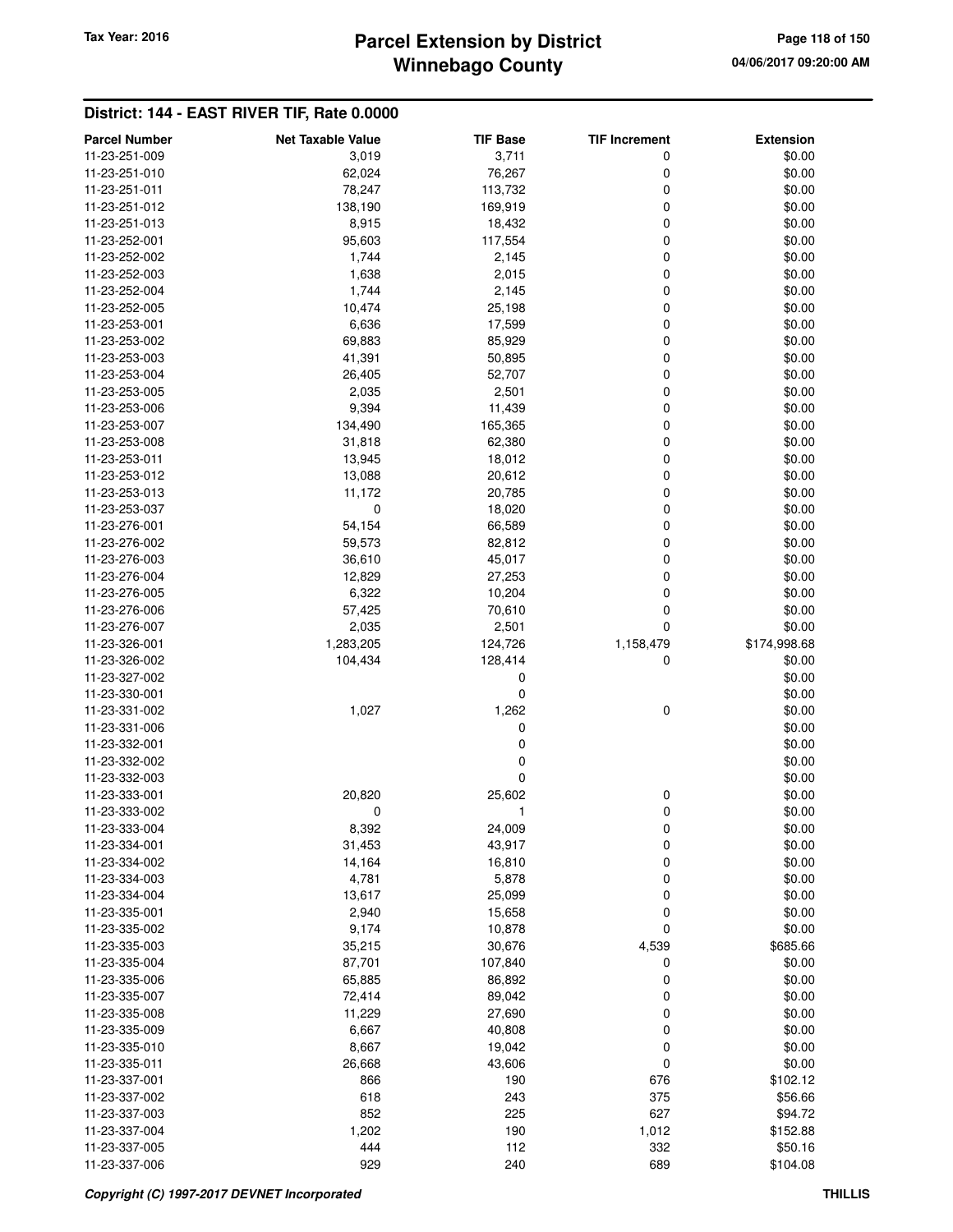# **Winnebago County Parcel Extension by District Tax Year: 2016 Page 118 of 150**

| <b>Parcel Number</b>           | <b>Net Taxable Value</b> | <b>TIF Base</b>   | <b>TIF Increment</b> | <b>Extension</b> |
|--------------------------------|--------------------------|-------------------|----------------------|------------------|
| 11-23-251-009                  | 3,019                    | 3,711             | 0                    | \$0.00           |
| 11-23-251-010                  | 62,024                   | 76,267            | 0                    | \$0.00           |
| 11-23-251-011                  | 78,247                   | 113,732           | 0                    | \$0.00           |
| 11-23-251-012                  | 138,190                  | 169,919           | 0                    | \$0.00           |
| 11-23-251-013                  | 8,915                    | 18,432            | 0                    | \$0.00           |
| 11-23-252-001                  | 95,603                   | 117,554           | 0                    | \$0.00           |
| 11-23-252-002                  | 1,744                    | 2,145             | 0                    | \$0.00           |
| 11-23-252-003                  | 1,638                    | 2,015             | 0                    | \$0.00           |
| 11-23-252-004                  | 1,744                    | 2,145             | 0                    | \$0.00           |
| 11-23-252-005                  | 10,474                   | 25,198            | 0                    | \$0.00           |
| 11-23-253-001                  | 6,636                    | 17,599            | 0                    | \$0.00           |
| 11-23-253-002                  | 69,883                   | 85,929            | 0                    | \$0.00           |
| 11-23-253-003                  | 41,391                   | 50,895            | 0                    | \$0.00           |
| 11-23-253-004                  | 26,405                   | 52,707            | 0                    | \$0.00           |
| 11-23-253-005                  | 2,035                    | 2,501             | 0                    | \$0.00           |
| 11-23-253-006                  | 9,394                    | 11,439            | 0                    | \$0.00<br>\$0.00 |
| 11-23-253-007<br>11-23-253-008 | 134,490<br>31,818        | 165,365<br>62,380 | 0<br>0               | \$0.00           |
| 11-23-253-011                  | 13,945                   | 18,012            | 0                    | \$0.00           |
| 11-23-253-012                  | 13,088                   | 20,612            | 0                    | \$0.00           |
| 11-23-253-013                  | 11,172                   | 20,785            | 0                    | \$0.00           |
| 11-23-253-037                  | $\mathbf 0$              | 18,020            | 0                    | \$0.00           |
| 11-23-276-001                  | 54,154                   | 66,589            | 0                    | \$0.00           |
| 11-23-276-002                  | 59,573                   | 82,812            | 0                    | \$0.00           |
| 11-23-276-003                  | 36,610                   | 45,017            | 0                    | \$0.00           |
| 11-23-276-004                  | 12,829                   | 27,253            | 0                    | \$0.00           |
| 11-23-276-005                  | 6,322                    | 10,204            | 0                    | \$0.00           |
| 11-23-276-006                  | 57,425                   | 70,610            | 0                    | \$0.00           |
| 11-23-276-007                  | 2,035                    | 2,501             | 0                    | \$0.00           |
| 11-23-326-001                  | 1,283,205                | 124,726           | 1,158,479            | \$174,998.68     |
| 11-23-326-002                  | 104,434                  | 128,414           | 0                    | \$0.00           |
| 11-23-327-002                  |                          | 0                 |                      | \$0.00           |
| 11-23-330-001                  |                          | 0                 |                      | \$0.00           |
| 11-23-331-002                  | 1,027                    | 1,262             | 0                    | \$0.00           |
| 11-23-331-006                  |                          | 0                 |                      | \$0.00           |
| 11-23-332-001                  |                          | 0                 |                      | \$0.00           |
| 11-23-332-002                  |                          | 0                 |                      | \$0.00           |
| 11-23-332-003                  |                          | 0                 |                      | \$0.00           |
| 11-23-333-001                  | 20,820                   | 25,602            | 0                    | \$0.00           |
| 11-23-333-002                  | 0                        | 1                 | 0                    | \$0.00           |
| 11-23-333-004                  | 8,392                    | 24,009            | 0                    | \$0.00           |
| 11-23-334-001                  | 31,453                   | 43,917            | 0                    | \$0.00           |
| 11-23-334-002                  | 14,164                   | 16,810            | 0                    | \$0.00           |
| 11-23-334-003<br>11-23-334-004 | 4,781                    | 5,878             | 0                    | \$0.00           |
| 11-23-335-001                  | 13,617<br>2,940          | 25,099<br>15,658  | 0<br>0               | \$0.00<br>\$0.00 |
| 11-23-335-002                  | 9,174                    | 10,878            | 0                    | \$0.00           |
| 11-23-335-003                  | 35,215                   | 30,676            | 4,539                | \$685.66         |
| 11-23-335-004                  | 87,701                   | 107,840           | 0                    | \$0.00           |
| 11-23-335-006                  | 65,885                   | 86,892            | 0                    | \$0.00           |
| 11-23-335-007                  | 72,414                   | 89,042            | 0                    | \$0.00           |
| 11-23-335-008                  | 11,229                   | 27,690            | 0                    | \$0.00           |
| 11-23-335-009                  | 6,667                    | 40,808            | 0                    | \$0.00           |
| 11-23-335-010                  | 8,667                    | 19,042            | 0                    | \$0.00           |
| 11-23-335-011                  | 26,668                   | 43,606            | 0                    | \$0.00           |
| 11-23-337-001                  | 866                      | 190               | 676                  | \$102.12         |
| 11-23-337-002                  | 618                      | 243               | 375                  | \$56.66          |
| 11-23-337-003                  | 852                      | 225               | 627                  | \$94.72          |
| 11-23-337-004                  | 1,202                    | 190               | 1,012                | \$152.88         |
| 11-23-337-005                  | 444                      | 112               | 332                  | \$50.16          |
| 11-23-337-006                  | 929                      | 240               | 689                  | \$104.08         |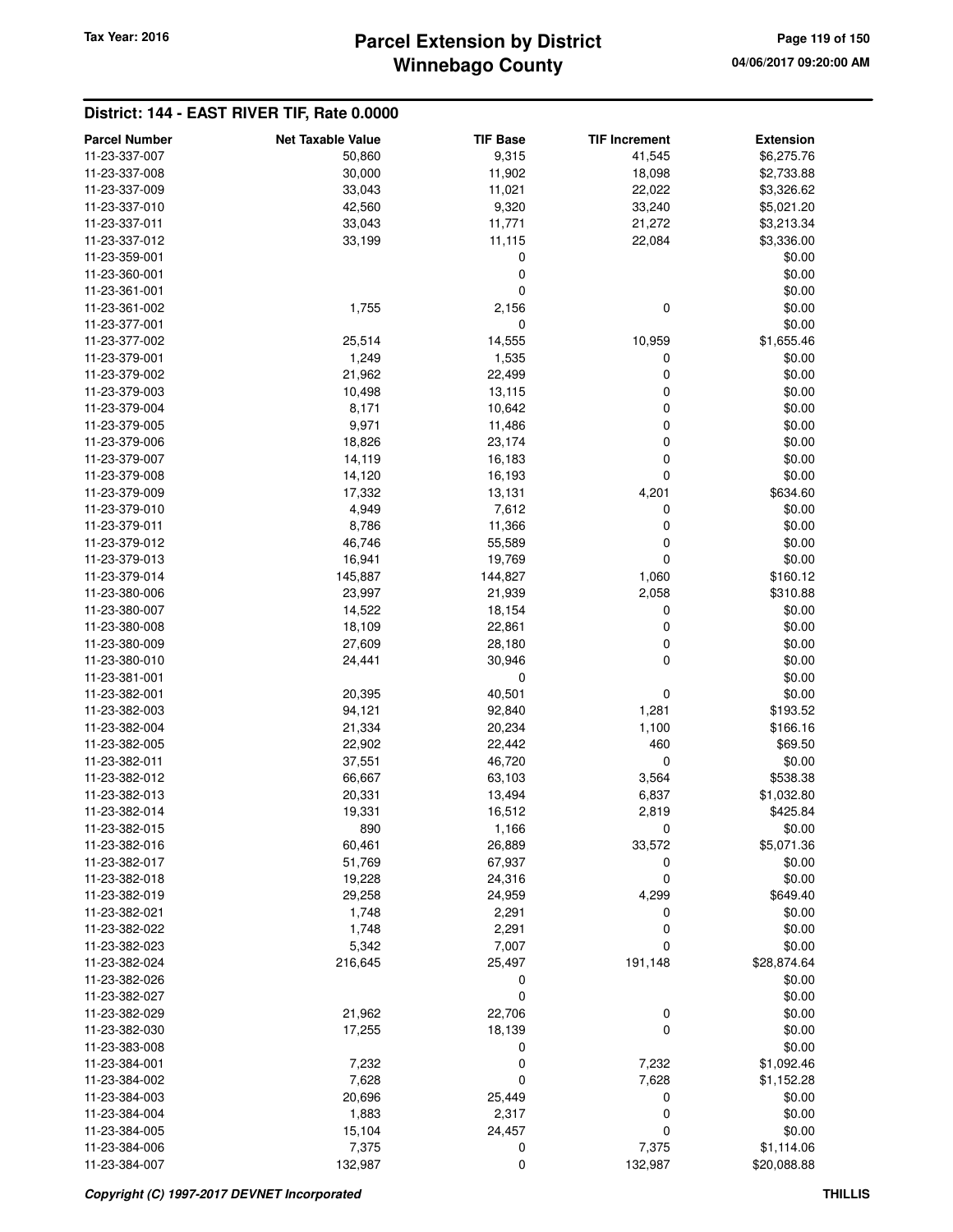# **Winnebago County Parcel Extension by District Tax Year: 2016 Page 119 of 150**

| <b>Parcel Number</b> | <b>Net Taxable Value</b> | <b>TIF Base</b> | <b>TIF Increment</b> | <b>Extension</b> |
|----------------------|--------------------------|-----------------|----------------------|------------------|
| 11-23-337-007        | 50,860                   | 9,315           | 41,545               | \$6,275.76       |
| 11-23-337-008        | 30,000                   | 11,902          | 18,098               | \$2,733.88       |
| 11-23-337-009        | 33,043                   | 11,021          | 22,022               | \$3,326.62       |
| 11-23-337-010        | 42,560                   | 9,320           | 33,240               | \$5,021.20       |
| 11-23-337-011        | 33,043                   | 11,771          | 21,272               | \$3,213.34       |
| 11-23-337-012        | 33,199                   | 11,115          | 22,084               | \$3,336.00       |
| 11-23-359-001        |                          | 0               |                      | \$0.00           |
| 11-23-360-001        |                          | $\mathbf 0$     |                      | \$0.00           |
| 11-23-361-001        |                          | 0               |                      | \$0.00           |
| 11-23-361-002        | 1,755                    | 2,156           | $\mathbf 0$          | \$0.00           |
| 11-23-377-001        |                          | $\mathbf 0$     |                      | \$0.00           |
| 11-23-377-002        | 25,514                   | 14,555          | 10,959               | \$1,655.46       |
| 11-23-379-001        | 1,249                    | 1,535           | 0                    | \$0.00           |
| 11-23-379-002        | 21,962                   | 22,499          | 0                    | \$0.00           |
| 11-23-379-003        | 10,498                   | 13,115          | $\mathbf 0$          | \$0.00           |
| 11-23-379-004        | 8,171                    | 10,642          | 0                    | \$0.00           |
| 11-23-379-005        | 9,971                    | 11,486          | 0                    | \$0.00           |
| 11-23-379-006        | 18,826                   | 23,174          | 0                    | \$0.00           |
| 11-23-379-007        | 14,119                   | 16,183          | $\mathbf 0$          | \$0.00           |
| 11-23-379-008        | 14,120                   | 16,193          | $\mathbf 0$          | \$0.00           |
| 11-23-379-009        | 17,332                   | 13,131          | 4,201                | \$634.60         |
| 11-23-379-010        | 4,949                    | 7,612           | 0                    | \$0.00           |
| 11-23-379-011        | 8,786                    | 11,366          | $\mathbf 0$          | \$0.00           |
| 11-23-379-012        | 46,746                   | 55,589          | 0                    | \$0.00           |
| 11-23-379-013        | 16,941                   | 19,769          | $\mathbf 0$          | \$0.00           |
| 11-23-379-014        |                          | 144,827         |                      | \$160.12         |
|                      | 145,887                  |                 | 1,060                |                  |
| 11-23-380-006        | 23,997                   | 21,939          | 2,058                | \$310.88         |
| 11-23-380-007        | 14,522                   | 18,154          | 0                    | \$0.00           |
| 11-23-380-008        | 18,109                   | 22,861          | 0                    | \$0.00           |
| 11-23-380-009        | 27,609                   | 28,180          | 0                    | \$0.00           |
| 11-23-380-010        | 24,441                   | 30,946          | $\mathbf 0$          | \$0.00           |
| 11-23-381-001        |                          | 0               |                      | \$0.00           |
| 11-23-382-001        | 20,395                   | 40,501          | 0                    | \$0.00           |
| 11-23-382-003        | 94,121                   | 92,840          | 1,281                | \$193.52         |
| 11-23-382-004        | 21,334                   | 20,234          | 1,100                | \$166.16         |
| 11-23-382-005        | 22,902                   | 22,442          | 460                  | \$69.50          |
| 11-23-382-011        | 37,551                   | 46,720          | $\mathbf 0$          | \$0.00           |
| 11-23-382-012        | 66,667                   | 63,103          | 3,564                | \$538.38         |
| 11-23-382-013        | 20,331                   | 13,494          | 6,837                | \$1,032.80       |
| 11-23-382-014        | 19,331                   | 16,512          | 2,819                | \$425.84         |
| 11-23-382-015        | 890                      | 1,166           | 0                    | \$0.00           |
| 11-23-382-016        | 60,461                   | 26,889          | 33,572               | \$5,071.36       |
| 11-23-382-017        | 51,769                   | 67,937          | 0                    | \$0.00           |
| 11-23-382-018        | 19,228                   | 24,316          | 0                    | \$0.00           |
| 11-23-382-019        | 29,258                   | 24,959          | 4,299                | \$649.40         |
| 11-23-382-021        | 1,748                    | 2,291           | 0                    | \$0.00           |
| 11-23-382-022        | 1,748                    | 2,291           | 0                    | \$0.00           |
| 11-23-382-023        | 5,342                    | 7,007           | 0                    | \$0.00           |
| 11-23-382-024        | 216,645                  | 25,497          | 191,148              | \$28,874.64      |
| 11-23-382-026        |                          | 0               |                      | \$0.00           |
| 11-23-382-027        |                          | $\mathbf 0$     |                      | \$0.00           |
| 11-23-382-029        | 21,962                   | 22,706          | 0                    | \$0.00           |
| 11-23-382-030        | 17,255                   | 18,139          | $\mathbf 0$          | \$0.00           |
| 11-23-383-008        |                          | 0               |                      | \$0.00           |
| 11-23-384-001        | 7,232                    | 0               | 7,232                | \$1,092.46       |
| 11-23-384-002        | 7,628                    | 0               | 7,628                | \$1,152.28       |
| 11-23-384-003        | 20,696                   | 25,449          | 0                    | \$0.00           |
| 11-23-384-004        | 1,883                    | 2,317           | 0                    | \$0.00           |
| 11-23-384-005        | 15,104                   | 24,457          | 0                    | \$0.00           |
| 11-23-384-006        | 7,375                    | 0               | 7,375                | \$1,114.06       |
| 11-23-384-007        | 132,987                  | 0               | 132,987              | \$20,088.88      |
|                      |                          |                 |                      |                  |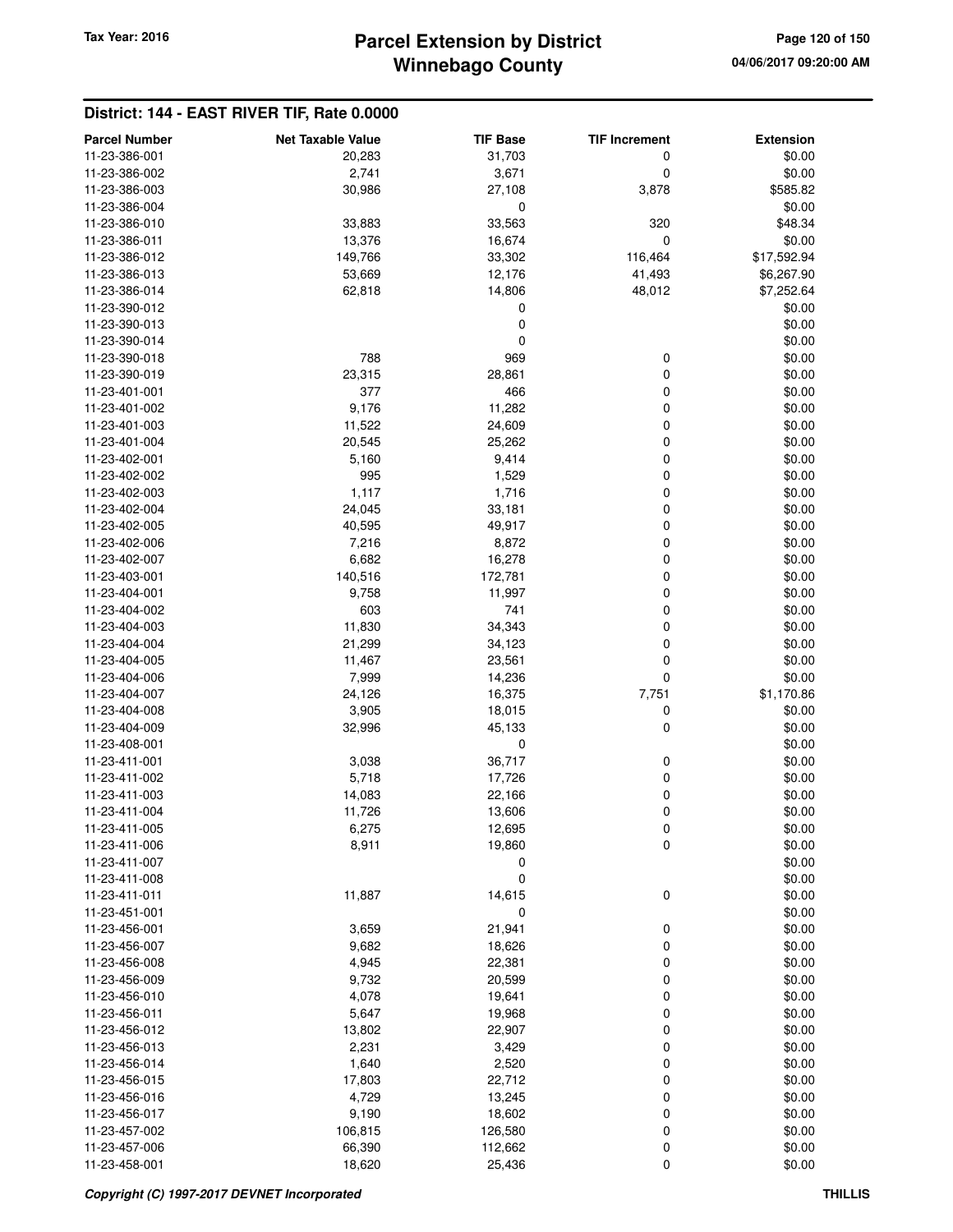### **Winnebago County Parcel Extension by District Tax Year: 2016 Page 120 of 150**

| <b>Parcel Number</b> | <b>Net Taxable Value</b> | <b>TIF Base</b> | <b>TIF Increment</b> | <b>Extension</b> |
|----------------------|--------------------------|-----------------|----------------------|------------------|
| 11-23-386-001        | 20,283                   | 31,703          | 0                    | \$0.00           |
| 11-23-386-002        | 2,741                    | 3,671           | 0                    | \$0.00           |
| 11-23-386-003        | 30,986                   | 27,108          | 3,878                | \$585.82         |
| 11-23-386-004        |                          | 0               |                      | \$0.00           |
| 11-23-386-010        | 33,883                   | 33,563          | 320                  | \$48.34          |
| 11-23-386-011        | 13,376                   | 16,674          | 0                    | \$0.00           |
| 11-23-386-012        | 149,766                  | 33,302          | 116,464              | \$17,592.94      |
| 11-23-386-013        | 53,669                   | 12,176          | 41,493               | \$6,267.90       |
| 11-23-386-014        | 62,818                   | 14,806          | 48,012               | \$7,252.64       |
| 11-23-390-012        |                          | 0               |                      | \$0.00           |
| 11-23-390-013        |                          | 0               |                      | \$0.00           |
| 11-23-390-014        |                          | $\pmb{0}$       |                      | \$0.00           |
| 11-23-390-018        | 788                      | 969             | 0                    | \$0.00           |
| 11-23-390-019        | 23,315                   | 28,861          | 0                    | \$0.00           |
| 11-23-401-001        | 377                      | 466             | 0                    | \$0.00           |
| 11-23-401-002        | 9,176                    | 11,282          | 0                    | \$0.00           |
| 11-23-401-003        | 11,522                   | 24,609          | 0                    | \$0.00           |
| 11-23-401-004        | 20,545                   | 25,262          | 0                    | \$0.00           |
| 11-23-402-001        | 5,160                    | 9,414           | 0                    | \$0.00           |
| 11-23-402-002        | 995                      | 1,529           | 0                    | \$0.00           |
| 11-23-402-003        | 1,117                    | 1,716           | 0                    | \$0.00           |
| 11-23-402-004        | 24,045                   | 33,181          | 0                    | \$0.00           |
| 11-23-402-005        | 40,595                   | 49,917          | 0                    | \$0.00           |
| 11-23-402-006        | 7,216                    | 8,872           | 0                    | \$0.00           |
| 11-23-402-007        | 6,682                    | 16,278          | 0                    | \$0.00           |
| 11-23-403-001        | 140,516                  | 172,781         | 0                    | \$0.00           |
| 11-23-404-001        | 9,758                    | 11,997          | 0                    | \$0.00           |
| 11-23-404-002        | 603                      | 741             | 0                    | \$0.00           |
| 11-23-404-003        | 11,830                   | 34,343          | 0                    | \$0.00           |
| 11-23-404-004        | 21,299                   | 34,123          | 0                    | \$0.00           |
| 11-23-404-005        | 11,467                   | 23,561          | 0                    | \$0.00           |
| 11-23-404-006        | 7,999                    | 14,236          | 0                    | \$0.00           |
| 11-23-404-007        | 24,126                   | 16,375          | 7,751                | \$1,170.86       |
| 11-23-404-008        | 3,905                    | 18,015          | 0                    | \$0.00           |
| 11-23-404-009        | 32,996                   | 45,133          | 0                    | \$0.00           |
| 11-23-408-001        |                          | 0               |                      | \$0.00           |
| 11-23-411-001        | 3,038                    | 36,717          | 0                    | \$0.00           |
| 11-23-411-002        | 5,718                    | 17,726          | 0                    | \$0.00           |
| 11-23-411-003        | 14,083                   | 22,166          | 0                    | \$0.00           |
| 11-23-411-004        | 11,726                   | 13,606          | 0                    | \$0.00           |
| 11-23-411-005        | 6,275                    | 12,695          | 0                    | \$0.00           |
| 11-23-411-006        | 8,911                    | 19,860          | 0                    | \$0.00           |
| 11-23-411-007        |                          | 0               |                      | \$0.00           |
| 11-23-411-008        |                          | $\mathbf 0$     |                      | \$0.00           |
| 11-23-411-011        | 11,887                   | 14,615          | 0                    | \$0.00           |
| 11-23-451-001        |                          | 0               |                      | \$0.00           |
| 11-23-456-001        | 3,659                    | 21,941          | 0                    | \$0.00           |
| 11-23-456-007        | 9,682                    | 18,626          | 0                    | \$0.00           |
| 11-23-456-008        | 4,945                    | 22,381          | 0                    | \$0.00           |
| 11-23-456-009        | 9,732                    | 20,599          | 0                    | \$0.00           |
| 11-23-456-010        | 4,078                    | 19,641          | 0                    | \$0.00           |
| 11-23-456-011        | 5,647                    | 19,968          | 0                    | \$0.00           |
| 11-23-456-012        | 13,802                   | 22,907          | 0                    | \$0.00           |
| 11-23-456-013        | 2,231                    | 3,429           | 0                    | \$0.00           |
| 11-23-456-014        | 1,640                    | 2,520           | 0                    | \$0.00           |
| 11-23-456-015        | 17,803                   | 22,712          | 0                    | \$0.00           |
| 11-23-456-016        | 4,729                    | 13,245          | 0                    | \$0.00           |
| 11-23-456-017        | 9,190                    | 18,602          | 0                    | \$0.00           |
| 11-23-457-002        | 106,815                  | 126,580         | 0                    | \$0.00           |
| 11-23-457-006        | 66,390                   | 112,662         | 0                    | \$0.00           |
| 11-23-458-001        | 18,620                   | 25,436          | 0                    | \$0.00           |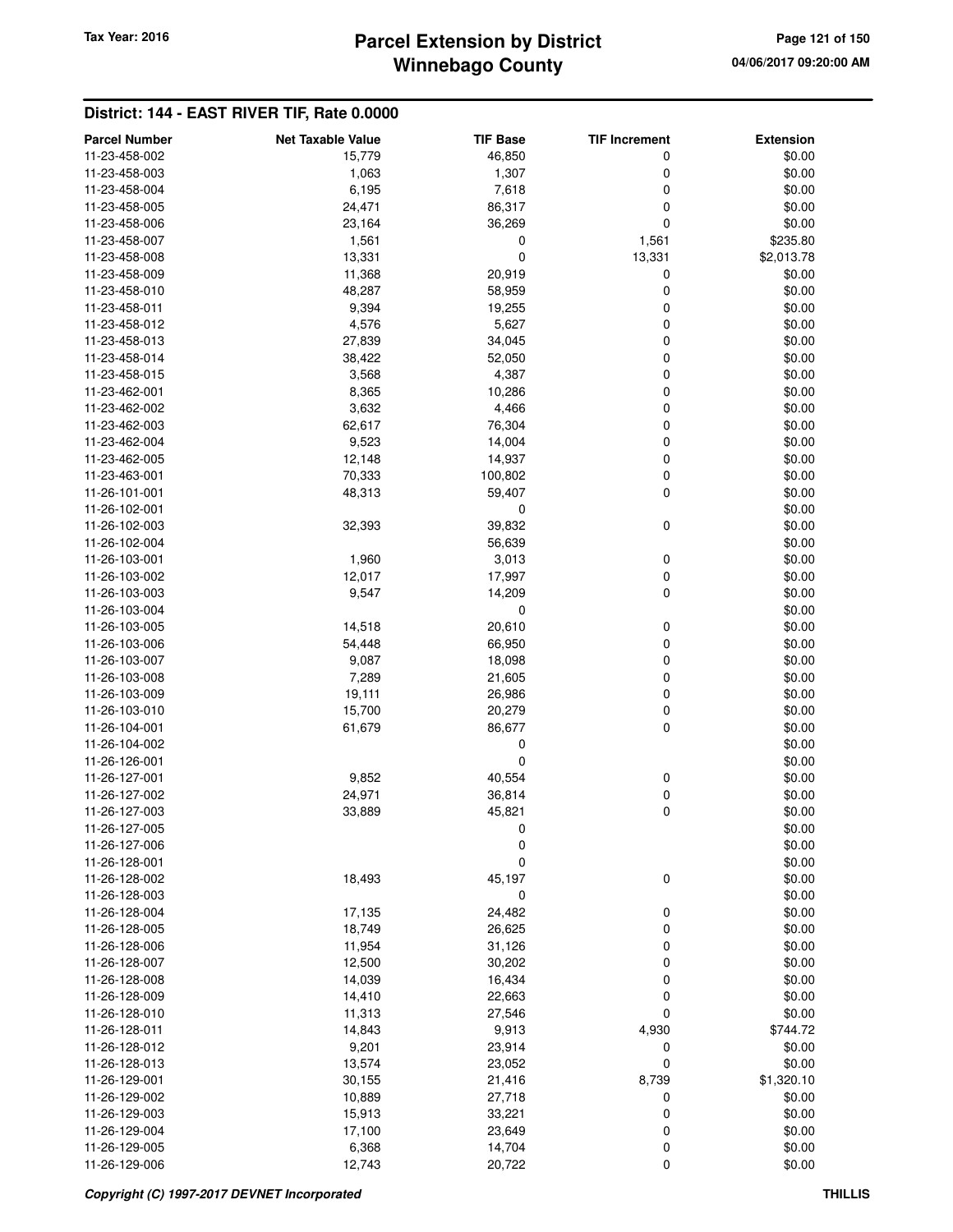# **Winnebago County** Tax Year: 2016 **Parcel Extension by District Page 121 of 150**

| <b>Parcel Number</b> | <b>Net Taxable Value</b> | <b>TIF Base</b> | <b>TIF Increment</b> | <b>Extension</b> |
|----------------------|--------------------------|-----------------|----------------------|------------------|
| 11-23-458-002        | 15,779                   | 46,850          | 0                    | \$0.00           |
| 11-23-458-003        | 1,063                    | 1,307           | 0                    | \$0.00           |
| 11-23-458-004        | 6,195                    | 7,618           | 0                    | \$0.00           |
| 11-23-458-005        | 24,471                   | 86,317          | 0                    | \$0.00           |
| 11-23-458-006        | 23,164                   | 36,269          | 0                    | \$0.00           |
| 11-23-458-007        | 1,561                    | 0               | 1,561                | \$235.80         |
| 11-23-458-008        | 13,331                   | 0               | 13,331               | \$2,013.78       |
| 11-23-458-009        | 11,368                   | 20,919          | 0                    | \$0.00           |
| 11-23-458-010        | 48,287                   | 58,959          | 0                    | \$0.00           |
| 11-23-458-011        | 9,394                    | 19,255          | 0                    | \$0.00           |
| 11-23-458-012        | 4,576                    | 5,627           | 0                    | \$0.00           |
| 11-23-458-013        | 27,839                   | 34,045          | 0                    | \$0.00           |
| 11-23-458-014        | 38,422                   | 52,050          | 0                    | \$0.00           |
| 11-23-458-015        | 3,568                    | 4,387           | 0                    | \$0.00           |
| 11-23-462-001        | 8,365                    | 10,286          | 0                    | \$0.00           |
| 11-23-462-002        | 3,632                    | 4,466           | 0                    | \$0.00           |
| 11-23-462-003        | 62,617                   | 76,304          | 0                    | \$0.00           |
| 11-23-462-004        | 9,523                    | 14,004          | 0                    | \$0.00           |
| 11-23-462-005        | 12,148                   | 14,937          | 0                    | \$0.00           |
| 11-23-463-001        | 70,333                   | 100,802         | 0                    | \$0.00           |
| 11-26-101-001        | 48,313                   | 59,407          | 0                    | \$0.00           |
| 11-26-102-001        |                          | 0               |                      | \$0.00           |
| 11-26-102-003        | 32,393                   | 39,832          | 0                    | \$0.00           |
| 11-26-102-004        |                          | 56,639          |                      | \$0.00           |
| 11-26-103-001        | 1,960                    | 3,013           | 0                    | \$0.00           |
| 11-26-103-002        | 12,017                   | 17,997          | 0                    | \$0.00           |
| 11-26-103-003        | 9,547                    | 14,209          | 0                    | \$0.00           |
| 11-26-103-004        |                          | 0               |                      | \$0.00           |
| 11-26-103-005        | 14,518                   | 20,610          | 0                    | \$0.00           |
| 11-26-103-006        | 54,448                   | 66,950          | 0                    | \$0.00           |
| 11-26-103-007        | 9,087                    | 18,098          | 0                    | \$0.00           |
| 11-26-103-008        | 7,289                    | 21,605          | 0                    | \$0.00           |
| 11-26-103-009        | 19,111                   | 26,986          | 0                    | \$0.00           |
| 11-26-103-010        | 15,700                   | 20,279          | 0                    | \$0.00           |
| 11-26-104-001        | 61,679                   | 86,677          | 0                    | \$0.00           |
| 11-26-104-002        |                          | 0               |                      | \$0.00           |
| 11-26-126-001        |                          | 0               |                      | \$0.00           |
| 11-26-127-001        | 9,852                    | 40,554          | 0                    | \$0.00           |
| 11-26-127-002        | 24,971                   | 36,814          | 0                    | \$0.00           |
| 11-26-127-003        | 33,889                   | 45,821          | 0                    | \$0.00           |
| 11-26-127-005        |                          | 0               |                      | \$0.00           |
| 11-26-127-006        |                          | 0               |                      | \$0.00           |
| 11-26-128-001        |                          | 0               |                      | \$0.00           |
| 11-26-128-002        | 18,493                   | 45,197          | 0                    | \$0.00           |
| 11-26-128-003        |                          | 0               |                      | \$0.00           |
| 11-26-128-004        | 17,135                   | 24,482          | 0                    | \$0.00           |
| 11-26-128-005        | 18,749                   | 26,625          | 0                    | \$0.00           |
| 11-26-128-006        | 11,954                   | 31,126          | 0                    | \$0.00           |
| 11-26-128-007        | 12,500                   | 30,202          | 0                    | \$0.00           |
| 11-26-128-008        | 14,039                   | 16,434          | 0                    | \$0.00           |
| 11-26-128-009        | 14,410                   | 22,663          | 0                    | \$0.00           |
| 11-26-128-010        | 11,313                   | 27,546          | 0                    | \$0.00           |
| 11-26-128-011        | 14,843                   | 9,913           | 4,930                | \$744.72         |
| 11-26-128-012        | 9,201                    | 23,914          | 0                    | \$0.00           |
| 11-26-128-013        | 13,574                   | 23,052          | 0                    | \$0.00           |
| 11-26-129-001        | 30,155                   | 21,416          | 8,739                | \$1,320.10       |
| 11-26-129-002        | 10,889                   | 27,718          | 0                    | \$0.00           |
| 11-26-129-003        | 15,913                   | 33,221          | 0                    | \$0.00           |
| 11-26-129-004        | 17,100                   | 23,649          | 0                    | \$0.00           |
| 11-26-129-005        | 6,368                    | 14,704          | 0                    | \$0.00           |
| 11-26-129-006        | 12,743                   | 20,722          | 0                    | \$0.00           |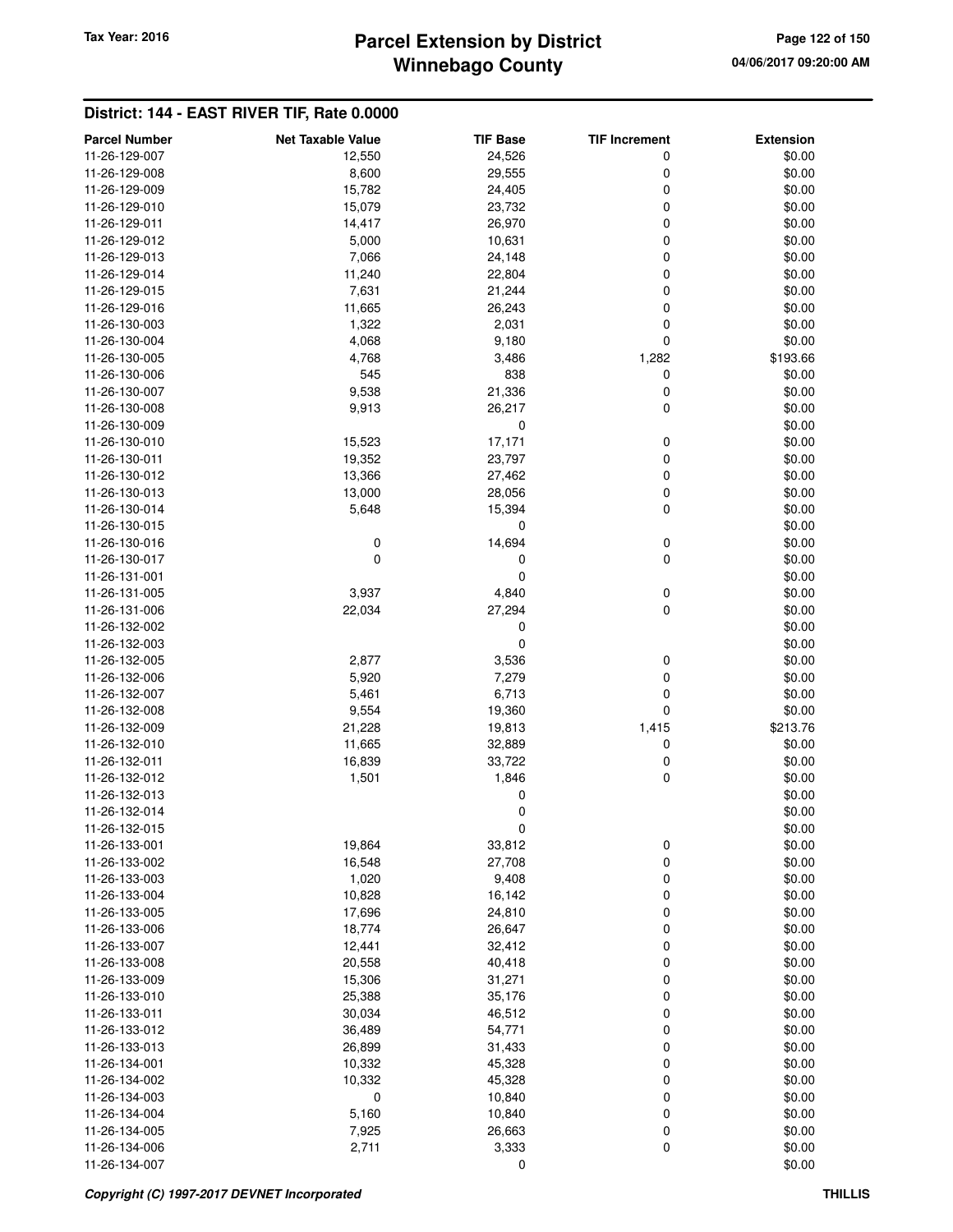### **Winnebago County Parcel Extension by District Tax Year: 2016 Page 122 of 150**

| <b>Parcel Number</b>           | <b>Net Taxable Value</b> | <b>TIF Base</b> | <b>TIF Increment</b> | <b>Extension</b> |
|--------------------------------|--------------------------|-----------------|----------------------|------------------|
| 11-26-129-007                  | 12,550                   | 24,526          | 0                    | \$0.00           |
| 11-26-129-008                  | 8,600                    | 29,555          | 0                    | \$0.00           |
| 11-26-129-009                  | 15,782                   | 24,405          | 0                    | \$0.00           |
| 11-26-129-010                  | 15,079                   | 23,732          | 0                    | \$0.00           |
| 11-26-129-011                  | 14,417                   | 26,970          | 0                    | \$0.00           |
| 11-26-129-012                  | 5,000                    | 10,631          | 0                    | \$0.00           |
| 11-26-129-013                  | 7,066                    | 24,148          | 0                    | \$0.00           |
| 11-26-129-014                  | 11,240                   | 22,804          | 0                    | \$0.00           |
| 11-26-129-015                  | 7,631                    | 21,244          | 0                    | \$0.00           |
| 11-26-129-016                  | 11,665                   | 26,243          | 0                    | \$0.00           |
| 11-26-130-003                  | 1,322                    | 2,031           | 0                    | \$0.00           |
| 11-26-130-004                  | 4,068                    | 9,180           | 0                    | \$0.00           |
| 11-26-130-005                  | 4,768                    | 3,486           | 1,282                | \$193.66         |
| 11-26-130-006                  | 545                      | 838             | 0                    | \$0.00           |
| 11-26-130-007                  | 9,538                    | 21,336          | 0                    | \$0.00           |
| 11-26-130-008                  | 9,913                    | 26,217          | 0                    | \$0.00           |
| 11-26-130-009                  |                          | 0               |                      | \$0.00           |
| 11-26-130-010                  | 15,523                   | 17,171          | 0                    | \$0.00           |
| 11-26-130-011                  | 19,352                   | 23,797          | 0                    | \$0.00           |
| 11-26-130-012                  | 13,366                   | 27,462          | 0                    | \$0.00           |
| 11-26-130-013                  | 13,000                   | 28,056          | 0                    | \$0.00           |
| 11-26-130-014                  | 5,648                    | 15,394          | 0                    | \$0.00           |
| 11-26-130-015                  |                          | 0               |                      | \$0.00           |
| 11-26-130-016                  | 0                        | 14,694          | 0                    | \$0.00           |
| 11-26-130-017                  | $\mathbf 0$              | 0               | 0                    | \$0.00           |
| 11-26-131-001                  |                          | 0               |                      | \$0.00           |
| 11-26-131-005                  | 3,937<br>22,034          | 4,840<br>27,294 | 0<br>$\mathbf 0$     | \$0.00           |
| 11-26-131-006<br>11-26-132-002 |                          | 0               |                      | \$0.00<br>\$0.00 |
| 11-26-132-003                  |                          | 0               |                      | \$0.00           |
| 11-26-132-005                  | 2,877                    | 3,536           | 0                    | \$0.00           |
| 11-26-132-006                  | 5,920                    | 7,279           | 0                    | \$0.00           |
| 11-26-132-007                  | 5,461                    | 6,713           | 0                    | \$0.00           |
| 11-26-132-008                  | 9,554                    | 19,360          | 0                    | \$0.00           |
| 11-26-132-009                  | 21,228                   | 19,813          | 1,415                | \$213.76         |
| 11-26-132-010                  | 11,665                   | 32,889          | 0                    | \$0.00           |
| 11-26-132-011                  | 16,839                   | 33,722          | 0                    | \$0.00           |
| 11-26-132-012                  | 1,501                    | 1,846           | 0                    | \$0.00           |
| 11-26-132-013                  |                          | 0               |                      | \$0.00           |
| 11-26-132-014                  |                          | 0               |                      | \$0.00           |
| 11-26-132-015                  |                          | 0               |                      | \$0.00           |
| 11-26-133-001                  | 19,864                   | 33,812          | 0                    | \$0.00           |
| 11-26-133-002                  | 16,548                   | 27,708          | 0                    | \$0.00           |
| 11-26-133-003                  | 1,020                    | 9,408           | 0                    | \$0.00           |
| 11-26-133-004                  | 10,828                   | 16,142          | 0                    | \$0.00           |
| 11-26-133-005                  | 17,696                   | 24,810          | 0                    | \$0.00           |
| 11-26-133-006                  | 18,774                   | 26,647          | $\mathbf 0$          | \$0.00           |
| 11-26-133-007                  | 12,441                   | 32,412          | 0                    | \$0.00           |
| 11-26-133-008                  | 20,558                   | 40,418          | 0                    | \$0.00           |
| 11-26-133-009                  | 15,306                   | 31,271          | 0                    | \$0.00           |
| 11-26-133-010                  | 25,388                   | 35,176          | 0                    | \$0.00           |
| 11-26-133-011                  | 30,034                   | 46,512          | 0                    | \$0.00           |
| 11-26-133-012                  | 36,489                   | 54,771          | 0                    | \$0.00           |
| 11-26-133-013                  | 26,899                   | 31,433          | 0                    | \$0.00           |
| 11-26-134-001                  | 10,332                   | 45,328          | 0                    | \$0.00           |
| 11-26-134-002                  | 10,332                   | 45,328          | 0                    | \$0.00           |
| 11-26-134-003                  | $\mathbf 0$              | 10,840          | 0                    | \$0.00           |
| 11-26-134-004                  | 5,160                    | 10,840          | 0                    | \$0.00           |
| 11-26-134-005                  | 7,925                    | 26,663          | 0                    | \$0.00           |
| 11-26-134-006                  | 2,711                    | 3,333           | 0                    | \$0.00           |
| 11-26-134-007                  |                          | 0               |                      | \$0.00           |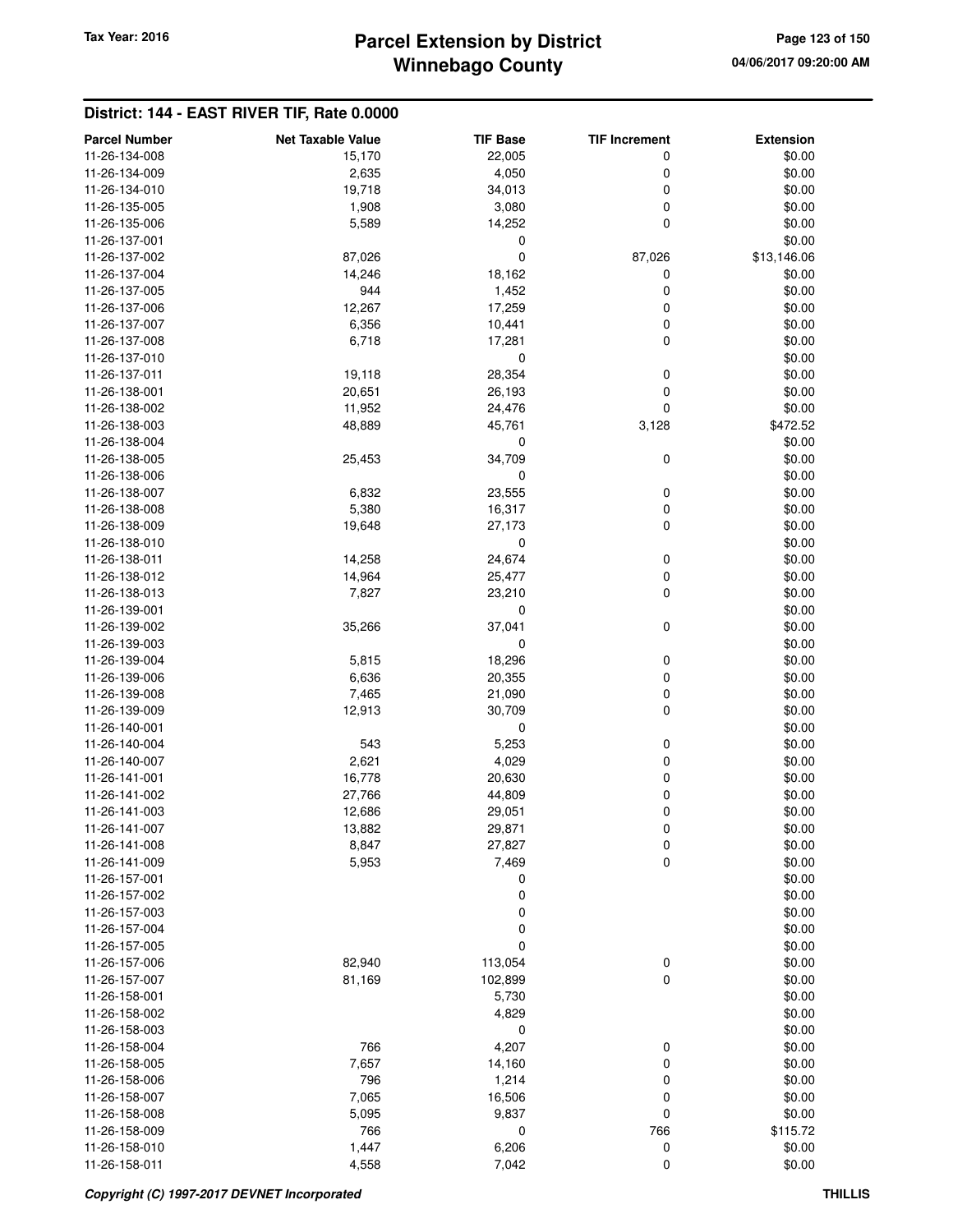# **Winnebago County Parcel Extension by District Tax Year: 2016 Page 123 of 150**

| <b>Parcel Number</b> | <b>Net Taxable Value</b> | <b>TIF Base</b> | <b>TIF Increment</b> | <b>Extension</b> |
|----------------------|--------------------------|-----------------|----------------------|------------------|
| 11-26-134-008        | 15,170                   | 22,005          | 0                    | \$0.00           |
| 11-26-134-009        | 2,635                    | 4,050           | 0                    | \$0.00           |
| 11-26-134-010        | 19,718                   | 34,013          | 0                    | \$0.00           |
| 11-26-135-005        | 1,908                    | 3,080           | 0                    | \$0.00           |
| 11-26-135-006        | 5,589                    | 14,252          | $\mathbf 0$          | \$0.00           |
| 11-26-137-001        |                          | 0               |                      | \$0.00           |
| 11-26-137-002        | 87,026                   | 0               | 87,026               | \$13,146.06      |
| 11-26-137-004        | 14,246                   | 18,162          | 0                    | \$0.00           |
| 11-26-137-005        | 944                      | 1,452           | 0                    | \$0.00           |
| 11-26-137-006        | 12,267                   | 17,259          | 0                    | \$0.00           |
| 11-26-137-007        | 6,356                    | 10,441          | 0                    | \$0.00           |
| 11-26-137-008        | 6,718                    | 17,281          | 0                    | \$0.00           |
| 11-26-137-010        |                          | 0               |                      | \$0.00           |
| 11-26-137-011        | 19,118                   | 28,354          | 0                    | \$0.00           |
| 11-26-138-001        | 20,651                   | 26,193          | 0                    | \$0.00           |
| 11-26-138-002        | 11,952                   | 24,476          | $\mathbf 0$          | \$0.00           |
| 11-26-138-003        | 48,889                   | 45,761          | 3,128                | \$472.52         |
| 11-26-138-004        |                          | 0               |                      | \$0.00           |
| 11-26-138-005        | 25,453                   | 34,709          | 0                    | \$0.00           |
| 11-26-138-006        |                          | 0               |                      | \$0.00           |
| 11-26-138-007        | 6,832                    | 23,555          | 0                    | \$0.00           |
| 11-26-138-008        | 5,380                    | 16,317          | 0                    | \$0.00           |
| 11-26-138-009        | 19,648                   | 27,173          | 0                    | \$0.00           |
| 11-26-138-010        |                          | 0               |                      | \$0.00           |
| 11-26-138-011        | 14,258                   | 24,674          | $\pmb{0}$            | \$0.00           |
| 11-26-138-012        | 14,964                   | 25,477          | 0                    | \$0.00           |
| 11-26-138-013        | 7,827                    | 23,210          | 0                    | \$0.00           |
| 11-26-139-001        |                          | 0               |                      | \$0.00           |
| 11-26-139-002        | 35,266                   | 37,041          | 0                    | \$0.00           |
| 11-26-139-003        |                          | 0               |                      | \$0.00           |
| 11-26-139-004        | 5,815                    | 18,296          | 0                    | \$0.00           |
| 11-26-139-006        | 6,636                    | 20,355          | 0                    | \$0.00           |
| 11-26-139-008        | 7,465                    | 21,090          | 0                    | \$0.00           |
| 11-26-139-009        | 12,913                   | 30,709          | 0                    | \$0.00           |
| 11-26-140-001        |                          | 0               |                      | \$0.00           |
| 11-26-140-004        | 543                      | 5,253           | 0                    | \$0.00           |
| 11-26-140-007        | 2,621                    | 4,029           | 0                    | \$0.00           |
| 11-26-141-001        | 16,778                   | 20,630          | 0                    | \$0.00           |
| 11-26-141-002        | 27,766                   | 44,809          | 0                    | \$0.00           |
| 11-26-141-003        | 12,686                   | 29,051          | 0                    | \$0.00           |
| 11-26-141-007        | 13,882                   | 29,871          | 0                    | \$0.00           |
| 11-26-141-008        | 8,847                    | 27,827          | 0                    | \$0.00           |
| 11-26-141-009        | 5,953                    | 7,469           | 0                    | \$0.00           |
| 11-26-157-001        |                          | 0               |                      | \$0.00           |
| 11-26-157-002        |                          | 0               |                      | \$0.00           |
| 11-26-157-003        |                          | 0               |                      | \$0.00           |
| 11-26-157-004        |                          | 0               |                      | \$0.00           |
| 11-26-157-005        |                          | 0               |                      | \$0.00           |
| 11-26-157-006        | 82,940                   | 113,054         | 0                    | \$0.00           |
| 11-26-157-007        | 81,169                   | 102,899         | 0                    | \$0.00           |
| 11-26-158-001        |                          | 5,730           |                      | \$0.00           |
| 11-26-158-002        |                          | 4,829           |                      | \$0.00           |
| 11-26-158-003        |                          | 0               |                      | \$0.00           |
| 11-26-158-004        | 766                      | 4,207           | 0                    | \$0.00           |
| 11-26-158-005        | 7,657                    | 14,160          | 0                    | \$0.00           |
| 11-26-158-006        | 796                      | 1,214           | 0                    | \$0.00           |
| 11-26-158-007        | 7,065                    | 16,506          | 0                    | \$0.00           |
| 11-26-158-008        | 5,095                    | 9,837           | 0                    | \$0.00           |
| 11-26-158-009        | 766                      | 0               | 766                  | \$115.72         |
| 11-26-158-010        | 1,447                    | 6,206           | 0                    | \$0.00           |
| 11-26-158-011        | 4,558                    | 7,042           | 0                    | \$0.00           |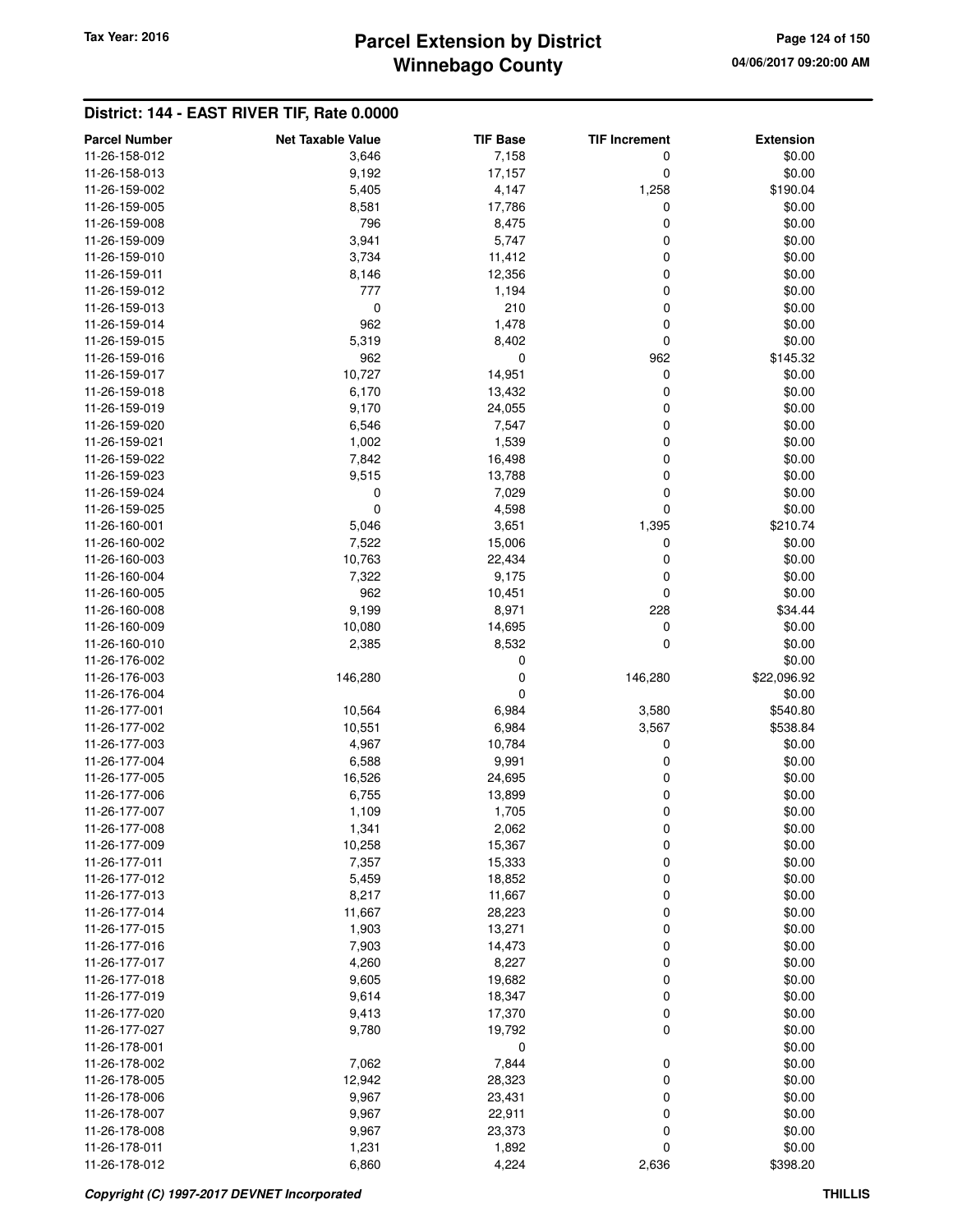# **Winnebago County Parcel Extension by District Tax Year: 2016 Page 124 of 150**

| <b>Parcel Number</b> | <b>Net Taxable Value</b> | <b>TIF Base</b> | <b>TIF Increment</b> | <b>Extension</b> |
|----------------------|--------------------------|-----------------|----------------------|------------------|
| 11-26-158-012        | 3,646                    | 7,158           | 0                    | \$0.00           |
| 11-26-158-013        | 9,192                    | 17,157          | 0                    | \$0.00           |
| 11-26-159-002        | 5,405                    | 4,147           | 1,258                | \$190.04         |
| 11-26-159-005        | 8,581                    | 17,786          | 0                    | \$0.00           |
| 11-26-159-008        | 796                      | 8,475           | 0                    | \$0.00           |
| 11-26-159-009        | 3,941                    | 5,747           | 0                    | \$0.00           |
| 11-26-159-010        | 3,734                    | 11,412          | 0                    | \$0.00           |
| 11-26-159-011        | 8,146                    | 12,356          | 0                    | \$0.00           |
| 11-26-159-012        | 777                      | 1,194           | 0                    | \$0.00           |
| 11-26-159-013        | 0                        | 210             | 0                    | \$0.00           |
| 11-26-159-014        | 962                      | 1,478           | 0                    | \$0.00           |
| 11-26-159-015        | 5,319                    | 8,402           | 0                    | \$0.00           |
| 11-26-159-016        | 962                      | 0               | 962                  | \$145.32         |
| 11-26-159-017        | 10,727                   | 14,951          | 0                    | \$0.00           |
| 11-26-159-018        | 6,170                    | 13,432          | 0                    | \$0.00           |
| 11-26-159-019        | 9,170                    | 24,055          | 0                    | \$0.00           |
| 11-26-159-020        | 6,546                    | 7,547           | 0                    | \$0.00           |
| 11-26-159-021        | 1,002                    | 1,539           | 0                    | \$0.00           |
| 11-26-159-022        | 7,842                    | 16,498          | 0                    | \$0.00           |
| 11-26-159-023        | 9,515                    | 13,788          | 0                    | \$0.00           |
| 11-26-159-024        | 0                        | 7,029           | $\mathbf 0$          | \$0.00           |
| 11-26-159-025        | 0                        | 4,598           | 0                    | \$0.00           |
| 11-26-160-001        | 5,046                    | 3,651           | 1,395                | \$210.74         |
| 11-26-160-002        | 7,522                    | 15,006          | 0                    | \$0.00           |
| 11-26-160-003        | 10,763                   | 22,434          | 0                    | \$0.00           |
| 11-26-160-004        | 7,322                    | 9,175           | 0                    | \$0.00           |
| 11-26-160-005        | 962                      | 10,451          | 0                    | \$0.00           |
| 11-26-160-008        | 9,199                    | 8,971           | 228                  | \$34.44          |
| 11-26-160-009        | 10,080                   | 14,695          | 0                    | \$0.00           |
| 11-26-160-010        | 2,385                    | 8,532           | 0                    | \$0.00           |
| 11-26-176-002        |                          | 0               |                      | \$0.00           |
| 11-26-176-003        | 146,280                  | 0               | 146,280              | \$22,096.92      |
| 11-26-176-004        |                          | 0               |                      | \$0.00           |
| 11-26-177-001        | 10,564                   | 6,984           | 3,580                | \$540.80         |
| 11-26-177-002        | 10,551                   | 6,984           | 3,567                | \$538.84         |
| 11-26-177-003        | 4,967                    | 10,784          | 0                    | \$0.00           |
| 11-26-177-004        | 6,588                    | 9,991           | 0                    | \$0.00           |
| 11-26-177-005        | 16,526                   | 24,695          | 0                    | \$0.00           |
| 11-26-177-006        | 6,755                    | 13,899          | 0                    | \$0.00           |
| 11-26-177-007        | 1,109                    | 1,705           | 0                    | \$0.00           |
| 11-26-177-008        | 1,341                    | 2,062           | 0                    | \$0.00           |
| 11-26-177-009        | 10,258                   | 15,367          | 0                    | \$0.00           |
| 11-26-177-011        | 7,357                    | 15,333          | 0                    | \$0.00           |
| 11-26-177-012        | 5,459                    | 18,852          | 0                    | \$0.00           |
| 11-26-177-013        | 8,217                    | 11,667          | 0                    | \$0.00           |
| 11-26-177-014        | 11,667                   | 28,223          | 0                    | \$0.00           |
| 11-26-177-015        | 1,903                    | 13,271          | 0                    | \$0.00           |
| 11-26-177-016        | 7,903                    | 14,473          | 0                    | \$0.00           |
| 11-26-177-017        | 4,260                    | 8,227           | 0                    | \$0.00           |
| 11-26-177-018        | 9,605                    | 19,682          | 0                    | \$0.00           |
| 11-26-177-019        | 9,614                    | 18,347          | 0                    | \$0.00           |
| 11-26-177-020        | 9,413                    | 17,370          | 0                    | \$0.00           |
| 11-26-177-027        | 9,780                    | 19,792          | 0                    | \$0.00           |
| 11-26-178-001        |                          | 0               |                      | \$0.00           |
| 11-26-178-002        | 7,062                    | 7,844           | 0                    | \$0.00           |
| 11-26-178-005        | 12,942                   | 28,323          | 0                    | \$0.00           |
| 11-26-178-006        | 9,967                    | 23,431          | 0                    | \$0.00           |
| 11-26-178-007        | 9,967                    | 22,911          | 0                    | \$0.00           |
| 11-26-178-008        | 9,967                    | 23,373          | 0                    | \$0.00           |
| 11-26-178-011        | 1,231                    | 1,892           | 0                    | \$0.00           |
| 11-26-178-012        | 6,860                    | 4,224           | 2,636                | \$398.20         |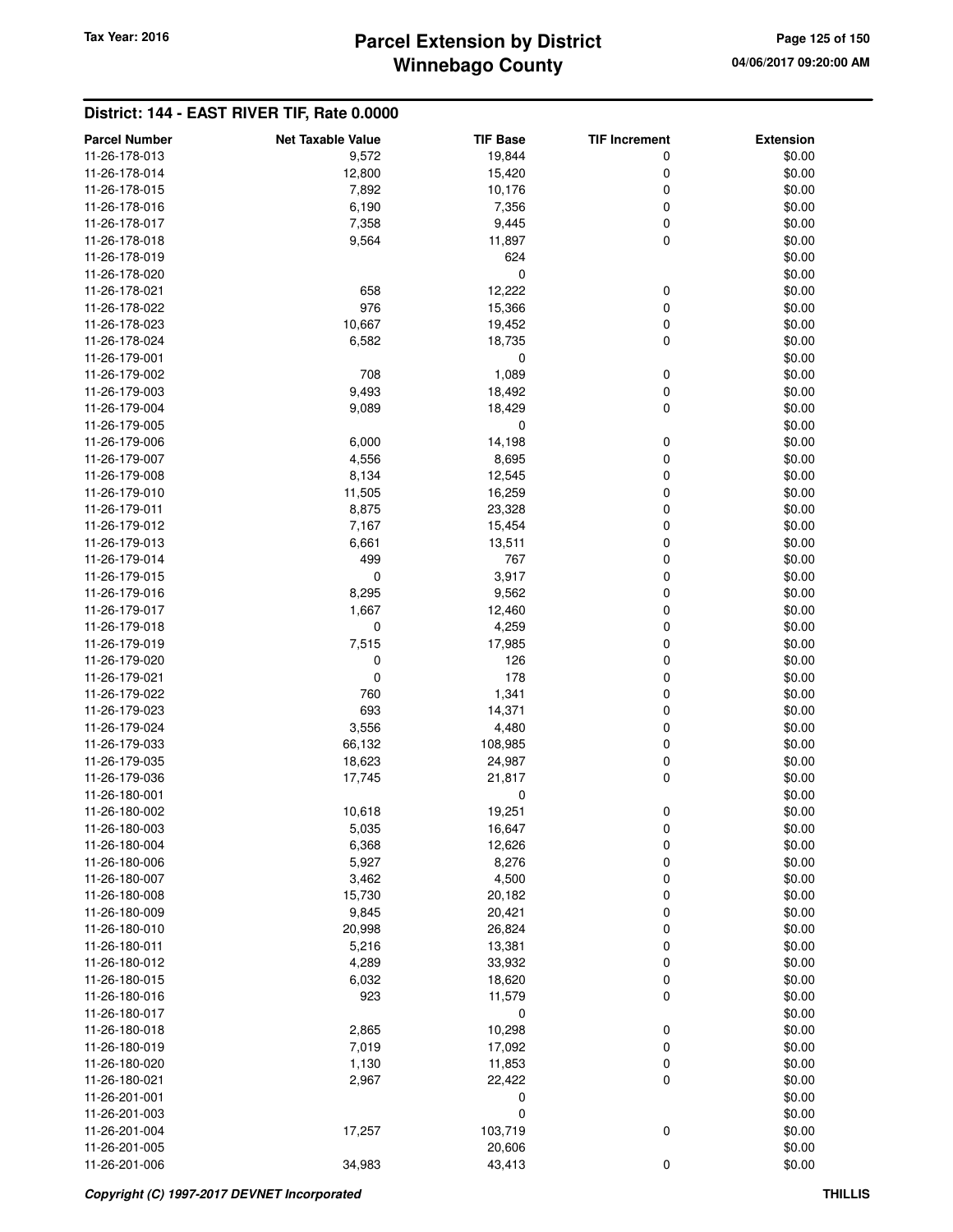# **Winnebago County Parcel Extension by District Tax Year: 2016 Page 125 of 150**

| <b>Parcel Number</b>           | <b>Net Taxable Value</b> | <b>TIF Base</b> | <b>TIF Increment</b> | <b>Extension</b> |
|--------------------------------|--------------------------|-----------------|----------------------|------------------|
| 11-26-178-013                  | 9,572                    | 19,844          | 0                    | \$0.00           |
| 11-26-178-014                  | 12,800                   | 15,420          | 0                    | \$0.00           |
| 11-26-178-015                  | 7,892                    | 10,176          | 0                    | \$0.00           |
| 11-26-178-016                  | 6,190                    | 7,356           | 0                    | \$0.00           |
| 11-26-178-017                  | 7,358                    | 9,445           | 0                    | \$0.00           |
| 11-26-178-018                  | 9,564                    | 11,897          | 0                    | \$0.00           |
| 11-26-178-019                  |                          | 624             |                      | \$0.00           |
| 11-26-178-020                  |                          | $\mathbf 0$     |                      | \$0.00           |
| 11-26-178-021                  | 658                      | 12,222          | 0                    | \$0.00           |
| 11-26-178-022                  | 976                      | 15,366          | 0                    | \$0.00           |
| 11-26-178-023                  | 10,667                   | 19,452          | 0                    | \$0.00           |
| 11-26-178-024                  | 6,582                    | 18,735          | 0                    | \$0.00           |
| 11-26-179-001                  |                          | 0               |                      | \$0.00           |
| 11-26-179-002                  | 708                      | 1,089           | 0                    | \$0.00           |
| 11-26-179-003                  | 9,493                    | 18,492          | 0                    | \$0.00           |
| 11-26-179-004                  | 9,089                    | 18,429          | 0                    | \$0.00           |
| 11-26-179-005                  |                          | $\mathbf 0$     |                      | \$0.00           |
| 11-26-179-006                  | 6,000                    | 14,198          | 0                    | \$0.00           |
| 11-26-179-007                  | 4,556                    | 8,695           | 0                    | \$0.00           |
| 11-26-179-008                  | 8,134                    | 12,545          | 0                    | \$0.00           |
| 11-26-179-010                  | 11,505                   | 16,259          | 0                    | \$0.00           |
| 11-26-179-011                  | 8,875                    | 23,328          | 0                    | \$0.00           |
| 11-26-179-012                  | 7,167                    | 15,454          | 0                    | \$0.00           |
|                                |                          |                 |                      |                  |
| 11-26-179-013<br>11-26-179-014 | 6,661<br>499             | 13,511<br>767   | 0                    | \$0.00           |
| 11-26-179-015                  | $\mathbf 0$              |                 | 0                    | \$0.00           |
|                                |                          | 3,917           | 0                    | \$0.00           |
| 11-26-179-016                  | 8,295                    | 9,562           | 0                    | \$0.00           |
| 11-26-179-017                  | 1,667                    | 12,460          | 0                    | \$0.00           |
| 11-26-179-018                  | 0                        | 4,259           | 0                    | \$0.00           |
| 11-26-179-019                  | 7,515                    | 17,985          | 0                    | \$0.00           |
| 11-26-179-020                  | 0                        | 126             | 0                    | \$0.00           |
| 11-26-179-021                  | 0                        | 178             | 0                    | \$0.00           |
| 11-26-179-022                  | 760                      | 1,341           | 0                    | \$0.00           |
| 11-26-179-023                  | 693                      | 14,371          | 0                    | \$0.00           |
| 11-26-179-024                  | 3,556                    | 4,480           | 0                    | \$0.00           |
| 11-26-179-033                  | 66,132                   | 108,985         | 0                    | \$0.00           |
| 11-26-179-035                  | 18,623                   | 24,987          | 0                    | \$0.00           |
| 11-26-179-036                  | 17,745                   | 21,817          | 0                    | \$0.00           |
| 11-26-180-001                  |                          | 0               |                      | \$0.00           |
| 11-26-180-002                  | 10,618                   | 19,251          | 0                    | \$0.00           |
| 11-26-180-003                  | 5,035                    | 16,647          | 0                    | \$0.00           |
| 11-26-180-004                  | 6,368                    | 12,626          | 0                    | \$0.00           |
| 11-26-180-006                  | 5,927                    | 8,276           | 0                    | \$0.00           |
| 11-26-180-007                  | 3,462                    | 4,500           | 0                    | \$0.00           |
| 11-26-180-008                  | 15,730                   | 20,182          | 0                    | \$0.00           |
| 11-26-180-009                  | 9,845                    | 20,421          | 0                    | \$0.00           |
| 11-26-180-010                  | 20,998                   | 26,824          | 0                    | \$0.00           |
| 11-26-180-011                  | 5,216                    | 13,381          | 0                    | \$0.00           |
| 11-26-180-012                  | 4,289                    | 33,932          | 0                    | \$0.00           |
| 11-26-180-015                  | 6,032                    | 18,620          | 0                    | \$0.00           |
| 11-26-180-016                  | 923                      | 11,579          | 0                    | \$0.00           |
| 11-26-180-017                  |                          | $\mathbf 0$     |                      | \$0.00           |
| 11-26-180-018                  | 2,865                    | 10,298          | 0                    | \$0.00           |
| 11-26-180-019                  | 7,019                    | 17,092          | 0                    | \$0.00           |
| 11-26-180-020                  | 1,130                    | 11,853          | 0                    | \$0.00           |
| 11-26-180-021                  | 2,967                    | 22,422          | 0                    | \$0.00           |
| 11-26-201-001                  |                          | 0               |                      | \$0.00           |
| 11-26-201-003                  |                          | $\mathbf 0$     |                      | \$0.00           |
| 11-26-201-004                  | 17,257                   | 103,719         | 0                    | \$0.00           |
| 11-26-201-005                  |                          | 20,606          |                      | \$0.00           |
| 11-26-201-006                  | 34,983                   | 43,413          | 0                    | \$0.00           |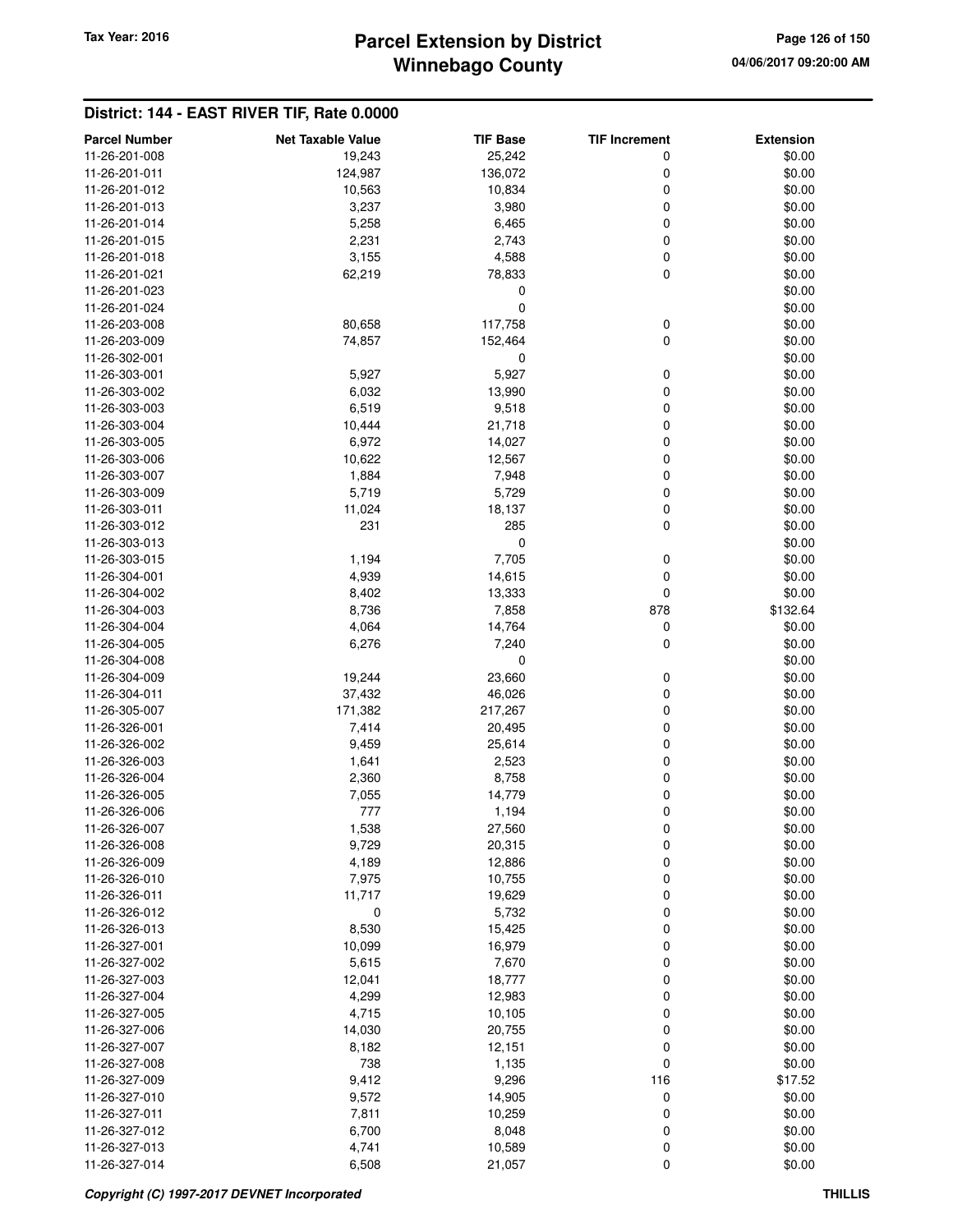# **Winnebago County** Tax Year: 2016 **Parcel Extension by District Page 126 of 150**

| <b>Parcel Number</b> | <b>Net Taxable Value</b> | <b>TIF Base</b> | <b>TIF Increment</b> | <b>Extension</b> |
|----------------------|--------------------------|-----------------|----------------------|------------------|
| 11-26-201-008        | 19,243                   | 25,242          | 0                    | \$0.00           |
| 11-26-201-011        | 124,987                  | 136,072         | 0                    | \$0.00           |
| 11-26-201-012        | 10,563                   | 10,834          | 0                    | \$0.00           |
| 11-26-201-013        | 3,237                    | 3,980           | 0                    | \$0.00           |
| 11-26-201-014        | 5,258                    | 6,465           | 0                    | \$0.00           |
| 11-26-201-015        | 2,231                    | 2,743           | 0                    | \$0.00           |
| 11-26-201-018        | 3,155                    | 4,588           |                      | \$0.00           |
|                      |                          |                 | 0<br>0               |                  |
| 11-26-201-021        | 62,219                   | 78,833          |                      | \$0.00           |
| 11-26-201-023        |                          | 0               |                      | \$0.00           |
| 11-26-201-024        |                          | 0               |                      | \$0.00           |
| 11-26-203-008        | 80,658                   | 117,758         | 0                    | \$0.00           |
| 11-26-203-009        | 74,857                   | 152,464         | 0                    | \$0.00           |
| 11-26-302-001        |                          | 0               |                      | \$0.00           |
| 11-26-303-001        | 5,927                    | 5,927           | 0                    | \$0.00           |
| 11-26-303-002        | 6,032                    | 13,990          | 0                    | \$0.00           |
| 11-26-303-003        | 6,519                    | 9,518           | 0                    | \$0.00           |
| 11-26-303-004        | 10,444                   | 21,718          | 0                    | \$0.00           |
| 11-26-303-005        | 6,972                    | 14,027          | 0                    | \$0.00           |
| 11-26-303-006        | 10,622                   | 12,567          | 0                    | \$0.00           |
| 11-26-303-007        | 1,884                    | 7,948           | 0                    | \$0.00           |
| 11-26-303-009        | 5,719                    | 5,729           | 0                    | \$0.00           |
| 11-26-303-011        | 11,024                   | 18,137          | 0                    | \$0.00           |
| 11-26-303-012        | 231                      | 285             | 0                    | \$0.00           |
| 11-26-303-013        |                          | 0               |                      | \$0.00           |
| 11-26-303-015        | 1,194                    | 7,705           | 0                    | \$0.00           |
| 11-26-304-001        | 4,939                    | 14,615          | 0                    | \$0.00           |
| 11-26-304-002        | 8,402                    | 13,333          | 0                    | \$0.00           |
| 11-26-304-003        | 8,736                    | 7,858           | 878                  | \$132.64         |
| 11-26-304-004        | 4,064                    | 14,764          | 0                    | \$0.00           |
| 11-26-304-005        | 6,276                    | 7,240           | 0                    | \$0.00           |
| 11-26-304-008        |                          | 0               |                      | \$0.00           |
| 11-26-304-009        | 19,244                   | 23,660          | 0                    | \$0.00           |
| 11-26-304-011        | 37,432                   | 46,026          | 0                    | \$0.00           |
| 11-26-305-007        | 171,382                  | 217,267         | 0                    | \$0.00           |
| 11-26-326-001        | 7,414                    | 20,495          | 0                    | \$0.00           |
| 11-26-326-002        | 9,459                    | 25,614          | 0                    | \$0.00           |
| 11-26-326-003        | 1,641                    | 2,523           | 0                    | \$0.00           |
| 11-26-326-004        | 2,360                    | 8,758           | 0                    | \$0.00           |
| 11-26-326-005        | 7,055                    | 14,779          | 0                    | \$0.00           |
| 11-26-326-006        | 777                      | 1,194           | 0                    | \$0.00           |
| 11-26-326-007        | 1,538                    | 27,560          |                      | \$0.00           |
| 11-26-326-008        | 9,729                    |                 | o                    | \$0.00           |
| 11-26-326-009        |                          | 20,315          | 0                    | \$0.00           |
|                      | 4,189                    | 12,886          | 0                    |                  |
| 11-26-326-010        | 7,975                    | 10,755          | 0                    | \$0.00           |
| 11-26-326-011        | 11,717                   | 19,629          | 0                    | \$0.00           |
| 11-26-326-012        | 0                        | 5,732           | 0                    | \$0.00           |
| 11-26-326-013        | 8,530                    | 15,425          | 0                    | \$0.00           |
| 11-26-327-001        | 10,099                   | 16,979          | 0                    | \$0.00           |
| 11-26-327-002        | 5,615                    | 7,670           | 0                    | \$0.00           |
| 11-26-327-003        | 12,041                   | 18,777          | 0                    | \$0.00           |
| 11-26-327-004        | 4,299                    | 12,983          | 0                    | \$0.00           |
| 11-26-327-005        | 4,715                    | 10,105          | 0                    | \$0.00           |
| 11-26-327-006        | 14,030                   | 20,755          | 0                    | \$0.00           |
| 11-26-327-007        | 8,182                    | 12,151          | 0                    | \$0.00           |
| 11-26-327-008        | 738                      | 1,135           | 0                    | \$0.00           |
| 11-26-327-009        | 9,412                    | 9,296           | 116                  | \$17.52          |
| 11-26-327-010        | 9,572                    | 14,905          | 0                    | \$0.00           |
| 11-26-327-011        | 7,811                    | 10,259          | 0                    | \$0.00           |
| 11-26-327-012        | 6,700                    | 8,048           | 0                    | \$0.00           |
| 11-26-327-013        | 4,741                    | 10,589          | 0                    | \$0.00           |
| 11-26-327-014        | 6,508                    | 21,057          | 0                    | \$0.00           |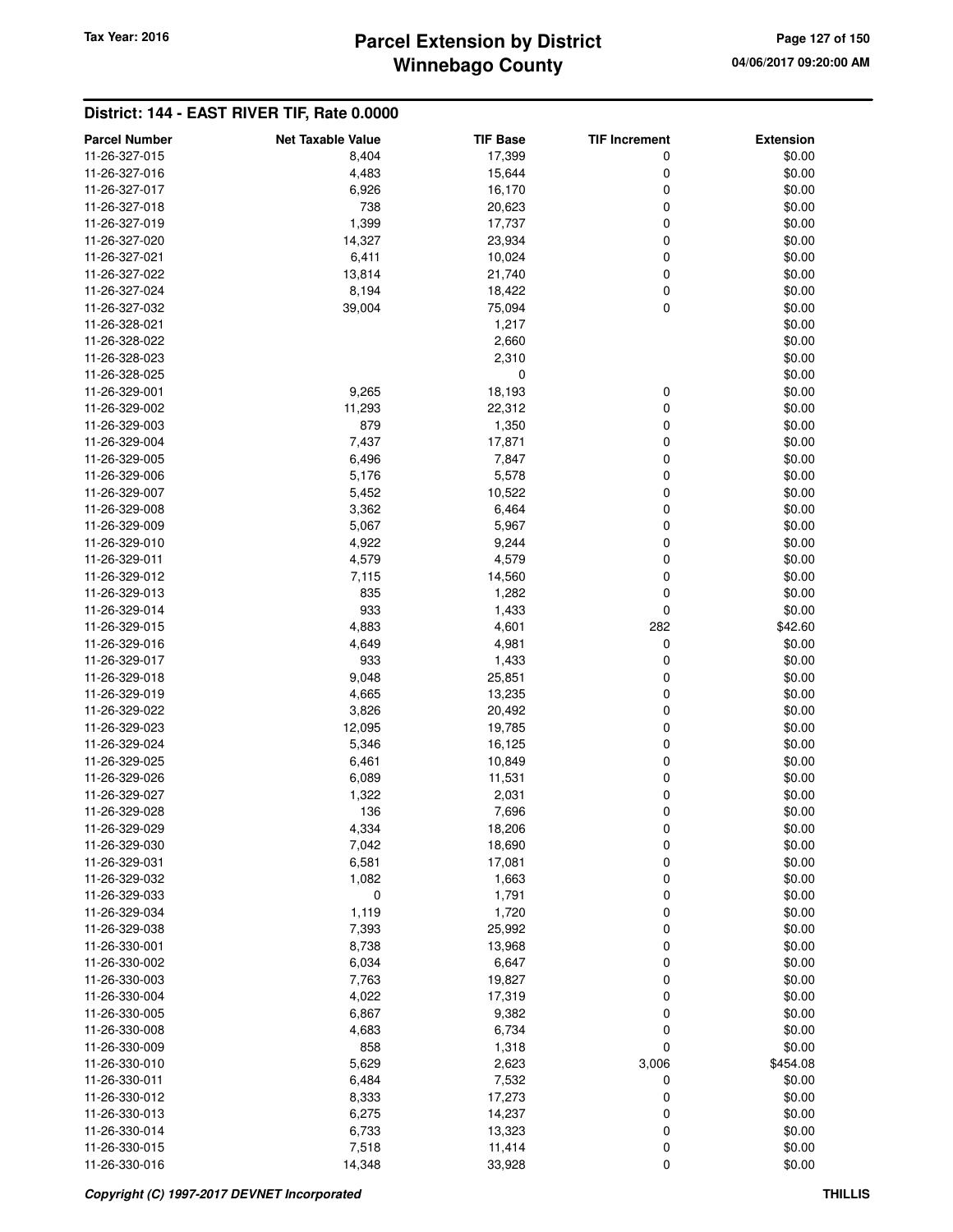### **Winnebago County Parcel Extension by District Tax Year: 2016 Page 127 of 150**

| <b>Parcel Number</b> | <b>Net Taxable Value</b> | <b>TIF Base</b> | <b>TIF Increment</b> | <b>Extension</b> |
|----------------------|--------------------------|-----------------|----------------------|------------------|
| 11-26-327-015        | 8,404                    | 17,399          | 0                    | \$0.00           |
| 11-26-327-016        | 4,483                    | 15,644          | 0                    | \$0.00           |
| 11-26-327-017        | 6,926                    | 16,170          | 0                    | \$0.00           |
| 11-26-327-018        | 738                      | 20,623          | 0                    | \$0.00           |
| 11-26-327-019        | 1,399                    | 17,737          | 0                    | \$0.00           |
| 11-26-327-020        | 14,327                   | 23,934          | 0                    | \$0.00           |
| 11-26-327-021        | 6,411                    | 10,024          | 0                    | \$0.00           |
| 11-26-327-022        | 13,814                   | 21,740          | 0                    | \$0.00           |
| 11-26-327-024        | 8,194                    | 18,422          | 0                    | \$0.00           |
| 11-26-327-032        | 39,004                   | 75,094          | 0                    | \$0.00           |
| 11-26-328-021        |                          | 1,217           |                      | \$0.00           |
| 11-26-328-022        |                          | 2,660           |                      | \$0.00           |
| 11-26-328-023        |                          | 2,310           |                      | \$0.00           |
| 11-26-328-025        |                          | 0               |                      | \$0.00           |
| 11-26-329-001        | 9,265                    | 18,193          | 0                    | \$0.00           |
| 11-26-329-002        | 11,293                   | 22,312          | 0                    | \$0.00           |
| 11-26-329-003        | 879                      | 1,350           | 0                    | \$0.00           |
| 11-26-329-004        | 7,437                    | 17,871          | 0                    | \$0.00           |
| 11-26-329-005        | 6,496                    | 7,847           | 0                    | \$0.00           |
| 11-26-329-006        | 5,176                    | 5,578           | 0                    | \$0.00           |
| 11-26-329-007        | 5,452                    | 10,522          | 0                    | \$0.00           |
| 11-26-329-008        | 3,362                    | 6,464           | 0                    | \$0.00           |
| 11-26-329-009        | 5,067                    | 5,967           | 0                    | \$0.00           |
| 11-26-329-010        | 4,922                    | 9,244           | 0                    | \$0.00           |
| 11-26-329-011        | 4,579                    | 4,579           | 0                    | \$0.00           |
| 11-26-329-012        | 7,115                    | 14,560          | 0                    | \$0.00           |
| 11-26-329-013        | 835                      | 1,282           | 0                    | \$0.00           |
| 11-26-329-014        | 933                      | 1,433           | 0                    | \$0.00           |
| 11-26-329-015        | 4,883                    | 4,601           | 282                  | \$42.60          |
| 11-26-329-016        | 4,649                    | 4,981           | 0                    | \$0.00           |
| 11-26-329-017        | 933                      | 1,433           | 0                    | \$0.00           |
| 11-26-329-018        | 9,048                    | 25,851          | 0                    | \$0.00           |
| 11-26-329-019        | 4,665                    | 13,235          | 0                    | \$0.00           |
| 11-26-329-022        | 3,826                    | 20,492          | 0                    | \$0.00           |
| 11-26-329-023        | 12,095                   | 19,785          | 0                    | \$0.00           |
| 11-26-329-024        | 5,346                    | 16,125          | 0                    | \$0.00           |
| 11-26-329-025        | 6,461                    | 10,849          | 0                    | \$0.00           |
| 11-26-329-026        | 6,089                    | 11,531          | 0                    | \$0.00           |
| 11-26-329-027        | 1,322                    | 2,031           | 0                    | \$0.00           |
| 11-26-329-028        | 136                      | 7,696           | 0                    | \$0.00           |
| 11-26-329-029        | 4,334                    | 18,206          | 0                    | \$0.00           |
| 11-26-329-030        | 7,042                    | 18,690          | 0                    | \$0.00           |
| 11-26-329-031        | 6,581                    | 17,081          | 0                    | \$0.00           |
| 11-26-329-032        | 1,082                    | 1,663           | 0                    | \$0.00           |
| 11-26-329-033        | $\mathbf 0$              | 1,791           | 0                    | \$0.00           |
| 11-26-329-034        | 1,119                    | 1,720           | 0                    | \$0.00           |
| 11-26-329-038        | 7,393                    | 25,992          | 0                    | \$0.00           |
| 11-26-330-001        | 8,738                    | 13,968          | 0                    | \$0.00           |
| 11-26-330-002        | 6,034                    | 6,647           | 0                    | \$0.00           |
| 11-26-330-003        | 7,763                    | 19,827          | 0                    | \$0.00           |
| 11-26-330-004        | 4,022                    | 17,319          | 0                    | \$0.00           |
| 11-26-330-005        | 6,867                    | 9,382           | 0                    | \$0.00           |
| 11-26-330-008        | 4,683                    | 6,734           | 0                    | \$0.00           |
| 11-26-330-009        | 858                      | 1,318           | 0                    | \$0.00           |
| 11-26-330-010        | 5,629                    | 2,623           | 3,006                | \$454.08         |
| 11-26-330-011        | 6,484                    | 7,532           | 0                    | \$0.00           |
| 11-26-330-012        | 8,333                    | 17,273          | 0                    | \$0.00           |
| 11-26-330-013        | 6,275                    | 14,237          | 0                    | \$0.00           |
| 11-26-330-014        | 6,733                    | 13,323          | 0                    | \$0.00           |
| 11-26-330-015        | 7,518                    | 11,414          | 0                    | \$0.00           |
| 11-26-330-016        | 14,348                   | 33,928          | 0                    | \$0.00           |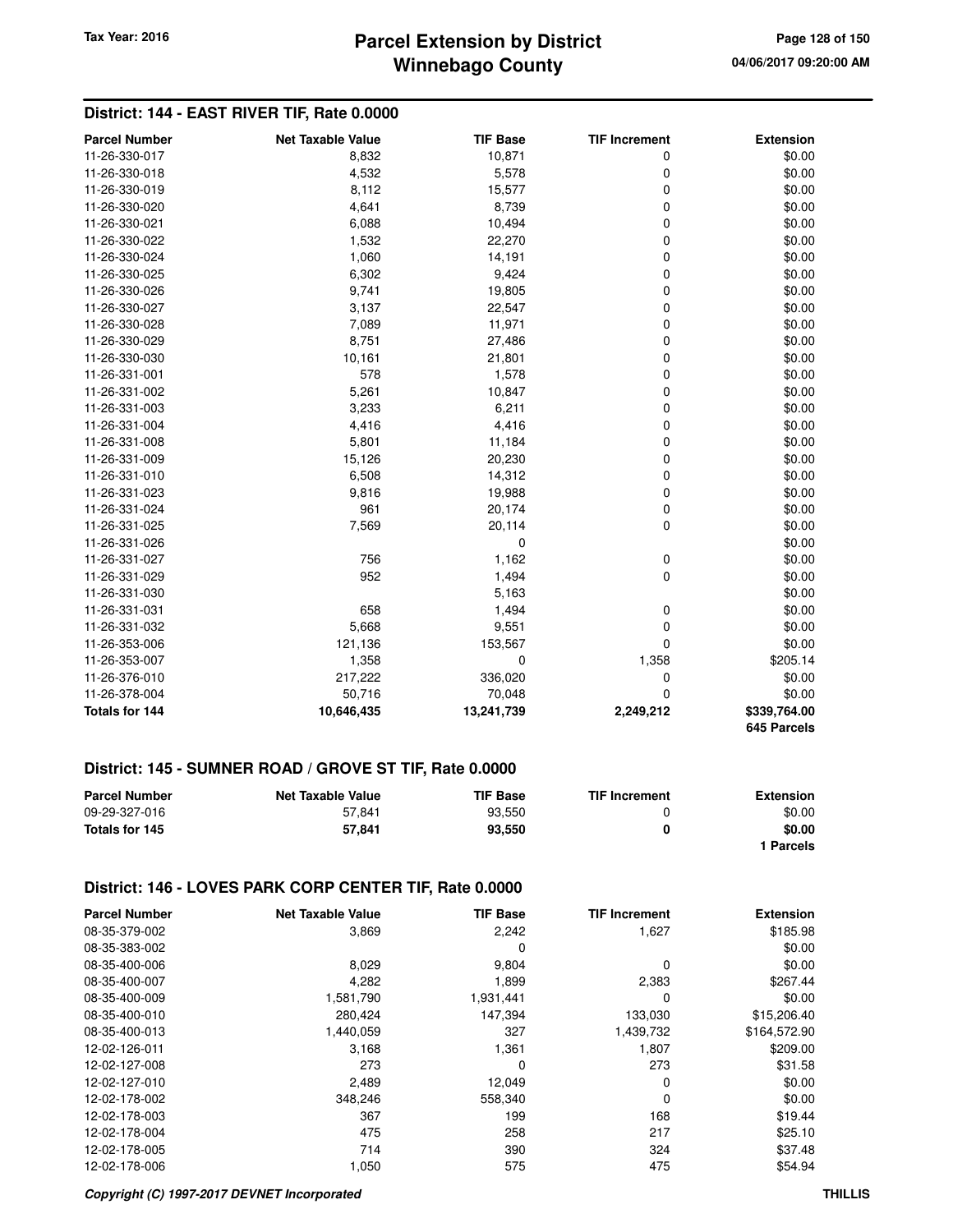# **Winnebago County Parcel Extension by District Tax Year: 2016 Page 128 of 150**

### **District: 144 - EAST RIVER TIF, Rate 0.0000**

| <b>Parcel Number</b>  | <b>Net Taxable Value</b> | <b>TIF Base</b> | <b>TIF Increment</b> | <b>Extension</b>            |
|-----------------------|--------------------------|-----------------|----------------------|-----------------------------|
| 11-26-330-017         | 8,832                    | 10,871          | 0                    | \$0.00                      |
| 11-26-330-018         | 4,532                    | 5,578           | $\mathbf 0$          | \$0.00                      |
| 11-26-330-019         | 8,112                    | 15,577          | $\mathbf 0$          | \$0.00                      |
| 11-26-330-020         | 4,641                    | 8,739           | $\mathbf 0$          | \$0.00                      |
| 11-26-330-021         | 6,088                    | 10,494          | $\mathbf 0$          | \$0.00                      |
| 11-26-330-022         | 1,532                    | 22,270          | 0                    | \$0.00                      |
| 11-26-330-024         | 1,060                    | 14,191          | 0                    | \$0.00                      |
| 11-26-330-025         | 6,302                    | 9,424           | 0                    | \$0.00                      |
| 11-26-330-026         | 9,741                    | 19,805          | 0                    | \$0.00                      |
| 11-26-330-027         | 3,137                    | 22,547          | 0                    | \$0.00                      |
| 11-26-330-028         | 7,089                    | 11,971          | 0                    | \$0.00                      |
| 11-26-330-029         | 8,751                    | 27,486          | 0                    | \$0.00                      |
| 11-26-330-030         | 10,161                   | 21,801          | 0                    | \$0.00                      |
| 11-26-331-001         | 578                      | 1,578           | 0                    | \$0.00                      |
| 11-26-331-002         | 5,261                    | 10,847          | 0                    | \$0.00                      |
| 11-26-331-003         | 3,233                    | 6,211           | 0                    | \$0.00                      |
| 11-26-331-004         | 4,416                    | 4,416           | 0                    | \$0.00                      |
| 11-26-331-008         | 5,801                    | 11,184          | 0                    | \$0.00                      |
| 11-26-331-009         | 15,126                   | 20,230          | 0                    | \$0.00                      |
| 11-26-331-010         | 6,508                    | 14,312          | 0                    | \$0.00                      |
| 11-26-331-023         | 9,816                    | 19,988          | 0                    | \$0.00                      |
| 11-26-331-024         | 961                      | 20,174          | 0                    | \$0.00                      |
| 11-26-331-025         | 7,569                    | 20,114          | $\mathbf 0$          | \$0.00                      |
| 11-26-331-026         |                          | 0               |                      | \$0.00                      |
| 11-26-331-027         | 756                      | 1,162           | 0                    | \$0.00                      |
| 11-26-331-029         | 952                      | 1,494           | $\mathbf 0$          | \$0.00                      |
| 11-26-331-030         |                          | 5,163           |                      | \$0.00                      |
| 11-26-331-031         | 658                      | 1,494           | 0                    | \$0.00                      |
| 11-26-331-032         | 5,668                    | 9,551           | 0                    | \$0.00                      |
| 11-26-353-006         | 121,136                  | 153,567         | 0                    | \$0.00                      |
| 11-26-353-007         | 1,358                    | $\mathbf 0$     | 1,358                | \$205.14                    |
| 11-26-376-010         | 217,222                  | 336,020         | $\mathbf 0$          | \$0.00                      |
| 11-26-378-004         | 50,716                   | 70,048          | 0                    | \$0.00                      |
| <b>Totals for 144</b> | 10,646,435               | 13,241,739      | 2,249,212            | \$339,764.00<br>645 Parcels |

#### **District: 145 - SUMNER ROAD / GROVE ST TIF, Rate 0.0000**

| <b>Parcel Number</b> | <b>Net Taxable Value</b> | <b>TIF Base</b> | <b>TIF Increment</b> | <b>Extension</b> |
|----------------------|--------------------------|-----------------|----------------------|------------------|
| 09-29-327-016        | 57.841                   | 93.550          |                      | \$0.00           |
| Totals for 145       | 57.841                   | 93.550          | 0                    | \$0.00           |
|                      |                          |                 |                      | Parcels          |

#### **District: 146 - LOVES PARK CORP CENTER TIF, Rate 0.0000**

| <b>Parcel Number</b> | <b>Net Taxable Value</b> | <b>TIF Base</b> | <b>TIF Increment</b> | <b>Extension</b> |
|----------------------|--------------------------|-----------------|----------------------|------------------|
| 08-35-379-002        | 3,869                    | 2,242           | 1,627                | \$185.98         |
| 08-35-383-002        |                          | 0               |                      | \$0.00           |
| 08-35-400-006        | 8,029                    | 9,804           | 0                    | \$0.00           |
| 08-35-400-007        | 4,282                    | 1,899           | 2,383                | \$267.44         |
| 08-35-400-009        | 1,581,790                | 1,931,441       | 0                    | \$0.00           |
| 08-35-400-010        | 280,424                  | 147,394         | 133,030              | \$15,206.40      |
| 08-35-400-013        | 1.440.059                | 327             | 1,439,732            | \$164,572.90     |
| 12-02-126-011        | 3,168                    | 1,361           | 1,807                | \$209.00         |
| 12-02-127-008        | 273                      | 0               | 273                  | \$31.58          |
| 12-02-127-010        | 2,489                    | 12,049          | 0                    | \$0.00           |
| 12-02-178-002        | 348,246                  | 558.340         | 0                    | \$0.00           |
| 12-02-178-003        | 367                      | 199             | 168                  | \$19.44          |
| 12-02-178-004        | 475                      | 258             | 217                  | \$25.10          |
| 12-02-178-005        | 714                      | 390             | 324                  | \$37.48          |
| 12-02-178-006        | 1,050                    | 575             | 475                  | \$54.94          |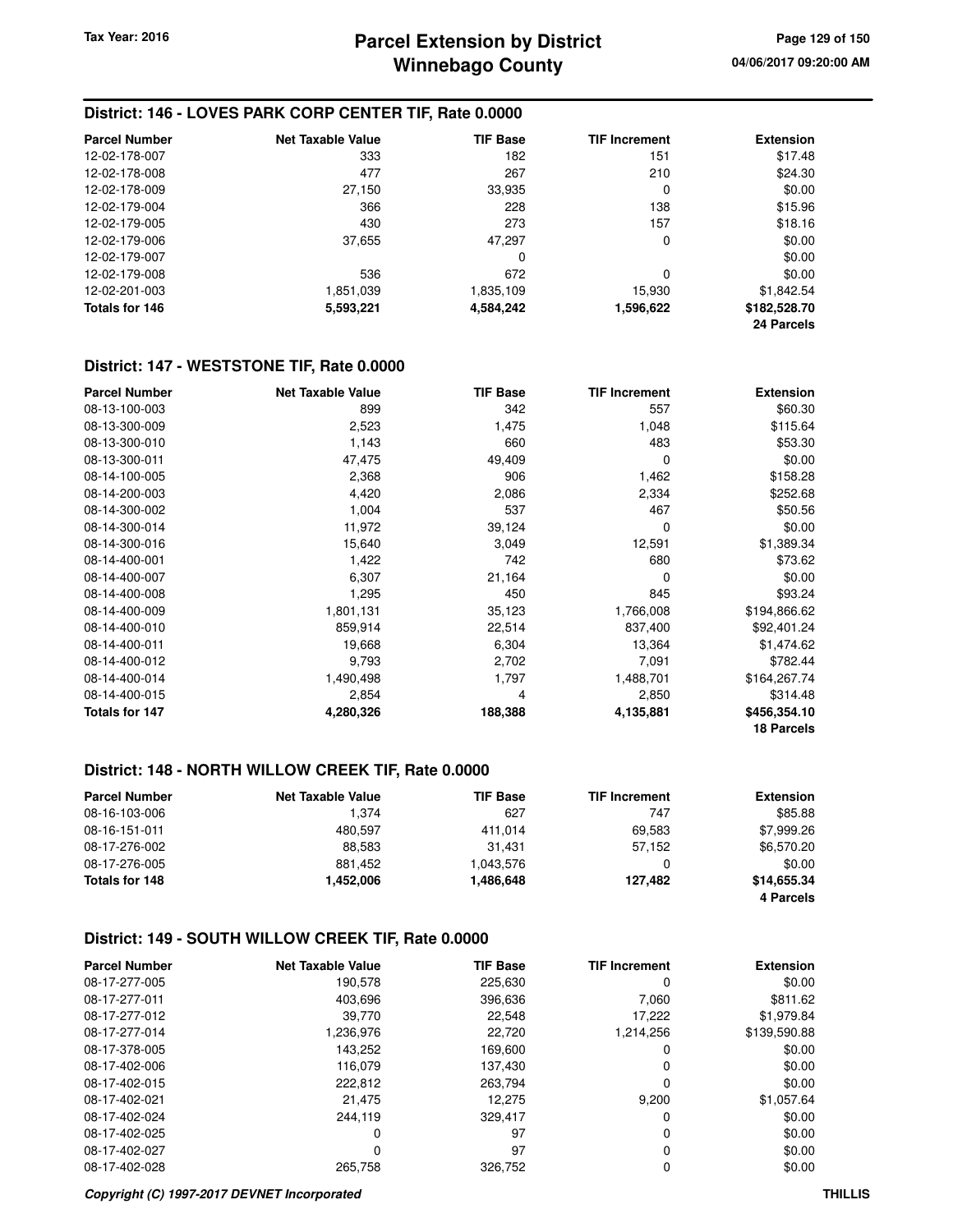#### **District: 146 - LOVES PARK CORP CENTER TIF, Rate 0.0000**

| <b>Parcel Number</b> | <b>Net Taxable Value</b> | <b>TIF Base</b> | <b>TIF Increment</b> | <b>Extension</b> |
|----------------------|--------------------------|-----------------|----------------------|------------------|
| 12-02-178-007        | 333                      | 182             | 151                  | \$17.48          |
| 12-02-178-008        | 477                      | 267             | 210                  | \$24.30          |
| 12-02-178-009        | 27,150                   | 33,935          | 0                    | \$0.00           |
| 12-02-179-004        | 366                      | 228             | 138                  | \$15.96          |
| 12-02-179-005        | 430                      | 273             | 157                  | \$18.16          |
| 12-02-179-006        | 37,655                   | 47.297          | 0                    | \$0.00           |
| 12-02-179-007        |                          | 0               |                      | \$0.00           |
| 12-02-179-008        | 536                      | 672             | 0                    | \$0.00           |
| 12-02-201-003        | 1,851,039                | 1,835,109       | 15,930               | \$1.842.54       |
| Totals for 146       | 5,593,221                | 4,584,242       | 1,596,622            | \$182,528.70     |
|                      |                          |                 |                      | 24 Parcels       |

#### **District: 147 - WESTSTONE TIF, Rate 0.0000**

| <b>Parcel Number</b>  | <b>Net Taxable Value</b> | <b>TIF Base</b> | <b>TIF Increment</b> | <b>Extension</b>  |
|-----------------------|--------------------------|-----------------|----------------------|-------------------|
| 08-13-100-003         | 899                      | 342             | 557                  | \$60.30           |
| 08-13-300-009         | 2,523                    | 1,475           | 1,048                | \$115.64          |
| 08-13-300-010         | 1,143                    | 660             | 483                  | \$53.30           |
| 08-13-300-011         | 47,475                   | 49,409          | 0                    | \$0.00            |
| 08-14-100-005         | 2,368                    | 906             | 1,462                | \$158.28          |
| 08-14-200-003         | 4,420                    | 2,086           | 2,334                | \$252.68          |
| 08-14-300-002         | 1,004                    | 537             | 467                  | \$50.56           |
| 08-14-300-014         | 11,972                   | 39,124          | 0                    | \$0.00            |
| 08-14-300-016         | 15,640                   | 3,049           | 12,591               | \$1,389.34        |
| 08-14-400-001         | 1,422                    | 742             | 680                  | \$73.62           |
| 08-14-400-007         | 6,307                    | 21,164          | 0                    | \$0.00            |
| 08-14-400-008         | 1,295                    | 450             | 845                  | \$93.24           |
| 08-14-400-009         | 1,801,131                | 35,123          | 1,766,008            | \$194,866.62      |
| 08-14-400-010         | 859,914                  | 22,514          | 837,400              | \$92,401.24       |
| 08-14-400-011         | 19,668                   | 6,304           | 13,364               | \$1,474.62        |
| 08-14-400-012         | 9,793                    | 2,702           | 7,091                | \$782.44          |
| 08-14-400-014         | 1,490,498                | 1,797           | 1,488,701            | \$164,267.74      |
| 08-14-400-015         | 2,854                    | 4               | 2,850                | \$314.48          |
| <b>Totals for 147</b> | 4,280,326                | 188,388         | 4,135,881            | \$456,354.10      |
|                       |                          |                 |                      | <b>18 Parcels</b> |

### **District: 148 - NORTH WILLOW CREEK TIF, Rate 0.0000**

| <b>Parcel Number</b> | <b>Net Taxable Value</b> | <b>TIF Base</b> | <b>TIF Increment</b> | <b>Extension</b> |
|----------------------|--------------------------|-----------------|----------------------|------------------|
| 08-16-103-006        | 1.374                    | 627             | 747                  | \$85.88          |
| 08-16-151-011        | 480.597                  | 411.014         | 69.583               | \$7,999.26       |
| 08-17-276-002        | 88.583                   | 31.431          | 57,152               | \$6,570.20       |
| 08-17-276-005        | 881.452                  | 1,043,576       |                      | \$0.00           |
| Totals for 148       | 1,452,006                | 1,486,648       | 127.482              | \$14,655.34      |
|                      |                          |                 |                      | 4 Parcels        |

#### **District: 149 - SOUTH WILLOW CREEK TIF, Rate 0.0000**

| <b>Parcel Number</b> | Net Taxable Value | <b>TIF Base</b> | <b>TIF Increment</b> | <b>Extension</b> |
|----------------------|-------------------|-----------------|----------------------|------------------|
| 08-17-277-005        | 190,578           | 225,630         | 0                    | \$0.00           |
| 08-17-277-011        | 403,696           | 396.636         | 7,060                | \$811.62         |
| 08-17-277-012        | 39.770            | 22,548          | 17,222               | \$1,979.84       |
| 08-17-277-014        | 1.236.976         | 22.720          | 1.214.256            | \$139,590.88     |
| 08-17-378-005        | 143,252           | 169,600         | 0                    | \$0.00           |
| 08-17-402-006        | 116.079           | 137.430         | 0                    | \$0.00           |
| 08-17-402-015        | 222.812           | 263.794         | 0                    | \$0.00           |
| 08-17-402-021        | 21.475            | 12.275          | 9,200                | \$1,057.64       |
| 08-17-402-024        | 244.119           | 329.417         | 0                    | \$0.00           |
| 08-17-402-025        | 0                 | 97              | 0                    | \$0.00           |
| 08-17-402-027        | 0                 | 97              | 0                    | \$0.00           |
| 08-17-402-028        | 265.758           | 326.752         |                      | \$0.00           |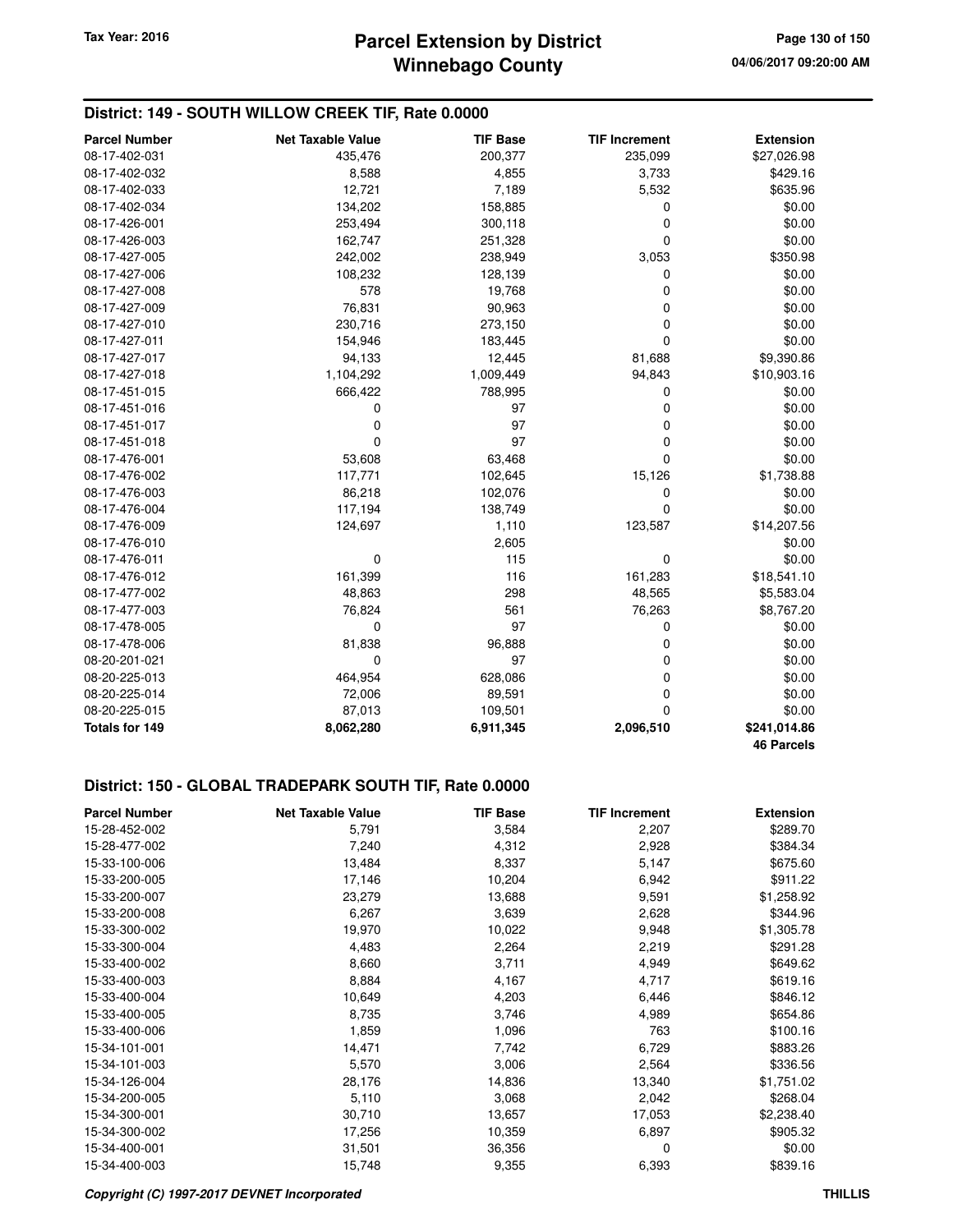### **District: 149 - SOUTH WILLOW CREEK TIF, Rate 0.0000**

| <b>Parcel Number</b> | <b>Net Taxable Value</b> | <b>TIF Base</b> | <b>TIF Increment</b> | <b>Extension</b>  |
|----------------------|--------------------------|-----------------|----------------------|-------------------|
| 08-17-402-031        | 435,476                  | 200,377         | 235,099              | \$27,026.98       |
| 08-17-402-032        | 8,588                    | 4,855           | 3,733                | \$429.16          |
| 08-17-402-033        | 12,721                   | 7,189           | 5,532                | \$635.96          |
| 08-17-402-034        | 134,202                  | 158,885         | 0                    | \$0.00            |
| 08-17-426-001        | 253,494                  | 300,118         | 0                    | \$0.00            |
| 08-17-426-003        | 162,747                  | 251,328         | $\mathbf 0$          | \$0.00            |
| 08-17-427-005        | 242,002                  | 238,949         | 3,053                | \$350.98          |
| 08-17-427-006        | 108,232                  | 128,139         | 0                    | \$0.00            |
| 08-17-427-008        | 578                      | 19,768          | 0                    | \$0.00            |
| 08-17-427-009        | 76,831                   | 90,963          | 0                    | \$0.00            |
| 08-17-427-010        | 230,716                  | 273,150         | 0                    | \$0.00            |
| 08-17-427-011        | 154,946                  | 183,445         | $\mathbf 0$          | \$0.00            |
| 08-17-427-017        | 94,133                   | 12,445          | 81,688               | \$9,390.86        |
| 08-17-427-018        | 1,104,292                | 1,009,449       | 94,843               | \$10,903.16       |
| 08-17-451-015        | 666,422                  | 788,995         | 0                    | \$0.00            |
| 08-17-451-016        | 0                        | 97              | 0                    | \$0.00            |
| 08-17-451-017        | 0                        | 97              | 0                    | \$0.00            |
| 08-17-451-018        | 0                        | 97              | $\mathbf 0$          | \$0.00            |
| 08-17-476-001        | 53,608                   | 63,468          | $\mathbf 0$          | \$0.00            |
| 08-17-476-002        | 117,771                  | 102,645         | 15,126               | \$1,738.88        |
| 08-17-476-003        | 86,218                   | 102,076         | 0                    | \$0.00            |
| 08-17-476-004        | 117,194                  | 138,749         | $\mathbf 0$          | \$0.00            |
| 08-17-476-009        | 124,697                  | 1,110           | 123,587              | \$14,207.56       |
| 08-17-476-010        |                          | 2,605           |                      | \$0.00            |
| 08-17-476-011        | 0                        | 115             | $\mathbf 0$          | \$0.00            |
| 08-17-476-012        | 161,399                  | 116             | 161,283              | \$18,541.10       |
| 08-17-477-002        | 48,863                   | 298             | 48,565               | \$5,583.04        |
| 08-17-477-003        | 76,824                   | 561             | 76,263               | \$8,767.20        |
| 08-17-478-005        | $\mathbf 0$              | 97              | 0                    | \$0.00            |
| 08-17-478-006        | 81,838                   | 96,888          | 0                    | \$0.00            |
| 08-20-201-021        | 0                        | 97              | 0                    | \$0.00            |
| 08-20-225-013        | 464,954                  | 628,086         | 0                    | \$0.00            |
| 08-20-225-014        | 72,006                   | 89,591          | 0                    | \$0.00            |
| 08-20-225-015        | 87,013                   | 109,501         | $\Omega$             | \$0.00            |
| Totals for 149       | 8,062,280                | 6,911,345       | 2,096,510            | \$241,014.86      |
|                      |                          |                 |                      | <b>46 Parcels</b> |

#### **District: 150 - GLOBAL TRADEPARK SOUTH TIF, Rate 0.0000**

| <b>Parcel Number</b> | <b>Net Taxable Value</b> | <b>TIF Base</b> | <b>TIF Increment</b> | <b>Extension</b> |
|----------------------|--------------------------|-----------------|----------------------|------------------|
| 15-28-452-002        | 5,791                    | 3,584           | 2,207                | \$289.70         |
| 15-28-477-002        | 7,240                    | 4,312           | 2,928                | \$384.34         |
| 15-33-100-006        | 13,484                   | 8,337           | 5,147                | \$675.60         |
| 15-33-200-005        | 17,146                   | 10,204          | 6,942                | \$911.22         |
| 15-33-200-007        | 23,279                   | 13,688          | 9,591                | \$1,258.92       |
| 15-33-200-008        | 6,267                    | 3,639           | 2,628                | \$344.96         |
| 15-33-300-002        | 19,970                   | 10,022          | 9,948                | \$1,305.78       |
| 15-33-300-004        | 4,483                    | 2,264           | 2,219                | \$291.28         |
| 15-33-400-002        | 8,660                    | 3,711           | 4,949                | \$649.62         |
| 15-33-400-003        | 8,884                    | 4,167           | 4,717                | \$619.16         |
| 15-33-400-004        | 10,649                   | 4,203           | 6,446                | \$846.12         |
| 15-33-400-005        | 8,735                    | 3,746           | 4,989                | \$654.86         |
| 15-33-400-006        | 1,859                    | 1,096           | 763                  | \$100.16         |
| 15-34-101-001        | 14,471                   | 7,742           | 6,729                | \$883.26         |
| 15-34-101-003        | 5,570                    | 3,006           | 2,564                | \$336.56         |
| 15-34-126-004        | 28,176                   | 14,836          | 13,340               | \$1,751.02       |
| 15-34-200-005        | 5,110                    | 3,068           | 2,042                | \$268.04         |
| 15-34-300-001        | 30,710                   | 13,657          | 17,053               | \$2,238.40       |
| 15-34-300-002        | 17,256                   | 10,359          | 6,897                | \$905.32         |
| 15-34-400-001        | 31,501                   | 36,356          | 0                    | \$0.00           |
| 15-34-400-003        | 15,748                   | 9,355           | 6,393                | \$839.16         |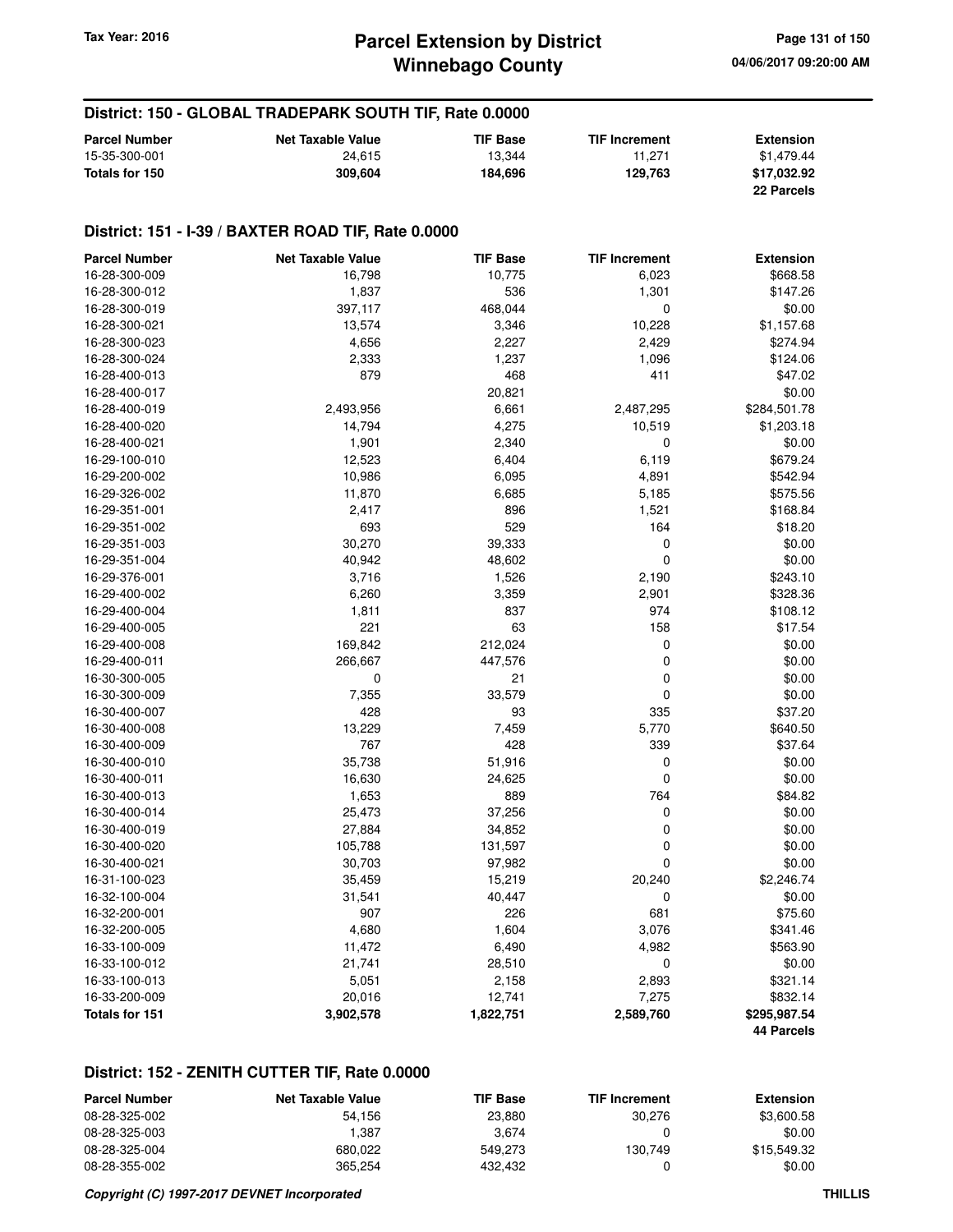### **Winnebago County Parcel Extension by District Tax Year: 2016 Page 131 of 150**

### **District: 150 - GLOBAL TRADEPARK SOUTH TIF, Rate 0.0000**

| <b>Parcel Number</b> | <b>Net Taxable Value</b> | <b>TIF Base</b> | <b>TIF Increment</b> | <b>Extension</b> |
|----------------------|--------------------------|-----------------|----------------------|------------------|
| 15-35-300-001        | 24.615                   | 13.344          | 11.271               | \$1.479.44       |
| Totals for 150       | 309.604                  | 184.696         | 129.763              | \$17,032.92      |
|                      |                          |                 |                      | 22 Parcels       |

#### **District: 151 - I-39 / BAXTER ROAD TIF, Rate 0.0000**

| <b>Parcel Number</b> | <b>Net Taxable Value</b> | <b>TIF Base</b> | <b>TIF Increment</b> | <b>Extension</b> |
|----------------------|--------------------------|-----------------|----------------------|------------------|
| 16-28-300-009        | 16,798                   | 10,775          | 6,023                | \$668.58         |
| 16-28-300-012        | 1,837                    | 536             | 1,301                | \$147.26         |
| 16-28-300-019        | 397,117                  | 468,044         | 0                    | \$0.00           |
| 16-28-300-021        | 13,574                   | 3,346           | 10,228               | \$1,157.68       |
| 16-28-300-023        | 4,656                    | 2,227           | 2,429                | \$274.94         |
| 16-28-300-024        | 2,333                    | 1,237           | 1,096                | \$124.06         |
| 16-28-400-013        | 879                      | 468             | 411                  | \$47.02          |
| 16-28-400-017        |                          | 20,821          |                      | \$0.00           |
| 16-28-400-019        | 2,493,956                | 6,661           | 2,487,295            | \$284,501.78     |
| 16-28-400-020        | 14,794                   | 4,275           | 10,519               | \$1,203.18       |
| 16-28-400-021        | 1,901                    | 2,340           | 0                    | \$0.00           |
| 16-29-100-010        | 12,523                   | 6,404           | 6,119                | \$679.24         |
| 16-29-200-002        | 10,986                   | 6,095           | 4,891                | \$542.94         |
| 16-29-326-002        | 11,870                   | 6,685           | 5,185                | \$575.56         |
| 16-29-351-001        | 2,417                    | 896             | 1,521                | \$168.84         |
| 16-29-351-002        | 693                      | 529             | 164                  | \$18.20          |
| 16-29-351-003        | 30,270                   | 39,333          | 0                    | \$0.00           |
| 16-29-351-004        | 40,942                   | 48,602          | 0                    | \$0.00           |
| 16-29-376-001        | 3,716                    | 1,526           | 2,190                | \$243.10         |
| 16-29-400-002        | 6,260                    | 3,359           | 2,901                | \$328.36         |
| 16-29-400-004        | 1,811                    | 837             | 974                  | \$108.12         |
| 16-29-400-005        | 221                      | 63              | 158                  | \$17.54          |
| 16-29-400-008        | 169,842                  | 212,024         | 0                    | \$0.00           |
| 16-29-400-011        | 266,667                  | 447,576         | 0                    | \$0.00           |
| 16-30-300-005        | 0                        | 21              | 0                    | \$0.00           |
| 16-30-300-009        | 7,355                    | 33,579          | 0                    | \$0.00           |
| 16-30-400-007        | 428                      | 93              | 335                  | \$37.20          |
| 16-30-400-008        | 13,229                   | 7,459           | 5,770                | \$640.50         |
| 16-30-400-009        | 767                      | 428             | 339                  | \$37.64          |
| 16-30-400-010        | 35,738                   | 51,916          | 0                    | \$0.00           |
| 16-30-400-011        | 16,630                   | 24,625          | $\mathbf 0$          | \$0.00           |
| 16-30-400-013        | 1,653                    | 889             | 764                  | \$84.82          |
| 16-30-400-014        | 25,473                   | 37,256          | 0                    | \$0.00           |
| 16-30-400-019        | 27,884                   | 34,852          | 0                    | \$0.00           |
| 16-30-400-020        | 105,788                  | 131,597         | 0                    | \$0.00           |
| 16-30-400-021        | 30,703                   | 97,982          | 0                    | \$0.00           |
| 16-31-100-023        | 35,459                   | 15,219          | 20,240               | \$2,246.74       |
| 16-32-100-004        | 31,541                   | 40,447          | 0                    | \$0.00           |
| 16-32-200-001        | 907                      | 226             | 681                  | \$75.60          |
| 16-32-200-005        | 4,680                    | 1,604           | 3,076                | \$341.46         |
| 16-33-100-009        | 11,472                   | 6,490           | 4,982                | \$563.90         |
| 16-33-100-012        | 21,741                   | 28,510          | 0                    | \$0.00           |
| 16-33-100-013        | 5,051                    | 2,158           | 2,893                | \$321.14         |
| 16-33-200-009        | 20,016                   | 12,741          | 7,275                | \$832.14         |
| Totals for 151       | 3,902,578                | 1,822,751       | 2,589,760            | \$295,987.54     |
|                      |                          |                 |                      | 44 Parcels       |

#### **District: 152 - ZENITH CUTTER TIF, Rate 0.0000**

| <b>Parcel Number</b> | <b>Net Taxable Value</b> | <b>TIF Base</b> | <b>TIF Increment</b> | Extension   |
|----------------------|--------------------------|-----------------|----------------------|-------------|
| 08-28-325-002        | 54.156                   | 23,880          | 30.276               | \$3,600.58  |
| 08-28-325-003        | 1.387                    | 3.674           |                      | \$0.00      |
| 08-28-325-004        | 680.022                  | 549.273         | 130.749              | \$15.549.32 |
| 08-28-355-002        | 365.254                  | 432.432         |                      | \$0.00      |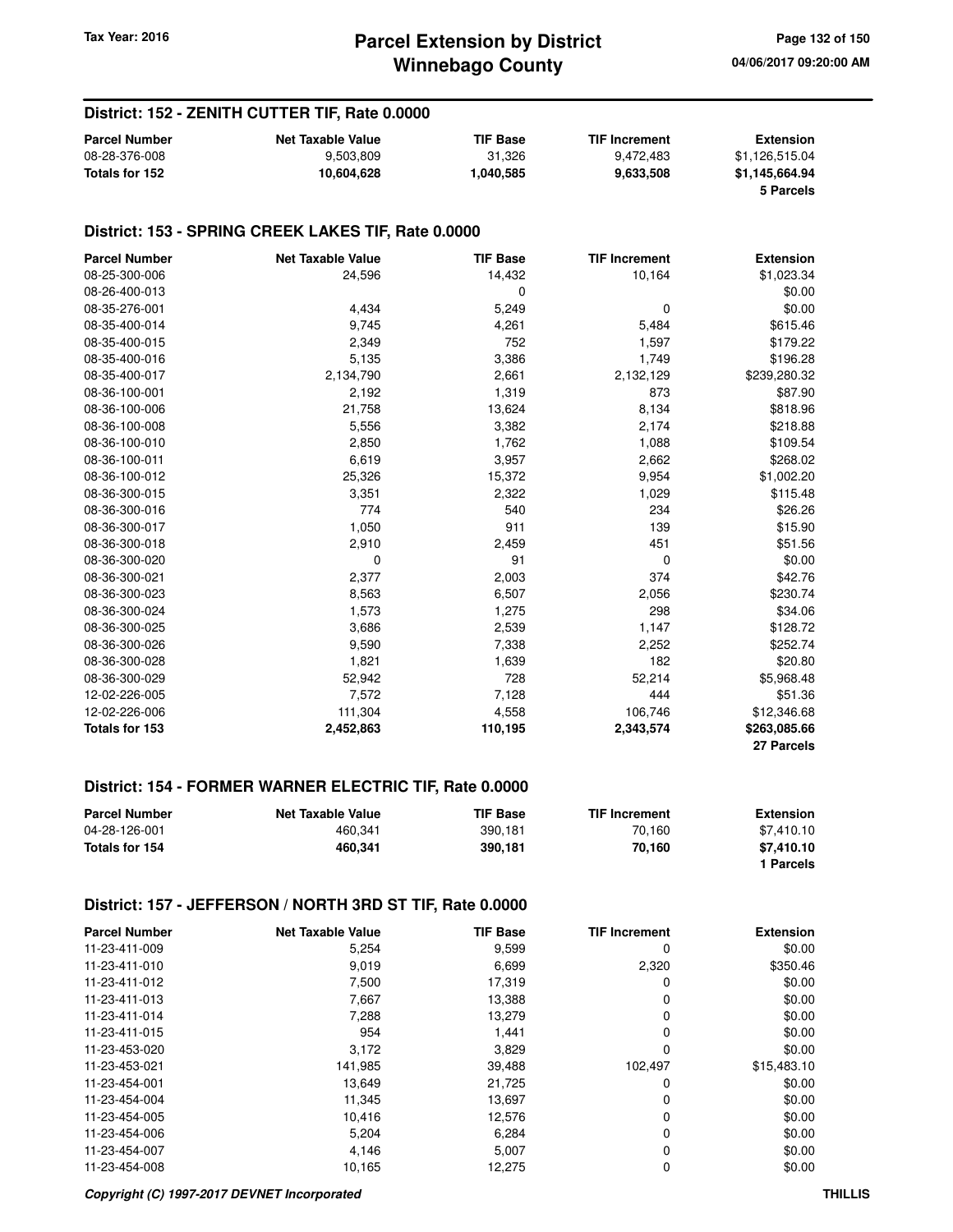### **District: 152 - ZENITH CUTTER TIF, Rate 0.0000**

| <b>Parcel Number</b> | Net Taxable Value | <b>TIF Base</b> | <b>TIF Increment</b> | Extension      |
|----------------------|-------------------|-----------------|----------------------|----------------|
| 08-28-376-008        | 9,503,809         | 31.326          | 9.472.483            | \$1.126.515.04 |
| Totals for 152       | 10.604.628        | 1,040,585       | 9.633.508            | \$1,145,664.94 |
|                      |                   |                 |                      | 5 Parcels      |

#### **District: 153 - SPRING CREEK LAKES TIF, Rate 0.0000**

| <b>Parcel Number</b> | <b>Net Taxable Value</b> | <b>TIF Base</b> | <b>TIF Increment</b> | <b>Extension</b> |
|----------------------|--------------------------|-----------------|----------------------|------------------|
| 08-25-300-006        | 24,596                   | 14,432          | 10,164               | \$1,023.34       |
| 08-26-400-013        |                          | 0               |                      | \$0.00           |
| 08-35-276-001        | 4,434                    | 5,249           | 0                    | \$0.00           |
| 08-35-400-014        | 9,745                    | 4,261           | 5,484                | \$615.46         |
| 08-35-400-015        | 2,349                    | 752             | 1,597                | \$179.22         |
| 08-35-400-016        | 5,135                    | 3,386           | 1,749                | \$196.28         |
| 08-35-400-017        | 2,134,790                | 2,661           | 2,132,129            | \$239,280.32     |
| 08-36-100-001        | 2,192                    | 1,319           | 873                  | \$87.90          |
| 08-36-100-006        | 21,758                   | 13,624          | 8,134                | \$818.96         |
| 08-36-100-008        | 5,556                    | 3,382           | 2,174                | \$218.88         |
| 08-36-100-010        | 2,850                    | 1,762           | 1,088                | \$109.54         |
| 08-36-100-011        | 6,619                    | 3,957           | 2,662                | \$268.02         |
| 08-36-100-012        | 25,326                   | 15,372          | 9,954                | \$1,002.20       |
| 08-36-300-015        | 3,351                    | 2,322           | 1,029                | \$115.48         |
| 08-36-300-016        | 774                      | 540             | 234                  | \$26.26          |
| 08-36-300-017        | 1,050                    | 911             | 139                  | \$15.90          |
| 08-36-300-018        | 2,910                    | 2,459           | 451                  | \$51.56          |
| 08-36-300-020        | 0                        | 91              | 0                    | \$0.00           |
| 08-36-300-021        | 2,377                    | 2,003           | 374                  | \$42.76          |
| 08-36-300-023        | 8,563                    | 6,507           | 2,056                | \$230.74         |
| 08-36-300-024        | 1,573                    | 1,275           | 298                  | \$34.06          |
| 08-36-300-025        | 3,686                    | 2,539           | 1,147                | \$128.72         |
| 08-36-300-026        | 9,590                    | 7,338           | 2,252                | \$252.74         |
| 08-36-300-028        | 1,821                    | 1,639           | 182                  | \$20.80          |
| 08-36-300-029        | 52,942                   | 728             | 52,214               | \$5,968.48       |
| 12-02-226-005        | 7,572                    | 7,128           | 444                  | \$51.36          |
| 12-02-226-006        | 111,304                  | 4,558           | 106,746              | \$12,346.68      |
| Totals for 153       | 2,452,863                | 110,195         | 2,343,574            | \$263,085.66     |
|                      |                          |                 |                      | 27 Parcels       |

#### **District: 154 - FORMER WARNER ELECTRIC TIF, Rate 0.0000**

| <b>Parcel Number</b> | <b>Net Taxable Value</b> | <b>TIF Base</b> | <b>TIF Increment</b> | <b>Extension</b> |
|----------------------|--------------------------|-----------------|----------------------|------------------|
| 04-28-126-001        | 460.341                  | 390.181         | 70.160               | \$7.410.10       |
| Totals for 154       | 460.341                  | 390.181         | 70.160               | \$7.410.10       |
|                      |                          |                 |                      | 1 Parcels        |

#### **District: 157 - JEFFERSON / NORTH 3RD ST TIF, Rate 0.0000**

| <b>Parcel Number</b> | <b>Net Taxable Value</b> | <b>TIF Base</b> | <b>TIF Increment</b> | <b>Extension</b> |
|----------------------|--------------------------|-----------------|----------------------|------------------|
| 11-23-411-009        | 5,254                    | 9,599           | 0                    | \$0.00           |
| 11-23-411-010        | 9,019                    | 6,699           | 2,320                | \$350.46         |
| 11-23-411-012        | 7,500                    | 17,319          | 0                    | \$0.00           |
| 11-23-411-013        | 7,667                    | 13,388          | 0                    | \$0.00           |
| 11-23-411-014        | 7,288                    | 13,279          | 0                    | \$0.00           |
| 11-23-411-015        | 954                      | 1,441           | 0                    | \$0.00           |
| 11-23-453-020        | 3,172                    | 3,829           | 0                    | \$0.00           |
| 11-23-453-021        | 141,985                  | 39,488          | 102,497              | \$15,483.10      |
| 11-23-454-001        | 13,649                   | 21,725          | 0                    | \$0.00           |
| 11-23-454-004        | 11,345                   | 13,697          | 0                    | \$0.00           |
| 11-23-454-005        | 10,416                   | 12,576          | 0                    | \$0.00           |
| 11-23-454-006        | 5,204                    | 6,284           | 0                    | \$0.00           |
| 11-23-454-007        | 4,146                    | 5,007           | 0                    | \$0.00           |
| 11-23-454-008        | 10,165                   | 12,275          | 0                    | \$0.00           |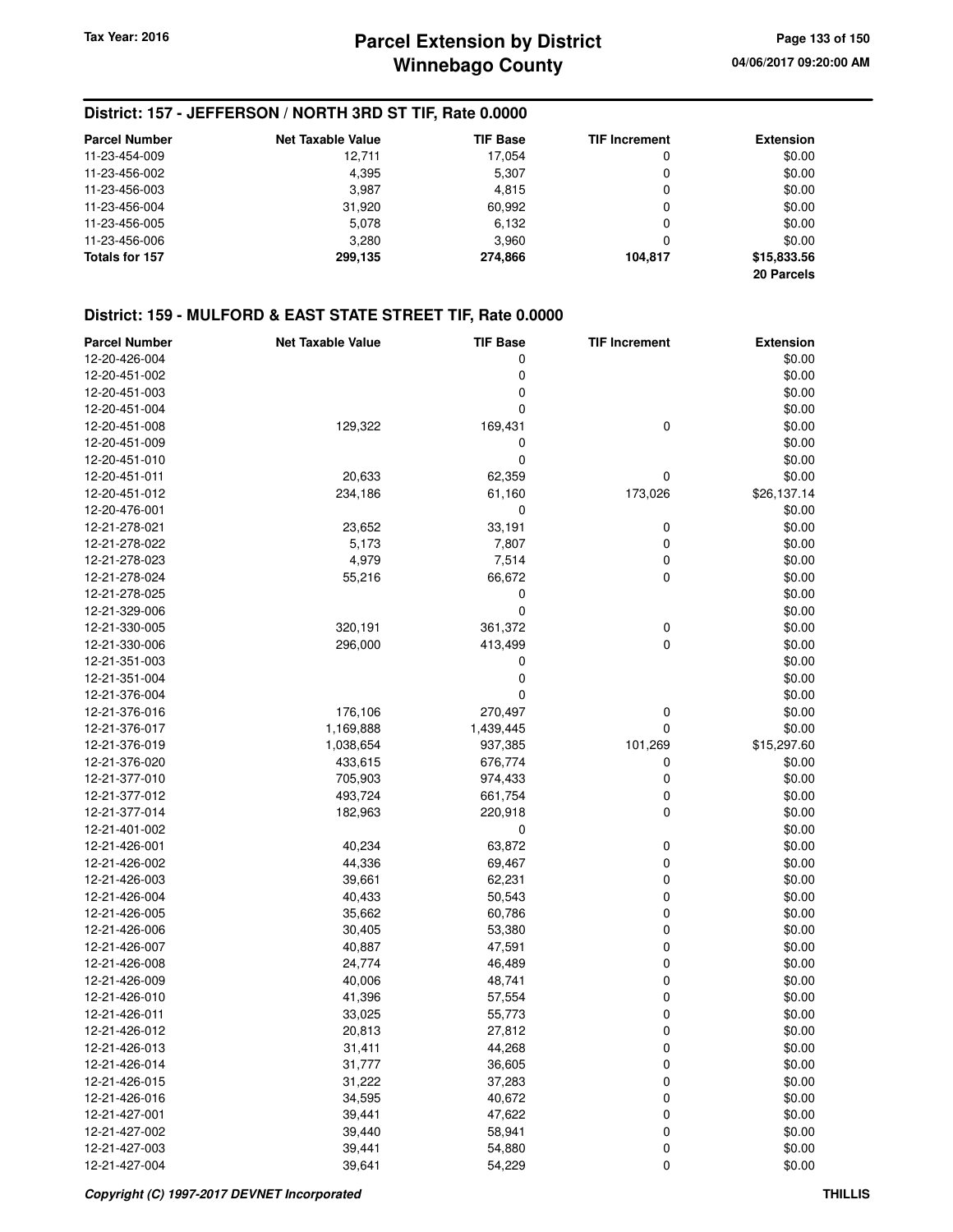# **Winnebago County Parcel Extension by District Tax Year: 2016 Page 133 of 150**

### **District: 157 - JEFFERSON / NORTH 3RD ST TIF, Rate 0.0000**

| <b>Parcel Number</b> | <b>Net Taxable Value</b> | <b>TIF Base</b> | <b>TIF Increment</b> | <b>Extension</b> |
|----------------------|--------------------------|-----------------|----------------------|------------------|
| 11-23-454-009        | 12.711                   | 17.054          | 0                    | \$0.00           |
| 11-23-456-002        | 4.395                    | 5,307           | 0                    | \$0.00           |
| 11-23-456-003        | 3.987                    | 4,815           | 0                    | \$0.00           |
| 11-23-456-004        | 31,920                   | 60,992          | 0                    | \$0.00           |
| 11-23-456-005        | 5,078                    | 6,132           | 0                    | \$0.00           |
| 11-23-456-006        | 3,280                    | 3.960           | 0                    | \$0.00           |
| Totals for 157       | 299,135                  | 274.866         | 104.817              | \$15,833.56      |
|                      |                          |                 |                      | 20 Parcels       |

| <b>Parcel Number</b> | <b>Net Taxable Value</b> | <b>TIF Base</b> | <b>TIF Increment</b> | <b>Extension</b> |
|----------------------|--------------------------|-----------------|----------------------|------------------|
| 12-20-426-004        |                          | 0               |                      | \$0.00           |
| 12-20-451-002        |                          | 0               |                      | \$0.00           |
| 12-20-451-003        |                          | 0               |                      | \$0.00           |
| 12-20-451-004        |                          | $\mathbf 0$     |                      | \$0.00           |
| 12-20-451-008        | 129,322                  | 169,431         | 0                    | \$0.00           |
| 12-20-451-009        |                          | 0               |                      | \$0.00           |
| 12-20-451-010        |                          | $\mathbf 0$     |                      | \$0.00           |
| 12-20-451-011        | 20,633                   | 62,359          | 0                    | \$0.00           |
| 12-20-451-012        | 234,186                  | 61,160          | 173,026              | \$26,137.14      |
| 12-20-476-001        |                          | 0               |                      | \$0.00           |
| 12-21-278-021        | 23,652                   | 33,191          | 0                    | \$0.00           |
| 12-21-278-022        | 5,173                    | 7,807           | 0                    | \$0.00           |
| 12-21-278-023        | 4,979                    | 7,514           | 0                    | \$0.00           |
| 12-21-278-024        | 55,216                   | 66,672          | 0                    | \$0.00           |
| 12-21-278-025        |                          | 0               |                      | \$0.00           |
| 12-21-329-006        |                          | $\mathbf 0$     |                      | \$0.00           |
| 12-21-330-005        | 320,191                  | 361,372         | 0                    | \$0.00           |
| 12-21-330-006        | 296,000                  | 413,499         | 0                    | \$0.00           |
| 12-21-351-003        |                          | 0               |                      | \$0.00           |
| 12-21-351-004        |                          | 0               |                      | \$0.00           |
| 12-21-376-004        |                          | $\mathbf 0$     |                      | \$0.00           |
| 12-21-376-016        | 176,106                  | 270,497         |                      | \$0.00           |
|                      |                          |                 | 0<br>0               |                  |
| 12-21-376-017        | 1,169,888                | 1,439,445       |                      | \$0.00           |
| 12-21-376-019        | 1,038,654                | 937,385         | 101,269              | \$15,297.60      |
| 12-21-376-020        | 433,615                  | 676,774         | 0                    | \$0.00           |
| 12-21-377-010        | 705,903                  | 974,433         | 0                    | \$0.00           |
| 12-21-377-012        | 493,724                  | 661,754         | 0                    | \$0.00           |
| 12-21-377-014        | 182,963                  | 220,918         | 0                    | \$0.00           |
| 12-21-401-002        |                          | 0               |                      | \$0.00           |
| 12-21-426-001        | 40,234                   | 63,872          | 0                    | \$0.00           |
| 12-21-426-002        | 44,336                   | 69,467          | 0                    | \$0.00           |
| 12-21-426-003        | 39,661                   | 62,231          | 0                    | \$0.00           |
| 12-21-426-004        | 40,433                   | 50,543          | 0                    | \$0.00           |
| 12-21-426-005        | 35,662                   | 60,786          | 0                    | \$0.00           |
| 12-21-426-006        | 30,405                   | 53,380          | 0                    | \$0.00           |
| 12-21-426-007        | 40,887                   | 47,591          | 0                    | \$0.00           |
| 12-21-426-008        | 24,774                   | 46,489          | 0                    | \$0.00           |
| 12-21-426-009        | 40,006                   | 48,741          | 0                    | \$0.00           |
| 12-21-426-010        | 41,396                   | 57,554          | 0                    | \$0.00           |
| 12-21-426-011        | 33,025                   | 55,773          | 0                    | \$0.00           |
| 12-21-426-012        | 20,813                   | 27,812          | 0                    | \$0.00           |
| 12-21-426-013        | 31,411                   | 44,268          | 0                    | \$0.00           |
| 12-21-426-014        | 31,777                   | 36,605          | 0                    | \$0.00           |
| 12-21-426-015        | 31,222                   | 37,283          | 0                    | \$0.00           |
| 12-21-426-016        | 34,595                   | 40,672          | 0                    | \$0.00           |
| 12-21-427-001        | 39,441                   | 47,622          | 0                    | \$0.00           |
| 12-21-427-002        | 39,440                   | 58,941          | 0                    | \$0.00           |
| 12-21-427-003        | 39,441                   | 54,880          | 0                    | \$0.00           |
| 12-21-427-004        | 39,641                   | 54,229          | 0                    | \$0.00           |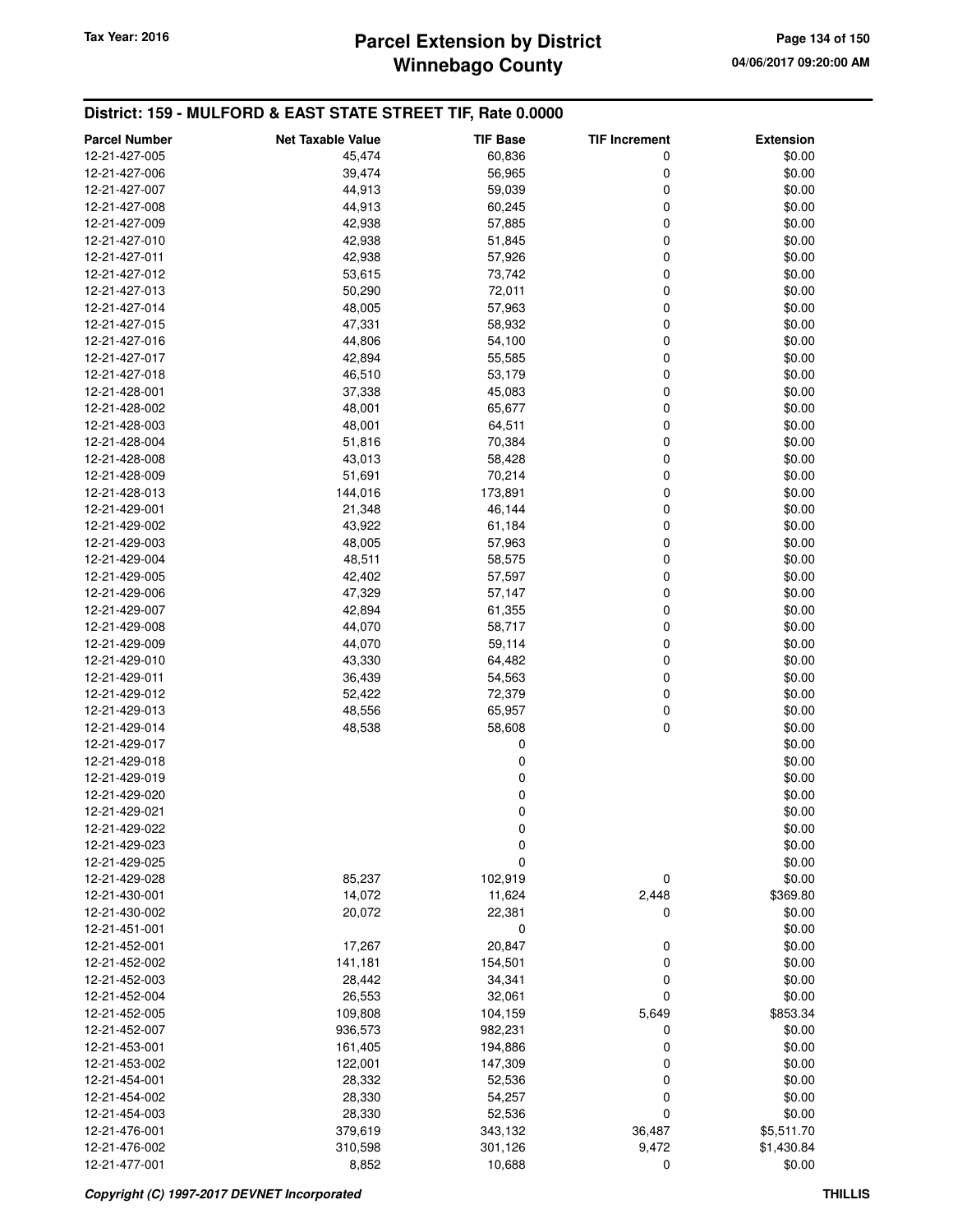# **Winnebago County Parcel Extension by District Tax Year: 2016 Page 134 of 150**

| <b>Parcel Number</b>           | <b>Net Taxable Value</b> | <b>TIF Base</b>   | <b>TIF Increment</b> | <b>Extension</b> |
|--------------------------------|--------------------------|-------------------|----------------------|------------------|
| 12-21-427-005                  | 45,474                   | 60,836            | 0                    | \$0.00           |
| 12-21-427-006                  | 39,474                   | 56,965            | 0                    | \$0.00           |
| 12-21-427-007                  | 44,913                   | 59,039            | 0                    | \$0.00           |
| 12-21-427-008                  | 44,913                   | 60,245            | 0                    | \$0.00           |
| 12-21-427-009                  | 42,938                   | 57,885            | 0                    | \$0.00           |
| 12-21-427-010                  | 42,938                   | 51,845            | 0                    | \$0.00           |
| 12-21-427-011                  | 42,938                   | 57,926            | 0                    | \$0.00           |
| 12-21-427-012                  | 53,615                   | 73,742            | 0                    | \$0.00           |
| 12-21-427-013                  | 50,290                   | 72,011            | 0                    | \$0.00           |
| 12-21-427-014                  | 48,005                   | 57,963            | 0                    | \$0.00           |
| 12-21-427-015                  | 47,331                   | 58,932            | 0                    | \$0.00           |
| 12-21-427-016                  | 44,806                   | 54,100            | 0                    | \$0.00           |
| 12-21-427-017                  | 42,894                   | 55,585            | 0                    | \$0.00           |
| 12-21-427-018                  | 46,510                   | 53,179            | 0                    | \$0.00           |
| 12-21-428-001                  | 37,338                   | 45,083            | 0                    | \$0.00           |
| 12-21-428-002                  | 48,001                   | 65,677            | 0                    | \$0.00           |
| 12-21-428-003<br>12-21-428-004 | 48,001                   | 64,511            | 0<br>0               | \$0.00<br>\$0.00 |
| 12-21-428-008                  | 51,816                   | 70,384            | 0                    | \$0.00           |
| 12-21-428-009                  | 43,013<br>51,691         | 58,428<br>70,214  | 0                    | \$0.00           |
| 12-21-428-013                  | 144,016                  | 173,891           | 0                    | \$0.00           |
| 12-21-429-001                  | 21,348                   | 46,144            | 0                    | \$0.00           |
| 12-21-429-002                  | 43,922                   | 61,184            | 0                    | \$0.00           |
| 12-21-429-003                  | 48,005                   | 57,963            | 0                    | \$0.00           |
| 12-21-429-004                  | 48,511                   | 58,575            | 0                    | \$0.00           |
| 12-21-429-005                  | 42,402                   | 57,597            | 0                    | \$0.00           |
| 12-21-429-006                  | 47,329                   | 57,147            | 0                    | \$0.00           |
| 12-21-429-007                  | 42,894                   | 61,355            | 0                    | \$0.00           |
| 12-21-429-008                  | 44,070                   | 58,717            | 0                    | \$0.00           |
| 12-21-429-009                  | 44,070                   | 59,114            | 0                    | \$0.00           |
| 12-21-429-010                  | 43,330                   | 64,482            | 0                    | \$0.00           |
| 12-21-429-011                  | 36,439                   | 54,563            | 0                    | \$0.00           |
| 12-21-429-012                  | 52,422                   | 72,379            | 0                    | \$0.00           |
| 12-21-429-013                  | 48,556                   | 65,957            | 0                    | \$0.00           |
| 12-21-429-014                  | 48,538                   | 58,608            | 0                    | \$0.00           |
| 12-21-429-017                  |                          | 0                 |                      | \$0.00           |
| 12-21-429-018                  |                          | 0                 |                      | \$0.00           |
| 12-21-429-019                  |                          | 0                 |                      | \$0.00           |
| 12-21-429-020                  |                          | 0                 |                      | \$0.00           |
| 12-21-429-021                  |                          | 0                 |                      | \$0.00           |
| 12-21-429-022                  |                          | 0                 |                      | \$0.00           |
| 12-21-429-023                  |                          | 0                 |                      | \$0.00           |
| 12-21-429-025                  |                          | 0                 |                      | \$0.00           |
| 12-21-429-028                  | 85,237                   | 102,919           | 0                    | \$0.00           |
| 12-21-430-001                  | 14,072                   | 11,624            | 2,448                | \$369.80         |
| 12-21-430-002                  | 20,072                   | 22,381            | 0                    | \$0.00           |
| 12-21-451-001<br>12-21-452-001 |                          | 0                 |                      | \$0.00           |
| 12-21-452-002                  | 17,267<br>141,181        | 20,847<br>154,501 | 0<br>0               | \$0.00<br>\$0.00 |
| 12-21-452-003                  | 28,442                   | 34,341            | 0                    | \$0.00           |
| 12-21-452-004                  | 26,553                   | 32,061            | 0                    | \$0.00           |
| 12-21-452-005                  | 109,808                  | 104,159           | 5,649                | \$853.34         |
| 12-21-452-007                  | 936,573                  | 982,231           | 0                    | \$0.00           |
| 12-21-453-001                  | 161,405                  | 194,886           | 0                    | \$0.00           |
| 12-21-453-002                  | 122,001                  | 147,309           | 0                    | \$0.00           |
| 12-21-454-001                  | 28,332                   | 52,536            | 0                    | \$0.00           |
| 12-21-454-002                  | 28,330                   | 54,257            | 0                    | \$0.00           |
| 12-21-454-003                  | 28,330                   | 52,536            | 0                    | \$0.00           |
| 12-21-476-001                  | 379,619                  | 343,132           | 36,487               | \$5,511.70       |
| 12-21-476-002                  | 310,598                  | 301,126           | 9,472                | \$1,430.84       |
| 12-21-477-001                  | 8,852                    | 10,688            | 0                    | \$0.00           |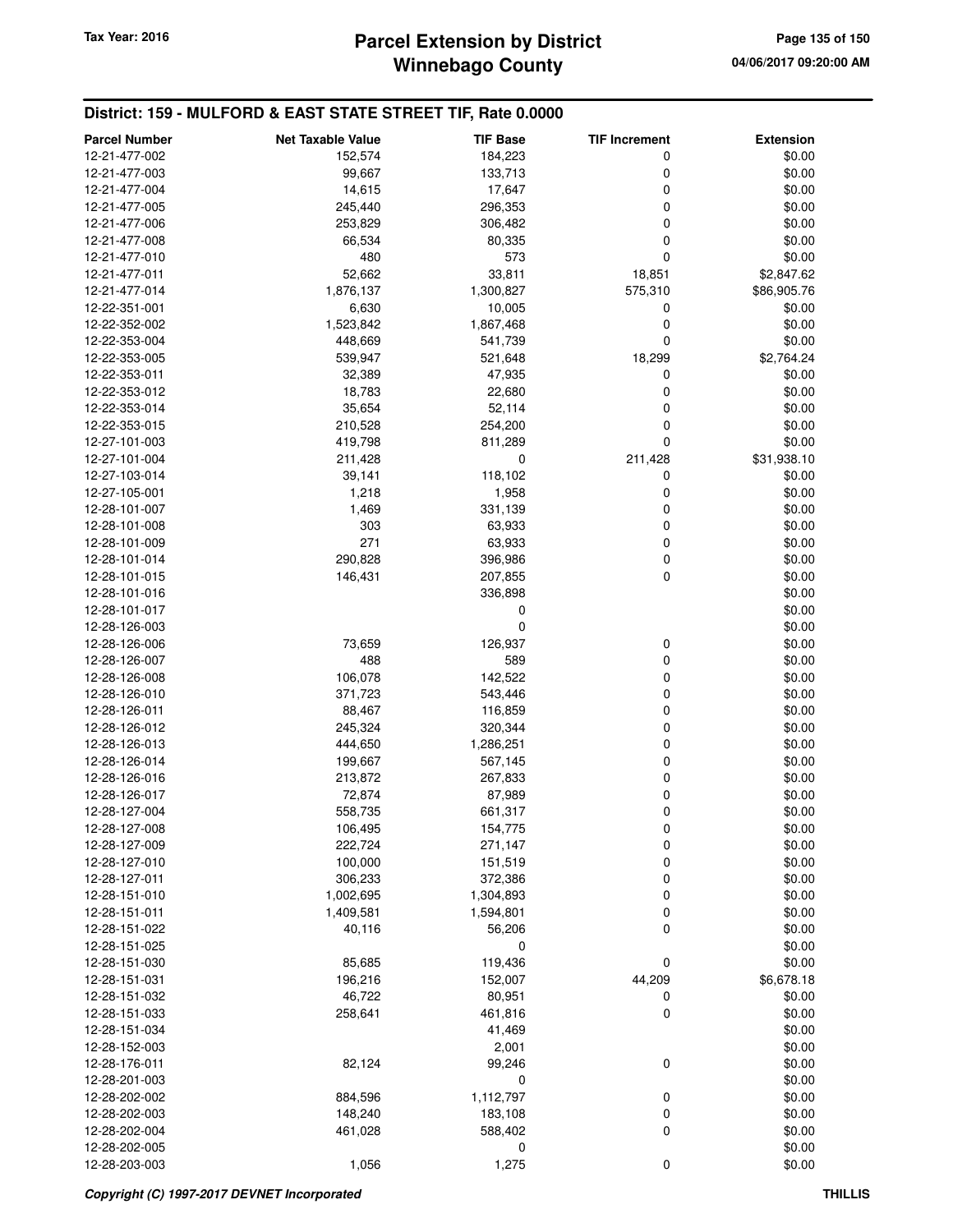# **Winnebago County Parcel Extension by District Tax Year: 2016 Page 135 of 150**

| <b>Parcel Number</b> | <b>Net Taxable Value</b> | <b>TIF Base</b> | <b>TIF Increment</b> | <b>Extension</b> |
|----------------------|--------------------------|-----------------|----------------------|------------------|
| 12-21-477-002        | 152,574                  | 184,223         | 0                    | \$0.00           |
| 12-21-477-003        | 99,667                   | 133,713         | 0                    | \$0.00           |
| 12-21-477-004        | 14,615                   | 17,647          | 0                    | \$0.00           |
| 12-21-477-005        | 245,440                  | 296,353         | 0                    | \$0.00           |
| 12-21-477-006        | 253,829                  | 306,482         | 0                    | \$0.00           |
| 12-21-477-008        | 66,534                   | 80,335          | 0                    | \$0.00           |
| 12-21-477-010        | 480                      | 573             | 0                    | \$0.00           |
| 12-21-477-011        | 52,662                   | 33,811          | 18,851               | \$2,847.62       |
| 12-21-477-014        | 1,876,137                | 1,300,827       | 575,310              | \$86,905.76      |
| 12-22-351-001        | 6,630                    | 10,005          | 0                    | \$0.00           |
| 12-22-352-002        | 1,523,842                | 1,867,468       | 0                    | \$0.00           |
| 12-22-353-004        | 448,669                  | 541,739         | 0                    | \$0.00           |
| 12-22-353-005        | 539,947                  | 521,648         | 18,299               | \$2,764.24       |
| 12-22-353-011        | 32,389                   | 47,935          | 0                    | \$0.00           |
| 12-22-353-012        | 18,783                   | 22,680          | 0                    | \$0.00           |
|                      |                          |                 | 0                    |                  |
| 12-22-353-014        | 35,654                   | 52,114          | 0                    | \$0.00           |
| 12-22-353-015        | 210,528                  | 254,200         | 0                    | \$0.00           |
| 12-27-101-003        | 419,798                  | 811,289         |                      | \$0.00           |
| 12-27-101-004        | 211,428                  | 0               | 211,428              | \$31,938.10      |
| 12-27-103-014        | 39,141                   | 118,102         | 0                    | \$0.00           |
| 12-27-105-001        | 1,218                    | 1,958           | 0                    | \$0.00           |
| 12-28-101-007        | 1,469                    | 331,139         | 0                    | \$0.00           |
| 12-28-101-008        | 303                      | 63,933          | 0                    | \$0.00           |
| 12-28-101-009        | 271                      | 63,933          | 0                    | \$0.00           |
| 12-28-101-014        | 290,828                  | 396,986         | 0                    | \$0.00           |
| 12-28-101-015        | 146,431                  | 207,855         | 0                    | \$0.00           |
| 12-28-101-016        |                          | 336,898         |                      | \$0.00           |
| 12-28-101-017        |                          | 0               |                      | \$0.00           |
| 12-28-126-003        |                          | 0               |                      | \$0.00           |
| 12-28-126-006        | 73,659                   | 126,937         | 0                    | \$0.00           |
| 12-28-126-007        | 488                      | 589             | 0                    | \$0.00           |
| 12-28-126-008        | 106,078                  | 142,522         | 0                    | \$0.00           |
| 12-28-126-010        | 371,723                  | 543,446         | 0                    | \$0.00           |
| 12-28-126-011        | 88,467                   | 116,859         | 0                    | \$0.00           |
| 12-28-126-012        | 245,324                  | 320,344         | 0                    | \$0.00           |
| 12-28-126-013        | 444,650                  | 1,286,251       | 0                    | \$0.00           |
| 12-28-126-014        | 199,667                  | 567,145         | 0                    | \$0.00           |
| 12-28-126-016        | 213,872                  | 267,833         | 0                    | \$0.00           |
| 12-28-126-017        | 72,874                   | 87,989          | 0                    | \$0.00           |
| 12-28-127-004        | 558,735                  | 661,317         | 0                    | \$0.00           |
| 12-28-127-008        | 106,495                  | 154,775         | 0                    | \$0.00           |
| 12-28-127-009        | 222,724                  | 271,147         | 0                    | \$0.00           |
| 12-28-127-010        | 100,000                  | 151,519         | 0                    | \$0.00           |
| 12-28-127-011        | 306,233                  | 372,386         | 0                    | \$0.00           |
| 12-28-151-010        | 1,002,695                | 1,304,893       | 0                    | \$0.00           |
| 12-28-151-011        | 1,409,581                | 1,594,801       | 0                    | \$0.00           |
| 12-28-151-022        | 40,116                   | 56,206          | 0                    | \$0.00           |
| 12-28-151-025        |                          | 0               |                      | \$0.00           |
| 12-28-151-030        | 85,685                   | 119,436         | 0                    | \$0.00           |
| 12-28-151-031        | 196,216                  | 152,007         | 44,209               | \$6,678.18       |
| 12-28-151-032        | 46,722                   | 80,951          | 0                    | \$0.00           |
| 12-28-151-033        | 258,641                  | 461,816         | 0                    | \$0.00           |
| 12-28-151-034        |                          | 41,469          |                      | \$0.00           |
| 12-28-152-003        |                          | 2,001           |                      | \$0.00           |
| 12-28-176-011        | 82,124                   | 99,246          | 0                    | \$0.00           |
| 12-28-201-003        |                          | 0               |                      | \$0.00           |
| 12-28-202-002        | 884,596                  | 1,112,797       | 0                    | \$0.00           |
| 12-28-202-003        | 148,240                  | 183,108         | 0                    | \$0.00           |
| 12-28-202-004        | 461,028                  | 588,402         | 0                    | \$0.00           |
| 12-28-202-005        |                          | 0               |                      | \$0.00           |
| 12-28-203-003        | 1,056                    | 1,275           | 0                    | \$0.00           |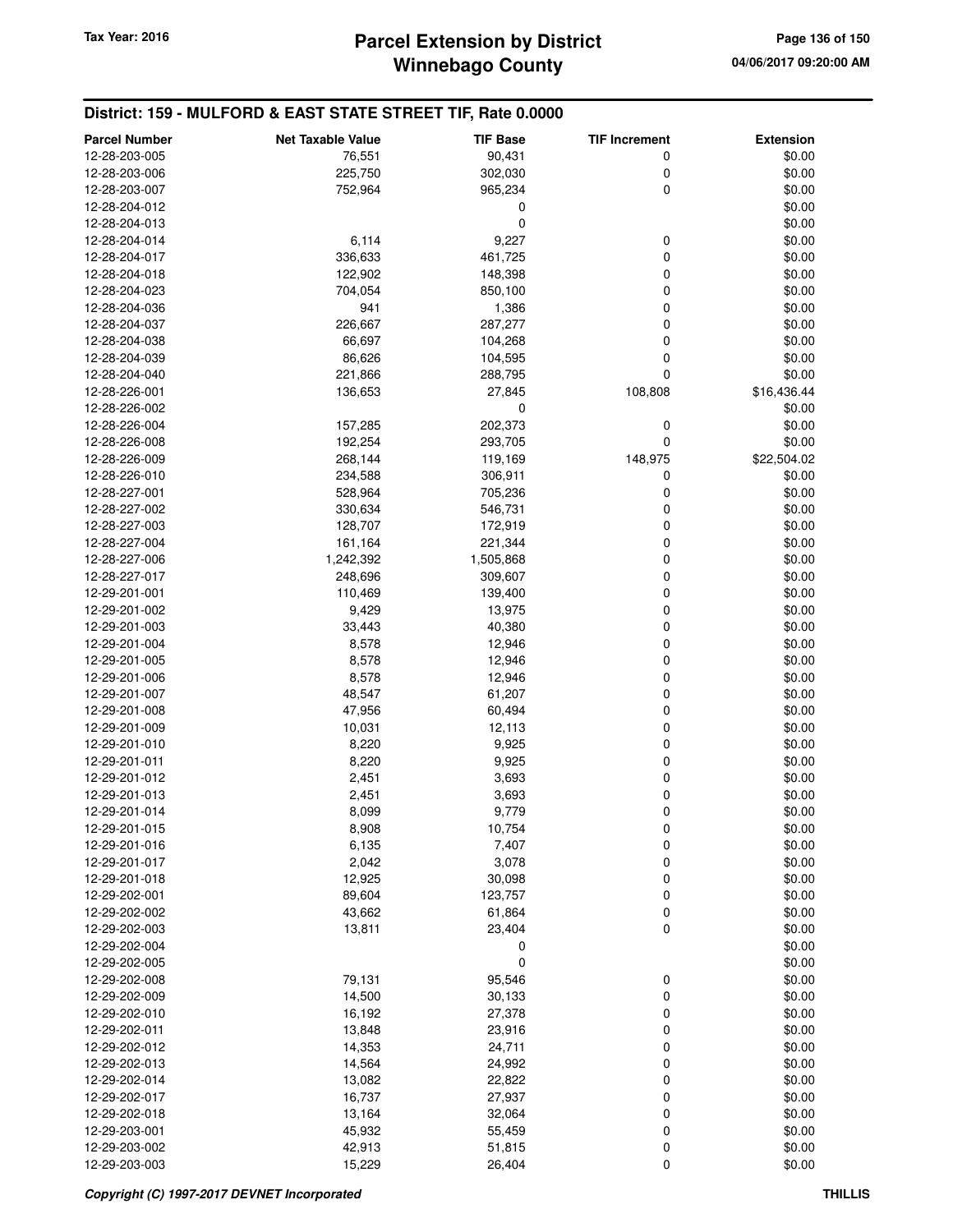| <b>Parcel Number</b>           | <b>Net Taxable Value</b> | <b>TIF Base</b> | <b>TIF Increment</b> | <b>Extension</b> |
|--------------------------------|--------------------------|-----------------|----------------------|------------------|
| 12-28-203-005                  | 76,551                   | 90,431          | 0                    | \$0.00           |
| 12-28-203-006                  | 225,750                  | 302,030         | 0                    | \$0.00           |
| 12-28-203-007                  | 752,964                  | 965,234         | 0                    | \$0.00           |
| 12-28-204-012                  |                          | 0               |                      | \$0.00           |
| 12-28-204-013                  |                          | 0               |                      | \$0.00           |
| 12-28-204-014                  | 6,114                    | 9,227           | 0                    | \$0.00           |
| 12-28-204-017                  | 336,633                  | 461,725         | 0                    | \$0.00           |
| 12-28-204-018                  | 122,902                  | 148,398         | 0                    | \$0.00           |
| 12-28-204-023                  | 704,054                  | 850,100         | 0                    | \$0.00           |
| 12-28-204-036                  | 941                      | 1,386           | 0                    | \$0.00           |
| 12-28-204-037                  | 226,667                  | 287,277         | 0                    | \$0.00           |
| 12-28-204-038                  | 66,697                   | 104,268         | 0                    | \$0.00           |
| 12-28-204-039                  | 86,626                   | 104,595         | 0                    | \$0.00           |
| 12-28-204-040                  | 221,866                  | 288,795         | 0                    | \$0.00           |
| 12-28-226-001                  | 136,653                  | 27,845          | 108,808              | \$16,436.44      |
| 12-28-226-002                  |                          | 0               |                      | \$0.00           |
| 12-28-226-004                  | 157,285                  | 202,373         | 0                    | \$0.00           |
| 12-28-226-008                  | 192,254                  | 293,705         | 0                    | \$0.00           |
| 12-28-226-009                  | 268,144                  | 119,169         | 148,975              | \$22,504.02      |
| 12-28-226-010                  | 234,588                  | 306,911         | 0                    | \$0.00           |
| 12-28-227-001                  | 528,964                  | 705,236         | 0                    | \$0.00           |
| 12-28-227-002                  | 330,634                  | 546,731         | 0                    | \$0.00           |
| 12-28-227-003                  | 128,707                  | 172,919         | 0                    | \$0.00           |
| 12-28-227-004                  | 161,164                  | 221,344         | 0                    | \$0.00           |
| 12-28-227-006                  |                          |                 | 0                    | \$0.00           |
| 12-28-227-017                  | 1,242,392                | 1,505,868       | 0                    | \$0.00           |
|                                | 248,696                  | 309,607         | 0                    |                  |
| 12-29-201-001                  | 110,469                  | 139,400         | 0                    | \$0.00<br>\$0.00 |
| 12-29-201-002                  | 9,429                    | 13,975          | 0                    | \$0.00           |
| 12-29-201-003<br>12-29-201-004 | 33,443                   | 40,380          | 0                    | \$0.00           |
|                                | 8,578                    | 12,946          | 0                    | \$0.00           |
| 12-29-201-005                  | 8,578                    | 12,946          |                      |                  |
| 12-29-201-006                  | 8,578                    | 12,946          | 0<br>0               | \$0.00<br>\$0.00 |
| 12-29-201-007                  | 48,547                   | 61,207          |                      |                  |
| 12-29-201-008                  | 47,956                   | 60,494          | 0                    | \$0.00           |
| 12-29-201-009                  | 10,031                   | 12,113          | 0                    | \$0.00           |
| 12-29-201-010                  | 8,220                    | 9,925           | 0                    | \$0.00           |
| 12-29-201-011                  | 8,220                    | 9,925           | 0                    | \$0.00           |
| 12-29-201-012                  | 2,451                    | 3,693           | 0                    | \$0.00           |
| 12-29-201-013                  | 2,451                    | 3,693           | 0                    | \$0.00           |
| 12-29-201-014                  | 8,099                    | 9,779           | 0                    | \$0.00           |
| 12-29-201-015                  | 8,908                    | 10,754          | 0                    | \$0.00           |
| 12-29-201-016<br>12-29-201-017 | 6,135                    | 7,407           | 0                    | \$0.00           |
|                                | 2,042                    | 3,078           | 0                    | \$0.00           |
| 12-29-201-018                  | 12,925                   | 30,098          | 0                    | \$0.00           |
| 12-29-202-001                  | 89,604                   | 123,757         | 0                    | \$0.00           |
| 12-29-202-002                  | 43,662                   | 61,864          | 0                    | \$0.00           |
| 12-29-202-003                  | 13,811                   | 23,404          | 0                    | \$0.00           |
| 12-29-202-004                  |                          | 0               |                      | \$0.00           |
| 12-29-202-005                  |                          | 0               |                      | \$0.00           |
| 12-29-202-008                  | 79,131                   | 95,546          | 0                    | \$0.00           |
| 12-29-202-009                  | 14,500                   | 30,133          | 0                    | \$0.00           |
| 12-29-202-010                  | 16,192                   | 27,378          | 0                    | \$0.00           |
| 12-29-202-011                  | 13,848                   | 23,916          | 0                    | \$0.00           |
| 12-29-202-012                  | 14,353                   | 24,711          | 0                    | \$0.00           |
| 12-29-202-013                  | 14,564                   | 24,992          | 0                    | \$0.00           |
| 12-29-202-014                  | 13,082                   | 22,822          | 0                    | \$0.00           |
| 12-29-202-017                  | 16,737                   | 27,937          | 0                    | \$0.00           |
| 12-29-202-018                  | 13,164                   | 32,064          | 0                    | \$0.00           |
| 12-29-203-001                  | 45,932                   | 55,459          | 0                    | \$0.00           |
| 12-29-203-002                  | 42,913                   | 51,815          | 0                    | \$0.00           |
| 12-29-203-003                  | 15,229                   | 26,404          | 0                    | \$0.00           |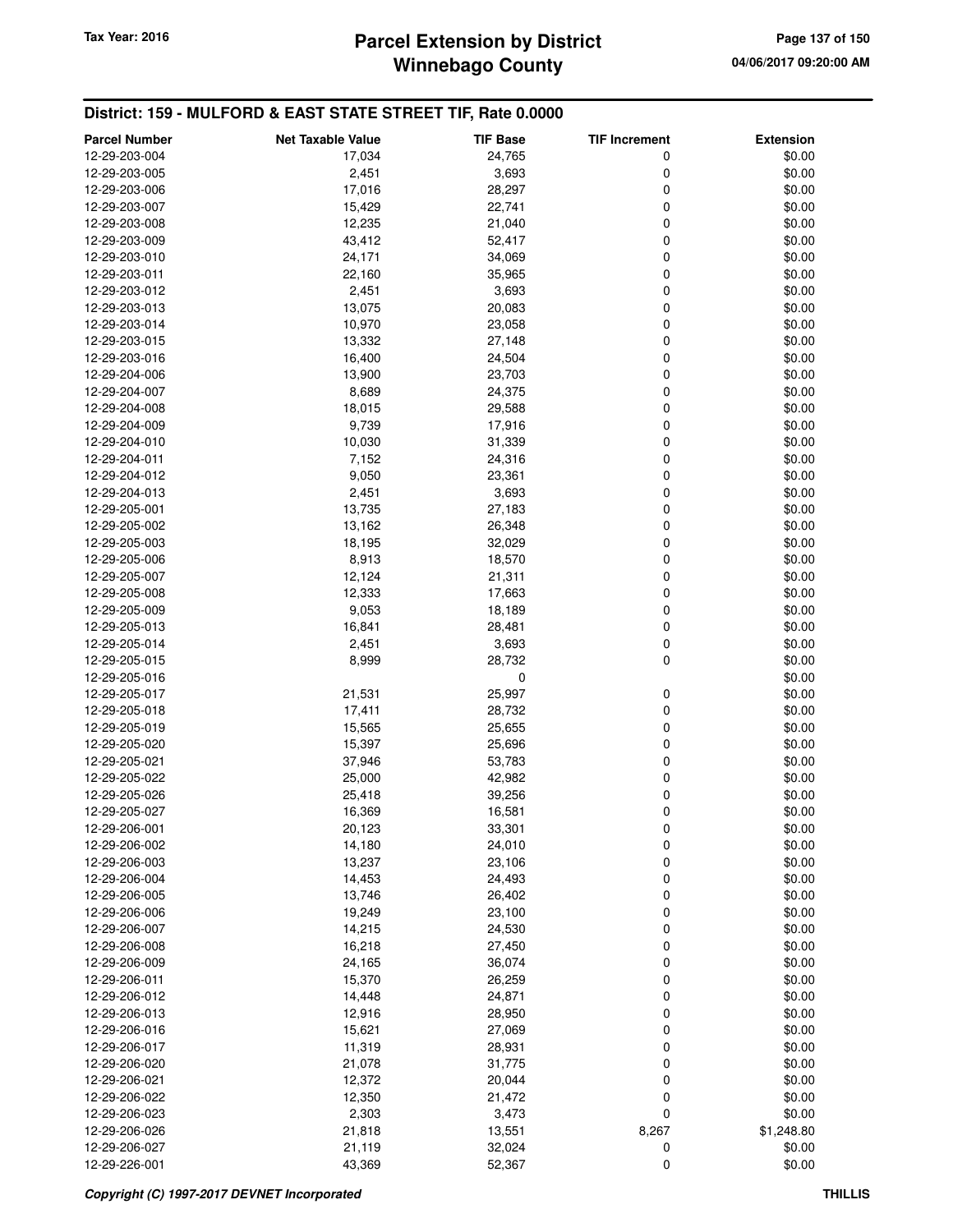# **Winnebago County Parcel Extension by District Tax Year: 2016 Page 137 of 150**

| <b>Parcel Number</b>           | <b>Net Taxable Value</b> | <b>TIF Base</b>  | <b>TIF Increment</b> | <b>Extension</b> |
|--------------------------------|--------------------------|------------------|----------------------|------------------|
| 12-29-203-004                  | 17,034                   | 24,765           | 0                    | \$0.00           |
| 12-29-203-005                  | 2,451                    | 3,693            | 0                    | \$0.00           |
| 12-29-203-006                  | 17,016                   | 28,297           | $\mathbf 0$          | \$0.00           |
| 12-29-203-007                  | 15,429                   | 22,741           | 0                    | \$0.00           |
| 12-29-203-008                  | 12,235                   | 21,040           | 0                    | \$0.00           |
| 12-29-203-009                  | 43,412                   | 52,417           | $\mathbf 0$          | \$0.00           |
| 12-29-203-010                  | 24,171                   | 34,069           | 0                    | \$0.00           |
| 12-29-203-011                  | 22,160                   | 35,965           | $\mathbf 0$          | \$0.00           |
| 12-29-203-012                  | 2,451                    | 3,693            | 0                    | \$0.00           |
| 12-29-203-013                  | 13,075                   | 20,083           | $\mathbf 0$          | \$0.00           |
| 12-29-203-014                  | 10,970                   | 23,058           | $\mathbf 0$          | \$0.00           |
| 12-29-203-015                  | 13,332                   | 27,148           | $\mathbf 0$          | \$0.00           |
| 12-29-203-016                  | 16,400                   | 24,504           | $\mathbf 0$          | \$0.00           |
| 12-29-204-006                  | 13,900                   | 23,703           | 0                    | \$0.00           |
| 12-29-204-007                  | 8,689                    | 24,375           | $\mathbf 0$          | \$0.00           |
| 12-29-204-008                  | 18,015                   | 29,588           | $\mathbf 0$          | \$0.00           |
| 12-29-204-009                  | 9,739                    | 17,916           | 0                    | \$0.00           |
| 12-29-204-010                  | 10,030                   | 31,339           | $\mathbf 0$          | \$0.00           |
| 12-29-204-011                  | 7,152                    | 24,316           | 0                    | \$0.00           |
| 12-29-204-012                  | 9,050                    | 23,361           | $\mathbf 0$          | \$0.00           |
| 12-29-204-013                  | 2,451                    | 3,693            | $\mathbf 0$          | \$0.00           |
|                                | 13,735                   |                  | $\mathbf 0$          | \$0.00           |
| 12-29-205-001<br>12-29-205-002 | 13,162                   | 27,183<br>26,348 | $\mathbf 0$          | \$0.00           |
|                                |                          |                  |                      |                  |
| 12-29-205-003                  | 18,195                   | 32,029           | 0<br>$\mathbf 0$     | \$0.00           |
| 12-29-205-006                  | 8,913                    | 18,570           |                      | \$0.00           |
| 12-29-205-007                  | 12,124                   | 21,311           | $\mathbf 0$          | \$0.00           |
| 12-29-205-008                  | 12,333                   | 17,663           | 0                    | \$0.00           |
| 12-29-205-009                  | 9,053                    | 18,189           | $\mathbf 0$          | \$0.00           |
| 12-29-205-013                  | 16,841                   | 28,481           | 0                    | \$0.00           |
| 12-29-205-014                  | 2,451                    | 3,693            | $\mathbf 0$          | \$0.00           |
| 12-29-205-015                  | 8,999                    | 28,732           | $\pmb{0}$            | \$0.00           |
| 12-29-205-016                  |                          | $\mathbf 0$      |                      | \$0.00           |
| 12-29-205-017                  | 21,531                   | 25,997           | 0                    | \$0.00           |
| 12-29-205-018                  | 17,411                   | 28,732           | 0                    | \$0.00           |
| 12-29-205-019                  | 15,565                   | 25,655           | $\mathbf 0$          | \$0.00           |
| 12-29-205-020                  | 15,397                   | 25,696           | $\mathbf 0$          | \$0.00           |
| 12-29-205-021                  | 37,946                   | 53,783           | 0                    | \$0.00           |
| 12-29-205-022                  | 25,000                   | 42,982           | $\mathbf 0$          | \$0.00           |
| 12-29-205-026                  | 25,418                   | 39,256           | 0                    | \$0.00           |
| 12-29-205-027                  | 16,369                   | 16,581           | $\mathbf 0$          | \$0.00           |
| 12-29-206-001                  | 20,123                   | 33,301           | 0                    | \$0.00           |
| 12-29-206-002                  | 14,180                   | 24,010           | 0                    | \$0.00           |
| 12-29-206-003                  | 13,237                   | 23,106           | 0                    | \$0.00           |
| 12-29-206-004                  | 14,453                   | 24,493           | 0                    | \$0.00           |
| 12-29-206-005                  | 13,746                   | 26,402           | 0                    | \$0.00           |
| 12-29-206-006                  | 19,249                   | 23,100           | 0                    | \$0.00           |
| 12-29-206-007                  | 14,215                   | 24,530           | 0                    | \$0.00           |
| 12-29-206-008                  | 16,218                   | 27,450           | $\mathbf 0$          | \$0.00           |
| 12-29-206-009                  | 24,165                   | 36,074           | 0                    | \$0.00           |
| 12-29-206-011                  | 15,370                   | 26,259           | $\mathbf 0$          | \$0.00           |
| 12-29-206-012                  | 14,448                   | 24,871           | 0                    | \$0.00           |
| 12-29-206-013                  | 12,916                   | 28,950           | 0                    | \$0.00           |
| 12-29-206-016                  | 15,621                   | 27,069           | 0                    | \$0.00           |
| 12-29-206-017                  | 11,319                   | 28,931           | 0                    | \$0.00           |
| 12-29-206-020                  | 21,078                   | 31,775           | 0                    | \$0.00           |
| 12-29-206-021                  | 12,372                   | 20,044           | $\mathbf 0$          | \$0.00           |
| 12-29-206-022                  | 12,350                   | 21,472           | 0                    | \$0.00           |
| 12-29-206-023                  | 2,303                    | 3,473            | $\mathbf 0$          | \$0.00           |
| 12-29-206-026                  | 21,818                   | 13,551           | 8,267                | \$1,248.80       |
| 12-29-206-027                  | 21,119                   | 32,024           | 0                    | \$0.00           |
| 12-29-226-001                  | 43,369                   | 52,367           | $\mathbf 0$          | \$0.00           |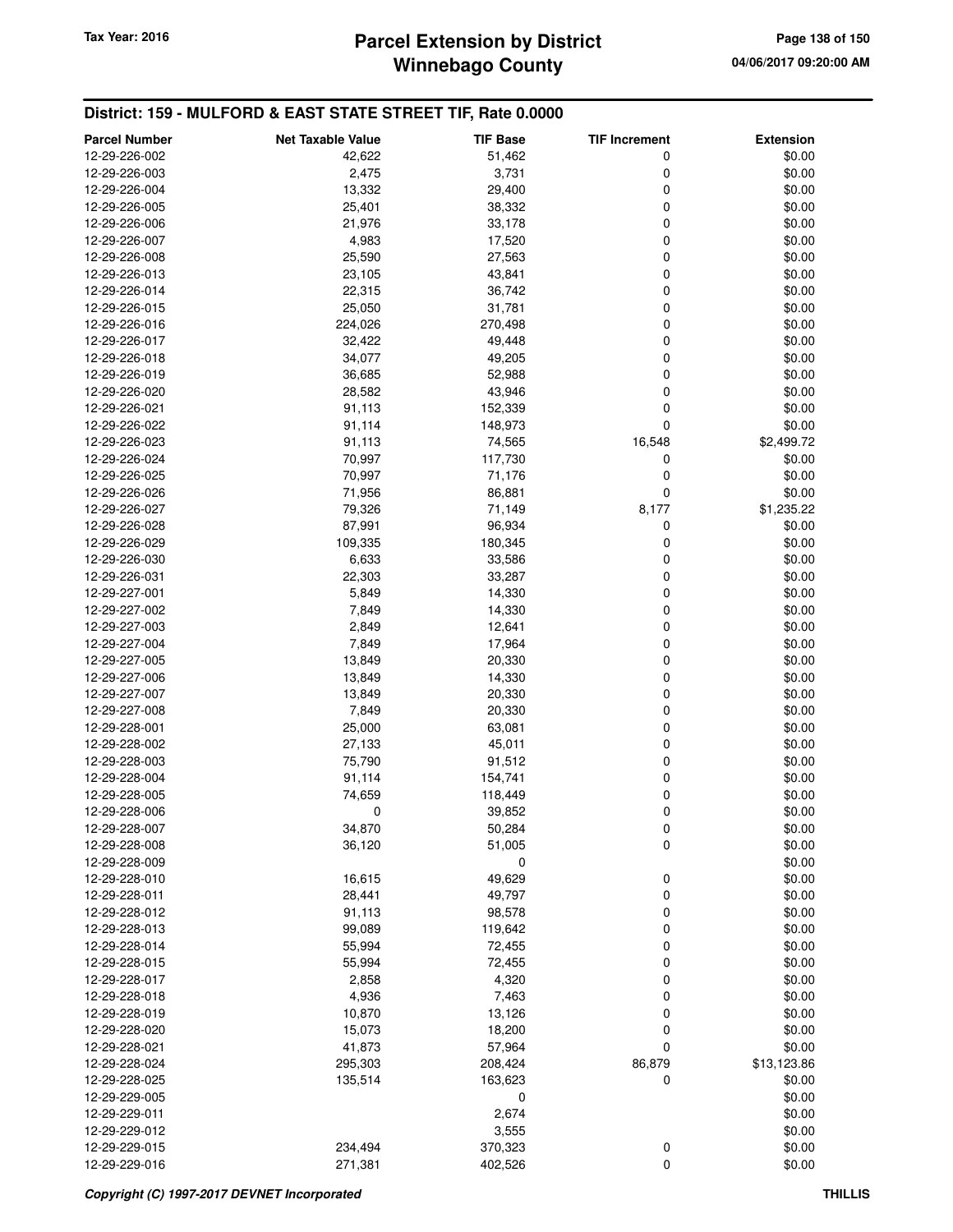# **Winnebago County Parcel Extension by District Tax Year: 2016 Page 138 of 150**

| <b>Parcel Number</b>           | <b>Net Taxable Value</b> | <b>TIF Base</b>   | <b>TIF Increment</b> | <b>Extension</b> |
|--------------------------------|--------------------------|-------------------|----------------------|------------------|
| 12-29-226-002                  | 42,622                   | 51,462            | 0                    | \$0.00           |
| 12-29-226-003                  | 2,475                    | 3,731             | 0                    | \$0.00           |
| 12-29-226-004                  | 13,332                   | 29,400            | 0                    | \$0.00           |
| 12-29-226-005                  | 25,401                   | 38,332            | 0                    | \$0.00           |
| 12-29-226-006                  | 21,976                   | 33,178            | 0                    | \$0.00           |
| 12-29-226-007                  | 4,983                    | 17,520            | 0                    | \$0.00           |
| 12-29-226-008                  | 25,590                   | 27,563            | 0                    | \$0.00           |
| 12-29-226-013                  | 23,105                   | 43,841            | 0                    | \$0.00           |
| 12-29-226-014                  | 22,315                   | 36,742            | 0                    | \$0.00           |
| 12-29-226-015                  | 25,050                   | 31,781            | 0                    | \$0.00           |
| 12-29-226-016                  | 224,026                  | 270,498           | 0                    | \$0.00           |
| 12-29-226-017                  | 32,422                   | 49,448            | 0                    | \$0.00           |
| 12-29-226-018                  | 34,077                   | 49,205            | 0                    | \$0.00           |
| 12-29-226-019                  | 36,685                   | 52,988            | 0                    | \$0.00           |
| 12-29-226-020                  | 28,582                   | 43,946            | 0                    | \$0.00           |
| 12-29-226-021                  | 91,113                   | 152,339           | 0                    | \$0.00           |
| 12-29-226-022                  | 91,114                   | 148,973           | 0                    | \$0.00           |
| 12-29-226-023                  | 91,113                   | 74,565<br>117,730 | 16,548<br>0          | \$2,499.72       |
| 12-29-226-024<br>12-29-226-025 | 70,997<br>70,997         | 71,176            | 0                    | \$0.00<br>\$0.00 |
| 12-29-226-026                  | 71,956                   | 86,881            | 0                    | \$0.00           |
| 12-29-226-027                  | 79,326                   | 71,149            | 8,177                | \$1,235.22       |
| 12-29-226-028                  | 87,991                   | 96,934            | 0                    | \$0.00           |
| 12-29-226-029                  | 109,335                  | 180,345           | 0                    | \$0.00           |
| 12-29-226-030                  | 6,633                    | 33,586            | 0                    | \$0.00           |
| 12-29-226-031                  | 22,303                   | 33,287            | 0                    | \$0.00           |
| 12-29-227-001                  | 5,849                    | 14,330            | 0                    | \$0.00           |
| 12-29-227-002                  | 7,849                    | 14,330            | 0                    | \$0.00           |
| 12-29-227-003                  | 2,849                    | 12,641            | 0                    | \$0.00           |
| 12-29-227-004                  | 7,849                    | 17,964            | 0                    | \$0.00           |
| 12-29-227-005                  | 13,849                   | 20,330            | 0                    | \$0.00           |
| 12-29-227-006                  | 13,849                   | 14,330            | 0                    | \$0.00           |
| 12-29-227-007                  | 13,849                   | 20,330            | 0                    | \$0.00           |
| 12-29-227-008                  | 7,849                    | 20,330            | 0                    | \$0.00           |
| 12-29-228-001                  | 25,000                   | 63,081            | 0                    | \$0.00           |
| 12-29-228-002                  | 27,133                   | 45,011            | 0                    | \$0.00           |
| 12-29-228-003                  | 75,790                   | 91,512            | 0                    | \$0.00           |
| 12-29-228-004                  | 91,114                   | 154,741           | 0                    | \$0.00           |
| 12-29-228-005                  | 74,659                   | 118,449           | 0                    | \$0.00           |
| 12-29-228-006                  | 0                        | 39,852            | 0                    | \$0.00           |
| 12-29-228-007                  | 34,870                   | 50,284            | 0                    | \$0.00           |
| 12-29-228-008<br>12-29-228-009 | 36,120                   | 51,005<br>0       | 0                    | \$0.00<br>\$0.00 |
| 12-29-228-010                  | 16,615                   | 49,629            | 0                    | \$0.00           |
| 12-29-228-011                  | 28,441                   | 49,797            | 0                    | \$0.00           |
| 12-29-228-012                  | 91,113                   | 98,578            | 0                    | \$0.00           |
| 12-29-228-013                  | 99,089                   | 119,642           | 0                    | \$0.00           |
| 12-29-228-014                  | 55,994                   | 72,455            | 0                    | \$0.00           |
| 12-29-228-015                  | 55,994                   | 72,455            | 0                    | \$0.00           |
| 12-29-228-017                  | 2,858                    | 4,320             | 0                    | \$0.00           |
| 12-29-228-018                  | 4,936                    | 7,463             | 0                    | \$0.00           |
| 12-29-228-019                  | 10,870                   | 13,126            | 0                    | \$0.00           |
| 12-29-228-020                  | 15,073                   | 18,200            | 0                    | \$0.00           |
| 12-29-228-021                  | 41,873                   | 57,964            | 0                    | \$0.00           |
| 12-29-228-024                  | 295,303                  | 208,424           | 86,879               | \$13,123.86      |
| 12-29-228-025                  | 135,514                  | 163,623           | 0                    | \$0.00           |
| 12-29-229-005                  |                          | 0                 |                      | \$0.00           |
| 12-29-229-011                  |                          | 2,674             |                      | \$0.00           |
| 12-29-229-012                  |                          | 3,555             |                      | \$0.00           |
| 12-29-229-015                  | 234,494                  | 370,323           | 0                    | \$0.00           |
| 12-29-229-016                  | 271,381                  | 402,526           | 0                    | \$0.00           |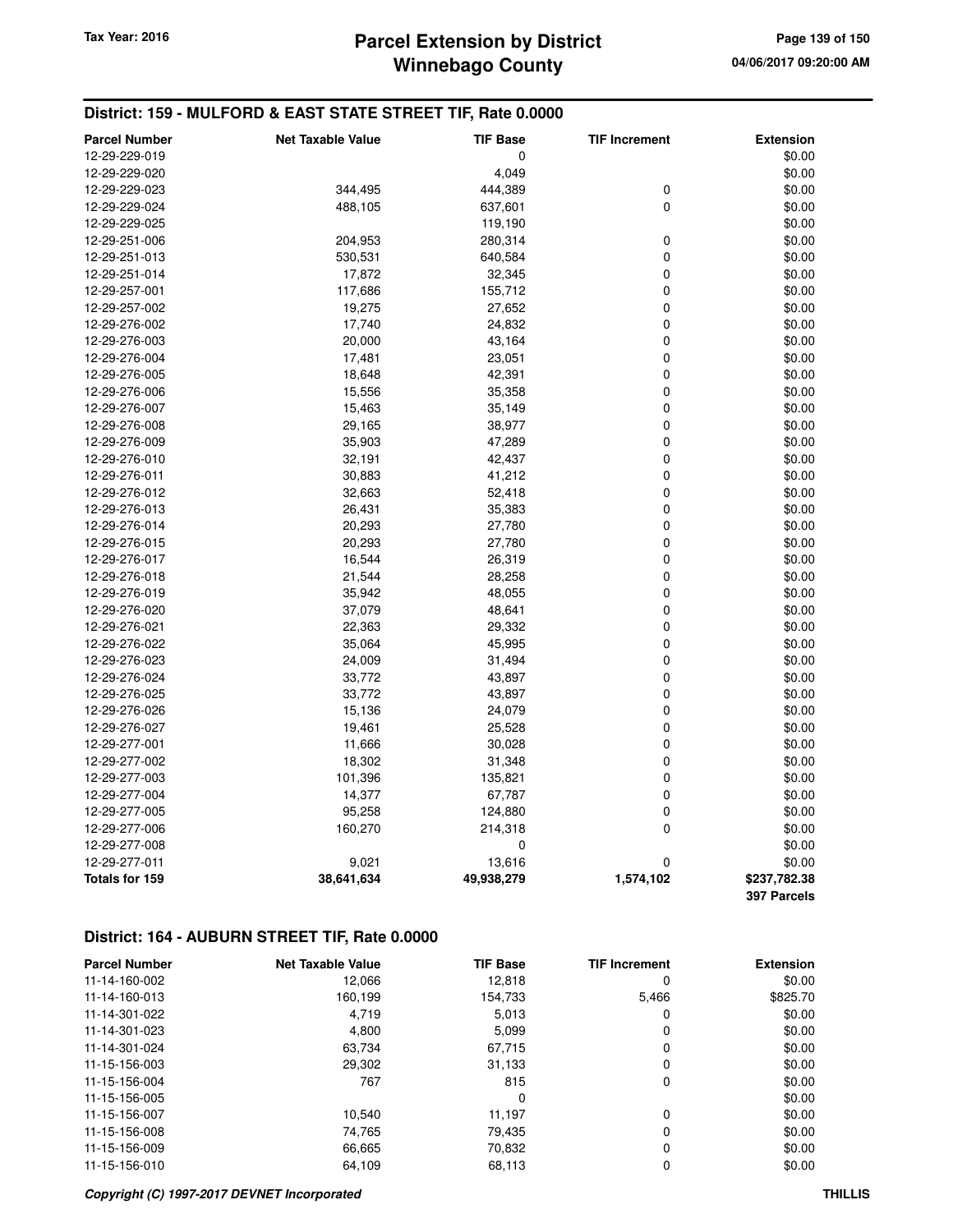# **Winnebago County Parcel Extension by District Tax Year: 2016 Page 139 of 150**

### **District: 159 - MULFORD & EAST STATE STREET TIF, Rate 0.0000**

| <b>Parcel Number</b> | <b>Net Taxable Value</b> | <b>TIF Base</b> | <b>TIF Increment</b> | <b>Extension</b> |
|----------------------|--------------------------|-----------------|----------------------|------------------|
| 12-29-229-019        |                          | 0               |                      | \$0.00           |
| 12-29-229-020        |                          | 4,049           |                      | \$0.00           |
| 12-29-229-023        | 344,495                  | 444,389         | 0                    | \$0.00           |
| 12-29-229-024        | 488,105                  | 637,601         | 0                    | \$0.00           |
| 12-29-229-025        |                          | 119,190         |                      | \$0.00           |
| 12-29-251-006        | 204,953                  | 280,314         | 0                    | \$0.00           |
| 12-29-251-013        | 530,531                  | 640,584         | 0                    | \$0.00           |
| 12-29-251-014        | 17,872                   | 32,345          | 0                    | \$0.00           |
| 12-29-257-001        | 117,686                  | 155,712         | 0                    | \$0.00           |
| 12-29-257-002        | 19,275                   | 27,652          | 0                    | \$0.00           |
| 12-29-276-002        | 17,740                   | 24,832          | 0                    | \$0.00           |
| 12-29-276-003        | 20,000                   | 43,164          | 0                    | \$0.00           |
| 12-29-276-004        | 17,481                   | 23,051          | 0                    | \$0.00           |
| 12-29-276-005        | 18,648                   | 42,391          | 0                    | \$0.00           |
| 12-29-276-006        | 15,556                   | 35,358          | 0                    | \$0.00           |
| 12-29-276-007        | 15,463                   | 35,149          | 0                    | \$0.00           |
| 12-29-276-008        | 29,165                   | 38,977          | 0                    | \$0.00           |
| 12-29-276-009        | 35,903                   | 47,289          | 0                    | \$0.00           |
| 12-29-276-010        | 32,191                   | 42,437          | 0                    | \$0.00           |
| 12-29-276-011        | 30,883                   | 41,212          | 0                    | \$0.00           |
| 12-29-276-012        | 32,663                   | 52,418          | 0                    | \$0.00           |
| 12-29-276-013        | 26,431                   | 35,383          | 0                    | \$0.00           |
| 12-29-276-014        | 20,293                   | 27,780          | 0                    | \$0.00           |
| 12-29-276-015        | 20,293                   | 27,780          | 0                    | \$0.00           |
| 12-29-276-017        | 16,544                   | 26,319          | 0                    | \$0.00           |
| 12-29-276-018        | 21,544                   | 28,258          | 0                    | \$0.00           |
| 12-29-276-019        | 35,942                   | 48,055          | 0                    | \$0.00           |
| 12-29-276-020        | 37,079                   | 48,641          | 0                    | \$0.00           |
| 12-29-276-021        | 22,363                   | 29,332          | 0                    | \$0.00           |
| 12-29-276-022        | 35,064                   | 45,995          | 0                    | \$0.00           |
| 12-29-276-023        | 24,009                   | 31,494          | 0                    | \$0.00           |
| 12-29-276-024        | 33,772                   | 43,897          | 0                    | \$0.00           |
| 12-29-276-025        | 33,772                   | 43,897          | 0                    | \$0.00           |
| 12-29-276-026        | 15,136                   | 24,079          | 0                    | \$0.00           |
| 12-29-276-027        | 19,461                   | 25,528          | 0                    | \$0.00           |
| 12-29-277-001        | 11,666                   | 30,028          | 0                    | \$0.00           |
| 12-29-277-002        | 18,302                   | 31,348          | 0                    | \$0.00           |
| 12-29-277-003        | 101,396                  | 135,821         | 0                    | \$0.00           |
| 12-29-277-004        | 14,377                   | 67,787          | 0                    | \$0.00           |
| 12-29-277-005        | 95,258                   | 124,880         | 0                    | \$0.00           |
| 12-29-277-006        | 160,270                  | 214,318         | $\pmb{0}$            | \$0.00           |
| 12-29-277-008        |                          | 0               |                      | \$0.00           |
| 12-29-277-011        | 9,021                    | 13,616          | 0                    | \$0.00           |
| Totals for 159       | 38,641,634               | 49,938,279      | 1,574,102            | \$237,782.38     |
|                      |                          |                 |                      | 397 Parcels      |

| <b>Parcel Number</b> | <b>Net Taxable Value</b> | <b>TIF Base</b> | <b>TIF Increment</b> | <b>Extension</b> |
|----------------------|--------------------------|-----------------|----------------------|------------------|
| 11-14-160-002        | 12.066                   | 12,818          | 0                    | \$0.00           |
| 11-14-160-013        | 160,199                  | 154,733         | 5,466                | \$825.70         |
| 11-14-301-022        | 4.719                    | 5,013           | 0                    | \$0.00           |
| 11-14-301-023        | 4,800                    | 5,099           | 0                    | \$0.00           |
| 11-14-301-024        | 63,734                   | 67,715          | 0                    | \$0.00           |
| 11-15-156-003        | 29,302                   | 31,133          | 0                    | \$0.00           |
| 11-15-156-004        | 767                      | 815             | 0                    | \$0.00           |
| 11-15-156-005        |                          | 0               |                      | \$0.00           |
| 11-15-156-007        | 10,540                   | 11,197          | 0                    | \$0.00           |
| 11-15-156-008        | 74.765                   | 79.435          | 0                    | \$0.00           |
| 11-15-156-009        | 66,665                   | 70,832          | 0                    | \$0.00           |
| 11-15-156-010        | 64.109                   | 68,113          | 0                    | \$0.00           |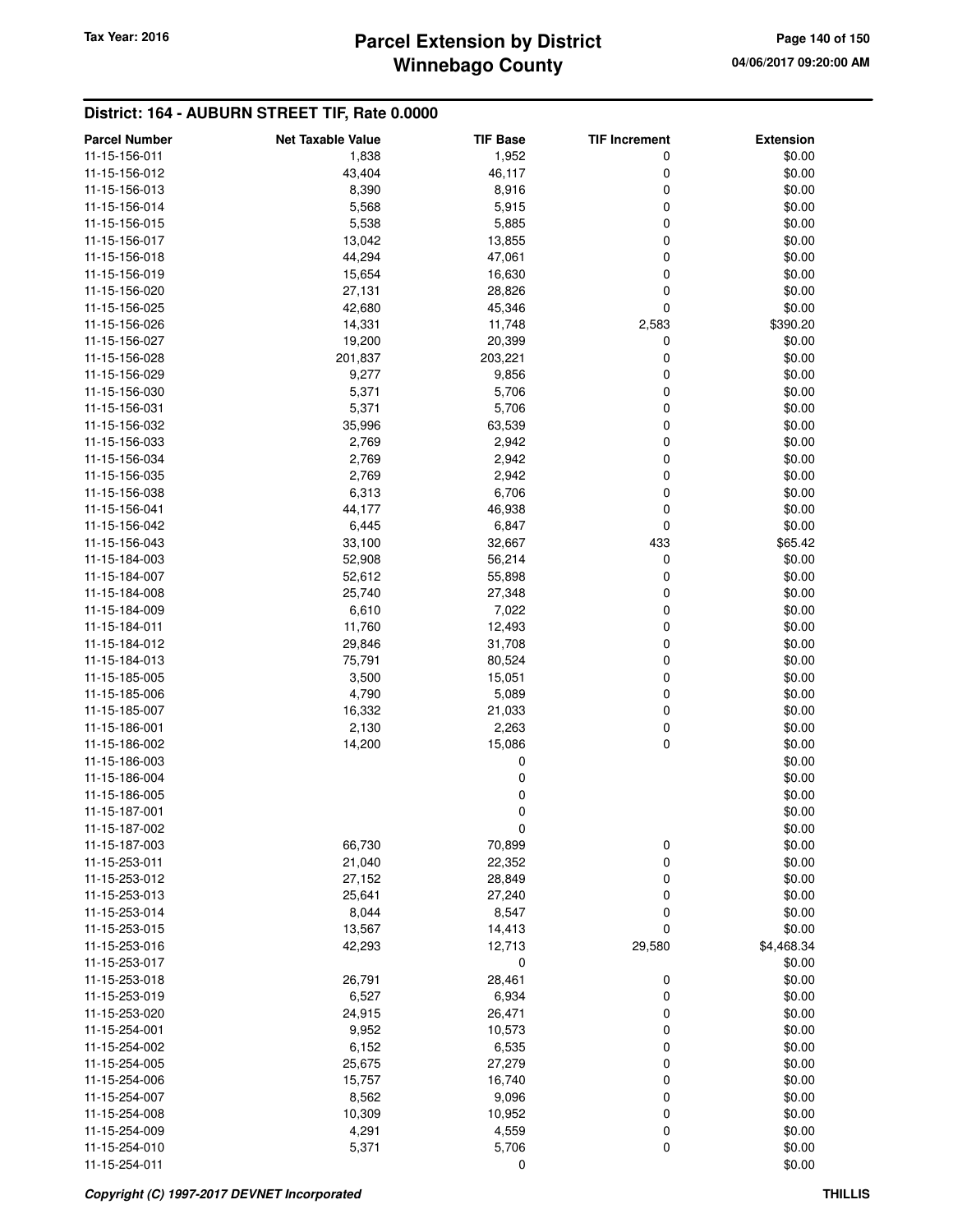### **Winnebago County Parcel Extension by District Tax Year: 2016 Page 140 of 150**

| <b>Parcel Number</b> | <b>Net Taxable Value</b> | <b>TIF Base</b> | <b>TIF Increment</b> | <b>Extension</b> |
|----------------------|--------------------------|-----------------|----------------------|------------------|
| 11-15-156-011        | 1,838                    | 1,952           | 0                    | \$0.00           |
| 11-15-156-012        | 43,404                   | 46,117          | 0                    | \$0.00           |
| 11-15-156-013        | 8,390                    | 8,916           | 0                    | \$0.00           |
| 11-15-156-014        | 5,568                    | 5,915           | 0                    | \$0.00           |
| 11-15-156-015        | 5,538                    | 5,885           | 0                    | \$0.00           |
| 11-15-156-017        | 13,042                   | 13,855          | 0                    | \$0.00           |
| 11-15-156-018        | 44,294                   | 47,061          | 0                    | \$0.00           |
| 11-15-156-019        | 15,654                   | 16,630          | 0                    | \$0.00           |
| 11-15-156-020        | 27,131                   | 28,826          | 0                    | \$0.00           |
| 11-15-156-025        | 42,680                   | 45,346          | 0                    | \$0.00           |
| 11-15-156-026        | 14,331                   | 11,748          | 2,583                | \$390.20         |
| 11-15-156-027        | 19,200                   | 20,399          | 0                    | \$0.00           |
| 11-15-156-028        | 201,837                  | 203,221         | 0                    | \$0.00           |
| 11-15-156-029        | 9,277                    | 9,856           | 0                    | \$0.00           |
| 11-15-156-030        | 5,371                    | 5,706           | 0                    | \$0.00           |
| 11-15-156-031        | 5,371                    | 5,706           | 0                    | \$0.00           |
| 11-15-156-032        | 35,996                   | 63,539          | 0                    | \$0.00           |
| 11-15-156-033        | 2,769                    | 2,942           | 0                    | \$0.00           |
| 11-15-156-034        | 2,769                    | 2,942           | 0                    | \$0.00           |
| 11-15-156-035        | 2,769                    | 2,942           | 0                    | \$0.00           |
| 11-15-156-038        | 6,313                    | 6,706           | 0                    | \$0.00           |
| 11-15-156-041        | 44,177                   | 46,938          | 0                    | \$0.00           |
| 11-15-156-042        | 6,445                    | 6,847           | 0                    | \$0.00           |
| 11-15-156-043        | 33,100                   | 32,667          | 433                  | \$65.42          |
| 11-15-184-003        | 52,908                   | 56,214          | 0                    | \$0.00           |
| 11-15-184-007        | 52,612                   | 55,898          | 0                    | \$0.00           |
| 11-15-184-008        | 25,740                   | 27,348          | 0                    | \$0.00           |
| 11-15-184-009        | 6,610                    | 7,022           | 0                    | \$0.00           |
| 11-15-184-011        | 11,760                   | 12,493          | 0                    | \$0.00           |
| 11-15-184-012        | 29,846                   | 31,708          | 0                    | \$0.00           |
| 11-15-184-013        | 75,791                   | 80,524          | 0                    | \$0.00           |
| 11-15-185-005        | 3,500                    | 15,051          | 0                    | \$0.00           |
| 11-15-185-006        | 4,790                    | 5,089           | 0                    | \$0.00           |
| 11-15-185-007        | 16,332                   | 21,033          | 0                    | \$0.00           |
| 11-15-186-001        | 2,130                    | 2,263           | 0                    | \$0.00           |
| 11-15-186-002        | 14,200                   | 15,086          | 0                    | \$0.00           |
| 11-15-186-003        |                          | 0               |                      | \$0.00           |
| 11-15-186-004        |                          | 0               |                      | \$0.00           |
| 11-15-186-005        |                          | 0               |                      | \$0.00           |
| 11-15-187-001        |                          | 0               |                      | \$0.00           |
| 11-15-187-002        |                          | U               |                      | \$0.00           |
| 11-15-187-003        | 66,730                   | 70,899          | $\boldsymbol{0}$     | \$0.00           |
| 11-15-253-011        | 21,040                   | 22,352          | 0                    | \$0.00           |
| 11-15-253-012        | 27,152                   | 28,849          | 0                    | \$0.00           |
| 11-15-253-013        | 25,641                   | 27,240          | 0                    | \$0.00           |
| 11-15-253-014        | 8,044                    | 8,547           | 0                    | \$0.00           |
| 11-15-253-015        | 13,567                   | 14,413          | $\mathbf 0$          | \$0.00           |
| 11-15-253-016        | 42,293                   | 12,713          | 29,580               | \$4,468.34       |
| 11-15-253-017        |                          | 0               |                      | \$0.00           |
| 11-15-253-018        | 26,791                   | 28,461          | 0                    | \$0.00           |
| 11-15-253-019        | 6,527                    | 6,934           | 0                    | \$0.00           |
| 11-15-253-020        | 24,915                   | 26,471          | 0                    | \$0.00           |
| 11-15-254-001        | 9,952                    | 10,573          | 0                    | \$0.00           |
| 11-15-254-002        | 6,152                    | 6,535           | 0                    | \$0.00           |
| 11-15-254-005        | 25,675                   | 27,279          | 0                    | \$0.00           |
| 11-15-254-006        | 15,757                   | 16,740          | 0                    | \$0.00           |
| 11-15-254-007        | 8,562                    | 9,096           | 0                    | \$0.00           |
| 11-15-254-008        | 10,309                   | 10,952          | 0                    | \$0.00           |
| 11-15-254-009        | 4,291                    | 4,559           | 0                    | \$0.00           |
| 11-15-254-010        | 5,371                    | 5,706           | 0                    | \$0.00           |
| 11-15-254-011        |                          | 0               |                      | \$0.00           |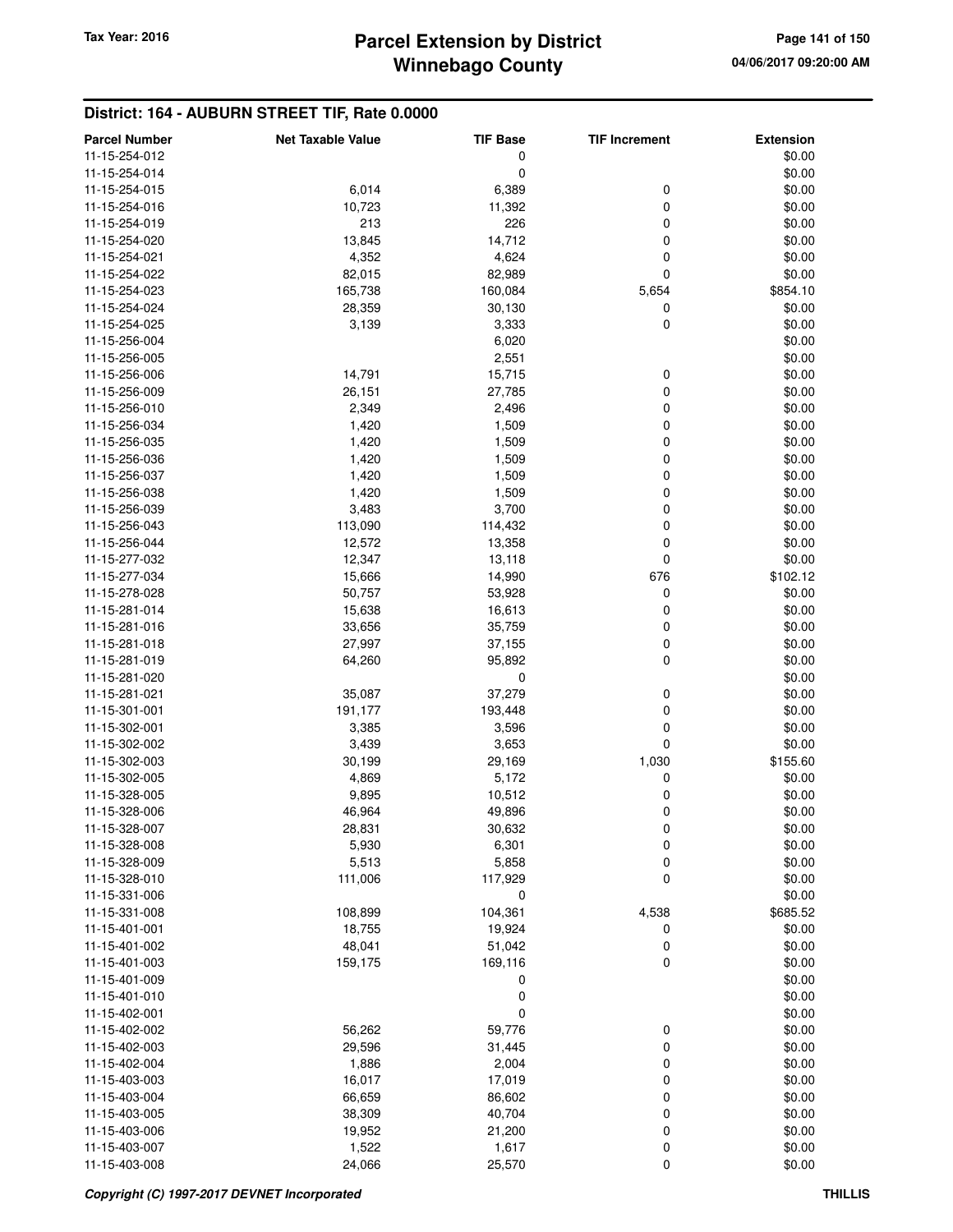# **Winnebago County Parcel Extension by District Tax Year: 2016 Page 141 of 150**

| <b>Parcel Number</b> | <b>Net Taxable Value</b> | <b>TIF Base</b> | <b>TIF Increment</b> | <b>Extension</b> |
|----------------------|--------------------------|-----------------|----------------------|------------------|
| 11-15-254-012        |                          | 0               |                      | \$0.00           |
| 11-15-254-014        |                          | 0               |                      | \$0.00           |
| 11-15-254-015        | 6,014                    | 6,389           | 0                    | \$0.00           |
| 11-15-254-016        | 10,723                   | 11,392          | 0                    | \$0.00           |
| 11-15-254-019        | 213                      | 226             | 0                    | \$0.00           |
| 11-15-254-020        | 13,845                   | 14,712          | 0                    | \$0.00           |
| 11-15-254-021        | 4,352                    | 4,624           | 0                    | \$0.00           |
| 11-15-254-022        | 82,015                   | 82,989          | 0                    | \$0.00           |
| 11-15-254-023        | 165,738                  | 160,084         | 5,654                | \$854.10         |
| 11-15-254-024        | 28,359                   | 30,130          | 0                    | \$0.00           |
| 11-15-254-025        | 3,139                    | 3,333           | 0                    | \$0.00           |
| 11-15-256-004        |                          | 6,020           |                      | \$0.00           |
| 11-15-256-005        |                          | 2,551           |                      | \$0.00           |
| 11-15-256-006        | 14,791                   | 15,715          | 0                    | \$0.00           |
| 11-15-256-009        | 26,151                   | 27,785          | 0                    | \$0.00           |
| 11-15-256-010        | 2,349                    | 2,496           | 0                    | \$0.00           |
| 11-15-256-034        | 1,420                    | 1,509           | 0                    | \$0.00           |
| 11-15-256-035        | 1,420                    | 1,509           | 0                    | \$0.00           |
| 11-15-256-036        | 1,420                    | 1,509           | 0                    | \$0.00           |
|                      |                          |                 | 0                    |                  |
| 11-15-256-037        | 1,420                    | 1,509           |                      | \$0.00           |
| 11-15-256-038        | 1,420                    | 1,509           | 0                    | \$0.00           |
| 11-15-256-039        | 3,483                    | 3,700           | 0                    | \$0.00           |
| 11-15-256-043        | 113,090                  | 114,432         | 0                    | \$0.00           |
| 11-15-256-044        | 12,572                   | 13,358          | 0                    | \$0.00           |
| 11-15-277-032        | 12,347                   | 13,118          | 0                    | \$0.00           |
| 11-15-277-034        | 15,666                   | 14,990          | 676                  | \$102.12         |
| 11-15-278-028        | 50,757                   | 53,928          | 0                    | \$0.00           |
| 11-15-281-014        | 15,638                   | 16,613          | 0                    | \$0.00           |
| 11-15-281-016        | 33,656                   | 35,759          | 0                    | \$0.00           |
| 11-15-281-018        | 27,997                   | 37,155          | $\mathbf 0$          | \$0.00           |
| 11-15-281-019        | 64,260                   | 95,892          | 0                    | \$0.00           |
| 11-15-281-020        |                          | 0               |                      | \$0.00           |
| 11-15-281-021        | 35,087                   | 37,279          | 0                    | \$0.00           |
| 11-15-301-001        | 191,177                  | 193,448         | 0                    | \$0.00           |
| 11-15-302-001        | 3,385                    | 3,596           | 0                    | \$0.00           |
| 11-15-302-002        | 3,439                    | 3,653           | 0                    | \$0.00           |
| 11-15-302-003        | 30,199                   | 29,169          | 1,030                | \$155.60         |
| 11-15-302-005        | 4,869                    | 5,172           | 0                    | \$0.00           |
| 11-15-328-005        | 9,895                    | 10,512          | 0                    | \$0.00           |
| 11-15-328-006        | 46,964                   | 49,896          | 0                    | \$0.00           |
| 11-15-328-007        | 28,831                   | 30,632          | 0                    | \$0.00           |
| 11-15-328-008        | 5,930                    | 6,301           | 0                    | \$0.00           |
| 11-15-328-009        | 5,513                    | 5,858           | $\boldsymbol{0}$     | \$0.00           |
| 11-15-328-010        | 111,006                  | 117,929         | 0                    | \$0.00           |
| 11-15-331-006        |                          | 0               |                      | \$0.00           |
| 11-15-331-008        | 108,899                  | 104,361         | 4,538                | \$685.52         |
| 11-15-401-001        | 18,755                   | 19,924          | 0                    | \$0.00           |
| 11-15-401-002        | 48,041                   | 51,042          | 0                    | \$0.00           |
| 11-15-401-003        | 159,175                  | 169,116         | 0                    | \$0.00           |
| 11-15-401-009        |                          | 0               |                      | \$0.00           |
| 11-15-401-010        |                          | 0               |                      | \$0.00           |
| 11-15-402-001        |                          | 0               |                      | \$0.00           |
| 11-15-402-002        | 56,262                   | 59,776          | 0                    | \$0.00           |
| 11-15-402-003        | 29,596                   | 31,445          | 0                    | \$0.00           |
| 11-15-402-004        | 1,886                    | 2,004           | 0                    | \$0.00           |
| 11-15-403-003        | 16,017                   | 17,019          | 0                    | \$0.00           |
| 11-15-403-004        | 66,659                   | 86,602          | 0                    | \$0.00           |
|                      |                          |                 | 0                    |                  |
| 11-15-403-005        | 38,309                   | 40,704          |                      | \$0.00           |
| 11-15-403-006        | 19,952                   | 21,200          | 0                    | \$0.00           |
| 11-15-403-007        | 1,522                    | 1,617           | 0                    | \$0.00           |
| 11-15-403-008        | 24,066                   | 25,570          | 0                    | \$0.00           |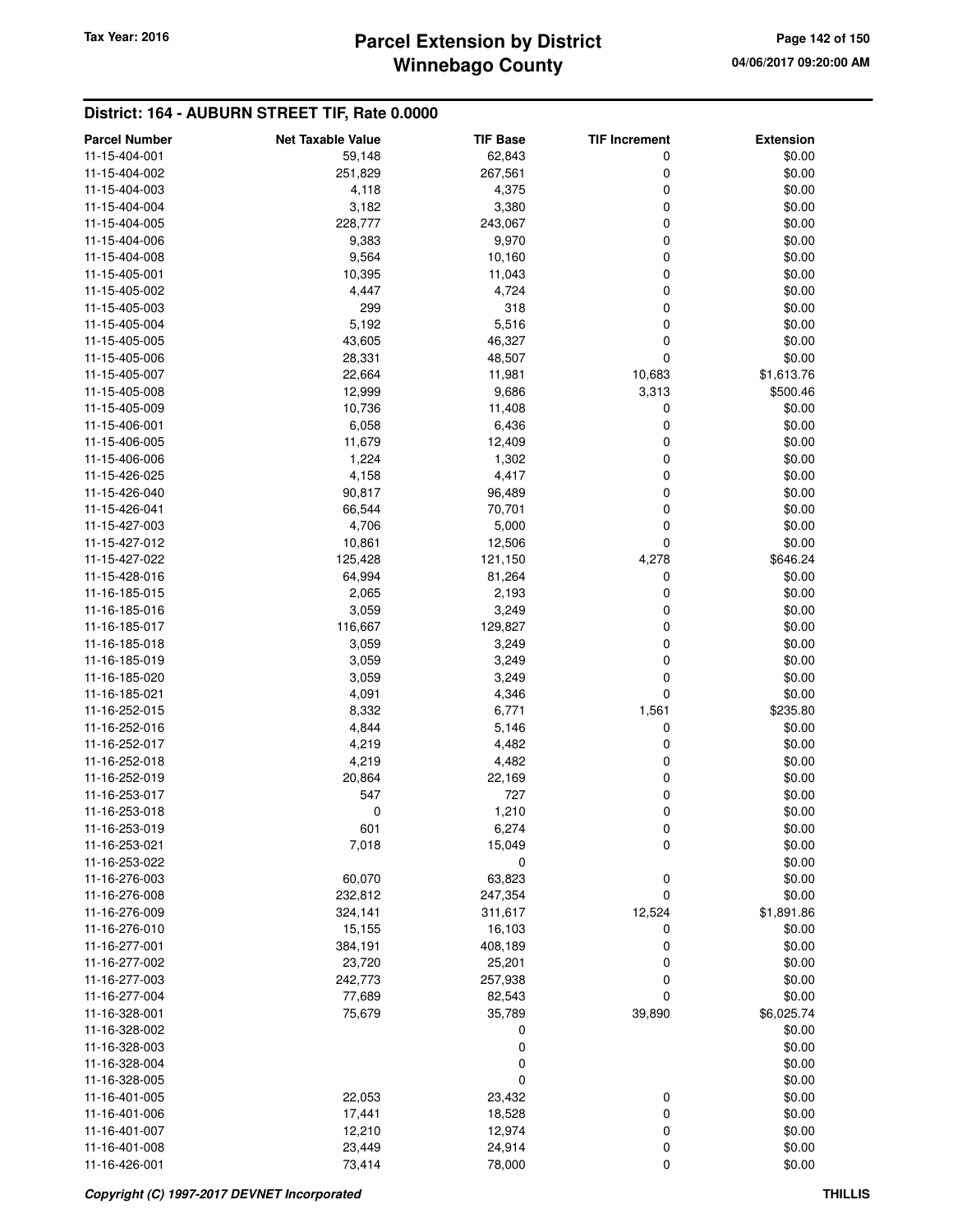# **Winnebago County Parcel Extension by District Tax Year: 2016 Page 142 of 150**

| <b>Parcel Number</b>           | <b>Net Taxable Value</b> | <b>TIF Base</b> | <b>TIF Increment</b> | <b>Extension</b> |
|--------------------------------|--------------------------|-----------------|----------------------|------------------|
| 11-15-404-001                  | 59,148                   | 62,843          | 0                    | \$0.00           |
| 11-15-404-002                  | 251,829                  | 267,561         | 0                    | \$0.00           |
| 11-15-404-003                  | 4,118                    | 4,375           | 0                    | \$0.00           |
| 11-15-404-004                  | 3,182                    | 3,380           | 0                    | \$0.00           |
| 11-15-404-005                  | 228,777                  | 243,067         | 0                    | \$0.00           |
| 11-15-404-006                  | 9,383                    | 9,970           | 0                    | \$0.00           |
| 11-15-404-008                  | 9,564                    | 10,160          | 0                    | \$0.00           |
| 11-15-405-001                  | 10,395                   | 11,043          | 0                    | \$0.00           |
| 11-15-405-002                  | 4,447                    | 4,724           | 0                    | \$0.00           |
| 11-15-405-003                  | 299                      | 318             | 0                    | \$0.00           |
| 11-15-405-004                  | 5,192                    | 5,516           | 0                    | \$0.00           |
| 11-15-405-005                  | 43,605                   | 46,327          | 0                    | \$0.00           |
| 11-15-405-006                  | 28,331                   | 48,507          | 0                    | \$0.00           |
| 11-15-405-007                  | 22,664                   | 11,981          | 10,683               | \$1,613.76       |
| 11-15-405-008                  | 12,999                   | 9,686           | 3,313                | \$500.46         |
| 11-15-405-009                  | 10,736                   | 11,408          | 0                    | \$0.00           |
| 11-15-406-001                  | 6,058                    | 6,436           | 0                    | \$0.00           |
| 11-15-406-005                  | 11,679                   | 12,409          | 0                    | \$0.00           |
| 11-15-406-006                  | 1,224                    | 1,302           | 0                    | \$0.00           |
| 11-15-426-025                  | 4,158                    | 4,417           | 0                    | \$0.00           |
| 11-15-426-040                  |                          |                 |                      | \$0.00           |
|                                | 90,817                   | 96,489          | 0                    |                  |
| 11-15-426-041<br>11-15-427-003 | 66,544                   | 70,701          | 0<br>0               | \$0.00           |
|                                | 4,706                    | 5,000           |                      | \$0.00           |
| 11-15-427-012                  | 10,861                   | 12,506          | 0                    | \$0.00           |
| 11-15-427-022                  | 125,428                  | 121,150         | 4,278                | \$646.24         |
| 11-15-428-016                  | 64,994                   | 81,264          | 0                    | \$0.00           |
| 11-16-185-015                  | 2,065                    | 2,193           | 0                    | \$0.00           |
| 11-16-185-016                  | 3,059                    | 3,249           | 0                    | \$0.00           |
| 11-16-185-017                  | 116,667                  | 129,827         | 0                    | \$0.00           |
| 11-16-185-018                  | 3,059                    | 3,249           | 0                    | \$0.00           |
| 11-16-185-019                  | 3,059                    | 3,249           | 0                    | \$0.00           |
| 11-16-185-020                  | 3,059                    | 3,249           | 0                    | \$0.00           |
| 11-16-185-021                  | 4,091                    | 4,346           | 0                    | \$0.00           |
| 11-16-252-015                  | 8,332                    | 6,771           | 1,561                | \$235.80         |
| 11-16-252-016                  | 4,844                    | 5,146           | 0                    | \$0.00           |
| 11-16-252-017                  | 4,219                    | 4,482           | 0                    | \$0.00           |
| 11-16-252-018                  | 4,219                    | 4,482           | 0                    | \$0.00           |
| 11-16-252-019                  | 20,864                   | 22,169          | 0                    | \$0.00           |
| 11-16-253-017                  | 547                      | 727             | 0                    | \$0.00           |
| 11-16-253-018                  | 0                        | 1,210           | 0                    | \$0.00           |
| 11-16-253-019                  | 601                      | 6,274           | $\mathbf 0$          | \$0.00           |
| 11-16-253-021                  | 7,018                    | 15,049          | 0                    | \$0.00           |
| 11-16-253-022                  |                          | 0               |                      | \$0.00           |
| 11-16-276-003                  | 60,070                   | 63,823          | 0                    | \$0.00           |
| 11-16-276-008                  | 232,812                  | 247,354         | 0                    | \$0.00           |
| 11-16-276-009                  | 324,141                  | 311,617         | 12,524               | \$1,891.86       |
| 11-16-276-010                  | 15,155                   | 16,103          | 0                    | \$0.00           |
| 11-16-277-001                  | 384,191                  | 408,189         | 0                    | \$0.00           |
| 11-16-277-002                  | 23,720                   | 25,201          | 0                    | \$0.00           |
| 11-16-277-003                  | 242,773                  | 257,938         | 0                    | \$0.00           |
| 11-16-277-004                  | 77,689                   | 82,543          | 0                    | \$0.00           |
| 11-16-328-001                  | 75,679                   | 35,789          | 39,890               | \$6,025.74       |
| 11-16-328-002                  |                          | 0               |                      | \$0.00           |
| 11-16-328-003                  |                          | 0               |                      | \$0.00           |
| 11-16-328-004                  |                          | 0               |                      | \$0.00           |
| 11-16-328-005                  |                          | 0               |                      | \$0.00           |
| 11-16-401-005                  | 22,053                   | 23,432          | 0                    | \$0.00           |
| 11-16-401-006                  | 17,441                   | 18,528          | 0                    | \$0.00           |
| 11-16-401-007                  | 12,210                   | 12,974          | 0                    | \$0.00           |
| 11-16-401-008                  | 23,449                   | 24,914          | 0                    | \$0.00           |
| 11-16-426-001                  | 73,414                   | 78,000          | 0                    | \$0.00           |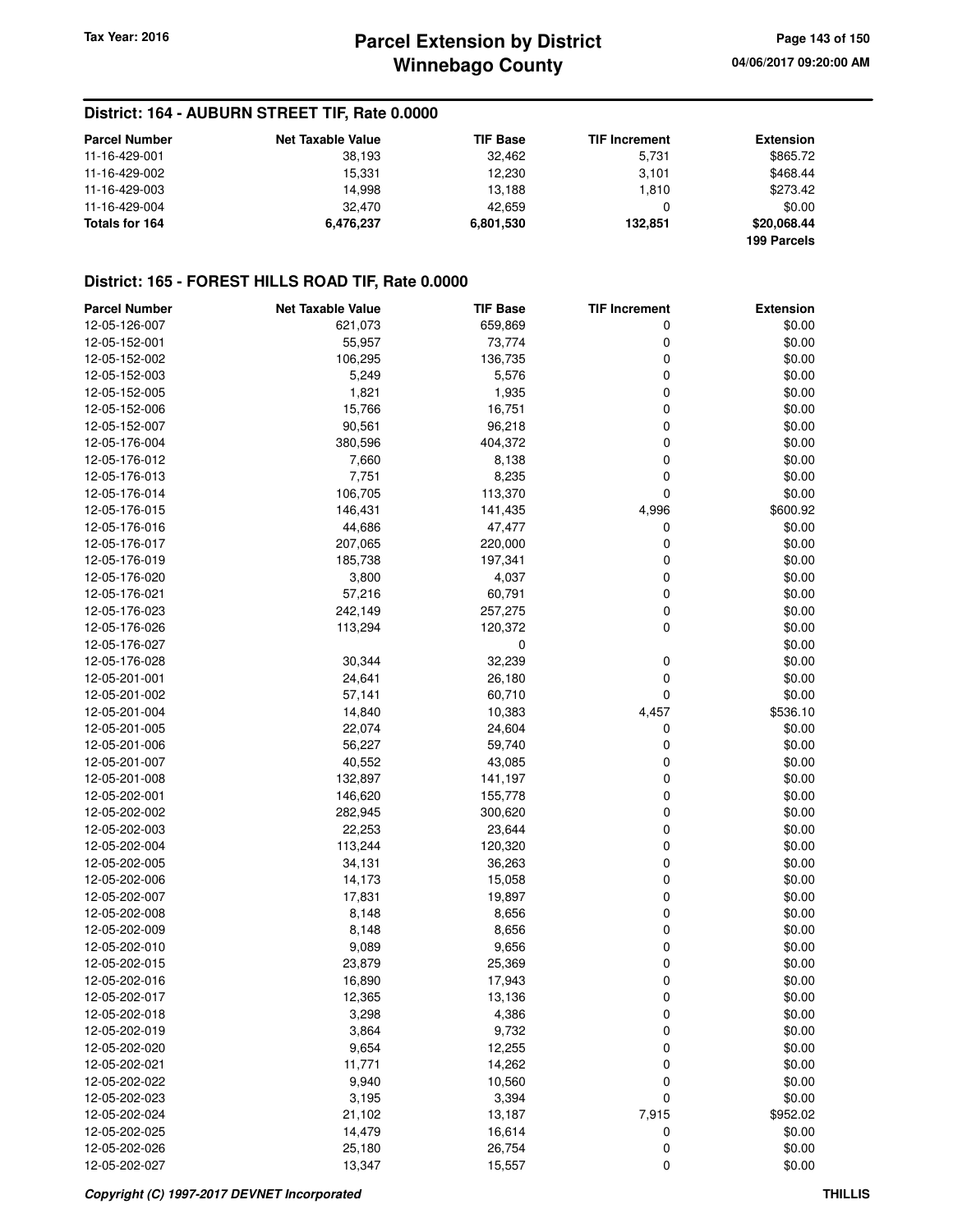### **District: 164 - AUBURN STREET TIF, Rate 0.0000**

| <b>Parcel Number</b> | <b>Net Taxable Value</b> | <b>TIF Base</b> | <b>TIF Increment</b> | Extension   |
|----------------------|--------------------------|-----------------|----------------------|-------------|
| 11-16-429-001        | 38.193                   | 32.462          | 5.731                | \$865.72    |
| 11-16-429-002        | 15.331                   | 12.230          | 3.101                | \$468.44    |
| 11-16-429-003        | 14.998                   | 13.188          | 1.810                | \$273.42    |
| 11-16-429-004        | 32.470                   | 42.659          | 0                    | \$0.00      |
| Totals for 164       | 6.476.237                | 6,801,530       | 132.851              | \$20,068,44 |
|                      |                          |                 |                      | 199 Parcels |

### **District: 165 - FOREST HILLS ROAD TIF, Rate 0.0000**

| <b>Parcel Number</b> | <b>Net Taxable Value</b> | <b>TIF Base</b>  | <b>TIF Increment</b> | <b>Extension</b> |
|----------------------|--------------------------|------------------|----------------------|------------------|
| 12-05-126-007        | 621,073                  | 659,869          | 0                    | \$0.00           |
| 12-05-152-001        | 55,957                   | 73,774           | 0                    | \$0.00           |
| 12-05-152-002        | 106,295                  | 136,735          | 0                    | \$0.00           |
| 12-05-152-003        | 5,249                    | 5,576            | 0                    | \$0.00           |
| 12-05-152-005        | 1,821                    | 1,935            | 0                    | \$0.00           |
| 12-05-152-006        | 15,766                   | 16,751           | 0                    | \$0.00           |
| 12-05-152-007        | 90,561                   | 96,218           | 0                    | \$0.00           |
| 12-05-176-004        | 380,596                  | 404,372          | 0                    | \$0.00           |
| 12-05-176-012        | 7,660                    | 8,138            | 0                    | \$0.00           |
| 12-05-176-013        | 7,751                    | 8,235            | 0                    | \$0.00           |
| 12-05-176-014        | 106,705                  | 113,370          | 0                    | \$0.00           |
| 12-05-176-015        | 146,431                  | 141,435          | 4,996                | \$600.92         |
| 12-05-176-016        | 44,686                   | 47,477           | 0                    | \$0.00           |
| 12-05-176-017        | 207,065                  | 220,000          | 0                    | \$0.00           |
| 12-05-176-019        | 185,738                  | 197,341          | 0                    | \$0.00           |
| 12-05-176-020        | 3,800                    | 4,037            | 0                    | \$0.00           |
| 12-05-176-021        | 57,216                   | 60,791           | 0                    | \$0.00           |
| 12-05-176-023        | 242,149                  | 257,275          | 0                    | \$0.00           |
| 12-05-176-026        | 113,294                  | 120,372          | 0                    | \$0.00           |
| 12-05-176-027        |                          | $\mathbf 0$      |                      | \$0.00           |
| 12-05-176-028        | 30,344                   | 32,239           | 0                    | \$0.00           |
| 12-05-201-001        | 24,641                   | 26,180           | 0                    | \$0.00           |
| 12-05-201-002        | 57,141                   | 60,710           | 0                    | \$0.00           |
| 12-05-201-004        | 14,840                   | 10,383           | 4,457                | \$536.10         |
| 12-05-201-005        | 22,074                   | 24,604           | 0                    | \$0.00           |
| 12-05-201-006        | 56,227                   | 59,740           | 0                    | \$0.00           |
| 12-05-201-007        | 40,552                   | 43,085           | 0                    | \$0.00           |
| 12-05-201-008        | 132,897                  | 141,197          | 0                    | \$0.00           |
| 12-05-202-001        | 146,620                  | 155,778          | 0                    | \$0.00           |
| 12-05-202-002        | 282,945                  | 300,620          | 0                    | \$0.00           |
| 12-05-202-003        | 22,253                   | 23,644           | 0                    | \$0.00           |
| 12-05-202-004        | 113,244                  | 120,320          | 0                    | \$0.00           |
| 12-05-202-005        | 34,131                   | 36,263           | 0                    | \$0.00           |
| 12-05-202-006        | 14,173                   | 15,058           | 0                    | \$0.00           |
| 12-05-202-007        | 17,831                   | 19,897           | 0                    | \$0.00           |
| 12-05-202-008        | 8,148                    | 8,656            | 0                    | \$0.00           |
| 12-05-202-009        | 8,148                    | 8,656            | 0                    | \$0.00           |
| 12-05-202-010        | 9,089                    | 9,656            | 0                    | \$0.00           |
| 12-05-202-015        | 23,879                   | 25,369           | 0                    | \$0.00           |
| 12-05-202-016        | 16,890                   |                  | 0                    | \$0.00           |
| 12-05-202-017        |                          | 17,943<br>13,136 | $\Omega$             | \$0.00           |
| 12-05-202-018        | 12,365<br>3,298          |                  |                      |                  |
| 12-05-202-019        |                          | 4,386            | 0                    | \$0.00<br>\$0.00 |
|                      | 3,864                    | 9,732            | 0                    |                  |
| 12-05-202-020        | 9,654                    | 12,255           | 0                    | \$0.00           |
| 12-05-202-021        | 11,771                   | 14,262           | 0                    | \$0.00           |
| 12-05-202-022        | 9,940                    | 10,560           | 0                    | \$0.00           |
| 12-05-202-023        | 3,195                    | 3,394            | 0                    | \$0.00           |
| 12-05-202-024        | 21,102                   | 13,187           | 7,915                | \$952.02         |
| 12-05-202-025        | 14,479                   | 16,614           | 0                    | \$0.00           |
| 12-05-202-026        | 25,180                   | 26,754           | 0                    | \$0.00           |
| 12-05-202-027        | 13,347                   | 15,557           | 0                    | \$0.00           |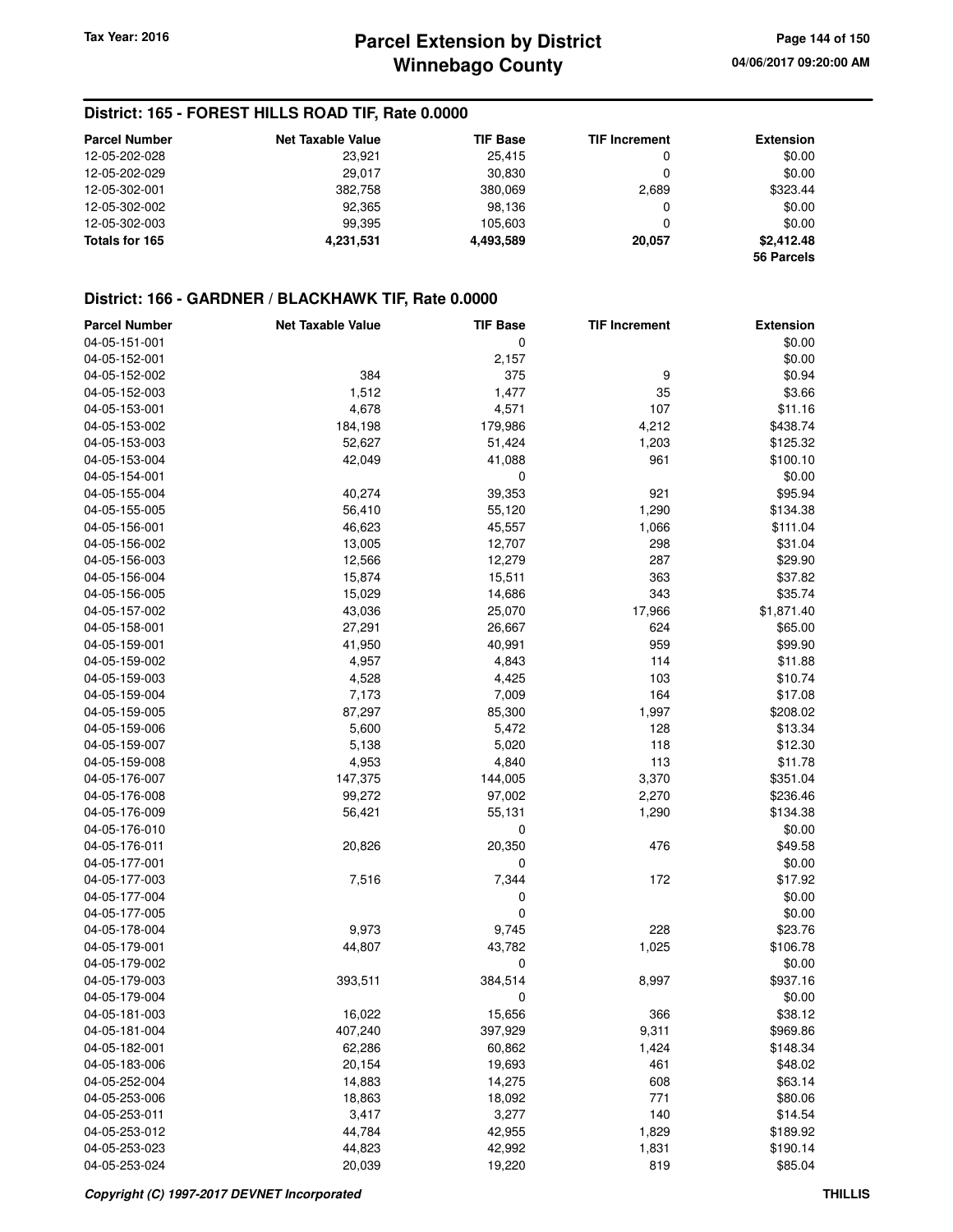### **District: 165 - FOREST HILLS ROAD TIF, Rate 0.0000**

| <b>Parcel Number</b> | <b>Net Taxable Value</b> | <b>TIF Base</b> | <b>TIF Increment</b> | <b>Extension</b> |
|----------------------|--------------------------|-----------------|----------------------|------------------|
| 12-05-202-028        | 23,921                   | 25.415          | 0                    | \$0.00           |
| 12-05-202-029        | 29.017                   | 30.830          |                      | \$0.00           |
| 12-05-302-001        | 382,758                  | 380,069         | 2,689                | \$323.44         |
| 12-05-302-002        | 92,365                   | 98.136          | 0                    | \$0.00           |
| 12-05-302-003        | 99.395                   | 105.603         |                      | \$0.00           |
| Totals for 165       | 4,231,531                | 4,493,589       | 20.057               | \$2,412.48       |
|                      |                          |                 |                      | 56 Parcels       |

#### **District: 166 - GARDNER / BLACKHAWK TIF, Rate 0.0000**

| <b>Parcel Number</b> | <b>Net Taxable Value</b> | <b>TIF Base</b>  | <b>TIF Increment</b> | <b>Extension</b>    |
|----------------------|--------------------------|------------------|----------------------|---------------------|
| 04-05-151-001        |                          | 0                |                      | \$0.00              |
| 04-05-152-001        |                          | 2,157            |                      | \$0.00              |
| 04-05-152-002        | 384                      | 375              | 9                    | \$0.94              |
| 04-05-152-003        | 1,512                    | 1,477            | 35                   | \$3.66              |
| 04-05-153-001        | 4,678                    | 4,571            | 107                  | \$11.16             |
| 04-05-153-002        | 184,198                  | 179,986          | 4,212                | \$438.74            |
| 04-05-153-003        | 52,627                   | 51,424           | 1,203                | \$125.32            |
| 04-05-153-004        | 42,049                   | 41,088           | 961                  | \$100.10            |
| 04-05-154-001        |                          | 0                |                      | \$0.00              |
| 04-05-155-004        | 40,274                   | 39,353           | 921                  | \$95.94             |
| 04-05-155-005        | 56,410                   | 55,120           | 1,290                | \$134.38            |
| 04-05-156-001        | 46,623                   | 45,557           | 1,066                | \$111.04            |
| 04-05-156-002        |                          |                  | 298                  | \$31.04             |
|                      | 13,005                   | 12,707           |                      |                     |
| 04-05-156-003        | 12,566                   | 12,279           | 287                  | \$29.90             |
| 04-05-156-004        | 15,874                   | 15,511           | 363                  | \$37.82             |
| 04-05-156-005        | 15,029                   | 14,686           | 343                  | \$35.74             |
| 04-05-157-002        | 43,036                   | 25,070           | 17,966               | \$1,871.40          |
| 04-05-158-001        | 27,291                   | 26,667           | 624                  | \$65.00             |
| 04-05-159-001        | 41,950                   | 40,991           | 959                  | \$99.90             |
| 04-05-159-002        | 4,957                    | 4,843            | 114                  | \$11.88             |
| 04-05-159-003        | 4,528                    | 4,425            | 103                  | \$10.74             |
| 04-05-159-004        | 7,173                    | 7,009            | 164                  | \$17.08             |
| 04-05-159-005        | 87,297                   | 85,300           | 1,997                | \$208.02            |
| 04-05-159-006        | 5,600                    | 5,472            | 128                  | \$13.34             |
| 04-05-159-007        | 5,138                    | 5,020            | 118                  | \$12.30             |
| 04-05-159-008        | 4,953                    | 4,840            | 113                  | \$11.78             |
| 04-05-176-007        | 147,375                  | 144,005          | 3,370                | \$351.04            |
| 04-05-176-008        | 99,272                   | 97,002           | 2,270                | \$236.46            |
| 04-05-176-009        | 56,421                   | 55,131           | 1,290                | \$134.38            |
| 04-05-176-010        |                          | 0                |                      | \$0.00              |
| 04-05-176-011        | 20,826                   | 20,350           | 476                  | \$49.58             |
| 04-05-177-001        |                          | 0                |                      | \$0.00              |
| 04-05-177-003        | 7,516                    | 7,344            | 172                  | \$17.92             |
| 04-05-177-004        |                          | 0                |                      | \$0.00              |
| 04-05-177-005        |                          | 0                |                      | \$0.00              |
| 04-05-178-004        | 9,973                    | 9,745            | 228                  | \$23.76             |
| 04-05-179-001        | 44,807                   | 43,782           | 1,025                | \$106.78            |
| 04-05-179-002        |                          | 0                |                      | \$0.00              |
| 04-05-179-003        | 393,511                  | 384,514          | 8,997                | \$937.16            |
| 04-05-179-004        |                          | 0                |                      | \$0.00              |
| 04-05-181-003        | 16,022                   | 15,656           | 366                  | \$38.12             |
| 04-05-181-004        | 407,240                  | 397,929          | 9,311                | \$969.86            |
| 04-05-182-001        | 62,286                   | 60,862           | 1,424                | \$148.34            |
| 04-05-183-006        | 20,154                   | 19,693           | 461                  | \$48.02             |
| 04-05-252-004        | 14,883                   | 14,275           | 608                  | \$63.14             |
| 04-05-253-006        | 18,863                   | 18,092           | 771                  | \$80.06             |
| 04-05-253-011        | 3,417                    | 3,277            | 140                  | \$14.54             |
| 04-05-253-012        | 44,784                   | 42,955           |                      | \$189.92            |
| 04-05-253-023        |                          |                  | 1,829                |                     |
| 04-05-253-024        | 44,823<br>20,039         | 42,992<br>19,220 | 1,831<br>819         | \$190.14<br>\$85.04 |
|                      |                          |                  |                      |                     |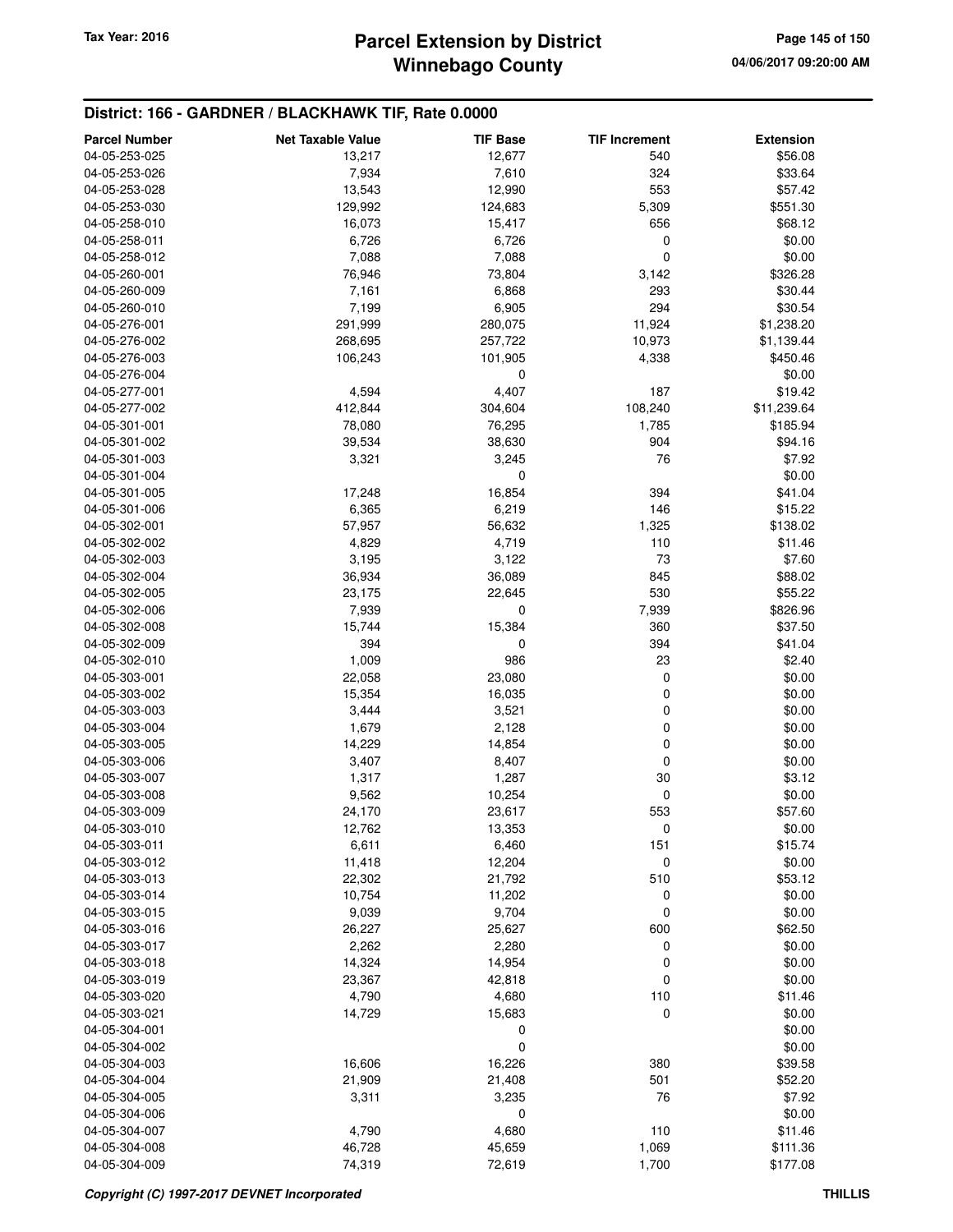# **Winnebago County Parcel Extension by District Tax Year: 2016 Page 145 of 150**

### **District: 166 - GARDNER / BLACKHAWK TIF, Rate 0.0000**

| <b>Parcel Number</b>           | <b>Net Taxable Value</b> | <b>TIF Base</b> | <b>TIF Increment</b> | <b>Extension</b>  |
|--------------------------------|--------------------------|-----------------|----------------------|-------------------|
| 04-05-253-025                  | 13,217                   | 12,677          | 540                  | \$56.08           |
| 04-05-253-026                  | 7,934                    | 7,610           | 324                  | \$33.64           |
| 04-05-253-028                  | 13,543                   | 12,990          | 553                  | \$57.42           |
| 04-05-253-030                  | 129,992                  | 124,683         | 5,309                | \$551.30          |
| 04-05-258-010                  | 16,073                   | 15,417          | 656                  | \$68.12           |
| 04-05-258-011                  | 6,726                    | 6,726           | 0                    | \$0.00            |
| 04-05-258-012                  | 7,088                    | 7,088           | 0                    | \$0.00            |
| 04-05-260-001                  | 76,946                   | 73,804          | 3,142                | \$326.28          |
| 04-05-260-009                  | 7,161                    | 6,868           | 293                  | \$30.44           |
| 04-05-260-010                  | 7,199                    | 6,905           | 294                  | \$30.54           |
| 04-05-276-001                  | 291,999                  | 280,075         | 11,924               | \$1,238.20        |
| 04-05-276-002                  | 268,695                  | 257,722         | 10,973               | \$1,139.44        |
| 04-05-276-003                  | 106,243                  | 101,905         | 4,338                | \$450.46          |
| 04-05-276-004                  |                          | 0               |                      | \$0.00            |
| 04-05-277-001                  | 4,594                    | 4,407           | 187                  | \$19.42           |
| 04-05-277-002                  | 412,844                  | 304,604         | 108,240              | \$11,239.64       |
| 04-05-301-001                  | 78,080                   | 76,295          | 1,785                | \$185.94          |
| 04-05-301-002                  | 39,534                   | 38,630          | 904                  | \$94.16           |
| 04-05-301-003                  | 3,321                    | 3,245           | 76                   | \$7.92            |
| 04-05-301-004                  |                          | 0               |                      | \$0.00            |
| 04-05-301-005                  | 17,248                   | 16,854          | 394                  | \$41.04           |
| 04-05-301-006                  | 6,365                    | 6,219           | 146                  | \$15.22           |
| 04-05-302-001                  | 57,957                   | 56,632          | 1,325                | \$138.02          |
| 04-05-302-002                  | 4,829                    | 4,719           | 110                  | \$11.46           |
| 04-05-302-003                  | 3,195                    | 3,122           | 73                   | \$7.60            |
| 04-05-302-004                  | 36,934                   | 36,089          | 845                  | \$88.02           |
| 04-05-302-005                  | 23,175                   | 22,645          | 530                  | \$55.22           |
| 04-05-302-006                  | 7,939                    | 0               | 7,939                | \$826.96          |
| 04-05-302-008                  | 15,744                   | 15,384          | 360                  | \$37.50           |
| 04-05-302-009                  | 394                      | 0               | 394                  | \$41.04           |
| 04-05-302-010                  | 1,009                    | 986             | 23                   | \$2.40            |
| 04-05-303-001                  | 22,058                   | 23,080          | 0                    | \$0.00            |
| 04-05-303-002                  | 15,354                   | 16,035          | 0                    | \$0.00            |
| 04-05-303-003                  | 3,444                    | 3,521           | 0                    | \$0.00            |
| 04-05-303-004                  | 1,679                    | 2,128           | 0                    | \$0.00            |
| 04-05-303-005                  | 14,229                   | 14,854          | 0                    | \$0.00            |
| 04-05-303-006                  | 3,407                    | 8,407           | 0                    | \$0.00            |
| 04-05-303-007<br>04-05-303-008 | 1,317                    | 1,287           | 30                   | \$3.12            |
| 04-05-303-009                  | 9,562                    | 10,254          | 0<br>553             | \$0.00<br>\$57.60 |
|                                | 24,170                   | 23,617          |                      |                   |
| 04-05-303-010<br>04-05-303-011 | 12,762<br>6,611          | 13,353<br>6,460 | 0<br>151             | \$0.00<br>\$15.74 |
| 04-05-303-012                  | 11,418                   | 12,204          | 0                    | \$0.00            |
| 04-05-303-013                  | 22,302                   | 21,792          | 510                  | \$53.12           |
| 04-05-303-014                  | 10,754                   | 11,202          | 0                    | \$0.00            |
| 04-05-303-015                  | 9,039                    | 9,704           | 0                    | \$0.00            |
| 04-05-303-016                  | 26,227                   | 25,627          | 600                  | \$62.50           |
| 04-05-303-017                  | 2,262                    | 2,280           | 0                    | \$0.00            |
| 04-05-303-018                  | 14,324                   | 14,954          | 0                    | \$0.00            |
| 04-05-303-019                  | 23,367                   | 42,818          | 0                    | \$0.00            |
| 04-05-303-020                  | 4,790                    | 4,680           | 110                  | \$11.46           |
| 04-05-303-021                  | 14,729                   | 15,683          | 0                    | \$0.00            |
| 04-05-304-001                  |                          | 0               |                      | \$0.00            |
| 04-05-304-002                  |                          | 0               |                      | \$0.00            |
| 04-05-304-003                  | 16,606                   | 16,226          | 380                  | \$39.58           |
| 04-05-304-004                  | 21,909                   | 21,408          | 501                  | \$52.20           |
| 04-05-304-005                  | 3,311                    | 3,235           | 76                   | \$7.92            |
| 04-05-304-006                  |                          | 0               |                      | \$0.00            |
| 04-05-304-007                  | 4,790                    | 4,680           | 110                  | \$11.46           |
| 04-05-304-008                  | 46,728                   | 45,659          | 1,069                | \$111.36          |
| 04-05-304-009                  | 74,319                   | 72,619          | 1,700                | \$177.08          |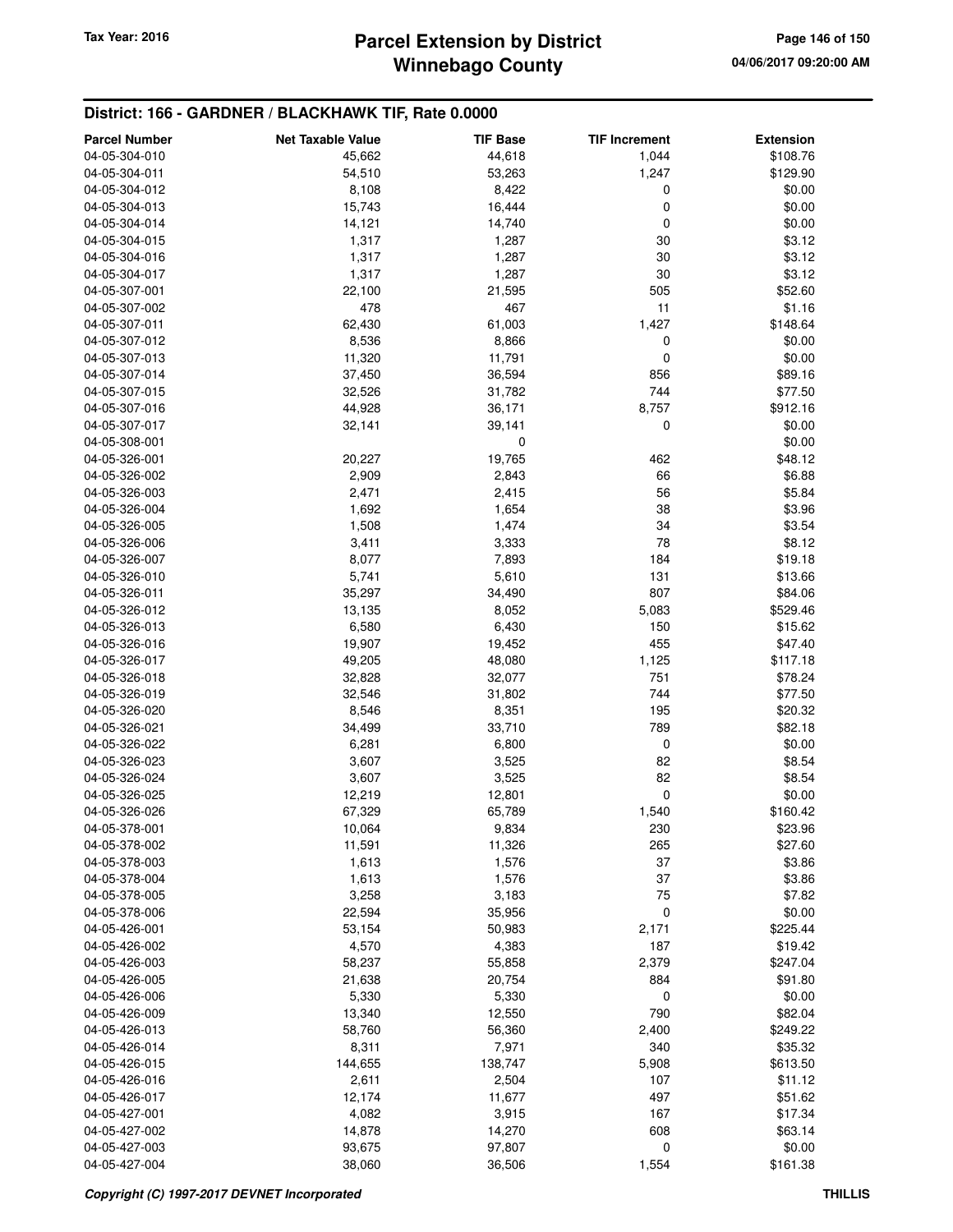# **Winnebago County Parcel Extension by District Tax Year: 2016 Page 146 of 150**

### **District: 166 - GARDNER / BLACKHAWK TIF, Rate 0.0000**

| <b>Parcel Number</b> | <b>Net Taxable Value</b> | <b>TIF Base</b> | <b>TIF Increment</b> | <b>Extension</b> |
|----------------------|--------------------------|-----------------|----------------------|------------------|
| 04-05-304-010        | 45,662                   | 44,618          | 1,044                | \$108.76         |
| 04-05-304-011        | 54,510                   | 53,263          | 1,247                | \$129.90         |
| 04-05-304-012        | 8,108                    | 8,422           | 0                    | \$0.00           |
| 04-05-304-013        | 15,743                   | 16,444          | 0                    | \$0.00           |
| 04-05-304-014        | 14,121                   | 14,740          | 0                    | \$0.00           |
| 04-05-304-015        | 1,317                    | 1,287           | 30                   | \$3.12           |
| 04-05-304-016        | 1,317                    | 1,287           | 30                   | \$3.12           |
| 04-05-304-017        | 1,317                    | 1,287           | 30                   | \$3.12           |
| 04-05-307-001        | 22,100                   | 21,595          | 505                  | \$52.60          |
| 04-05-307-002        | 478                      | 467             | 11                   | \$1.16           |
| 04-05-307-011        |                          |                 | 1,427                | \$148.64         |
| 04-05-307-012        | 62,430                   | 61,003          |                      |                  |
| 04-05-307-013        | 8,536                    | 8,866<br>11,791 | 0<br>0               | \$0.00<br>\$0.00 |
|                      | 11,320                   |                 | 856                  |                  |
| 04-05-307-014        | 37,450                   | 36,594          |                      | \$89.16          |
| 04-05-307-015        | 32,526                   | 31,782          | 744                  | \$77.50          |
| 04-05-307-016        | 44,928                   | 36,171          | 8,757                | \$912.16         |
| 04-05-307-017        | 32,141                   | 39,141          | 0                    | \$0.00           |
| 04-05-308-001        |                          | $\mathbf 0$     |                      | \$0.00           |
| 04-05-326-001        | 20,227                   | 19,765          | 462                  | \$48.12          |
| 04-05-326-002        | 2,909                    | 2,843           | 66                   | \$6.88           |
| 04-05-326-003        | 2,471                    | 2,415           | 56                   | \$5.84           |
| 04-05-326-004        | 1,692                    | 1,654           | 38                   | \$3.96           |
| 04-05-326-005        | 1,508                    | 1,474           | 34                   | \$3.54           |
| 04-05-326-006        | 3,411                    | 3,333           | 78                   | \$8.12           |
| 04-05-326-007        | 8,077                    | 7,893           | 184                  | \$19.18          |
| 04-05-326-010        | 5,741                    | 5,610           | 131                  | \$13.66          |
| 04-05-326-011        | 35,297                   | 34,490          | 807                  | \$84.06          |
| 04-05-326-012        | 13,135                   | 8,052           | 5,083                | \$529.46         |
| 04-05-326-013        | 6,580                    | 6,430           | 150                  | \$15.62          |
| 04-05-326-016        | 19,907                   | 19,452          | 455                  | \$47.40          |
| 04-05-326-017        | 49,205                   | 48,080          | 1,125                | \$117.18         |
| 04-05-326-018        | 32,828                   | 32,077          | 751                  | \$78.24          |
| 04-05-326-019        | 32,546                   | 31,802          | 744                  | \$77.50          |
| 04-05-326-020        | 8,546                    | 8,351           | 195                  | \$20.32          |
| 04-05-326-021        | 34,499                   | 33,710          | 789                  | \$82.18          |
| 04-05-326-022        | 6,281                    | 6,800           | 0                    | \$0.00           |
| 04-05-326-023        | 3,607                    | 3,525           | 82                   | \$8.54           |
| 04-05-326-024        | 3,607                    | 3,525           | 82                   | \$8.54           |
| 04-05-326-025        | 12,219                   | 12,801          | 0                    | \$0.00           |
| 04-05-326-026        | 67,329                   | 65,789          | 1,540                | \$160.42         |
| 04-05-378-001        | 10,064                   | 9,834           | 230                  | \$23.96          |
| 04-05-378-002        | 11,591                   | 11,326          | 265                  | \$27.60          |
| 04-05-378-003        | 1,613                    | 1,576           | 37                   | \$3.86           |
| 04-05-378-004        | 1,613                    | 1,576           | 37                   | \$3.86           |
| 04-05-378-005        | 3,258                    | 3,183           | 75                   | \$7.82           |
| 04-05-378-006        | 22,594                   | 35,956          | 0                    | \$0.00           |
| 04-05-426-001        | 53,154                   | 50,983          | 2,171                | \$225.44         |
| 04-05-426-002        | 4,570                    | 4,383           | 187                  | \$19.42          |
| 04-05-426-003        | 58,237                   | 55,858          | 2,379                | \$247.04         |
| 04-05-426-005        | 21,638                   | 20,754          | 884                  | \$91.80          |
| 04-05-426-006        | 5,330                    | 5,330           | 0                    | \$0.00           |
| 04-05-426-009        | 13,340                   | 12,550          | 790                  | \$82.04          |
| 04-05-426-013        | 58,760                   | 56,360          | 2,400                | \$249.22         |
| 04-05-426-014        | 8,311                    | 7,971           | 340                  | \$35.32          |
| 04-05-426-015        | 144,655                  | 138,747         | 5,908                | \$613.50         |
| 04-05-426-016        | 2,611                    | 2,504           | 107                  | \$11.12          |
| 04-05-426-017        | 12,174                   | 11,677          | 497                  | \$51.62          |
| 04-05-427-001        | 4,082                    | 3,915           | 167                  | \$17.34          |
| 04-05-427-002        | 14,878                   | 14,270          | 608                  | \$63.14          |
| 04-05-427-003        | 93,675                   | 97,807          | 0                    | \$0.00           |
| 04-05-427-004        | 38,060                   | 36,506          | 1,554                | \$161.38         |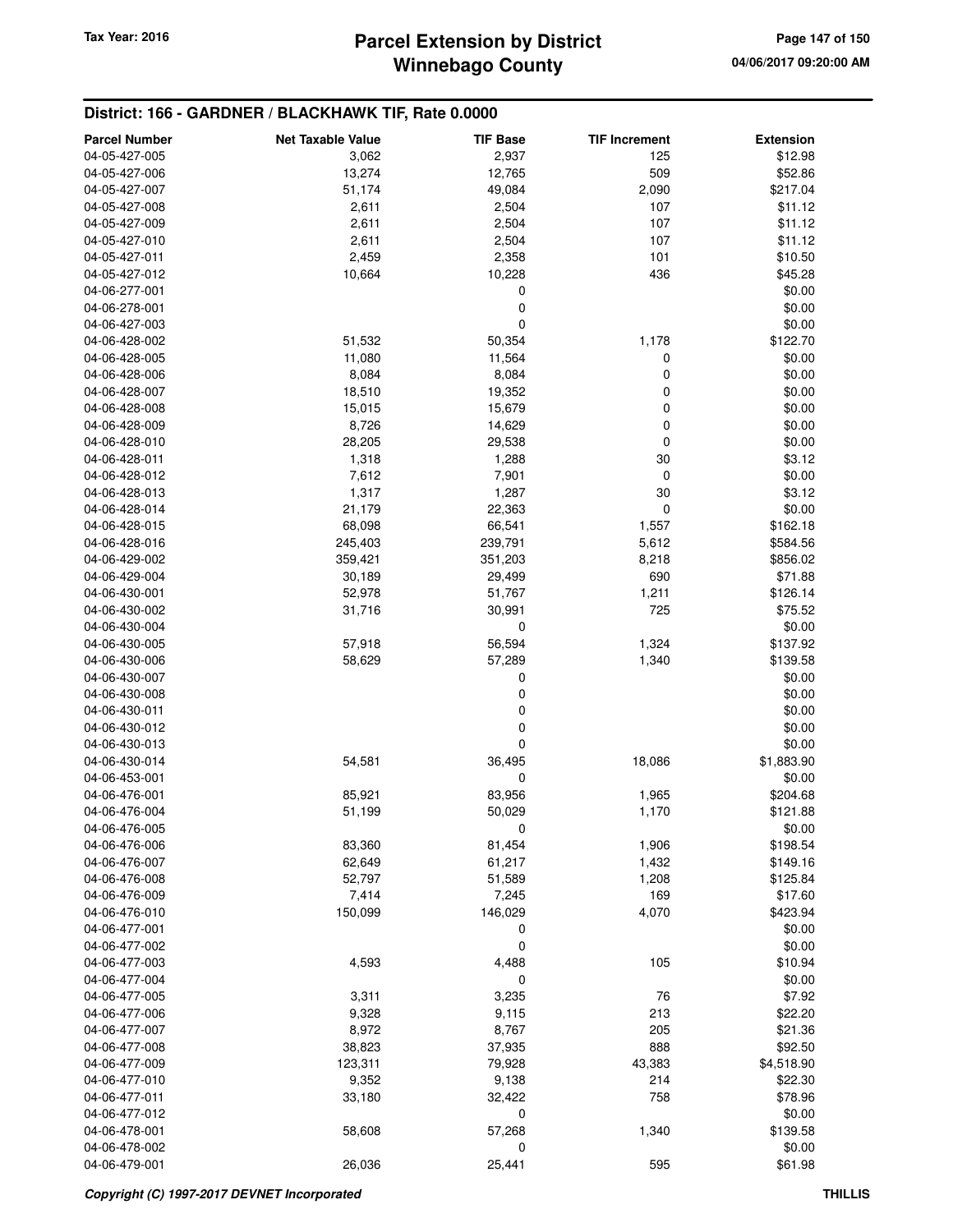# **Winnebago County Parcel Extension by District Tax Year: 2016 Page 147 of 150**

### **District: 166 - GARDNER / BLACKHAWK TIF, Rate 0.0000**

| <b>Parcel Number</b>           | <b>Net Taxable Value</b> | <b>TIF Base</b> | <b>TIF Increment</b> | <b>Extension</b> |
|--------------------------------|--------------------------|-----------------|----------------------|------------------|
| 04-05-427-005                  | 3,062                    | 2,937           | 125                  | \$12.98          |
| 04-05-427-006                  | 13,274                   | 12,765          | 509                  | \$52.86          |
| 04-05-427-007                  | 51,174                   | 49,084          | 2,090                | \$217.04         |
| 04-05-427-008                  | 2,611                    | 2,504           | 107                  | \$11.12          |
| 04-05-427-009                  | 2,611                    | 2,504           | 107                  | \$11.12          |
| 04-05-427-010                  | 2,611                    | 2,504           | 107                  | \$11.12          |
| 04-05-427-011                  | 2,459                    | 2,358           | 101                  | \$10.50          |
| 04-05-427-012                  | 10,664                   | 10,228          | 436                  | \$45.28          |
| 04-06-277-001                  |                          | 0               |                      | \$0.00           |
| 04-06-278-001                  |                          | 0               |                      | \$0.00           |
| 04-06-427-003                  |                          | 0               |                      | \$0.00           |
| 04-06-428-002                  | 51,532                   | 50,354          | 1,178                | \$122.70         |
| 04-06-428-005                  | 11,080                   | 11,564          | 0                    | \$0.00           |
| 04-06-428-006                  | 8,084                    | 8,084           | 0                    | \$0.00           |
| 04-06-428-007                  | 18,510                   | 19,352          | 0                    | \$0.00           |
| 04-06-428-008                  | 15,015                   | 15,679          | 0                    | \$0.00           |
| 04-06-428-009                  | 8,726                    | 14,629          | 0                    | \$0.00           |
| 04-06-428-010                  | 28,205                   | 29,538          | 0                    | \$0.00           |
| 04-06-428-011                  | 1,318                    | 1,288           | 30                   | \$3.12           |
| 04-06-428-012                  | 7,612                    | 7,901           | $\mathbf 0$          | \$0.00           |
| 04-06-428-013                  | 1,317                    | 1,287           | 30                   | \$3.12           |
| 04-06-428-014                  | 21,179                   | 22,363          | 0                    | \$0.00           |
| 04-06-428-015                  | 68,098                   | 66,541          | 1,557                | \$162.18         |
| 04-06-428-016                  | 245,403                  | 239,791         | 5,612                | \$584.56         |
| 04-06-429-002                  | 359,421                  | 351,203         | 8,218                | \$856.02         |
| 04-06-429-004                  | 30,189                   | 29,499          | 690                  | \$71.88          |
| 04-06-430-001                  | 52,978                   | 51,767          | 1,211                | \$126.14         |
| 04-06-430-002                  | 31,716                   | 30,991          | 725                  | \$75.52          |
| 04-06-430-004                  |                          | 0               |                      | \$0.00           |
| 04-06-430-005                  | 57,918                   | 56,594          | 1,324                | \$137.92         |
| 04-06-430-006                  | 58,629                   | 57,289          | 1,340                | \$139.58         |
| 04-06-430-007                  |                          | 0               |                      | \$0.00           |
| 04-06-430-008                  |                          | 0               |                      | \$0.00<br>\$0.00 |
| 04-06-430-011<br>04-06-430-012 |                          | 0<br>0          |                      | \$0.00           |
| 04-06-430-013                  |                          | 0               |                      | \$0.00           |
| 04-06-430-014                  | 54,581                   | 36,495          | 18,086               | \$1,883.90       |
| 04-06-453-001                  |                          | 0               |                      | \$0.00           |
| 04-06-476-001                  | 85,921                   | 83,956          | 1,965                | \$204.68         |
| 04-06-476-004                  | 51,199                   | 50,029          | 1,170                | \$121.88         |
| 04-06-476-005                  |                          | 0               |                      | \$0.00           |
| 04-06-476-006                  | 83,360                   | 81,454          | 1,906                | \$198.54         |
| 04-06-476-007                  | 62,649                   | 61,217          | 1,432                | \$149.16         |
| 04-06-476-008                  | 52,797                   | 51,589          | 1,208                | \$125.84         |
| 04-06-476-009                  | 7,414                    | 7,245           | 169                  | \$17.60          |
| 04-06-476-010                  | 150,099                  | 146,029         | 4,070                | \$423.94         |
| 04-06-477-001                  |                          | 0               |                      | \$0.00           |
| 04-06-477-002                  |                          | 0               |                      | \$0.00           |
| 04-06-477-003                  | 4,593                    | 4,488           | 105                  | \$10.94          |
| 04-06-477-004                  |                          | 0               |                      | \$0.00           |
| 04-06-477-005                  | 3,311                    | 3,235           | 76                   | \$7.92           |
| 04-06-477-006                  | 9,328                    | 9,115           | 213                  | \$22.20          |
| 04-06-477-007                  | 8,972                    | 8,767           | 205                  | \$21.36          |
| 04-06-477-008                  | 38,823                   | 37,935          | 888                  | \$92.50          |
| 04-06-477-009                  | 123,311                  | 79,928          | 43,383               | \$4,518.90       |
| 04-06-477-010                  | 9,352                    | 9,138           | 214                  | \$22.30          |
| 04-06-477-011                  | 33,180                   | 32,422          | 758                  | \$78.96          |
| 04-06-477-012                  |                          | 0               |                      | \$0.00           |
| 04-06-478-001                  | 58,608                   | 57,268          | 1,340                | \$139.58         |
| 04-06-478-002                  |                          | 0               |                      | \$0.00           |
| 04-06-479-001                  | 26,036                   | 25,441          | 595                  | \$61.98          |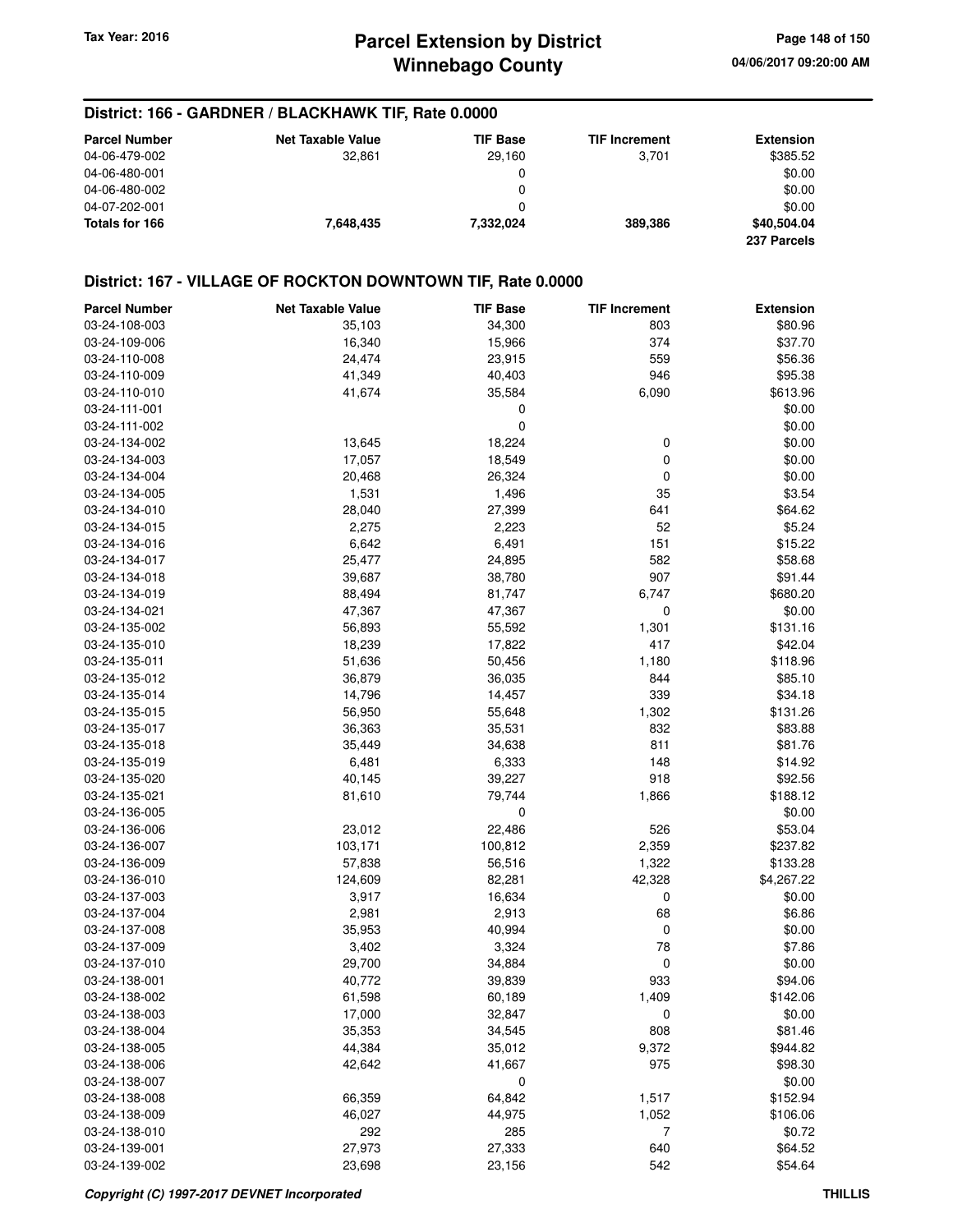# **Winnebago County Parcel Extension by District Tax Year: 2016 Page 148 of 150**

#### **District: 166 - GARDNER / BLACKHAWK TIF, Rate 0.0000**

| <b>Parcel Number</b> | <b>Net Taxable Value</b> | <b>TIF Base</b> | <b>TIF Increment</b> | <b>Extension</b> |
|----------------------|--------------------------|-----------------|----------------------|------------------|
| 04-06-479-002        | 32.861                   | 29.160          | 3.701                | \$385.52         |
| 04-06-480-001        |                          | 0               |                      | \$0.00           |
| 04-06-480-002        |                          | 0               |                      | \$0.00           |
| 04-07-202-001        |                          | 0               |                      | \$0.00           |
| Totals for 166       | 7.648.435                | 7,332,024       | 389.386              | \$40,504.04      |
|                      |                          |                 |                      | 237 Parcels      |

### **District: 167 - VILLAGE OF ROCKTON DOWNTOWN TIF, Rate 0.0000**

| <b>Parcel Number</b> | <b>Net Taxable Value</b> | <b>TIF Base</b>  | <b>TIF Increment</b> | <b>Extension</b> |
|----------------------|--------------------------|------------------|----------------------|------------------|
| 03-24-108-003        | 35,103                   | 34,300           | 803                  | \$80.96          |
| 03-24-109-006        | 16,340                   | 15,966           | 374                  | \$37.70          |
| 03-24-110-008        | 24,474                   | 23,915           | 559                  | \$56.36          |
| 03-24-110-009        | 41,349                   | 40,403           | 946                  | \$95.38          |
| 03-24-110-010        | 41,674                   | 35,584           | 6,090                | \$613.96         |
| 03-24-111-001        |                          | 0                |                      | \$0.00           |
| 03-24-111-002        |                          | 0                |                      | \$0.00           |
| 03-24-134-002        | 13,645                   | 18,224           | 0                    | \$0.00           |
| 03-24-134-003        | 17,057                   | 18,549           | 0                    | \$0.00           |
| 03-24-134-004        | 20,468                   | 26,324           | 0                    | \$0.00           |
| 03-24-134-005        | 1,531                    | 1,496            | 35                   | \$3.54           |
| 03-24-134-010        | 28,040                   | 27,399           | 641                  | \$64.62          |
| 03-24-134-015        | 2,275                    | 2,223            | 52                   | \$5.24           |
| 03-24-134-016        | 6,642                    | 6,491            | 151                  | \$15.22          |
| 03-24-134-017        | 25,477                   | 24,895           | 582                  | \$58.68          |
| 03-24-134-018        | 39,687                   | 38,780           | 907                  | \$91.44          |
| 03-24-134-019        | 88,494                   | 81,747           | 6,747                | \$680.20         |
| 03-24-134-021        | 47,367                   | 47,367           | 0                    | \$0.00           |
| 03-24-135-002        | 56,893                   | 55,592           | 1,301                | \$131.16         |
| 03-24-135-010        | 18,239                   | 17,822           | 417                  | \$42.04          |
| 03-24-135-011        | 51,636                   | 50,456           | 1,180                | \$118.96         |
| 03-24-135-012        | 36,879                   | 36,035           | 844                  | \$85.10          |
| 03-24-135-014        | 14,796                   | 14,457           | 339                  | \$34.18          |
| 03-24-135-015        | 56,950                   | 55,648           | 1,302                | \$131.26         |
| 03-24-135-017        | 36,363                   | 35,531           | 832                  | \$83.88          |
| 03-24-135-018        | 35,449                   | 34,638           | 811                  | \$81.76          |
| 03-24-135-019        | 6,481                    | 6,333            | 148                  | \$14.92          |
| 03-24-135-020        | 40,145                   | 39,227           | 918                  | \$92.56          |
| 03-24-135-021        | 81,610                   | 79,744           | 1,866                | \$188.12         |
| 03-24-136-005        |                          | $\mathbf 0$      |                      | \$0.00           |
| 03-24-136-006        | 23,012                   | 22,486           | 526                  | \$53.04          |
| 03-24-136-007        | 103,171                  | 100,812          | 2,359                | \$237.82         |
| 03-24-136-009        | 57,838                   | 56,516           | 1,322                | \$133.28         |
| 03-24-136-010        | 124,609                  | 82,281           | 42,328               | \$4,267.22       |
| 03-24-137-003        | 3,917                    | 16,634           | 0                    | \$0.00           |
| 03-24-137-004        | 2,981                    | 2,913            | 68                   | \$6.86           |
| 03-24-137-008        | 35,953                   | 40,994           | 0                    | \$0.00           |
| 03-24-137-009        | 3,402                    | 3,324            | 78                   | \$7.86           |
| 03-24-137-010        | 29,700                   | 34,884           | 0                    | \$0.00           |
| 03-24-138-001        |                          |                  | 933                  | \$94.06          |
| 03-24-138-002        | 40,772<br>61,598         | 39,839<br>60,189 | 1,409                | \$142.06         |
|                      |                          |                  |                      |                  |
| 03-24-138-003        | 17,000                   | 32,847           | 0<br>808             | \$0.00           |
| 03-24-138-004        | 35,353                   | 34,545           |                      | \$81.46          |
| 03-24-138-005        | 44,384                   | 35,012           | 9,372                | \$944.82         |
| 03-24-138-006        | 42,642                   | 41,667           | 975                  | \$98.30          |
| 03-24-138-007        |                          | 0                |                      | \$0.00           |
| 03-24-138-008        | 66,359                   | 64,842           | 1,517                | \$152.94         |
| 03-24-138-009        | 46,027                   | 44,975           | 1,052                | \$106.06         |
| 03-24-138-010        | 292                      | 285              | 7                    | \$0.72           |
| 03-24-139-001        | 27,973                   | 27,333           | 640                  | \$64.52          |
| 03-24-139-002        | 23,698                   | 23,156           | 542                  | \$54.64          |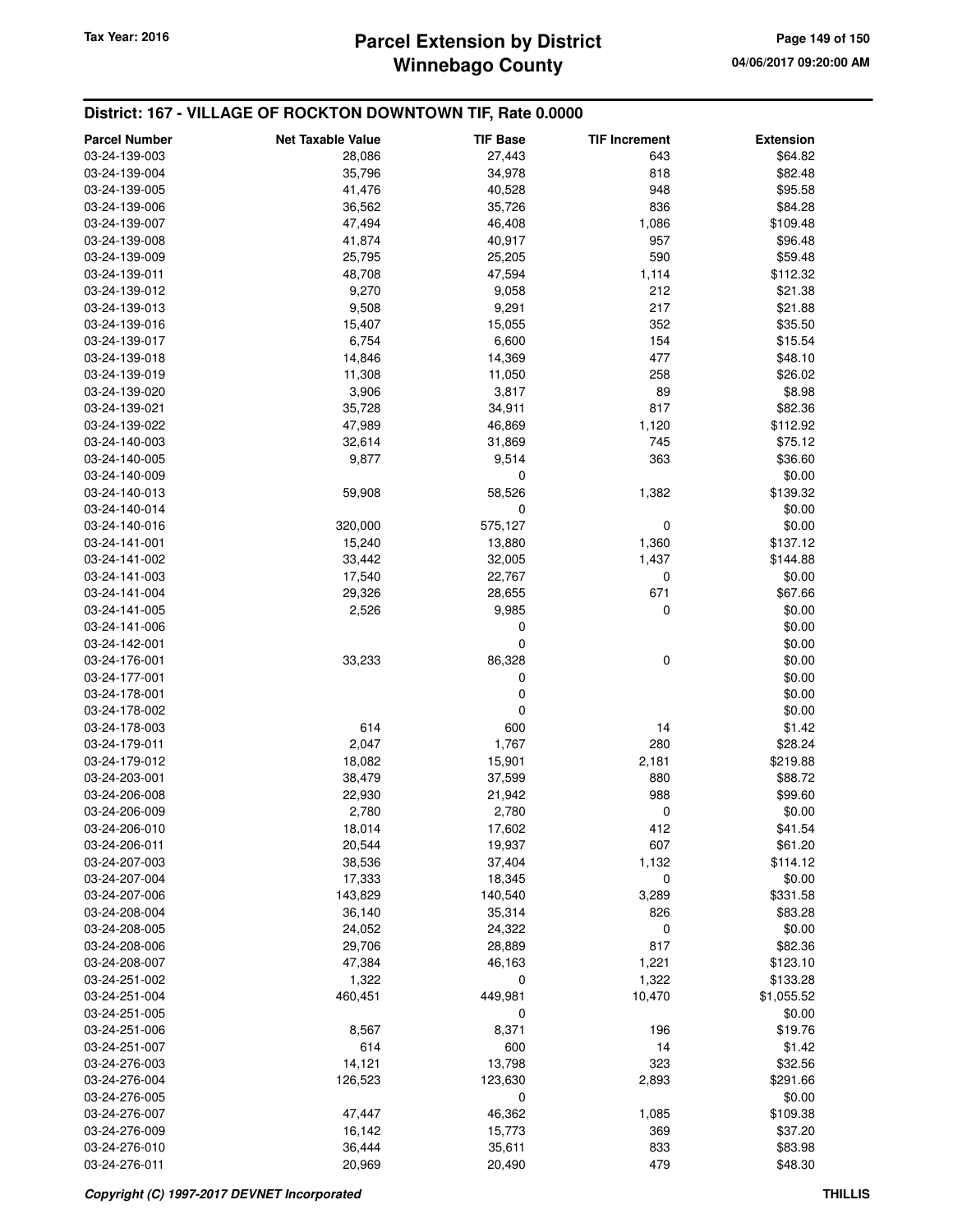### **Winnebago County Parcel Extension by District Tax Year: 2016 Page 149 of 150**

### **District: 167 - VILLAGE OF ROCKTON DOWNTOWN TIF, Rate 0.0000**

| <b>Parcel Number</b>           | <b>Net Taxable Value</b> | <b>TIF Base</b> | <b>TIF Increment</b> | <b>Extension</b>  |
|--------------------------------|--------------------------|-----------------|----------------------|-------------------|
| 03-24-139-003                  | 28,086                   | 27,443          | 643                  | \$64.82           |
| 03-24-139-004                  | 35,796                   | 34,978          | 818                  | \$82.48           |
| 03-24-139-005                  | 41,476                   | 40,528          | 948                  | \$95.58           |
| 03-24-139-006                  | 36,562                   | 35,726          | 836                  | \$84.28           |
| 03-24-139-007                  | 47,494                   | 46,408          | 1,086                | \$109.48          |
| 03-24-139-008                  | 41,874                   | 40,917          | 957                  | \$96.48           |
| 03-24-139-009                  | 25,795                   | 25,205          | 590                  | \$59.48           |
| 03-24-139-011                  | 48,708                   | 47,594          | 1,114                | \$112.32          |
| 03-24-139-012                  | 9,270                    | 9,058           | 212                  | \$21.38           |
| 03-24-139-013                  | 9,508                    | 9,291           | 217                  | \$21.88           |
| 03-24-139-016                  | 15,407                   | 15,055          | 352                  | \$35.50           |
| 03-24-139-017                  | 6,754                    | 6,600           | 154                  | \$15.54           |
| 03-24-139-018                  | 14,846                   | 14,369          | 477                  | \$48.10           |
| 03-24-139-019                  | 11,308                   | 11,050          | 258                  | \$26.02           |
| 03-24-139-020                  | 3,906                    | 3,817           | 89                   | \$8.98            |
| 03-24-139-021                  | 35,728                   | 34,911          | 817                  | \$82.36           |
| 03-24-139-022                  | 47,989                   | 46,869          | 1,120                | \$112.92          |
| 03-24-140-003                  | 32,614                   | 31,869          | 745                  | \$75.12           |
| 03-24-140-005                  | 9,877                    | 9,514           | 363                  | \$36.60           |
| 03-24-140-009                  |                          | 0               |                      | \$0.00            |
| 03-24-140-013                  | 59,908                   | 58,526          | 1,382                | \$139.32          |
| 03-24-140-014                  |                          | $\mathbf 0$     |                      | \$0.00            |
| 03-24-140-016                  | 320,000                  | 575,127         | 0                    | \$0.00            |
| 03-24-141-001                  | 15,240                   | 13,880          | 1,360                | \$137.12          |
| 03-24-141-002                  | 33,442                   | 32,005          | 1,437                | \$144.88          |
| 03-24-141-003                  | 17,540                   | 22,767          | 0                    | \$0.00            |
| 03-24-141-004                  | 29,326                   | 28,655          | 671                  | \$67.66           |
| 03-24-141-005                  | 2,526                    | 9,985           | $\mathbf 0$          | \$0.00            |
| 03-24-141-006                  |                          | 0               |                      | \$0.00            |
| 03-24-142-001                  |                          | 0               |                      | \$0.00            |
| 03-24-176-001                  | 33,233                   | 86,328          | 0                    | \$0.00            |
| 03-24-177-001                  |                          | 0               |                      | \$0.00            |
| 03-24-178-001                  |                          | 0               |                      | \$0.00            |
| 03-24-178-002                  |                          | $\mathbf 0$     |                      | \$0.00            |
| 03-24-178-003                  | 614                      | 600             | 14                   | \$1.42            |
| 03-24-179-011                  | 2,047                    | 1,767           | 280                  | \$28.24           |
| 03-24-179-012                  | 18,082                   | 15,901          | 2,181                | \$219.88          |
| 03-24-203-001                  | 38,479                   | 37,599          | 880                  | \$88.72           |
| 03-24-206-008                  | 22,930                   | 21,942          | 988                  | \$99.60           |
| 03-24-206-009                  | 2,780                    | 2,780           | 0                    | \$0.00            |
| 03-24-206-010                  | 18,014                   | 17,602          | 412                  | \$41.54           |
| 03-24-206-011                  | 20,544                   | 19,937          | 607                  | \$61.20           |
| 03-24-207-003                  | 38,536                   | 37,404          | 1,132                | \$114.12          |
| 03-24-207-004                  | 17,333                   | 18,345          | 0                    | \$0.00            |
| 03-24-207-006                  | 143,829                  | 140,540         | 3,289                | \$331.58          |
| 03-24-208-004                  | 36,140                   | 35,314          | 826                  | \$83.28           |
| 03-24-208-005                  | 24,052                   | 24,322          | 0                    | \$0.00            |
| 03-24-208-006                  | 29,706                   | 28,889          | 817                  | \$82.36           |
| 03-24-208-007                  | 47,384                   | 46,163          | 1,221                | \$123.10          |
| 03-24-251-002                  | 1,322                    | 0               | 1,322                | \$133.28          |
| 03-24-251-004                  | 460,451                  | 449,981         | 10,470               | \$1,055.52        |
| 03-24-251-005<br>03-24-251-006 | 8,567                    | 0<br>8,371      | 196                  | \$0.00<br>\$19.76 |
| 03-24-251-007                  | 614                      | 600             | 14                   | \$1.42            |
| 03-24-276-003                  | 14,121                   | 13,798          | 323                  | \$32.56           |
| 03-24-276-004                  | 126,523                  | 123,630         | 2,893                | \$291.66          |
| 03-24-276-005                  |                          | 0               |                      | \$0.00            |
| 03-24-276-007                  | 47,447                   | 46,362          | 1,085                | \$109.38          |
| 03-24-276-009                  | 16,142                   | 15,773          | 369                  | \$37.20           |
| 03-24-276-010                  | 36,444                   | 35,611          | 833                  | \$83.98           |
| 03-24-276-011                  | 20,969                   | 20,490          | 479                  | \$48.30           |